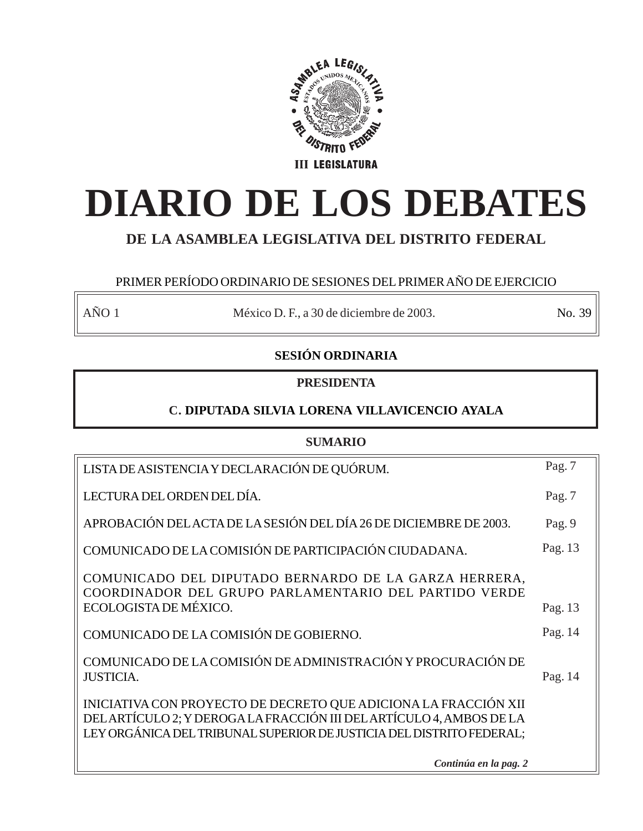

# **DIARIO DE LOS DEBATES**

## **DE LA ASAMBLEA LEGISLATIVA DEL DISTRITO FEDERAL**

## PRIMER PERÍODO ORDINARIO DE SESIONES DEL PRIMER AÑO DE EJERCICIO

AÑO 1 México D. F., a 30 de diciembre de 2003. No. 39

## **SESIÓN ORDINARIA**

## **PRESIDENTA**

## **C. DIPUTADA SILVIA LORENA VILLAVICENCIO AYALA**

## **SUMARIO**

| LISTA DE ASISTENCIA Y DECLARACIÓN DE QUÓRUM.                                                                                                                                                                   | Pag. $7$ |
|----------------------------------------------------------------------------------------------------------------------------------------------------------------------------------------------------------------|----------|
| LECTURA DEL ORDEN DEL DÍA.                                                                                                                                                                                     | Pag. 7   |
| APROBACIÓN DEL ACTA DE LA SESIÓN DEL DÍA 26 DE DICIEMBRE DE 2003.                                                                                                                                              | Pag. 9   |
| COMUNICADO DE LA COMISIÓN DE PARTICIPACIÓN CIUDADANA.                                                                                                                                                          | Pag. 13  |
| COMUNICADO DEL DIPUTADO BERNARDO DE LA GARZA HERRERA,<br>COORDINADOR DEL GRUPO PARLAMENTARIO DEL PARTIDO VERDE                                                                                                 |          |
| ECOLOGISTA DE MÉXICO.                                                                                                                                                                                          | Pag. 13  |
| COMUNICADO DE LA COMISIÓN DE GOBIERNO.                                                                                                                                                                         | Pag. 14  |
| COMUNICADO DE LA COMISIÓN DE ADMINISTRACIÓN Y PROCURACIÓN DE<br><b>JUSTICIA.</b>                                                                                                                               | Pag. 14  |
| INICIATIVA CON PROYECTO DE DECRETO QUE ADICIONA LA FRACCIÓN XII<br>DELARTÍCULO 2; Y DEROGA LA FRACCIÓN III DEL ARTÍCULO 4, AMBOS DE LA<br>LEY ORGÁNICA DEL TRIBUNAL SUPERIOR DE JUSTICIA DEL DISTRITO FEDERAL; |          |
| Continúa en la pag. 2                                                                                                                                                                                          |          |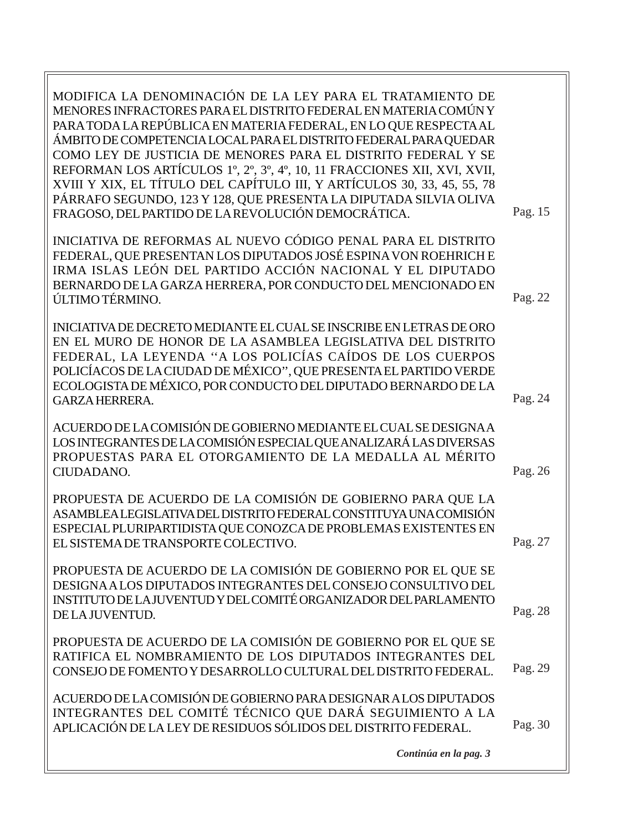| MODIFICA LA DENOMINACIÓN DE LA LEY PARA EL TRATAMIENTO DE<br>MENORES INFRACTORES PARA EL DISTRITO FEDERAL EN MATERIA COMÚNY<br>PARA TODA LA REPÚBLICA EN MATERIA FEDERAL, EN LO QUE RESPECTA AL<br>ÁMBITO DE COMPETENCIA LOCAL PARA EL DISTRITO FEDERAL PARA QUEDAR<br>COMO LEY DE JUSTICIA DE MENORES PARA EL DISTRITO FEDERAL Y SE<br>REFORMAN LOS ARTÍCULOS 1°, 2°, 3°, 4°, 10, 11 FRACCIONES XII, XVI, XVII,<br>XVIII Y XIX, EL TÍTULO DEL CAPÍTULO III, Y ARTÍCULOS 30, 33, 45, 55, 78<br>PÁRRAFO SEGUNDO, 123 Y 128, QUE PRESENTA LA DIPUTADA SILVIA OLIVA<br>FRAGOSO, DEL PARTIDO DE LA REVOLUCIÓN DEMOCRÁTICA. | Pag. 15 |
|------------------------------------------------------------------------------------------------------------------------------------------------------------------------------------------------------------------------------------------------------------------------------------------------------------------------------------------------------------------------------------------------------------------------------------------------------------------------------------------------------------------------------------------------------------------------------------------------------------------------|---------|
| INICIATIVA DE REFORMAS AL NUEVO CÓDIGO PENAL PARA EL DISTRITO<br>FEDERAL, QUE PRESENTAN LOS DIPUTADOS JOSÉ ESPINA VON ROEHRICH E<br>IRMA ISLAS LEÓN DEL PARTIDO ACCIÓN NACIONAL Y EL DIPUTADO<br>BERNARDO DE LA GARZA HERRERA, POR CONDUCTO DEL MENCIONADO EN<br>ÚLTIMO TÉRMINO.                                                                                                                                                                                                                                                                                                                                       | Pag. 22 |
| INICIATIVA DE DECRETO MEDIANTE EL CUAL SE INSCRIBE EN LETRAS DE ORO<br>EN EL MURO DE HONOR DE LA ASAMBLEA LEGISLATIVA DEL DISTRITO<br>FEDERAL, LA LEYENDA "A LOS POLICÍAS CAÍDOS DE LOS CUERPOS<br>POLICÍACOS DE LA CIUDAD DE MÉXICO", QUE PRESENTA EL PARTIDO VERDE<br>ECOLOGISTA DE MÉXICO, POR CONDUCTO DEL DIPUTADO BERNARDO DE LA<br><b>GARZA HERRERA.</b>                                                                                                                                                                                                                                                        | Pag. 24 |
| ACUERDO DE LA COMISIÓN DE GOBIERNO MEDIANTE EL CUAL SE DESIGNA A<br>LOS INTEGRANTES DE LA COMISIÓN ESPECIAL QUE ANALIZARÁ LAS DIVERSAS<br>PROPUESTAS PARA EL OTORGAMIENTO DE LA MEDALLA AL MÉRITO<br>CIUDADANO.                                                                                                                                                                                                                                                                                                                                                                                                        | Pag. 26 |
| PROPUESTA DE ACUERDO DE LA COMISIÓN DE GOBIERNO PARA QUE LA<br>ASAMBLEA LEGISLATIVA DEL DISTRITO FEDERAL CONSTITUYA UNA COMISIÓN<br>ESPECIAL PLURIPARTIDISTA QUE CONOZCA DE PROBLEMAS EXISTENTES EN<br>EL SISTEMA DE TRANSPORTE COLECTIVO.                                                                                                                                                                                                                                                                                                                                                                             | Pag. 27 |
| PROPUESTA DE ACUERDO DE LA COMISIÓN DE GOBIERNO POR EL QUE SE<br>DESIGNA A LOS DIPUTADOS INTEGRANTES DEL CONSEJO CONSULTIVO DEL<br>INSTITUTO DE LA JUVENTUD Y DEL COMITÉ ORGANIZADOR DEL PARLAMENTO<br>DE LA JUVENTUD.                                                                                                                                                                                                                                                                                                                                                                                                 | Pag. 28 |
| PROPUESTA DE ACUERDO DE LA COMISIÓN DE GOBIERNO POR EL QUE SE<br>RATIFICA EL NOMBRAMIENTO DE LOS DIPUTADOS INTEGRANTES DEL<br>CONSEJO DE FOMENTO Y DESARROLLO CULTURAL DEL DISTRITO FEDERAL.                                                                                                                                                                                                                                                                                                                                                                                                                           | Pag. 29 |
| ACUERDO DE LA COMISIÓN DE GOBIERNO PARA DESIGNAR A LOS DIPUTADOS<br>INTEGRANTES DEL COMITÉ TÉCNICO QUE DARÁ SEGUIMIENTO A LA<br>APLICACIÓN DE LA LEY DE RESIDUOS SÓLIDOS DEL DISTRITO FEDERAL.<br>Continúa en la pag. 3                                                                                                                                                                                                                                                                                                                                                                                                | Pag. 30 |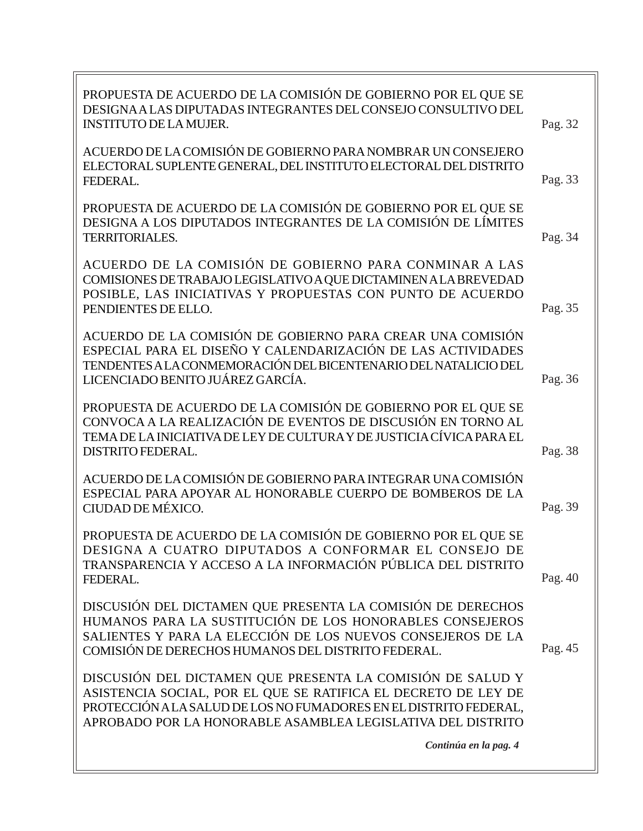| PROPUESTA DE ACUERDO DE LA COMISIÓN DE GOBIERNO POR EL QUE SE<br>DESIGNA A LAS DIPUTADAS INTEGRANTES DEL CONSEJO CONSULTIVO DEL<br><b>INSTITUTO DE LA MUJER.</b>                                                                                                 | Pag. 32 |
|------------------------------------------------------------------------------------------------------------------------------------------------------------------------------------------------------------------------------------------------------------------|---------|
| ACUERDO DE LA COMISIÓN DE GOBIERNO PARA NOMBRAR UN CONSEJERO<br>ELECTORAL SUPLENTE GENERAL, DEL INSTITUTO ELECTORAL DEL DISTRITO<br>FEDERAL.                                                                                                                     | Pag. 33 |
| PROPUESTA DE ACUERDO DE LA COMISIÓN DE GOBIERNO POR EL QUE SE<br>DESIGNA A LOS DIPUTADOS INTEGRANTES DE LA COMISIÓN DE LÍMITES<br><b>TERRITORIALES.</b>                                                                                                          | Pag. 34 |
| ACUERDO DE LA COMISIÓN DE GOBIERNO PARA CONMINAR A LAS<br>COMISIONES DE TRABAJO LEGISLATIVO A QUE DICTAMINEN A LA BREVEDAD<br>POSIBLE, LAS INICIATIVAS Y PROPUESTAS CON PUNTO DE ACUERDO<br>PENDIENTES DE ELLO.                                                  | Pag. 35 |
| ACUERDO DE LA COMISIÓN DE GOBIERNO PARA CREAR UNA COMISIÓN<br>ESPECIAL PARA EL DISEÑO Y CALENDARIZACIÓN DE LAS ACTIVIDADES<br>TENDENTES A LA CONMEMORACIÓN DEL BICENTENARIO DEL NATALICIO DEL<br>LICENCIADO BENITO JUÁREZ GARCÍA.                                | Pag. 36 |
| PROPUESTA DE ACUERDO DE LA COMISIÓN DE GOBIERNO POR EL QUE SE<br>CONVOCA A LA REALIZACIÓN DE EVENTOS DE DISCUSIÓN EN TORNO AL<br>TEMA DE LA INICIATIVA DE LEY DE CULTURA Y DE JUSTICIA CÍVICA PARA EL<br><b>DISTRITO FEDERAL.</b>                                | Pag. 38 |
| ACUERDO DE LA COMISIÓN DE GOBIERNO PARA INTEGRAR UNA COMISIÓN<br>ESPECIAL PARA APOYAR AL HONORABLE CUERPO DE BOMBEROS DE LA<br>CIUDAD DE MÉXICO.                                                                                                                 | Pag. 39 |
| PROPUESTA DE ACUERDO DE LA COMISIÓN DE GOBIERNO POR EL QUE SE<br>DESIGNA A CUATRO DIPUTADOS A CONFORMAR EL CONSEJO DE<br>TRANSPARENCIA Y ACCESO A LA INFORMACIÓN PÚBLICA DEL DISTRITO<br>FEDERAL.                                                                | Pag. 40 |
| DISCUSIÓN DEL DICTAMEN QUE PRESENTA LA COMISIÓN DE DERECHOS<br>HUMANOS PARA LA SUSTITUCIÓN DE LOS HONORABLES CONSEJEROS<br>SALIENTES Y PARA LA ELECCIÓN DE LOS NUEVOS CONSEJEROS DE LA<br>COMISIÓN DE DERECHOS HUMANOS DEL DISTRITO FEDERAL.                     | Pag. 45 |
| DISCUSIÓN DEL DICTAMEN QUE PRESENTA LA COMISIÓN DE SALUD Y<br>ASISTENCIA SOCIAL, POR EL QUE SE RATIFICA EL DECRETO DE LEY DE<br>PROTECCIÓN A LA SALUD DE LOS NO FUMADORES EN EL DISTRITO FEDERAL,<br>APROBADO POR LA HONORABLE ASAMBLEA LEGISLATIVA DEL DISTRITO |         |
| Continúa en la pag. 4                                                                                                                                                                                                                                            |         |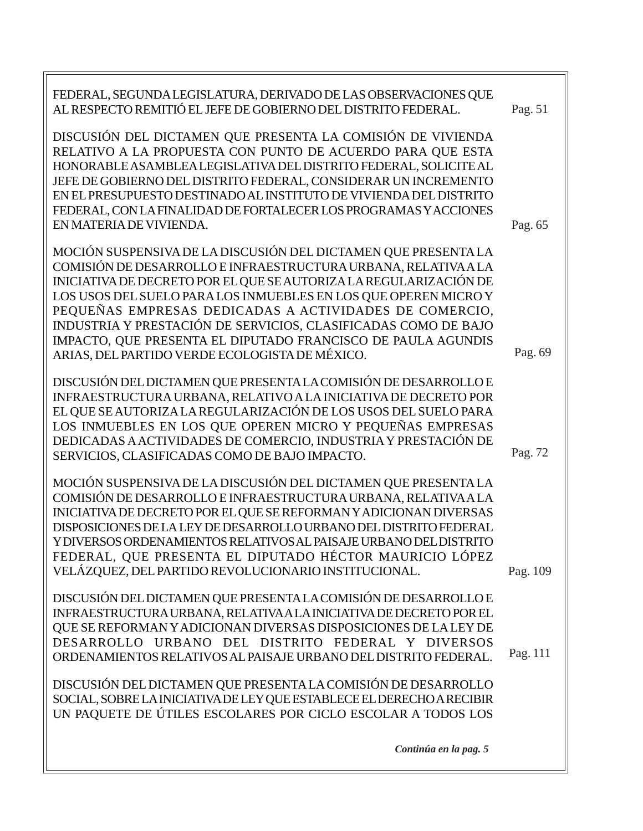| FEDERAL, SEGUNDA LEGISLATURA, DERIVADO DE LAS OBSERVACIONES QUE<br>AL RESPECTO REMITIÓ EL JEFE DE GOBIERNO DEL DISTRITO FEDERAL.                                                                                                                                                                                                                                                                                                                                     | Pag. 51  |
|----------------------------------------------------------------------------------------------------------------------------------------------------------------------------------------------------------------------------------------------------------------------------------------------------------------------------------------------------------------------------------------------------------------------------------------------------------------------|----------|
| DISCUSIÓN DEL DICTAMEN QUE PRESENTA LA COMISIÓN DE VIVIENDA<br>RELATIVO A LA PROPUESTA CON PUNTO DE ACUERDO PARA QUE ESTA<br>HONORABLE ASAMBLEA LEGISLATIVA DEL DISTRITO FEDERAL, SOLICITE AL<br>JEFE DE GOBIERNO DEL DISTRITO FEDERAL, CONSIDERAR UN INCREMENTO<br>EN EL PRESUPUESTO DESTINADO AL INSTITUTO DE VIVIENDA DEL DISTRITO<br>FEDERAL, CON LA FINALIDAD DE FORTALECER LOS PROGRAMAS Y ACCIONES                                                            |          |
| EN MATERIA DE VIVIENDA.                                                                                                                                                                                                                                                                                                                                                                                                                                              | Pag. 65  |
| MOCIÓN SUSPENSIVA DE LA DISCUSIÓN DEL DICTAMEN QUE PRESENTA LA<br>COMISIÓN DE DESARROLLO E INFRAESTRUCTURA URBANA, RELATIVA A LA<br>INICIATIVA DE DECRETO POR EL QUE SE AUTORIZA LA REGULARIZACIÓN DE<br>LOS USOS DEL SUELO PARA LOS INMUEBLES EN LOS QUE OPEREN MICRO Y<br>PEQUEÑAS EMPRESAS DEDICADAS A ACTIVIDADES DE COMERCIO,<br>INDUSTRIA Y PRESTACIÓN DE SERVICIOS, CLASIFICADAS COMO DE BAJO<br>IMPACTO, QUE PRESENTA EL DIPUTADO FRANCISCO DE PAULA AGUNDIS |          |
| ARIAS, DEL PARTIDO VERDE ECOLOGISTA DE MÉXICO.                                                                                                                                                                                                                                                                                                                                                                                                                       | Pag. 69  |
| DISCUSIÓN DEL DICTAMEN QUE PRESENTA LA COMISIÓN DE DESARROLLO E<br>INFRAESTRUCTURA URBANA, RELATIVO A LA INICIATIVA DE DECRETO POR                                                                                                                                                                                                                                                                                                                                   |          |
| EL QUE SE AUTORIZA LA REGULARIZACIÓN DE LOS USOS DEL SUELO PARA                                                                                                                                                                                                                                                                                                                                                                                                      |          |
| LOS INMUEBLES EN LOS QUE OPEREN MICRO Y PEQUEÑAS EMPRESAS                                                                                                                                                                                                                                                                                                                                                                                                            |          |
| DEDICADAS A ACTIVIDADES DE COMERCIO, INDUSTRIA Y PRESTACIÓN DE                                                                                                                                                                                                                                                                                                                                                                                                       | Pag. 72  |
| SERVICIOS, CLASIFICADAS COMO DE BAJO IMPACTO.                                                                                                                                                                                                                                                                                                                                                                                                                        |          |
| MOCIÓN SUSPENSIVA DE LA DISCUSIÓN DEL DICTAMEN QUE PRESENTA LA<br>COMISIÓN DE DESARROLLO E INFRAESTRUCTURA URBANA, RELATIVA A LA<br>INICIATIVA DE DECRETO POR EL QUE SE REFORMAN Y ADICIONAN DIVERSAS<br>DISPOSICIONES DE LA LEY DE DESARROLLO URBANO DEL DISTRITO FEDERAL<br>Y DIVERSOS ORDENAMIENTOS RELATIVOS AL PAISAJE URBANO DEL DISTRITO<br>FEDERAL, QUE PRESENTA EL DIPUTADO HÉCTOR MAURICIO LÓPEZ                                                           |          |
| VELÁZQUEZ, DEL PARTIDO REVOLUCIONARIO INSTITUCIONAL.                                                                                                                                                                                                                                                                                                                                                                                                                 | Pag. 109 |
| DISCUSIÓN DEL DICTAMEN QUE PRESENTA LA COMISIÓN DE DESARROLLO E<br>INFRAESTRUCTURA URBANA, RELATIVA A LA INICIATIVA DE DECRETO POR EL<br>QUE SE REFORMAN Y ADICIONAN DIVERSAS DISPOSICIONES DE LA LEY DE<br>DESARROLLO URBANO DEL DISTRITO FEDERAL Y DIVERSOS<br>ORDENAMIENTOS RELATIVOS AL PAISAJE URBANO DEL DISTRITO FEDERAL.                                                                                                                                     | Pag. 111 |
| DISCUSIÓN DEL DICTAMEN QUE PRESENTA LA COMISIÓN DE DESARROLLO                                                                                                                                                                                                                                                                                                                                                                                                        |          |
| SOCIAL, SOBRE LA INICIATIVA DE LEY QUE ESTABLECE EL DERECHO A RECIBIR                                                                                                                                                                                                                                                                                                                                                                                                |          |
| UN PAQUETE DE ÚTILES ESCOLARES POR CICLO ESCOLAR A TODOS LOS                                                                                                                                                                                                                                                                                                                                                                                                         |          |
|                                                                                                                                                                                                                                                                                                                                                                                                                                                                      |          |
| Continúa en la pag. 5                                                                                                                                                                                                                                                                                                                                                                                                                                                |          |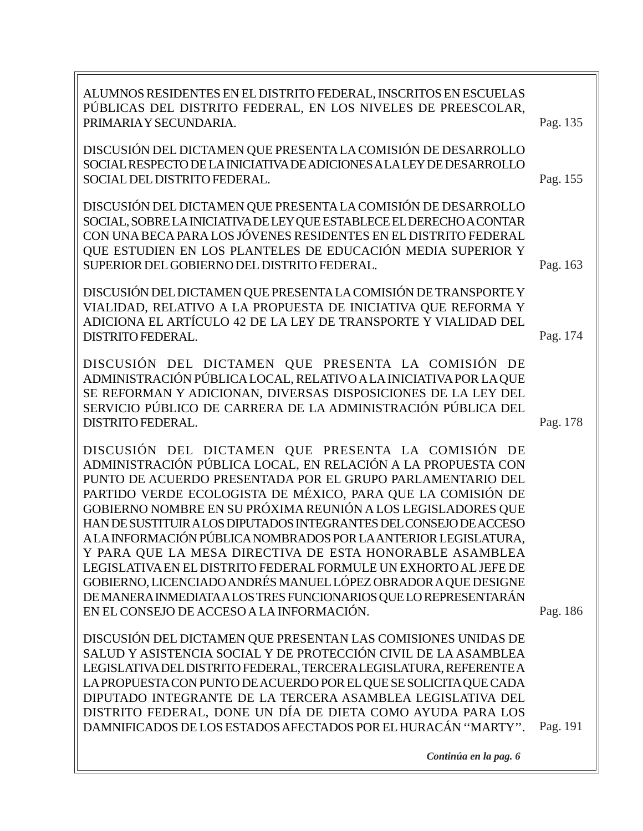| ALUMNOS RESIDENTES EN EL DISTRITO FEDERAL, INSCRITOS EN ESCUELAS<br>PÚBLICAS DEL DISTRITO FEDERAL, EN LOS NIVELES DE PREESCOLAR,<br>PRIMARIA Y SECUNDARIA.                                                                                                                                                                                                                                                                                                                                                                                                                                                                                                                                                                                                                 | Pag. 135 |
|----------------------------------------------------------------------------------------------------------------------------------------------------------------------------------------------------------------------------------------------------------------------------------------------------------------------------------------------------------------------------------------------------------------------------------------------------------------------------------------------------------------------------------------------------------------------------------------------------------------------------------------------------------------------------------------------------------------------------------------------------------------------------|----------|
| DISCUSIÓN DEL DICTAMEN QUE PRESENTA LA COMISIÓN DE DESARROLLO<br>SOCIAL RESPECTO DE LA INICIATIVA DE ADICIONES A LA LEY DE DESARROLLO<br>SOCIAL DEL DISTRITO FEDERAL.                                                                                                                                                                                                                                                                                                                                                                                                                                                                                                                                                                                                      | Pag. 155 |
| DISCUSIÓN DEL DICTAMEN QUE PRESENTA LA COMISIÓN DE DESARROLLO<br>SOCIAL, SOBRE LA INICIATIVA DE LEY QUE ESTABLECE EL DERECHO A CONTAR<br>CON UNA BECA PARA LOS JÓVENES RESIDENTES EN EL DISTRITO FEDERAL<br>QUE ESTUDIEN EN LOS PLANTELES DE EDUCACIÓN MEDIA SUPERIOR Y<br>SUPERIOR DEL GOBIERNO DEL DISTRITO FEDERAL.                                                                                                                                                                                                                                                                                                                                                                                                                                                     | Pag. 163 |
| DISCUSIÓN DEL DICTAMEN QUE PRESENTA LA COMISIÓN DE TRANSPORTE Y<br>VIALIDAD, RELATIVO A LA PROPUESTA DE INICIATIVA QUE REFORMA Y<br>ADICIONA EL ARTÍCULO 42 DE LA LEY DE TRANSPORTE Y VIALIDAD DEL<br><b>DISTRITO FEDERAL.</b>                                                                                                                                                                                                                                                                                                                                                                                                                                                                                                                                             | Pag. 174 |
| DISCUSIÓN DEL DICTAMEN QUE PRESENTA LA COMISIÓN DE<br>ADMINISTRACIÓN PÚBLICA LOCAL, RELATIVO A LA INICIATIVA POR LA QUE<br>SE REFORMAN Y ADICIONAN, DIVERSAS DISPOSICIONES DE LA LEY DEL<br>SERVICIO PÚBLICO DE CARRERA DE LA ADMINISTRACIÓN PÚBLICA DEL<br><b>DISTRITO FEDERAL.</b>                                                                                                                                                                                                                                                                                                                                                                                                                                                                                       | Pag. 178 |
| DISCUSIÓN DEL DICTAMEN QUE PRESENTA LA COMISIÓN DE<br>ADMINISTRACIÓN PÚBLICA LOCAL, EN RELACIÓN A LA PROPUESTA CON<br>PUNTO DE ACUERDO PRESENTADA POR EL GRUPO PARLAMENTARIO DEL<br>PARTIDO VERDE ECOLOGISTA DE MÉXICO, PARA QUE LA COMISIÓN DE<br>GOBIERNO NOMBRE EN SU PRÓXIMA REUNIÓN A LOS LEGISLADORES QUE<br>HAN DE SUSTITUIR A LOS DIPUTADOS INTEGRANTES DEL CONSEJO DE ACCESO<br>A LA INFORMACIÓN PÚBLICA NOMBRADOS POR LA ANTERIOR LEGISLATURA,<br>Y PARA QUE LA MESA DIRECTIVA DE ESTA HONORABLE ASAMBLEA<br>LEGISLATIVA EN EL DISTRITO FEDERAL FORMULE UN EXHORTO AL JEFE DE<br>GOBIERNO, LICENCIADO ANDRÉS MANUEL LÓPEZ OBRADOR A QUE DESIGNE<br>DE MANERA INMEDIATA A LOS TRES FUNCIONARIOS QUE LO REPRESENTARÁN<br>EN EL CONSEJO DE ACCESO A LA INFORMACIÓN. | Pag. 186 |
| DISCUSIÓN DEL DICTAMEN QUE PRESENTAN LAS COMISIONES UNIDAS DE<br>SALUD Y ASISTENCIA SOCIAL Y DE PROTECCIÓN CIVIL DE LA ASAMBLEA<br>LEGISLATIVA DEL DISTRITO FEDERAL, TERCERA LEGISLATURA, REFERENTE A<br>LA PROPUESTA CON PUNTO DE ACUERDO POR EL QUE SE SOLICITA QUE CADA<br>DIPUTADO INTEGRANTE DE LA TERCERA ASAMBLEA LEGISLATIVA DEL<br>DISTRITO FEDERAL, DONE UN DÍA DE DIETA COMO AYUDA PARA LOS<br>DAMNIFICADOS DE LOS ESTADOS AFECTADOS POR EL HURACÁN "MARTY".                                                                                                                                                                                                                                                                                                    | Pag. 191 |
| Continúa en la pag. 6                                                                                                                                                                                                                                                                                                                                                                                                                                                                                                                                                                                                                                                                                                                                                      |          |

 $\equiv$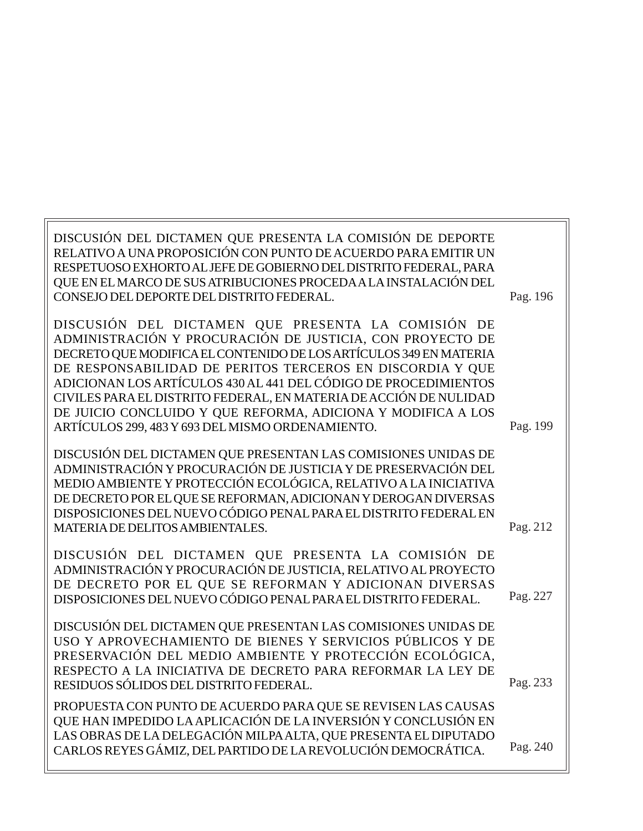| DISCUSIÓN DEL DICTAMEN QUE PRESENTA LA COMISIÓN DE DEPORTE<br>RELATIVO A UNA PROPOSICIÓN CON PUNTO DE ACUERDO PARA EMITIR UN<br>RESPETUOSO EXHORTO AL JEFE DE GOBIERNO DEL DISTRITO FEDERAL, PARA<br>QUE EN EL MARCO DE SUS ATRIBUCIONES PROCEDA A LA INSTALACIÓN DEL<br>CONSEJO DEL DEPORTE DEL DISTRITO FEDERAL.                                                                                                                                        | Pag. 196 |
|-----------------------------------------------------------------------------------------------------------------------------------------------------------------------------------------------------------------------------------------------------------------------------------------------------------------------------------------------------------------------------------------------------------------------------------------------------------|----------|
| DISCUSIÓN DEL DICTAMEN QUE PRESENTA LA COMISIÓN DE<br>ADMINISTRACIÓN Y PROCURACIÓN DE JUSTICIA, CON PROYECTO DE<br>DECRETO QUE MODIFICA EL CONTENIDO DE LOS ARTÍCULOS 349 EN MATERIA<br>DE RESPONSABILIDAD DE PERITOS TERCEROS EN DISCORDIA Y QUE<br>ADICIONAN LOS ARTÍCULOS 430 AL 441 DEL CÓDIGO DE PROCEDIMIENTOS<br>CIVILES PARA EL DISTRITO FEDERAL, EN MATERIA DE ACCIÓN DE NULIDAD<br>DE JUICIO CONCLUIDO Y QUE REFORMA, ADICIONA Y MODIFICA A LOS |          |
| ARTÍCULOS 299, 483 Y 693 DEL MISMO ORDENAMIENTO.                                                                                                                                                                                                                                                                                                                                                                                                          | Pag. 199 |
| DISCUSIÓN DEL DICTAMEN QUE PRESENTAN LAS COMISIONES UNIDAS DE<br>ADMINISTRACIÓN Y PROCURACIÓN DE JUSTICIA Y DE PRESERVACIÓN DEL<br>MEDIO AMBIENTE Y PROTECCIÓN ECOLÓGICA, RELATIVO A LA INICIATIVA<br>DE DECRETO POR EL QUE SE REFORMAN, ADICIONAN Y DEROGAN DIVERSAS<br>DISPOSICIONES DEL NUEVO CÓDIGO PENAL PARA EL DISTRITO FEDERAL EN<br>MATERIA DE DELITOS AMBIENTALES.                                                                              | Pag. 212 |
| DISCUSIÓN DEL DICTAMEN QUE PRESENTA LA COMISIÓN DE<br>ADMINISTRACIÓN Y PROCURACIÓN DE JUSTICIA, RELATIVO AL PROYECTO<br>DE DECRETO POR EL QUE SE REFORMAN Y ADICIONAN DIVERSAS<br>DISPOSICIONES DEL NUEVO CÓDIGO PENAL PARA EL DISTRITO FEDERAL.                                                                                                                                                                                                          | Pag. 227 |
| DISCUSIÓN DEL DICTAMEN QUE PRESENTAN LAS COMISIONES UNIDAS DE<br>USO Y APROVECHAMIENTO DE BIENES Y SERVICIOS PÚBLICOS Y DE<br>PRESERVACIÓN DEL MEDIO AMBIENTE Y PROTECCIÓN ECOLÓGICA.<br>RESPECTO A LA INICIATIVA DE DECRETO PARA REFORMAR LA LEY DE<br>RESIDUOS SÓLIDOS DEL DISTRITO FEDERAL.                                                                                                                                                            | Pag. 233 |
| PROPUESTA CON PUNTO DE ACUERDO PARA QUE SE REVISEN LAS CAUSAS<br>QUE HAN IMPEDIDO LA APLICACIÓN DE LA INVERSIÓN Y CONCLUSIÓN EN<br>LAS OBRAS DE LA DELEGACIÓN MILPA ALTA, QUE PRESENTA EL DIPUTADO<br>CARLOS REYES GÁMIZ, DEL PARTIDO DE LA REVOLUCIÓN DEMOCRÁTICA.                                                                                                                                                                                       | Pag. 240 |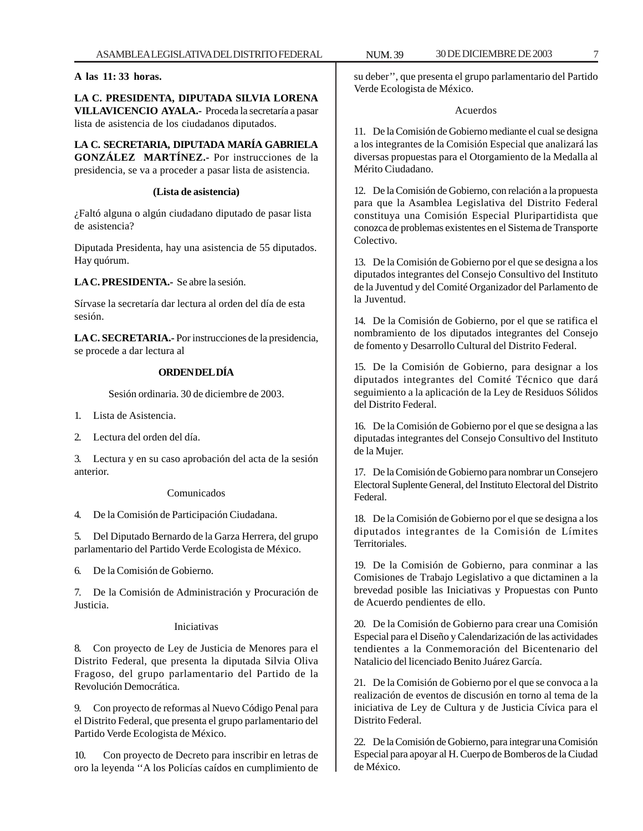#### **A las 11: 33 horas.**

**LA C. PRESIDENTA, DIPUTADA SILVIA LORENA VILLAVICENCIO AYALA.-** Proceda la secretaría a pasar lista de asistencia de los ciudadanos diputados.

**LA C. SECRETARIA, DIPUTADA MARÍA GABRIELA GONZÁLEZ MARTÍNEZ.-** Por instrucciones de la presidencia, se va a proceder a pasar lista de asistencia.

#### **(Lista de asistencia)**

¿Faltó alguna o algún ciudadano diputado de pasar lista de asistencia?

Diputada Presidenta, hay una asistencia de 55 diputados. Hay quórum.

**LA C. PRESIDENTA.-** Se abre la sesión.

Sírvase la secretaría dar lectura al orden del día de esta sesión.

**LA C. SECRETARIA.-** Por instrucciones de la presidencia, se procede a dar lectura al

#### **ORDEN DEL DÍA**

Sesión ordinaria. 30 de diciembre de 2003.

- 1. Lista de Asistencia.
- 2. Lectura del orden del día.

3. Lectura y en su caso aprobación del acta de la sesión anterior.

#### Comunicados

4. De la Comisión de Participación Ciudadana.

5. Del Diputado Bernardo de la Garza Herrera, del grupo parlamentario del Partido Verde Ecologista de México.

6. De la Comisión de Gobierno.

7. De la Comisión de Administración y Procuración de Justicia.

#### Iniciativas

8. Con proyecto de Ley de Justicia de Menores para el Distrito Federal, que presenta la diputada Silvia Oliva Fragoso, del grupo parlamentario del Partido de la Revolución Democrática.

9. Con proyecto de reformas al Nuevo Código Penal para el Distrito Federal, que presenta el grupo parlamentario del Partido Verde Ecologista de México.

10. Con proyecto de Decreto para inscribir en letras de oro la leyenda ''A los Policías caídos en cumplimiento de

su deber'', que presenta el grupo parlamentario del Partido Verde Ecologista de México.

#### Acuerdos

11. De la Comisión de Gobierno mediante el cual se designa a los integrantes de la Comisión Especial que analizará las diversas propuestas para el Otorgamiento de la Medalla al Mérito Ciudadano.

12. De la Comisión de Gobierno, con relación a la propuesta para que la Asamblea Legislativa del Distrito Federal constituya una Comisión Especial Pluripartidista que conozca de problemas existentes en el Sistema de Transporte Colectivo.

13. De la Comisión de Gobierno por el que se designa a los diputados integrantes del Consejo Consultivo del Instituto de la Juventud y del Comité Organizador del Parlamento de la Juventud.

14. De la Comisión de Gobierno, por el que se ratifica el nombramiento de los diputados integrantes del Consejo de fomento y Desarrollo Cultural del Distrito Federal.

15. De la Comisión de Gobierno, para designar a los diputados integrantes del Comité Técnico que dará seguimiento a la aplicación de la Ley de Residuos Sólidos del Distrito Federal.

16. De la Comisión de Gobierno por el que se designa a las diputadas integrantes del Consejo Consultivo del Instituto de la Mujer.

17. De la Comisión de Gobierno para nombrar un Consejero Electoral Suplente General, del Instituto Electoral del Distrito Federal.

18. De la Comisión de Gobierno por el que se designa a los diputados integrantes de la Comisión de Límites Territoriales.

19. De la Comisión de Gobierno, para conminar a las Comisiones de Trabajo Legislativo a que dictaminen a la brevedad posible las Iniciativas y Propuestas con Punto de Acuerdo pendientes de ello.

20. De la Comisión de Gobierno para crear una Comisión Especial para el Diseño y Calendarización de las actividades tendientes a la Conmemoración del Bicentenario del Natalicio del licenciado Benito Juárez García.

21. De la Comisión de Gobierno por el que se convoca a la realización de eventos de discusión en torno al tema de la iniciativa de Ley de Cultura y de Justicia Cívica para el Distrito Federal.

22. De la Comisión de Gobierno, para integrar una Comisión Especial para apoyar al H. Cuerpo de Bomberos de la Ciudad de México.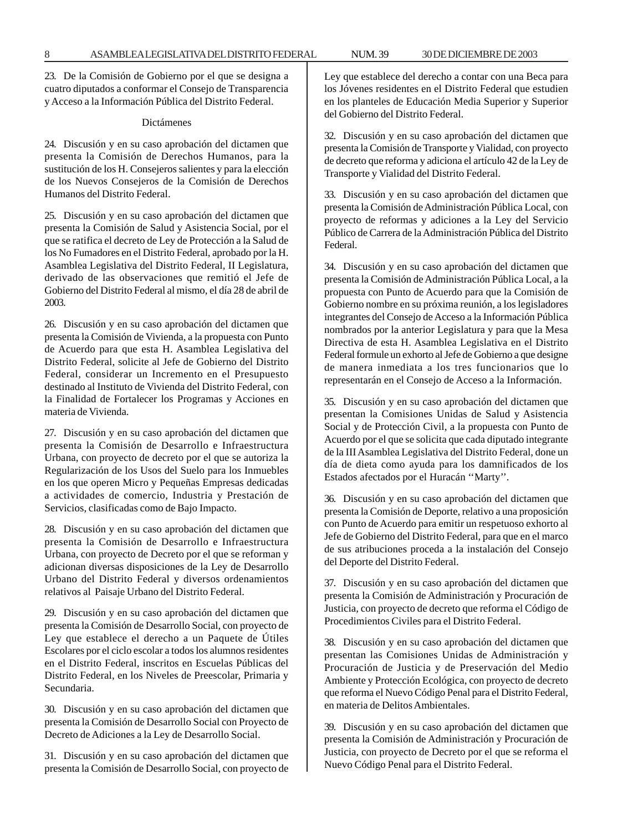23. De la Comisión de Gobierno por el que se designa a cuatro diputados a conformar el Consejo de Transparencia y Acceso a la Información Pública del Distrito Federal.

#### Dictámenes

24. Discusión y en su caso aprobación del dictamen que presenta la Comisión de Derechos Humanos, para la sustitución de los H. Consejeros salientes y para la elección de los Nuevos Consejeros de la Comisión de Derechos Humanos del Distrito Federal.

25. Discusión y en su caso aprobación del dictamen que presenta la Comisión de Salud y Asistencia Social, por el que se ratifica el decreto de Ley de Protección a la Salud de los No Fumadores en el Distrito Federal, aprobado por la H. Asamblea Legislativa del Distrito Federal, II Legislatura, derivado de las observaciones que remitió el Jefe de Gobierno del Distrito Federal al mismo, el día 28 de abril de 2003.

26. Discusión y en su caso aprobación del dictamen que presenta la Comisión de Vivienda, a la propuesta con Punto de Acuerdo para que esta H. Asamblea Legislativa del Distrito Federal, solicite al Jefe de Gobierno del Distrito Federal, considerar un Incremento en el Presupuesto destinado al Instituto de Vivienda del Distrito Federal, con la Finalidad de Fortalecer los Programas y Acciones en materia de Vivienda.

27. Discusión y en su caso aprobación del dictamen que presenta la Comisión de Desarrollo e Infraestructura Urbana, con proyecto de decreto por el que se autoriza la Regularización de los Usos del Suelo para los Inmuebles en los que operen Micro y Pequeñas Empresas dedicadas a actividades de comercio, Industria y Prestación de Servicios, clasificadas como de Bajo Impacto.

28. Discusión y en su caso aprobación del dictamen que presenta la Comisión de Desarrollo e Infraestructura Urbana, con proyecto de Decreto por el que se reforman y adicionan diversas disposiciones de la Ley de Desarrollo Urbano del Distrito Federal y diversos ordenamientos relativos al Paisaje Urbano del Distrito Federal.

29. Discusión y en su caso aprobación del dictamen que presenta la Comisión de Desarrollo Social, con proyecto de Ley que establece el derecho a un Paquete de Útiles Escolares por el ciclo escolar a todos los alumnos residentes en el Distrito Federal, inscritos en Escuelas Públicas del Distrito Federal, en los Niveles de Preescolar, Primaria y Secundaria.

30. Discusión y en su caso aprobación del dictamen que presenta la Comisión de Desarrollo Social con Proyecto de Decreto de Adiciones a la Ley de Desarrollo Social.

31. Discusión y en su caso aprobación del dictamen que presenta la Comisión de Desarrollo Social, con proyecto de

Ley que establece del derecho a contar con una Beca para los Jóvenes residentes en el Distrito Federal que estudien en los planteles de Educación Media Superior y Superior del Gobierno del Distrito Federal.

32. Discusión y en su caso aprobación del dictamen que presenta la Comisión de Transporte y Vialidad, con proyecto de decreto que reforma y adiciona el artículo 42 de la Ley de Transporte y Vialidad del Distrito Federal.

33. Discusión y en su caso aprobación del dictamen que presenta la Comisión de Administración Pública Local, con proyecto de reformas y adiciones a la Ley del Servicio Público de Carrera de la Administración Pública del Distrito Federal.

34. Discusión y en su caso aprobación del dictamen que presenta la Comisión de Administración Pública Local, a la propuesta con Punto de Acuerdo para que la Comisión de Gobierno nombre en su próxima reunión, a los legisladores integrantes del Consejo de Acceso a la Información Pública nombrados por la anterior Legislatura y para que la Mesa Directiva de esta H. Asamblea Legislativa en el Distrito Federal formule un exhorto al Jefe de Gobierno a que designe de manera inmediata a los tres funcionarios que lo representarán en el Consejo de Acceso a la Información.

35. Discusión y en su caso aprobación del dictamen que presentan la Comisiones Unidas de Salud y Asistencia Social y de Protección Civil, a la propuesta con Punto de Acuerdo por el que se solicita que cada diputado integrante de la III Asamblea Legislativa del Distrito Federal, done un día de dieta como ayuda para los damnificados de los Estados afectados por el Huracán ''Marty''.

36. Discusión y en su caso aprobación del dictamen que presenta la Comisión de Deporte, relativo a una proposición con Punto de Acuerdo para emitir un respetuoso exhorto al Jefe de Gobierno del Distrito Federal, para que en el marco de sus atribuciones proceda a la instalación del Consejo del Deporte del Distrito Federal.

37. Discusión y en su caso aprobación del dictamen que presenta la Comisión de Administración y Procuración de Justicia, con proyecto de decreto que reforma el Código de Procedimientos Civiles para el Distrito Federal.

38. Discusión y en su caso aprobación del dictamen que presentan las Comisiones Unidas de Administración y Procuración de Justicia y de Preservación del Medio Ambiente y Protección Ecológica, con proyecto de decreto que reforma el Nuevo Código Penal para el Distrito Federal, en materia de Delitos Ambientales.

39. Discusión y en su caso aprobación del dictamen que presenta la Comisión de Administración y Procuración de Justicia, con proyecto de Decreto por el que se reforma el Nuevo Código Penal para el Distrito Federal.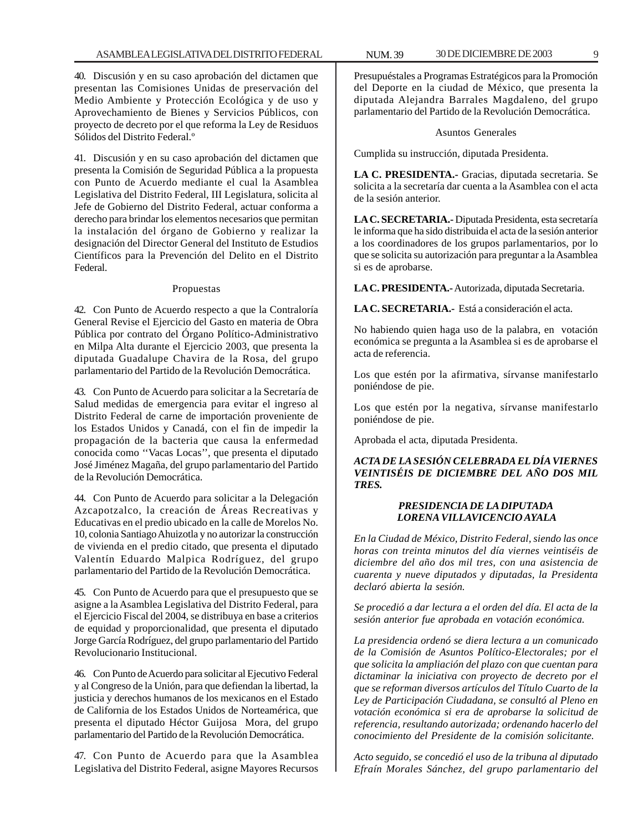40. Discusión y en su caso aprobación del dictamen que presentan las Comisiones Unidas de preservación del Medio Ambiente y Protección Ecológica y de uso y Aprovechamiento de Bienes y Servicios Públicos, con proyecto de decreto por el que reforma la Ley de Residuos Sólidos del Distrito Federal<sup>o</sup>

41. Discusión y en su caso aprobación del dictamen que presenta la Comisión de Seguridad Pública a la propuesta con Punto de Acuerdo mediante el cual la Asamblea Legislativa del Distrito Federal, III Legislatura, solicita al Jefe de Gobierno del Distrito Federal, actuar conforma a derecho para brindar los elementos necesarios que permitan la instalación del órgano de Gobierno y realizar la designación del Director General del Instituto de Estudios Científicos para la Prevención del Delito en el Distrito Federal.

#### Propuestas

42. Con Punto de Acuerdo respecto a que la Contraloría General Revise el Ejercicio del Gasto en materia de Obra Pública por contrato del Órgano Político-Administrativo en Milpa Alta durante el Ejercicio 2003, que presenta la diputada Guadalupe Chavira de la Rosa, del grupo parlamentario del Partido de la Revolución Democrática.

43. Con Punto de Acuerdo para solicitar a la Secretaría de Salud medidas de emergencia para evitar el ingreso al Distrito Federal de carne de importación proveniente de los Estados Unidos y Canadá, con el fin de impedir la propagación de la bacteria que causa la enfermedad conocida como ''Vacas Locas'', que presenta el diputado José Jiménez Magaña, del grupo parlamentario del Partido de la Revolución Democrática.

44. Con Punto de Acuerdo para solicitar a la Delegación Azcapotzalco, la creación de Áreas Recreativas y Educativas en el predio ubicado en la calle de Morelos No. 10, colonia Santiago Ahuizotla y no autorizar la construcción de vivienda en el predio citado, que presenta el diputado Valentín Eduardo Malpica Rodríguez, del grupo parlamentario del Partido de la Revolución Democrática.

45. Con Punto de Acuerdo para que el presupuesto que se asigne a la Asamblea Legislativa del Distrito Federal, para el Ejercicio Fiscal del 2004, se distribuya en base a criterios de equidad y proporcionalidad, que presenta el diputado Jorge García Rodríguez, del grupo parlamentario del Partido Revolucionario Institucional.

46. Con Punto de Acuerdo para solicitar al Ejecutivo Federal y al Congreso de la Unión, para que defiendan la libertad, la justicia y derechos humanos de los mexicanos en el Estado de California de los Estados Unidos de Norteamérica, que presenta el diputado Héctor Guijosa Mora, del grupo parlamentario del Partido de la Revolución Democrática.

47. Con Punto de Acuerdo para que la Asamblea Legislativa del Distrito Federal, asigne Mayores Recursos

Presupuéstales a Programas Estratégicos para la Promoción del Deporte en la ciudad de México, que presenta la diputada Alejandra Barrales Magdaleno, del grupo parlamentario del Partido de la Revolución Democrática.

#### Asuntos Generales

Cumplida su instrucción, diputada Presidenta.

**LA C. PRESIDENTA.-** Gracias, diputada secretaria. Se solicita a la secretaría dar cuenta a la Asamblea con el acta de la sesión anterior.

**LA C. SECRETARIA.-** Diputada Presidenta, esta secretaría le informa que ha sido distribuida el acta de la sesión anterior a los coordinadores de los grupos parlamentarios, por lo que se solicita su autorización para preguntar a la Asamblea si es de aprobarse.

**LA C. PRESIDENTA.-** Autorizada, diputada Secretaria.

**LA C. SECRETARIA.-** Está a consideración el acta.

No habiendo quien haga uso de la palabra, en votación económica se pregunta a la Asamblea si es de aprobarse el acta de referencia.

Los que estén por la afirmativa, sírvanse manifestarlo poniéndose de pie.

Los que estén por la negativa, sírvanse manifestarlo poniéndose de pie.

Aprobada el acta, diputada Presidenta.

#### *ACTA DE LA SESIÓN CELEBRADA EL DÍA VIERNES VEINTISÉIS DE DICIEMBRE DEL AÑO DOS MIL TRES.*

#### *PRESIDENCIA DE LA DIPUTADA LORENA VILLAVICENCIO AYALA*

*En la Ciudad de México, Distrito Federal, siendo las once horas con treinta minutos del día viernes veintiséis de diciembre del año dos mil tres, con una asistencia de cuarenta y nueve diputados y diputadas, la Presidenta declaró abierta la sesión.*

*Se procedió a dar lectura a el orden del día. El acta de la sesión anterior fue aprobada en votación económica.*

*La presidencia ordenó se diera lectura a un comunicado de la Comisión de Asuntos Político-Electorales; por el que solicita la ampliación del plazo con que cuentan para dictaminar la iniciativa con proyecto de decreto por el que se reforman diversos artículos del Título Cuarto de la Ley de Participación Ciudadana, se consultó al Pleno en votación económica si era de aprobarse la solicitud de referencia, resultando autorizada; ordenando hacerlo del conocimiento del Presidente de la comisión solicitante.*

*Acto seguido, se concedió el uso de la tribuna al diputado Efraín Morales Sánchez, del grupo parlamentario del*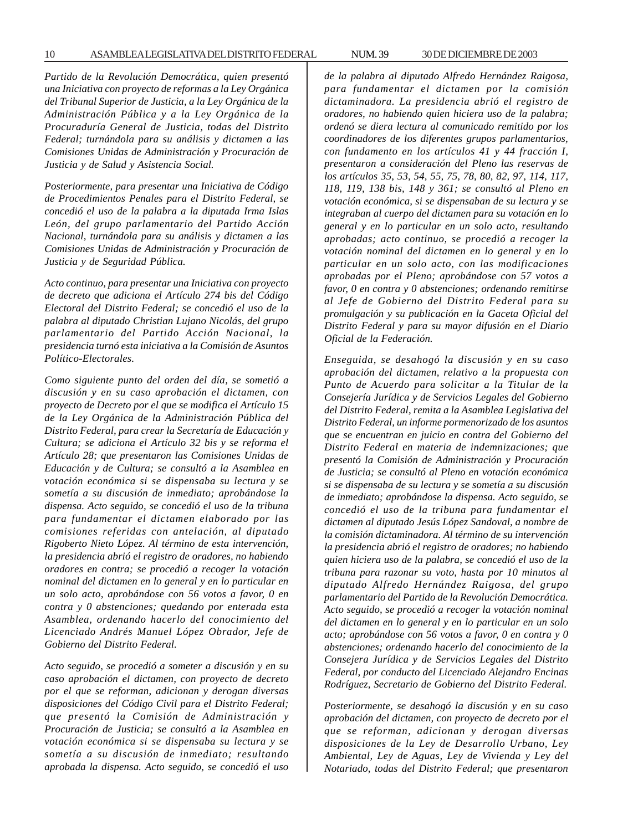*Partido de la Revolución Democrática, quien presentó una Iniciativa con proyecto de reformas a la Ley Orgánica del Tribunal Superior de Justicia, a la Ley Orgánica de la Administración Pública y a la Ley Orgánica de la Procuraduría General de Justicia, todas del Distrito Federal; turnándola para su análisis y dictamen a las Comisiones Unidas de Administración y Procuración de Justicia y de Salud y Asistencia Social.*

*Posteriormente, para presentar una Iniciativa de Código de Procedimientos Penales para el Distrito Federal, se concedió el uso de la palabra a la diputada Irma Islas León, del grupo parlamentario del Partido Acción Nacional, turnándola para su análisis y dictamen a las Comisiones Unidas de Administración y Procuración de Justicia y de Seguridad Pública.*

*Acto continuo, para presentar una Iniciativa con proyecto de decreto que adiciona el Artículo 274 bis del Código Electoral del Distrito Federal; se concedió el uso de la palabra al diputado Christian Lujano Nicolás, del grupo parlamentario del Partido Acción Nacional, la presidencia turnó esta iniciativa a la Comisión de Asuntos Político-Electorales.*

*Como siguiente punto del orden del día, se sometió a discusión y en su caso aprobación el dictamen, con proyecto de Decreto por el que se modifica el Artículo 15 de la Ley Orgánica de la Administración Pública del Distrito Federal, para crear la Secretaría de Educación y Cultura; se adiciona el Artículo 32 bis y se reforma el Artículo 28; que presentaron las Comisiones Unidas de Educación y de Cultura; se consultó a la Asamblea en votación económica si se dispensaba su lectura y se sometía a su discusión de inmediato; aprobándose la dispensa. Acto seguido, se concedió el uso de la tribuna para fundamentar el dictamen elaborado por las comisiones referidas con antelación, al diputado Rigoberto Nieto López. Al término de esta intervención, la presidencia abrió el registro de oradores, no habiendo oradores en contra; se procedió a recoger la votación nominal del dictamen en lo general y en lo particular en un solo acto, aprobándose con 56 votos a favor, 0 en contra y 0 abstenciones; quedando por enterada esta Asamblea, ordenando hacerlo del conocimiento del Licenciado Andrés Manuel López Obrador, Jefe de Gobierno del Distrito Federal.*

*Acto seguido, se procedió a someter a discusión y en su caso aprobación el dictamen, con proyecto de decreto por el que se reforman, adicionan y derogan diversas disposiciones del Código Civil para el Distrito Federal; que presentó la Comisión de Administración y Procuración de Justicia; se consultó a la Asamblea en votación económica si se dispensaba su lectura y se sometía a su discusión de inmediato; resultando aprobada la dispensa. Acto seguido, se concedió el uso* *de la palabra al diputado Alfredo Hernández Raigosa, para fundamentar el dictamen por la comisión dictaminadora. La presidencia abrió el registro de oradores, no habiendo quien hiciera uso de la palabra; ordenó se diera lectura al comunicado remitido por los coordinadores de los diferentes grupos parlamentarios, con fundamento en los artículos 41 y 44 fracción I, presentaron a consideración del Pleno las reservas de los artículos 35, 53, 54, 55, 75, 78, 80, 82, 97, 114, 117, 118, 119, 138 bis, 148 y 361; se consultó al Pleno en votación económica, si se dispensaban de su lectura y se integraban al cuerpo del dictamen para su votación en lo general y en lo particular en un solo acto, resultando aprobadas; acto continuo, se procedió a recoger la votación nominal del dictamen en lo general y en lo particular en un solo acto, con las modificaciones aprobadas por el Pleno; aprobándose con 57 votos a favor, 0 en contra y 0 abstenciones; ordenando remitirse al Jefe de Gobierno del Distrito Federal para su promulgación y su publicación en la Gaceta Oficial del Distrito Federal y para su mayor difusión en el Diario Oficial de la Federación.*

*Enseguida, se desahogó la discusión y en su caso aprobación del dictamen, relativo a la propuesta con Punto de Acuerdo para solicitar a la Titular de la Consejería Jurídica y de Servicios Legales del Gobierno del Distrito Federal, remita a la Asamblea Legislativa del Distrito Federal, un informe pormenorizado de los asuntos que se encuentran en juicio en contra del Gobierno del Distrito Federal en materia de indemnizaciones; que presentó la Comisión de Administración y Procuración de Justicia; se consultó al Pleno en votación económica si se dispensaba de su lectura y se sometía a su discusión de inmediato; aprobándose la dispensa. Acto seguido, se concedió el uso de la tribuna para fundamentar el dictamen al diputado Jesús López Sandoval, a nombre de la comisión dictaminadora. Al término de su intervención la presidencia abrió el registro de oradores; no habiendo quien hiciera uso de la palabra, se concedió el uso de la tribuna para razonar su voto, hasta por 10 minutos al diputado Alfredo Hernández Raigosa, del grupo parlamentario del Partido de la Revolución Democrática. Acto seguido, se procedió a recoger la votación nominal del dictamen en lo general y en lo particular en un solo acto; aprobándose con 56 votos a favor, 0 en contra y 0 abstenciones; ordenando hacerlo del conocimiento de la Consejera Jurídica y de Servicios Legales del Distrito Federal, por conducto del Licenciado Alejandro Encinas Rodríguez, Secretario de Gobierno del Distrito Federal.*

*Posteriormente, se desahogó la discusión y en su caso aprobación del dictamen, con proyecto de decreto por el que se reforman, adicionan y derogan diversas disposiciones de la Ley de Desarrollo Urbano, Ley Ambiental, Ley de Aguas, Ley de Vivienda y Ley del Notariado, todas del Distrito Federal; que presentaron*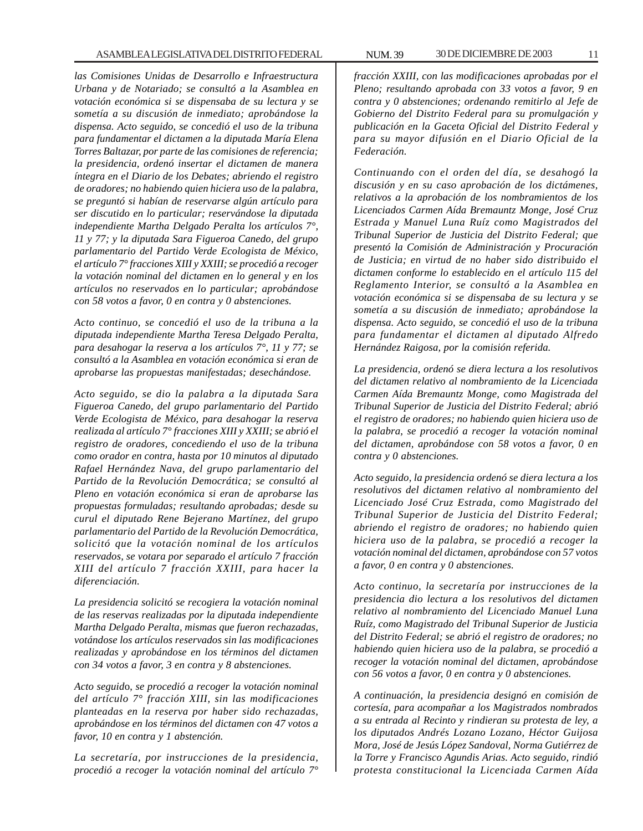*las Comisiones Unidas de Desarrollo e Infraestructura Urbana y de Notariado; se consultó a la Asamblea en votación económica si se dispensaba de su lectura y se sometía a su discusión de inmediato; aprobándose la dispensa. Acto seguido, se concedió el uso de la tribuna para fundamentar el dictamen a la diputada María Elena Torres Baltazar, por parte de las comisiones de referencia; la presidencia, ordenó insertar el dictamen de manera íntegra en el Diario de los Debates; abriendo el registro de oradores; no habiendo quien hiciera uso de la palabra, se preguntó si habían de reservarse algún artículo para ser discutido en lo particular; reservándose la diputada independiente Martha Delgado Peralta los artículos 7°, 11 y 77; y la diputada Sara Figueroa Canedo, del grupo parlamentario del Partido Verde Ecologista de México, el artículo 7° fracciones XIII y XXIII; se procedió a recoger la votación nominal del dictamen en lo general y en los artículos no reservados en lo particular; aprobándose con 58 votos a favor, 0 en contra y 0 abstenciones.*

*Acto continuo, se concedió el uso de la tribuna a la diputada independiente Martha Teresa Delgado Peralta, para desahogar la reserva a los artículos 7°, 11 y 77; se consultó a la Asamblea en votación económica si eran de aprobarse las propuestas manifestadas; desechándose.*

*Acto seguido, se dio la palabra a la diputada Sara Figueroa Canedo, del grupo parlamentario del Partido Verde Ecologista de México, para desahogar la reserva realizada al artículo 7° fracciones XIII y XXIII; se abrió el registro de oradores, concediendo el uso de la tribuna como orador en contra, hasta por 10 minutos al diputado Rafael Hernández Nava, del grupo parlamentario del Partido de la Revolución Democrática; se consultó al Pleno en votación económica si eran de aprobarse las propuestas formuladas; resultando aprobadas; desde su curul el diputado Rene Bejerano Martínez, del grupo parlamentario del Partido de la Revolución Democrática, solicitó que la votación nominal de los artículos reservados, se votara por separado el artículo 7 fracción XIII del artículo 7 fracción XXIII, para hacer la diferenciación.*

*La presidencia solicitó se recogiera la votación nominal de las reservas realizadas por la diputada independiente Martha Delgado Peralta, mismas que fueron rechazadas, votándose los artículos reservados sin las modificaciones realizadas y aprobándose en los términos del dictamen con 34 votos a favor, 3 en contra y 8 abstenciones.*

*Acto seguid*o, *se procedió a recoger la votación nominal del artículo 7° fracción XIII, sin las modificaciones planteadas en la reserva por haber sido rechazadas, aprobándose en los términos del dictamen con 47 votos a favor, 10 en contra y 1 abstención.*

*La secretaría, por instrucciones de la presidencia, procedió a recoger la votación nominal del artículo 7°* *fracción XXIII, con las modificaciones aprobadas por el Pleno; resultando aprobada con 33 votos a favor, 9 en contra y 0 abstenciones; ordenando remitirlo al Jefe de Gobierno del Distrito Federal para su promulgación y publicación en la Gaceta Oficial del Distrito Federal y para su mayor difusión en el Diario Oficial de la Federación.*

*Continuando con el orden del día, se desahogó la discusión y en su caso aprobación de los dictámenes, relativos a la aprobación de los nombramientos de los Licenciados Carmen Aída Bremauntz Monge, José Cruz Estrada y Manuel Luna Ruíz como Magistrados del Tribunal Superior de Justicia del Distrito Federal; que presentó la Comisión de Administración y Procuración de Justicia; en virtud de no haber sido distribuido el dictamen conforme lo establecido en el artículo 115 del Reglamento Interior, se consultó a la Asamblea en votación económica si se dispensaba de su lectura y se sometía a su discusión de inmediato; aprobándose la dispensa. Acto seguido, se concedió el uso de la tribuna para fundamentar el dictamen al diputado Alfredo Hernández Raigosa, por la comisión referida.*

*La presidencia, ordenó se diera lectura a los resolutivos del dictamen relativo al nombramiento de la Licenciada Carmen Aída Bremauntz Monge, como Magistrada del Tribunal Superior de Justicia del Distrito Federal; abrió el registro de oradores; no habiendo quien hiciera uso de la palabra, se procedió a recoger la votación nominal del dictamen, aprobándose con 58 votos a favor, 0 en contra y 0 abstenciones.*

*Acto seguido, la presidencia ordenó se diera lectura a los resolutivos del dictamen relativo al nombramiento del Licenciado José Cruz Estrada, como Magistrado del Tribunal Superior de Justicia del Distrito Federal; abriendo el registro de oradores; no habiendo quien hiciera uso de la palabra, se procedió a recoger la votación nominal del dictamen, aprobándose con 57 votos a favor, 0 en contra y 0 abstenciones.*

*Acto continuo, la secretaría por instrucciones de la presidencia dio lectura a los resolutivos del dictamen relativo al nombramiento del Licenciado Manuel Luna Ruíz, como Magistrado del Tribunal Superior de Justicia del Distrito Federal; se abrió el registro de oradores; no habiendo quien hiciera uso de la palabra, se procedió a recoger la votación nominal del dictamen, aprobándose con 56 votos a favor, 0 en contra y 0 abstenciones.*

*A continuación, la presidencia designó en comisión de cortesía, para acompañar a los Magistrados nombrados a su entrada al Recinto y rindieran su protesta de ley, a los diputados Andrés Lozano Lozano, Héctor Guijosa Mora, José de Jesús López Sandoval, Norma Gutiérrez de la Torre y Francisco Agundis Arias. Acto seguido, rindió protesta constitucional la Licenciada Carmen Aída*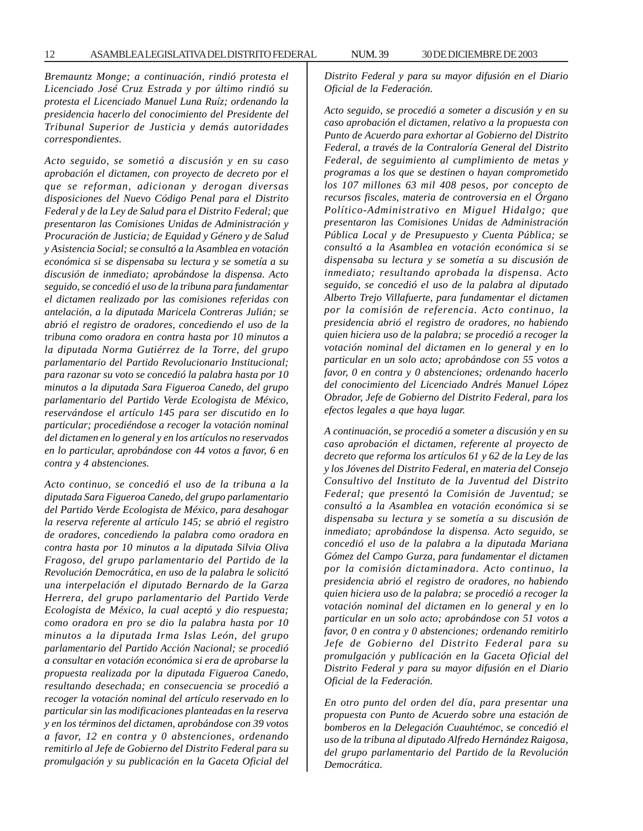*Bremauntz Monge; a continuación, rindió protesta el Licenciado José Cruz Estrada y por último rindió su protesta el Licenciado Manuel Luna Ruíz; ordenando la presidencia hacerlo del conocimiento del Presidente del Tribunal Superior de Justicia y demás autoridades correspondientes.*

*Acto seguido, se sometió a discusión y en su caso aprobación el dictamen, con proyecto de decreto por el que se reforman, adicionan y derogan diversas disposiciones del Nuevo Código Penal para el Distrito Federal y de la Ley de Salud para el Distrito Federal; que presentaron las Comisiones Unidas de Administración y Procuración de Justicia; de Equidad y Género y de Salud y Asistencia Social; se consultó a la Asamblea en votación económica si se dispensaba su lectura y se sometía a su discusión de inmediato; aprobándose la dispensa. Acto seguido, se concedió el uso de la tribuna para fundamentar el dictamen realizado por las comisiones referidas con antelación, a la diputada Maricela Contreras Julián; se abrió el registro de oradores, concediendo el uso de la tribuna como oradora en contra hasta por 10 minutos a la diputada Norma Gutiérrez de la Torre, del grupo parlamentario del Partido Revolucionario Institucional; para razonar su voto se concedió la palabra hasta por 10 minutos a la diputada Sara Figueroa Canedo, del grupo parlamentario del Partido Verde Ecologista de México, reservándose el artículo 145 para ser discutido en lo particular; procediéndose a recoger la votación nominal del dictamen en lo general y en los artículos no reservados en lo particular, aprobándose con 44 votos a favor, 6 en contra y 4 abstenciones.*

*Acto continuo, se concedió el uso de la tribuna a la diputada Sara Figueroa Canedo, del grupo parlamentario del Partido Verde Ecologista de México, para desahogar la reserva referente al artículo 145; se abrió el registro de oradores, concediendo la palabra como oradora en contra hasta por 10 minutos a la diputada Silvia Oliva Fragoso, del grupo parlamentario del Partido de la Revolución Democrática, en uso de la palabra le solicitó una interpelación el diputado Bernardo de la Garza Herrera, del grupo parlamentario del Partido Verde Ecologista de México, la cual aceptó y dio respuesta; como oradora en pro se dio la palabra hasta por 10 minutos a la diputada Irma Islas León, del grupo parlamentario del Partido Acción Nacional; se procedió a consultar en votación económica si era de aprobarse la propuesta realizada por la diputada Figueroa Canedo, resultando desechada; en consecuencia se procedió a recoger la votación nominal del artículo reservado en lo particular sin las modificaciones planteadas en la reserva y en los términos del dictamen, aprobándose con 39 votos a favor, 12 en contra y 0 abstenciones, ordenando remitirlo al Jefe de Gobierno del Distrito Federal para su promulgación y su publicación en la Gaceta Oficial del* *Distrito Federal y para su mayor difusión en el Diario Oficial de la Federación.*

*Acto seguido, se procedió a someter a discusión y en su caso aprobación el dictamen, relativo a la propuesta con Punto de Acuerdo para exhortar al Gobierno del Distrito Federal, a través de la Contraloría General del Distrito Federal, de seguimiento al cumplimiento de metas y programas a los que se destinen o hayan comprometido los 107 millones 63 mil 408 pesos, por concepto de recursos fiscales, materia de controversia en el Órgano Político-Administrativo en Miguel Hidalgo; que presentaron las Comisiones Unidas de Administración Pública Local y de Presupuesto y Cuenta Pública; se consultó a la Asamblea en votación económica si se dispensaba su lectura y se sometía a su discusión de inmediato; resultando aprobada la dispensa. Acto seguido, se concedió el uso de la palabra al diputado Alberto Trejo Villafuerte, para fundamentar el dictamen por la comisión de referencia. Acto continuo, la presidencia abrió el registro de oradores, no habiendo quien hiciera uso de la palabra; se procedió a recoger la votación nominal del dictamen en lo general y en lo particular en un solo acto; aprobándose con 55 votos a favor, 0 en contra y 0 abstenciones; ordenando hacerlo del conocimiento del Licenciado Andrés Manuel López Obrador, Jefe de Gobierno del Distrito Federal, para los efectos legales a que haya lugar.*

*A continuación, se procedió a someter a discusión y en su caso aprobación el dictamen, referente al proyecto de decreto que reforma los artículos 61 y 62 de la Ley de las y los Jóvenes del Distrito Federal, en materia del Consejo Consultivo del Instituto de la Juventud del Distrito Federal; que presentó la Comisión de Juventud; se consultó a la Asamblea en votación económica si se dispensaba su lectura y se sometía a su discusión de inmediato; aprobándose la dispensa. Acto seguido, se concedió el uso de la palabra a la diputada Mariana Gómez del Campo Gurza, para fundamentar el dictamen por la comisión dictaminadora. Acto continuo, la presidencia abrió el registro de oradores, no habiendo quien hiciera uso de la palabra; se procedió a recoger la votación nominal del dictamen en lo general y en lo particular en un solo acto; aprobándose con 51 votos a favor, 0 en contra y 0 abstenciones; ordenando remitirlo Jefe de Gobierno del Distrito Federal para su promulgación y publicación en la Gaceta Oficial del Distrito Federal y para su mayor difusión en el Diario Oficial de la Federación.*

*En otro punto del orden del día, para presentar una propuesta con Punto de Acuerdo sobre una estación de bomberos en la Delegación Cuauhtémoc, se concedió el uso de la tribuna al diputado Alfredo Hernández Raigosa, del grupo parlamentario del Partido de la Revolución Democrática.*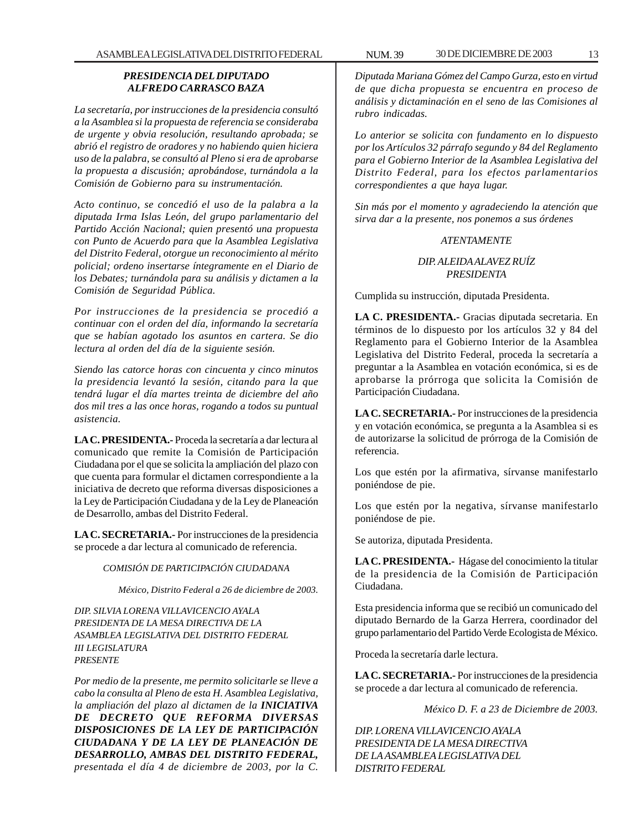#### *PRESIDENCIA DEL DIPUTADO ALFREDO CARRASCO BAZA*

*La secretaría, por instrucciones de la presidencia consultó a la Asamblea si la propuesta de referencia se consideraba de urgente y obvia resolución, resultando aprobada; se abrió el registro de oradores y no habiendo quien hiciera uso de la palabra, se consultó al Pleno si era de aprobarse la propuesta a discusión; aprobándose, turnándola a la Comisión de Gobierno para su instrumentación.*

*Acto continuo, se concedió el uso de la palabra a la diputada Irma Islas León, del grupo parlamentario del Partido Acción Nacional; quien presentó una propuesta con Punto de Acuerdo para que la Asamblea Legislativa del Distrito Federal, otorgue un reconocimiento al mérito policial; ordeno insertarse íntegramente en el Diario de los Debates; turnándola para su análisis y dictamen a la Comisión de Seguridad Pública.*

*Por instrucciones de la presidencia se procedió a continuar con el orden del día, informando la secretaría que se habían agotado los asuntos en cartera. Se dio lectura al orden del día de la siguiente sesión.*

*Siendo las catorce horas con cincuenta y cinco minutos la presidencia levantó la sesión, citando para la que tendrá lugar el día martes treinta de diciembre del año dos mil tres a las once horas, rogando a todos su puntual asistencia.*

**LA C. PRESIDENTA.-** Proceda la secretaría a dar lectura al comunicado que remite la Comisión de Participación Ciudadana por el que se solicita la ampliación del plazo con que cuenta para formular el dictamen correspondiente a la iniciativa de decreto que reforma diversas disposiciones a la Ley de Participación Ciudadana y de la Ley de Planeación de Desarrollo, ambas del Distrito Federal.

**LA C. SECRETARIA.-** Por instrucciones de la presidencia se procede a dar lectura al comunicado de referencia.

#### *COMISIÓN DE PARTICIPACIÓN CIUDADANA*

*México, Distrito Federal a 26 de diciembre de 2003.*

*DIP. SILVIA LORENA VILLAVICENCIO AYALA PRESIDENTA DE LA MESA DIRECTIVA DE LA ASAMBLEA LEGISLATIVA DEL DISTRITO FEDERAL III LEGISLATURA PRESENTE*

*Por medio de la presente, me permito solicitarle se lleve a cabo la consulta al Pleno de esta H. Asamblea Legislativa, la ampliación del plazo al dictamen de la INICIATIVA DE DECRETO QUE REFORMA DIVERSAS DISPOSICIONES DE LA LEY DE PARTICIPACIÓN CIUDADANA Y DE LA LEY DE PLANEACIÓN DE DESARROLLO, AMBAS DEL DISTRITO FEDERAL, presentada el día 4 de diciembre de 2003, por la C.*

*Diputada Mariana Gómez del Campo Gurza, esto en virtud de que dicha propuesta se encuentra en proceso de análisis y dictaminación en el seno de las Comisiones al rubro indicadas.*

*Lo anterior se solicita con fundamento en lo dispuesto por los Artículos 32 párrafo segundo y 84 del Reglamento para el Gobierno Interior de la Asamblea Legislativa del Distrito Federal, para los efectos parlamentarios correspondientes a que haya lugar.*

*Sin más por el momento y agradeciendo la atención que sirva dar a la presente, nos ponemos a sus órdenes*

#### *ATENTAMENTE*

#### *DIP. ALEIDA ALAVEZ RUÍZ PRESIDENTA*

Cumplida su instrucción, diputada Presidenta.

**LA C. PRESIDENTA.-** Gracias diputada secretaria. En términos de lo dispuesto por los artículos 32 y 84 del Reglamento para el Gobierno Interior de la Asamblea Legislativa del Distrito Federal, proceda la secretaría a preguntar a la Asamblea en votación económica, si es de aprobarse la prórroga que solicita la Comisión de Participación Ciudadana.

**LA C. SECRETARIA.-** Por instrucciones de la presidencia y en votación económica, se pregunta a la Asamblea si es de autorizarse la solicitud de prórroga de la Comisión de referencia.

Los que estén por la afirmativa, sírvanse manifestarlo poniéndose de pie.

Los que estén por la negativa, sírvanse manifestarlo poniéndose de pie.

Se autoriza, diputada Presidenta.

**LA C. PRESIDENTA.-** Hágase del conocimiento la titular de la presidencia de la Comisión de Participación Ciudadana.

Esta presidencia informa que se recibió un comunicado del diputado Bernardo de la Garza Herrera, coordinador del grupo parlamentario del Partido Verde Ecologista de México.

Proceda la secretaría darle lectura.

**LA C. SECRETARIA.-** Por instrucciones de la presidencia se procede a dar lectura al comunicado de referencia.

*México D. F. a 23 de Diciembre de 2003.*

*DIP. LORENA VILLAVICENCIO AYALA PRESIDENTA DE LA MESA DIRECTIVA DE LA ASAMBLEA LEGISLATIVA DEL DISTRITO FEDERAL*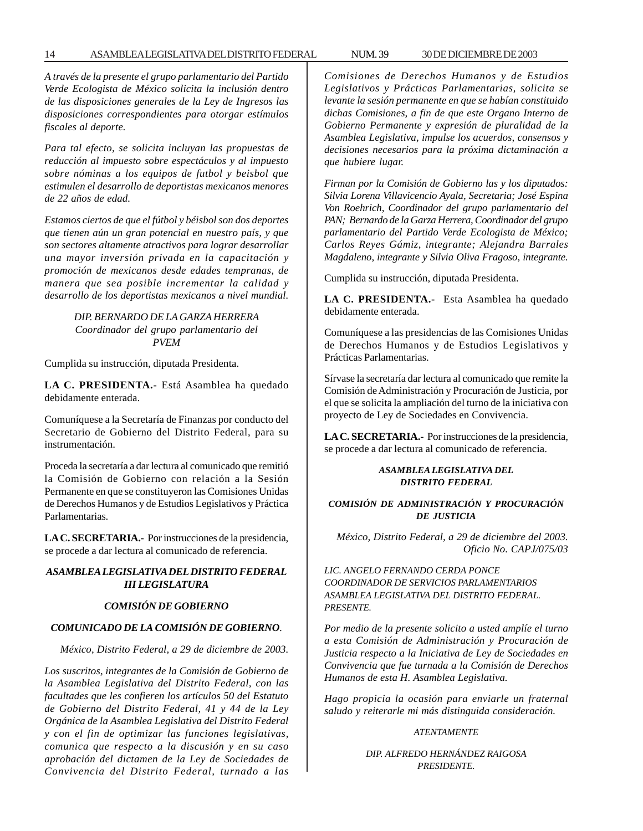#### 14 ASAMBLEA LEGISLATIVA DEL DISTRITO FEDERAL NUM. 39 30 DE DICIEMBRE DE 2003

*A través de la presente el grupo parlamentario del Partido Verde Ecologista de México solicita la inclusión dentro de las disposiciones generales de la Ley de Ingresos las disposiciones correspondientes para otorgar estímulos fiscales al deporte.*

*Para tal efecto, se solicita incluyan las propuestas de reducción al impuesto sobre espectáculos y al impuesto sobre nóminas a los equipos de futbol y beisbol que estimulen el desarrollo de deportistas mexicanos menores de 22 años de edad.*

*Estamos ciertos de que el fútbol y béisbol son dos deportes que tienen aún un gran potencial en nuestro país, y que son sectores altamente atractivos para lograr desarrollar una mayor inversión privada en la capacitación y promoción de mexicanos desde edades tempranas, de manera que sea posible incrementar la calidad y desarrollo de los deportistas mexicanos a nivel mundial.*

#### *DIP. BERNARDO DE LA GARZA HERRERA Coordinador del grupo parlamentario del PVEM*

Cumplida su instrucción, diputada Presidenta.

**LA C. PRESIDENTA.-** Está Asamblea ha quedado debidamente enterada.

Comuníquese a la Secretaría de Finanzas por conducto del Secretario de Gobierno del Distrito Federal, para su instrumentación.

Proceda la secretaría a dar lectura al comunicado que remitió la Comisión de Gobierno con relación a la Sesión Permanente en que se constituyeron las Comisiones Unidas de Derechos Humanos y de Estudios Legislativos y Práctica Parlamentarias.

**LA C. SECRETARIA.-** Por instrucciones de la presidencia, se procede a dar lectura al comunicado de referencia.

#### *ASAMBLEA LEGISLATIVA DEL DISTRITO FEDERAL III LEGISLATURA*

#### *COMISIÓN DE GOBIERNO*

#### *COMUNICADO DE LA COMISIÓN DE GOBIERNO.*

*México, Distrito Federal, a 29 de diciembre de 2003.*

*Los suscritos, integrantes de la Comisión de Gobierno de la Asamblea Legislativa del Distrito Federal, con las facultades que les confieren los artículos 50 del Estatuto de Gobierno del Distrito Federal, 41 y 44 de la Ley Orgánica de la Asamblea Legislativa del Distrito Federal y con el fin de optimizar las funciones legislativas, comunica que respecto a la discusión y en su caso aprobación del dictamen de la Ley de Sociedades de Convivencia del Distrito Federal, turnado a las* *Comisiones de Derechos Humanos y de Estudios Legislativos y Prácticas Parlamentarias, solicita se levante la sesión permanente en que se habían constituido dichas Comisiones, a fin de que este Organo Interno de Gobierno Permanente y expresión de pluralidad de la Asamblea Legislativa, impulse los acuerdos, consensos y decisiones necesarios para la próxima dictaminación a que hubiere lugar.*

*Firman por la Comisión de Gobierno las y los diputados: Silvia Lorena Villavicencio Ayala, Secretaria; José Espina Von Roehrich, Coordinador del grupo parlamentario del PAN; Bernardo de la Garza Herrera, Coordinador del grupo parlamentario del Partido Verde Ecologista de México; Carlos Reyes Gámiz, integrante; Alejandra Barrales Magdaleno, integrante y Silvia Oliva Fragoso, integrante.*

Cumplida su instrucción, diputada Presidenta.

**LA C. PRESIDENTA.-** Esta Asamblea ha quedado debidamente enterada.

Comuníquese a las presidencias de las Comisiones Unidas de Derechos Humanos y de Estudios Legislativos y Prácticas Parlamentarias.

Sírvase la secretaría dar lectura al comunicado que remite la Comisión de Administración y Procuración de Justicia, por el que se solicita la ampliación del turno de la iniciativa con proyecto de Ley de Sociedades en Convivencia.

**LA C. SECRETARIA.-** Por instrucciones de la presidencia, se procede a dar lectura al comunicado de referencia.

#### *ASAMBLEA LEGISLATIVA DEL DISTRITO FEDERAL*

#### *COMISIÓN DE ADMINISTRACIÓN Y PROCURACIÓN DE JUSTICIA*

*México, Distrito Federal, a 29 de diciembre del 2003. Oficio No. CAPJ/075/03*

*LIC. ANGELO FERNANDO CERDA PONCE COORDINADOR DE SERVICIOS PARLAMENTARIOS ASAMBLEA LEGISLATIVA DEL DISTRITO FEDERAL. PRESENTE.*

*Por medio de la presente solicito a usted amplíe el turno a esta Comisión de Administración y Procuración de Justicia respecto a la Iniciativa de Ley de Sociedades en Convivencia que fue turnada a la Comisión de Derechos Humanos de esta H. Asamblea Legislativa.*

*Hago propicia la ocasión para enviarle un fraternal saludo y reiterarle mi más distinguida consideración.*

#### *ATENTAMENTE*

#### *DIP. ALFREDO HERNÁNDEZ RAIGOSA PRESIDENTE.*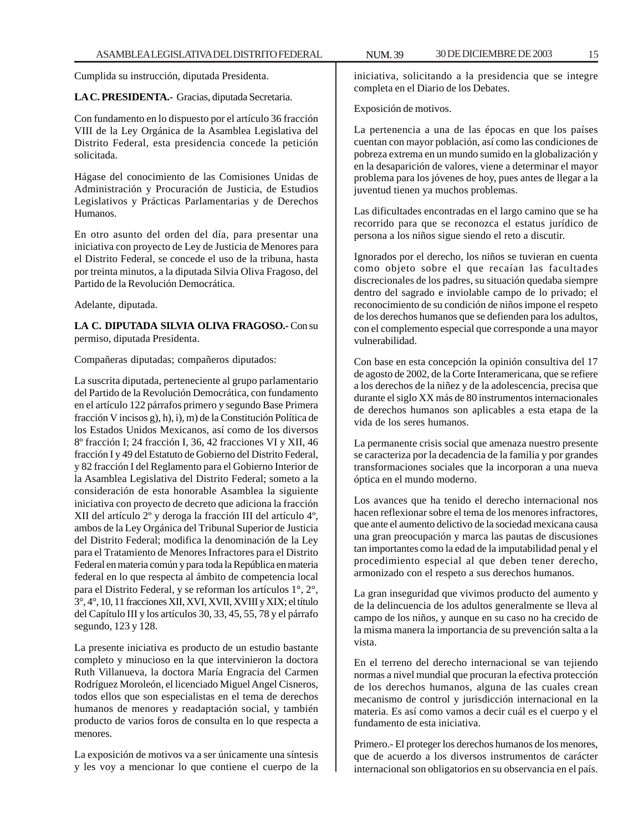Cumplida su instrucción, diputada Presidenta.

#### **LA C. PRESIDENTA.-** Gracias, diputada Secretaria.

Con fundamento en lo dispuesto por el artículo 36 fracción VIII de la Ley Orgánica de la Asamblea Legislativa del Distrito Federal, esta presidencia concede la petición solicitada.

Hágase del conocimiento de las Comisiones Unidas de Administración y Procuración de Justicia, de Estudios Legislativos y Prácticas Parlamentarias y de Derechos Humanos.

En otro asunto del orden del día, para presentar una iniciativa con proyecto de Ley de Justicia de Menores para el Distrito Federal, se concede el uso de la tribuna, hasta por treinta minutos, a la diputada Silvia Oliva Fragoso, del Partido de la Revolución Democrática.

Adelante, diputada.

**LA C. DIPUTADA SILVIA OLIVA FRAGOSO.-** Con su permiso, diputada Presidenta.

Compañeras diputadas; compañeros diputados:

La suscrita diputada, perteneciente al grupo parlamentario del Partido de la Revolución Democrática, con fundamento en el artículo 122 párrafos primero y segundo Base Primera fracción V incisos g), h), i), m) de la Constitución Política de los Estados Unidos Mexicanos, así como de los diversos 8º fracción I; 24 fracción I, 36, 42 fracciones VI y XII, 46 fracción I y 49 del Estatuto de Gobierno del Distrito Federal, y 82 fracción I del Reglamento para el Gobierno Interior de la Asamblea Legislativa del Distrito Federal; someto a la consideración de esta honorable Asamblea la siguiente iniciativa con proyecto de decreto que adiciona la fracción XII del artículo 2º y deroga la fracción III del artículo 4º, ambos de la Ley Orgánica del Tribunal Superior de Justicia del Distrito Federal; modifica la denominación de la Ley para el Tratamiento de Menores Infractores para el Distrito Federal en materia común y para toda la República en materia federal en lo que respecta al ámbito de competencia local para el Distrito Federal, y se reforman los artículos 1°, 2°, 3°, 4°, 10, 11 fracciones XII, XVI, XVII, XVIII y XIX; el título del Capítulo III y los artículos 30, 33, 45, 55, 78 y el párrafo segundo, 123 y 128.

La presente iniciativa es producto de un estudio bastante completo y minucioso en la que intervinieron la doctora Ruth Villanueva, la doctora María Engracia del Carmen Rodríguez Moroleón, el licenciado Miguel Angel Cisneros, todos ellos que son especialistas en el tema de derechos humanos de menores y readaptación social, y también producto de varios foros de consulta en lo que respecta a menores.

La exposición de motivos va a ser únicamente una síntesis y les voy a mencionar lo que contiene el cuerpo de la

iniciativa, solicitando a la presidencia que se integre completa en el Diario de los Debates.

Exposición de motivos.

La pertenencia a una de las épocas en que los países cuentan con mayor población, así como las condiciones de pobreza extrema en un mundo sumido en la globalización y en la desaparición de valores, viene a determinar el mayor problema para los jóvenes de hoy, pues antes de llegar a la juventud tienen ya muchos problemas.

Las dificultades encontradas en el largo camino que se ha recorrido para que se reconozca el estatus jurídico de persona a los niños sigue siendo el reto a discutir.

Ignorados por el derecho, los niños se tuvieran en cuenta como objeto sobre el que recaían las facultades discrecionales de los padres, su situación quedaba siempre dentro del sagrado e inviolable campo de lo privado; el reconocimiento de su condición de niños impone el respeto de los derechos humanos que se defienden para los adultos, con el complemento especial que corresponde a una mayor vulnerabilidad.

Con base en esta concepción la opinión consultiva del 17 de agosto de 2002, de la Corte Interamericana, que se refiere a los derechos de la niñez y de la adolescencia, precisa que durante el siglo XX más de 80 instrumentos internacionales de derechos humanos son aplicables a esta etapa de la vida de los seres humanos.

La permanente crisis social que amenaza nuestro presente se caracteriza por la decadencia de la familia y por grandes transformaciones sociales que la incorporan a una nueva óptica en el mundo moderno.

Los avances que ha tenido el derecho internacional nos hacen reflexionar sobre el tema de los menores infractores, que ante el aumento delictivo de la sociedad mexicana causa una gran preocupación y marca las pautas de discusiones tan importantes como la edad de la imputabilidad penal y el procedimiento especial al que deben tener derecho, armonizado con el respeto a sus derechos humanos.

La gran inseguridad que vivimos producto del aumento y de la delincuencia de los adultos generalmente se lleva al campo de los niños, y aunque en su caso no ha crecido de la misma manera la importancia de su prevención salta a la vista.

En el terreno del derecho internacional se van tejiendo normas a nivel mundial que procuran la efectiva protección de los derechos humanos, alguna de las cuales crean mecanismo de control y jurisdicción internacional en la materia. Es así como vamos a decir cuál es el cuerpo y el fundamento de esta iniciativa.

Primero.- El proteger los derechos humanos de los menores, que de acuerdo a los diversos instrumentos de carácter internacional son obligatorios en su observancia en el país.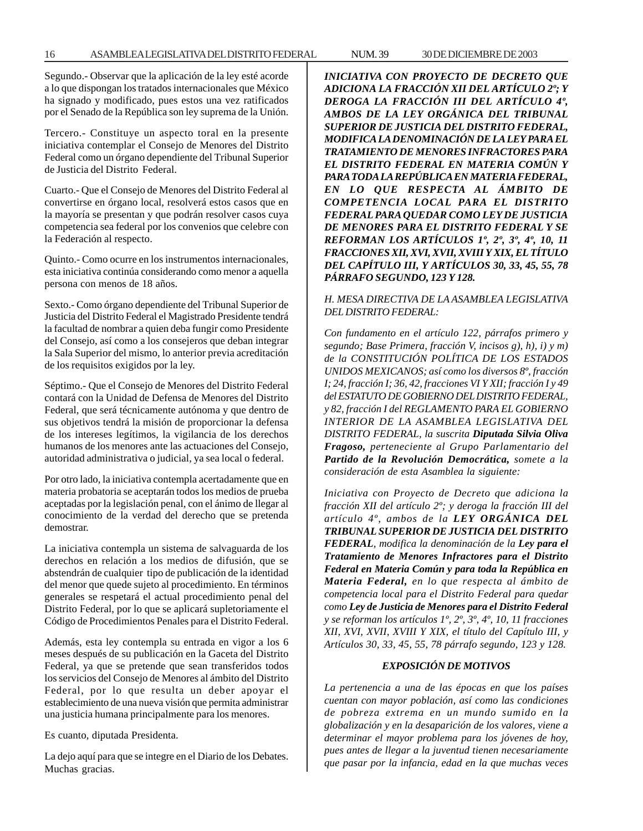Segundo.- Observar que la aplicación de la ley esté acorde a lo que dispongan los tratados internacionales que México ha signado y modificado, pues estos una vez ratificados por el Senado de la República son ley suprema de la Unión.

Tercero.- Constituye un aspecto toral en la presente iniciativa contemplar el Consejo de Menores del Distrito Federal como un órgano dependiente del Tribunal Superior de Justicia del Distrito Federal.

Cuarto.- Que el Consejo de Menores del Distrito Federal al convertirse en órgano local, resolverá estos casos que en la mayoría se presentan y que podrán resolver casos cuya competencia sea federal por los convenios que celebre con la Federación al respecto.

Quinto.- Como ocurre en los instrumentos internacionales, esta iniciativa continúa considerando como menor a aquella persona con menos de 18 años.

Sexto.- Como órgano dependiente del Tribunal Superior de Justicia del Distrito Federal el Magistrado Presidente tendrá la facultad de nombrar a quien deba fungir como Presidente del Consejo, así como a los consejeros que deban integrar la Sala Superior del mismo, lo anterior previa acreditación de los requisitos exigidos por la ley.

Séptimo.- Que el Consejo de Menores del Distrito Federal contará con la Unidad de Defensa de Menores del Distrito Federal, que será técnicamente autónoma y que dentro de sus objetivos tendrá la misión de proporcionar la defensa de los intereses legítimos, la vigilancia de los derechos humanos de los menores ante las actuaciones del Consejo, autoridad administrativa o judicial, ya sea local o federal.

Por otro lado, la iniciativa contempla acertadamente que en materia probatoria se aceptarán todos los medios de prueba aceptadas por la legislación penal, con el ánimo de llegar al conocimiento de la verdad del derecho que se pretenda demostrar.

La iniciativa contempla un sistema de salvaguarda de los derechos en relación a los medios de difusión, que se abstendrán de cualquier tipo de publicación de la identidad del menor que quede sujeto al procedimiento. En términos generales se respetará el actual procedimiento penal del Distrito Federal, por lo que se aplicará supletoriamente el Código de Procedimientos Penales para el Distrito Federal.

Además, esta ley contempla su entrada en vigor a los 6 meses después de su publicación en la Gaceta del Distrito Federal, ya que se pretende que sean transferidos todos los servicios del Consejo de Menores al ámbito del Distrito Federal, por lo que resulta un deber apoyar el establecimiento de una nueva visión que permita administrar una justicia humana principalmente para los menores.

Es cuanto, diputada Presidenta.

La dejo aquí para que se integre en el Diario de los Debates. Muchas gracias.

*INICIATIVA CON PROYECTO DE DECRETO QUE ADICIONA LA FRACCIÓN XII DEL ARTÍCULO 2º; Y DEROGA LA FRACCIÓN III DEL ARTÍCULO 4º, AMBOS DE LA LEY ORGÁNICA DEL TRIBUNAL SUPERIOR DE JUSTICIA DEL DISTRITO FEDERAL, MODIFICA LA DENOMINACIÓN DE LA LEY PARA EL TRATAMIENTO DE MENORES INFRACTORES PARA EL DISTRITO FEDERAL EN MATERIA COMÚN Y PARA TODA LA REPÚBLICA EN MATERIA FEDERAL, EN LO QUE RESPECTA AL ÁMBITO DE COMPETENCIA LOCAL PARA EL DISTRITO FEDERAL PARA QUEDAR COMO LEY DE JUSTICIA DE MENORES PARA EL DISTRITO FEDERAL Y SE REFORMAN LOS ARTÍCULOS 1º, 2º, 3º, 4º, 10, 11 FRACCIONES XII, XVI, XVII, XVIII Y XIX, EL TÍTULO DEL CAPÍTULO III, Y ARTÍCULOS 30, 33, 45, 55, 78 PÁRRAFO SEGUNDO, 123 Y 128.*

#### *H. MESA DIRECTIVA DE LA ASAMBLEA LEGISLATIVA DEL DISTRITO FEDERAL:*

*Con fundamento en el artículo 122, párrafos primero y segundo; Base Primera, fracción V, incisos g), h), i) y m) de la CONSTITUCIÓN POLÍTICA DE LOS ESTADOS UNIDOS MEXICANOS; así como los diversos 8º, fracción I; 24, fracción I; 36, 42, fracciones VI Y XII; fracción I y 49 del ESTATUTO DE GOBIERNO DEL DISTRITO FEDERAL, y 82, fracción I del REGLAMENTO PARA EL GOBIERNO INTERIOR DE LA ASAMBLEA LEGISLATIVA DEL DISTRITO FEDERAL, la suscrita Diputada Silvia Oliva Fragoso, perteneciente al Grupo Parlamentario del Partido de la Revolución Democrática, somete a la consideración de esta Asamblea la siguiente:*

*Iniciativa con Proyecto de Decreto que adiciona la fracción XII del artículo 2º; y deroga la fracción III del artículo 4º, ambos de la LEY ORGÁNICA DEL TRIBUNAL SUPERIOR DE JUSTICIA DEL DISTRITO FEDERAL, modifica la denominación de la Ley para el Tratamiento de Menores Infractores para el Distrito Federal en Materia Común y para toda la República en Materia Federal, en lo que respecta al ámbito de competencia local para el Distrito Federal para quedar como Ley de Justicia de Menores para el Distrito Federal y se reforman los artículos 1º, 2º, 3º, 4º, 10, 11 fracciones XII, XVI, XVII, XVIII Y XIX, el título del Capítulo III, y Artículos 30, 33, 45, 55, 78 párrafo segundo, 123 y 128.*

### *EXPOSICIÓN DE MOTIVOS*

*La pertenencia a una de las épocas en que los países cuentan con mayor población, así como las condiciones de pobreza extrema en un mundo sumido en la globalización y en la desaparición de los valores, viene a determinar el mayor problema para los jóvenes de hoy, pues antes de llegar a la juventud tienen necesariamente que pasar por la infancia, edad en la que muchas veces*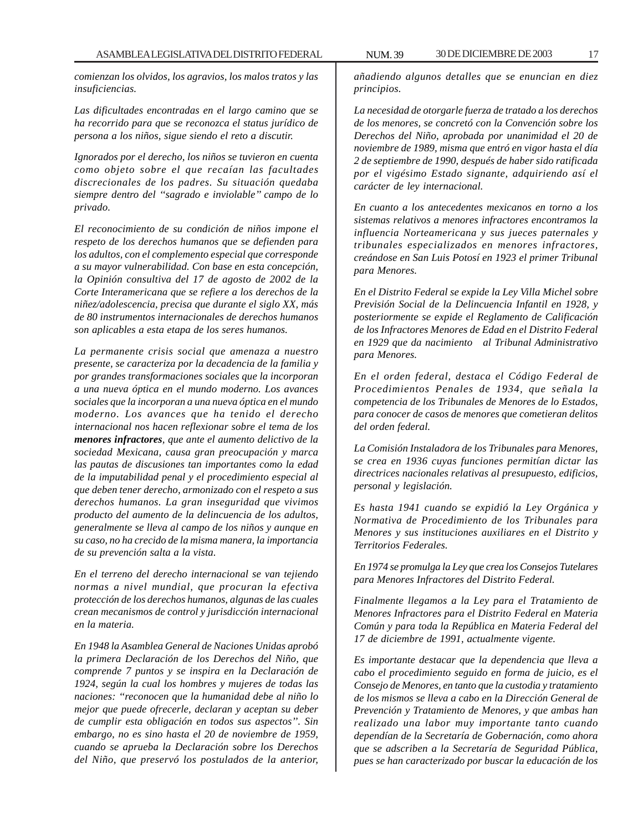*comienzan los olvidos, los agravios, los malos tratos y las insuficiencias.*

*Las dificultades encontradas en el largo camino que se ha recorrido para que se reconozca el status jurídico de persona a los niños, sigue siendo el reto a discutir.*

*Ignorados por el derecho, los niños se tuvieron en cuenta como objeto sobre el que recaían las facultades discrecionales de los padres. Su situación quedaba siempre dentro del ''sagrado e inviolable'' campo de lo privado.*

*El reconocimiento de su condición de niños impone el respeto de los derechos humanos que se defienden para los adultos, con el complemento especial que corresponde a su mayor vulnerabilidad. Con base en esta concepción, la Opinión consultiva del 17 de agosto de 2002 de la Corte Interamericana que se refiere a los derechos de la niñez/adolescencia, precisa que durante el siglo XX, más de 80 instrumentos internacionales de derechos humanos son aplicables a esta etapa de los seres humanos.*

*La permanente crisis social que amenaza a nuestro presente, se caracteriza por la decadencia de la familia y por grandes transformaciones sociales que la incorporan a una nueva óptica en el mundo moderno. Los avances sociales que la incorporan a una nueva óptica en el mundo moderno. Los avances que ha tenido el derecho internacional nos hacen reflexionar sobre el tema de los menores infractores, que ante el aumento delictivo de la sociedad Mexicana, causa gran preocupación y marca las pautas de discusiones tan importantes como la edad de la imputabilidad penal y el procedimiento especial al que deben tener derecho, armonizado con el respeto a sus derechos humanos. La gran inseguridad que vivimos producto del aumento de la delincuencia de los adultos, generalmente se lleva al campo de los niños y aunque en su caso, no ha crecido de la misma manera, la importancia de su prevención salta a la vista.*

*En el terreno del derecho internacional se van tejiendo normas a nivel mundial, que procuran la efectiva protección de los derechos humanos, algunas de las cuales crean mecanismos de control y jurisdicción internacional en la materia.*

*En 1948 la Asamblea General de Naciones Unidas aprobó la primera Declaración de los Derechos del Niño, que comprende 7 puntos y se inspira en la Declaración de 1924, según la cual los hombres y mujeres de todas las naciones: ''reconocen que la humanidad debe al niño lo mejor que puede ofrecerle, declaran y aceptan su deber de cumplir esta obligación en todos sus aspectos''. Sin embargo, no es sino hasta el 20 de noviembre de 1959, cuando se aprueba la Declaración sobre los Derechos del Niño, que preservó los postulados de la anterior,*

*añadiendo algunos detalles que se enuncian en diez principios.*

*La necesidad de otorgarle fuerza de tratado a los derechos de los menores, se concretó con la Convención sobre los Derechos del Niño, aprobada por unanimidad el 20 de noviembre de 1989, misma que entró en vigor hasta el día 2 de septiembre de 1990, después de haber sido ratificada por el vigésimo Estado signante, adquiriendo así el carácter de ley internacional.*

*En cuanto a los antecedentes mexicanos en torno a los sistemas relativos a menores infractores encontramos la influencia Norteamericana y sus jueces paternales y tribunales especializados en menores infractores, creándose en San Luis Potosí en 1923 el primer Tribunal para Menores.*

*En el Distrito Federal se expide la Ley Villa Michel sobre Previsión Social de la Delincuencia Infantil en 1928, y posteriormente se expide el Reglamento de Calificación de los Infractores Menores de Edad en el Distrito Federal en 1929 que da nacimiento al Tribunal Administrativo para Menores.*

*En el orden federal, destaca el Código Federal de Procedimientos Penales de 1934, que señala la competencia de los Tribunales de Menores de lo Estados, para conocer de casos de menores que cometieran delitos del orden federal.*

*La Comisión Instaladora de los Tribunales para Menores, se crea en 1936 cuyas funciones permitían dictar las directrices nacionales relativas al presupuesto, edificios, personal y legislación.*

*Es hasta 1941 cuando se expidió la Ley Orgánica y Normativa de Procedimiento de los Tribunales para Menores y sus instituciones auxiliares en el Distrito y Territorios Federales.*

*En 1974 se promulga la Ley que crea los Consejos Tutelares para Menores Infractores del Distrito Federal.*

*Finalmente llegamos a la Ley para el Tratamiento de Menores Infractores para el Distrito Federal en Materia Común y para toda la República en Materia Federal del 17 de diciembre de 1991, actualmente vigente.*

*Es importante destacar que la dependencia que lleva a cabo el procedimiento seguido en forma de juicio, es el Consejo de Menores, en tanto que la custodia y tratamiento de los mismos se lleva a cabo en la Dirección General de Prevención y Tratamiento de Menores, y que ambas han realizado una labor muy importante tanto cuando dependían de la Secretaría de Gobernación, como ahora que se adscriben a la Secretaría de Seguridad Pública, pues se han caracterizado por buscar la educación de los*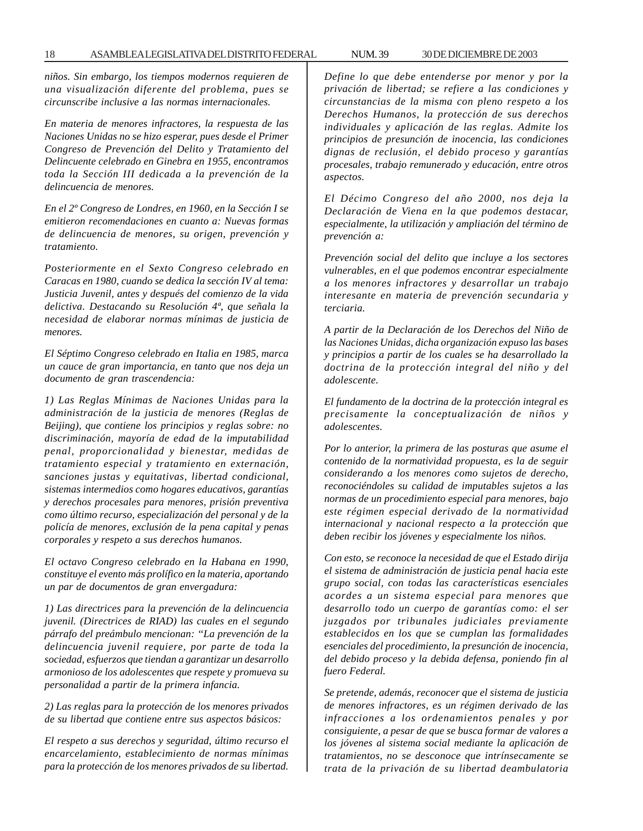*niños. Sin embargo, los tiempos modernos requieren de una visualización diferente del problema, pues se circunscribe inclusive a las normas internacionales.*

*En materia de menores infractores, la respuesta de las Naciones Unidas no se hizo esperar, pues desde el Primer Congreso de Prevención del Delito y Tratamiento del Delincuente celebrado en Ginebra en 1955, encontramos toda la Sección III dedicada a la prevención de la delincuencia de menores.*

*En el 2º Congreso de Londres, en 1960, en la Sección I se emitieron recomendaciones en cuanto a: Nuevas formas de delincuencia de menores, su origen, prevención y tratamiento.*

*Posteriormente en el Sexto Congreso celebrado en Caracas en 1980, cuando se dedica la sección IV al tema: Justicia Juvenil, antes y después del comienzo de la vida delictiva. Destacando su Resolución 4ª, que señala la necesidad de elaborar normas mínimas de justicia de menores.*

*El Séptimo Congreso celebrado en Italia en 1985, marca un cauce de gran importancia, en tanto que nos deja un documento de gran trascendencia:*

*1) Las Reglas Mínimas de Naciones Unidas para la administración de la justicia de menores (Reglas de Beijing), que contiene los principios y reglas sobre: no discriminación, mayoría de edad de la imputabilidad penal, proporcionalidad y bienestar, medidas de tratamiento especial y tratamiento en externación, sanciones justas y equitativas, libertad condicional, sistemas intermedios como hogares educativos, garantías y derechos procesales para menores, prisión preventiva como último recurso, especialización del personal y de la policía de menores, exclusión de la pena capital y penas corporales y respeto a sus derechos humanos.*

*El octavo Congreso celebrado en la Habana en 1990, constituye el evento más prolífico en la materia, aportando un par de documentos de gran envergadura:*

*1) Las directrices para la prevención de la delincuencia juvenil. (Directrices de RIAD) las cuales en el segundo párrafo del preámbulo mencionan: ''La prevención de la delincuencia juvenil requiere, por parte de toda la sociedad, esfuerzos que tiendan a garantizar un desarrollo armonioso de los adolescentes que respete y promueva su personalidad a partir de la primera infancia.*

*2) Las reglas para la protección de los menores privados de su libertad que contiene entre sus aspectos básicos:*

*El respeto a sus derechos y seguridad, último recurso el encarcelamiento, establecimiento de normas mínimas para la protección de los menores privados de su libertad.*

*Define lo que debe entenderse por menor y por la privación de libertad; se refiere a las condiciones y circunstancias de la misma con pleno respeto a los Derechos Humanos, la protección de sus derechos individuales y aplicación de las reglas. Admite los principios de presunción de inocencia, las condiciones dignas de reclusión, el debido proceso y garantías procesales, trabajo remunerado y educación, entre otros aspectos.*

*El Décimo Congreso del año 2000, nos deja la Declaración de Viena en la que podemos destacar, especialmente, la utilización y ampliación del término de prevención a:*

*Prevención social del delito que incluye a los sectores vulnerables, en el que podemos encontrar especialmente a los menores infractores y desarrollar un trabajo interesante en materia de prevención secundaria y terciaria.*

*A partir de la Declaración de los Derechos del Niño de las Naciones Unidas, dicha organización expuso las bases y principios a partir de los cuales se ha desarrollado la doctrina de la protección integral del niño y del adolescente.*

*El fundamento de la doctrina de la protección integral es precisamente la conceptualización de niños y adolescentes.*

*Por lo anterior, la primera de las posturas que asume el contenido de la normatividad propuesta, es la de seguir considerando a los menores como sujetos de derecho, reconociéndoles su calidad de imputables sujetos a las normas de un procedimiento especial para menores, bajo este régimen especial derivado de la normatividad internacional y nacional respecto a la protección que deben recibir los jóvenes y especialmente los niños.*

*Con esto, se reconoce la necesidad de que el Estado dirija el sistema de administración de justicia penal hacia este grupo social, con todas las características esenciales acordes a un sistema especial para menores que desarrollo todo un cuerpo de garantías como: el ser juzgados por tribunales judiciales previamente establecidos en los que se cumplan las formalidades esenciales del procedimiento, la presunción de inocencia, del debido proceso y la debida defensa, poniendo fin al fuero Federal.*

*Se pretende, además, reconocer que el sistema de justicia de menores infractores, es un régimen derivado de las infracciones a los ordenamientos penales y por consiguiente, a pesar de que se busca formar de valores a los jóvenes al sistema social mediante la aplicación de tratamientos, no se desconoce que intrínsecamente se trata de la privación de su libertad deambulatoria*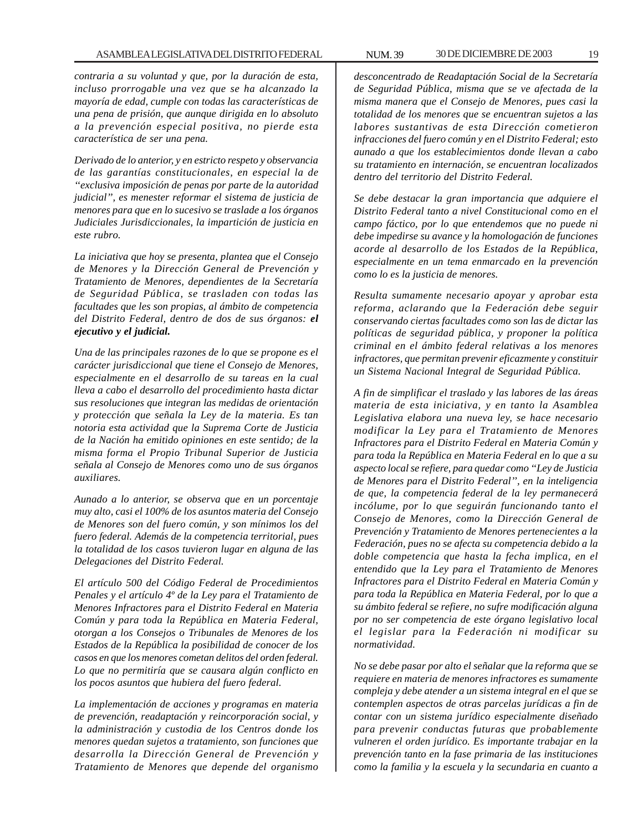*contraria a su voluntad y que, por la duración de esta, incluso prorrogable una vez que se ha alcanzado la mayoría de edad, cumple con todas las características de una pena de prisión, que aunque dirigida en lo absoluto a la prevención especial positiva, no pierde esta característica de ser una pena.*

*Derivado de lo anterior, y en estricto respeto y observancia de las garantías constitucionales, en especial la de ''exclusiva imposición de penas por parte de la autoridad judicial'', es menester reformar el sistema de justicia de menores para que en lo sucesivo se traslade a los órganos Judiciales Jurisdiccionales, la impartición de justicia en este rubro.*

*La iniciativa que hoy se presenta, plantea que el Consejo de Menores y la Dirección General de Prevención y Tratamiento de Menores, dependientes de la Secretaría de Seguridad Pública, se trasladen con todas las facultades que les son propias, al ámbito de competencia del Distrito Federal, dentro de dos de sus órganos: el ejecutivo y el judicial.*

*Una de las principales razones de lo que se propone es el carácter jurisdiccional que tiene el Consejo de Menores, especialmente en el desarrollo de su tareas en la cual lleva a cabo el desarrollo del procedimiento hasta dictar sus resoluciones que integran las medidas de orientación y protección que señala la Ley de la materia. Es tan notoria esta actividad que la Suprema Corte de Justicia de la Nación ha emitido opiniones en este sentido; de la misma forma el Propio Tribunal Superior de Justicia señala al Consejo de Menores como uno de sus órganos auxiliares.*

*Aunado a lo anterior, se observa que en un porcentaje muy alto, casi el 100% de los asuntos materia del Consejo de Menores son del fuero común, y son mínimos los del fuero federal. Además de la competencia territorial, pues la totalidad de los casos tuvieron lugar en alguna de las Delegaciones del Distrito Federal.*

*El artículo 500 del Código Federal de Procedimientos Penales y el artículo 4º de la Ley para el Tratamiento de Menores Infractores para el Distrito Federal en Materia Común y para toda la República en Materia Federal, otorgan a los Consejos o Tribunales de Menores de los Estados de la República la posibilidad de conocer de los casos en que los menores cometan delitos del orden federal. Lo que no permitiría que se causara algún conflicto en los pocos asuntos que hubiera del fuero federal.*

*La implementación de acciones y programas en materia de prevención, readaptación y reincorporación social, y la administración y custodia de los Centros donde los menores quedan sujetos a tratamiento, son funciones que desarrolla la Dirección General de Prevención y Tratamiento de Menores que depende del organismo*

*desconcentrado de Readaptación Social de la Secretaría de Seguridad Pública, misma que se ve afectada de la misma manera que el Consejo de Menores, pues casi la totalidad de los menores que se encuentran sujetos a las labores sustantivas de esta Dirección cometieron infracciones del fuero común y en el Distrito Federal; esto aunado a que los establecimientos donde llevan a cabo su tratamiento en internación, se encuentran localizados dentro del territorio del Distrito Federal.*

*Se debe destacar la gran importancia que adquiere el Distrito Federal tanto a nivel Constitucional como en el campo fáctico, por lo que entendemos que no puede ni debe impedirse su avance y la homologación de funciones acorde al desarrollo de los Estados de la República, especialmente en un tema enmarcado en la prevención como lo es la justicia de menores.*

*Resulta sumamente necesario apoyar y aprobar esta reforma, aclarando que la Federación debe seguir conservando ciertas facultades como son las de dictar las políticas de seguridad pública, y proponer la política criminal en el ámbito federal relativas a los menores infractores, que permitan prevenir eficazmente y constituir un Sistema Nacional Integral de Seguridad Pública.*

*A fin de simplificar el traslado y las labores de las áreas materia de esta iniciativa, y en tanto la Asamblea Legislativa elabora una nueva ley, se hace necesario modificar la Ley para el Tratamiento de Menores Infractores para el Distrito Federal en Materia Común y para toda la República en Materia Federal en lo que a su aspecto local se refiere, para quedar como ''Ley de Justicia de Menores para el Distrito Federal'', en la inteligencia de que, la competencia federal de la ley permanecerá incólume, por lo que seguirán funcionando tanto el Consejo de Menores, como la Dirección General de Prevención y Tratamiento de Menores pertenecientes a la Federación, pues no se afecta su competencia debido a la doble competencia que hasta la fecha implica, en el entendido que la Ley para el Tratamiento de Menores Infractores para el Distrito Federal en Materia Común y para toda la República en Materia Federal, por lo que a su ámbito federal se refiere, no sufre modificación alguna por no ser competencia de este órgano legislativo local el legislar para la Federación ni modificar su normatividad.*

*No se debe pasar por alto el señalar que la reforma que se requiere en materia de menores infractores es sumamente compleja y debe atender a un sistema integral en el que se contemplen aspectos de otras parcelas jurídicas a fin de contar con un sistema jurídico especialmente diseñado para prevenir conductas futuras que probablemente vulneren el orden jurídico. Es importante trabajar en la prevención tanto en la fase primaria de las instituciones como la familia y la escuela y la secundaria en cuanto a*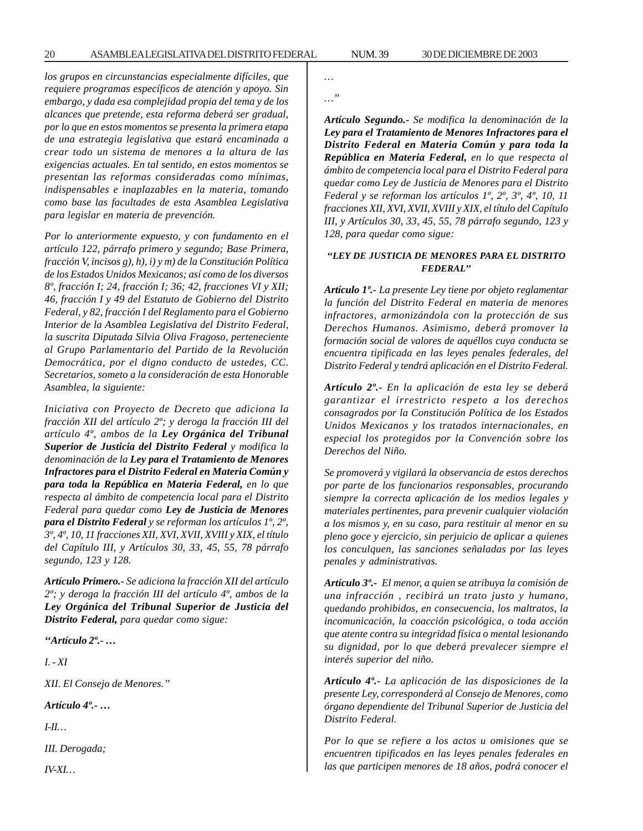*los grupos en circunstancias especialmente difíciles, que requiere programas específicos de atención y apoyo. Sin embargo, y dada esa complejidad propia del tema y de los alcances que pretende, esta reforma deberá ser gradual, por lo que en estos momentos se presenta la primera etapa de una estrategia legislativa que estará encaminada a crear todo un sistema de menores a la altura de las exigencias actuales. En tal sentido, en estos momentos se presentan las reformas consideradas como mínimas, indispensables e inaplazables en la materia, tomando como base las facultades de esta Asamblea Legislativa para legislar en materia de prevención.*

*Por lo anteriormente expuesto, y con fundamento en el artículo 122, párrafo primero y segundo; Base Primera, fracción V, incisos g), h), i) y m) de la Constitución Política de los Estados Unidos Mexicanos; así como de los diversos 8º, fracción I; 24, fracción I; 36; 42, fracciones VI y XII; 46, fracción I y 49 del Estatuto de Gobierno del Distrito Federal, y 82, fracción I del Reglamento para el Gobierno Interior de la Asamblea Legislativa del Distrito Federal, la suscrita Diputada Silvia Oliva Fragoso, perteneciente al Grupo Parlamentario del Partido de la Revolución Democrática, por el digno conducto de ustedes, CC. Secretarios, someto a la consideración de esta Honorable Asamblea, la siguiente:*

*Iniciativa con Proyecto de Decreto que adiciona la fracción XII del artículo 2º; y deroga la fracción III del artículo 4º, ambos de la Ley Orgánica del Tribunal Superior de Justicia del Distrito Federal y modifica la denominación de la Ley para el Tratamiento de Menores Infractores para el Distrito Federal en Materia Común y para toda la República en Materia Federal, en lo que respecta al ámbito de competencia local para el Distrito Federal para quedar como Ley de Justicia de Menores para el Distrito Federal y se reforman los artículos 1º, 2º, 3º, 4º, 10, 11 fracciones XII, XVI, XVII, XVIII y XIX, el título del Capítulo III, y Artículos 30, 33, 45, 55, 78 párrafo segundo, 123 y 128.*

*Artículo Primero.- Se adiciona la fracción XII del artículo 2º; y deroga la fracción III del artículo 4º, ambos de la Ley Orgánica del Tribunal Superior de Justicia del Distrito Federal, para quedar como sigue:*

*''Artículo 2º.- …*

*I. - XI*

*XII. El Consejo de Menores.''*

*Artículo 4º.- …*

*I-II…*

*III. Derogada;*

*IV-XI…*

*…*

*…''*

*Artículo Segundo.- Se modifica la denominación de la Ley para el Tratamiento de Menores Infractores para el Distrito Federal en Materia Común y para toda la República en Materia Federal, en lo que respecta al ámbito de competencia local para el Distrito Federal para quedar como Ley de Justicia de Menores para el Distrito Federal y se reforman los artículos 1º, 2º, 3º, 4º, 10, 11 fracciones XII, XVI, XVII, XVIII y XIX, el título del Capítulo III, y Artículos 30, 33, 45, 55, 78 párrafo segundo, 123 y 128, para quedar como sigue:*

#### *''LEY DE JUSTICIA DE MENORES PARA EL DISTRITO FEDERAL''*

*Artículo 1º.- La presente Ley tiene por objeto reglamentar la función del Distrito Federal en materia de menores infractores, armonizándola con la protección de sus Derechos Humanos. Asimismo, deberá promover la formación social de valores de aquéllos cuya conducta se encuentra tipificada en las leyes penales federales, del Distrito Federal y tendrá aplicación en el Distrito Federal.*

*Artículo 2º.- En la aplicación de esta ley se deberá garantizar el irrestricto respeto a los derechos consagrados por la Constitución Política de los Estados Unidos Mexicanos y los tratados internacionales, en especial los protegidos por la Convención sobre los Derechos del Niño.*

*Se promoverá y vigilará la observancia de estos derechos por parte de los funcionarios responsables, procurando siempre la correcta aplicación de los medios legales y materiales pertinentes, para prevenir cualquier violación a los mismos y, en su caso, para restituir al menor en su pleno goce y ejercicio, sin perjuicio de aplicar a quienes los conculquen, las sanciones señaladas por las leyes penales y administrativas.*

*Artículo 3º.- El menor, a quien se atribuya la comisión de una infracción , recibirá un trato justo y humano, quedando prohibidos, en consecuencia, los maltratos, la incomunicación, la coacción psicológica, o toda acción que atente contra su integridad física o mental lesionando su dignidad, por lo que deberá prevalecer siempre el interés superior del niño.*

*Artículo 4º.- La aplicación de las disposiciones de la presente Ley, corresponderá al Consejo de Menores, como órgano dependiente del Tribunal Superior de Justicia del Distrito Federal.*

*Por lo que se refiere a los actos u omisiones que se encuentren tipificados en las leyes penales federales en las que participen menores de 18 años, podrá conocer el*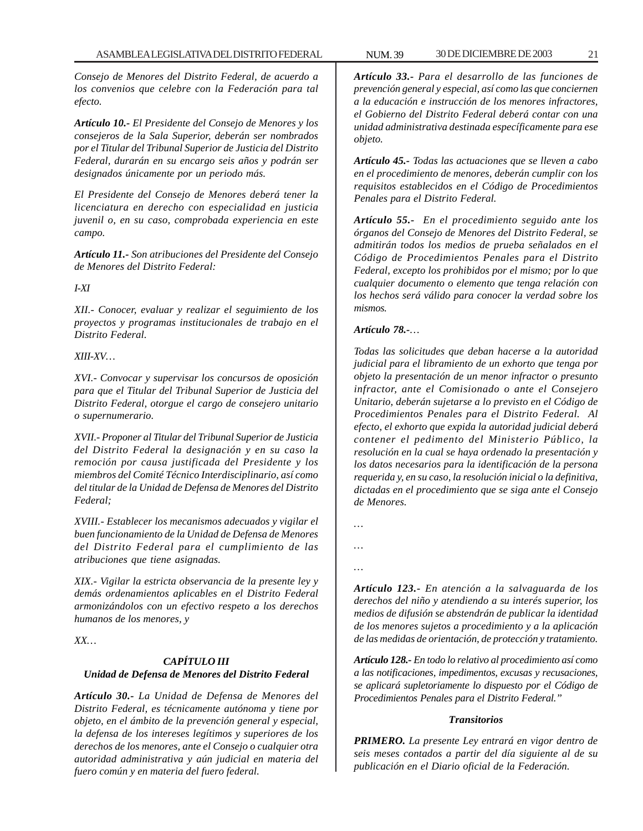*Consejo de Menores del Distrito Federal, de acuerdo a los convenios que celebre con la Federación para tal efecto.*

*Artículo 10.- El Presidente del Consejo de Menores y los consejeros de la Sala Superior, deberán ser nombrados por el Titular del Tribunal Superior de Justicia del Distrito Federal, durarán en su encargo seis años y podrán ser designados únicamente por un periodo más.*

*El Presidente del Consejo de Menores deberá tener la licenciatura en derecho con especialidad en justicia juvenil o, en su caso, comprobada experiencia en este campo.*

*Artículo 11.- Son atribuciones del Presidente del Consejo de Menores del Distrito Federal:*

#### *I-XI*

*XII.- Conocer, evaluar y realizar el seguimiento de los proyectos y programas institucionales de trabajo en el Distrito Federal.*

#### *XIII-XV…*

*XVI.- Convocar y supervisar los concursos de oposición para que el Titular del Tribunal Superior de Justicia del Distrito Federal, otorgue el cargo de consejero unitario o supernumerario.*

*XVII.- Proponer al Titular del Tribunal Superior de Justicia del Distrito Federal la designación y en su caso la remoción por causa justificada del Presidente y los miembros del Comité Técnico Interdisciplinario, así como del titular de la Unidad de Defensa de Menores del Distrito Federal;*

*XVIII.- Establecer los mecanismos adecuados y vigilar el buen funcionamiento de la Unidad de Defensa de Menores del Distrito Federal para el cumplimiento de las atribuciones que tiene asignadas.*

*XIX.- Vigilar la estricta observancia de la presente ley y demás ordenamientos aplicables en el Distrito Federal armonizándolos con un efectivo respeto a los derechos humanos de los menores, y*

*XX…*

#### *CAPÍTULO III Unidad de Defensa de Menores del Distrito Federal*

*Artículo 30.- La Unidad de Defensa de Menores del Distrito Federal, es técnicamente autónoma y tiene por objeto, en el ámbito de la prevención general y especial, la defensa de los intereses legítimos y superiores de los derechos de los menores, ante el Consejo o cualquier otra autoridad administrativa y aún judicial en materia del fuero común y en materia del fuero federal.*

*Artículo 33.- Para el desarrollo de las funciones de prevención general y especial, así como las que conciernen a la educación e instrucción de los menores infractores, el Gobierno del Distrito Federal deberá contar con una unidad administrativa destinada específicamente para ese objeto.*

*Artículo 45.- Todas las actuaciones que se lleven a cabo en el procedimiento de menores, deberán cumplir con los requisitos establecidos en el Código de Procedimientos Penales para el Distrito Federal.*

*Artículo 55.- En el procedimiento seguido ante los órganos del Consejo de Menores del Distrito Federal, se admitirán todos los medios de prueba señalados en el Código de Procedimientos Penales para el Distrito Federal, excepto los prohibidos por el mismo; por lo que cualquier documento o elemento que tenga relación con los hechos será válido para conocer la verdad sobre los mismos.*

#### *Artículo 78.-…*

*Todas las solicitudes que deban hacerse a la autoridad judicial para el libramiento de un exhorto que tenga por objeto la presentación de un menor infractor o presunto infractor, ante el Comisionado o ante el Consejero Unitario, deberán sujetarse a lo previsto en el Código de Procedimientos Penales para el Distrito Federal. Al efecto, el exhorto que expida la autoridad judicial deberá contener el pedimento del Ministerio Público, la resolución en la cual se haya ordenado la presentación y los datos necesarios para la identificación de la persona requerida y, en su caso, la resolución inicial o la definitiva, dictadas en el procedimiento que se siga ante el Consejo de Menores.*

*…*

*… …*

> *Artículo 123.- En atención a la salvaguarda de los derechos del niño y atendiendo a su interés superior, los medios de difusión se abstendrán de publicar la identidad de los menores sujetos a procedimiento y a la aplicación de las medidas de orientación, de protección y tratamiento.*

> *Artículo 128.- En todo lo relativo al procedimiento así como a las notificaciones, impedimentos, excusas y recusaciones, se aplicará supletoriamente lo dispuesto por el Código de Procedimientos Penales para el Distrito Federal.''*

#### *Transitorios*

*PRIMERO. La presente Ley entrará en vigor dentro de seis meses contados a partir del día siguiente al de su publicación en el Diario oficial de la Federación.*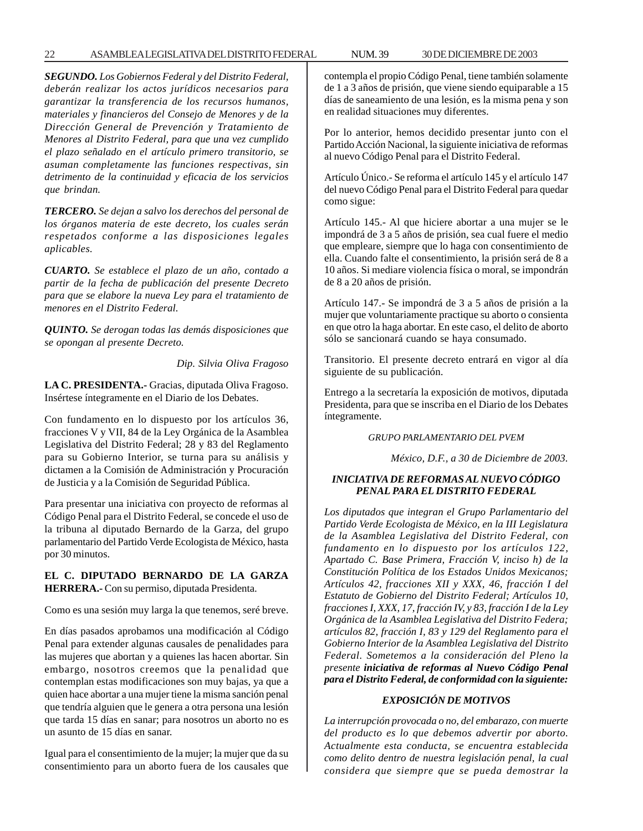*SEGUNDO. Los Gobiernos Federal y del Distrito Federal, deberán realizar los actos jurídicos necesarios para garantizar la transferencia de los recursos humanos, materiales y financieros del Consejo de Menores y de la Dirección General de Prevención y Tratamiento de Menores al Distrito Federal, para que una vez cumplido el plazo señalado en el artículo primero transitorio, se asuman completamente las funciones respectivas, sin detrimento de la continuidad y eficacia de los servicios que brindan.*

*TERCERO. Se dejan a salvo los derechos del personal de los órganos materia de este decreto, los cuales serán respetados conforme a las disposiciones legales aplicables.*

*CUARTO. Se establece el plazo de un año, contado a partir de la fecha de publicación del presente Decreto para que se elabore la nueva Ley para el tratamiento de menores en el Distrito Federal.*

*QUINTO. Se derogan todas las demás disposiciones que se opongan al presente Decreto.*

*Dip. Silvia Oliva Fragoso*

**LA C. PRESIDENTA.-** Gracias, diputada Oliva Fragoso. Insértese íntegramente en el Diario de los Debates.

Con fundamento en lo dispuesto por los artículos 36, fracciones V y VII, 84 de la Ley Orgánica de la Asamblea Legislativa del Distrito Federal; 28 y 83 del Reglamento para su Gobierno Interior, se turna para su análisis y dictamen a la Comisión de Administración y Procuración de Justicia y a la Comisión de Seguridad Pública.

Para presentar una iniciativa con proyecto de reformas al Código Penal para el Distrito Federal, se concede el uso de la tribuna al diputado Bernardo de la Garza, del grupo parlamentario del Partido Verde Ecologista de México, hasta por 30 minutos.

#### **EL C. DIPUTADO BERNARDO DE LA GARZA HERRERA.-** Con su permiso, diputada Presidenta.

Como es una sesión muy larga la que tenemos, seré breve.

En días pasados aprobamos una modificación al Código Penal para extender algunas causales de penalidades para las mujeres que abortan y a quienes las hacen abortar. Sin embargo, nosotros creemos que la penalidad que contemplan estas modificaciones son muy bajas, ya que a quien hace abortar a una mujer tiene la misma sanción penal que tendría alguien que le genera a otra persona una lesión que tarda 15 días en sanar; para nosotros un aborto no es un asunto de 15 días en sanar.

Igual para el consentimiento de la mujer; la mujer que da su consentimiento para un aborto fuera de los causales que contempla el propio Código Penal, tiene también solamente de 1 a 3 años de prisión, que viene siendo equiparable a 15 días de saneamiento de una lesión, es la misma pena y son en realidad situaciones muy diferentes.

Por lo anterior, hemos decidido presentar junto con el Partido Acción Nacional, la siguiente iniciativa de reformas al nuevo Código Penal para el Distrito Federal.

Artículo Único.- Se reforma el artículo 145 y el artículo 147 del nuevo Código Penal para el Distrito Federal para quedar como sigue:

Artículo 145.- Al que hiciere abortar a una mujer se le impondrá de 3 a 5 años de prisión, sea cual fuere el medio que empleare, siempre que lo haga con consentimiento de ella. Cuando falte el consentimiento, la prisión será de 8 a 10 años. Si mediare violencia física o moral, se impondrán de 8 a 20 años de prisión.

Artículo 147.- Se impondrá de 3 a 5 años de prisión a la mujer que voluntariamente practique su aborto o consienta en que otro la haga abortar. En este caso, el delito de aborto sólo se sancionará cuando se haya consumado.

Transitorio. El presente decreto entrará en vigor al día siguiente de su publicación.

Entrego a la secretaría la exposición de motivos, diputada Presidenta, para que se inscriba en el Diario de los Debates íntegramente.

*GRUPO PARLAMENTARIO DEL PVEM*

*México, D.F., a 30 de Diciembre de 2003.*

#### *INICIATIVA DE REFORMAS AL NUEVO CÓDIGO PENAL PARA EL DISTRITO FEDERAL*

*Los diputados que integran el Grupo Parlamentario del Partido Verde Ecologista de México, en la III Legislatura de la Asamblea Legislativa del Distrito Federal, con fundamento en lo dispuesto por los artículos 122, Apartado C. Base Primera, Fracción V, inciso h) de la Constitución Política de los Estados Unidos Mexicanos; Artículos 42, fracciones XII y XXX, 46, fracción I del Estatuto de Gobierno del Distrito Federal; Artículos 10, fracciones I, XXX, 17, fracción IV, y 83, fracción I de la Ley Orgánica de la Asamblea Legislativa del Distrito Federa; artículos 82, fracción I, 83 y 129 del Reglamento para el Gobierno Interior de la Asamblea Legislativa del Distrito Federal. Sometemos a la consideración del Pleno la presente iniciativa de reformas al Nuevo Código Penal para el Distrito Federal, de conformidad con la siguiente:*

#### *EXPOSICIÓN DE MOTIVOS*

*La interrupción provocada o no, del embarazo, con muerte del producto es lo que debemos advertir por aborto. Actualmente esta conducta, se encuentra establecida como delito dentro de nuestra legislación penal, la cual considera que siempre que se pueda demostrar la*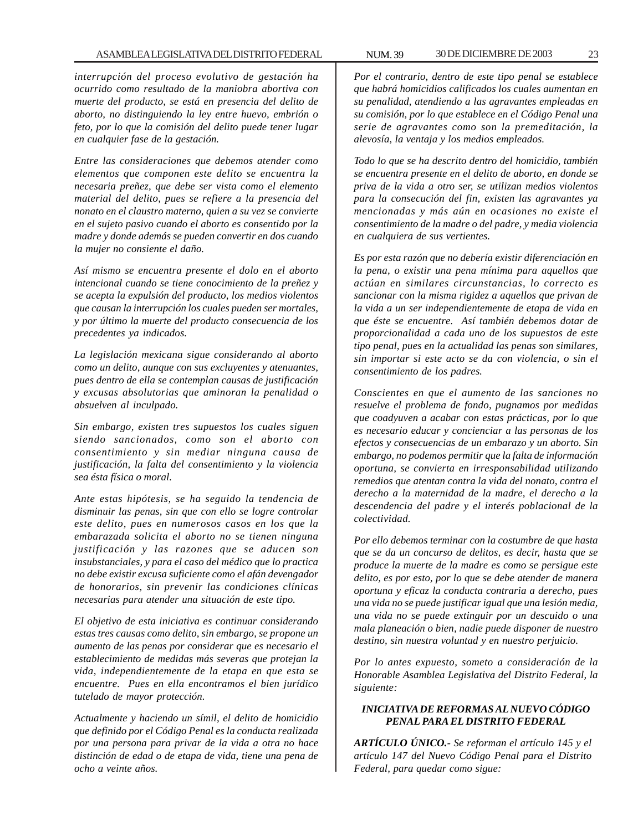*interrupción del proceso evolutivo de gestación ha ocurrido como resultado de la maniobra abortiva con muerte del producto, se está en presencia del delito de aborto, no distinguiendo la ley entre huevo, embrión o feto, por lo que la comisión del delito puede tener lugar en cualquier fase de la gestación.*

*Entre las consideraciones que debemos atender como elementos que componen este delito se encuentra la necesaria preñez, que debe ser vista como el elemento material del delito, pues se refiere a la presencia del nonato en el claustro materno, quien a su vez se convierte en el sujeto pasivo cuando el aborto es consentido por la madre y donde además se pueden convertir en dos cuando la mujer no consiente el daño.*

*Así mismo se encuentra presente el dolo en el aborto intencional cuando se tiene conocimiento de la preñez y se acepta la expulsión del producto, los medios violentos que causan la interrupción los cuales pueden ser mortales, y por último la muerte del producto consecuencia de los precedentes ya indicados.*

*La legislación mexicana sigue considerando al aborto como un delito, aunque con sus excluyentes y atenuantes, pues dentro de ella se contemplan causas de justificación y excusas absolutorias que aminoran la penalidad o absuelven al inculpado.*

*Sin embargo, existen tres supuestos los cuales siguen siendo sancionados, como son el aborto con consentimiento y sin mediar ninguna causa de justificación, la falta del consentimiento y la violencia sea ésta física o moral.*

*Ante estas hipótesis, se ha seguido la tendencia de disminuir las penas, sin que con ello se logre controlar este delito, pues en numerosos casos en los que la embarazada solicita el aborto no se tienen ninguna justificación y las razones que se aducen son insubstanciales, y para el caso del médico que lo practica no debe existir excusa suficiente como el afán devengador de honorarios, sin prevenir las condiciones clínicas necesarias para atender una situación de este tipo.*

*El objetivo de esta iniciativa es continuar considerando estas tres causas como delito, sin embargo, se propone un aumento de las penas por considerar que es necesario el establecimiento de medidas más severas que protejan la vida, independientemente de la etapa en que esta se encuentre. Pues en ella encontramos el bien jurídico tutelado de mayor protección.*

*Actualmente y haciendo un símil, el delito de homicidio que definido por el Código Penal es la conducta realizada por una persona para privar de la vida a otra no hace distinción de edad o de etapa de vida, tiene una pena de ocho a veinte años.*

*Por el contrario, dentro de este tipo penal se establece que habrá homicidios calificados los cuales aumentan en su penalidad, atendiendo a las agravantes empleadas en su comisión, por lo que establece en el Código Penal una serie de agravantes como son la premeditación, la alevosía, la ventaja y los medios empleados.*

*Todo lo que se ha descrito dentro del homicidio, también se encuentra presente en el delito de aborto, en donde se priva de la vida a otro ser, se utilizan medios violentos para la consecución del fin, existen las agravantes ya mencionadas y más aún en ocasiones no existe el consentimiento de la madre o del padre, y media violencia en cualquiera de sus vertientes.*

*Es por esta razón que no debería existir diferenciación en la pena, o existir una pena mínima para aquellos que actúan en similares circunstancias, lo correcto es sancionar con la misma rigidez a aquellos que privan de la vida a un ser independientemente de etapa de vida en que éste se encuentre. Así también debemos dotar de proporcionalidad a cada uno de los supuestos de este tipo penal, pues en la actualidad las penas son similares, sin importar si este acto se da con violencia, o sin el consentimiento de los padres.*

*Conscientes en que el aumento de las sanciones no resuelve el problema de fondo, pugnamos por medidas que coadyuven a acabar con estas prácticas, por lo que es necesario educar y concienciar a las personas de los efectos y consecuencias de un embarazo y un aborto. Sin embargo, no podemos permitir que la falta de información oportuna, se convierta en irresponsabilidad utilizando remedios que atentan contra la vida del nonato, contra el derecho a la maternidad de la madre, el derecho a la descendencia del padre y el interés poblacional de la colectividad.*

*Por ello debemos terminar con la costumbre de que hasta que se da un concurso de delitos, es decir, hasta que se produce la muerte de la madre es como se persigue este delito, es por esto, por lo que se debe atender de manera oportuna y eficaz la conducta contraria a derecho, pues una vida no se puede justificar igual que una lesión media, una vida no se puede extinguir por un descuido o una mala planeación o bien, nadie puede disponer de nuestro destino, sin nuestra voluntad y en nuestro perjuicio.*

*Por lo antes expuesto, someto a consideración de la Honorable Asamblea Legislativa del Distrito Federal, la siguiente:*

#### *INICIATIVA DE REFORMAS AL NUEVO CÓDIGO PENAL PARA EL DISTRITO FEDERAL*

*ARTÍCULO ÚNICO.- Se reforman el artículo 145 y el artículo 147 del Nuevo Código Penal para el Distrito Federal, para quedar como sigue:*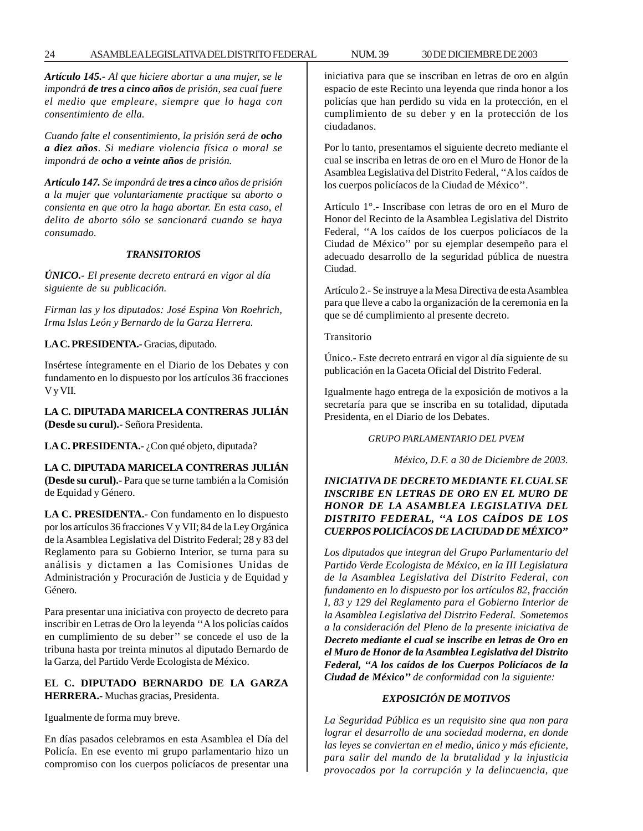*Artículo 145.- Al que hiciere abortar a una mujer, se le impondrá de tres a cinco años de prisión, sea cual fuere el medio que empleare, siempre que lo haga con consentimiento de ella.*

*Cuando falte el consentimiento, la prisión será de ocho a diez años. Si mediare violencia física o moral se impondrá de ocho a veinte años de prisión.*

*Artículo 147. Se impondrá de tres a cinco años de prisión a la mujer que voluntariamente practique su aborto o consienta en que otro la haga abortar. En esta caso, el delito de aborto sólo se sancionará cuando se haya consumado.*

#### *TRANSITORIOS*

*ÚNICO.- El presente decreto entrará en vigor al día siguiente de su publicación.*

*Firman las y los diputados: José Espina Von Roehrich, Irma Islas León y Bernardo de la Garza Herrera.*

**LA C. PRESIDENTA.-** Gracias, diputado.

Insértese íntegramente en el Diario de los Debates y con fundamento en lo dispuesto por los artículos 36 fracciones V y VII.

**LA C. DIPUTADA MARICELA CONTRERAS JULIÁN (Desde su curul).-** Señora Presidenta.

LA C. PRESIDENTA.- ¿Con qué objeto, diputada?

**LA C. DIPUTADA MARICELA CONTRERAS JULIÁN (Desde su curul).-** Para que se turne también a la Comisión de Equidad y Género.

**LA C. PRESIDENTA.-** Con fundamento en lo dispuesto por los artículos 36 fracciones V y VII; 84 de la Ley Orgánica de la Asamblea Legislativa del Distrito Federal; 28 y 83 del Reglamento para su Gobierno Interior, se turna para su análisis y dictamen a las Comisiones Unidas de Administración y Procuración de Justicia y de Equidad y Género.

Para presentar una iniciativa con proyecto de decreto para inscribir en Letras de Oro la leyenda ''A los policías caídos en cumplimiento de su deber'' se concede el uso de la tribuna hasta por treinta minutos al diputado Bernardo de la Garza, del Partido Verde Ecologista de México.

#### **EL C. DIPUTADO BERNARDO DE LA GARZA HERRERA.-** Muchas gracias, Presidenta.

Igualmente de forma muy breve.

En días pasados celebramos en esta Asamblea el Día del Policía. En ese evento mi grupo parlamentario hizo un compromiso con los cuerpos policíacos de presentar una iniciativa para que se inscriban en letras de oro en algún espacio de este Recinto una leyenda que rinda honor a los policías que han perdido su vida en la protección, en el cumplimiento de su deber y en la protección de los ciudadanos.

Por lo tanto, presentamos el siguiente decreto mediante el cual se inscriba en letras de oro en el Muro de Honor de la Asamblea Legislativa del Distrito Federal, ''A los caídos de los cuerpos policíacos de la Ciudad de México''.

Artículo 1°.- Inscríbase con letras de oro en el Muro de Honor del Recinto de la Asamblea Legislativa del Distrito Federal, ''A los caídos de los cuerpos policíacos de la Ciudad de México'' por su ejemplar desempeño para el adecuado desarrollo de la seguridad pública de nuestra Ciudad.

Artículo 2.- Se instruye a la Mesa Directiva de esta Asamblea para que lleve a cabo la organización de la ceremonia en la que se dé cumplimiento al presente decreto.

Transitorio

Único.- Este decreto entrará en vigor al día siguiente de su publicación en la Gaceta Oficial del Distrito Federal.

Igualmente hago entrega de la exposición de motivos a la secretaría para que se inscriba en su totalidad, diputada Presidenta, en el Diario de los Debates.

*GRUPO PARLAMENTARIO DEL PVEM*

*México, D.F. a 30 de Diciembre de 2003.*

#### *INICIATIVA DE DECRETO MEDIANTE EL CUAL SE INSCRIBE EN LETRAS DE ORO EN EL MURO DE HONOR DE LA ASAMBLEA LEGISLATIVA DEL DISTRITO FEDERAL, ''A LOS CAÍDOS DE LOS CUERPOS POLICÍACOS DE LA CIUDAD DE MÉXICO''*

*Los diputados que integran del Grupo Parlamentario del Partido Verde Ecologista de México, en la III Legislatura de la Asamblea Legislativa del Distrito Federal, con fundamento en lo dispuesto por los artículos 82, fracción I, 83 y 129 del Reglamento para el Gobierno Interior de la Asamblea Legislativa del Distrito Federal. Sometemos a la consideración del Pleno de la presente iniciativa de Decreto mediante el cual se inscribe en letras de Oro en el Muro de Honor de la Asamblea Legislativa del Distrito Federal, ''A los caídos de los Cuerpos Policíacos de la Ciudad de México'' de conformidad con la siguiente:*

#### *EXPOSICIÓN DE MOTIVOS*

*La Seguridad Pública es un requisito sine qua non para lograr el desarrollo de una sociedad moderna, en donde las leyes se conviertan en el medio, único y más eficiente, para salir del mundo de la brutalidad y la injusticia provocados por la corrupción y la delincuencia, que*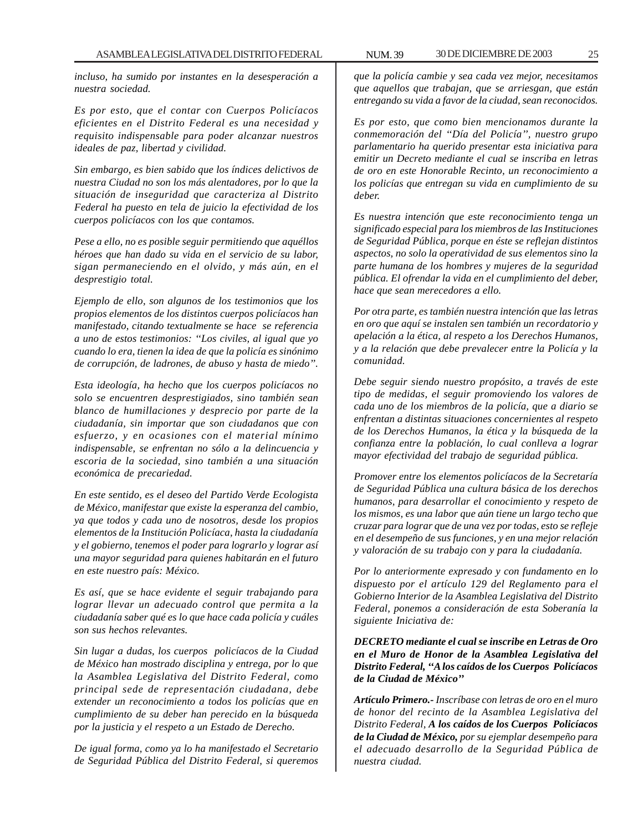*incluso, ha sumido por instantes en la desesperación a nuestra sociedad.*

*Es por esto, que el contar con Cuerpos Policíacos eficientes en el Distrito Federal es una necesidad y requisito indispensable para poder alcanzar nuestros ideales de paz, libertad y civilidad.*

*Sin embargo, es bien sabido que los índices delictivos de nuestra Ciudad no son los más alentadores, por lo que la situación de inseguridad que caracteriza al Distrito Federal ha puesto en tela de juicio la efectividad de los cuerpos policíacos con los que contamos.*

*Pese a ello, no es posible seguir permitiendo que aquéllos héroes que han dado su vida en el servicio de su labor, sigan permaneciendo en el olvido, y más aún, en el desprestigio total.*

*Ejemplo de ello, son algunos de los testimonios que los propios elementos de los distintos cuerpos policíacos han manifestado, citando textualmente se hace se referencia a uno de estos testimonios: ''Los civiles, al igual que yo cuando lo era, tienen la idea de que la policía es sinónimo de corrupción, de ladrones, de abuso y hasta de miedo''.*

*Esta ideología, ha hecho que los cuerpos policíacos no solo se encuentren desprestigiados, sino también sean blanco de humillaciones y desprecio por parte de la ciudadanía, sin importar que son ciudadanos que con esfuerzo, y en ocasiones con el material mínimo indispensable, se enfrentan no sólo a la delincuencia y escoria de la sociedad, sino también a una situación económica de precariedad.*

*En este sentido, es el deseo del Partido Verde Ecologista de México, manifestar que existe la esperanza del cambio, ya que todos y cada uno de nosotros, desde los propios elementos de la Institución Policíaca, hasta la ciudadanía y el gobierno, tenemos el poder para lograrlo y lograr así una mayor seguridad para quienes habitarán en el futuro en este nuestro país: México.*

*Es así, que se hace evidente el seguir trabajando para lograr llevar un adecuado control que permita a la ciudadanía saber qué es lo que hace cada policía y cuáles son sus hechos relevantes.*

*Sin lugar a dudas, los cuerpos policíacos de la Ciudad de México han mostrado disciplina y entrega, por lo que la Asamblea Legislativa del Distrito Federal, como principal sede de representación ciudadana, debe extender un reconocimiento a todos los policías que en cumplimiento de su deber han perecido en la búsqueda por la justicia y el respeto a un Estado de Derecho.*

*De igual forma, como ya lo ha manifestado el Secretario de Seguridad Pública del Distrito Federal, si queremos*

*que la policía cambie y sea cada vez mejor, necesitamos que aquellos que trabajan, que se arriesgan, que están entregando su vida a favor de la ciudad, sean reconocidos.*

*Es por esto, que como bien mencionamos durante la conmemoración del ''Día del Policía'', nuestro grupo parlamentario ha querido presentar esta iniciativa para emitir un Decreto mediante el cual se inscriba en letras de oro en este Honorable Recinto, un reconocimiento a los policías que entregan su vida en cumplimiento de su deber.*

*Es nuestra intención que este reconocimiento tenga un significado especial para los miembros de las Instituciones de Seguridad Pública, porque en éste se reflejan distintos aspectos, no solo la operatividad de sus elementos sino la parte humana de los hombres y mujeres de la seguridad pública. El ofrendar la vida en el cumplimiento del deber, hace que sean merecedores a ello.*

*Por otra parte, es también nuestra intención que las letras en oro que aquí se instalen sen también un recordatorio y apelación a la ética, al respeto a los Derechos Humanos, y a la relación que debe prevalecer entre la Policía y la comunidad.*

*Debe seguir siendo nuestro propósito, a través de este tipo de medidas, el seguir promoviendo los valores de cada uno de los miembros de la policía, que a diario se enfrentan a distintas situaciones concernientes al respeto de los Derechos Humanos, la ética y la búsqueda de la confianza entre la población, lo cual conlleva a lograr mayor efectividad del trabajo de seguridad pública.*

*Promover entre los elementos policíacos de la Secretaría de Seguridad Pública una cultura básica de los derechos humanos, para desarrollar el conocimiento y respeto de los mismos, es una labor que aún tiene un largo techo que cruzar para lograr que de una vez por todas, esto se refleje en el desempeño de sus funciones, y en una mejor relación y valoración de su trabajo con y para la ciudadanía.*

*Por lo anteriormente expresado y con fundamento en lo dispuesto por el artículo 129 del Reglamento para el Gobierno Interior de la Asamblea Legislativa del Distrito Federal, ponemos a consideración de esta Soberanía la siguiente Iniciativa de:*

*DECRETO mediante el cual se inscribe en Letras de Oro en el Muro de Honor de la Asamblea Legislativa del Distrito Federal, ''A los caídos de los Cuerpos Policíacos de la Ciudad de México''*

*Artículo Primero.- Inscríbase con letras de oro en el muro de honor del recinto de la Asamblea Legislativa del Distrito Federal, A los caídos de los Cuerpos Policíacos de la Ciudad de México, por su ejemplar desempeño para el adecuado desarrollo de la Seguridad Pública de nuestra ciudad.*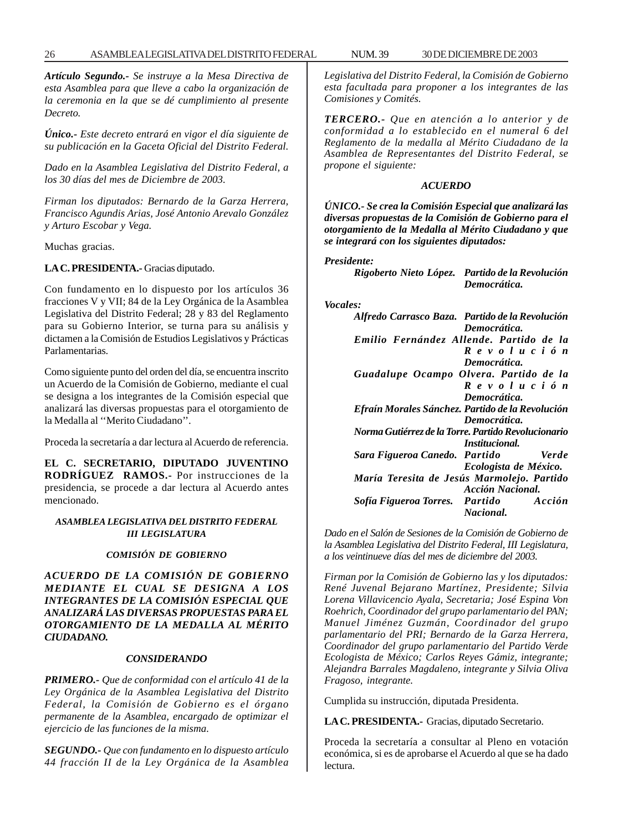*Artículo Segundo.- Se instruye a la Mesa Directiva de esta Asamblea para que lleve a cabo la organización de la ceremonia en la que se dé cumplimiento al presente Decreto.*

*Único.- Este decreto entrará en vigor el día siguiente de su publicación en la Gaceta Oficial del Distrito Federal.*

*Dado en la Asamblea Legislativa del Distrito Federal, a los 30 días del mes de Diciembre de 2003.*

*Firman los diputados: Bernardo de la Garza Herrera, Francisco Agundis Arias, José Antonio Arevalo González y Arturo Escobar y Vega.*

Muchas gracias.

#### **LA C. PRESIDENTA.-** Gracias diputado.

Con fundamento en lo dispuesto por los artículos 36 fracciones V y VII; 84 de la Ley Orgánica de la Asamblea Legislativa del Distrito Federal; 28 y 83 del Reglamento para su Gobierno Interior, se turna para su análisis y dictamen a la Comisión de Estudios Legislativos y Prácticas Parlamentarias.

Como siguiente punto del orden del día, se encuentra inscrito un Acuerdo de la Comisión de Gobierno, mediante el cual se designa a los integrantes de la Comisión especial que analizará las diversas propuestas para el otorgamiento de la Medalla al ''Merito Ciudadano''.

Proceda la secretaría a dar lectura al Acuerdo de referencia.

**EL C. SECRETARIO, DIPUTADO JUVENTINO RODRÍGUEZ RAMOS.-** Por instrucciones de la presidencia, se procede a dar lectura al Acuerdo antes mencionado.

#### *ASAMBLEA LEGISLATIVA DEL DISTRITO FEDERAL III LEGISLATURA*

#### *COMISIÓN DE GOBIERNO*

*ACUERDO DE LA COMISIÓN DE GOBIERNO MEDIANTE EL CUAL SE DESIGNA A LOS INTEGRANTES DE LA COMISIÓN ESPECIAL QUE ANALIZARÁ LAS DIVERSAS PROPUESTAS PARA EL OTORGAMIENTO DE LA MEDALLA AL MÉRITO CIUDADANO.*

#### *CONSIDERANDO*

*PRIMERO.- Que de conformidad con el artículo 41 de la Ley Orgánica de la Asamblea Legislativa del Distrito Federal, la Comisión de Gobierno es el órgano permanente de la Asamblea, encargado de optimizar el ejercicio de las funciones de la misma.*

*SEGUNDO.- Que con fundamento en lo dispuesto artículo 44 fracción II de la Ley Orgánica de la Asamblea* *Legislativa del Distrito Federal, la Comisión de Gobierno esta facultada para proponer a los integrantes de las Comisiones y Comités.*

*TERCERO.- Que en atención a lo anterior y de conformidad a lo establecido en el numeral 6 del Reglamento de la medalla al Mérito Ciudadano de la Asamblea de Representantes del Distrito Federal, se propone el siguiente:*

#### *ACUERDO*

*ÚNICO.- Se crea la Comisión Especial que analizará las diversas propuestas de la Comisión de Gobierno para el otorgamiento de la Medalla al Mérito Ciudadano y que se integrará con los siguientes diputados:*

#### *Presidente:*

*Rigoberto Nieto López. Partido de la Revolución Democrática.*

#### *Vocales:*

| Alfredo Carrasco Baza. Partido de la Revolución     |
|-----------------------------------------------------|
| Democrática.                                        |
| Emilio Fernández Allende, Partido de la             |
| Revolución                                          |
| Democrática.                                        |
| Guadalupe Ocampo Olvera. Partido de la              |
| Revolución                                          |
| Democrática.                                        |
| Efraín Morales Sánchez. Partido de la Revolución    |
| Democrática.                                        |
| Norma Gutiérrez de la Torre. Partido Revolucionario |
| <i>Institucional.</i>                               |
| Sara Figueroa Canedo. Partido Verde                 |
| <i>Ecologista de México.</i>                        |
| María Teresita de Jesús Marmolejo. Partido          |
| <b>Acción Nacional.</b>                             |
| Sofía Figueroa Torres. Partido Acción               |
| Nacional.                                           |

*Dado en el Salón de Sesiones de la Comisión de Gobierno de la Asamblea Legislativa del Distrito Federal, III Legislatura, a los veintinueve días del mes de diciembre del 2003.*

*Firman por la Comisión de Gobierno las y los diputados: René Juvenal Bejarano Martínez, Presidente; Silvia Lorena Villavicencio Ayala, Secretaria; José Espina Von Roehrich, Coordinador del grupo parlamentario del PAN; Manuel Jiménez Guzmán, Coordinador del grupo parlamentario del PRI; Bernardo de la Garza Herrera, Coordinador del grupo parlamentario del Partido Verde Ecologista de México; Carlos Reyes Gámiz, integrante; Alejandra Barrales Magdaleno, integrante y Silvia Oliva Fragoso, integrante.*

Cumplida su instrucción, diputada Presidenta.

**LA C. PRESIDENTA.-** Gracias, diputado Secretario.

Proceda la secretaría a consultar al Pleno en votación económica, si es de aprobarse el Acuerdo al que se ha dado lectura.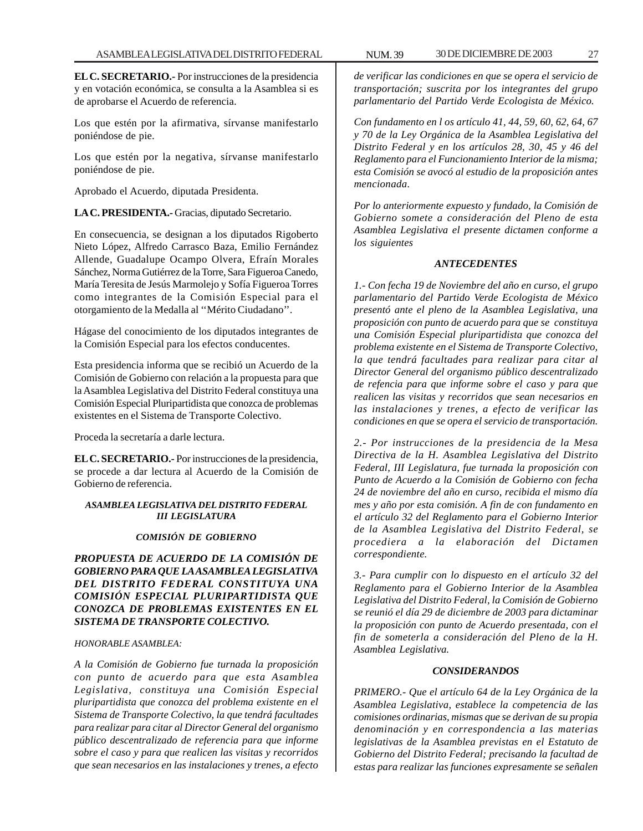**EL C. SECRETARIO.-** Por instrucciones de la presidencia y en votación económica, se consulta a la Asamblea si es de aprobarse el Acuerdo de referencia.

Los que estén por la afirmativa, sírvanse manifestarlo poniéndose de pie.

Los que estén por la negativa, sírvanse manifestarlo poniéndose de pie.

Aprobado el Acuerdo, diputada Presidenta.

**LA C. PRESIDENTA.-** Gracias, diputado Secretario.

En consecuencia, se designan a los diputados Rigoberto Nieto López, Alfredo Carrasco Baza, Emilio Fernández Allende, Guadalupe Ocampo Olvera, Efraín Morales Sánchez, Norma Gutiérrez de la Torre, Sara Figueroa Canedo, María Teresita de Jesús Marmolejo y Sofía Figueroa Torres como integrantes de la Comisión Especial para el otorgamiento de la Medalla al ''Mérito Ciudadano''.

Hágase del conocimiento de los diputados integrantes de la Comisión Especial para los efectos conducentes.

Esta presidencia informa que se recibió un Acuerdo de la Comisión de Gobierno con relación a la propuesta para que la Asamblea Legislativa del Distrito Federal constituya una Comisión Especial Pluripartidista que conozca de problemas existentes en el Sistema de Transporte Colectivo.

Proceda la secretaría a darle lectura.

**EL C. SECRETARIO.-** Por instrucciones de la presidencia, se procede a dar lectura al Acuerdo de la Comisión de Gobierno de referencia.

#### *ASAMBLEA LEGISLATIVA DEL DISTRITO FEDERAL III LEGISLATURA*

#### *COMISIÓN DE GOBIERNO*

*PROPUESTA DE ACUERDO DE LA COMISIÓN DE GOBIERNO PARA QUE LA ASAMBLEA LEGISLATIVA DEL DISTRITO FEDERAL CONSTITUYA UNA COMISIÓN ESPECIAL PLURIPARTIDISTA QUE CONOZCA DE PROBLEMAS EXISTENTES EN EL SISTEMA DE TRANSPORTE COLECTIVO.*

#### *HONORABLE ASAMBLEA:*

*A la Comisión de Gobierno fue turnada la proposición con punto de acuerdo para que esta Asamblea Legislativa, constituya una Comisión Especial pluripartidista que conozca del problema existente en el Sistema de Transporte Colectivo, la que tendrá facultades para realizar para citar al Director General del organismo público descentralizado de referencia para que informe sobre el caso y para que realicen las visitas y recorridos que sean necesarios en las instalaciones y trenes, a efecto*

*de verificar las condiciones en que se opera el servicio de transportación; suscrita por los integrantes del grupo parlamentario del Partido Verde Ecologista de México.*

*Con fundamento en l os artículo 41, 44, 59, 60, 62, 64, 67 y 70 de la Ley Orgánica de la Asamblea Legislativa del Distrito Federal y en los artículos 28, 30, 45 y 46 del Reglamento para el Funcionamiento Interior de la misma; esta Comisión se avocó al estudio de la proposición antes mencionada.*

*Por lo anteriormente expuesto y fundado, la Comisión de Gobierno somete a consideración del Pleno de esta Asamblea Legislativa el presente dictamen conforme a los siguientes*

#### *ANTECEDENTES*

*1.- Con fecha 19 de Noviembre del año en curso, el grupo parlamentario del Partido Verde Ecologista de México presentó ante el pleno de la Asamblea Legislativa, una proposición con punto de acuerdo para que se constituya una Comisión Especial pluripartidista que conozca del problema existente en el Sistema de Transporte Colectivo, la que tendrá facultades para realizar para citar al Director General del organismo público descentralizado de refencia para que informe sobre el caso y para que realicen las visitas y recorridos que sean necesarios en las instalaciones y trenes, a efecto de verificar las condiciones en que se opera el servicio de transportación.*

*2.- Por instrucciones de la presidencia de la Mesa Directiva de la H. Asamblea Legislativa del Distrito Federal, III Legislatura, fue turnada la proposición con Punto de Acuerdo a la Comisión de Gobierno con fecha 24 de noviembre del año en curso, recibida el mismo día mes y año por esta comisión. A fin de con fundamento en el artículo 32 del Reglamento para el Gobierno Interior de la Asamblea Legislativa del Distrito Federal, se procediera a la elaboración del Dictamen correspondiente.*

*3.- Para cumplir con lo dispuesto en el artículo 32 del Reglamento para el Gobierno Interior de la Asamblea Legislativa del Distrito Federal, la Comisión de Gobierno se reunió el día 29 de diciembre de 2003 para dictaminar la proposición con punto de Acuerdo presentada, con el fin de someterla a consideración del Pleno de la H. Asamblea Legislativa.*

#### *CONSIDERANDOS*

*PRIMERO.- Que el artículo 64 de la Ley Orgánica de la Asamblea Legislativa, establece la competencia de las comisiones ordinarias, mismas que se derivan de su propia denominación y en correspondencia a las materias legislativas de la Asamblea previstas en el Estatuto de Gobierno del Distrito Federal; precisando la facultad de estas para realizar las funciones expresamente se señalen*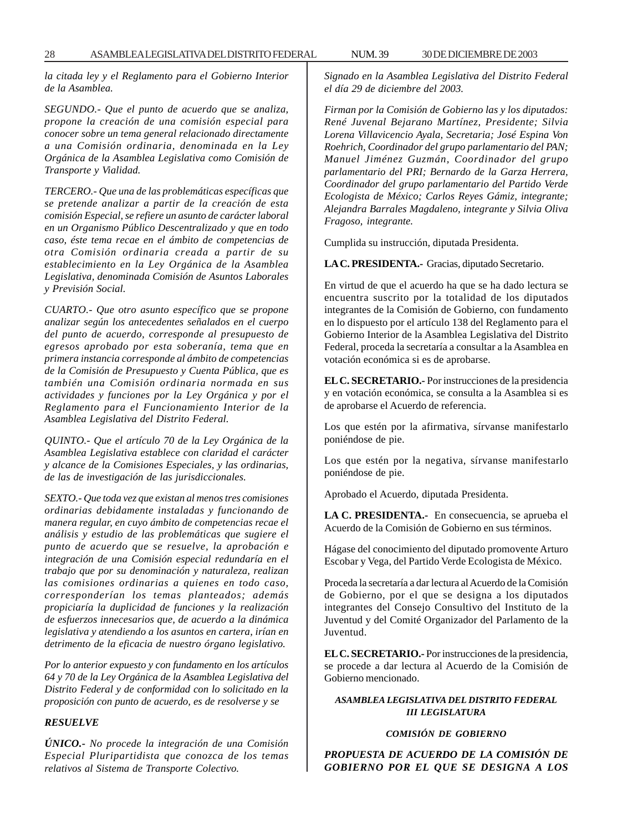*la citada ley y el Reglamento para el Gobierno Interior de la Asamblea.*

*SEGUNDO.- Que el punto de acuerdo que se analiza, propone la creación de una comisión especial para conocer sobre un tema general relacionado directamente a una Comisión ordinaria, denominada en la Ley Orgánica de la Asamblea Legislativa como Comisión de Transporte y Vialidad.*

*TERCERO.- Que una de las problemáticas específicas que se pretende analizar a partir de la creación de esta comisión Especial, se refiere un asunto de carácter laboral en un Organismo Público Descentralizado y que en todo caso, éste tema recae en el ámbito de competencias de otra Comisión ordinaria creada a partir de su establecimiento en la Ley Orgánica de la Asamblea Legislativa, denominada Comisión de Asuntos Laborales y Previsión Social.*

*CUARTO.- Que otro asunto específico que se propone analizar según los antecedentes señalados en el cuerpo del punto de acuerdo, corresponde al presupuesto de egresos aprobado por esta soberanía, tema que en primera instancia corresponde al ámbito de competencias de la Comisión de Presupuesto y Cuenta Pública, que es también una Comisión ordinaria normada en sus actividades y funciones por la Ley Orgánica y por el Reglamento para el Funcionamiento Interior de la Asamblea Legislativa del Distrito Federal.*

*QUINTO.- Que el artículo 70 de la Ley Orgánica de la Asamblea Legislativa establece con claridad el carácter y alcance de la Comisiones Especiales, y las ordinarias, de las de investigación de las jurisdiccionales.*

*SEXTO.- Que toda vez que existan al menos tres comisiones ordinarias debidamente instaladas y funcionando de manera regular, en cuyo ámbito de competencias recae el análisis y estudio de las problemáticas que sugiere el punto de acuerdo que se resuelve, la aprobación e integración de una Comisión especial redundaría en el trabajo que por su denominación y naturaleza, realizan las comisiones ordinarias a quienes en todo caso, corresponderían los temas planteados; además propiciaría la duplicidad de funciones y la realización de esfuerzos innecesarios que, de acuerdo a la dinámica legislativa y atendiendo a los asuntos en cartera, irían en detrimento de la eficacia de nuestro órgano legislativo.*

*Por lo anterior expuesto y con fundamento en los artículos 64 y 70 de la Ley Orgánica de la Asamblea Legislativa del Distrito Federal y de conformidad con lo solicitado en la proposición con punto de acuerdo, es de resolverse y se*

#### *RESUELVE*

*ÚNICO.- No procede la integración de una Comisión Especial Pluripartidista que conozca de los temas relativos al Sistema de Transporte Colectivo.*

*Signado en la Asamblea Legislativa del Distrito Federal el día 29 de diciembre del 2003.*

*Firman por la Comisión de Gobierno las y los diputados: René Juvenal Bejarano Martínez, Presidente; Silvia Lorena Villavicencio Ayala, Secretaria; José Espina Von Roehrich, Coordinador del grupo parlamentario del PAN; Manuel Jiménez Guzmán, Coordinador del grupo parlamentario del PRI; Bernardo de la Garza Herrera, Coordinador del grupo parlamentario del Partido Verde Ecologista de México; Carlos Reyes Gámiz, integrante; Alejandra Barrales Magdaleno, integrante y Silvia Oliva Fragoso, integrante.*

Cumplida su instrucción, diputada Presidenta.

**LA C. PRESIDENTA.-** Gracias, diputado Secretario.

En virtud de que el acuerdo ha que se ha dado lectura se encuentra suscrito por la totalidad de los diputados integrantes de la Comisión de Gobierno, con fundamento en lo dispuesto por el artículo 138 del Reglamento para el Gobierno Interior de la Asamblea Legislativa del Distrito Federal, proceda la secretaría a consultar a la Asamblea en votación económica si es de aprobarse.

**EL C. SECRETARIO.-** Por instrucciones de la presidencia y en votación económica, se consulta a la Asamblea si es de aprobarse el Acuerdo de referencia.

Los que estén por la afirmativa, sírvanse manifestarlo poniéndose de pie.

Los que estén por la negativa, sírvanse manifestarlo poniéndose de pie.

Aprobado el Acuerdo, diputada Presidenta.

**LA C. PRESIDENTA.-** En consecuencia, se aprueba el Acuerdo de la Comisión de Gobierno en sus términos.

Hágase del conocimiento del diputado promovente Arturo Escobar y Vega, del Partido Verde Ecologista de México.

Proceda la secretaría a dar lectura al Acuerdo de la Comisión de Gobierno, por el que se designa a los diputados integrantes del Consejo Consultivo del Instituto de la Juventud y del Comité Organizador del Parlamento de la Juventud.

**EL C. SECRETARIO.-** Por instrucciones de la presidencia, se procede a dar lectura al Acuerdo de la Comisión de Gobierno mencionado.

#### *ASAMBLEA LEGISLATIVA DEL DISTRITO FEDERAL III LEGISLATURA*

#### *COMISIÓN DE GOBIERNO*

*PROPUESTA DE ACUERDO DE LA COMISIÓN DE GOBIERNO POR EL QUE SE DESIGNA A LOS*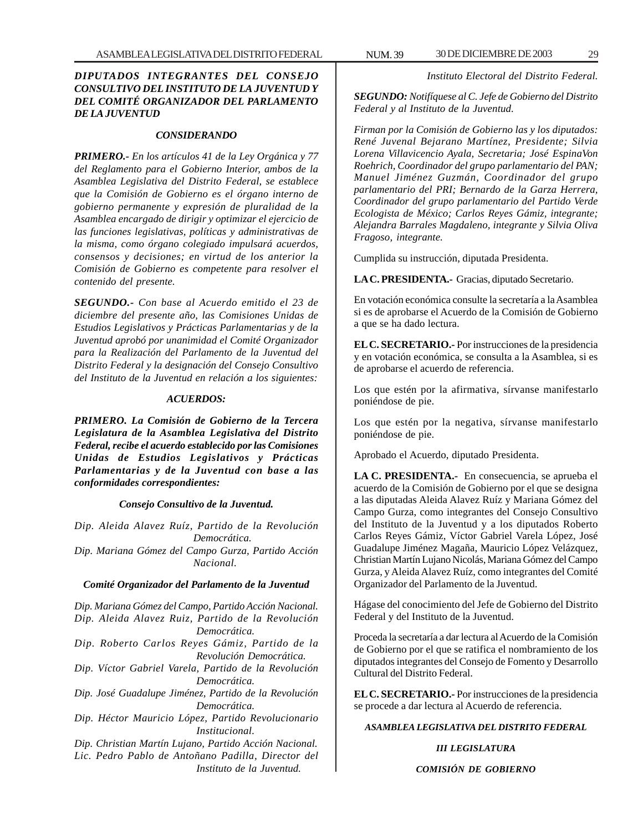#### *DIPUTADOS INTEGRANTES DEL CONSEJO CONSULTIVO DEL INSTITUTO DE LA JUVENTUD Y DEL COMITÉ ORGANIZADOR DEL PARLAMENTO DE LA JUVENTUD*

#### *CONSIDERANDO*

*PRIMERO.- En los artículos 41 de la Ley Orgánica y 77 del Reglamento para el Gobierno Interior, ambos de la Asamblea Legislativa del Distrito Federal, se establece que la Comisión de Gobierno es el órgano interno de gobierno permanente y expresión de pluralidad de la Asamblea encargado de dirigir y optimizar el ejercicio de las funciones legislativas, políticas y administrativas de la misma, como órgano colegiado impulsará acuerdos, consensos y decisiones; en virtud de los anterior la Comisión de Gobierno es competente para resolver el contenido del presente.*

*SEGUNDO.- Con base al Acuerdo emitido el 23 de diciembre del presente año, las Comisiones Unidas de Estudios Legislativos y Prácticas Parlamentarias y de la Juventud aprobó por unanimidad el Comité Organizador para la Realización del Parlamento de la Juventud del Distrito Federal y la designación del Consejo Consultivo del Instituto de la Juventud en relación a los siguientes:*

#### *ACUERDOS:*

*PRIMERO. La Comisión de Gobierno de la Tercera Legislatura de la Asamblea Legislativa del Distrito Federal, recibe el acuerdo establecido por las Comisiones Unidas de Estudios Legislativos y Prácticas Parlamentarias y de la Juventud con base a las conformidades correspondientes:*

#### *Consejo Consultivo de la Juventud.*

*Dip. Aleida Alavez Ruíz, Partido de la Revolución Democrática.*

*Dip. Mariana Gómez del Campo Gurza, Partido Acción Nacional.*

#### *Comité Organizador del Parlamento de la Juventud*

*Dip. Mariana Gómez del Campo, Partido Acción Nacional. Dip. Aleida Alavez Ruiz, Partido de la Revolución Democrática. Dip. Roberto Carlos Reyes Gámiz, Partido de la Revolución Democrática. Dip. Víctor Gabriel Varela, Partido de la Revolución Democrática. Dip. José Guadalupe Jiménez, Partido de la Revolución Democrática. Dip. Héctor Mauricio López, Partido Revolucionario Institucional. Dip. Christian Martín Lujano, Partido Acción Nacional. Lic. Pedro Pablo de Antoñano Padilla, Director del Instituto de la Juventud.*

*Instituto Electoral del Distrito Federal.*

*SEGUNDO: Notifíquese al C. Jefe de Gobierno del Distrito Federal y al Instituto de la Juventud.*

*Firman por la Comisión de Gobierno las y los diputados: René Juvenal Bejarano Martínez, Presidente; Silvia Lorena Villavicencio Ayala, Secretaria; José EspinaVon Roehrich, Coordinador del grupo parlamentario del PAN; Manuel Jiménez Guzmán, Coordinador del grupo parlamentario del PRI; Bernardo de la Garza Herrera, Coordinador del grupo parlamentario del Partido Verde Ecologista de México; Carlos Reyes Gámiz, integrante; Alejandra Barrales Magdaleno, integrante y Silvia Oliva Fragoso, integrante.*

Cumplida su instrucción, diputada Presidenta.

**LA C. PRESIDENTA.-** Gracias, diputado Secretario.

En votación económica consulte la secretaría a la Asamblea si es de aprobarse el Acuerdo de la Comisión de Gobierno a que se ha dado lectura.

**EL C. SECRETARIO.-** Por instrucciones de la presidencia y en votación económica, se consulta a la Asamblea, si es de aprobarse el acuerdo de referencia.

Los que estén por la afirmativa, sírvanse manifestarlo poniéndose de pie.

Los que estén por la negativa, sírvanse manifestarlo poniéndose de pie.

Aprobado el Acuerdo, diputado Presidenta.

**LA C. PRESIDENTA.-** En consecuencia, se aprueba el acuerdo de la Comisión de Gobierno por el que se designa a las diputadas Aleida Alavez Ruíz y Mariana Gómez del Campo Gurza, como integrantes del Consejo Consultivo del Instituto de la Juventud y a los diputados Roberto Carlos Reyes Gámiz, Víctor Gabriel Varela López, José Guadalupe Jiménez Magaña, Mauricio López Velázquez, Christian Martín Lujano Nicolás, Mariana Gómez del Campo Gurza, y Aleida Alavez Ruíz, como integrantes del Comité Organizador del Parlamento de la Juventud.

Hágase del conocimiento del Jefe de Gobierno del Distrito Federal y del Instituto de la Juventud.

Proceda la secretaría a dar lectura al Acuerdo de la Comisión de Gobierno por el que se ratifica el nombramiento de los diputados integrantes del Consejo de Fomento y Desarrollo Cultural del Distrito Federal.

**EL C. SECRETARIO.-** Por instrucciones de la presidencia se procede a dar lectura al Acuerdo de referencia.

#### *ASAMBLEA LEGISLATIVA DEL DISTRITO FEDERAL*

#### *III LEGISLATURA*

*COMISIÓN DE GOBIERNO*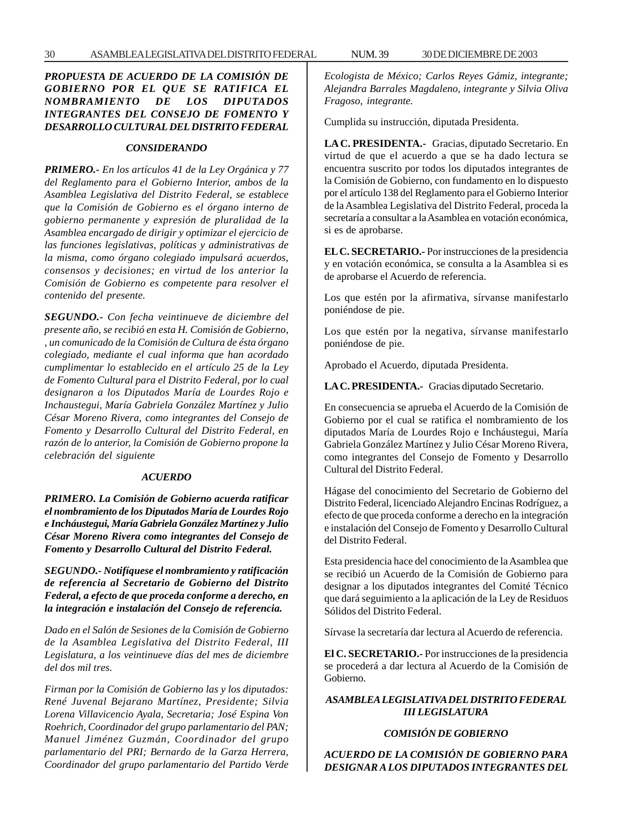#### *PROPUESTA DE ACUERDO DE LA COMISIÓN DE GOBIERNO POR EL QUE SE RATIFICA EL NOMBRAMIENTO DE LOS DIPUTADOS INTEGRANTES DEL CONSEJO DE FOMENTO Y DESARROLLO CULTURAL DEL DISTRITO FEDERAL*

#### *CONSIDERANDO*

*PRIMERO.- En los artículos 41 de la Ley Orgánica y 77 del Reglamento para el Gobierno Interior, ambos de la Asamblea Legislativa del Distrito Federal, se establece que la Comisión de Gobierno es el órgano interno de gobierno permanente y expresión de pluralidad de la Asamblea encargado de dirigir y optimizar el ejercicio de las funciones legislativas, políticas y administrativas de la misma, como órgano colegiado impulsará acuerdos, consensos y decisiones; en virtud de los anterior la Comisión de Gobierno es competente para resolver el contenido del presente.*

*SEGUNDO.- Con fecha veintinueve de diciembre del presente año, se recibió en esta H. Comisión de Gobierno, , un comunicado de la Comisión de Cultura de ésta órgano colegiado, mediante el cual informa que han acordado cumplimentar lo establecido en el artículo 25 de la Ley de Fomento Cultural para el Distrito Federal, por lo cual designaron a los Diputados María de Lourdes Rojo e Inchaustegui, María Gabriela González Martínez y Julio César Moreno Rivera, como integrantes del Consejo de Fomento y Desarrollo Cultural del Distrito Federal, en razón de lo anterior, la Comisión de Gobierno propone la celebración del siguiente*

#### *ACUERDO*

*PRIMERO. La Comisión de Gobierno acuerda ratificar el nombramiento de los Diputados María de Lourdes Rojo e Incháustegui, María Gabriela González Martínez y Julio César Moreno Rivera como integrantes del Consejo de Fomento y Desarrollo Cultural del Distrito Federal.*

*SEGUNDO.- Notifíquese el nombramiento y ratificación de referencia al Secretario de Gobierno del Distrito Federal, a efecto de que proceda conforme a derecho, en la integración e instalación del Consejo de referencia.*

*Dado en el Salón de Sesiones de la Comisión de Gobierno de la Asamblea Legislativa del Distrito Federal, III Legislatura, a los veintinueve días del mes de diciembre del dos mil tres.*

*Firman por la Comisión de Gobierno las y los diputados: René Juvenal Bejarano Martínez, Presidente; Silvia Lorena Villavicencio Ayala, Secretaria; José Espina Von Roehrich, Coordinador del grupo parlamentario del PAN; Manuel Jiménez Guzmán, Coordinador del grupo parlamentario del PRI; Bernardo de la Garza Herrera, Coordinador del grupo parlamentario del Partido Verde* *Ecologista de México; Carlos Reyes Gámiz, integrante; Alejandra Barrales Magdaleno, integrante y Silvia Oliva Fragoso, integrante.*

Cumplida su instrucción, diputada Presidenta.

**LA C. PRESIDENTA.-** Gracias, diputado Secretario. En virtud de que el acuerdo a que se ha dado lectura se encuentra suscrito por todos los diputados integrantes de la Comisión de Gobierno, con fundamento en lo dispuesto por el artículo 138 del Reglamento para el Gobierno Interior de la Asamblea Legislativa del Distrito Federal, proceda la secretaría a consultar a la Asamblea en votación económica, si es de aprobarse.

**EL C. SECRETARIO.-** Por instrucciones de la presidencia y en votación económica, se consulta a la Asamblea si es de aprobarse el Acuerdo de referencia.

Los que estén por la afirmativa, sírvanse manifestarlo poniéndose de pie.

Los que estén por la negativa, sírvanse manifestarlo poniéndose de pie.

Aprobado el Acuerdo, diputada Presidenta.

**LA C. PRESIDENTA.-** Gracias diputado Secretario.

En consecuencia se aprueba el Acuerdo de la Comisión de Gobierno por el cual se ratifica el nombramiento de los diputados María de Lourdes Rojo e Incháustegui, María Gabriela González Martínez y Julio César Moreno Rivera, como integrantes del Consejo de Fomento y Desarrollo Cultural del Distrito Federal.

Hágase del conocimiento del Secretario de Gobierno del Distrito Federal, licenciado Alejandro Encinas Rodríguez, a efecto de que proceda conforme a derecho en la integración e instalación del Consejo de Fomento y Desarrollo Cultural del Distrito Federal.

Esta presidencia hace del conocimiento de la Asamblea que se recibió un Acuerdo de la Comisión de Gobierno para designar a los diputados integrantes del Comité Técnico que dará seguimiento a la aplicación de la Ley de Residuos Sólidos del Distrito Federal.

Sírvase la secretaría dar lectura al Acuerdo de referencia.

**El C. SECRETARIO.-** Por instrucciones de la presidencia se procederá a dar lectura al Acuerdo de la Comisión de Gobierno.

#### *ASAMBLEA LEGISLATIVA DEL DISTRITO FEDERAL III LEGISLATURA*

#### *COMISIÓN DE GOBIERNO*

*ACUERDO DE LA COMISIÓN DE GOBIERNO PARA DESIGNAR A LOS DIPUTADOS INTEGRANTES DEL*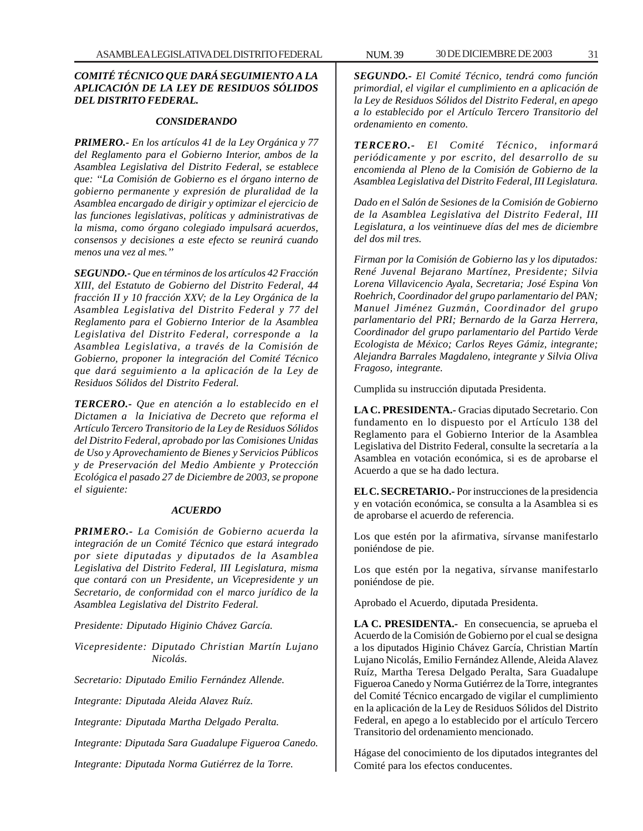#### *COMITÉ TÉCNICO QUE DARÁ SEGUIMIENTO A LA APLICACIÓN DE LA LEY DE RESIDUOS SÓLIDOS DEL DISTRITO FEDERAL.*

#### *CONSIDERANDO*

*PRIMERO.- En los artículos 41 de la Ley Orgánica y 77 del Reglamento para el Gobierno Interior, ambos de la Asamblea Legislativa del Distrito Federal, se establece que: ''La Comisión de Gobierno es el órgano interno de gobierno permanente y expresión de pluralidad de la Asamblea encargado de dirigir y optimizar el ejercicio de las funciones legislativas, políticas y administrativas de la misma, como órgano colegiado impulsará acuerdos, consensos y decisiones a este efecto se reunirá cuando menos una vez al mes.''*

*SEGUNDO.- Que en términos de los artículos 42 Fracción XIII, del Estatuto de Gobierno del Distrito Federal, 44 fracción II y 10 fracción XXV; de la Ley Orgánica de la Asamblea Legislativa del Distrito Federal y 77 del Reglamento para el Gobierno Interior de la Asamblea Legislativa del Distrito Federal, corresponde a la Asamblea Legislativa, a través de la Comisión de Gobierno, proponer la integración del Comité Técnico que dará seguimiento a la aplicación de la Ley de Residuos Sólidos del Distrito Federal.*

*TERCERO.- Que en atención a lo establecido en el Dictamen a la Iniciativa de Decreto que reforma el Artículo Tercero Transitorio de la Ley de Residuos Sólidos del Distrito Federal, aprobado por las Comisiones Unidas de Uso y Aprovechamiento de Bienes y Servicios Públicos y de Preservación del Medio Ambiente y Protección Ecológica el pasado 27 de Diciembre de 2003, se propone el siguiente:*

#### *ACUERDO*

*PRIMERO.- La Comisión de Gobierno acuerda la integración de un Comité Técnico que estará integrado por siete diputadas y diputados de la Asamblea Legislativa del Distrito Federal, III Legislatura, misma que contará con un Presidente, un Vicepresidente y un Secretario, de conformidad con el marco jurídico de la Asamblea Legislativa del Distrito Federal.*

*Presidente: Diputado Higinio Chávez García.*

*Vicepresidente: Diputado Christian Martín Lujano Nicolás.*

*Secretario: Diputado Emilio Fernández Allende.*

*Integrante: Diputada Aleida Alavez Ruíz.*

*Integrante: Diputada Martha Delgado Peralta.*

*Integrante: Diputada Sara Guadalupe Figueroa Canedo.*

*Integrante: Diputada Norma Gutiérrez de la Torre.*

*SEGUNDO.- El Comité Técnico, tendrá como función primordial, el vigilar el cumplimiento en a aplicación de la Ley de Residuos Sólidos del Distrito Federal, en apego a lo establecido por el Artículo Tercero Transitorio del ordenamiento en comento.*

*TERCERO.- El Comité Técnico, informará periódicamente y por escrito, del desarrollo de su encomienda al Pleno de la Comisión de Gobierno de la Asamblea Legislativa del Distrito Federal, III Legislatura.*

*Dado en el Salón de Sesiones de la Comisión de Gobierno de la Asamblea Legislativa del Distrito Federal, III Legislatura, a los veintinueve días del mes de diciembre del dos mil tres.*

*Firman por la Comisión de Gobierno las y los diputados: René Juvenal Bejarano Martínez, Presidente; Silvia Lorena Villavicencio Ayala, Secretaria; José Espina Von Roehrich, Coordinador del grupo parlamentario del PAN; Manuel Jiménez Guzmán, Coordinador del grupo parlamentario del PRI; Bernardo de la Garza Herrera, Coordinador del grupo parlamentario del Partido Verde Ecologista de México; Carlos Reyes Gámiz, integrante; Alejandra Barrales Magdaleno, integrante y Silvia Oliva Fragoso, integrante.*

Cumplida su instrucción diputada Presidenta.

**LA C. PRESIDENTA.-** Gracias diputado Secretario. Con fundamento en lo dispuesto por el Artículo 138 del Reglamento para el Gobierno Interior de la Asamblea Legislativa del Distrito Federal, consulte la secretaría a la Asamblea en votación económica, si es de aprobarse el Acuerdo a que se ha dado lectura.

**EL C. SECRETARIO.-** Por instrucciones de la presidencia y en votación económica, se consulta a la Asamblea si es de aprobarse el acuerdo de referencia.

Los que estén por la afirmativa, sírvanse manifestarlo poniéndose de pie.

Los que estén por la negativa, sírvanse manifestarlo poniéndose de pie.

Aprobado el Acuerdo, diputada Presidenta.

**LA C. PRESIDENTA.-** En consecuencia, se aprueba el Acuerdo de la Comisión de Gobierno por el cual se designa a los diputados Higinio Chávez García, Christian Martín Lujano Nicolás, Emilio Fernández Allende, Aleida Alavez Ruíz, Martha Teresa Delgado Peralta, Sara Guadalupe Figueroa Canedo y Norma Gutiérrez de la Torre, integrantes del Comité Técnico encargado de vigilar el cumplimiento en la aplicación de la Ley de Residuos Sólidos del Distrito Federal, en apego a lo establecido por el artículo Tercero Transitorio del ordenamiento mencionado.

Hágase del conocimiento de los diputados integrantes del Comité para los efectos conducentes.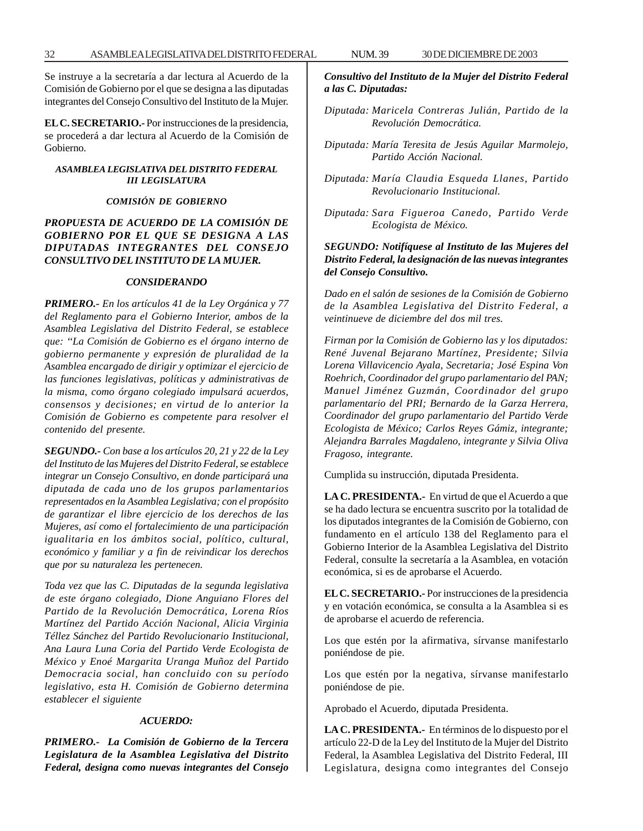Se instruye a la secretaría a dar lectura al Acuerdo de la Comisión de Gobierno por el que se designa a las diputadas integrantes del Consejo Consultivo del Instituto de la Mujer.

**EL C. SECRETARIO.-** Por instrucciones de la presidencia, se procederá a dar lectura al Acuerdo de la Comisión de Gobierno.

#### *ASAMBLEA LEGISLATIVA DEL DISTRITO FEDERAL III LEGISLATURA*

#### *COMISIÓN DE GOBIERNO*

#### *PROPUESTA DE ACUERDO DE LA COMISIÓN DE GOBIERNO POR EL QUE SE DESIGNA A LAS DIPUTADAS INTEGRANTES DEL CONSEJO CONSULTIVO DEL INSTITUTO DE LA MUJER.*

#### *CONSIDERANDO*

*PRIMERO.- En los artículos 41 de la Ley Orgánica y 77 del Reglamento para el Gobierno Interior, ambos de la Asamblea Legislativa del Distrito Federal, se establece que: ''La Comisión de Gobierno es el órgano interno de gobierno permanente y expresión de pluralidad de la Asamblea encargado de dirigir y optimizar el ejercicio de las funciones legislativas, políticas y administrativas de la misma, como órgano colegiado impulsará acuerdos, consensos y decisiones; en virtud de lo anterior la Comisión de Gobierno es competente para resolver el contenido del presente.*

*SEGUNDO.- Con base a los artículos 20, 21 y 22 de la Ley del Instituto de las Mujeres del Distrito Federal, se establece integrar un Consejo Consultivo, en donde participará una diputada de cada uno de los grupos parlamentarios representados en la Asamblea Legislativa; con el propósito de garantizar el libre ejercicio de los derechos de las Mujeres, así como el fortalecimiento de una participación igualitaria en los ámbitos social, político, cultural, económico y familiar y a fin de reivindicar los derechos que por su naturaleza les pertenecen.*

*Toda vez que las C. Diputadas de la segunda legislativa de este órgano colegiado, Dione Anguiano Flores del Partido de la Revolución Democrática, Lorena Ríos Martínez del Partido Acción Nacional, Alicia Virginia Téllez Sánchez del Partido Revolucionario Institucional, Ana Laura Luna Coria del Partido Verde Ecologista de México y Enoé Margarita Uranga Muñoz del Partido Democracia social, han concluido con su período legislativo, esta H. Comisión de Gobierno determina establecer el siguiente*

#### *ACUERDO:*

*PRIMERO.- La Comisión de Gobierno de la Tercera Legislatura de la Asamblea Legislativa del Distrito Federal, designa como nuevas integrantes del Consejo*

#### *Consultivo del Instituto de la Mujer del Distrito Federal a las C. Diputadas:*

- *Diputada: Maricela Contreras Julián, Partido de la Revolución Democrática.*
- *Diputada: María Teresita de Jesús Aguilar Marmolejo, Partido Acción Nacional.*
- *Diputada: María Claudia Esqueda Llanes, Partido Revolucionario Institucional.*
- *Diputada: Sara Figueroa Canedo, Partido Verde Ecologista de México.*

#### *SEGUNDO: Notifíquese al Instituto de las Mujeres del Distrito Federal, la designación de las nuevas integrantes del Consejo Consultivo.*

*Dado en el salón de sesiones de la Comisión de Gobierno de la Asamblea Legislativa del Distrito Federal, a veintinueve de diciembre del dos mil tres.*

*Firman por la Comisión de Gobierno las y los diputados: René Juvenal Bejarano Martínez, Presidente; Silvia Lorena Villavicencio Ayala, Secretaria; José Espina Von Roehrich, Coordinador del grupo parlamentario del PAN; Manuel Jiménez Guzmán, Coordinador del grupo parlamentario del PRI; Bernardo de la Garza Herrera, Coordinador del grupo parlamentario del Partido Verde Ecologista de México; Carlos Reyes Gámiz, integrante; Alejandra Barrales Magdaleno, integrante y Silvia Oliva Fragoso, integrante.*

Cumplida su instrucción, diputada Presidenta.

**LA C. PRESIDENTA.-** En virtud de que el Acuerdo a que se ha dado lectura se encuentra suscrito por la totalidad de los diputados integrantes de la Comisión de Gobierno, con fundamento en el artículo 138 del Reglamento para el Gobierno Interior de la Asamblea Legislativa del Distrito Federal, consulte la secretaría a la Asamblea, en votación económica, si es de aprobarse el Acuerdo.

**EL C. SECRETARIO.-** Por instrucciones de la presidencia y en votación económica, se consulta a la Asamblea si es de aprobarse el acuerdo de referencia.

Los que estén por la afirmativa, sírvanse manifestarlo poniéndose de pie.

Los que estén por la negativa, sírvanse manifestarlo poniéndose de pie.

Aprobado el Acuerdo, diputada Presidenta.

**LA C. PRESIDENTA.-** En términos de lo dispuesto por el artículo 22-D de la Ley del Instituto de la Mujer del Distrito Federal, la Asamblea Legislativa del Distrito Federal, III Legislatura, designa como integrantes del Consejo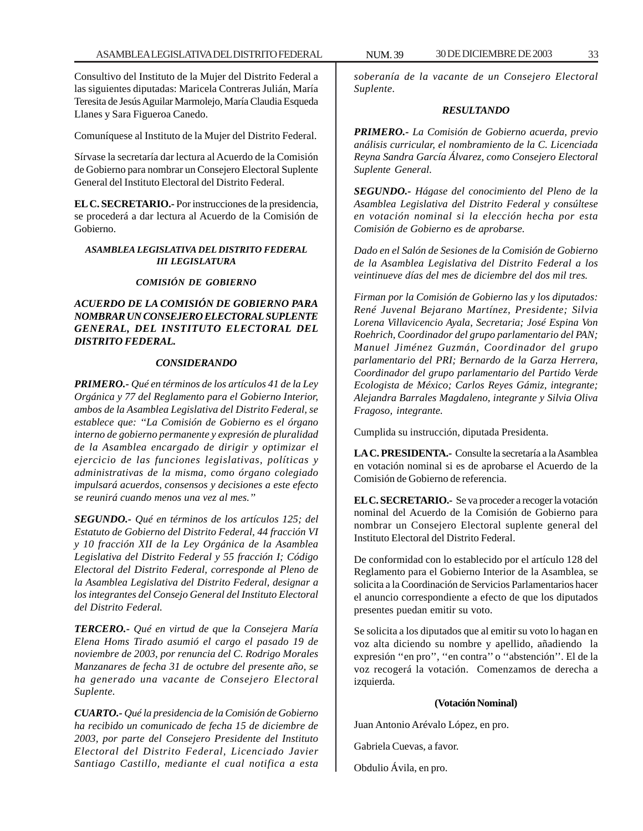Consultivo del Instituto de la Mujer del Distrito Federal a las siguientes diputadas: Maricela Contreras Julián, María Teresita de Jesús Aguilar Marmolejo, María Claudia Esqueda Llanes y Sara Figueroa Canedo.

Comuníquese al Instituto de la Mujer del Distrito Federal.

Sírvase la secretaría dar lectura al Acuerdo de la Comisión de Gobierno para nombrar un Consejero Electoral Suplente General del Instituto Electoral del Distrito Federal.

**EL C. SECRETARIO.-** Por instrucciones de la presidencia, se procederá a dar lectura al Acuerdo de la Comisión de Gobierno.

#### *ASAMBLEA LEGISLATIVA DEL DISTRITO FEDERAL III LEGISLATURA*

#### *COMISIÓN DE GOBIERNO*

#### *ACUERDO DE LA COMISIÓN DE GOBIERNO PARA NOMBRAR UN CONSEJERO ELECTORAL SUPLENTE GENERAL, DEL INSTITUTO ELECTORAL DEL DISTRITO FEDERAL.*

#### *CONSIDERANDO*

*PRIMERO.- Qué en términos de los artículos 41 de la Ley Orgánica y 77 del Reglamento para el Gobierno Interior, ambos de la Asamblea Legislativa del Distrito Federal, se establece que: ''La Comisión de Gobierno es el órgano interno de gobierno permanente y expresión de pluralidad de la Asamblea encargado de dirigir y optimizar el ejercicio de las funciones legislativas, políticas y administrativas de la misma, como órgano colegiado impulsará acuerdos, consensos y decisiones a este efecto se reunirá cuando menos una vez al mes.''*

*SEGUNDO.- Qué en términos de los artículos 125; del Estatuto de Gobierno del Distrito Federal, 44 fracción VI y 10 fracción XII de la Ley Orgánica de la Asamblea Legislativa del Distrito Federal y 55 fracción I; Código Electoral del Distrito Federal, corresponde al Pleno de la Asamblea Legislativa del Distrito Federal, designar a los integrantes del Consejo General del Instituto Electoral del Distrito Federal.*

*TERCERO.- Qué en virtud de que la Consejera María Elena Homs Tirado asumió el cargo el pasado 19 de noviembre de 2003, por renuncia del C. Rodrigo Morales Manzanares de fecha 31 de octubre del presente año, se ha generado una vacante de Consejero Electoral Suplente.*

*CUARTO.- Qué la presidencia de la Comisión de Gobierno ha recibido un comunicado de fecha 15 de diciembre de 2003, por parte del Consejero Presidente del Instituto Electoral del Distrito Federal, Licenciado Javier Santiago Castillo, mediante el cual notifica a esta*

*soberanía de la vacante de un Consejero Electoral Suplente.*

#### *RESULTANDO*

*PRIMERO.- La Comisión de Gobierno acuerda, previo análisis curricular, el nombramiento de la C. Licenciada Reyna Sandra García Álvarez, como Consejero Electoral Suplente General.*

*SEGUNDO.- Hágase del conocimiento del Pleno de la Asamblea Legislativa del Distrito Federal y consúltese en votación nominal si la elección hecha por esta Comisión de Gobierno es de aprobarse.*

*Dado en el Salón de Sesiones de la Comisión de Gobierno de la Asamblea Legislativa del Distrito Federal a los veintinueve días del mes de diciembre del dos mil tres.*

*Firman por la Comisión de Gobierno las y los diputados: René Juvenal Bejarano Martínez, Presidente; Silvia Lorena Villavicencio Ayala, Secretaria; José Espina Von Roehrich, Coordinador del grupo parlamentario del PAN; Manuel Jiménez Guzmán, Coordinador del grupo parlamentario del PRI; Bernardo de la Garza Herrera, Coordinador del grupo parlamentario del Partido Verde Ecologista de México; Carlos Reyes Gámiz, integrante; Alejandra Barrales Magdaleno, integrante y Silvia Oliva Fragoso, integrante.*

Cumplida su instrucción, diputada Presidenta.

**LA C. PRESIDENTA.-** Consulte la secretaría a la Asamblea en votación nominal si es de aprobarse el Acuerdo de la Comisión de Gobierno de referencia.

**EL C. SECRETARIO.-** Se va proceder a recoger la votación nominal del Acuerdo de la Comisión de Gobierno para nombrar un Consejero Electoral suplente general del Instituto Electoral del Distrito Federal.

De conformidad con lo establecido por el artículo 128 del Reglamento para el Gobierno Interior de la Asamblea, se solicita a la Coordinación de Servicios Parlamentarios hacer el anuncio correspondiente a efecto de que los diputados presentes puedan emitir su voto.

Se solicita a los diputados que al emitir su voto lo hagan en voz alta diciendo su nombre y apellido, añadiendo la expresión ''en pro'', ''en contra'' o ''abstención''. El de la voz recogerá la votación. Comenzamos de derecha a izquierda.

#### **(Votación Nominal)**

Juan Antonio Arévalo López, en pro.

Gabriela Cuevas, a favor.

Obdulio Ávila, en pro.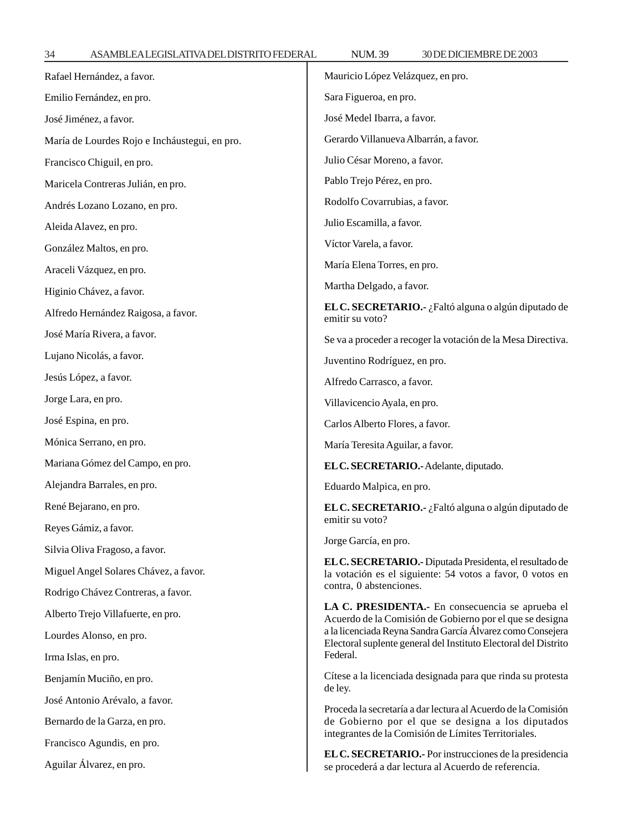34 ASAMBLEA LEGISLATIVA DEL DISTRITO FEDERAL NUM. 39 30 DE DICIEMBRE DE 2003

| Rafael Hernández, a favor.                             | Mauricio López Velázquez, en pro.                                                                                                                                                                                                             |  |
|--------------------------------------------------------|-----------------------------------------------------------------------------------------------------------------------------------------------------------------------------------------------------------------------------------------------|--|
| Emilio Fernández, en pro.                              | Sara Figueroa, en pro.                                                                                                                                                                                                                        |  |
| José Jiménez, a favor.                                 | José Medel Ibarra, a favor.                                                                                                                                                                                                                   |  |
| María de Lourdes Rojo e Incháustegui, en pro.          | Gerardo Villanueva Albarrán, a favor.                                                                                                                                                                                                         |  |
| Francisco Chiguil, en pro.                             | Julio César Moreno, a favor.                                                                                                                                                                                                                  |  |
| Maricela Contreras Julián, en pro.                     | Pablo Trejo Pérez, en pro.                                                                                                                                                                                                                    |  |
| Andrés Lozano Lozano, en pro.                          | Rodolfo Covarrubias, a favor.                                                                                                                                                                                                                 |  |
| Aleida Alavez, en pro.                                 | Julio Escamilla, a favor.                                                                                                                                                                                                                     |  |
| González Maltos, en pro.                               | Víctor Varela, a favor.                                                                                                                                                                                                                       |  |
| Araceli Vázquez, en pro.                               | María Elena Torres, en pro.                                                                                                                                                                                                                   |  |
| Higinio Chávez, a favor.                               | Martha Delgado, a favor.                                                                                                                                                                                                                      |  |
| Alfredo Hernández Raigosa, a favor.                    | EL C. SECRETARIO.- ¿Faltó alguna o algún diputado de<br>emitir su voto?                                                                                                                                                                       |  |
| José María Rivera, a favor.                            | Se va a proceder a recoger la votación de la Mesa Directiva.                                                                                                                                                                                  |  |
| Lujano Nicolás, a favor.                               | Juventino Rodríguez, en pro.                                                                                                                                                                                                                  |  |
| Jesús López, a favor.                                  | Alfredo Carrasco, a favor.                                                                                                                                                                                                                    |  |
| Jorge Lara, en pro.                                    | Villavicencio Ayala, en pro.                                                                                                                                                                                                                  |  |
| José Espina, en pro.                                   | Carlos Alberto Flores, a favor.                                                                                                                                                                                                               |  |
| Mónica Serrano, en pro.                                | María Teresita Aguilar, a favor.                                                                                                                                                                                                              |  |
| Mariana Gómez del Campo, en pro.                       | EL C. SECRETARIO.- Adelante, diputado.                                                                                                                                                                                                        |  |
| Alejandra Barrales, en pro.                            | Eduardo Malpica, en pro.                                                                                                                                                                                                                      |  |
| René Bejarano, en pro.                                 | EL C. SECRETARIO.- ¿Faltó alguna o algún diputado de                                                                                                                                                                                          |  |
| Reyes Gámiz, a favor.                                  | emitir su voto?                                                                                                                                                                                                                               |  |
| Silvia Oliva Fragoso, a favor.                         | Jorge García, en pro.                                                                                                                                                                                                                         |  |
| Miguel Angel Solares Chávez, a favor.                  | EL C. SECRETARIO.- Diputada Presidenta, el resultado de<br>la votación es el siguiente: 54 votos a favor, 0 votos en<br>contra, 0 abstenciones.                                                                                               |  |
| Rodrigo Chávez Contreras, a favor.                     |                                                                                                                                                                                                                                               |  |
| Alberto Trejo Villafuerte, en pro.                     | LA C. PRESIDENTA.- En consecuencia se aprueba el<br>Acuerdo de la Comisión de Gobierno por el que se designa<br>a la licenciada Reyna Sandra García Álvarez como Consejera<br>Electoral suplente general del Instituto Electoral del Distrito |  |
| Lourdes Alonso, en pro.                                |                                                                                                                                                                                                                                               |  |
| Irma Islas, en pro.                                    | Federal.                                                                                                                                                                                                                                      |  |
| Benjamín Muciño, en pro.                               | Cítese a la licenciada designada para que rinda su protesta<br>de ley.                                                                                                                                                                        |  |
| José Antonio Arévalo, a favor.                         | Proceda la secretaría a dar lectura al Acuerdo de la Comisión                                                                                                                                                                                 |  |
| Bernardo de la Garza, en pro.                          | de Gobierno por el que se designa a los diputados<br>integrantes de la Comisión de Límites Territoriales.                                                                                                                                     |  |
| Francisco Agundis, en pro.<br>Aguilar Álvarez, en pro. | EL C. SECRETARIO.- Por instrucciones de la presidencia<br>se procederá a dar lectura al Acuerdo de referencia.                                                                                                                                |  |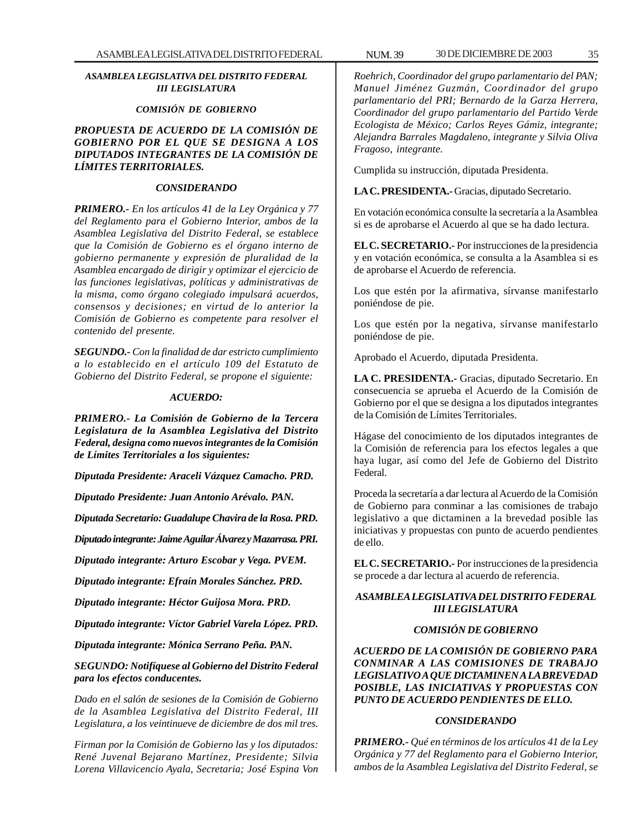#### *ASAMBLEA LEGISLATIVA DEL DISTRITO FEDERAL III LEGISLATURA*

#### *COMISIÓN DE GOBIERNO*

*PROPUESTA DE ACUERDO DE LA COMISIÓN DE GOBIERNO POR EL QUE SE DESIGNA A LOS DIPUTADOS INTEGRANTES DE LA COMISIÓN DE LÍMITES TERRITORIALES.*

#### *CONSIDERANDO*

*PRIMERO.- En los artículos 41 de la Ley Orgánica y 77 del Reglamento para el Gobierno Interior, ambos de la Asamblea Legislativa del Distrito Federal, se establece que la Comisión de Gobierno es el órgano interno de gobierno permanente y expresión de pluralidad de la Asamblea encargado de dirigir y optimizar el ejercicio de las funciones legislativas, políticas y administrativas de la misma, como órgano colegiado impulsará acuerdos, consensos y decisiones; en virtud de lo anterior la Comisión de Gobierno es competente para resolver el contenido del presente.*

*SEGUNDO.- Con la finalidad de dar estricto cumplimiento a lo establecido en el artículo 109 del Estatuto de Gobierno del Distrito Federal, se propone el siguiente:*

#### *ACUERDO:*

*PRIMERO.- La Comisión de Gobierno de la Tercera Legislatura de la Asamblea Legislativa del Distrito Federal, designa como nuevos integrantes de la Comisión de Límites Territoriales a los siguientes:*

*Diputada Presidente: Araceli Vázquez Camacho. PRD.*

*Diputado Presidente: Juan Antonio Arévalo. PAN.*

*Diputada Secretario: Guadalupe Chavira de la Rosa. PRD.*

*Diputado integrante: Jaime Aguilar Álvarez y Mazarrasa. PRI.*

*Diputado integrante: Arturo Escobar y Vega. PVEM.*

*Diputado integrante: Efraín Morales Sánchez. PRD.*

*Diputado integrante: Héctor Guijosa Mora. PRD.*

*Diputado integrante: Víctor Gabriel Varela López. PRD.*

*Diputada integrante: Mónica Serrano Peña. PAN.*

*SEGUNDO: Notifíquese al Gobierno del Distrito Federal para los efectos conducentes.*

*Dado en el salón de sesiones de la Comisión de Gobierno de la Asamblea Legislativa del Distrito Federal, III Legislatura, a los veintinueve de diciembre de dos mil tres.*

*Firman por la Comisión de Gobierno las y los diputados: René Juvenal Bejarano Martínez, Presidente; Silvia Lorena Villavicencio Ayala, Secretaria; José Espina Von*

*Roehrich, Coordinador del grupo parlamentario del PAN; Manuel Jiménez Guzmán, Coordinador del grupo parlamentario del PRI; Bernardo de la Garza Herrera, Coordinador del grupo parlamentario del Partido Verde Ecologista de México; Carlos Reyes Gámiz, integrante; Alejandra Barrales Magdaleno, integrante y Silvia Oliva Fragoso, integrante.*

Cumplida su instrucción, diputada Presidenta.

**LA C. PRESIDENTA.-** Gracias, diputado Secretario.

En votación económica consulte la secretaría a la Asamblea si es de aprobarse el Acuerdo al que se ha dado lectura.

**EL C. SECRETARIO.-** Por instrucciones de la presidencia y en votación económica, se consulta a la Asamblea si es de aprobarse el Acuerdo de referencia.

Los que estén por la afirmativa, sírvanse manifestarlo poniéndose de pie.

Los que estén por la negativa, sírvanse manifestarlo poniéndose de pie.

Aprobado el Acuerdo, diputada Presidenta.

**LA C. PRESIDENTA.-** Gracias, diputado Secretario. En consecuencia se aprueba el Acuerdo de la Comisión de Gobierno por el que se designa a los diputados integrantes de la Comisión de Límites Territoriales.

Hágase del conocimiento de los diputados integrantes de la Comisión de referencia para los efectos legales a que haya lugar, así como del Jefe de Gobierno del Distrito Federal.

Proceda la secretaría a dar lectura al Acuerdo de la Comisión de Gobierno para conminar a las comisiones de trabajo legislativo a que dictaminen a la brevedad posible las iniciativas y propuestas con punto de acuerdo pendientes de ello.

**EL C. SECRETARIO.-** Por instrucciones de la presidencia se procede a dar lectura al acuerdo de referencia.

#### *ASAMBLEA LEGISLATIVA DEL DISTRITO FEDERAL III LEGISLATURA*

#### *COMISIÓN DE GOBIERNO*

*ACUERDO DE LA COMISIÓN DE GOBIERNO PARA CONMINAR A LAS COMISIONES DE TRABAJO LEGISLATIVO A QUE DICTAMINEN A LA BREVEDAD POSIBLE, LAS INICIATIVAS Y PROPUESTAS CON PUNTO DE ACUERDO PENDIENTES DE ELLO.*

#### *CONSIDERANDO*

*PRIMERO.- Qué en términos de los artículos 41 de la Ley Orgánica y 77 del Reglamento para el Gobierno Interior, ambos de la Asamblea Legislativa del Distrito Federal, se*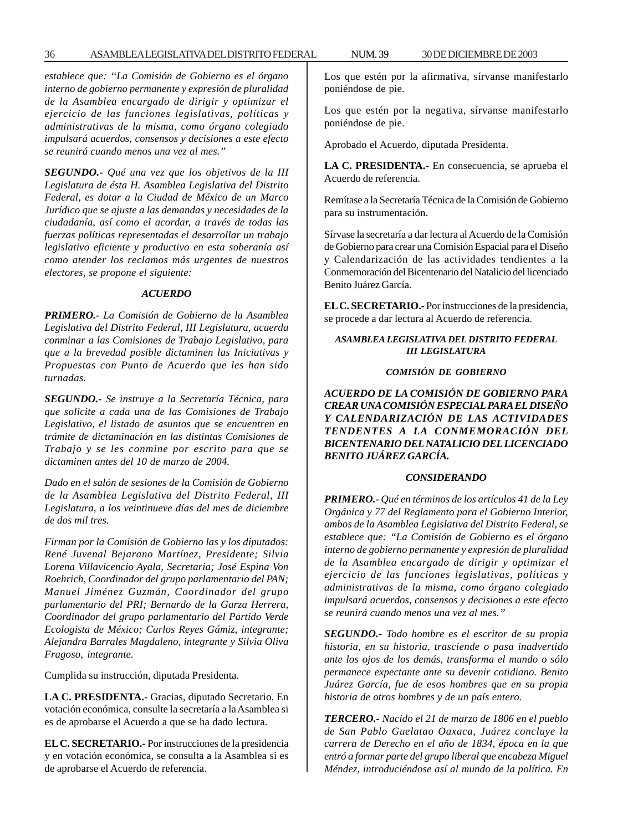*establece que: ''La Comisión de Gobierno es el órgano interno de gobierno permanente y expresión de pluralidad de la Asamblea encargado de dirigir y optimizar el ejercicio de las funciones legislativas, políticas y administrativas de la misma, como órgano colegiado impulsará acuerdos, consensos y decisiones a este efecto se reunirá cuando menos una vez al mes.''*

*SEGUNDO.- Qué una vez que los objetivos de la III Legislatura de ésta H. Asamblea Legislativa del Distrito Federal, es dotar a la Ciudad de México de un Marco Jurídico que se ajuste a las demandas y necesidades de la ciudadanía, así como el acordar, a través de todas las fuerzas políticas representadas el desarrollar un trabajo legislativo eficiente y productivo en esta soberanía así como atender los reclamos más urgentes de nuestros electores, se propone el siguiente:*

#### *ACUERDO*

*PRIMERO.- La Comisión de Gobierno de la Asamblea Legislativa del Distrito Federal, III Legislatura, acuerda conminar a las Comisiones de Trabajo Legislativo, para que a la brevedad posible dictaminen las Iniciativas y Propuestas con Punto de Acuerdo que les han sido turnadas.*

*SEGUNDO.- Se instruye a la Secretaría Técnica, para que solicite a cada una de las Comisiones de Trabajo Legislativo, el listado de asuntos que se encuentren en trámite de dictaminación en las distintas Comisiones de Trabajo y se les conmine por escrito para que se dictaminen antes del 10 de marzo de 2004.*

*Dado en el salón de sesiones de la Comisión de Gobierno de la Asamblea Legislativa del Distrito Federal, III Legislatura, a los veintinueve días del mes de diciembre de dos mil tres.*

*Firman por la Comisión de Gobierno las y los diputados: René Juvenal Bejarano Martínez, Presidente; Silvia Lorena Villavicencio Ayala, Secretaria; José Espina Von Roehrich, Coordinador del grupo parlamentario del PAN; Manuel Jiménez Guzmán, Coordinador del grupo parlamentario del PRI; Bernardo de la Garza Herrera, Coordinador del grupo parlamentario del Partido Verde Ecologista de México; Carlos Reyes Gámiz, integrante; Alejandra Barrales Magdaleno, integrante y Silvia Oliva Fragoso, integrante.*

Cumplida su instrucción, diputada Presidenta.

**LA C. PRESIDENTA.-** Gracias, diputado Secretario. En votación económica, consulte la secretaría a la Asamblea si es de aprobarse el Acuerdo a que se ha dado lectura.

**EL C. SECRETARIO.-** Por instrucciones de la presidencia y en votación económica, se consulta a la Asamblea si es de aprobarse el Acuerdo de referencia.

Los que estén por la afirmativa, sírvanse manifestarlo poniéndose de pie.

Los que estén por la negativa, sírvanse manifestarlo poniéndose de pie.

Aprobado el Acuerdo, diputada Presidenta.

**LA C. PRESIDENTA.-** En consecuencia, se aprueba el Acuerdo de referencia.

Remítase a la Secretaría Técnica de la Comisión de Gobierno para su instrumentación.

Sírvase la secretaría a dar lectura al Acuerdo de la Comisión de Gobierno para crear una Comisión Espacial para el Diseño y Calendarización de las actividades tendientes a la Conmemoración del Bicentenario del Natalicio del licenciado Benito Juárez García.

**EL C. SECRETARIO.-** Por instrucciones de la presidencia, se procede a dar lectura al Acuerdo de referencia.

#### *ASAMBLEA LEGISLATIVA DEL DISTRITO FEDERAL III LEGISLATURA*

#### *COMISIÓN DE GOBIERNO*

*ACUERDO DE LA COMISIÓN DE GOBIERNO PARA CREAR UNA COMISIÓN ESPECIAL PARA EL DISEÑO Y CALENDARIZACIÓN DE LAS ACTIVIDADES TENDENTES A LA CONMEMORACIÓN DEL BICENTENARIO DEL NATALICIO DEL LICENCIADO BENITO JUÁREZ GARCÍA.*

#### *CONSIDERANDO*

*PRIMERO.- Qué en términos de los artículos 41 de la Ley Orgánica y 77 del Reglamento para el Gobierno Interior, ambos de la Asamblea Legislativa del Distrito Federal, se establece que: ''La Comisión de Gobierno es el órgano interno de gobierno permanente y expresión de pluralidad de la Asamblea encargado de dirigir y optimizar el ejercicio de las funciones legislativas, políticas y administrativas de la misma, como órgano colegiado impulsará acuerdos, consensos y decisiones a este efecto se reunirá cuando menos una vez al mes.''*

*SEGUNDO.- Todo hombre es el escritor de su propia historia, en su historia, trasciende o pasa inadvertido ante los ojos de los demás, transforma el mundo o sólo permanece expectante ante su devenir cotidiano. Benito Juárez García, fue de esos hombres que en su propia historia de otros hombres y de un país entero.*

*TERCERO.- Nacido el 21 de marzo de 1806 en el pueblo de San Pablo Guelatao Oaxaca, Juárez concluye la carrera de Derecho en el año de 1834, época en la que entró a formar parte del grupo liberal que encabeza Miguel Méndez, introduciéndose así al mundo de la política. En*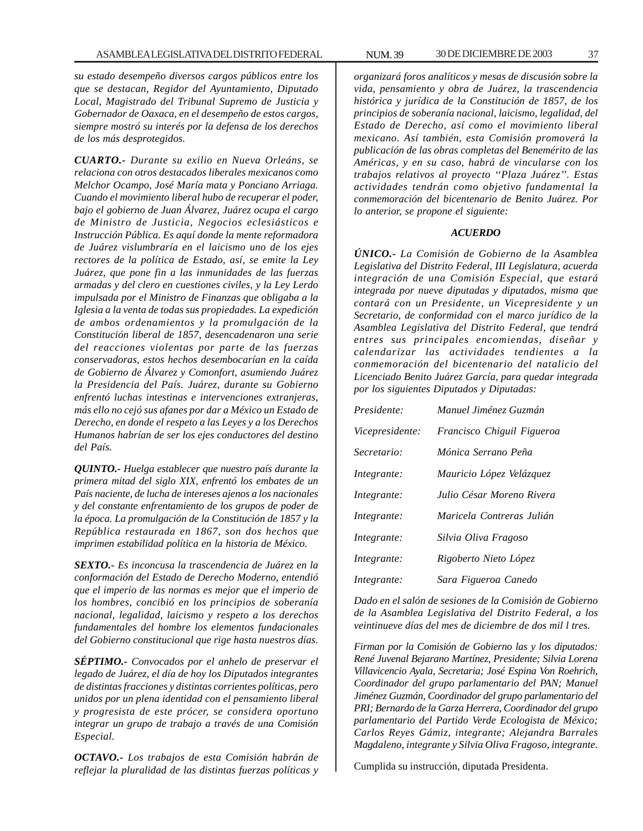*su estado desempeño diversos cargos públicos entre los que se destacan, Regidor del Ayuntamiento, Diputado Local, Magistrado del Tribunal Supremo de Justicia y Gobernador de Oaxaca, en el desempeño de estos cargos, siempre mostró su interés por la defensa de los derechos de los más desprotegidos.*

*CUARTO.- Durante su exilio en Nueva Orleáns, se relaciona con otros destacados liberales mexicanos como Melchor Ocampo, José María mata y Ponciano Arriaga. Cuando el movimiento liberal hubo de recuperar el poder, bajo el gobierno de Juan Álvarez, Juárez ocupa el cargo de Ministro de Justicia, Negocios eclesiásticos e Instrucción Pública. Es aquí donde la mente reformadora de Juárez vislumbraría en el laicismo uno de los ejes rectores de la política de Estado, así, se emite la Ley Juárez, que pone fin a las inmunidades de las fuerzas armadas y del clero en cuestiones civiles, y la Ley Lerdo impulsada por el Ministro de Finanzas que obligaba a la Iglesia a la venta de todas sus propiedades. La expedición de ambos ordenamientos y la promulgación de la Constitución liberal de 1857, desencadenaron una serie del reacciones violentas por parte de las fuerzas conservadoras, estos hechos desembocarían en la caída de Gobierno de Álvarez y Comonfort, asumiendo Juárez la Presidencia del País. Juárez, durante su Gobierno enfrentó luchas intestinas e intervenciones extranjeras, más ello no cejó sus afanes por dar a México un Estado de Derecho, en donde el respeto a las Leyes y a los Derechos Humanos habrían de ser los ejes conductores del destino del País.*

*QUINTO.- Huelga establecer que nuestro país durante la primera mitad del siglo XIX, enfrentó los embates de un País naciente, de lucha de intereses ajenos a los nacionales y del constante enfrentamiento de los grupos de poder de la época. La promulgación de la Constitución de 1857 y la República restaurada en 1867, son dos hechos que imprimen estabilidad política en la historia de México.*

*SEXTO.- Es inconcusa la trascendencia de Juárez en la conformación del Estado de Derecho Moderno, entendió que el imperio de las normas es mejor que el imperio de los hombres, concibió en los principios de soberanía nacional, legalidad, laicismo y respeto a los derechos fundamentales del hombre los elementos fundacionales del Gobierno constitucional que rige hasta nuestros días.*

*SÉPTIMO.- Convocados por el anhelo de preservar el legado de Juárez, el día de hoy los Diputados integrantes de distintas fracciones y distintas corrientes políticas, pero unidos por un plena identidad con el pensamiento liberal y progresista de este prócer, se considera oportuno integrar un grupo de trabajo a través de una Comisión Especial.*

*OCTAVO.- Los trabajos de esta Comisión habrán de reflejar la pluralidad de las distintas fuerzas políticas y* *organizará foros analíticos y mesas de discusión sobre la vida, pensamiento y obra de Juárez, la trascendencia histórica y jurídica de la Constitución de 1857, de los principios de soberanía nacional, laicismo, legalidad, del Estado de Derecho, así como el movimiento liberal mexicano. Así también, esta Comisión promoverá la publicación de las obras completas del Benemérito de las Américas, y en su caso, habrá de vincularse con los trabajos relativos al proyecto ''Plaza Juárez''. Estas actividades tendrán como objetivo fundamental la conmemoración del bicentenario de Benito Juárez. Por lo anterior, se propone el siguiente:*

#### *ACUERDO*

*ÚNICO.- La Comisión de Gobierno de la Asamblea Legislativa del Distrito Federal, III Legislatura, acuerda integración de una Comisión Especial, que estará integrada por nueve diputadas y diputados, misma que contará con un Presidente, un Vicepresidente y un Secretario, de conformidad con el marco jurídico de la Asamblea Legislativa del Distrito Federal, que tendrá entres sus principales encomiendas, diseñar y calendarizar las actividades tendientes a la conmemoración del bicentenario del natalicio del Licenciado Benito Juárez García, para quedar integrada por los siguientes Diputados y Diputadas:*

| Presidente:            | Manuel Jiménez Guzmán      |
|------------------------|----------------------------|
| <i>Vicepresidente:</i> | Francisco Chiguil Figueroa |
| Secretario:            | Mónica Serrano Peña        |
| Integrante:            | Mauricio López Velázquez   |
| Integrante:            | Julio César Moreno Rivera  |
| Integrante:            | Maricela Contreras Julián  |
| Integrante:            | Silvia Oliva Fragoso       |
| Integrante:            | Rigoberto Nieto López      |
| Integrante:            | Sara Figueroa Canedo       |

*Dado en el salón de sesiones de la Comisión de Gobierno de la Asamblea Legislativa del Distrito Federal, a los veintinueve días del mes de diciembre de dos mil l tres.*

*Firman por la Comisión de Gobierno las y los diputados: René Juvenal Bejarano Martínez, Presidente; Silvia Lorena Villavicencio Ayala, Secretaria; José Espina Von Roehrich, Coordinador del grupo parlamentario del PAN; Manuel Jiménez Guzmán, Coordinador del grupo parlamentario del PRI; Bernardo de la Garza Herrera, Coordinador del grupo parlamentario del Partido Verde Ecologista de México; Carlos Reyes Gámiz, integrante; Alejandra Barrales Magdaleno, integrante y Silvia Oliva Fragoso, integrante.*

Cumplida su instrucción, diputada Presidenta.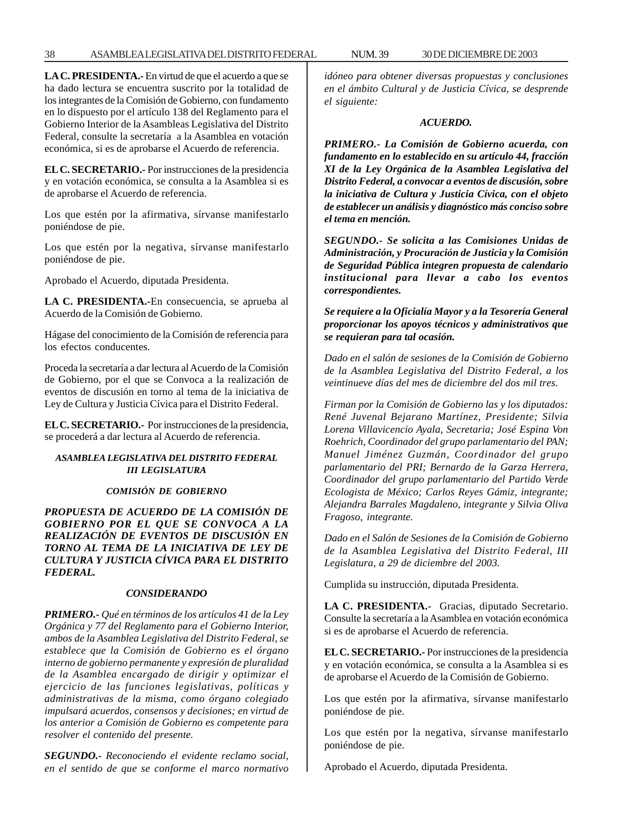### 38 ASAMBLEA LEGISLATIVA DEL DISTRITO FEDERAL 30 DE NUM. 39 DICIEMBRE DE 2003

**LA C. PRESIDENTA.-** En virtud de que el acuerdo a que se ha dado lectura se encuentra suscrito por la totalidad de los integrantes de la Comisión de Gobierno, con fundamento en lo dispuesto por el artículo 138 del Reglamento para el Gobierno Interior de la Asambleas Legislativa del Distrito Federal, consulte la secretaría a la Asamblea en votación económica, si es de aprobarse el Acuerdo de referencia.

**EL C. SECRETARIO.-** Por instrucciones de la presidencia y en votación económica, se consulta a la Asamblea si es de aprobarse el Acuerdo de referencia.

Los que estén por la afirmativa, sírvanse manifestarlo poniéndose de pie.

Los que estén por la negativa, sírvanse manifestarlo poniéndose de pie.

Aprobado el Acuerdo, diputada Presidenta.

**LA C. PRESIDENTA.-**En consecuencia, se aprueba al Acuerdo de la Comisión de Gobierno.

Hágase del conocimiento de la Comisión de referencia para los efectos conducentes.

Proceda la secretaría a dar lectura al Acuerdo de la Comisión de Gobierno, por el que se Convoca a la realización de eventos de discusión en torno al tema de la iniciativa de Ley de Cultura y Justicia Cívica para el Distrito Federal.

**EL C. SECRETARIO.-** Por instrucciones de la presidencia, se procederá a dar lectura al Acuerdo de referencia.

## *ASAMBLEA LEGISLATIVA DEL DISTRITO FEDERAL III LEGISLATURA*

### *COMISIÓN DE GOBIERNO*

*PROPUESTA DE ACUERDO DE LA COMISIÓN DE GOBIERNO POR EL QUE SE CONVOCA A LA REALIZACIÓN DE EVENTOS DE DISCUSIÓN EN TORNO AL TEMA DE LA INICIATIVA DE LEY DE CULTURA Y JUSTICIA CÍVICA PARA EL DISTRITO FEDERAL.*

#### *CONSIDERANDO*

*PRIMERO.- Qué en términos de los artículos 41 de la Ley Orgánica y 77 del Reglamento para el Gobierno Interior, ambos de la Asamblea Legislativa del Distrito Federal, se establece que la Comisión de Gobierno es el órgano interno de gobierno permanente y expresión de pluralidad de la Asamblea encargado de dirigir y optimizar el ejercicio de las funciones legislativas, políticas y administrativas de la misma, como órgano colegiado impulsará acuerdos, consensos y decisiones; en virtud de los anterior a Comisión de Gobierno es competente para resolver el contenido del presente.*

*SEGUNDO.- Reconociendo el evidente reclamo social, en el sentido de que se conforme el marco normativo* *idóneo para obtener diversas propuestas y conclusiones en el ámbito Cultural y de Justicia Cívica, se desprende el siguiente:*

### *ACUERDO.*

*PRIMERO.- La Comisión de Gobierno acuerda, con fundamento en lo establecido en su artículo 44, fracción XI de la Ley Orgánica de la Asamblea Legislativa del Distrito Federal, a convocar a eventos de discusión, sobre la iniciativa de Cultura y Justicia Cívica, con el objeto de establecer un análisis y diagnóstico más conciso sobre el tema en mención.*

*SEGUNDO.- Se solicita a las Comisiones Unidas de Administración, y Procuración de Justicia y la Comisión de Seguridad Pública integren propuesta de calendario institucional para llevar a cabo los eventos correspondientes.*

*Se requiere a la Oficialía Mayor y a la Tesorería General proporcionar los apoyos técnicos y administrativos que se requieran para tal ocasión.*

*Dado en el salón de sesiones de la Comisión de Gobierno de la Asamblea Legislativa del Distrito Federal, a los veintinueve días del mes de diciembre del dos mil tres.*

*Firman por la Comisión de Gobierno las y los diputados: René Juvenal Bejarano Martínez, Presidente; Silvia Lorena Villavicencio Ayala, Secretaria; José Espina Von Roehrich, Coordinador del grupo parlamentario del PAN; Manuel Jiménez Guzmán, Coordinador del grupo parlamentario del PRI; Bernardo de la Garza Herrera, Coordinador del grupo parlamentario del Partido Verde Ecologista de México; Carlos Reyes Gámiz, integrante; Alejandra Barrales Magdaleno, integrante y Silvia Oliva Fragoso, integrante.*

*Dado en el Salón de Sesiones de la Comisión de Gobierno de la Asamblea Legislativa del Distrito Federal, III Legislatura, a 29 de diciembre del 2003.*

Cumplida su instrucción, diputada Presidenta.

**LA C. PRESIDENTA.-** Gracias, diputado Secretario. Consulte la secretaría a la Asamblea en votación económica si es de aprobarse el Acuerdo de referencia.

**EL C. SECRETARIO.-** Por instrucciones de la presidencia y en votación económica, se consulta a la Asamblea si es de aprobarse el Acuerdo de la Comisión de Gobierno.

Los que estén por la afirmativa, sírvanse manifestarlo poniéndose de pie.

Los que estén por la negativa, sírvanse manifestarlo poniéndose de pie.

Aprobado el Acuerdo, diputada Presidenta.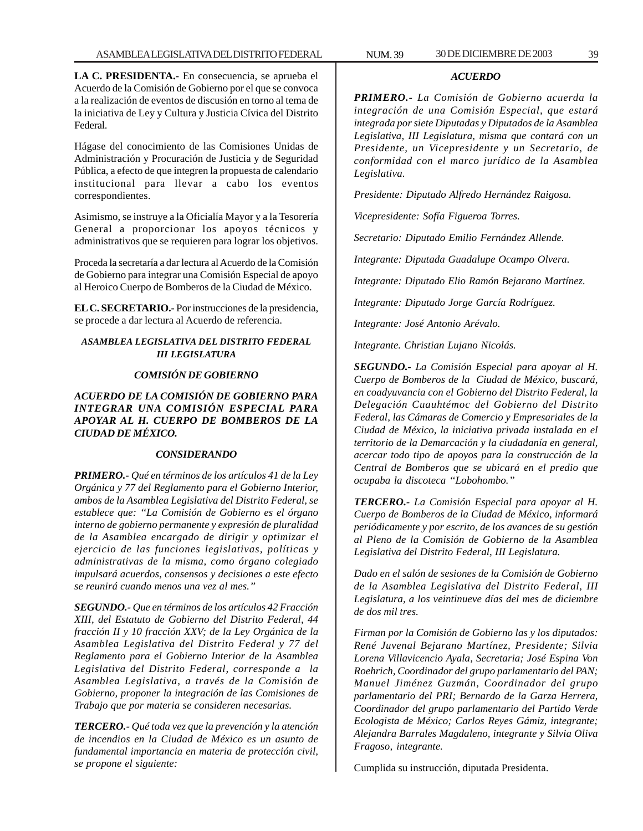### *ACUERDO*

*PRIMERO.- La Comisión de Gobierno acuerda la integración de una Comisión Especial, que estará integrada por siete Diputadas y Diputados de la Asamblea Legislativa, III Legislatura, misma que contará con un Presidente, un Vicepresidente y un Secretario, de conformidad con el marco jurídico de la Asamblea Legislativa.*

*Presidente: Diputado Alfredo Hernández Raigosa.*

*Vicepresidente: Sofía Figueroa Torres.*

*Secretario: Diputado Emilio Fernández Allende.*

*Integrante: Diputada Guadalupe Ocampo Olvera.*

*Integrante: Diputado Elio Ramón Bejarano Martínez.*

*Integrante: Diputado Jorge García Rodríguez.*

*Integrante: José Antonio Arévalo.*

*Integrante. Christian Lujano Nicolás.*

*SEGUNDO.- La Comisión Especial para apoyar al H. Cuerpo de Bomberos de la Ciudad de México, buscará, en coadyuvancia con el Gobierno del Distrito Federal, la Delegación Cuauhtémoc del Gobierno del Distrito Federal, las Cámaras de Comercio y Empresariales de la Ciudad de México, la iniciativa privada instalada en el territorio de la Demarcación y la ciudadanía en general, acercar todo tipo de apoyos para la construcción de la Central de Bomberos que se ubicará en el predio que ocupaba la discoteca ''Lobohombo.''*

*TERCERO.- La Comisión Especial para apoyar al H. Cuerpo de Bomberos de la Ciudad de México, informará periódicamente y por escrito, de los avances de su gestión al Pleno de la Comisión de Gobierno de la Asamblea Legislativa del Distrito Federal, III Legislatura.*

*Dado en el salón de sesiones de la Comisión de Gobierno de la Asamblea Legislativa del Distrito Federal, III Legislatura, a los veintinueve días del mes de diciembre de dos mil tres.*

*Firman por la Comisión de Gobierno las y los diputados: René Juvenal Bejarano Martínez, Presidente; Silvia Lorena Villavicencio Ayala, Secretaria; José Espina Von Roehrich, Coordinador del grupo parlamentario del PAN; Manuel Jiménez Guzmán, Coordinador del grupo parlamentario del PRI; Bernardo de la Garza Herrera, Coordinador del grupo parlamentario del Partido Verde Ecologista de México; Carlos Reyes Gámiz, integrante; Alejandra Barrales Magdaleno, integrante y Silvia Oliva Fragoso, integrante.*

Cumplida su instrucción, diputada Presidenta.

**LA C. PRESIDENTA.-** En consecuencia, se aprueba el Acuerdo de la Comisión de Gobierno por el que se convoca a la realización de eventos de discusión en torno al tema de la iniciativa de Ley y Cultura y Justicia Cívica del Distrito Federal.

Hágase del conocimiento de las Comisiones Unidas de Administración y Procuración de Justicia y de Seguridad Pública, a efecto de que integren la propuesta de calendario institucional para llevar a cabo los eventos correspondientes.

Asimismo, se instruye a la Oficialía Mayor y a la Tesorería General a proporcionar los apoyos técnicos y administrativos que se requieren para lograr los objetivos.

Proceda la secretaría a dar lectura al Acuerdo de la Comisión de Gobierno para integrar una Comisión Especial de apoyo al Heroico Cuerpo de Bomberos de la Ciudad de México.

**EL C. SECRETARIO.-** Por instrucciones de la presidencia, se procede a dar lectura al Acuerdo de referencia.

### *ASAMBLEA LEGISLATIVA DEL DISTRITO FEDERAL III LEGISLATURA*

# *COMISIÓN DE GOBIERNO*

*ACUERDO DE LA COMISIÓN DE GOBIERNO PARA INTEGRAR UNA COMISIÓN ESPECIAL PARA APOYAR AL H. CUERPO DE BOMBEROS DE LA CIUDAD DE MÉXICO.*

#### *CONSIDERANDO*

*PRIMERO.- Qué en términos de los artículos 41 de la Ley Orgánica y 77 del Reglamento para el Gobierno Interior, ambos de la Asamblea Legislativa del Distrito Federal, se establece que: ''La Comisión de Gobierno es el órgano interno de gobierno permanente y expresión de pluralidad de la Asamblea encargado de dirigir y optimizar el ejercicio de las funciones legislativas, políticas y administrativas de la misma, como órgano colegiado impulsará acuerdos, consensos y decisiones a este efecto se reunirá cuando menos una vez al mes.''*

*SEGUNDO.- Que en términos de los artículos 42 Fracción XIII, del Estatuto de Gobierno del Distrito Federal, 44 fracción II y 10 fracción XXV; de la Ley Orgánica de la Asamblea Legislativa del Distrito Federal y 77 del Reglamento para el Gobierno Interior de la Asamblea Legislativa del Distrito Federal, corresponde a la Asamblea Legislativa, a través de la Comisión de Gobierno, proponer la integración de las Comisiones de Trabajo que por materia se consideren necesarias.*

*TERCERO.- Qué toda vez que la prevención y la atención de incendios en la Ciudad de México es un asunto de fundamental importancia en materia de protección civil, se propone el siguiente:*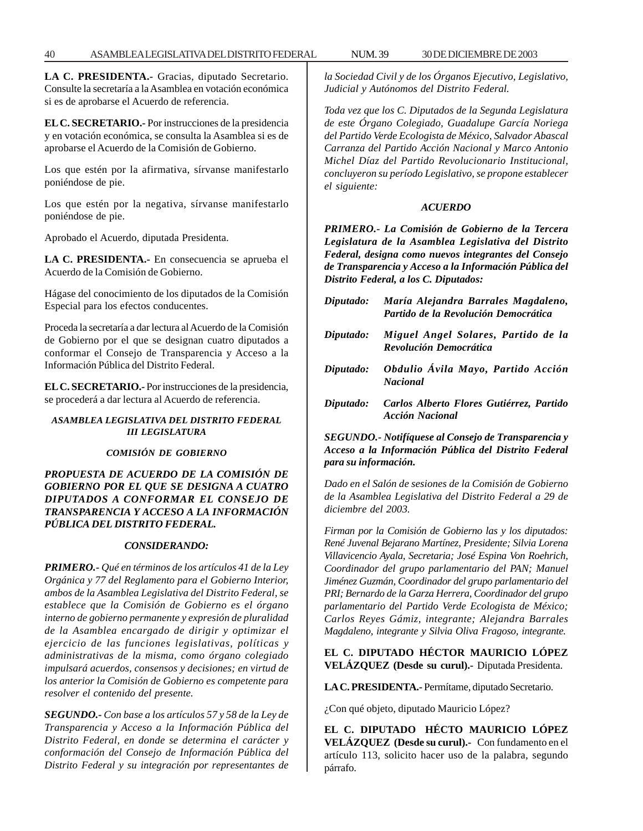40 ASAMBLEA LEGISLATIVA DEL DISTRITO FEDERAL 30 DE NUM. 39 DICIEMBRE DE 2003

**LA C. PRESIDENTA.-** Gracias, diputado Secretario. Consulte la secretaría a la Asamblea en votación económica si es de aprobarse el Acuerdo de referencia.

**EL C. SECRETARIO.-** Por instrucciones de la presidencia y en votación económica, se consulta la Asamblea si es de aprobarse el Acuerdo de la Comisión de Gobierno.

Los que estén por la afirmativa, sírvanse manifestarlo poniéndose de pie.

Los que estén por la negativa, sírvanse manifestarlo poniéndose de pie.

Aprobado el Acuerdo, diputada Presidenta.

**LA C. PRESIDENTA.-** En consecuencia se aprueba el Acuerdo de la Comisión de Gobierno.

Hágase del conocimiento de los diputados de la Comisión Especial para los efectos conducentes.

Proceda la secretaría a dar lectura al Acuerdo de la Comisión de Gobierno por el que se designan cuatro diputados a conformar el Consejo de Transparencia y Acceso a la Información Pública del Distrito Federal.

**EL C. SECRETARIO.-** Por instrucciones de la presidencia, se procederá a dar lectura al Acuerdo de referencia.

## *ASAMBLEA LEGISLATIVA DEL DISTRITO FEDERAL III LEGISLATURA*

## *COMISIÓN DE GOBIERNO*

## *PROPUESTA DE ACUERDO DE LA COMISIÓN DE GOBIERNO POR EL QUE SE DESIGNA A CUATRO DIPUTADOS A CONFORMAR EL CONSEJO DE TRANSPARENCIA Y ACCESO A LA INFORMACIÓN PÚBLICA DEL DISTRITO FEDERAL.*

## *CONSIDERANDO:*

*PRIMERO.- Qué en términos de los artículos 41 de la Ley Orgánica y 77 del Reglamento para el Gobierno Interior, ambos de la Asamblea Legislativa del Distrito Federal, se establece que la Comisión de Gobierno es el órgano interno de gobierno permanente y expresión de pluralidad de la Asamblea encargado de dirigir y optimizar el ejercicio de las funciones legislativas, políticas y administrativas de la misma, como órgano colegiado impulsará acuerdos, consensos y decisiones; en virtud de los anterior la Comisión de Gobierno es competente para resolver el contenido del presente.*

*SEGUNDO.- Con base a los artículos 57 y 58 de la Ley de Transparencia y Acceso a la Información Pública del Distrito Federal, en donde se determina el carácter y conformación del Consejo de Información Pública del Distrito Federal y su integración por representantes de*

*la Sociedad Civil y de los Órganos Ejecutivo, Legislativo, Judicial y Autónomos del Distrito Federal.*

*Toda vez que los C. Diputados de la Segunda Legislatura de este Órgano Colegiado, Guadalupe García Noriega del Partido Verde Ecologista de México, Salvador Abascal Carranza del Partido Acción Nacional y Marco Antonio Michel Díaz del Partido Revolucionario Institucional, concluyeron su período Legislativo, se propone establecer el siguiente:*

# *ACUERDO*

*PRIMERO.- La Comisión de Gobierno de la Tercera Legislatura de la Asamblea Legislativa del Distrito Federal, designa como nuevos integrantes del Consejo de Transparencia y Acceso a la Información Pública del Distrito Federal, a los C. Diputados:*

| Diputado: | María Alejandra Barrales Magdaleno,<br>Partido de la Revolución Democrática |
|-----------|-----------------------------------------------------------------------------|
| Diputado: | Miguel Angel Solares, Partido de la<br>Revolución Democrática               |
| Diputado: | Obdulio Ávila Mayo, Partido Acción<br><b>Nacional</b>                       |
| Diputado: | Carlos Alberto Flores Gutiérrez, Partido<br><b>Acción Nacional</b>          |

*SEGUNDO.- Notifíquese al Consejo de Transparencia y Acceso a la Información Pública del Distrito Federal para su información.*

*Dado en el Salón de sesiones de la Comisión de Gobierno de la Asamblea Legislativa del Distrito Federal a 29 de diciembre del 2003.*

*Firman por la Comisión de Gobierno las y los diputados: René Juvenal Bejarano Martínez, Presidente; Silvia Lorena Villavicencio Ayala, Secretaria; José Espina Von Roehrich, Coordinador del grupo parlamentario del PAN; Manuel Jiménez Guzmán, Coordinador del grupo parlamentario del PRI; Bernardo de la Garza Herrera, Coordinador del grupo parlamentario del Partido Verde Ecologista de México; Carlos Reyes Gámiz, integrante; Alejandra Barrales Magdaleno, integrante y Silvia Oliva Fragoso, integrante.*

# **EL C. DIPUTADO HÉCTOR MAURICIO LÓPEZ VELÁZQUEZ (Desde su curul).-** Diputada Presidenta.

**LA C. PRESIDENTA.-** Permítame, diputado Secretario.

¿Con qué objeto, diputado Mauricio López?

**EL C. DIPUTADO HÉCTO MAURICIO LÓPEZ VELÁZQUEZ (Desde su curul).-** Con fundamento en el artículo 113, solicito hacer uso de la palabra, segundo párrafo.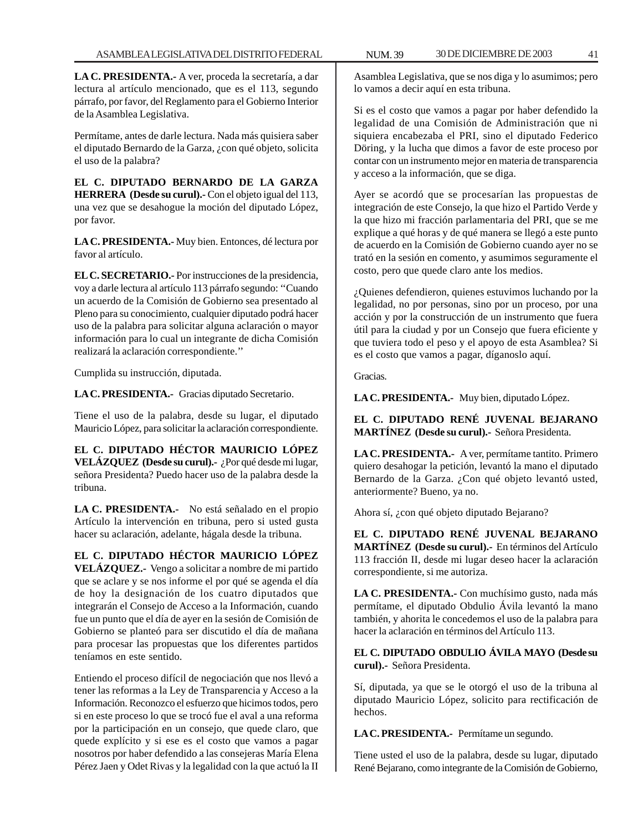**LA C. PRESIDENTA.-** A ver, proceda la secretaría, a dar lectura al artículo mencionado, que es el 113, segundo párrafo, por favor, del Reglamento para el Gobierno Interior de la Asamblea Legislativa.

Permítame, antes de darle lectura. Nada más quisiera saber el diputado Bernardo de la Garza, ¿con qué objeto, solicita el uso de la palabra?

**EL C. DIPUTADO BERNARDO DE LA GARZA HERRERA (Desde su curul).-** Con el objeto igual del 113, una vez que se desahogue la moción del diputado López, por favor.

**LA C. PRESIDENTA.-** Muy bien. Entonces, dé lectura por favor al artículo.

**EL C. SECRETARIO.-** Por instrucciones de la presidencia, voy a darle lectura al artículo 113 párrafo segundo: ''Cuando un acuerdo de la Comisión de Gobierno sea presentado al Pleno para su conocimiento, cualquier diputado podrá hacer uso de la palabra para solicitar alguna aclaración o mayor información para lo cual un integrante de dicha Comisión realizará la aclaración correspondiente.''

Cumplida su instrucción, diputada.

**LA C. PRESIDENTA.-** Gracias diputado Secretario.

Tiene el uso de la palabra, desde su lugar, el diputado Mauricio López, para solicitar la aclaración correspondiente.

**EL C. DIPUTADO HÉCTOR MAURICIO LÓPEZ VELÁZQUEZ (Desde su curul).-** ¿Por qué desde mi lugar, señora Presidenta? Puedo hacer uso de la palabra desde la tribuna.

**LA C. PRESIDENTA.-** No está señalado en el propio Artículo la intervención en tribuna, pero si usted gusta hacer su aclaración, adelante, hágala desde la tribuna.

**EL C. DIPUTADO HÉCTOR MAURICIO LÓPEZ VELÁZQUEZ.-** Vengo a solicitar a nombre de mi partido que se aclare y se nos informe el por qué se agenda el día de hoy la designación de los cuatro diputados que integrarán el Consejo de Acceso a la Información, cuando fue un punto que el día de ayer en la sesión de Comisión de Gobierno se planteó para ser discutido el día de mañana para procesar las propuestas que los diferentes partidos teníamos en este sentido.

Entiendo el proceso difícil de negociación que nos llevó a tener las reformas a la Ley de Transparencia y Acceso a la Información. Reconozco el esfuerzo que hicimos todos, pero si en este proceso lo que se trocó fue el aval a una reforma por la participación en un consejo, que quede claro, que quede explícito y si ese es el costo que vamos a pagar nosotros por haber defendido a las consejeras María Elena Pérez Jaen y Odet Rivas y la legalidad con la que actuó la II

Asamblea Legislativa, que se nos diga y lo asumimos; pero lo vamos a decir aquí en esta tribuna.

Si es el costo que vamos a pagar por haber defendido la legalidad de una Comisión de Administración que ni siquiera encabezaba el PRI, sino el diputado Federico Döring, y la lucha que dimos a favor de este proceso por contar con un instrumento mejor en materia de transparencia y acceso a la información, que se diga.

Ayer se acordó que se procesarían las propuestas de integración de este Consejo, la que hizo el Partido Verde y la que hizo mi fracción parlamentaria del PRI, que se me explique a qué horas y de qué manera se llegó a este punto de acuerdo en la Comisión de Gobierno cuando ayer no se trató en la sesión en comento, y asumimos seguramente el costo, pero que quede claro ante los medios.

¿Quienes defendieron, quienes estuvimos luchando por la legalidad, no por personas, sino por un proceso, por una acción y por la construcción de un instrumento que fuera útil para la ciudad y por un Consejo que fuera eficiente y que tuviera todo el peso y el apoyo de esta Asamblea? Si es el costo que vamos a pagar, díganoslo aquí.

Gracias.

**LA C. PRESIDENTA.-** Muy bien, diputado López.

# **EL C. DIPUTADO RENÉ JUVENAL BEJARANO MARTÍNEZ (Desde su curul).-** Señora Presidenta.

**LA C. PRESIDENTA.-** A ver, permítame tantito. Primero quiero desahogar la petición, levantó la mano el diputado Bernardo de la Garza. ¿Con qué objeto levantó usted, anteriormente? Bueno, ya no.

Ahora sí, ¿con qué objeto diputado Bejarano?

**EL C. DIPUTADO RENÉ JUVENAL BEJARANO MARTÍNEZ (Desde su curul).-** En términos del Artículo 113 fracción II, desde mi lugar deseo hacer la aclaración correspondiente, si me autoriza.

**LA C. PRESIDENTA.-** Con muchísimo gusto, nada más permítame, el diputado Obdulio Ávila levantó la mano también, y ahorita le concedemos el uso de la palabra para hacer la aclaración en términos del Artículo 113.

**EL C. DIPUTADO OBDULIO ÁVILA MAYO (Desde su curul).-** Señora Presidenta.

Sí, diputada, ya que se le otorgó el uso de la tribuna al diputado Mauricio López, solicito para rectificación de hechos.

**LA C. PRESIDENTA.-** Permítame un segundo.

Tiene usted el uso de la palabra, desde su lugar, diputado René Bejarano, como integrante de la Comisión de Gobierno,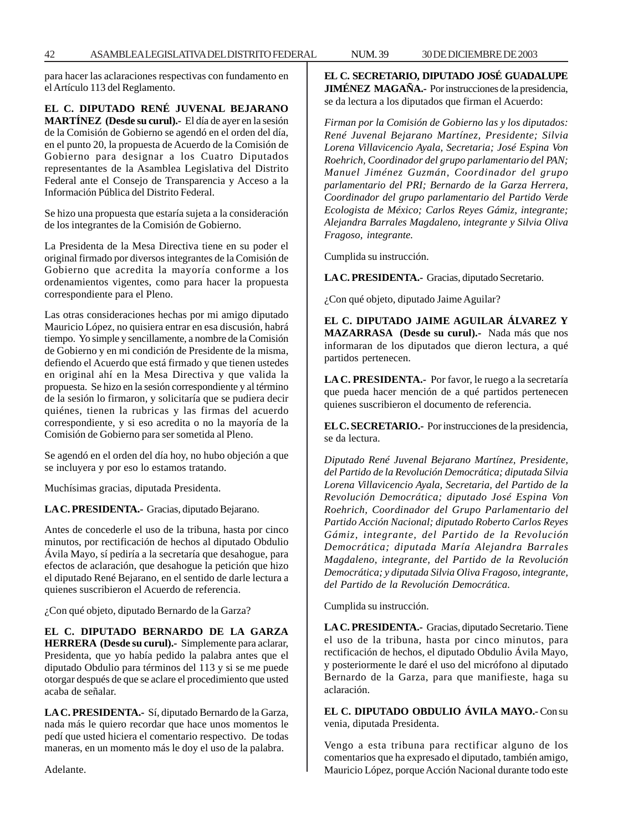para hacer las aclaraciones respectivas con fundamento en el Artículo 113 del Reglamento.

**EL C. DIPUTADO RENÉ JUVENAL BEJARANO MARTÍNEZ (Desde su curul).-** El día de ayer en la sesión de la Comisión de Gobierno se agendó en el orden del día, en el punto 20, la propuesta de Acuerdo de la Comisión de Gobierno para designar a los Cuatro Diputados representantes de la Asamblea Legislativa del Distrito Federal ante el Consejo de Transparencia y Acceso a la Información Pública del Distrito Federal.

Se hizo una propuesta que estaría sujeta a la consideración de los integrantes de la Comisión de Gobierno.

La Presidenta de la Mesa Directiva tiene en su poder el original firmado por diversos integrantes de la Comisión de Gobierno que acredita la mayoría conforme a los ordenamientos vigentes, como para hacer la propuesta correspondiente para el Pleno.

Las otras consideraciones hechas por mi amigo diputado Mauricio López, no quisiera entrar en esa discusión, habrá tiempo. Yo simple y sencillamente, a nombre de la Comisión de Gobierno y en mi condición de Presidente de la misma, defiendo el Acuerdo que está firmado y que tienen ustedes en original ahí en la Mesa Directiva y que valida la propuesta. Se hizo en la sesión correspondiente y al término de la sesión lo firmaron, y solicitaría que se pudiera decir quiénes, tienen la rubricas y las firmas del acuerdo correspondiente, y si eso acredita o no la mayoría de la Comisión de Gobierno para ser sometida al Pleno.

Se agendó en el orden del día hoy, no hubo objeción a que se incluyera y por eso lo estamos tratando.

Muchísimas gracias, diputada Presidenta.

**LA C. PRESIDENTA.-** Gracias, diputado Bejarano.

Antes de concederle el uso de la tribuna, hasta por cinco minutos, por rectificación de hechos al diputado Obdulio Ávila Mayo, sí pediría a la secretaría que desahogue, para efectos de aclaración, que desahogue la petición que hizo el diputado René Bejarano, en el sentido de darle lectura a quienes suscribieron el Acuerdo de referencia.

¿Con qué objeto, diputado Bernardo de la Garza?

**EL C. DIPUTADO BERNARDO DE LA GARZA HERRERA (Desde su curul).-** Simplemente para aclarar, Presidenta, que yo había pedido la palabra antes que el diputado Obdulio para términos del 113 y si se me puede otorgar después de que se aclare el procedimiento que usted acaba de señalar.

**LA C. PRESIDENTA.-** Sí, diputado Bernardo de la Garza, nada más le quiero recordar que hace unos momentos le pedí que usted hiciera el comentario respectivo. De todas maneras, en un momento más le doy el uso de la palabra.

**EL C. SECRETARIO, DIPUTADO JOSÉ GUADALUPE JIMÉNEZ MAGAÑA.-** Por instrucciones de la presidencia, se da lectura a los diputados que firman el Acuerdo:

*Firman por la Comisión de Gobierno las y los diputados: René Juvenal Bejarano Martínez, Presidente; Silvia Lorena Villavicencio Ayala, Secretaria; José Espina Von Roehrich, Coordinador del grupo parlamentario del PAN; Manuel Jiménez Guzmán, Coordinador del grupo parlamentario del PRI; Bernardo de la Garza Herrera, Coordinador del grupo parlamentario del Partido Verde Ecologista de México; Carlos Reyes Gámiz, integrante; Alejandra Barrales Magdaleno, integrante y Silvia Oliva Fragoso, integrante.*

Cumplida su instrucción.

**LA C. PRESIDENTA.-** Gracias, diputado Secretario.

¿Con qué objeto, diputado Jaime Aguilar?

**EL C. DIPUTADO JAIME AGUILAR ÁLVAREZ Y MAZARRASA (Desde su curul).-** Nada más que nos informaran de los diputados que dieron lectura, a qué partidos pertenecen.

**LA C. PRESIDENTA.-** Por favor, le ruego a la secretaría que pueda hacer mención de a qué partidos pertenecen quienes suscribieron el documento de referencia.

**EL C. SECRETARIO.-** Por instrucciones de la presidencia, se da lectura.

*Diputado René Juvenal Bejarano Martínez, Presidente, del Partido de la Revolución Democrática; diputada Silvia Lorena Villavicencio Ayala, Secretaria, del Partido de la Revolución Democrática; diputado José Espina Von Roehrich, Coordinador del Grupo Parlamentario del Partido Acción Nacional; diputado Roberto Carlos Reyes Gámiz, integrante, del Partido de la Revolución Democrática; diputada María Alejandra Barrales Magdaleno, integrante, del Partido de la Revolución Democrática; y diputada Silvia Oliva Fragoso, integrante, del Partido de la Revolución Democrática.*

Cumplida su instrucción.

**LA C. PRESIDENTA.-** Gracias, diputado Secretario. Tiene el uso de la tribuna, hasta por cinco minutos, para rectificación de hechos, el diputado Obdulio Ávila Mayo, y posteriormente le daré el uso del micrófono al diputado Bernardo de la Garza, para que manifieste, haga su aclaración.

**EL C. DIPUTADO OBDULIO ÁVILA MAYO.-** Con su venia, diputada Presidenta.

Vengo a esta tribuna para rectificar alguno de los comentarios que ha expresado el diputado, también amigo, Mauricio López, porque Acción Nacional durante todo este

Adelante.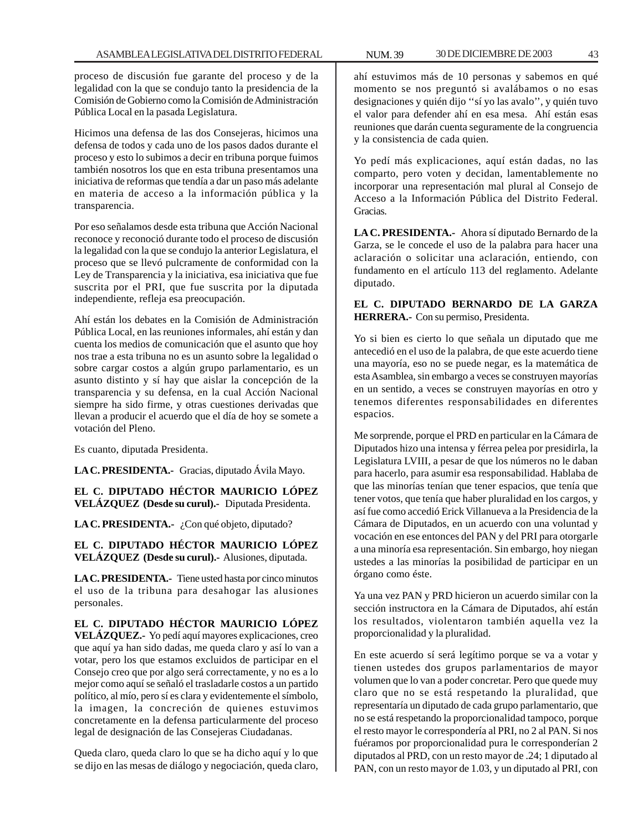proceso de discusión fue garante del proceso y de la legalidad con la que se condujo tanto la presidencia de la Comisión de Gobierno como la Comisión de Administración Pública Local en la pasada Legislatura.

Hicimos una defensa de las dos Consejeras, hicimos una defensa de todos y cada uno de los pasos dados durante el proceso y esto lo subimos a decir en tribuna porque fuimos también nosotros los que en esta tribuna presentamos una iniciativa de reformas que tendía a dar un paso más adelante en materia de acceso a la información pública y la transparencia.

Por eso señalamos desde esta tribuna que Acción Nacional reconoce y reconoció durante todo el proceso de discusión la legalidad con la que se condujo la anterior Legislatura, el proceso que se llevó pulcramente de conformidad con la Ley de Transparencia y la iniciativa, esa iniciativa que fue suscrita por el PRI, que fue suscrita por la diputada independiente, refleja esa preocupación.

Ahí están los debates en la Comisión de Administración Pública Local, en las reuniones informales, ahí están y dan cuenta los medios de comunicación que el asunto que hoy nos trae a esta tribuna no es un asunto sobre la legalidad o sobre cargar costos a algún grupo parlamentario, es un asunto distinto y sí hay que aislar la concepción de la transparencia y su defensa, en la cual Acción Nacional siempre ha sido firme, y otras cuestiones derivadas que llevan a producir el acuerdo que el día de hoy se somete a votación del Pleno.

Es cuanto, diputada Presidenta.

**LA C. PRESIDENTA.-** Gracias, diputado Ávila Mayo.

**EL C. DIPUTADO HÉCTOR MAURICIO LÓPEZ VELÁZQUEZ (Desde su curul).-** Diputada Presidenta.

LA C. PRESIDENTA.- ¿Con qué objeto, diputado?

**EL C. DIPUTADO HÉCTOR MAURICIO LÓPEZ VELÁZQUEZ (Desde su curul).-** Alusiones, diputada.

**LA C. PRESIDENTA.-** Tiene usted hasta por cinco minutos el uso de la tribuna para desahogar las alusiones personales.

**EL C. DIPUTADO HÉCTOR MAURICIO LÓPEZ VELÁZQUEZ.-** Yo pedí aquí mayores explicaciones, creo que aquí ya han sido dadas, me queda claro y así lo van a votar, pero los que estamos excluidos de participar en el Consejo creo que por algo será correctamente, y no es a lo mejor como aquí se señaló el trasladarle costos a un partido político, al mío, pero sí es clara y evidentemente el símbolo, la imagen, la concreción de quienes estuvimos concretamente en la defensa particularmente del proceso legal de designación de las Consejeras Ciudadanas.

Queda claro, queda claro lo que se ha dicho aquí y lo que se dijo en las mesas de diálogo y negociación, queda claro, ahí estuvimos más de 10 personas y sabemos en qué momento se nos preguntó si avalábamos o no esas designaciones y quién dijo ''sí yo las avalo'', y quién tuvo el valor para defender ahí en esa mesa. Ahí están esas reuniones que darán cuenta seguramente de la congruencia y la consistencia de cada quien.

Yo pedí más explicaciones, aquí están dadas, no las comparto, pero voten y decidan, lamentablemente no incorporar una representación mal plural al Consejo de Acceso a la Información Pública del Distrito Federal. Gracias.

**LA C. PRESIDENTA.-** Ahora sí diputado Bernardo de la Garza, se le concede el uso de la palabra para hacer una aclaración o solicitar una aclaración, entiendo, con fundamento en el artículo 113 del reglamento. Adelante diputado.

## **EL C. DIPUTADO BERNARDO DE LA GARZA HERRERA.-** Con su permiso, Presidenta.

Yo si bien es cierto lo que señala un diputado que me antecedió en el uso de la palabra, de que este acuerdo tiene una mayoría, eso no se puede negar, es la matemática de esta Asamblea, sin embargo a veces se construyen mayorías en un sentido, a veces se construyen mayorías en otro y tenemos diferentes responsabilidades en diferentes espacios.

Me sorprende, porque el PRD en particular en la Cámara de Diputados hizo una intensa y férrea pelea por presidirla, la Legislatura LVIII, a pesar de que los números no le daban para hacerlo, para asumir esa responsabilidad. Hablaba de que las minorías tenían que tener espacios, que tenía que tener votos, que tenía que haber pluralidad en los cargos, y así fue como accedió Erick Villanueva a la Presidencia de la Cámara de Diputados, en un acuerdo con una voluntad y vocación en ese entonces del PAN y del PRI para otorgarle a una minoría esa representación. Sin embargo, hoy niegan ustedes a las minorías la posibilidad de participar en un órgano como éste.

Ya una vez PAN y PRD hicieron un acuerdo similar con la sección instructora en la Cámara de Diputados, ahí están los resultados, violentaron también aquella vez la proporcionalidad y la pluralidad.

En este acuerdo sí será legítimo porque se va a votar y tienen ustedes dos grupos parlamentarios de mayor volumen que lo van a poder concretar. Pero que quede muy claro que no se está respetando la pluralidad, que representaría un diputado de cada grupo parlamentario, que no se está respetando la proporcionalidad tampoco, porque el resto mayor le correspondería al PRI, no 2 al PAN. Si nos fuéramos por proporcionalidad pura le corresponderían 2 diputados al PRD, con un resto mayor de .24; 1 diputado al PAN, con un resto mayor de 1.03, y un diputado al PRI, con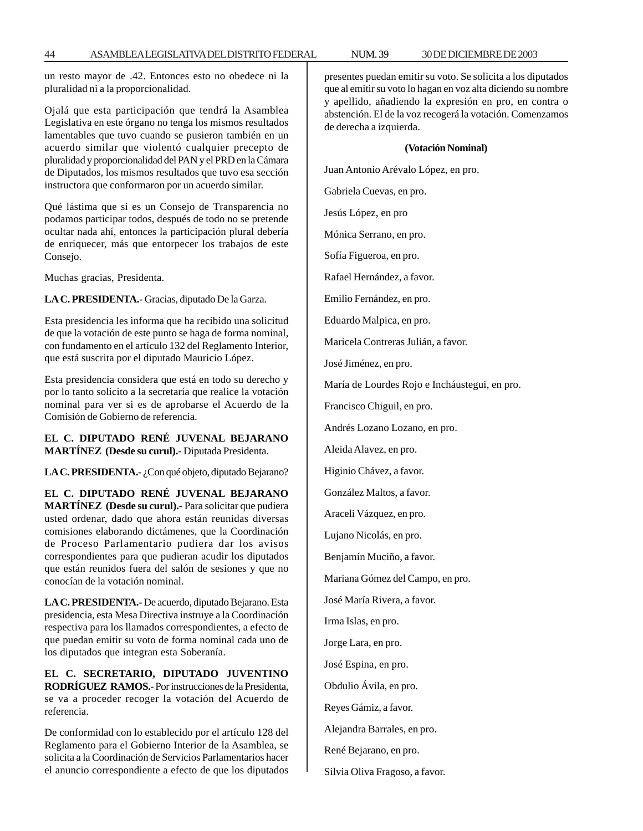un resto mayor de .42. Entonces esto no obedece ni la pluralidad ni a la proporcionalidad.

Ojalá que esta participación que tendrá la Asamblea Legislativa en este órgano no tenga los mismos resultados lamentables que tuvo cuando se pusieron también en un acuerdo similar que violentó cualquier precepto de pluralidad y proporcionalidad del PAN y el PRD en la Cámara de Diputados, los mismos resultados que tuvo esa sección instructora que conformaron por un acuerdo similar.

Qué lástima que si es un Consejo de Transparencia no podamos participar todos, después de todo no se pretende ocultar nada ahí, entonces la participación plural debería de enriquecer, más que entorpecer los trabajos de este Consejo.

Muchas gracias, Presidenta.

**LA C. PRESIDENTA.-** Gracias, diputado De la Garza.

Esta presidencia les informa que ha recibido una solicitud de que la votación de este punto se haga de forma nominal, con fundamento en el artículo 132 del Reglamento Interior, que está suscrita por el diputado Mauricio López.

Esta presidencia considera que está en todo su derecho y por lo tanto solicito a la secretaría que realice la votación nominal para ver si es de aprobarse el Acuerdo de la Comisión de Gobierno de referencia.

## **EL C. DIPUTADO RENÉ JUVENAL BEJARANO MARTÍNEZ (Desde su curul).-** Diputada Presidenta.

LA C. PRESIDENTA.- ¿Con qué objeto, diputado Bejarano?

**EL C. DIPUTADO RENÉ JUVENAL BEJARANO MARTÍNEZ (Desde su curul).-** Para solicitar que pudiera usted ordenar, dado que ahora están reunidas diversas comisiones elaborando dictámenes, que la Coordinación de Proceso Parlamentario pudiera dar los avisos correspondientes para que pudieran acudir los diputados que están reunidos fuera del salón de sesiones y que no conocían de la votación nominal.

**LA C. PRESIDENTA.-** De acuerdo, diputado Bejarano. Esta presidencia, esta Mesa Directiva instruye a la Coordinación respectiva para los llamados correspondientes, a efecto de que puedan emitir su voto de forma nominal cada uno de los diputados que integran esta Soberanía.

**EL C. SECRETARIO, DIPUTADO JUVENTINO RODRÍGUEZ RAMOS.-** Por instrucciones de la Presidenta, se va a proceder recoger la votación del Acuerdo de referencia.

De conformidad con lo establecido por el artículo 128 del Reglamento para el Gobierno Interior de la Asamblea, se solicita a la Coordinación de Servicios Parlamentarios hacer el anuncio correspondiente a efecto de que los diputados presentes puedan emitir su voto. Se solicita a los diputados que al emitir su voto lo hagan en voz alta diciendo su nombre y apellido, añadiendo la expresión en pro, en contra o abstención. El de la voz recogerá la votación. Comenzamos

#### **(Votación Nominal)**

Juan Antonio Arévalo López, en pro.

Gabriela Cuevas, en pro.

de derecha a izquierda.

Jesús López, en pro

Mónica Serrano, en pro.

Sofía Figueroa, en pro.

Rafael Hernández, a favor. Emilio Fernández, en pro.

Eduardo Malpica, en pro.

Maricela Contreras Julián, a favor.

José Jiménez, en pro.

María de Lourdes Rojo e Incháustegui, en pro.

Francisco Chiguil, en pro.

Andrés Lozano Lozano, en pro.

Aleida Alavez, en pro.

Higinio Chávez, a favor.

González Maltos, a favor.

Araceli Vázquez, en pro.

Lujano Nicolás, en pro.

Benjamín Muciño, a favor.

Mariana Gómez del Campo, en pro.

José María Rivera, a favor.

Irma Islas, en pro.

Jorge Lara, en pro.

José Espina, en pro.

Obdulio Ávila, en pro.

Reyes Gámiz, a favor.

Alejandra Barrales, en pro.

René Bejarano, en pro.

Silvia Oliva Fragoso, a favor.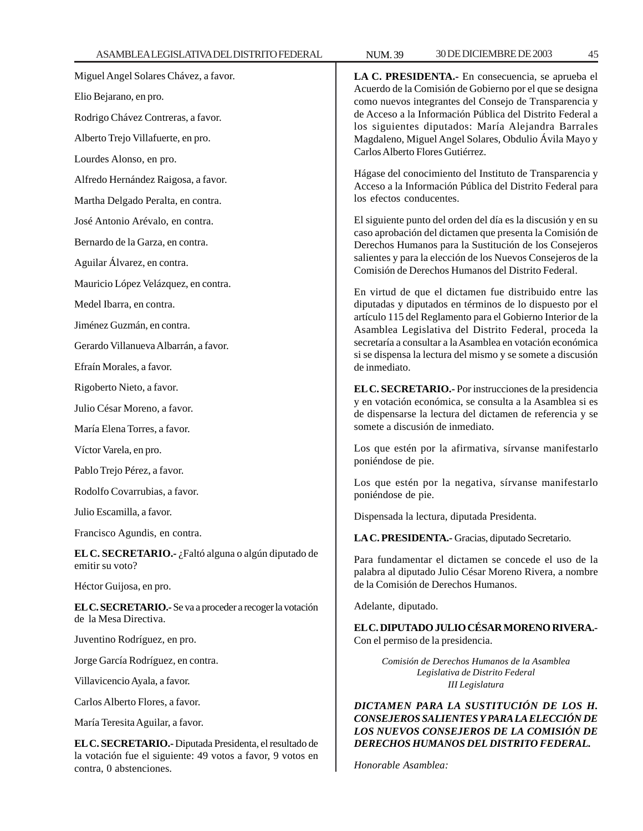Miguel Angel Solares Chávez, a favor.

Elio Bejarano, en pro.

Rodrigo Chávez Contreras, a favor.

Alberto Trejo Villafuerte, en pro.

Lourdes Alonso, en pro.

Alfredo Hernández Raigosa, a favor.

Martha Delgado Peralta, en contra.

José Antonio Arévalo, en contra.

Bernardo de la Garza, en contra.

Aguilar Álvarez, en contra.

Mauricio López Velázquez, en contra.

Medel Ibarra, en contra.

Jiménez Guzmán, en contra.

Gerardo Villanueva Albarrán, a favor.

Efraín Morales, a favor.

Rigoberto Nieto, a favor.

Julio César Moreno, a favor.

María Elena Torres, a favor.

Víctor Varela, en pro.

Pablo Trejo Pérez, a favor.

Rodolfo Covarrubias, a favor.

Julio Escamilla, a favor.

Francisco Agundis, en contra.

**EL C. SECRETARIO.-** ¿Faltó alguna o algún diputado de emitir su voto?

Héctor Guijosa, en pro.

**EL C. SECRETARIO.-** Se va a proceder a recoger la votación de la Mesa Directiva.

Juventino Rodríguez, en pro.

Jorge García Rodríguez, en contra.

Villavicencio Ayala, a favor.

Carlos Alberto Flores, a favor.

María Teresita Aguilar, a favor.

**EL C. SECRETARIO.-** Diputada Presidenta, el resultado de la votación fue el siguiente: 49 votos a favor, 9 votos en contra, 0 abstenciones.

**LA C. PRESIDENTA.-** En consecuencia, se aprueba el Acuerdo de la Comisión de Gobierno por el que se designa como nuevos integrantes del Consejo de Transparencia y de Acceso a la Información Pública del Distrito Federal a los siguientes diputados: María Alejandra Barrales Magdaleno, Miguel Angel Solares, Obdulio Ávila Mayo y Carlos Alberto Flores Gutiérrez.

Hágase del conocimiento del Instituto de Transparencia y Acceso a la Información Pública del Distrito Federal para los efectos conducentes.

El siguiente punto del orden del día es la discusión y en su caso aprobación del dictamen que presenta la Comisión de Derechos Humanos para la Sustitución de los Consejeros salientes y para la elección de los Nuevos Consejeros de la Comisión de Derechos Humanos del Distrito Federal.

En virtud de que el dictamen fue distribuido entre las diputadas y diputados en términos de lo dispuesto por el artículo 115 del Reglamento para el Gobierno Interior de la Asamblea Legislativa del Distrito Federal, proceda la secretaría a consultar a la Asamblea en votación económica si se dispensa la lectura del mismo y se somete a discusión de inmediato.

**EL C. SECRETARIO.-** Por instrucciones de la presidencia y en votación económica, se consulta a la Asamblea si es de dispensarse la lectura del dictamen de referencia y se somete a discusión de inmediato.

Los que estén por la afirmativa, sírvanse manifestarlo poniéndose de pie.

Los que estén por la negativa, sírvanse manifestarlo poniéndose de pie.

Dispensada la lectura, diputada Presidenta.

**LA C. PRESIDENTA.-** Gracias, diputado Secretario.

Para fundamentar el dictamen se concede el uso de la palabra al diputado Julio César Moreno Rivera, a nombre de la Comisión de Derechos Humanos.

Adelante, diputado.

**EL C. DIPUTADO JULIO CÉSAR MORENO RIVERA.-** Con el permiso de la presidencia.

> *Comisión de Derechos Humanos de la Asamblea Legislativa de Distrito Federal III Legislatura*

*DICTAMEN PARA LA SUSTITUCIÓN DE LOS H. CONSEJEROS SALIENTES Y PARA LA ELECCIÓN DE LOS NUEVOS CONSEJEROS DE LA COMISIÓN DE DERECHOS HUMANOS DEL DISTRITO FEDERAL.*

*Honorable Asamblea:*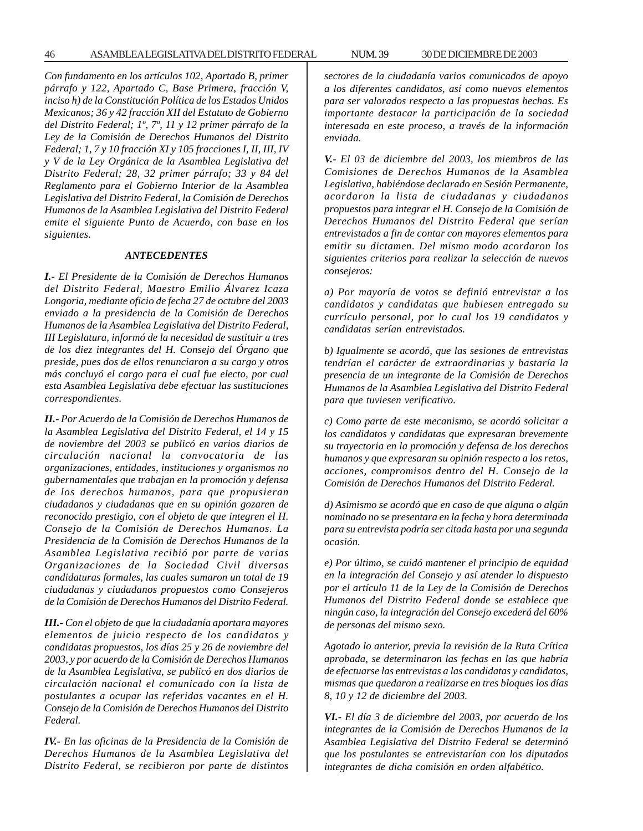*Con fundamento en los artículos 102, Apartado B, primer párrafo y 122, Apartado C, Base Primera, fracción V, inciso h) de la Constitución Política de los Estados Unidos Mexicanos; 36 y 42 fracción XII del Estatuto de Gobierno del Distrito Federal; 1º, 7º, 11 y 12 primer párrafo de la Ley de la Comisión de Derechos Humanos del Distrito Federal; 1, 7 y 10 fracción XI y 105 fracciones I, II, III, IV y V de la Ley Orgánica de la Asamblea Legislativa del Distrito Federal; 28, 32 primer párrafo; 33 y 84 del Reglamento para el Gobierno Interior de la Asamblea Legislativa del Distrito Federal, la Comisión de Derechos Humanos de la Asamblea Legislativa del Distrito Federal emite el siguiente Punto de Acuerdo, con base en los siguientes.*

#### *ANTECEDENTES*

*I.- El Presidente de la Comisión de Derechos Humanos del Distrito Federal, Maestro Emilio Álvarez Icaza Longoria, mediante oficio de fecha 27 de octubre del 2003 enviado a la presidencia de la Comisión de Derechos Humanos de la Asamblea Legislativa del Distrito Federal, III Legislatura, informó de la necesidad de sustituir a tres de los diez integrantes del H. Consejo del Órgano que preside, pues dos de ellos renunciaron a su cargo y otros más concluyó el cargo para el cual fue electo, por cual esta Asamblea Legislativa debe efectuar las sustituciones correspondientes.*

*II.- Por Acuerdo de la Comisión de Derechos Humanos de la Asamblea Legislativa del Distrito Federal, el 14 y 15 de noviembre del 2003 se publicó en varios diarios de circulación nacional la convocatoria de las organizaciones, entidades, instituciones y organismos no gubernamentales que trabajan en la promoción y defensa de los derechos humanos, para que propusieran ciudadanos y ciudadanas que en su opinión gozaren de reconocido prestigio, con el objeto de que integren el H. Consejo de la Comisión de Derechos Humanos. La Presidencia de la Comisión de Derechos Humanos de la Asamblea Legislativa recibió por parte de varias Organizaciones de la Sociedad Civil diversas candidaturas formales, las cuales sumaron un total de 19 ciudadanas y ciudadanos propuestos como Consejeros de la Comisión de Derechos Humanos del Distrito Federal.*

*III.- Con el objeto de que la ciudadanía aportara mayores elementos de juicio respecto de los candidatos y candidatas propuestos, los días 25 y 26 de noviembre del 2003, y por acuerdo de la Comisión de Derechos Humanos de la Asamblea Legislativa, se publicó en dos diarios de circulación nacional el comunicado con la lista de postulantes a ocupar las referidas vacantes en el H. Consejo de la Comisión de Derechos Humanos del Distrito Federal.*

*IV.- En las oficinas de la Presidencia de la Comisión de Derechos Humanos de la Asamblea Legislativa del Distrito Federal, se recibieron por parte de distintos* *sectores de la ciudadanía varios comunicados de apoyo a los diferentes candidatos, así como nuevos elementos para ser valorados respecto a las propuestas hechas. Es importante destacar la participación de la sociedad interesada en este proceso, a través de la información enviada.*

*V.- El 03 de diciembre del 2003, los miembros de las Comisiones de Derechos Humanos de la Asamblea Legislativa, habiéndose declarado en Sesión Permanente, acordaron la lista de ciudadanas y ciudadanos propuestos para integrar el H. Consejo de la Comisión de Derechos Humanos del Distrito Federal que serían entrevistados a fin de contar con mayores elementos para emitir su dictamen. Del mismo modo acordaron los siguientes criterios para realizar la selección de nuevos consejeros:*

*a) Por mayoría de votos se definió entrevistar a los candidatos y candidatas que hubiesen entregado su currículo personal, por lo cual los 19 candidatos y candidatas serían entrevistados.*

*b) Igualmente se acordó, que las sesiones de entrevistas tendrían el carácter de extraordinarias y bastaría la presencia de un integrante de la Comisión de Derechos Humanos de la Asamblea Legislativa del Distrito Federal para que tuviesen verificativo.*

*c) Como parte de este mecanismo, se acordó solicitar a los candidatos y candidatas que expresaran brevemente su trayectoria en la promoción y defensa de los derechos humanos y que expresaran su opinión respecto a los retos, acciones, compromisos dentro del H. Consejo de la Comisión de Derechos Humanos del Distrito Federal.*

*d) Asimismo se acordó que en caso de que alguna o algún nominado no se presentara en la fecha y hora determinada para su entrevista podría ser citada hasta por una segunda ocasión.*

*e) Por último, se cuidó mantener el principio de equidad en la integración del Consejo y así atender lo dispuesto por el artículo 11 de la Ley de la Comisión de Derechos Humanos del Distrito Federal donde se establece que ningún caso, la integración del Consejo excederá del 60% de personas del mismo sexo.*

*Agotado lo anterior, previa la revisión de la Ruta Crítica aprobada, se determinaron las fechas en las que habría de efectuarse las entrevistas a las candidatas y candidatos, mismas que quedaron a realizarse en tres bloques los días 8, 10 y 12 de diciembre del 2003.*

*VI.- El día 3 de diciembre del 2003, por acuerdo de los integrantes de la Comisión de Derechos Humanos de la Asamblea Legislativa del Distrito Federal se determinó que los postulantes se entrevistarían con los diputados integrantes de dicha comisión en orden alfabético.*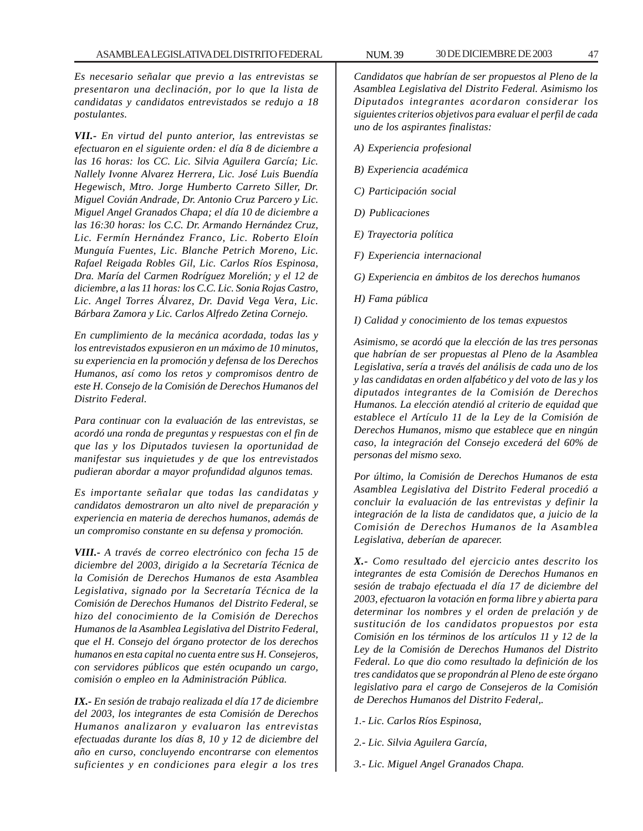*Es necesario señalar que previo a las entrevistas se presentaron una declinación, por lo que la lista de candidatas y candidatos entrevistados se redujo a 18 postulantes.*

*VII.- En virtud del punto anterior, las entrevistas se efectuaron en el siguiente orden: el día 8 de diciembre a las 16 horas: los CC. Lic. Silvia Aguilera García; Lic. Nallely Ivonne Alvarez Herrera, Lic. José Luis Buendía Hegewisch, Mtro. Jorge Humberto Carreto Siller, Dr. Miguel Covián Andrade, Dr. Antonio Cruz Parcero y Lic. Miguel Angel Granados Chapa; el día 10 de diciembre a las 16:30 horas: los C.C. Dr. Armando Hernández Cruz, Lic. Fermín Hernández Franco, Lic. Roberto Eloín Munguía Fuentes, Lic. Blanche Petrich Moreno, Lic. Rafael Reigada Robles Gil, Lic. Carlos Ríos Espinosa, Dra. María del Carmen Rodríguez Morelión; y el 12 de diciembre, a las 11 horas: los C.C. Lic. Sonia Rojas Castro, Lic. Angel Torres Álvarez, Dr. David Vega Vera, Lic. Bárbara Zamora y Lic. Carlos Alfredo Zetina Cornejo.*

*En cumplimiento de la mecánica acordada, todas las y los entrevistados expusieron en un máximo de 10 minutos, su experiencia en la promoción y defensa de los Derechos Humanos, así como los retos y compromisos dentro de este H. Consejo de la Comisión de Derechos Humanos del Distrito Federal.*

*Para continuar con la evaluación de las entrevistas, se acordó una ronda de preguntas y respuestas con el fin de que las y los Diputados tuviesen la oportunidad de manifestar sus inquietudes y de que los entrevistados pudieran abordar a mayor profundidad algunos temas.*

*Es importante señalar que todas las candidatas y candidatos demostraron un alto nivel de preparación y experiencia en materia de derechos humanos, además de un compromiso constante en su defensa y promoción.*

*VIII.- A través de correo electrónico con fecha 15 de diciembre del 2003, dirigido a la Secretaría Técnica de la Comisión de Derechos Humanos de esta Asamblea Legislativa, signado por la Secretaría Técnica de la Comisión de Derechos Humanos del Distrito Federal, se hizo del conocimiento de la Comisión de Derechos Humanos de la Asamblea Legislativa del Distrito Federal, que el H. Consejo del órgano protector de los derechos humanos en esta capital no cuenta entre sus H. Consejeros, con servidores públicos que estén ocupando un cargo, comisión o empleo en la Administración Pública.*

*IX.- En sesión de trabajo realizada el día 17 de diciembre del 2003, los integrantes de esta Comisión de Derechos Humanos analizaron y evaluaron las entrevistas efectuadas durante los días 8, 10 y 12 de diciembre del año en curso, concluyendo encontrarse con elementos suficientes y en condiciones para elegir a los tres*

*Candidatos que habrían de ser propuestos al Pleno de la Asamblea Legislativa del Distrito Federal. Asimismo los Diputados integrantes acordaron considerar los siguientes criterios objetivos para evaluar el perfil de cada uno de los aspirantes finalistas:*

- *A) Experiencia profesional*
- *B) Experiencia académica*
- *C) Participación social*
- *D) Publicaciones*
- *E) Trayectoria política*
- *F) Experiencia internacional*
- *G) Experiencia en ámbitos de los derechos humanos*
- *H) Fama pública*
- *I) Calidad y conocimiento de los temas expuestos*

*Asimismo, se acordó que la elección de las tres personas que habrían de ser propuestas al Pleno de la Asamblea Legislativa, sería a través del análisis de cada uno de los y las candidatas en orden alfabético y del voto de las y los diputados integrantes de la Comisión de Derechos Humanos. La elección atendió al criterio de equidad que establece el Artículo 11 de la Ley de la Comisión de Derechos Humanos, mismo que establece que en ningún caso, la integración del Consejo excederá del 60% de personas del mismo sexo.*

*Por último, la Comisión de Derechos Humanos de esta Asamblea Legislativa del Distrito Federal procedió a concluir la evaluación de las entrevistas y definir la integración de la lista de candidatos que, a juicio de la Comisión de Derechos Humanos de la Asamblea Legislativa, deberían de aparecer.*

*X.- Como resultado del ejercicio antes descrito los integrantes de esta Comisión de Derechos Humanos en sesión de trabajo efectuada el día 17 de diciembre del 2003, efectuaron la votación en forma libre y abierta para determinar los nombres y el orden de prelación y de sustitución de los candidatos propuestos por esta Comisión en los términos de los artículos 11 y 12 de la Ley de la Comisión de Derechos Humanos del Distrito Federal. Lo que dio como resultado la definición de los tres candidatos que se propondrán al Pleno de este órgano legislativo para el cargo de Consejeros de la Comisión de Derechos Humanos del Distrito Federal,.*

- *1.- Lic. Carlos Ríos Espinosa,*
- *2.- Lic. Silvia Aguilera García,*
- *3.- Lic. Miguel Angel Granados Chapa.*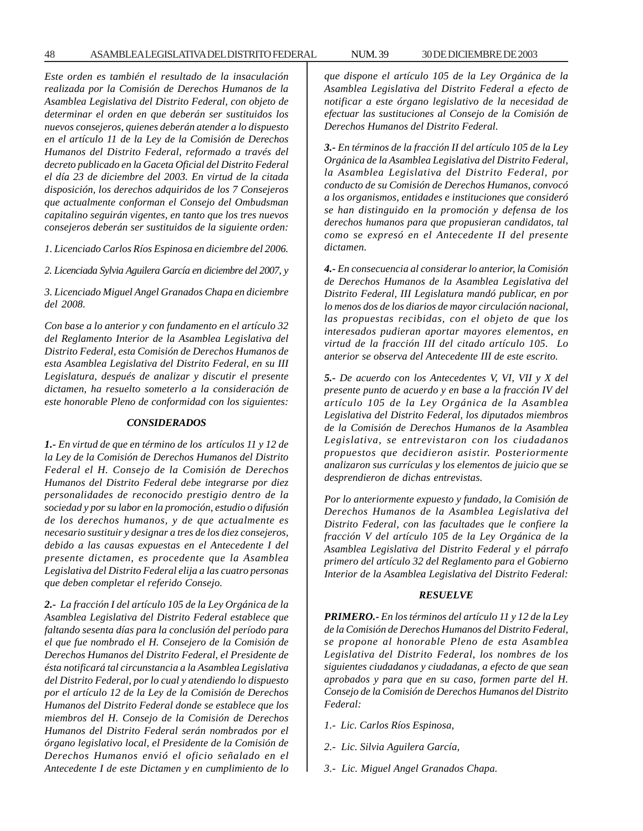48 ASAMBLEA LEGISLATIVA DEL DISTRITO FEDERAL 30 DE NUM. 39 DICIEMBRE DE 2003

*Este orden es también el resultado de la insaculación realizada por la Comisión de Derechos Humanos de la Asamblea Legislativa del Distrito Federal, con objeto de determinar el orden en que deberán ser sustituidos los nuevos consejeros, quienes deberán atender a lo dispuesto en el artículo 11 de la Ley de la Comisión de Derechos Humanos del Distrito Federal, reformado a través del decreto publicado en la Gaceta Oficial del Distrito Federal el día 23 de diciembre del 2003. En virtud de la citada disposición, los derechos adquiridos de los 7 Consejeros que actualmente conforman el Consejo del Ombudsman capitalino seguirán vigentes, en tanto que los tres nuevos*

*1. Licenciado Carlos Ríos Espinosa en diciembre del 2006.*

*consejeros deberán ser sustituidos de la siguiente orden:*

*2. Licenciada Sylvia Aguilera García en diciembre del 2007, y*

*3. Licenciado Miguel Angel Granados Chapa en diciembre del 2008.*

*Con base a lo anterior y con fundamento en el artículo 32 del Reglamento Interior de la Asamblea Legislativa del Distrito Federal, esta Comisión de Derechos Humanos de esta Asamblea Legislativa del Distrito Federal, en su III Legislatura, después de analizar y discutir el presente dictamen, ha resuelto someterlo a la consideración de este honorable Pleno de conformidad con los siguientes:*

#### *CONSIDERADOS*

*1.- En virtud de que en término de los artículos 11 y 12 de la Ley de la Comisión de Derechos Humanos del Distrito Federal el H. Consejo de la Comisión de Derechos Humanos del Distrito Federal debe integrarse por diez personalidades de reconocido prestigio dentro de la sociedad y por su labor en la promoción, estudio o difusión de los derechos humanos, y de que actualmente es necesario sustituir y designar a tres de los diez consejeros, debido a las causas expuestas en el Antecedente I del presente dictamen, es procedente que la Asamblea Legislativa del Distrito Federal elija a las cuatro personas que deben completar el referido Consejo.*

*2.- La fracción I del artículo 105 de la Ley Orgánica de la Asamblea Legislativa del Distrito Federal establece que faltando sesenta días para la conclusión del período para el que fue nombrado el H. Consejero de la Comisión de Derechos Humanos del Distrito Federal, el Presidente de ésta notificará tal circunstancia a la Asamblea Legislativa del Distrito Federal, por lo cual y atendiendo lo dispuesto por el artículo 12 de la Ley de la Comisión de Derechos Humanos del Distrito Federal donde se establece que los miembros del H. Consejo de la Comisión de Derechos Humanos del Distrito Federal serán nombrados por el órgano legislativo local, el Presidente de la Comisión de Derechos Humanos envió el oficio señalado en el Antecedente I de este Dictamen y en cumplimiento de lo* *que dispone el artículo 105 de la Ley Orgánica de la Asamblea Legislativa del Distrito Federal a efecto de notificar a este órgano legislativo de la necesidad de efectuar las sustituciones al Consejo de la Comisión de Derechos Humanos del Distrito Federal.*

*3.- En términos de la fracción II del artículo 105 de la Ley Orgánica de la Asamblea Legislativa del Distrito Federal, la Asamblea Legislativa del Distrito Federal, por conducto de su Comisión de Derechos Humanos, convocó a los organismos, entidades e instituciones que consideró se han distinguido en la promoción y defensa de los derechos humanos para que propusieran candidatos, tal como se expresó en el Antecedente II del presente dictamen.*

*4.- En consecuencia al considerar lo anterior, la Comisión de Derechos Humanos de la Asamblea Legislativa del Distrito Federal, III Legislatura mandó publicar, en por lo menos dos de los diarios de mayor circulación nacional, las propuestas recibidas, con el objeto de que los interesados pudieran aportar mayores elementos, en virtud de la fracción III del citado artículo 105. Lo anterior se observa del Antecedente III de este escrito.*

*5.- De acuerdo con los Antecedentes V, VI, VII y X del presente punto de acuerdo y en base a la fracción IV del artículo 105 de la Ley Orgánica de la Asamblea Legislativa del Distrito Federal, los diputados miembros de la Comisión de Derechos Humanos de la Asamblea Legislativa, se entrevistaron con los ciudadanos propuestos que decidieron asistir. Posteriormente analizaron sus currículas y los elementos de juicio que se desprendieron de dichas entrevistas.*

*Por lo anteriormente expuesto y fundado, la Comisión de Derechos Humanos de la Asamblea Legislativa del Distrito Federal, con las facultades que le confiere la fracción V del artículo 105 de la Ley Orgánica de la Asamblea Legislativa del Distrito Federal y el párrafo primero del artículo 32 del Reglamento para el Gobierno Interior de la Asamblea Legislativa del Distrito Federal:*

#### *RESUELVE*

*PRIMERO.- En los términos del artículo 11 y 12 de la Ley de la Comisión de Derechos Humanos del Distrito Federal, se propone al honorable Pleno de esta Asamblea Legislativa del Distrito Federal, los nombres de los siguientes ciudadanos y ciudadanas, a efecto de que sean aprobados y para que en su caso, formen parte del H. Consejo de la Comisión de Derechos Humanos del Distrito Federal:*

- *1.- Lic. Carlos Ríos Espinosa,*
- *2.- Lic. Silvia Aguilera García,*
- *3.- Lic. Miguel Angel Granados Chapa.*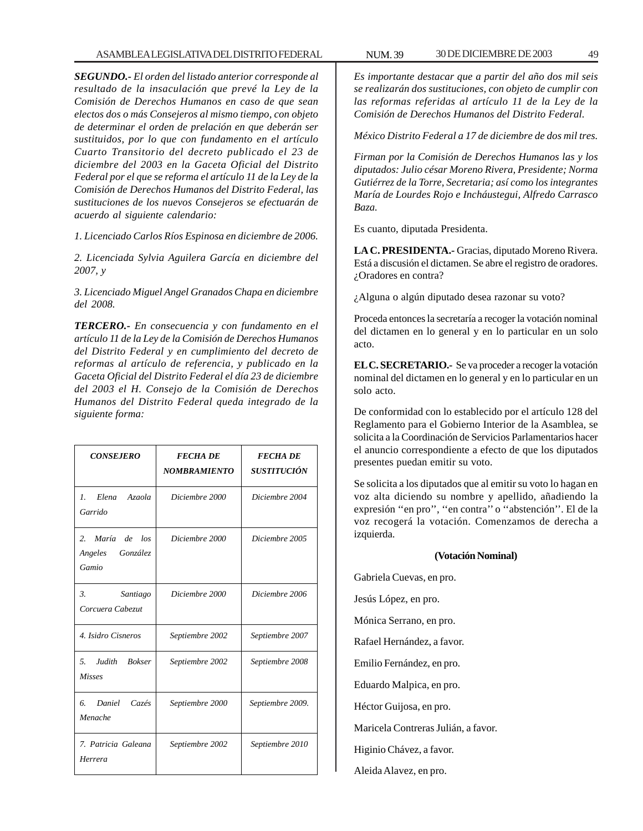*SEGUNDO.- El orden del listado anterior corresponde al resultado de la insaculación que prevé la Ley de la Comisión de Derechos Humanos en caso de que sean electos dos o más Consejeros al mismo tiempo, con objeto de determinar el orden de prelación en que deberán ser sustituidos, por lo que con fundamento en el artículo Cuarto Transitorio del decreto publicado el 23 de diciembre del 2003 en la Gaceta Oficial del Distrito Federal por el que se reforma el artículo 11 de la Ley de la Comisión de Derechos Humanos del Distrito Federal, las sustituciones de los nuevos Consejeros se efectuarán de acuerdo al siguiente calendario:*

*1. Licenciado Carlos Ríos Espinosa en diciembre de 2006.*

*2. Licenciada Sylvia Aguilera García en diciembre del 2007, y*

*3. Licenciado Miguel Angel Granados Chapa en diciembre del 2008.*

*TERCERO.- En consecuencia y con fundamento en el artículo 11 de la Ley de la Comisión de Derechos Humanos del Distrito Federal y en cumplimiento del decreto de reformas al artículo de referencia, y publicado en la Gaceta Oficial del Distrito Federal el día 23 de diciembre del 2003 el H. Consejo de la Comisión de Derechos Humanos del Distrito Federal queda integrado de la siguiente forma:*

| <b>CONSEJERO</b>                                   | <b>FECHA DE</b><br><b>NOMBRAMIENTO</b> | <b>FECHA DE</b><br>SUSTITUCIÓN |
|----------------------------------------------------|----------------------------------------|--------------------------------|
| Elena<br>Azaola<br>$\mathcal{L}$<br>Garrido        | Diciembre 2000                         | Diciembre 2004                 |
| 2.<br>María de los<br>Angeles<br>González<br>Gamio | Diciembre 2000                         | Diciembre 2005                 |
| 3.<br>Santiago<br>Corcuera Cabezut                 | Diciembre 2000                         | Diciembre 2006                 |
| 4. Isidro Cisneros                                 | Septiembre 2002                        | Septiembre 2007                |
| 5 <sup>1</sup><br>Judith Bokser<br><b>Misses</b>   | Septiembre 2002                        | Septiembre 2008                |
| 6.<br>Daniel<br>Cazés<br>Menache                   | Septiembre 2000                        | Septiembre 2009.               |
| 7. Patricia Galeana<br>Herrera                     | Septiembre 2002                        | Septiembre 2010                |

*Es importante destacar que a partir del año dos mil seis se realizarán dos sustituciones, con objeto de cumplir con las reformas referidas al artículo 11 de la Ley de la Comisión de Derechos Humanos del Distrito Federal.*

*México Distrito Federal a 17 de diciembre de dos mil tres.*

*Firman por la Comisión de Derechos Humanos las y los diputados: Julio césar Moreno Rivera, Presidente; Norma Gutiérrez de la Torre, Secretaria; así como los integrantes María de Lourdes Rojo e Incháustegui, Alfredo Carrasco Baza.*

Es cuanto, diputada Presidenta.

**LA C. PRESIDENTA.-** Gracias, diputado Moreno Rivera. Está a discusión el dictamen. Se abre el registro de oradores. ¿Oradores en contra?

¿Alguna o algún diputado desea razonar su voto?

Proceda entonces la secretaría a recoger la votación nominal del dictamen en lo general y en lo particular en un solo acto.

**EL C. SECRETARIO.-** Se va proceder a recoger la votación nominal del dictamen en lo general y en lo particular en un solo acto.

De conformidad con lo establecido por el artículo 128 del Reglamento para el Gobierno Interior de la Asamblea, se solicita a la Coordinación de Servicios Parlamentarios hacer el anuncio correspondiente a efecto de que los diputados presentes puedan emitir su voto.

Se solicita a los diputados que al emitir su voto lo hagan en voz alta diciendo su nombre y apellido, añadiendo la expresión ''en pro'', ''en contra'' o ''abstención''. El de la voz recogerá la votación. Comenzamos de derecha a izquierda.

#### **(Votación Nominal)**

Gabriela Cuevas, en pro.

Jesús López, en pro. Mónica Serrano, en pro.

Rafael Hernández, a favor.

Emilio Fernández, en pro.

Eduardo Malpica, en pro.

Héctor Guijosa, en pro.

Maricela Contreras Julián, a favor.

Higinio Chávez, a favor.

Aleida Alavez, en pro.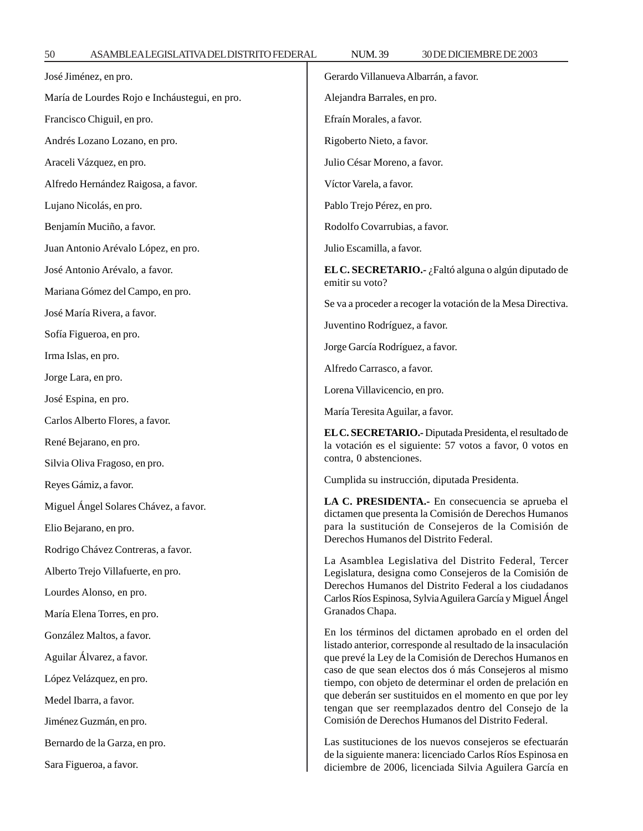50 ASAMBLEA LEGISLATIVA DEL DISTRITO FEDERAL NUM. 39 30 DE DICIEMBRE DE 2003

| José Jiménez, en pro.                         | Gerardo Villanueva Albarrán, a favor.                                                                                                           |  |
|-----------------------------------------------|-------------------------------------------------------------------------------------------------------------------------------------------------|--|
| María de Lourdes Rojo e Incháustegui, en pro. | Alejandra Barrales, en pro.                                                                                                                     |  |
| Francisco Chiguil, en pro.                    | Efraín Morales, a favor.                                                                                                                        |  |
| Andrés Lozano Lozano, en pro.                 | Rigoberto Nieto, a favor.                                                                                                                       |  |
| Araceli Vázquez, en pro.                      | Julio César Moreno, a favor.                                                                                                                    |  |
| Alfredo Hernández Raigosa, a favor.           | Víctor Varela, a favor.                                                                                                                         |  |
| Lujano Nicolás, en pro.                       | Pablo Trejo Pérez, en pro.                                                                                                                      |  |
| Benjamín Muciño, a favor.                     | Rodolfo Covarrubias, a favor.                                                                                                                   |  |
| Juan Antonio Arévalo López, en pro.           | Julio Escamilla, a favor.                                                                                                                       |  |
| José Antonio Arévalo, a favor.                | EL C. SECRETARIO.- ¿Faltó alguna o algún diputado de                                                                                            |  |
| Mariana Gómez del Campo, en pro.              | emitir su voto?                                                                                                                                 |  |
| José María Rivera, a favor.                   | Se va a proceder a recoger la votación de la Mesa Directiva.                                                                                    |  |
| Sofía Figueroa, en pro.                       | Juventino Rodríguez, a favor.                                                                                                                   |  |
| Irma Islas, en pro.                           | Jorge García Rodríguez, a favor.                                                                                                                |  |
| Jorge Lara, en pro.                           | Alfredo Carrasco, a favor.                                                                                                                      |  |
| José Espina, en pro.                          | Lorena Villavicencio, en pro.                                                                                                                   |  |
| Carlos Alberto Flores, a favor.               | María Teresita Aguilar, a favor.                                                                                                                |  |
| René Bejarano, en pro.                        | EL C. SECRETARIO.- Diputada Presidenta, el resultado de<br>la votación es el siguiente: 57 votos a favor, 0 votos en<br>contra, 0 abstenciones. |  |
| Silvia Oliva Fragoso, en pro.                 |                                                                                                                                                 |  |
| Reyes Gámiz, a favor.                         | Cumplida su instrucción, diputada Presidenta.                                                                                                   |  |
|                                               | LA C. PRESIDENTA.- En consecuencia se aprueba el                                                                                                |  |
| Miguel Ángel Solares Chávez, a favor.         |                                                                                                                                                 |  |
| Elio Bejarano, en pro.                        | dictamen que presenta la Comisión de Derechos Humanos<br>para la sustitución de Consejeros de la Comisión de                                    |  |
| Rodrigo Chávez Contreras, a favor.            | Derechos Humanos del Distrito Federal.                                                                                                          |  |
| Alberto Trejo Villafuerte, en pro.            | La Asamblea Legislativa del Distrito Federal, Tercer<br>Legislatura, designa como Consejeros de la Comisión de                                  |  |
| Lourdes Alonso, en pro.                       | Derechos Humanos del Distrito Federal a los ciudadanos<br>Carlos Ríos Espinosa, Sylvia Aguilera García y Miguel Ángel                           |  |
| María Elena Torres, en pro.                   | Granados Chapa.                                                                                                                                 |  |
| González Maltos, a favor.                     | En los términos del dictamen aprobado en el orden del                                                                                           |  |
| Aguilar Álvarez, a favor.                     | listado anterior, corresponde al resultado de la insaculación<br>que prevé la Ley de la Comisión de Derechos Humanos en                         |  |
| López Velázquez, en pro.                      | caso de que sean electos dos ó más Consejeros al mismo<br>tiempo, con objeto de determinar el orden de prelación en                             |  |
| Medel Ibarra, a favor.                        | que deberán ser sustituidos en el momento en que por ley<br>tengan que ser reemplazados dentro del Consejo de la                                |  |
| Jiménez Guzmán, en pro.                       | Comisión de Derechos Humanos del Distrito Federal.                                                                                              |  |
| Bernardo de la Garza, en pro.                 | Las sustituciones de los nuevos consejeros se efectuarán<br>de la siguiente manera: licenciado Carlos Ríos Espinosa en                          |  |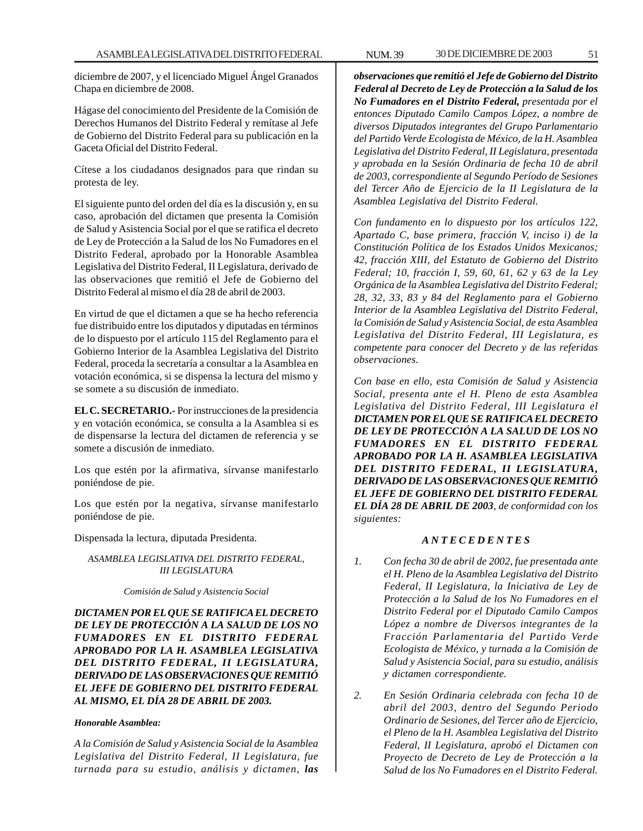diciembre de 2007, y el licenciado Miguel Ángel Granados Chapa en diciembre de 2008.

Hágase del conocimiento del Presidente de la Comisión de Derechos Humanos del Distrito Federal y remítase al Jefe de Gobierno del Distrito Federal para su publicación en la Gaceta Oficial del Distrito Federal.

Cítese a los ciudadanos designados para que rindan su protesta de ley.

El siguiente punto del orden del día es la discusión y, en su caso, aprobación del dictamen que presenta la Comisión de Salud y Asistencia Social por el que se ratifica el decreto de Ley de Protección a la Salud de los No Fumadores en el Distrito Federal, aprobado por la Honorable Asamblea Legislativa del Distrito Federal, II Legislatura, derivado de las observaciones que remitió el Jefe de Gobierno del Distrito Federal al mismo el día 28 de abril de 2003.

En virtud de que el dictamen a que se ha hecho referencia fue distribuido entre los diputados y diputadas en términos de lo dispuesto por el artículo 115 del Reglamento para el Gobierno Interior de la Asamblea Legislativa del Distrito Federal, proceda la secretaría a consultar a la Asamblea en votación económica, si se dispensa la lectura del mismo y se somete a su discusión de inmediato.

**EL C. SECRETARIO.-** Por instrucciones de la presidencia y en votación económica, se consulta a la Asamblea si es de dispensarse la lectura del dictamen de referencia y se somete a discusión de inmediato.

Los que estén por la afirmativa, sírvanse manifestarlo poniéndose de pie.

Los que estén por la negativa, sírvanse manifestarlo poniéndose de pie.

Dispensada la lectura, diputada Presidenta.

## *ASAMBLEA LEGISLATIVA DEL DISTRITO FEDERAL, III LEGISLATURA*

*Comisión de Salud y Asistencia Social*

*DICTAMEN POR EL QUE SE RATIFICA EL DECRETO DE LEY DE PROTECCIÓN A LA SALUD DE LOS NO FUMADORES EN EL DISTRITO FEDERAL APROBADO POR LA H. ASAMBLEA LEGISLATIVA DEL DISTRITO FEDERAL, II LEGISLATURA, DERIVADO DE LAS OBSERVACIONES QUE REMITIÓ EL JEFE DE GOBIERNO DEL DISTRITO FEDERAL AL MISMO, EL DÍA 28 DE ABRIL DE 2003.*

### *Honorable Asamblea:*

*A la Comisión de Salud y Asistencia Social de la Asamblea Legislativa del Distrito Federal, II Legislatura, fue turnada para su estudio, análisis y dictamen, las*

*observaciones que remitió el Jefe de Gobierno del Distrito Federal al Decreto de Ley de Protección a la Salud de los No Fumadores en el Distrito Federal, presentada por el entonces Diputado Camilo Campos López, a nombre de diversos Diputados integrantes del Grupo Parlamentario del Partido Verde Ecologista de México, de la H. Asamblea Legislativa del Distrito Federal, II Legislatura, presentada y aprobada en la Sesión Ordinaria de fecha 10 de abril de 2003, correspondiente al Segundo Período de Sesiones del Tercer Año de Ejercicio de la II Legislatura de la Asamblea Legislativa del Distrito Federal.*

*Con fundamento en lo dispuesto por los artículos 122, Apartado C, base primera, fracción V, inciso i) de la Constitución Política de los Estados Unidos Mexicanos; 42, fracción XIII, del Estatuto de Gobierno del Distrito Federal; 10, fracción I, 59, 60, 61, 62 y 63 de la Ley Orgánica de la Asamblea Legislativa del Distrito Federal; 28, 32, 33, 83 y 84 del Reglamento para el Gobierno Interior de la Asamblea Legislativa del Distrito Federal, la Comisión de Salud y Asistencia Social, de esta Asamblea Legislativa del Distrito Federal, III Legislatura, es competente para conocer del Decreto y de las referidas observaciones.*

*Con base en ello, esta Comisión de Salud y Asistencia Social, presenta ante el H. Pleno de esta Asamblea Legislativa del Distrito Federal, III Legislatura el DICTAMEN POR EL QUE SE RATIFICA EL DECRETO DE LEY DE PROTECCIÓN A LA SALUD DE LOS NO FUMADORES EN EL DISTRITO FEDERAL APROBADO POR LA H. ASAMBLEA LEGISLATIVA DEL DISTRITO FEDERAL, II LEGISLATURA, DERIVADO DE LAS OBSERVACIONES QUE REMITIÓ EL JEFE DE GOBIERNO DEL DISTRITO FEDERAL EL DÍA 28 DE ABRIL DE 2003, de conformidad con los siguientes:*

## *A N T E C E D E N T E S*

- *1. Con fecha 30 de abril de 2002, fue presentada ante el H. Pleno de la Asamblea Legislativa del Distrito Federal, II Legislatura, la Iniciativa de Ley de Protección a la Salud de los No Fumadores en el Distrito Federal por el Diputado Camilo Campos López a nombre de Diversos integrantes de la Fracción Parlamentaria del Partido Verde Ecologista de México, y turnada a la Comisión de Salud y Asistencia Social, para su estudio, análisis y dictamen correspondiente.*
- *2. En Sesión Ordinaria celebrada con fecha 10 de abril del 2003, dentro del Segundo Periodo Ordinario de Sesiones, del Tercer año de Ejercicio, el Pleno de la H. Asamblea Legislativa del Distrito Federal, II Legislatura, aprobó el Dictamen con Proyecto de Decreto de Ley de Protección a la Salud de los No Fumadores en el Distrito Federal.*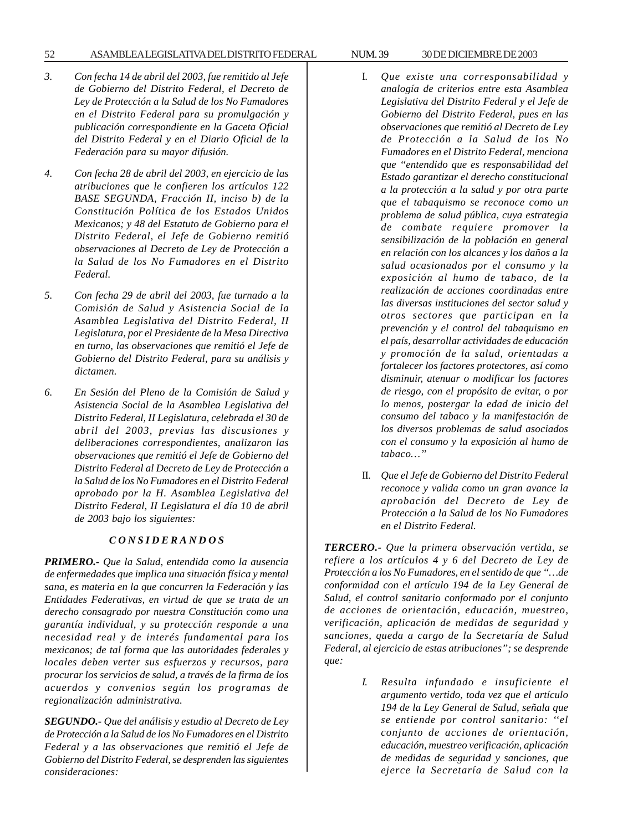### 52 ASAMBLEA LEGISLATIVA DEL DISTRITO FEDERAL NUM. 39 30 DE DICIEMBRE DE 2003

- *3. Con fecha 14 de abril del 2003, fue remitido al Jefe de Gobierno del Distrito Federal, el Decreto de Ley de Protección a la Salud de los No Fumadores en el Distrito Federal para su promulgación y publicación correspondiente en la Gaceta Oficial del Distrito Federal y en el Diario Oficial de la Federación para su mayor difusión.*
- *4. Con fecha 28 de abril del 2003, en ejercicio de las atribuciones que le confieren los artículos 122 BASE SEGUNDA, Fracción II, inciso b) de la Constitución Política de los Estados Unidos Mexicanos; y 48 del Estatuto de Gobierno para el Distrito Federal, el Jefe de Gobierno remitió observaciones al Decreto de Ley de Protección a la Salud de los No Fumadores en el Distrito Federal.*
- *5. Con fecha 29 de abril del 2003, fue turnado a la Comisión de Salud y Asistencia Social de la Asamblea Legislativa del Distrito Federal, II Legislatura, por el Presidente de la Mesa Directiva en turno, las observaciones que remitió el Jefe de Gobierno del Distrito Federal, para su análisis y dictamen.*
- *6. En Sesión del Pleno de la Comisión de Salud y Asistencia Social de la Asamblea Legislativa del Distrito Federal, II Legislatura, celebrada el 30 de abril del 2003, previas las discusiones y deliberaciones correspondientes, analizaron las observaciones que remitió el Jefe de Gobierno del Distrito Federal al Decreto de Ley de Protección a la Salud de los No Fumadores en el Distrito Federal aprobado por la H. Asamblea Legislativa del Distrito Federal, II Legislatura el día 10 de abril de 2003 bajo los siguientes:*

### *C O N S I D E R A N D O S*

*PRIMERO.- Que la Salud, entendida como la ausencia de enfermedades que implica una situación física y mental sana, es materia en la que concurren la Federación y las Entidades Federativas, en virtud de que se trata de un derecho consagrado por nuestra Constitución como una garantía individual, y su protección responde a una necesidad real y de interés fundamental para los mexicanos; de tal forma que las autoridades federales y locales deben verter sus esfuerzos y recursos, para procurar los servicios de salud, a través de la firma de los acuerdos y convenios según los programas de regionalización administrativa.*

*SEGUNDO.- Que del análisis y estudio al Decreto de Ley de Protección a la Salud de los No Fumadores en el Distrito Federal y a las observaciones que remitió el Jefe de Gobierno del Distrito Federal, se desprenden las siguientes consideraciones:*

- I. *Que existe una corresponsabilidad y analogía de criterios entre esta Asamblea Legislativa del Distrito Federal y el Jefe de Gobierno del Distrito Federal, pues en las observaciones que remitió al Decreto de Ley de Protección a la Salud de los No Fumadores en el Distrito Federal, menciona que ''entendido que es responsabilidad del Estado garantizar el derecho constitucional a la protección a la salud y por otra parte que el tabaquismo se reconoce como un problema de salud pública, cuya estrategia de combate requiere promover la sensibilización de la población en general en relación con los alcances y los daños a la salud ocasionados por el consumo y la exposición al humo de tabaco, de la realización de acciones coordinadas entre las diversas instituciones del sector salud y otros sectores que participan en la prevención y el control del tabaquismo en el país, desarrollar actividades de educación y promoción de la salud, orientadas a fortalecer los factores protectores, así como disminuir, atenuar o modificar los factores de riesgo, con el propósito de evitar, o por lo menos, postergar la edad de inicio del consumo del tabaco y la manifestación de los diversos problemas de salud asociados con el consumo y la exposición al humo de tabaco…''*
- II. *Que el Jefe de Gobierno del Distrito Federal reconoce y valida como un gran avance la aprobación del Decreto de Ley de Protección a la Salud de los No Fumadores en el Distrito Federal.*

*TERCERO.- Que la primera observación vertida, se refiere a los artículos 4 y 6 del Decreto de Ley de Protección a los No Fumadores, en el sentido de que ''…de conformidad con el artículo 194 de la Ley General de Salud, el control sanitario conformado por el conjunto de acciones de orientación, educación, muestreo, verificación, aplicación de medidas de seguridad y sanciones, queda a cargo de la Secretaría de Salud Federal, al ejercicio de estas atribuciones''; se desprende que:*

> *I. Resulta infundado e insuficiente el argumento vertido, toda vez que el artículo 194 de la Ley General de Salud, señala que se entiende por control sanitario: ''el conjunto de acciones de orientación, educación, muestreo verificación, aplicación de medidas de seguridad y sanciones, que ejerce la Secretaría de Salud con la*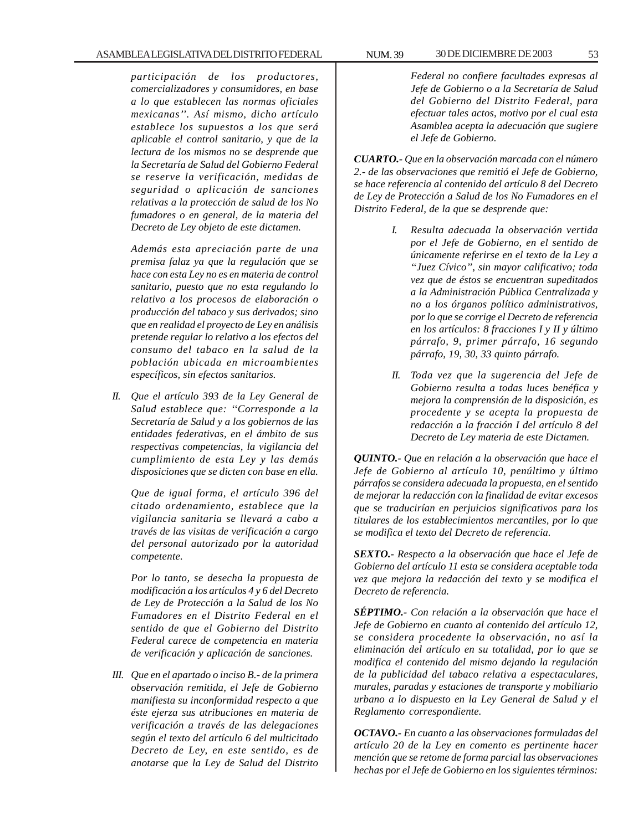*participación de los productores, comercializadores y consumidores, en base a lo que establecen las normas oficiales mexicanas''. Así mismo, dicho artículo establece los supuestos a los que será aplicable el control sanitario, y que de la lectura de los mismos no se desprende que la Secretaría de Salud del Gobierno Federal se reserve la verificación, medidas de seguridad o aplicación de sanciones relativas a la protección de salud de los No fumadores o en general, de la materia del Decreto de Ley objeto de este dictamen.*

*Además esta apreciación parte de una premisa falaz ya que la regulación que se hace con esta Ley no es en materia de control sanitario, puesto que no esta regulando lo relativo a los procesos de elaboración o producción del tabaco y sus derivados; sino que en realidad el proyecto de Ley en análisis pretende regular lo relativo a los efectos del consumo del tabaco en la salud de la población ubicada en microambientes específicos, sin efectos sanitarios.*

*II. Que el artículo 393 de la Ley General de Salud establece que: ''Corresponde a la Secretaría de Salud y a los gobiernos de las entidades federativas, en el ámbito de sus respectivas competencias, la vigilancia del cumplimiento de esta Ley y las demás disposiciones que se dicten con base en ella.*

*Que de igual forma, el artículo 396 del citado ordenamiento, establece que la vigilancia sanitaria se llevará a cabo a través de las visitas de verificación a cargo del personal autorizado por la autoridad competente.*

*Por lo tanto, se desecha la propuesta de modificación a los artículos 4 y 6 del Decreto de Ley de Protección a la Salud de los No Fumadores en el Distrito Federal en el sentido de que el Gobierno del Distrito Federal carece de competencia en materia de verificación y aplicación de sanciones.*

*III. Que en el apartado o inciso B.- de la primera observación remitida, el Jefe de Gobierno manifiesta su inconformidad respecto a que éste ejerza sus atribuciones en materia de verificación a través de las delegaciones según el texto del artículo 6 del multicitado Decreto de Ley, en este sentido, es de anotarse que la Ley de Salud del Distrito*

*Federal no confiere facultades expresas al Jefe de Gobierno o a la Secretaría de Salud del Gobierno del Distrito Federal, para efectuar tales actos, motivo por el cual esta Asamblea acepta la adecuación que sugiere el Jefe de Gobierno.*

*CUARTO.- Que en la observación marcada con el número 2.- de las observaciones que remitió el Jefe de Gobierno, se hace referencia al contenido del artículo 8 del Decreto de Ley de Protección a Salud de los No Fumadores en el Distrito Federal, de la que se desprende que:*

- *I. Resulta adecuada la observación vertida por el Jefe de Gobierno, en el sentido de únicamente referirse en el texto de la Ley a ''Juez Cívico'', sin mayor calificativo; toda vez que de éstos se encuentran supeditados a la Administración Pública Centralizada y no a los órganos político administrativos, por lo que se corrige el Decreto de referencia en los artículos: 8 fracciones I y II y último párrafo, 9, primer párrafo, 16 segundo párrafo, 19, 30, 33 quinto párrafo.*
- *II. Toda vez que la sugerencia del Jefe de Gobierno resulta a todas luces benéfica y mejora la comprensión de la disposición, es procedente y se acepta la propuesta de redacción a la fracción I del artículo 8 del Decreto de Ley materia de este Dictamen.*

*QUINTO.- Que en relación a la observación que hace el Jefe de Gobierno al artículo 10, penúltimo y último párrafos se considera adecuada la propuesta, en el sentido de mejorar la redacción con la finalidad de evitar excesos que se traducirían en perjuicios significativos para los titulares de los establecimientos mercantiles, por lo que se modifica el texto del Decreto de referencia.*

*SEXTO.- Respecto a la observación que hace el Jefe de Gobierno del artículo 11 esta se considera aceptable toda vez que mejora la redacción del texto y se modifica el Decreto de referencia.*

*SÉPTIMO.- Con relación a la observación que hace el Jefe de Gobierno en cuanto al contenido del artículo 12, se considera procedente la observación, no así la eliminación del artículo en su totalidad, por lo que se modifica el contenido del mismo dejando la regulación de la publicidad del tabaco relativa a espectaculares, murales, paradas y estaciones de transporte y mobiliario urbano a lo dispuesto en la Ley General de Salud y el Reglamento correspondiente.*

*OCTAVO.- En cuanto a las observaciones formuladas del artículo 20 de la Ley en comento es pertinente hacer mención que se retome de forma parcial las observaciones hechas por el Jefe de Gobierno en los siguientes términos:*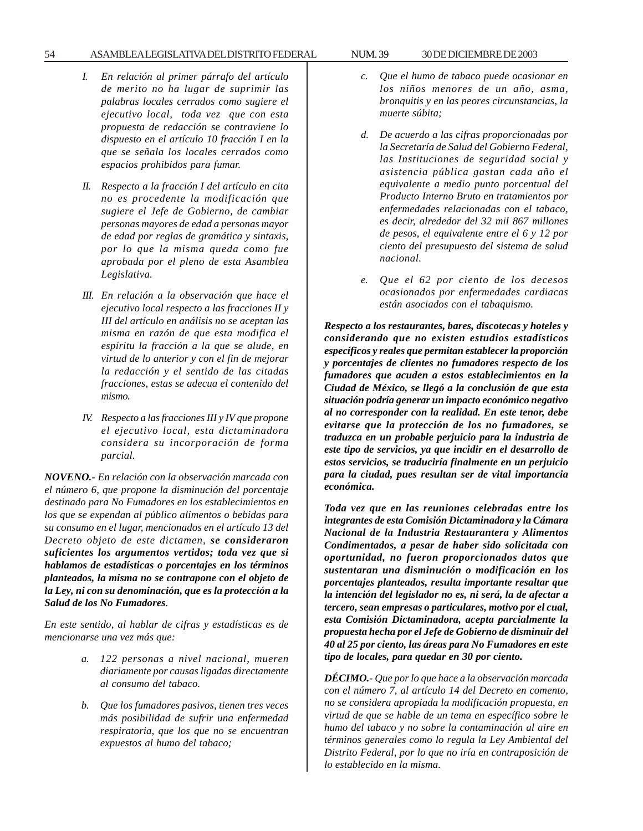### 54 ASAMBLEA LEGISLATIVA DEL DISTRITO FEDERAL NUM. 39 30 DE DICIEMBRE DE 2003

- *I. En relación al primer párrafo del artículo de merito no ha lugar de suprimir las palabras locales cerrados como sugiere el ejecutivo local, toda vez que con esta propuesta de redacción se contraviene lo dispuesto en el artículo 10 fracción I en la que se señala los locales cerrados como espacios prohibidos para fumar.*
- *II. Respecto a la fracción I del artículo en cita no es procedente la modificación que sugiere el Jefe de Gobierno, de cambiar personas mayores de edad a personas mayor de edad por reglas de gramática y sintaxis, por lo que la misma queda como fue aprobada por el pleno de esta Asamblea Legislativa.*
- *III. En relación a la observación que hace el ejecutivo local respecto a las fracciones II y III del artículo en análisis no se aceptan las misma en razón de que esta modifica el espíritu la fracción a la que se alude, en virtud de lo anterior y con el fin de mejorar la redacción y el sentido de las citadas fracciones, estas se adecua el contenido del mismo.*
- *IV. Respecto a las fracciones III y IV que propone el ejecutivo local, esta dictaminadora considera su incorporación de forma parcial.*

*NOVENO.- En relación con la observación marcada con el número 6, que propone la disminución del porcentaje destinado para No Fumadores en los establecimientos en los que se expendan al público alimentos o bebidas para su consumo en el lugar, mencionados en el artículo 13 del Decreto objeto de este dictamen, se consideraron suficientes los argumentos vertidos; toda vez que si hablamos de estadísticas o porcentajes en los términos planteados, la misma no se contrapone con el objeto de la Ley, ni con su denominación, que es la protección a la Salud de los No Fumadores.*

*En este sentido, al hablar de cifras y estadísticas es de mencionarse una vez más que:*

- *a. 122 personas a nivel nacional, mueren diariamente por causas ligadas directamente al consumo del tabaco.*
- *b. Que los fumadores pasivos, tienen tres veces más posibilidad de sufrir una enfermedad respiratoria, que los que no se encuentran expuestos al humo del tabaco;*
- *c. Que el humo de tabaco puede ocasionar en los niños menores de un año, asma, bronquitis y en las peores circunstancias, la muerte súbita;*
- *d. De acuerdo a las cifras proporcionadas por la Secretaría de Salud del Gobierno Federal, las Instituciones de seguridad social y asistencia pública gastan cada año el equivalente a medio punto porcentual del Producto Interno Bruto en tratamientos por enfermedades relacionadas con el tabaco, es decir, alrededor del 32 mil 867 millones de pesos, el equivalente entre el 6 y 12 por ciento del presupuesto del sistema de salud nacional.*
- *e. Que el 62 por ciento de los decesos ocasionados por enfermedades cardiacas están asociados con el tabaquismo.*

*Respecto a los restaurantes, bares, discotecas y hoteles y considerando que no existen estudios estadísticos específicos y reales que permitan establecer la proporción y porcentajes de clientes no fumadores respecto de los fumadores que acuden a estos establecimientos en la Ciudad de México, se llegó a la conclusión de que esta situación podría generar un impacto económico negativo al no corresponder con la realidad. En este tenor, debe evitarse que la protección de los no fumadores, se traduzca en un probable perjuicio para la industria de este tipo de servicios, ya que incidir en el desarrollo de estos servicios, se traduciría finalmente en un perjuicio para la ciudad, pues resultan ser de vital importancia económica.*

*Toda vez que en las reuniones celebradas entre los integrantes de esta Comisión Dictaminadora y la Cámara Nacional de la Industria Restaurantera y Alimentos Condimentados, a pesar de haber sido solicitada con oportunidad, no fueron proporcionados datos que sustentaran una disminución o modificación en los porcentajes planteados, resulta importante resaltar que la intención del legislador no es, ni será, la de afectar a tercero, sean empresas o particulares, motivo por el cual, esta Comisión Dictaminadora, acepta parcialmente la propuesta hecha por el Jefe de Gobierno de disminuir del 40 al 25 por ciento, las áreas para No Fumadores en este tipo de locales, para quedar en 30 por ciento.*

*DÉCIMO.- Que por lo que hace a la observación marcada con el número 7, al artículo 14 del Decreto en comento, no se considera apropiada la modificación propuesta, en virtud de que se hable de un tema en específico sobre le humo del tabaco y no sobre la contaminación al aire en términos generales como lo regula la Ley Ambiental del Distrito Federal, por lo que no iría en contraposición de lo establecido en la misma.*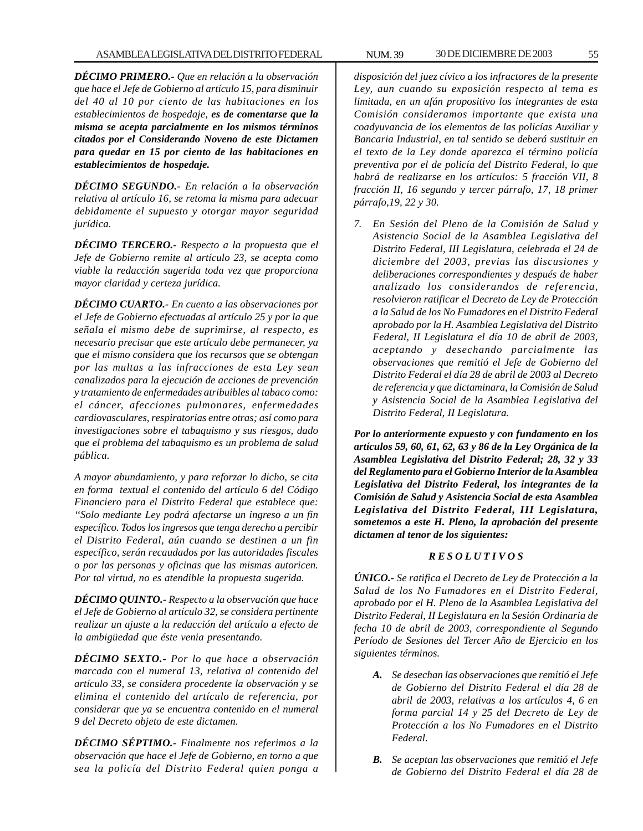*DÉCIMO PRIMERO.- Que en relación a la observación que hace el Jefe de Gobierno al artículo 15, para disminuir del 40 al 10 por ciento de las habitaciones en los establecimientos de hospedaje, es de comentarse que la misma se acepta parcialmente en los mismos términos citados por el Considerando Noveno de este Dictamen para quedar en 15 por ciento de las habitaciones en establecimientos de hospedaje.*

*DÉCIMO SEGUNDO.- En relación a la observación relativa al artículo 16, se retoma la misma para adecuar debidamente el supuesto y otorgar mayor seguridad jurídica.*

*DÉCIMO TERCERO.- Respecto a la propuesta que el Jefe de Gobierno remite al artículo 23, se acepta como viable la redacción sugerida toda vez que proporciona mayor claridad y certeza jurídica.*

*DÉCIMO CUARTO.- En cuento a las observaciones por el Jefe de Gobierno efectuadas al artículo 25 y por la que señala el mismo debe de suprimirse, al respecto, es necesario precisar que este artículo debe permanecer, ya que el mismo considera que los recursos que se obtengan por las multas a las infracciones de esta Ley sean canalizados para la ejecución de acciones de prevención y tratamiento de enfermedades atribuibles al tabaco como: el cáncer, afecciones pulmonares, enfermedades cardiovasculares, respiratorias entre otras; así como para investigaciones sobre el tabaquismo y sus riesgos, dado que el problema del tabaquismo es un problema de salud pública.*

*A mayor abundamiento, y para reforzar lo dicho, se cita en forma textual el contenido del artículo 6 del Código Financiero para el Distrito Federal que establece que: ''Solo mediante Ley podrá afectarse un ingreso a un fin específico. Todos los ingresos que tenga derecho a percibir el Distrito Federal, aún cuando se destinen a un fin específico, serán recaudados por las autoridades fiscales o por las personas y oficinas que las mismas autoricen. Por tal virtud, no es atendible la propuesta sugerida.*

*DÉCIMO QUINTO.- Respecto a la observación que hace el Jefe de Gobierno al artículo 32, se considera pertinente realizar un ajuste a la redacción del artículo a efecto de la ambigüedad que éste venia presentando.*

*DÉCIMO SEXTO.- Por lo que hace a observación marcada con el numeral 13, relativa al contenido del artículo 33, se considera procedente la observación y se elimina el contenido del artículo de referencia, por considerar que ya se encuentra contenido en el numeral 9 del Decreto objeto de este dictamen.*

*DÉCIMO SÉPTIMO.- Finalmente nos referimos a la observación que hace el Jefe de Gobierno, en torno a que sea la policía del Distrito Federal quien ponga a*

*disposición del juez cívico a los infractores de la presente Ley, aun cuando su exposición respecto al tema es limitada, en un afán propositivo los integrantes de esta Comisión consideramos importante que exista una coadyuvancia de los elementos de las policías Auxiliar y Bancaria Industrial, en tal sentido se deberá sustituir en el texto de la Ley donde aparezca el término policía preventiva por el de policía del Distrito Federal, lo que habrá de realizarse en los artículos: 5 fracción VII, 8 fracción II, 16 segundo y tercer párrafo, 17, 18 primer párrafo,19, 22 y 30.*

*7. En Sesión del Pleno de la Comisión de Salud y Asistencia Social de la Asamblea Legislativa del Distrito Federal, III Legislatura, celebrada el 24 de diciembre del 2003, previas las discusiones y deliberaciones correspondientes y después de haber analizado los considerandos de referencia, resolvieron ratificar el Decreto de Ley de Protección a la Salud de los No Fumadores en el Distrito Federal aprobado por la H. Asamblea Legislativa del Distrito Federal, II Legislatura el día 10 de abril de 2003, aceptando y desechando parcialmente las observaciones que remitió el Jefe de Gobierno del Distrito Federal el día 28 de abril de 2003 al Decreto de referencia y que dictaminara, la Comisión de Salud y Asistencia Social de la Asamblea Legislativa del Distrito Federal, II Legislatura.*

*Por lo anteriormente expuesto y con fundamento en los artículos 59, 60, 61, 62, 63 y 86 de la Ley Orgánica de la Asamblea Legislativa del Distrito Federal; 28, 32 y 33 del Reglamento para el Gobierno Interior de la Asamblea Legislativa del Distrito Federal, los integrantes de la Comisión de Salud y Asistencia Social de esta Asamblea Legislativa del Distrito Federal, III Legislatura, sometemos a este H. Pleno, la aprobación del presente dictamen al tenor de los siguientes:*

### *R E S O L U T I V O S*

*ÚNICO.- Se ratifica el Decreto de Ley de Protección a la Salud de los No Fumadores en el Distrito Federal, aprobado por el H. Pleno de la Asamblea Legislativa del Distrito Federal, II Legislatura en la Sesión Ordinaria de fecha 10 de abril de 2003, correspondiente al Segundo Período de Sesiones del Tercer Año de Ejercicio en los siguientes términos.*

- *A. Se desechan las observaciones que remitió el Jefe de Gobierno del Distrito Federal el día 28 de abril de 2003, relativas a los artículos 4, 6 en forma parcial 14 y 25 del Decreto de Ley de Protección a los No Fumadores en el Distrito Federal.*
- *B. Se aceptan las observaciones que remitió el Jefe de Gobierno del Distrito Federal el día 28 de*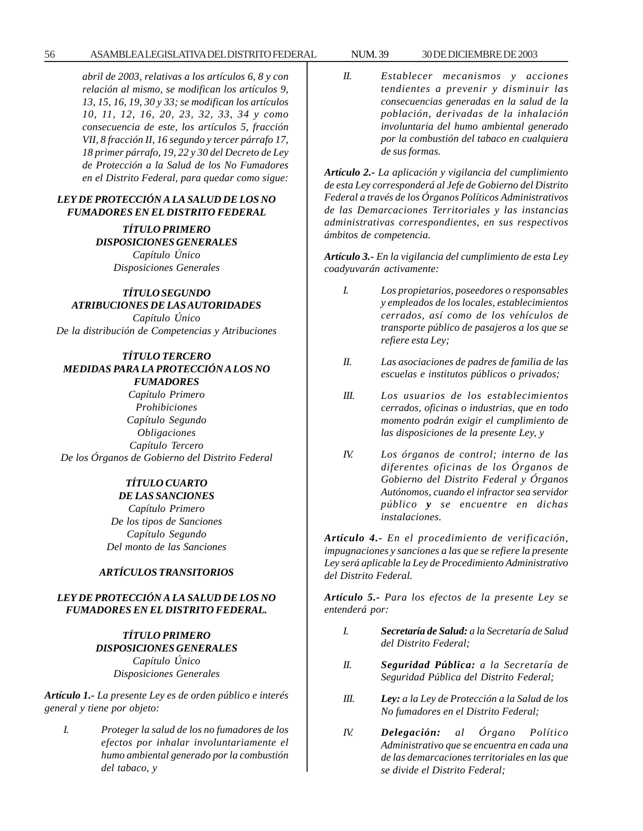*abril de 2003, relativas a los artículos 6, 8 y con relación al mismo, se modifican los artículos 9, 13, 15, 16, 19, 30 y 33; se modifican los artículos 10, 11, 12, 16, 20, 23, 32, 33, 34 y como consecuencia de este, los artículos 5, fracción VII, 8 fracción II, 16 segundo y tercer párrafo 17, 18 primer párrafo, 19, 22 y 30 del Decreto de Ley de Protección a la Salud de los No Fumadores en el Distrito Federal, para quedar como sigue:*

### *LEY DE PROTECCIÓN A LA SALUD DE LOS NO FUMADORES EN EL DISTRITO FEDERAL*

*TÍTULO PRIMERO DISPOSICIONES GENERALES Capítulo Único Disposiciones Generales*

## *TÍTULO SEGUNDO ATRIBUCIONES DE LAS AUTORIDADES*

*Capítulo Único De la distribución de Competencias y Atribuciones*

## *TÍTULO TERCERO MEDIDAS PARA LA PROTECCIÓN A LOS NO FUMADORES*

*Capítulo Primero Prohibiciones Capítulo Segundo Obligaciones Capítulo Tercero De los Órganos de Gobierno del Distrito Federal*

#### *TÍTULO CUARTO DE LAS SANCIONES*

*Capítulo Primero De los tipos de Sanciones Capítulo Segundo Del monto de las Sanciones*

### *ARTÍCULOS TRANSITORIOS*

## *LEY DE PROTECCIÓN A LA SALUD DE LOS NO FUMADORES EN EL DISTRITO FEDERAL.*

# *TÍTULO PRIMERO DISPOSICIONES GENERALES Capítulo Único Disposiciones Generales*

*Artículo 1.- La presente Ley es de orden público e interés general y tiene por objeto:*

*I. Proteger la salud de los no fumadores de los efectos por inhalar involuntariamente el humo ambiental generado por la combustión del tabaco, y*

*II. Establecer mecanismos y acciones tendientes a prevenir y disminuir las consecuencias generadas en la salud de la población, derivadas de la inhalación involuntaria del humo ambiental generado por la combustión del tabaco en cualquiera de sus formas.*

*Artículo 2.- La aplicación y vigilancia del cumplimiento de esta Ley corresponderá al Jefe de Gobierno del Distrito Federal a través de los Órganos Políticos Administrativos de las Demarcaciones Territoriales y las instancias administrativas correspondientes, en sus respectivos ámbitos de competencia.*

*Artículo 3.- En la vigilancia del cumplimiento de esta Ley coadyuvarán activamente:*

- *I. Los propietarios, poseedores o responsables y empleados de los locales, establecimientos cerrados, así como de los vehículos de transporte público de pasajeros a los que se refiere esta Ley;*
- *II. Las asociaciones de padres de familia de las escuelas e institutos públicos o privados;*
- *III. Los usuarios de los establecimientos cerrados, oficinas o industrias, que en todo momento podrán exigir el cumplimiento de las disposiciones de la presente Ley, y*
- *IV. Los órganos de control; interno de las diferentes oficinas de los Órganos de Gobierno del Distrito Federal y Órganos Autónomos, cuando el infractor sea servidor público y se encuentre en dichas instalaciones.*

*Artículo 4.- En el procedimiento de verificación, impugnaciones y sanciones a las que se refiere la presente Ley será aplicable la Ley de Procedimiento Administrativo del Distrito Federal.*

*Artículo 5.- Para los efectos de la presente Ley se entenderá por:*

- *I. Secretaría de Salud: a la Secretaría de Salud del Distrito Federal;*
- *II. Seguridad Pública: a la Secretaría de Seguridad Pública del Distrito Federal;*
- *III. Ley: a la Ley de Protección a la Salud de los No fumadores en el Distrito Federal;*
- *IV. Delegación: al Órgano Político Administrativo que se encuentra en cada una de las demarcaciones territoriales en las que se divide el Distrito Federal;*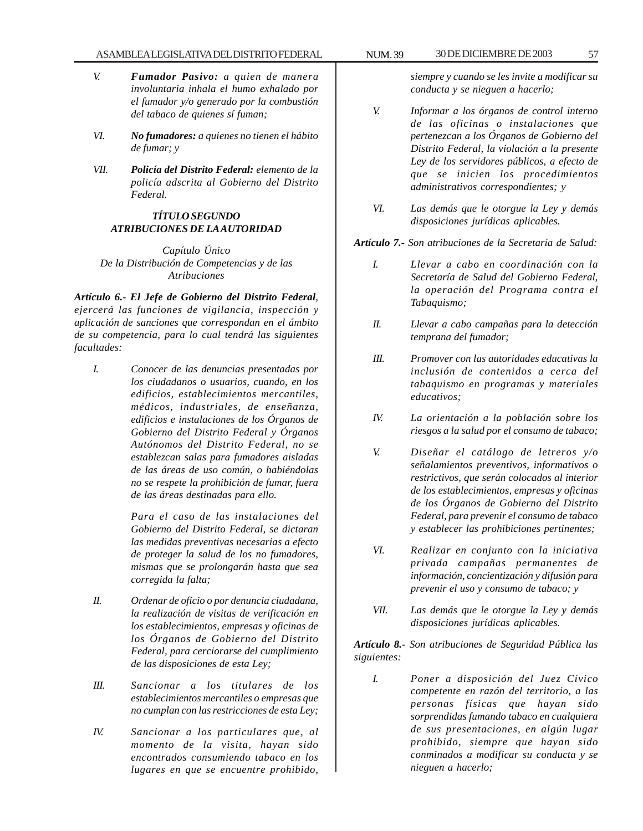- *V. Fumador Pasivo: a quien de manera involuntaria inhala el humo exhalado por el fumador y/o generado por la combustión del tabaco de quienes sí fuman;*
- *VI. No fumadores: a quienes no tienen el hábito de fumar; y*
- *VII. Policía del Distrito Federal: elemento de la policía adscrita al Gobierno del Distrito Federal.*

### *TÍTULO SEGUNDO ATRIBUCIONES DE LA AUTORIDAD*

*Capítulo Único De la Distribución de Competencias y de las Atribuciones*

*Artículo 6.- El Jefe de Gobierno del Distrito Federal, ejercerá las funciones de vigilancia, inspección y aplicación de sanciones que correspondan en el ámbito de su competencia, para lo cual tendrá las siguientes facultades:*

*I. Conocer de las denuncias presentadas por los ciudadanos o usuarios, cuando, en los edificios, establecimientos mercantiles, médicos, industriales, de enseñanza, edificios e instalaciones de los Órganos de Gobierno del Distrito Federal y Órganos Autónomos del Distrito Federal, no se establezcan salas para fumadores aisladas de las áreas de uso común, o habiéndolas no se respete la prohibición de fumar, fuera de las áreas destinadas para ello.*

> *Para el caso de las instalaciones del Gobierno del Distrito Federal, se dictaran las medidas preventivas necesarias a efecto de proteger la salud de los no fumadores, mismas que se prolongarán hasta que sea corregida la falta;*

- *II. Ordenar de oficio o por denuncia ciudadana, la realización de visitas de verificación en los establecimientos, empresas y oficinas de los Órganos de Gobierno del Distrito Federal, para cerciorarse del cumplimiento de las disposiciones de esta Ley;*
- *III. Sancionar a los titulares de los establecimientos mercantiles o empresas que no cumplan con las restricciones de esta Ley;*
- *IV. Sancionar a los particulares que, al momento de la visita, hayan sido encontrados consumiendo tabaco en los lugares en que se encuentre prohibido,*

*siempre y cuando se les invite a modificar su conducta y se nieguen a hacerlo;*

- *V. Informar a los órganos de control interno de las oficinas o instalaciones que pertenezcan a los Órganos de Gobierno del Distrito Federal, la violación a la presente Ley de los servidores públicos, a efecto de que se inicien los procedimientos administrativos correspondientes; y*
- *VI. Las demás que le otorgue la Ley y demás disposiciones jurídicas aplicables.*

*Artículo 7.- Son atribuciones de la Secretaría de Salud:*

- *I. Llevar a cabo en coordinación con la Secretaría de Salud del Gobierno Federal, la operación del Programa contra el Tabaquismo;*
- *II. Llevar a cabo campañas para la detección temprana del fumador;*
- *III. Promover con las autoridades educativas la inclusión de contenidos a cerca del tabaquismo en programas y materiales educativos;*
- *IV. La orientación a la población sobre los riesgos a la salud por el consumo de tabaco;*
- *V. Diseñar el catálogo de letreros y/o señalamientos preventivos, informativos o restrictivos, que serán colocados al interior de los establecimientos, empresas y oficinas de los Órganos de Gobierno del Distrito Federal, para prevenir el consumo de tabaco y establecer las prohibiciones pertinentes;*
- *VI. Realizar en conjunto con la iniciativa privada campañas permanentes de información, concientización y difusión para prevenir el uso y consumo de tabaco; y*
- *VII. Las demás que le otorgue la Ley y demás disposiciones jurídicas aplicables.*

*Artículo 8.- Son atribuciones de Seguridad Pública las siguientes:*

*I. Poner a disposición del Juez Cívico competente en razón del territorio, a las personas físicas que hayan sido sorprendidas fumando tabaco en cualquiera de sus presentaciones, en algún lugar prohibido, siempre que hayan sido conminados a modificar su conducta y se nieguen a hacerlo;*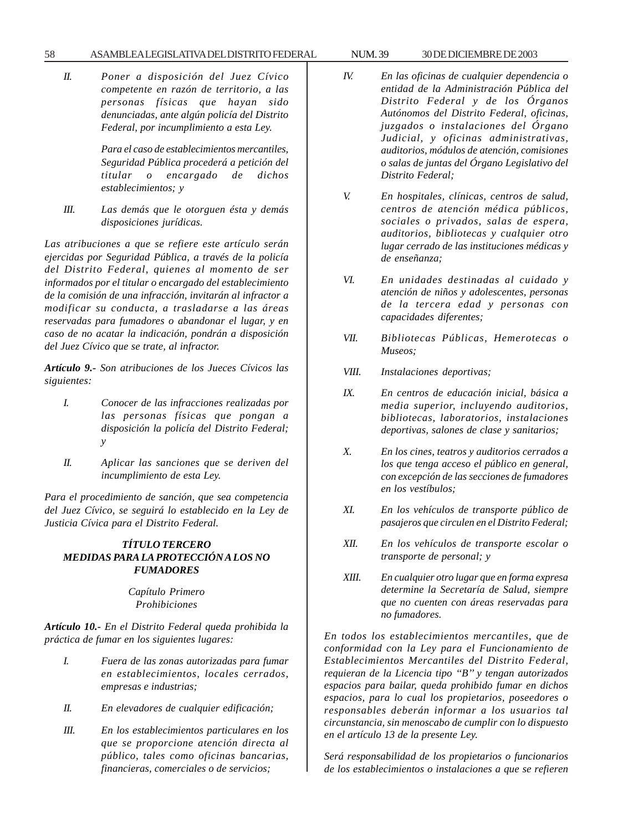### 58 ASAMBLEA LEGISLATIVA DEL DISTRITO FEDERAL NUM. 39 30 DE DICIEMBRE DE 2003

*II. Poner a disposición del Juez Cívico competente en razón de territorio, a las personas físicas que hayan sido denunciadas, ante algún policía del Distrito Federal, por incumplimiento a esta Ley.*

> *Para el caso de establecimientos mercantiles, Seguridad Pública procederá a petición del titular o encargado de dichos establecimientos; y*

*III. Las demás que le otorguen ésta y demás disposiciones jurídicas.*

*Las atribuciones a que se refiere este artículo serán ejercidas por Seguridad Pública, a través de la policía del Distrito Federal, quienes al momento de ser informados por el titular o encargado del establecimiento de la comisión de una infracción, invitarán al infractor a modificar su conducta, a trasladarse a las áreas reservadas para fumadores o abandonar el lugar, y en caso de no acatar la indicación, pondrán a disposición del Juez Cívico que se trate, al infractor.*

*Artículo 9.- Son atribuciones de los Jueces Cívicos las siguientes:*

- *I. Conocer de las infracciones realizadas por las personas físicas que pongan a disposición la policía del Distrito Federal; y*
- *II. Aplicar las sanciones que se deriven del incumplimiento de esta Ley.*

*Para el procedimiento de sanción, que sea competencia del Juez Cívico, se seguirá lo establecido en la Ley de Justicia Cívica para el Distrito Federal.*

## *TÍTULO TERCERO MEDIDAS PARA LA PROTECCIÓN A LOS NO FUMADORES*

*Capítulo Primero Prohibiciones*

*Artículo 10.- En el Distrito Federal queda prohibida la práctica de fumar en los siguientes lugares:*

- *I. Fuera de las zonas autorizadas para fumar en establecimientos, locales cerrados, empresas e industrias;*
- *II. En elevadores de cualquier edificación;*
- *III. En los establecimientos particulares en los que se proporcione atención directa al público, tales como oficinas bancarias, financieras, comerciales o de servicios;*
- 
- *IV. En las oficinas de cualquier dependencia o entidad de la Administración Pública del Distrito Federal y de los Órganos Autónomos del Distrito Federal, oficinas, juzgados o instalaciones del Órgano Judicial, y oficinas administrativas, auditorios, módulos de atención, comisiones o salas de juntas del Órgano Legislativo del Distrito Federal;*
- *V. En hospitales, clínicas, centros de salud, centros de atención médica públicos, sociales o privados, salas de espera, auditorios, bibliotecas y cualquier otro lugar cerrado de las instituciones médicas y de enseñanza;*
- *VI. En unidades destinadas al cuidado y atención de niños y adolescentes, personas de la tercera edad y personas con capacidades diferentes;*
- *VII. Bibliotecas Públicas, Hemerotecas o Museos;*
- *VIII. Instalaciones deportivas;*
- *IX. En centros de educación inicial, básica a media superior, incluyendo auditorios, bibliotecas, laboratorios, instalaciones deportivas, salones de clase y sanitarios;*
- *X. En los cines, teatros y auditorios cerrados a los que tenga acceso el público en general, con excepción de las secciones de fumadores en los vestíbulos;*
- *XI. En los vehículos de transporte público de pasajeros que circulen en el Distrito Federal;*
- *XII. En los vehículos de transporte escolar o transporte de personal; y*
- *XIII. En cualquier otro lugar que en forma expresa determine la Secretaría de Salud, siempre que no cuenten con áreas reservadas para no fumadores.*

*En todos los establecimientos mercantiles, que de conformidad con la Ley para el Funcionamiento de Establecimientos Mercantiles del Distrito Federal, requieran de la Licencia tipo ''B'' y tengan autorizados espacios para bailar, queda prohibido fumar en dichos espacios, para lo cual los propietarios, poseedores o responsables deberán informar a los usuarios tal circunstancia, sin menoscabo de cumplir con lo dispuesto en el artículo 13 de la presente Ley.*

*Será responsabilidad de los propietarios o funcionarios de los establecimientos o instalaciones a que se refieren*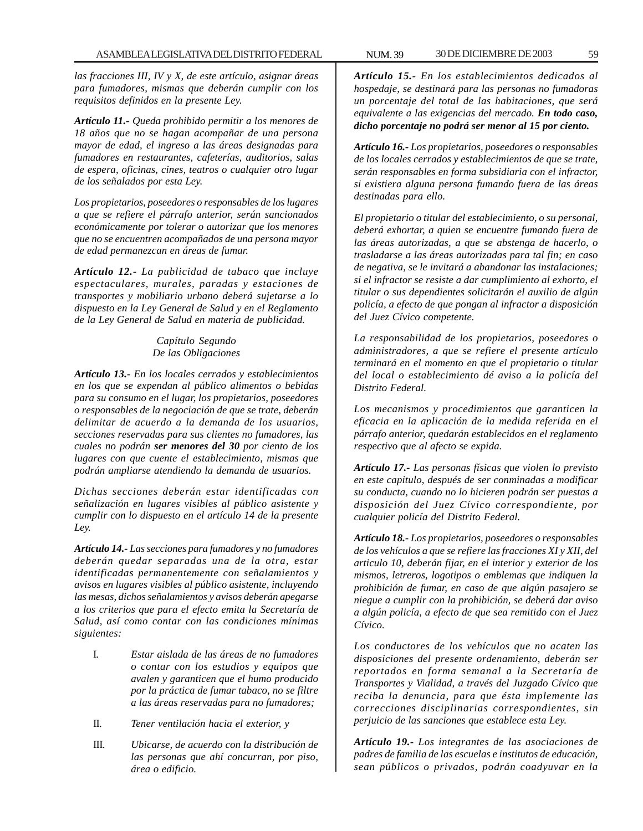*las fracciones III, IV y X, de este artículo, asignar áreas para fumadores, mismas que deberán cumplir con los requisitos definidos en la presente Ley.*

*Artículo 11.- Queda prohibido permitir a los menores de 18 años que no se hagan acompañar de una persona mayor de edad, el ingreso a las áreas designadas para fumadores en restaurantes, cafeterías, auditorios, salas de espera, oficinas, cines, teatros o cualquier otro lugar de los señalados por esta Ley.*

*Los propietarios, poseedores o responsables de los lugares a que se refiere el párrafo anterior, serán sancionados económicamente por tolerar o autorizar que los menores que no se encuentren acompañados de una persona mayor de edad permanezcan en áreas de fumar.*

*Artículo 12.- La publicidad de tabaco que incluye espectaculares, murales, paradas y estaciones de transportes y mobiliario urbano deberá sujetarse a lo dispuesto en la Ley General de Salud y en el Reglamento de la Ley General de Salud en materia de publicidad.*

> *Capítulo Segundo De las Obligaciones*

*Artículo 13.- En los locales cerrados y establecimientos en los que se expendan al público alimentos o bebidas para su consumo en el lugar, los propietarios, poseedores o responsables de la negociación de que se trate, deberán delimitar de acuerdo a la demanda de los usuarios, secciones reservadas para sus clientes no fumadores, las cuales no podrán ser menores del 30 por ciento de los lugares con que cuente el establecimiento, mismas que podrán ampliarse atendiendo la demanda de usuarios.*

*Dichas secciones deberán estar identificadas con señalización en lugares visibles al público asistente y cumplir con lo dispuesto en el artículo 14 de la presente Ley.*

*Artículo 14.- Las secciones para fumadores y no fumadores deberán quedar separadas una de la otra, estar identificadas permanentemente con señalamientos y avisos en lugares visibles al público asistente, incluyendo las mesas, dichos señalamientos y avisos deberán apegarse a los criterios que para el efecto emita la Secretaría de Salud, así como contar con las condiciones mínimas siguientes:*

- I. *Estar aislada de las áreas de no fumadores o contar con los estudios y equipos que avalen y garanticen que el humo producido por la práctica de fumar tabaco, no se filtre a las áreas reservadas para no fumadores;*
- II. *Tener ventilación hacia el exterior, y*
- III. *Ubicarse, de acuerdo con la distribución de las personas que ahí concurran, por piso, área o edificio.*

*Artículo 15.- En los establecimientos dedicados al hospedaje, se destinará para las personas no fumadoras un porcentaje del total de las habitaciones, que será equivalente a las exigencias del mercado. En todo caso, dicho porcentaje no podrá ser menor al 15 por ciento.*

*Artículo 16.- Los propietarios, poseedores o responsables de los locales cerrados y establecimientos de que se trate, serán responsables en forma subsidiaria con el infractor, si existiera alguna persona fumando fuera de las áreas destinadas para ello.*

*El propietario o titular del establecimiento, o su personal, deberá exhortar, a quien se encuentre fumando fuera de las áreas autorizadas, a que se abstenga de hacerlo, o trasladarse a las áreas autorizadas para tal fin; en caso de negativa, se le invitará a abandonar las instalaciones; si el infractor se resiste a dar cumplimiento al exhorto, el titular o sus dependientes solicitarán el auxilio de algún policía, a efecto de que pongan al infractor a disposición del Juez Cívico competente.*

*La responsabilidad de los propietarios, poseedores o administradores, a que se refiere el presente artículo terminará en el momento en que el propietario o titular del local o establecimiento dé aviso a la policía del Distrito Federal.*

*Los mecanismos y procedimientos que garanticen la eficacia en la aplicación de la medida referida en el párrafo anterior, quedarán establecidos en el reglamento respectivo que al afecto se expida.*

*Artículo 17.- Las personas físicas que violen lo previsto en este capitulo, después de ser conminadas a modificar su conducta, cuando no lo hicieren podrán ser puestas a disposición del Juez Cívico correspondiente, por cualquier policía del Distrito Federal.*

*Artículo 18.- Los propietarios, poseedores o responsables de los vehículos a que se refiere las fracciones XI y XII, del articulo 10, deberán fijar, en el interior y exterior de los mismos, letreros, logotipos o emblemas que indiquen la prohibición de fumar, en caso de que algún pasajero se niegue a cumplir con la prohibición, se deberá dar aviso a algún policía, a efecto de que sea remitido con el Juez Cívico.*

*Los conductores de los vehículos que no acaten las disposiciones del presente ordenamiento, deberán ser reportados en forma semanal a la Secretaría de Transportes y Vialidad, a través del Juzgado Cívico que reciba la denuncia, para que ésta implemente las correcciones disciplinarias correspondientes, sin perjuicio de las sanciones que establece esta Ley.*

*Artículo 19.- Los integrantes de las asociaciones de padres de familia de las escuelas e institutos de educación, sean públicos o privados, podrán coadyuvar en la*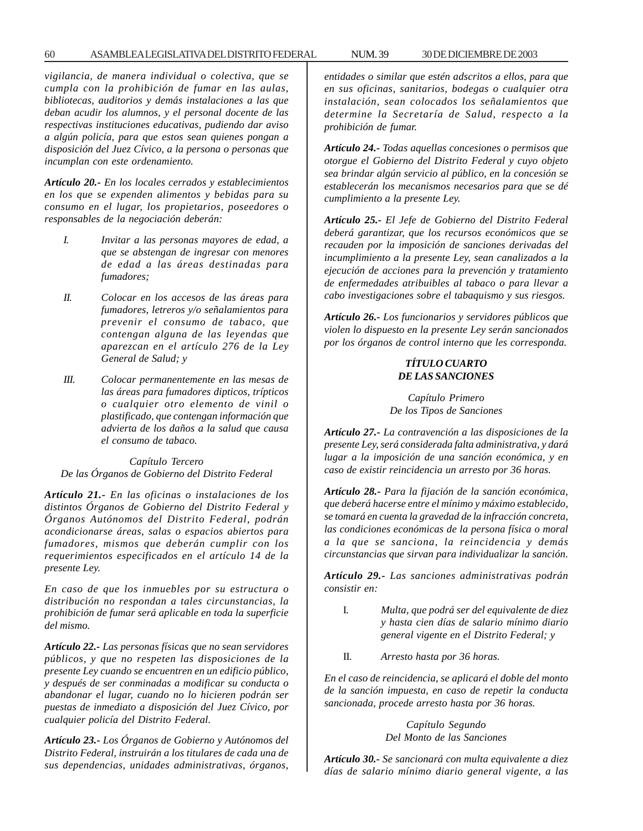*vigilancia, de manera individual o colectiva, que se cumpla con la prohibición de fumar en las aulas, bibliotecas, auditorios y demás instalaciones a las que deban acudir los alumnos, y el personal docente de las respectivas instituciones educativas, pudiendo dar aviso a algún policía, para que estos sean quienes pongan a disposición del Juez Cívico, a la persona o personas que incumplan con este ordenamiento.*

*Artículo 20.- En los locales cerrados y establecimientos en los que se expenden alimentos y bebidas para su consumo en el lugar, los propietarios, poseedores o responsables de la negociación deberán:*

- *I. Invitar a las personas mayores de edad, a que se abstengan de ingresar con menores de edad a las áreas destinadas para fumadores;*
- *II. Colocar en los accesos de las áreas para fumadores, letreros y/o señalamientos para prevenir el consumo de tabaco, que contengan alguna de las leyendas que aparezcan en el artículo 276 de la Ley General de Salud; y*
- *III. Colocar permanentemente en las mesas de las áreas para fumadores dipticos, trípticos o cualquier otro elemento de vinil o plastificado, que contengan información que advierta de los daños a la salud que causa el consumo de tabaco.*

*Capítulo Tercero De las Órganos de Gobierno del Distrito Federal*

*Artículo 21.- En las oficinas o instalaciones de los distintos Órganos de Gobierno del Distrito Federal y Órganos Autónomos del Distrito Federal, podrán acondicionarse áreas, salas o espacios abiertos para fumadores, mismos que deberán cumplir con los requerimientos especificados en el artículo 14 de la presente Ley.*

*En caso de que los inmuebles por su estructura o distribución no respondan a tales circunstancias, la prohibición de fumar será aplicable en toda la superficie del mismo.*

*Artículo 22.- Las personas físicas que no sean servidores públicos, y que no respeten las disposiciones de la presente Ley cuando se encuentren en un edificio público, y después de ser conminadas a modificar su conducta o abandonar el lugar, cuando no lo hicieren podrán ser puestas de inmediato a disposición del Juez Cívico, por cualquier policía del Distrito Federal.*

*Artículo 23.- Los Órganos de Gobierno y Autónomos del Distrito Federal, instruirán a los titulares de cada una de sus dependencias, unidades administrativas, órganos,*

*entidades o similar que estén adscritos a ellos, para que en sus oficinas, sanitarios, bodegas o cualquier otra instalación, sean colocados los señalamientos que determine la Secretaría de Salud, respecto a la prohibición de fumar.*

*Artículo 24.- Todas aquellas concesiones o permisos que otorgue el Gobierno del Distrito Federal y cuyo objeto sea brindar algún servicio al público, en la concesión se establecerán los mecanismos necesarios para que se dé cumplimiento a la presente Ley.*

*Artículo 25.- El Jefe de Gobierno del Distrito Federal deberá garantizar, que los recursos económicos que se recauden por la imposición de sanciones derivadas del incumplimiento a la presente Ley, sean canalizados a la ejecución de acciones para la prevención y tratamiento de enfermedades atribuibles al tabaco o para llevar a cabo investigaciones sobre el tabaquismo y sus riesgos.*

*Artículo 26.- Los funcionarios y servidores públicos que violen lo dispuesto en la presente Ley serán sancionados por los órganos de control interno que les corresponda.*

## *TÍTULO CUARTO DE LAS SANCIONES*

*Capítulo Primero De los Tipos de Sanciones*

*Artículo 27.- La contravención a las disposiciones de la presente Ley, será considerada falta administrativa, y dará lugar a la imposición de una sanción económica, y en caso de existir reincidencia un arresto por 36 horas.*

*Artículo 28.- Para la fijación de la sanción económica, que deberá hacerse entre el mínimo y máximo establecido, se tomará en cuenta la gravedad de la infracción concreta, las condiciones económicas de la persona física o moral a la que se sanciona, la reincidencia y demás circunstancias que sirvan para individualizar la sanción.*

*Artículo 29.- Las sanciones administrativas podrán consistir en:*

- I. *Multa, que podrá ser del equivalente de diez y hasta cien días de salario mínimo diario general vigente en el Distrito Federal; y*
- II. *Arresto hasta por 36 horas.*

*En el caso de reincidencia, se aplicará el doble del monto de la sanción impuesta, en caso de repetir la conducta sancionada, procede arresto hasta por 36 horas.*

> *Capítulo Segundo Del Monto de las Sanciones*

*Artículo 30.- Se sancionará con multa equivalente a diez días de salario mínimo diario general vigente, a las*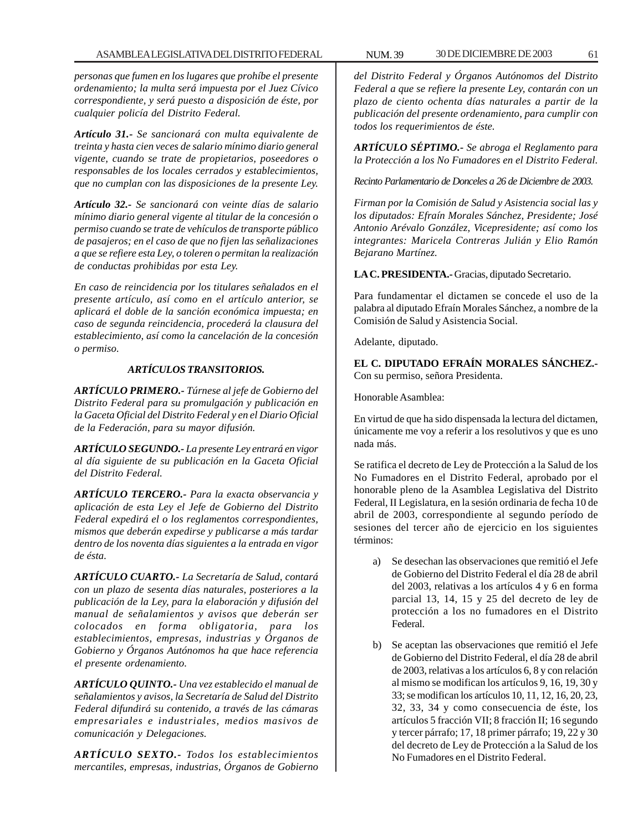*personas que fumen en los lugares que prohíbe el presente ordenamiento; la multa será impuesta por el Juez Cívico correspondiente, y será puesto a disposición de éste, por cualquier policía del Distrito Federal.*

*Artículo 31.- Se sancionará con multa equivalente de treinta y hasta cien veces de salario mínimo diario general vigente, cuando se trate de propietarios, poseedores o responsables de los locales cerrados y establecimientos, que no cumplan con las disposiciones de la presente Ley.*

*Artículo 32.- Se sancionará con veinte días de salario mínimo diario general vigente al titular de la concesión o permiso cuando se trate de vehículos de transporte público de pasajeros; en el caso de que no fijen las señalizaciones a que se refiere esta Ley, o toleren o permitan la realización de conductas prohibidas por esta Ley.*

*En caso de reincidencia por los titulares señalados en el presente artículo, así como en el artículo anterior, se aplicará el doble de la sanción económica impuesta; en caso de segunda reincidencia, procederá la clausura del establecimiento, así como la cancelación de la concesión o permiso.*

## *ARTÍCULOS TRANSITORIOS.*

*ARTÍCULO PRIMERO.- Túrnese al jefe de Gobierno del Distrito Federal para su promulgación y publicación en la Gaceta Oficial del Distrito Federal y en el Diario Oficial de la Federación, para su mayor difusión.*

*ARTÍCULO SEGUNDO.- La presente Ley entrará en vigor al día siguiente de su publicación en la Gaceta Oficial del Distrito Federal.*

*ARTÍCULO TERCERO.- Para la exacta observancia y aplicación de esta Ley el Jefe de Gobierno del Distrito Federal expedirá el o los reglamentos correspondientes, mismos que deberán expedirse y publicarse a más tardar dentro de los noventa días siguientes a la entrada en vigor de ésta.*

*ARTÍCULO CUARTO.- La Secretaría de Salud, contará con un plazo de sesenta días naturales, posteriores a la publicación de la Ley, para la elaboración y difusión del manual de señalamientos y avisos que deberán ser colocados en forma obligatoria, para los establecimientos, empresas, industrias y Órganos de Gobierno y Órganos Autónomos ha que hace referencia el presente ordenamiento.*

*ARTÍCULO QUINTO.- Una vez establecido el manual de señalamientos y avisos, la Secretaría de Salud del Distrito Federal difundirá su contenido, a través de las cámaras empresariales e industriales, medios masivos de comunicación y Delegaciones.*

*ARTÍCULO SEXTO.- Todos los establecimientos mercantiles, empresas, industrias, Órganos de Gobierno*

*del Distrito Federal y Órganos Autónomos del Distrito Federal a que se refiere la presente Ley, contarán con un plazo de ciento ochenta días naturales a partir de la publicación del presente ordenamiento, para cumplir con todos los requerimientos de éste.*

*ARTÍCULO SÉPTIMO.- Se abroga el Reglamento para la Protección a los No Fumadores en el Distrito Federal.*

*Recinto Parlamentario de Donceles a 26 de Diciembre de 2003.*

*Firman por la Comisión de Salud y Asistencia social las y los diputados: Efraín Morales Sánchez, Presidente; José Antonio Arévalo González, Vicepresidente; así como los integrantes: Maricela Contreras Julián y Elio Ramón Bejarano Martínez.*

**LA C. PRESIDENTA.-** Gracias, diputado Secretario.

Para fundamentar el dictamen se concede el uso de la palabra al diputado Efraín Morales Sánchez, a nombre de la Comisión de Salud y Asistencia Social.

Adelante, diputado.

**EL C. DIPUTADO EFRAÍN MORALES SÁNCHEZ.-** Con su permiso, señora Presidenta.

Honorable Asamblea:

En virtud de que ha sido dispensada la lectura del dictamen, únicamente me voy a referir a los resolutivos y que es uno nada más.

Se ratifica el decreto de Ley de Protección a la Salud de los No Fumadores en el Distrito Federal, aprobado por el honorable pleno de la Asamblea Legislativa del Distrito Federal, II Legislatura, en la sesión ordinaria de fecha 10 de abril de 2003, correspondiente al segundo período de sesiones del tercer año de ejercicio en los siguientes términos:

- a) Se desechan las observaciones que remitió el Jefe de Gobierno del Distrito Federal el día 28 de abril del 2003, relativas a los artículos 4 y 6 en forma parcial 13, 14, 15 y 25 del decreto de ley de protección a los no fumadores en el Distrito Federal.
- b) Se aceptan las observaciones que remitió el Jefe de Gobierno del Distrito Federal, el día 28 de abril de 2003, relativas a los artículos 6, 8 y con relación al mismo se modifican los artículos 9, 16, 19, 30 y 33; se modifican los artículos 10, 11, 12, 16, 20, 23, 32, 33, 34 y como consecuencia de éste, los artículos 5 fracción VII; 8 fracción II; 16 segundo y tercer párrafo; 17, 18 primer párrafo; 19, 22 y 30 del decreto de Ley de Protección a la Salud de los No Fumadores en el Distrito Federal.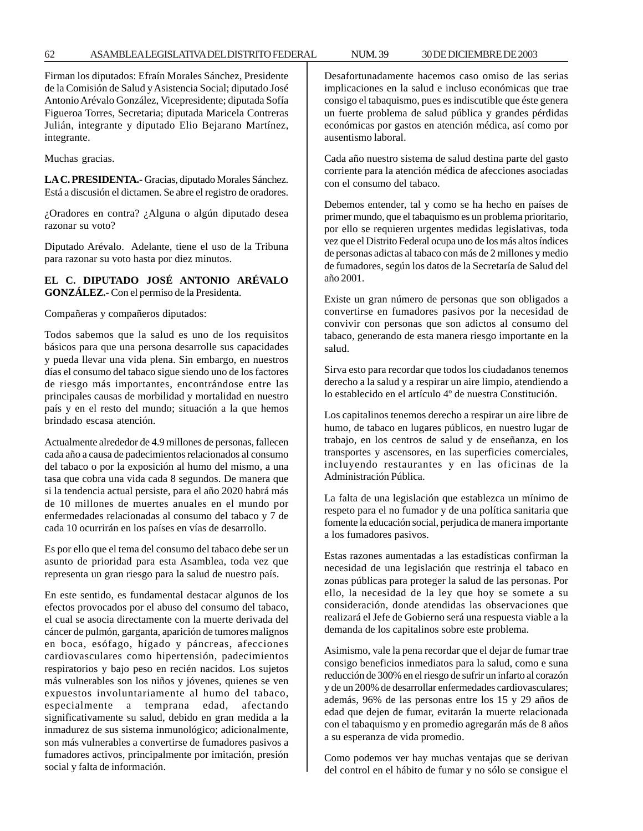Firman los diputados: Efraín Morales Sánchez, Presidente de la Comisión de Salud y Asistencia Social; diputado José Antonio Arévalo González, Vicepresidente; diputada Sofía Figueroa Torres, Secretaria; diputada Maricela Contreras Julián, integrante y diputado Elio Bejarano Martínez, integrante.

Muchas gracias.

**LA C. PRESIDENTA.-** Gracias, diputado Morales Sánchez. Está a discusión el dictamen. Se abre el registro de oradores.

¿Oradores en contra? ¿Alguna o algún diputado desea razonar su voto?

Diputado Arévalo. Adelante, tiene el uso de la Tribuna para razonar su voto hasta por diez minutos.

**EL C. DIPUTADO JOSÉ ANTONIO ARÉVALO GONZÁLEZ.-** Con el permiso de la Presidenta.

Compañeras y compañeros diputados:

Todos sabemos que la salud es uno de los requisitos básicos para que una persona desarrolle sus capacidades y pueda llevar una vida plena. Sin embargo, en nuestros días el consumo del tabaco sigue siendo uno de los factores de riesgo más importantes, encontrándose entre las principales causas de morbilidad y mortalidad en nuestro país y en el resto del mundo; situación a la que hemos brindado escasa atención.

Actualmente alrededor de 4.9 millones de personas, fallecen cada año a causa de padecimientos relacionados al consumo del tabaco o por la exposición al humo del mismo, a una tasa que cobra una vida cada 8 segundos. De manera que si la tendencia actual persiste, para el año 2020 habrá más de 10 millones de muertes anuales en el mundo por enfermedades relacionadas al consumo del tabaco y 7 de cada 10 ocurrirán en los países en vías de desarrollo.

Es por ello que el tema del consumo del tabaco debe ser un asunto de prioridad para esta Asamblea, toda vez que representa un gran riesgo para la salud de nuestro país.

En este sentido, es fundamental destacar algunos de los efectos provocados por el abuso del consumo del tabaco, el cual se asocia directamente con la muerte derivada del cáncer de pulmón, garganta, aparición de tumores malignos en boca, esófago, hígado y páncreas, afecciones cardiovasculares como hipertensión, padecimientos respiratorios y bajo peso en recién nacidos. Los sujetos más vulnerables son los niños y jóvenes, quienes se ven expuestos involuntariamente al humo del tabaco, especialmente a temprana edad, afectando significativamente su salud, debido en gran medida a la inmadurez de sus sistema inmunológico; adicionalmente, son más vulnerables a convertirse de fumadores pasivos a fumadores activos, principalmente por imitación, presión social y falta de información.

Desafortunadamente hacemos caso omiso de las serias implicaciones en la salud e incluso económicas que trae consigo el tabaquismo, pues es indiscutible que éste genera un fuerte problema de salud pública y grandes pérdidas económicas por gastos en atención médica, así como por ausentismo laboral.

Cada año nuestro sistema de salud destina parte del gasto corriente para la atención médica de afecciones asociadas con el consumo del tabaco.

Debemos entender, tal y como se ha hecho en países de primer mundo, que el tabaquismo es un problema prioritario, por ello se requieren urgentes medidas legislativas, toda vez que el Distrito Federal ocupa uno de los más altos índices de personas adictas al tabaco con más de 2 millones y medio de fumadores, según los datos de la Secretaría de Salud del año 2001.

Existe un gran número de personas que son obligados a convertirse en fumadores pasivos por la necesidad de convivir con personas que son adictos al consumo del tabaco, generando de esta manera riesgo importante en la salud.

Sirva esto para recordar que todos los ciudadanos tenemos derecho a la salud y a respirar un aire limpio, atendiendo a lo establecido en el artículo 4º de nuestra Constitución.

Los capitalinos tenemos derecho a respirar un aire libre de humo, de tabaco en lugares públicos, en nuestro lugar de trabajo, en los centros de salud y de enseñanza, en los transportes y ascensores, en las superficies comerciales, incluyendo restaurantes y en las oficinas de la Administración Pública.

La falta de una legislación que establezca un mínimo de respeto para el no fumador y de una política sanitaria que fomente la educación social, perjudica de manera importante a los fumadores pasivos.

Estas razones aumentadas a las estadísticas confirman la necesidad de una legislación que restrinja el tabaco en zonas públicas para proteger la salud de las personas. Por ello, la necesidad de la ley que hoy se somete a su consideración, donde atendidas las observaciones que realizará el Jefe de Gobierno será una respuesta viable a la demanda de los capitalinos sobre este problema.

Asimismo, vale la pena recordar que el dejar de fumar trae consigo beneficios inmediatos para la salud, como e suna reducción de 300% en el riesgo de sufrir un infarto al corazón y de un 200% de desarrollar enfermedades cardiovasculares; además, 96% de las personas entre los 15 y 29 años de edad que dejen de fumar, evitarán la muerte relacionada con el tabaquismo y en promedio agregarán más de 8 años a su esperanza de vida promedio.

Como podemos ver hay muchas ventajas que se derivan del control en el hábito de fumar y no sólo se consigue el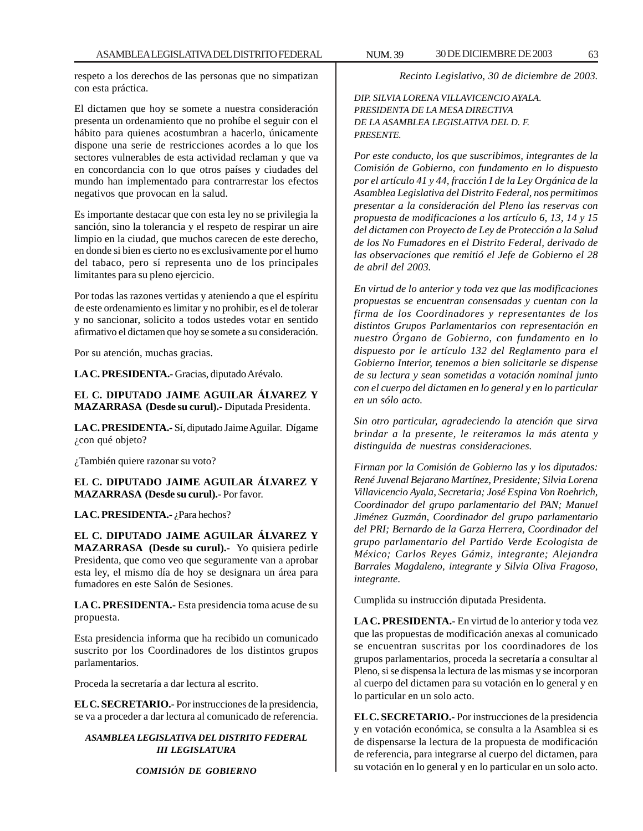respeto a los derechos de las personas que no simpatizan con esta práctica.

El dictamen que hoy se somete a nuestra consideración presenta un ordenamiento que no prohíbe el seguir con el hábito para quienes acostumbran a hacerlo, únicamente dispone una serie de restricciones acordes a lo que los sectores vulnerables de esta actividad reclaman y que va en concordancia con lo que otros países y ciudades del mundo han implementado para contrarrestar los efectos negativos que provocan en la salud.

Es importante destacar que con esta ley no se privilegia la sanción, sino la tolerancia y el respeto de respirar un aire limpio en la ciudad, que muchos carecen de este derecho, en donde si bien es cierto no es exclusivamente por el humo del tabaco, pero sí representa uno de los principales limitantes para su pleno ejercicio.

Por todas las razones vertidas y ateniendo a que el espíritu de este ordenamiento es limitar y no prohibir, es el de tolerar y no sancionar, solicito a todos ustedes votar en sentido afirmativo el dictamen que hoy se somete a su consideración.

Por su atención, muchas gracias.

**LA C. PRESIDENTA.-** Gracias, diputado Arévalo.

**EL C. DIPUTADO JAIME AGUILAR ÁLVAREZ Y MAZARRASA (Desde su curul).-** Diputada Presidenta.

**LA C. PRESIDENTA.-** Sí, diputado Jaime Aguilar. Dígame ¿con qué objeto?

¿También quiere razonar su voto?

**EL C. DIPUTADO JAIME AGUILAR ÁLVAREZ Y MAZARRASA (Desde su curul).-** Por favor.

### LA C. PRESIDENTA.- ¿Para hechos?

**EL C. DIPUTADO JAIME AGUILAR ÁLVAREZ Y MAZARRASA (Desde su curul).-** Yo quisiera pedirle Presidenta, que como veo que seguramente van a aprobar esta ley, el mismo día de hoy se designara un área para fumadores en este Salón de Sesiones.

**LA C. PRESIDENTA.-** Esta presidencia toma acuse de su propuesta.

Esta presidencia informa que ha recibido un comunicado suscrito por los Coordinadores de los distintos grupos parlamentarios.

Proceda la secretaría a dar lectura al escrito.

**EL C. SECRETARIO.-** Por instrucciones de la presidencia, se va a proceder a dar lectura al comunicado de referencia.

*ASAMBLEA LEGISLATIVA DEL DISTRITO FEDERAL III LEGISLATURA*

### *COMISIÓN DE GOBIERNO*

*Recinto Legislativo, 30 de diciembre de 2003.*

*DIP. SILVIA LORENA VILLAVICENCIO AYALA. PRESIDENTA DE LA MESA DIRECTIVA DE LA ASAMBLEA LEGISLATIVA DEL D. F. PRESENTE.*

*Por este conducto, los que suscribimos, integrantes de la Comisión de Gobierno, con fundamento en lo dispuesto por el artículo 41 y 44, fracción I de la Ley Orgánica de la Asamblea Legislativa del Distrito Federal, nos permitimos presentar a la consideración del Pleno las reservas con propuesta de modificaciones a los artículo 6, 13, 14 y 15 del dictamen con Proyecto de Ley de Protección a la Salud de los No Fumadores en el Distrito Federal, derivado de las observaciones que remitió el Jefe de Gobierno el 28 de abril del 2003.*

*En virtud de lo anterior y toda vez que las modificaciones propuestas se encuentran consensadas y cuentan con la firma de los Coordinadores y representantes de los distintos Grupos Parlamentarios con representación en nuestro Órgano de Gobierno, con fundamento en lo dispuesto por le artículo 132 del Reglamento para el Gobierno Interior, tenemos a bien solicitarle se dispense de su lectura y sean sometidas a votación nominal junto con el cuerpo del dictamen en lo general y en lo particular en un sólo acto.*

*Sin otro particular, agradeciendo la atención que sirva brindar a la presente, le reiteramos la más atenta y distinguida de nuestras consideraciones.*

*Firman por la Comisión de Gobierno las y los diputados: René Juvenal Bejarano Martínez, Presidente; Silvia Lorena Villavicencio Ayala, Secretaria; José Espina Von Roehrich, Coordinador del grupo parlamentario del PAN; Manuel Jiménez Guzmán, Coordinador del grupo parlamentario del PRI; Bernardo de la Garza Herrera, Coordinador del grupo parlamentario del Partido Verde Ecologista de México; Carlos Reyes Gámiz, integrante; Alejandra Barrales Magdaleno, integrante y Silvia Oliva Fragoso, integrante.*

Cumplida su instrucción diputada Presidenta.

**LA C. PRESIDENTA.-** En virtud de lo anterior y toda vez que las propuestas de modificación anexas al comunicado se encuentran suscritas por los coordinadores de los grupos parlamentarios, proceda la secretaría a consultar al Pleno, si se dispensa la lectura de las mismas y se incorporan al cuerpo del dictamen para su votación en lo general y en lo particular en un solo acto.

**EL C. SECRETARIO.-** Por instrucciones de la presidencia y en votación económica, se consulta a la Asamblea si es de dispensarse la lectura de la propuesta de modificación de referencia, para integrarse al cuerpo del dictamen, para su votación en lo general y en lo particular en un solo acto.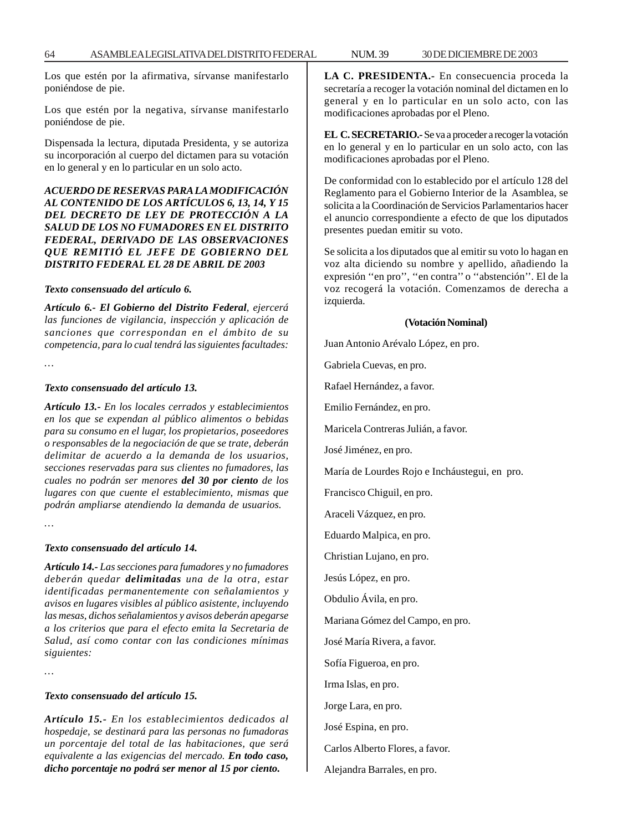Los que estén por la afirmativa, sírvanse manifestarlo poniéndose de pie.

Los que estén por la negativa, sírvanse manifestarlo poniéndose de pie.

Dispensada la lectura, diputada Presidenta, y se autoriza su incorporación al cuerpo del dictamen para su votación en lo general y en lo particular en un solo acto.

### *ACUERDO DE RESERVAS PARA LA MODIFICACIÓN AL CONTENIDO DE LOS ARTÍCULOS 6, 13, 14, Y 15 DEL DECRETO DE LEY DE PROTECCIÓN A LA SALUD DE LOS NO FUMADORES EN EL DISTRITO FEDERAL, DERIVADO DE LAS OBSERVACIONES QUE REMITIÓ EL JEFE DE GOBIERNO DEL DISTRITO FEDERAL EL 28 DE ABRIL DE 2003*

#### *Texto consensuado del artículo 6.*

*Artículo 6.- El Gobierno del Distrito Federal, ejercerá las funciones de vigilancia, inspección y aplicación de sanciones que correspondan en el ámbito de su competencia, para lo cual tendrá las siguientes facultades:*

*…*

#### *Texto consensuado del artículo 13.*

*Artículo 13.- En los locales cerrados y establecimientos en los que se expendan al público alimentos o bebidas para su consumo en el lugar, los propietarios, poseedores o responsables de la negociación de que se trate, deberán delimitar de acuerdo a la demanda de los usuarios, secciones reservadas para sus clientes no fumadores, las cuales no podrán ser menores del 30 por ciento de los lugares con que cuente el establecimiento, mismas que podrán ampliarse atendiendo la demanda de usuarios.*

*…*

#### *Texto consensuado del artículo 14.*

*Artículo 14.- Las secciones para fumadores y no fumadores deberán quedar delimitadas una de la otra, estar identificadas permanentemente con señalamientos y avisos en lugares visibles al público asistente, incluyendo las mesas, dichos señalamientos y avisos deberán apegarse a los criterios que para el efecto emita la Secretaria de Salud, así como contar con las condiciones mínimas siguientes:*

*…*

#### *Texto consensuado del artículo 15.*

*Artículo 15.- En los establecimientos dedicados al hospedaje, se destinará para las personas no fumadoras un porcentaje del total de las habitaciones, que será equivalente a las exigencias del mercado. En todo caso, dicho porcentaje no podrá ser menor al 15 por ciento.*

**LA C. PRESIDENTA.-** En consecuencia proceda la secretaría a recoger la votación nominal del dictamen en lo general y en lo particular en un solo acto, con las modificaciones aprobadas por el Pleno.

**EL C. SECRETARIO.-** Se va a proceder a recoger la votación en lo general y en lo particular en un solo acto, con las modificaciones aprobadas por el Pleno.

De conformidad con lo establecido por el artículo 128 del Reglamento para el Gobierno Interior de la Asamblea, se solicita a la Coordinación de Servicios Parlamentarios hacer el anuncio correspondiente a efecto de que los diputados presentes puedan emitir su voto.

Se solicita a los diputados que al emitir su voto lo hagan en voz alta diciendo su nombre y apellido, añadiendo la expresión ''en pro'', ''en contra'' o ''abstención''. El de la voz recogerá la votación. Comenzamos de derecha a izquierda.

#### **(Votación Nominal)**

Juan Antonio Arévalo López, en pro.

Gabriela Cuevas, en pro.

Rafael Hernández, a favor.

Emilio Fernández, en pro.

Maricela Contreras Julián, a favor.

José Jiménez, en pro.

María de Lourdes Rojo e Incháustegui, en pro.

Francisco Chiguil, en pro.

Araceli Vázquez, en pro.

Eduardo Malpica, en pro.

Christian Lujano, en pro.

Jesús López, en pro.

Obdulio Ávila, en pro.

Mariana Gómez del Campo, en pro.

José María Rivera, a favor.

Sofía Figueroa, en pro.

Irma Islas, en pro.

Jorge Lara, en pro.

José Espina, en pro.

Carlos Alberto Flores, a favor.

Alejandra Barrales, en pro.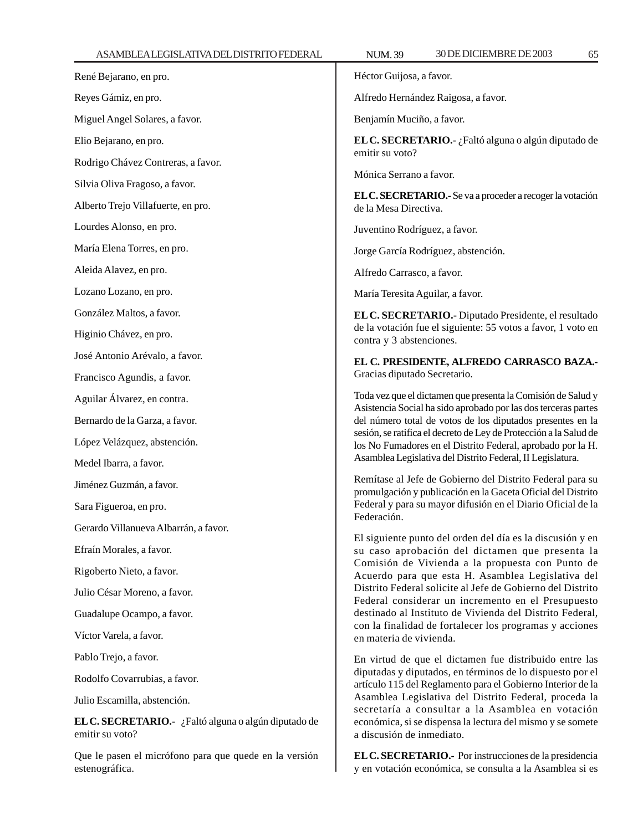estenográfica.

| ASAMBLEALEGISLATIVADELDISTRITO FEDERAL                                  | 30 DE DICIEMBRE DE 2003<br>65<br><b>NUM.39</b>                                                                                                                                                                                                                                                                                                                              |  |
|-------------------------------------------------------------------------|-----------------------------------------------------------------------------------------------------------------------------------------------------------------------------------------------------------------------------------------------------------------------------------------------------------------------------------------------------------------------------|--|
| René Bejarano, en pro.                                                  | Héctor Guijosa, a favor.                                                                                                                                                                                                                                                                                                                                                    |  |
| Reyes Gámiz, en pro.                                                    | Alfredo Hernández Raigosa, a favor.                                                                                                                                                                                                                                                                                                                                         |  |
| Miguel Angel Solares, a favor.                                          | Benjamín Muciño, a favor.                                                                                                                                                                                                                                                                                                                                                   |  |
| Elio Bejarano, en pro.                                                  | EL C. SECRETARIO.- ¿Faltó alguna o algún diputado de<br>emitir su voto?<br>Mónica Serrano a favor.                                                                                                                                                                                                                                                                          |  |
| Rodrigo Chávez Contreras, a favor.                                      |                                                                                                                                                                                                                                                                                                                                                                             |  |
| Silvia Oliva Fragoso, a favor.                                          | EL C. SECRETARIO.- Se va a proceder a recoger la votación<br>de la Mesa Directiva.                                                                                                                                                                                                                                                                                          |  |
| Alberto Trejo Villafuerte, en pro.                                      |                                                                                                                                                                                                                                                                                                                                                                             |  |
| Lourdes Alonso, en pro.                                                 | Juventino Rodríguez, a favor.                                                                                                                                                                                                                                                                                                                                               |  |
| María Elena Torres, en pro.                                             | Jorge García Rodríguez, abstención.                                                                                                                                                                                                                                                                                                                                         |  |
| Aleida Alavez, en pro.                                                  | Alfredo Carrasco, a favor.                                                                                                                                                                                                                                                                                                                                                  |  |
| Lozano Lozano, en pro.                                                  | María Teresita Aguilar, a favor.                                                                                                                                                                                                                                                                                                                                            |  |
| González Maltos, a favor.                                               | EL C. SECRETARIO.- Diputado Presidente, el resultado<br>de la votación fue el siguiente: 55 votos a favor, 1 voto en<br>contra y 3 abstenciones.                                                                                                                                                                                                                            |  |
| Higinio Chávez, en pro.                                                 |                                                                                                                                                                                                                                                                                                                                                                             |  |
| José Antonio Arévalo, a favor.                                          | EL C. PRESIDENTE, ALFREDO CARRASCO BAZA.-<br>Gracias diputado Secretario.                                                                                                                                                                                                                                                                                                   |  |
| Francisco Agundis, a favor.                                             |                                                                                                                                                                                                                                                                                                                                                                             |  |
| Aguilar Álvarez, en contra.                                             | Toda vez que el dictamen que presenta la Comisión de Salud y<br>Asistencia Social ha sido aprobado por las dos terceras partes                                                                                                                                                                                                                                              |  |
| Bernardo de la Garza, a favor.                                          | del número total de votos de los diputados presentes en la                                                                                                                                                                                                                                                                                                                  |  |
| López Velázquez, abstención.                                            | sesión, se ratifica el decreto de Ley de Protección a la Salud de<br>los No Fumadores en el Distrito Federal, aprobado por la H.                                                                                                                                                                                                                                            |  |
| Medel Ibarra, a favor.                                                  | Asamblea Legislativa del Distrito Federal, II Legislatura.                                                                                                                                                                                                                                                                                                                  |  |
| Jiménez Guzmán, a favor.                                                | Remítase al Jefe de Gobierno del Distrito Federal para su<br>promulgación y publicación en la Gaceta Oficial del Distrito                                                                                                                                                                                                                                                   |  |
| Sara Figueroa, en pro.                                                  | Federal y para su mayor difusión en el Diario Oficial de la<br>Federación.                                                                                                                                                                                                                                                                                                  |  |
| Gerardo Villanueva Albarrán, a favor.                                   |                                                                                                                                                                                                                                                                                                                                                                             |  |
| Efraín Morales, a favor.                                                | El siguiente punto del orden del día es la discusión y en<br>su caso aprobación del dictamen que presenta la                                                                                                                                                                                                                                                                |  |
| Rigoberto Nieto, a favor.                                               | Comisión de Vivienda a la propuesta con Punto de<br>Acuerdo para que esta H. Asamblea Legislativa del<br>Distrito Federal solicite al Jefe de Gobierno del Distrito<br>Federal considerar un incremento en el Presupuesto<br>destinado al Instituto de Vivienda del Distrito Federal,<br>con la finalidad de fortalecer los programas y acciones<br>en materia de vivienda. |  |
| Julio César Moreno, a favor.                                            |                                                                                                                                                                                                                                                                                                                                                                             |  |
| Guadalupe Ocampo, a favor.                                              |                                                                                                                                                                                                                                                                                                                                                                             |  |
| Víctor Varela, a favor.                                                 |                                                                                                                                                                                                                                                                                                                                                                             |  |
| Pablo Trejo, a favor.                                                   | En virtud de que el dictamen fue distribuido entre las<br>diputadas y diputados, en términos de lo dispuesto por el<br>artículo 115 del Reglamento para el Gobierno Interior de la                                                                                                                                                                                          |  |
| Rodolfo Covarrubias, a favor.                                           |                                                                                                                                                                                                                                                                                                                                                                             |  |
| Julio Escamilla, abstención.                                            | Asamblea Legislativa del Distrito Federal, proceda la                                                                                                                                                                                                                                                                                                                       |  |
| EL C. SECRETARIO.- ¿Faltó alguna o algún diputado de<br>emitir su voto? | secretaría a consultar a la Asamblea en votación<br>económica, si se dispensa la lectura del mismo y se somete<br>a discusión de inmediato.                                                                                                                                                                                                                                 |  |
| Que le pasen el micrófono para que quede en la versión                  | EL C. SECRETARIO.- Por instrucciones de la presidencia                                                                                                                                                                                                                                                                                                                      |  |

**EL C. SECRETARIO.-** Por instrucciones de la presidencia y en votación económica, se consulta a la Asamblea si es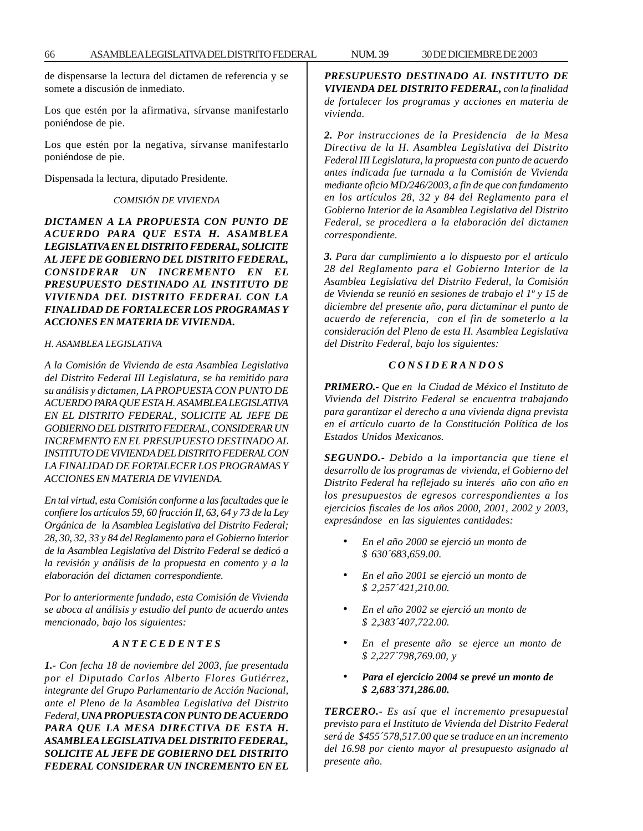de dispensarse la lectura del dictamen de referencia y se somete a discusión de inmediato.

Los que estén por la afirmativa, sírvanse manifestarlo poniéndose de pie.

Los que estén por la negativa, sírvanse manifestarlo poniéndose de pie.

Dispensada la lectura, diputado Presidente.

#### *COMISIÓN DE VIVIENDA*

*DICTAMEN A LA PROPUESTA CON PUNTO DE ACUERDO PARA QUE ESTA H. ASAMBLEA LEGISLATIVA EN EL DISTRITO FEDERAL, SOLICITE AL JEFE DE GOBIERNO DEL DISTRITO FEDERAL, CONSIDERAR UN INCREMENTO EN EL PRESUPUESTO DESTINADO AL INSTITUTO DE VIVIENDA DEL DISTRITO FEDERAL CON LA FINALIDAD DE FORTALECER LOS PROGRAMAS Y ACCIONES EN MATERIA DE VIVIENDA.*

#### *H. ASAMBLEA LEGISLATIVA*

*A la Comisión de Vivienda de esta Asamblea Legislativa del Distrito Federal III Legislatura, se ha remitido para su análisis y dictamen, LA PROPUESTA CON PUNTO DE ACUERDO PARA QUE ESTA H. ASAMBLEA LEGISLATIVA EN EL DISTRITO FEDERAL, SOLICITE AL JEFE DE GOBIERNO DEL DISTRITO FEDERAL, CONSIDERAR UN INCREMENTO EN EL PRESUPUESTO DESTINADO AL INSTITUTO DE VIVIENDA DEL DISTRITO FEDERAL CON LA FINALIDAD DE FORTALECER LOS PROGRAMAS Y ACCIONES EN MATERIA DE VIVIENDA.*

*En tal virtud, esta Comisión conforme a las facultades que le confiere los artículos 59, 60 fracción II, 63, 64 y 73 de la Ley Orgánica de la Asamblea Legislativa del Distrito Federal; 28, 30, 32, 33 y 84 del Reglamento para el Gobierno Interior de la Asamblea Legislativa del Distrito Federal se dedicó a la revisión y análisis de la propuesta en comento y a la elaboración del dictamen correspondiente.*

*Por lo anteriormente fundado, esta Comisión de Vivienda se aboca al análisis y estudio del punto de acuerdo antes mencionado, bajo los siguientes:*

### *A N T E C E D E N T E S*

*1.- Con fecha 18 de noviembre del 2003, fue presentada por el Diputado Carlos Alberto Flores Gutiérrez, integrante del Grupo Parlamentario de Acción Nacional, ante el Pleno de la Asamblea Legislativa del Distrito Federal, UNA PROPUESTA CON PUNTO DE ACUERDO PARA QUE LA MESA DIRECTIVA DE ESTA H. ASAMBLEA LEGISLATIVA DEL DISTRITO FEDERAL, SOLICITE AL JEFE DE GOBIERNO DEL DISTRITO FEDERAL CONSIDERAR UN INCREMENTO EN EL* *PRESUPUESTO DESTINADO AL INSTITUTO DE VIVIENDA DEL DISTRITO FEDERAL, con la finalidad de fortalecer los programas y acciones en materia de vivienda.*

*2. Por instrucciones de la Presidencia de la Mesa Directiva de la H. Asamblea Legislativa del Distrito Federal III Legislatura, la propuesta con punto de acuerdo antes indicada fue turnada a la Comisión de Vivienda mediante oficio MD/246/2003, a fin de que con fundamento en los artículos 28, 32 y 84 del Reglamento para el Gobierno Interior de la Asamblea Legislativa del Distrito Federal, se procediera a la elaboración del dictamen correspondiente.*

*3. Para dar cumplimiento a lo dispuesto por el artículo 28 del Reglamento para el Gobierno Interior de la Asamblea Legislativa del Distrito Federal, la Comisión de Vivienda se reunió en sesiones de trabajo el 1º y 15 de diciembre del presente año, para dictaminar el punto de acuerdo de referencia, con el fin de someterlo a la consideración del Pleno de esta H. Asamblea Legislativa del Distrito Federal, bajo los siguientes:*

### *C O N S I D E R A N D O S*

*PRIMERO.- Que en la Ciudad de México el Instituto de Vivienda del Distrito Federal se encuentra trabajando para garantizar el derecho a una vivienda digna prevista en el artículo cuarto de la Constitución Política de los Estados Unidos Mexicanos.*

*SEGUNDO.- Debido a la importancia que tiene el desarrollo de los programas de vivienda, el Gobierno del Distrito Federal ha reflejado su interés año con año en los presupuestos de egresos correspondientes a los ejercicios fiscales de los años 2000, 2001, 2002 y 2003, expresándose en las siguientes cantidades:*

- *En el año 2000 se ejerció un monto de \$ 630´683,659.00.*
- *En el año 2001 se ejerció un monto de \$ 2,257´421,210.00.*
- *En el año 2002 se ejerció un monto de \$ 2,383´407,722.00.*
- *En el presente año se ejerce un monto de \$ 2,227´798,769.00, y*
- *Para el ejercicio 2004 se prevé un monto de \$ 2,683´371,286.00.*

*TERCERO.- Es así que el incremento presupuestal previsto para el Instituto de Vivienda del Distrito Federal será de \$455´578,517.00 que se traduce en un incremento del 16.98 por ciento mayor al presupuesto asignado al presente año.*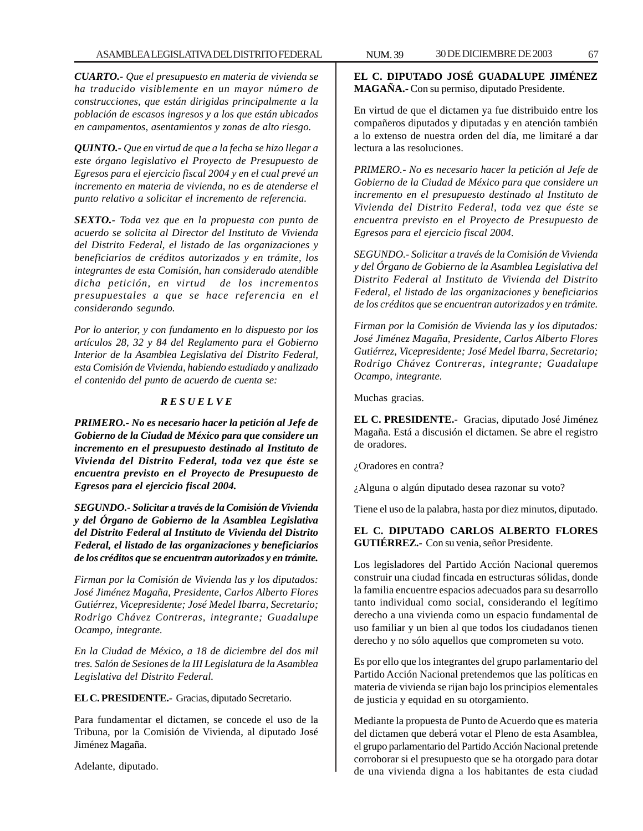*CUARTO.- Que el presupuesto en materia de vivienda se ha traducido visiblemente en un mayor número de construcciones, que están dirigidas principalmente a la población de escasos ingresos y a los que están ubicados en campamentos, asentamientos y zonas de alto riesgo.*

*QUINTO.- Que en virtud de que a la fecha se hizo llegar a este órgano legislativo el Proyecto de Presupuesto de Egresos para el ejercicio fiscal 2004 y en el cual prevé un incremento en materia de vivienda, no es de atenderse el punto relativo a solicitar el incremento de referencia.*

*SEXTO.- Toda vez que en la propuesta con punto de acuerdo se solicita al Director del Instituto de Vivienda del Distrito Federal, el listado de las organizaciones y beneficiarios de créditos autorizados y en trámite, los integrantes de esta Comisión, han considerado atendible dicha petición, en virtud de los incrementos presupuestales a que se hace referencia en el considerando segundo.*

*Por lo anterior, y con fundamento en lo dispuesto por los artículos 28, 32 y 84 del Reglamento para el Gobierno Interior de la Asamblea Legislativa del Distrito Federal, esta Comisión de Vivienda, habiendo estudiado y analizado el contenido del punto de acuerdo de cuenta se:*

### *R E S U E L V E*

*PRIMERO.- No es necesario hacer la petición al Jefe de Gobierno de la Ciudad de México para que considere un incremento en el presupuesto destinado al Instituto de Vivienda del Distrito Federal, toda vez que éste se encuentra previsto en el Proyecto de Presupuesto de Egresos para el ejercicio fiscal 2004.*

*SEGUNDO.- Solicitar a través de la Comisión de Vivienda y del Órgano de Gobierno de la Asamblea Legislativa del Distrito Federal al Instituto de Vivienda del Distrito Federal, el listado de las organizaciones y beneficiarios de los créditos que se encuentran autorizados y en trámite.*

*Firman por la Comisión de Vivienda las y los diputados: José Jiménez Magaña, Presidente, Carlos Alberto Flores Gutiérrez, Vicepresidente; José Medel Ibarra, Secretario; Rodrigo Chávez Contreras, integrante; Guadalupe Ocampo, integrante.*

*En la Ciudad de México, a 18 de diciembre del dos mil tres. Salón de Sesiones de la III Legislatura de la Asamblea Legislativa del Distrito Federal.*

**EL C. PRESIDENTE.-** Gracias, diputado Secretario.

Para fundamentar el dictamen, se concede el uso de la Tribuna, por la Comisión de Vivienda, al diputado José Jiménez Magaña.

Adelante, diputado.

**EL C. DIPUTADO JOSÉ GUADALUPE JIMÉNEZ MAGAÑA.-** Con su permiso, diputado Presidente.

En virtud de que el dictamen ya fue distribuido entre los compañeros diputados y diputadas y en atención también a lo extenso de nuestra orden del día, me limitaré a dar lectura a las resoluciones.

*PRIMERO.- No es necesario hacer la petición al Jefe de Gobierno de la Ciudad de México para que considere un incremento en el presupuesto destinado al Instituto de Vivienda del Distrito Federal, toda vez que éste se encuentra previsto en el Proyecto de Presupuesto de Egresos para el ejercicio fiscal 2004.*

*SEGUNDO.- Solicitar a través de la Comisión de Vivienda y del Órgano de Gobierno de la Asamblea Legislativa del Distrito Federal al Instituto de Vivienda del Distrito Federal, el listado de las organizaciones y beneficiarios de los créditos que se encuentran autorizados y en trámite.*

*Firman por la Comisión de Vivienda las y los diputados: José Jiménez Magaña, Presidente, Carlos Alberto Flores Gutiérrez, Vicepresidente; José Medel Ibarra, Secretario; Rodrigo Chávez Contreras, integrante; Guadalupe Ocampo, integrante.*

Muchas gracias.

**EL C. PRESIDENTE.-** Gracias, diputado José Jiménez Magaña. Está a discusión el dictamen. Se abre el registro de oradores.

¿Oradores en contra?

¿Alguna o algún diputado desea razonar su voto?

Tiene el uso de la palabra, hasta por diez minutos, diputado.

**EL C. DIPUTADO CARLOS ALBERTO FLORES GUTIÉRREZ.-** Con su venia, señor Presidente.

Los legisladores del Partido Acción Nacional queremos construir una ciudad fincada en estructuras sólidas, donde la familia encuentre espacios adecuados para su desarrollo tanto individual como social, considerando el legítimo derecho a una vivienda como un espacio fundamental de uso familiar y un bien al que todos los ciudadanos tienen derecho y no sólo aquellos que comprometen su voto.

Es por ello que los integrantes del grupo parlamentario del Partido Acción Nacional pretendemos que las políticas en materia de vivienda se rijan bajo los principios elementales de justicia y equidad en su otorgamiento.

Mediante la propuesta de Punto de Acuerdo que es materia del dictamen que deberá votar el Pleno de esta Asamblea, el grupo parlamentario del Partido Acción Nacional pretende corroborar si el presupuesto que se ha otorgado para dotar de una vivienda digna a los habitantes de esta ciudad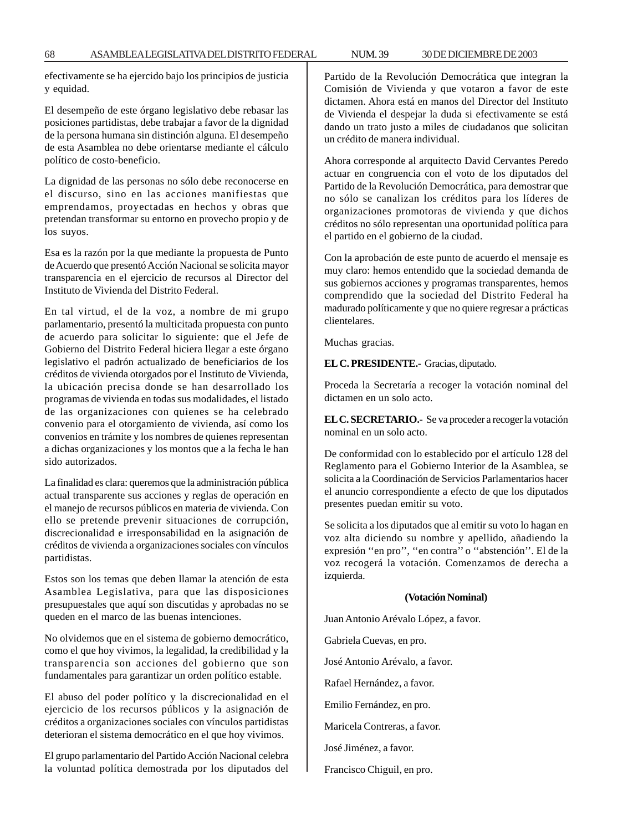efectivamente se ha ejercido bajo los principios de justicia y equidad.

El desempeño de este órgano legislativo debe rebasar las posiciones partidistas, debe trabajar a favor de la dignidad de la persona humana sin distinción alguna. El desempeño de esta Asamblea no debe orientarse mediante el cálculo político de costo-beneficio.

La dignidad de las personas no sólo debe reconocerse en el discurso, sino en las acciones manifiestas que emprendamos, proyectadas en hechos y obras que pretendan transformar su entorno en provecho propio y de los suyos.

Esa es la razón por la que mediante la propuesta de Punto de Acuerdo que presentó Acción Nacional se solicita mayor transparencia en el ejercicio de recursos al Director del Instituto de Vivienda del Distrito Federal.

En tal virtud, el de la voz, a nombre de mi grupo parlamentario, presentó la multicitada propuesta con punto de acuerdo para solicitar lo siguiente: que el Jefe de Gobierno del Distrito Federal hiciera llegar a este órgano legislativo el padrón actualizado de beneficiarios de los créditos de vivienda otorgados por el Instituto de Vivienda, la ubicación precisa donde se han desarrollado los programas de vivienda en todas sus modalidades, el listado de las organizaciones con quienes se ha celebrado convenio para el otorgamiento de vivienda, así como los convenios en trámite y los nombres de quienes representan a dichas organizaciones y los montos que a la fecha le han sido autorizados.

La finalidad es clara: queremos que la administración pública actual transparente sus acciones y reglas de operación en el manejo de recursos públicos en materia de vivienda. Con ello se pretende prevenir situaciones de corrupción, discrecionalidad e irresponsabilidad en la asignación de créditos de vivienda a organizaciones sociales con vínculos partidistas.

Estos son los temas que deben llamar la atención de esta Asamblea Legislativa, para que las disposiciones presupuestales que aquí son discutidas y aprobadas no se queden en el marco de las buenas intenciones.

No olvidemos que en el sistema de gobierno democrático, como el que hoy vivimos, la legalidad, la credibilidad y la transparencia son acciones del gobierno que son fundamentales para garantizar un orden político estable.

El abuso del poder político y la discrecionalidad en el ejercicio de los recursos públicos y la asignación de créditos a organizaciones sociales con vínculos partidistas deterioran el sistema democrático en el que hoy vivimos.

El grupo parlamentario del Partido Acción Nacional celebra la voluntad política demostrada por los diputados del Partido de la Revolución Democrática que integran la Comisión de Vivienda y que votaron a favor de este dictamen. Ahora está en manos del Director del Instituto de Vivienda el despejar la duda si efectivamente se está dando un trato justo a miles de ciudadanos que solicitan un crédito de manera individual.

Ahora corresponde al arquitecto David Cervantes Peredo actuar en congruencia con el voto de los diputados del Partido de la Revolución Democrática, para demostrar que no sólo se canalizan los créditos para los líderes de organizaciones promotoras de vivienda y que dichos créditos no sólo representan una oportunidad política para el partido en el gobierno de la ciudad.

Con la aprobación de este punto de acuerdo el mensaje es muy claro: hemos entendido que la sociedad demanda de sus gobiernos acciones y programas transparentes, hemos comprendido que la sociedad del Distrito Federal ha madurado políticamente y que no quiere regresar a prácticas clientelares.

Muchas gracias.

**EL C. PRESIDENTE.-** Gracias, diputado.

Proceda la Secretaría a recoger la votación nominal del dictamen en un solo acto.

**EL C. SECRETARIO.-** Se va proceder a recoger la votación nominal en un solo acto.

De conformidad con lo establecido por el artículo 128 del Reglamento para el Gobierno Interior de la Asamblea, se solicita a la Coordinación de Servicios Parlamentarios hacer el anuncio correspondiente a efecto de que los diputados presentes puedan emitir su voto.

Se solicita a los diputados que al emitir su voto lo hagan en voz alta diciendo su nombre y apellido, añadiendo la expresión ''en pro'', ''en contra'' o ''abstención''. El de la voz recogerá la votación. Comenzamos de derecha a izquierda.

#### **(Votación Nominal)**

Juan Antonio Arévalo López, a favor.

Gabriela Cuevas, en pro.

José Antonio Arévalo, a favor.

Rafael Hernández, a favor.

Emilio Fernández, en pro.

Maricela Contreras, a favor.

José Jiménez, a favor.

Francisco Chiguil, en pro.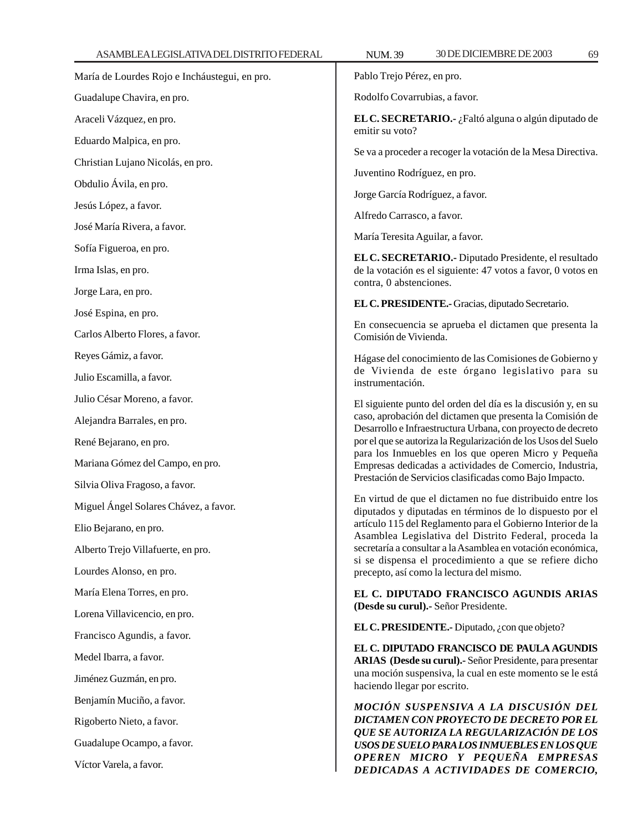Rodolfo Covarrubias, a favor.

**EL C. SECRETARIO.-** ¿Faltó alguna o algún diputado de emitir su voto?

Se va a proceder a recoger la votación de la Mesa Directiva.

Juventino Rodríguez, en pro.

Jorge García Rodríguez, a favor.

Alfredo Carrasco, a favor.

María Teresita Aguilar, a favor.

**EL C. SECRETARIO.-** Diputado Presidente, el resultado de la votación es el siguiente: 47 votos a favor, 0 votos en contra, 0 abstenciones.

**EL C. PRESIDENTE.-** Gracias, diputado Secretario.

En consecuencia se aprueba el dictamen que presenta la Comisión de Vivienda.

Hágase del conocimiento de las Comisiones de Gobierno y de Vivienda de este órgano legislativo para su instrumentación.

El siguiente punto del orden del día es la discusión y, en su caso, aprobación del dictamen que presenta la Comisión de Desarrollo e Infraestructura Urbana, con proyecto de decreto por el que se autoriza la Regularización de los Usos del Suelo para los Inmuebles en los que operen Micro y Pequeña Empresas dedicadas a actividades de Comercio, Industria, Prestación de Servicios clasificadas como Bajo Impacto.

En virtud de que el dictamen no fue distribuido entre los diputados y diputadas en términos de lo dispuesto por el artículo 115 del Reglamento para el Gobierno Interior de la Asamblea Legislativa del Distrito Federal, proceda la secretaría a consultar a la Asamblea en votación económica, si se dispensa el procedimiento a que se refiere dicho precepto, así como la lectura del mismo.

**EL C. DIPUTADO FRANCISCO AGUNDIS ARIAS (Desde su curul).-** Señor Presidente.

**EL C. PRESIDENTE.-** Diputado, ¿con que objeto?

**EL C. DIPUTADO FRANCISCO DE PAULA AGUNDIS ARIAS (Desde su curul).-** Señor Presidente, para presentar una moción suspensiva, la cual en este momento se le está haciendo llegar por escrito.

*MOCIÓN SUSPENSIVA A LA DISCUSIÓN DEL DICTAMEN CON PROYECTO DE DECRETO POR EL QUE SE AUTORIZA LA REGULARIZACIÓN DE LOS USOS DE SUELO PARA LOS INMUEBLES EN LOS QUE OPEREN MICRO Y PEQUEÑA EMPRESAS DEDICADAS A ACTIVIDADES DE COMERCIO,*

Guadalupe Chavira, en pro. Araceli Vázquez, en pro. Eduardo Malpica, en pro. Christian Lujano Nicolás, en pro. Obdulio Ávila, en pro. Jesús López, a favor. José María Rivera, a favor. Sofía Figueroa, en pro. Irma Islas, en pro. Jorge Lara, en pro. José Espina, en pro. Carlos Alberto Flores, a favor. Reyes Gámiz, a favor. Julio Escamilla, a favor. Julio César Moreno, a favor. Alejandra Barrales, en pro. René Bejarano, en pro. Mariana Gómez del Campo, en pro. Silvia Oliva Fragoso, a favor. Miguel Ángel Solares Chávez, a favor. Elio Bejarano, en pro. Alberto Trejo Villafuerte, en pro. Lourdes Alonso, en pro. María Elena Torres, en pro. Lorena Villavicencio, en pro. Francisco Agundis, a favor. Medel Ibarra, a favor. Jiménez Guzmán, en pro. Benjamín Muciño, a favor. Rigoberto Nieto, a favor. Guadalupe Ocampo, a favor. Víctor Varela, a favor.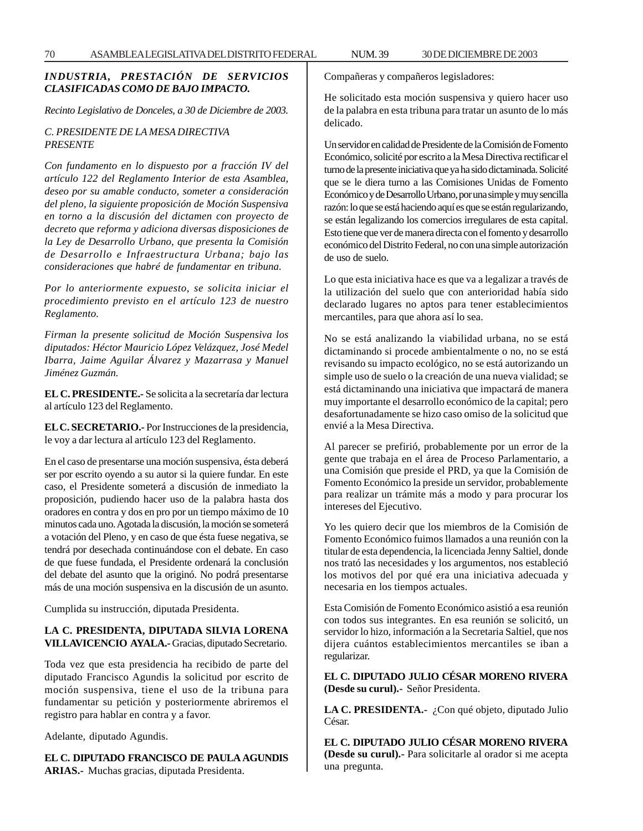## *INDUSTRIA, PRESTACIÓN DE SERVICIOS CLASIFICADAS COMO DE BAJO IMPACTO.*

*Recinto Legislativo de Donceles, a 30 de Diciembre de 2003.*

### *C. PRESIDENTE DE LA MESA DIRECTIVA PRESENTE*

*Con fundamento en lo dispuesto por a fracción IV del artículo 122 del Reglamento Interior de esta Asamblea, deseo por su amable conducto, someter a consideración del pleno, la siguiente proposición de Moción Suspensiva en torno a la discusión del dictamen con proyecto de decreto que reforma y adiciona diversas disposiciones de la Ley de Desarrollo Urbano, que presenta la Comisión de Desarrollo e Infraestructura Urbana; bajo las consideraciones que habré de fundamentar en tribuna.*

*Por lo anteriormente expuesto, se solicita iniciar el procedimiento previsto en el artículo 123 de nuestro Reglamento.*

*Firman la presente solicitud de Moción Suspensiva los diputados: Héctor Mauricio López Velázquez, José Medel Ibarra, Jaime Aguilar Álvarez y Mazarrasa y Manuel Jiménez Guzmán.*

**EL C. PRESIDENTE.-** Se solicita a la secretaría dar lectura al artículo 123 del Reglamento.

**EL C. SECRETARIO.-** Por Instrucciones de la presidencia, le voy a dar lectura al artículo 123 del Reglamento.

En el caso de presentarse una moción suspensiva, ésta deberá ser por escrito oyendo a su autor si la quiere fundar. En este caso, el Presidente someterá a discusión de inmediato la proposición, pudiendo hacer uso de la palabra hasta dos oradores en contra y dos en pro por un tiempo máximo de 10 minutos cada uno. Agotada la discusión, la moción se someterá a votación del Pleno, y en caso de que ésta fuese negativa, se tendrá por desechada continuándose con el debate. En caso de que fuese fundada, el Presidente ordenará la conclusión del debate del asunto que la originó. No podrá presentarse más de una moción suspensiva en la discusión de un asunto.

Cumplida su instrucción, diputada Presidenta.

### **LA C. PRESIDENTA, DIPUTADA SILVIA LORENA VILLAVICENCIO AYALA.-** Gracias, diputado Secretario.

Toda vez que esta presidencia ha recibido de parte del diputado Francisco Agundis la solicitud por escrito de moción suspensiva, tiene el uso de la tribuna para fundamentar su petición y posteriormente abriremos el registro para hablar en contra y a favor.

Adelante, diputado Agundis.

**EL C. DIPUTADO FRANCISCO DE PAULA AGUNDIS ARIAS.-** Muchas gracias, diputada Presidenta.

Compañeras y compañeros legisladores:

He solicitado esta moción suspensiva y quiero hacer uso de la palabra en esta tribuna para tratar un asunto de lo más delicado.

Un servidor en calidad de Presidente de la Comisión de Fomento Económico, solicité por escrito a la Mesa Directiva rectificar el turno de la presente iniciativa que ya ha sido dictaminada. Solicité que se le diera turno a las Comisiones Unidas de Fomento Económico y de Desarrollo Urbano, por una simple y muy sencilla razón: lo que se está haciendo aquí es que se están regularizando, se están legalizando los comercios irregulares de esta capital. Esto tiene que ver de manera directa con el fomento y desarrollo económico del Distrito Federal, no con una simple autorización de uso de suelo.

Lo que esta iniciativa hace es que va a legalizar a través de la utilización del suelo que con anterioridad había sido declarado lugares no aptos para tener establecimientos mercantiles, para que ahora así lo sea.

No se está analizando la viabilidad urbana, no se está dictaminando si procede ambientalmente o no, no se está revisando su impacto ecológico, no se está autorizando un simple uso de suelo o la creación de una nueva vialidad; se está dictaminando una iniciativa que impactará de manera muy importante el desarrollo económico de la capital; pero desafortunadamente se hizo caso omiso de la solicitud que envié a la Mesa Directiva.

Al parecer se prefirió, probablemente por un error de la gente que trabaja en el área de Proceso Parlamentario, a una Comisión que preside el PRD, ya que la Comisión de Fomento Económico la preside un servidor, probablemente para realizar un trámite más a modo y para procurar los intereses del Ejecutivo.

Yo les quiero decir que los miembros de la Comisión de Fomento Económico fuimos llamados a una reunión con la titular de esta dependencia, la licenciada Jenny Saltiel, donde nos trató las necesidades y los argumentos, nos estableció los motivos del por qué era una iniciativa adecuada y necesaria en los tiempos actuales.

Esta Comisión de Fomento Económico asistió a esa reunión con todos sus integrantes. En esa reunión se solicitó, un servidor lo hizo, información a la Secretaria Saltiel, que nos dijera cuántos establecimientos mercantiles se iban a regularizar.

## **EL C. DIPUTADO JULIO CÉSAR MORENO RIVERA (Desde su curul).-** Señor Presidenta.

**LA C. PRESIDENTA.-** ¿Con qué objeto, diputado Julio César.

**EL C. DIPUTADO JULIO CÉSAR MORENO RIVERA (Desde su curul).-** Para solicitarle al orador si me acepta una pregunta.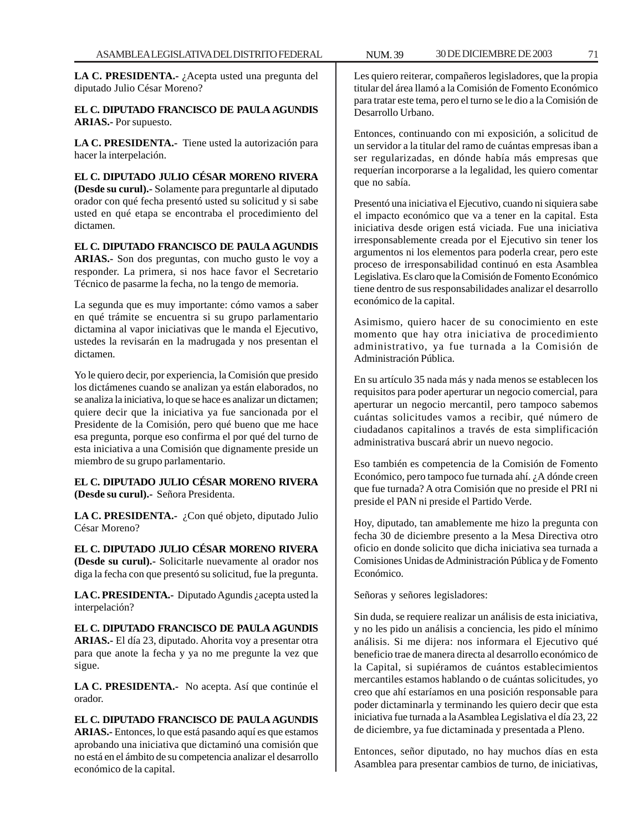**LA C. PRESIDENTA.-** ¿Acepta usted una pregunta del diputado Julio César Moreno?

## **EL C. DIPUTADO FRANCISCO DE PAULA AGUNDIS ARIAS.-** Por supuesto.

**LA C. PRESIDENTA.-** Tiene usted la autorización para hacer la interpelación.

**EL C. DIPUTADO JULIO CÉSAR MORENO RIVERA (Desde su curul).-** Solamente para preguntarle al diputado orador con qué fecha presentó usted su solicitud y si sabe usted en qué etapa se encontraba el procedimiento del dictamen.

**EL C. DIPUTADO FRANCISCO DE PAULA AGUNDIS ARIAS.-** Son dos preguntas, con mucho gusto le voy a responder. La primera, si nos hace favor el Secretario Técnico de pasarme la fecha, no la tengo de memoria.

La segunda que es muy importante: cómo vamos a saber en qué trámite se encuentra si su grupo parlamentario dictamina al vapor iniciativas que le manda el Ejecutivo, ustedes la revisarán en la madrugada y nos presentan el dictamen.

Yo le quiero decir, por experiencia, la Comisión que presido los dictámenes cuando se analizan ya están elaborados, no se analiza la iniciativa, lo que se hace es analizar un dictamen; quiere decir que la iniciativa ya fue sancionada por el Presidente de la Comisión, pero qué bueno que me hace esa pregunta, porque eso confirma el por qué del turno de esta iniciativa a una Comisión que dignamente preside un miembro de su grupo parlamentario.

**EL C. DIPUTADO JULIO CÉSAR MORENO RIVERA (Desde su curul).-** Señora Presidenta.

**LA C. PRESIDENTA.-** ¿Con qué objeto, diputado Julio César Moreno?

**EL C. DIPUTADO JULIO CÉSAR MORENO RIVERA (Desde su curul).-** Solicitarle nuevamente al orador nos diga la fecha con que presentó su solicitud, fue la pregunta.

**LA C. PRESIDENTA.-** Diputado Agundis ¿acepta usted la interpelación?

**EL C. DIPUTADO FRANCISCO DE PAULA AGUNDIS ARIAS.-** El día 23, diputado. Ahorita voy a presentar otra para que anote la fecha y ya no me pregunte la vez que sigue.

**LA C. PRESIDENTA.-** No acepta. Así que continúe el orador.

**EL C. DIPUTADO FRANCISCO DE PAULA AGUNDIS ARIAS.-** Entonces, lo que está pasando aquí es que estamos aprobando una iniciativa que dictaminó una comisión que no está en el ámbito de su competencia analizar el desarrollo económico de la capital.

Les quiero reiterar, compañeros legisladores, que la propia titular del área llamó a la Comisión de Fomento Económico para tratar este tema, pero el turno se le dio a la Comisión de Desarrollo Urbano.

Entonces, continuando con mi exposición, a solicitud de un servidor a la titular del ramo de cuántas empresas iban a ser regularizadas, en dónde había más empresas que requerían incorporarse a la legalidad, les quiero comentar que no sabía.

Presentó una iniciativa el Ejecutivo, cuando ni siquiera sabe el impacto económico que va a tener en la capital. Esta iniciativa desde origen está viciada. Fue una iniciativa irresponsablemente creada por el Ejecutivo sin tener los argumentos ni los elementos para poderla crear, pero este proceso de irresponsabilidad continuó en esta Asamblea Legislativa. Es claro que la Comisión de Fomento Económico tiene dentro de sus responsabilidades analizar el desarrollo económico de la capital.

Asimismo, quiero hacer de su conocimiento en este momento que hay otra iniciativa de procedimiento administrativo, ya fue turnada a la Comisión de Administración Pública.

En su artículo 35 nada más y nada menos se establecen los requisitos para poder aperturar un negocio comercial, para aperturar un negocio mercantil, pero tampoco sabemos cuántas solicitudes vamos a recibir, qué número de ciudadanos capitalinos a través de esta simplificación administrativa buscará abrir un nuevo negocio.

Eso también es competencia de la Comisión de Fomento Económico, pero tampoco fue turnada ahí. ¿A dónde creen que fue turnada? A otra Comisión que no preside el PRI ni preside el PAN ni preside el Partido Verde.

Hoy, diputado, tan amablemente me hizo la pregunta con fecha 30 de diciembre presento a la Mesa Directiva otro oficio en donde solicito que dicha iniciativa sea turnada a Comisiones Unidas de Administración Pública y de Fomento Económico.

Señoras y señores legisladores:

Sin duda, se requiere realizar un análisis de esta iniciativa, y no les pido un análisis a conciencia, les pido el mínimo análisis. Si me dijera: nos informara el Ejecutivo qué beneficio trae de manera directa al desarrollo económico de la Capital, si supiéramos de cuántos establecimientos mercantiles estamos hablando o de cuántas solicitudes, yo creo que ahí estaríamos en una posición responsable para poder dictaminarla y terminando les quiero decir que esta iniciativa fue turnada a la Asamblea Legislativa el día 23, 22 de diciembre, ya fue dictaminada y presentada a Pleno.

Entonces, señor diputado, no hay muchos días en esta Asamblea para presentar cambios de turno, de iniciativas,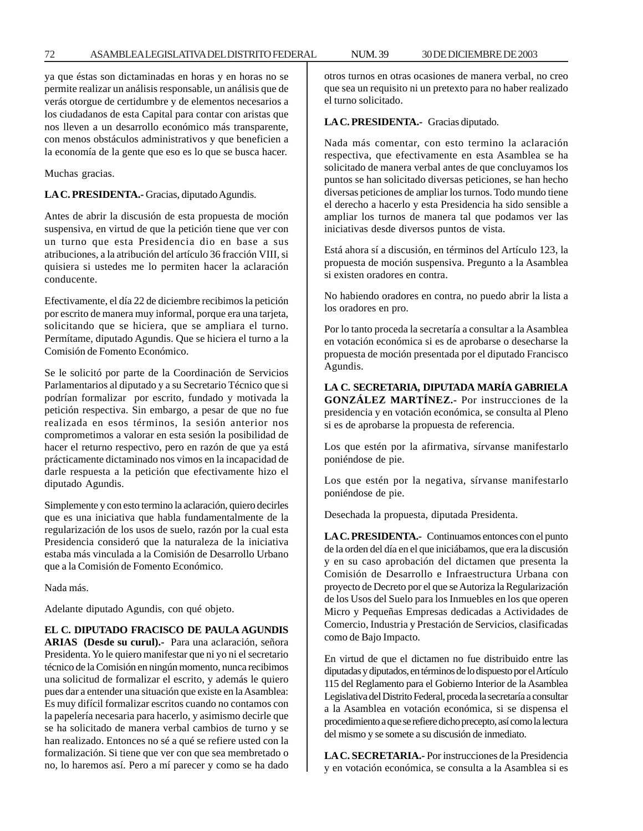ya que éstas son dictaminadas en horas y en horas no se permite realizar un análisis responsable, un análisis que de verás otorgue de certidumbre y de elementos necesarios a los ciudadanos de esta Capital para contar con aristas que nos lleven a un desarrollo económico más transparente, con menos obstáculos administrativos y que beneficien a la economía de la gente que eso es lo que se busca hacer.

Muchas gracias.

**LA C. PRESIDENTA.-** Gracias, diputado Agundis.

Antes de abrir la discusión de esta propuesta de moción suspensiva, en virtud de que la petición tiene que ver con un turno que esta Presidencia dio en base a sus atribuciones, a la atribución del artículo 36 fracción VIII, si quisiera si ustedes me lo permiten hacer la aclaración conducente.

Efectivamente, el día 22 de diciembre recibimos la petición por escrito de manera muy informal, porque era una tarjeta, solicitando que se hiciera, que se ampliara el turno. Permítame, diputado Agundis. Que se hiciera el turno a la Comisión de Fomento Económico.

Se le solicitó por parte de la Coordinación de Servicios Parlamentarios al diputado y a su Secretario Técnico que si podrían formalizar por escrito, fundado y motivada la petición respectiva. Sin embargo, a pesar de que no fue realizada en esos términos, la sesión anterior nos comprometimos a valorar en esta sesión la posibilidad de hacer el returno respectivo, pero en razón de que ya está prácticamente dictaminado nos vimos en la incapacidad de darle respuesta a la petición que efectivamente hizo el diputado Agundis.

Simplemente y con esto termino la aclaración, quiero decirles que es una iniciativa que habla fundamentalmente de la regularización de los usos de suelo, razón por la cual esta Presidencia consideró que la naturaleza de la iniciativa estaba más vinculada a la Comisión de Desarrollo Urbano que a la Comisión de Fomento Económico.

Nada más.

Adelante diputado Agundis, con qué objeto.

### **EL C. DIPUTADO FRACISCO DE PAULA AGUNDIS**

**ARIAS (Desde su curul).-** Para una aclaración, señora Presidenta. Yo le quiero manifestar que ni yo ni el secretario técnico de la Comisión en ningún momento, nunca recibimos una solicitud de formalizar el escrito, y además le quiero pues dar a entender una situación que existe en la Asamblea: Es muy difícil formalizar escritos cuando no contamos con la papelería necesaria para hacerlo, y asimismo decirle que se ha solicitado de manera verbal cambios de turno y se han realizado. Entonces no sé a qué se refiere usted con la formalización. Si tiene que ver con que sea membretado o no, lo haremos así. Pero a mí parecer y como se ha dado otros turnos en otras ocasiones de manera verbal, no creo que sea un requisito ni un pretexto para no haber realizado el turno solicitado.

**LA C. PRESIDENTA.-** Gracias diputado.

Nada más comentar, con esto termino la aclaración respectiva, que efectivamente en esta Asamblea se ha solicitado de manera verbal antes de que concluyamos los puntos se han solicitado diversas peticiones, se han hecho diversas peticiones de ampliar los turnos. Todo mundo tiene el derecho a hacerlo y esta Presidencia ha sido sensible a ampliar los turnos de manera tal que podamos ver las iniciativas desde diversos puntos de vista.

Está ahora sí a discusión, en términos del Artículo 123, la propuesta de moción suspensiva. Pregunto a la Asamblea si existen oradores en contra.

No habiendo oradores en contra, no puedo abrir la lista a los oradores en pro.

Por lo tanto proceda la secretaría a consultar a la Asamblea en votación económica si es de aprobarse o desecharse la propuesta de moción presentada por el diputado Francisco Agundis.

**LA C. SECRETARIA, DIPUTADA MARÍA GABRIELA GONZÁLEZ MARTÍNEZ.-** Por instrucciones de la presidencia y en votación económica, se consulta al Pleno si es de aprobarse la propuesta de referencia.

Los que estén por la afirmativa, sírvanse manifestarlo poniéndose de pie.

Los que estén por la negativa, sírvanse manifestarlo poniéndose de pie.

Desechada la propuesta, diputada Presidenta.

**LA C. PRESIDENTA.-** Continuamos entonces con el punto de la orden del día en el que iniciábamos, que era la discusión y en su caso aprobación del dictamen que presenta la Comisión de Desarrollo e Infraestructura Urbana con proyecto de Decreto por el que se Autoriza la Regularización de los Usos del Suelo para los Inmuebles en los que operen Micro y Pequeñas Empresas dedicadas a Actividades de Comercio, Industria y Prestación de Servicios, clasificadas como de Bajo Impacto.

En virtud de que el dictamen no fue distribuido entre las diputadas y diputados, en términos de lo dispuesto por el Artículo 115 del Reglamento para el Gobierno Interior de la Asamblea Legislativa del Distrito Federal, proceda la secretaría a consultar a la Asamblea en votación económica, si se dispensa el procedimiento a que se refiere dicho precepto, así como la lectura del mismo y se somete a su discusión de inmediato.

**LA C. SECRETARIA.-** Por instrucciones de la Presidencia y en votación económica, se consulta a la Asamblea si es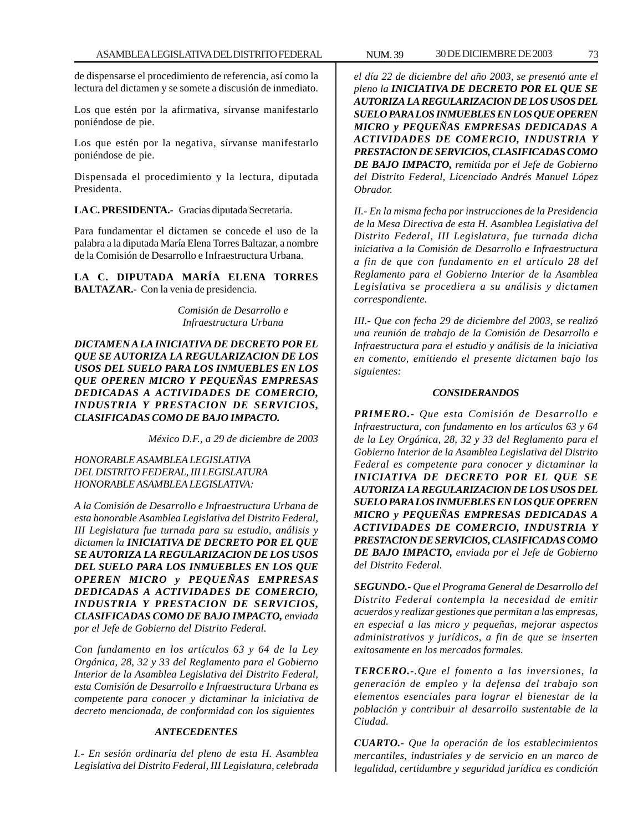de dispensarse el procedimiento de referencia, así como la lectura del dictamen y se somete a discusión de inmediato.

Los que estén por la afirmativa, sírvanse manifestarlo poniéndose de pie.

Los que estén por la negativa, sírvanse manifestarlo poniéndose de pie.

Dispensada el procedimiento y la lectura, diputada Presidenta.

**LA C. PRESIDENTA.-** Gracias diputada Secretaria.

Para fundamentar el dictamen se concede el uso de la palabra a la diputada María Elena Torres Baltazar, a nombre de la Comisión de Desarrollo e Infraestructura Urbana.

**LA C. DIPUTADA MARÍA ELENA TORRES BALTAZAR.-** Con la venia de presidencia.

> *Comisión de Desarrollo e Infraestructura Urbana*

*DICTAMEN A LA INICIATIVA DE DECRETO POR EL QUE SE AUTORIZA LA REGULARIZACION DE LOS USOS DEL SUELO PARA LOS INMUEBLES EN LOS QUE OPEREN MICRO Y PEQUEÑAS EMPRESAS DEDICADAS A ACTIVIDADES DE COMERCIO, INDUSTRIA Y PRESTACION DE SERVICIOS, CLASIFICADAS COMO DE BAJO IMPACTO.*

*México D.F., a 29 de diciembre de 2003*

*HONORABLE ASAMBLEA LEGISLATIVA DEL DISTRITO FEDERAL, III LEGISLATURA HONORABLE ASAMBLEA LEGISLATIVA:*

*A la Comisión de Desarrollo e Infraestructura Urbana de esta honorable Asamblea Legislativa del Distrito Federal, III Legislatura fue turnada para su estudio, análisis y dictamen la INICIATIVA DE DECRETO POR EL QUE SE AUTORIZA LA REGULARIZACION DE LOS USOS DEL SUELO PARA LOS INMUEBLES EN LOS QUE OPEREN MICRO y PEQUEÑAS EMPRESAS DEDICADAS A ACTIVIDADES DE COMERCIO, INDUSTRIA Y PRESTACION DE SERVICIOS, CLASIFICADAS COMO DE BAJO IMPACTO, enviada por el Jefe de Gobierno del Distrito Federal.*

*Con fundamento en los artículos 63 y 64 de la Ley Orgánica, 28, 32 y 33 del Reglamento para el Gobierno Interior de la Asamblea Legislativa del Distrito Federal, esta Comisión de Desarrollo e Infraestructura Urbana es competente para conocer y dictaminar la iniciativa de decreto mencionada, de conformidad con los siguientes*

### *ANTECEDENTES*

*I.- En sesión ordinaria del pleno de esta H. Asamblea Legislativa del Distrito Federal, III Legislatura, celebrada*

*el día 22 de diciembre del año 2003, se presentó ante el pleno la INICIATIVA DE DECRETO POR EL QUE SE AUTORIZA LA REGULARIZACION DE LOS USOS DEL SUELO PARA LOS INMUEBLES EN LOS QUE OPEREN MICRO y PEQUEÑAS EMPRESAS DEDICADAS A ACTIVIDADES DE COMERCIO, INDUSTRIA Y PRESTACION DE SERVICIOS, CLASIFICADAS COMO DE BAJO IMPACTO, remitida por el Jefe de Gobierno del Distrito Federal, Licenciado Andrés Manuel López Obrador.*

*II.- En la misma fecha por instrucciones de la Presidencia de la Mesa Directiva de esta H. Asamblea Legislativa del Distrito Federal, III Legislatura, fue turnada dicha iniciativa a la Comisión de Desarrollo e Infraestructura a fin de que con fundamento en el artículo 28 del Reglamento para el Gobierno Interior de la Asamblea Legislativa se procediera a su análisis y dictamen correspondiente.*

*III.- Que con fecha 29 de diciembre del 2003, se realizó una reunión de trabajo de la Comisión de Desarrollo e Infraestructura para el estudio y análisis de la iniciativa en comento, emitiendo el presente dictamen bajo los siguientes:*

#### *CONSIDERANDOS*

*PRIMERO.- Que esta Comisión de Desarrollo e Infraestructura, con fundamento en los artículos 63 y 64 de la Ley Orgánica, 28, 32 y 33 del Reglamento para el Gobierno Interior de la Asamblea Legislativa del Distrito Federal es competente para conocer y dictaminar la INICIATIVA DE DECRETO POR EL QUE SE AUTORIZA LA REGULARIZACION DE LOS USOS DEL SUELO PARA LOS INMUEBLES EN LOS QUE OPEREN MICRO y PEQUEÑAS EMPRESAS DEDICADAS A ACTIVIDADES DE COMERCIO, INDUSTRIA Y PRESTACION DE SERVICIOS, CLASIFICADAS COMO DE BAJO IMPACTO, enviada por el Jefe de Gobierno del Distrito Federal.*

*SEGUNDO.- Que el Programa General de Desarrollo del Distrito Federal contempla la necesidad de emitir acuerdos y realizar gestiones que permitan a las empresas, en especial a las micro y pequeñas, mejorar aspectos administrativos y jurídicos, a fin de que se inserten exitosamente en los mercados formales.*

*TERCERO.-.Que el fomento a las inversiones, la generación de empleo y la defensa del trabajo son elementos esenciales para lograr el bienestar de la población y contribuir al desarrollo sustentable de la Ciudad.*

*CUARTO.- Que la operación de los establecimientos mercantiles, industriales y de servicio en un marco de legalidad, certidumbre y seguridad jurídica es condición*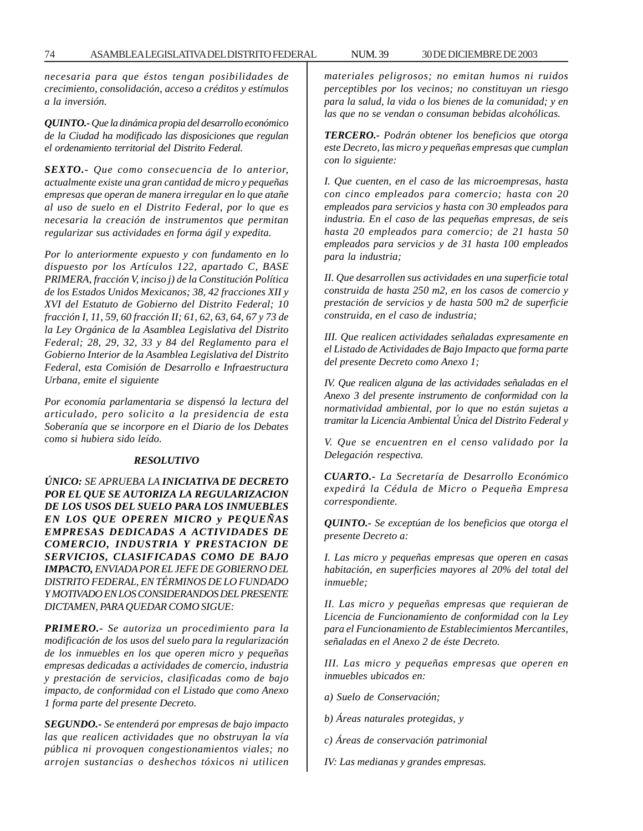*necesaria para que éstos tengan posibilidades de crecimiento, consolidación, acceso a créditos y estímulos a la inversión.*

*QUINTO.- Que la dinámica propia del desarrollo económico de la Ciudad ha modificado las disposiciones que regulan el ordenamiento territorial del Distrito Federal.*

*SEXTO.- Que como consecuencia de lo anterior, actualmente existe una gran cantidad de micro y pequeñas empresas que operan de manera irregular en lo que atañe al uso de suelo en el Distrito Federal, por lo que es necesaria la creación de instrumentos que permitan regularizar sus actividades en forma ágil y expedita.*

*Por lo anteriormente expuesto y con fundamento en lo dispuesto por los Artículos 122, apartado C, BASE PRIMERA, fracción V, inciso j) de la Constitución Política de los Estados Unidos Mexicanos; 38, 42 fracciones XII y XVI del Estatuto de Gobierno del Distrito Federal; 10 fracción I, 11, 59, 60 fracción II; 61, 62, 63, 64, 67 y 73 de la Ley Orgánica de la Asamblea Legislativa del Distrito Federal; 28, 29, 32, 33 y 84 del Reglamento para el Gobierno Interior de la Asamblea Legislativa del Distrito Federal, esta Comisión de Desarrollo e Infraestructura Urbana, emite el siguiente*

*Por economía parlamentaria se dispensó la lectura del articulado, pero solicito a la presidencia de esta Soberanía que se incorpore en el Diario de los Debates como si hubiera sido leído.*

#### *RESOLUTIVO*

*ÚNICO: SE APRUEBA LA INICIATIVA DE DECRETO POR EL QUE SE AUTORIZA LA REGULARIZACION DE LOS USOS DEL SUELO PARA LOS INMUEBLES EN LOS QUE OPEREN MICRO y PEQUEÑAS EMPRESAS DEDICADAS A ACTIVIDADES DE COMERCIO, INDUSTRIA Y PRESTACION DE SERVICIOS, CLASIFICADAS COMO DE BAJO IMPACTO, ENVIADA POR EL JEFE DE GOBIERNO DEL DISTRITO FEDERAL, EN TÉRMINOS DE LO FUNDADO Y MOTIVADO EN LOS CONSIDERANDOS DEL PRESENTE DICTAMEN, PARA QUEDAR COMO SIGUE:*

*PRIMERO.- Se autoriza un procedimiento para la modificación de los usos del suelo para la regularización de los inmuebles en los que operen micro y pequeñas empresas dedicadas a actividades de comercio, industria y prestación de servicios, clasificadas como de bajo impacto, de conformidad con el Listado que como Anexo 1 forma parte del presente Decreto.*

*SEGUNDO.- Se entenderá por empresas de bajo impacto las que realicen actividades que no obstruyan la vía pública ni provoquen congestionamientos viales; no arrojen sustancias o deshechos tóxicos ni utilicen* *materiales peligrosos; no emitan humos ni ruidos perceptibles por los vecinos; no constituyan un riesgo para la salud, la vida o los bienes de la comunidad; y en las que no se vendan o consuman bebidas alcohólicas.*

*TERCERO.- Podrán obtener los beneficios que otorga este Decreto, las micro y pequeñas empresas que cumplan con lo siguiente:*

*I. Que cuenten, en el caso de las microempresas, hasta con cinco empleados para comercio; hasta con 20 empleados para servicios y hasta con 30 empleados para industria. En el caso de las pequeñas empresas, de seis hasta 20 empleados para comercio; de 21 hasta 50 empleados para servicios y de 31 hasta 100 empleados para la industria;*

*II. Que desarrollen sus actividades en una superficie total construida de hasta 250 m2, en los casos de comercio y prestación de servicios y de hasta 500 m2 de superficie construida, en el caso de industria;*

*III. Que realicen actividades señaladas expresamente en el Listado de Actividades de Bajo Impacto que forma parte del presente Decreto como Anexo 1;*

*IV. Que realicen alguna de las actividades señaladas en el Anexo 3 del presente instrumento de conformidad con la normatividad ambiental, por lo que no están sujetas a tramitar la Licencia Ambiental Única del Distrito Federal y*

*V. Que se encuentren en el censo validado por la Delegación respectiva.*

*CUARTO.- La Secretaría de Desarrollo Económico expedirá la Cédula de Micro o Pequeña Empresa correspondiente.*

*QUINTO.- Se exceptúan de los beneficios que otorga el presente Decreto a:*

*I. Las micro y pequeñas empresas que operen en casas habitación, en superficies mayores al 20% del total del inmueble;*

*II. Las micro y pequeñas empresas que requieran de Licencia de Funcionamiento de conformidad con la Ley para el Funcionamiento de Establecimientos Mercantiles, señaladas en el Anexo 2 de éste Decreto.*

*III. Las micro y pequeñas empresas que operen en inmuebles ubicados en:*

*a) Suelo de Conservación;*

*b) Áreas naturales protegidas, y*

*c) Áreas de conservación patrimonial*

*IV: Las medianas y grandes empresas.*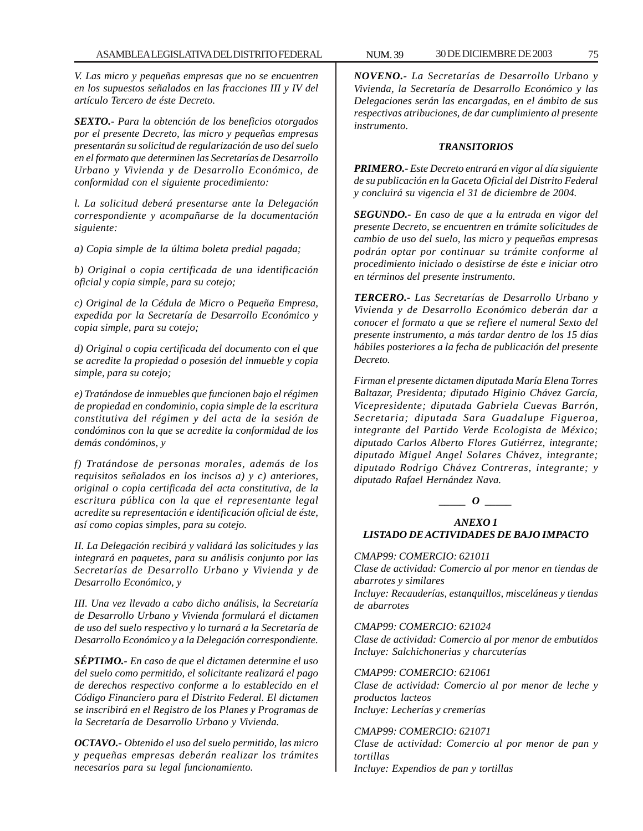*V. Las micro y pequeñas empresas que no se encuentren en los supuestos señalados en las fracciones III y IV del artículo Tercero de éste Decreto.*

*SEXTO.- Para la obtención de los beneficios otorgados por el presente Decreto, las micro y pequeñas empresas presentarán su solicitud de regularización de uso del suelo en el formato que determinen las Secretarías de Desarrollo Urbano y Vivienda y de Desarrollo Económico, de conformidad con el siguiente procedimiento:*

*l. La solicitud deberá presentarse ante la Delegación correspondiente y acompañarse de la documentación siguiente:*

*a) Copia simple de la última boleta predial pagada;*

*b) Original o copia certificada de una identificación oficial y copia simple, para su cotejo;*

*c) Original de la Cédula de Micro o Pequeña Empresa, expedida por la Secretaría de Desarrollo Económico y copia simple, para su cotejo;*

*d) Original o copia certificada del documento con el que se acredite la propiedad o posesión del inmueble y copia simple, para su cotejo;*

*e) Tratándose de inmuebles que funcionen bajo el régimen de propiedad en condominio, copia simple de la escritura constitutiva del régimen y del acta de la sesión de condóminos con la que se acredite la conformidad de los demás condóminos, y*

*f) Tratándose de personas morales, además de los requisitos señalados en los incisos a) y c) anteriores, original o copia certificada del acta constitutiva, de la escritura pública con la que el representante legal acredite su representación e identificación oficial de éste, así como copias simples, para su cotejo.*

*II. La Delegación recibirá y validará las solicitudes y las integrará en paquetes, para su análisis conjunto por las Secretarías de Desarrollo Urbano y Vivienda y de Desarrollo Económico, y*

*III. Una vez llevado a cabo dicho análisis, la Secretaría de Desarrollo Urbano y Vivienda formulará el dictamen de uso del suelo respectivo y lo turnará a la Secretaría de Desarrollo Económico y a la Delegación correspondiente.*

*SÉPTIMO.- En caso de que el dictamen determine el uso del suelo como permitido, el solicitante realizará el pago de derechos respectivo conforme a lo establecido en el Código Financiero para el Distrito Federal. El dictamen se inscribirá en el Registro de los Planes y Programas de la Secretaría de Desarrollo Urbano y Vivienda.*

*OCTAVO.- Obtenido el uso del suelo permitido, las micro y pequeñas empresas deberán realizar los trámites necesarios para su legal funcionamiento.*

*NOVENO.- La Secretarías de Desarrollo Urbano y Vivienda, la Secretaría de Desarrollo Económico y las Delegaciones serán las encargadas, en el ámbito de sus respectivas atribuciones, de dar cumplimiento al presente instrumento.*

### *TRANSITORIOS*

*PRIMERO.- Este Decreto entrará en vigor al día siguiente de su publicación en la Gaceta Oficial del Distrito Federal y concluirá su vigencia el 31 de diciembre de 2004.*

*SEGUNDO.- En caso de que a la entrada en vigor del presente Decreto, se encuentren en trámite solicitudes de cambio de uso del suelo, las micro y pequeñas empresas podrán optar por continuar su trámite conforme al procedimiento iniciado o desistirse de éste e iniciar otro en términos del presente instrumento.*

*TERCERO.- Las Secretarías de Desarrollo Urbano y Vivienda y de Desarrollo Económico deberán dar a conocer el formato a que se refiere el numeral Sexto del presente instrumento, a más tardar dentro de los 15 días hábiles posteriores a la fecha de publicación del presente Decreto.*

*Firman el presente dictamen diputada María Elena Torres Baltazar, Presidenta; diputado Higinio Chávez García, Vicepresidente; diputada Gabriela Cuevas Barrón, Secretaria; diputada Sara Guadalupe Figueroa, integrante del Partido Verde Ecologista de México; diputado Carlos Alberto Flores Gutiérrez, integrante; diputado Miguel Angel Solares Chávez, integrante; diputado Rodrigo Chávez Contreras, integrante; y diputado Rafael Hernández Nava.*

*\_\_\_\_\_ O \_\_\_\_\_*

*ANEXO 1 LISTADO DE ACTIVIDADES DE BAJO IMPACTO*

### *CMAP99: COMERCIO: 621011*

*Clase de actividad: Comercio al por menor en tiendas de abarrotes y similares Incluye: Recauderías, estanquillos, misceláneas y tiendas de abarrotes*

*CMAP99: COMERCIO: 621024 Clase de actividad: Comercio al por menor de embutidos Incluye: Salchichonerias y charcuterías*

*CMAP99: COMERCIO: 621061 Clase de actividad: Comercio al por menor de leche y productos lacteos Incluye: Lecherías y cremerías*

*CMAP99: COMERCIO: 621071 Clase de actividad: Comercio al por menor de pan y tortillas Incluye: Expendios de pan y tortillas*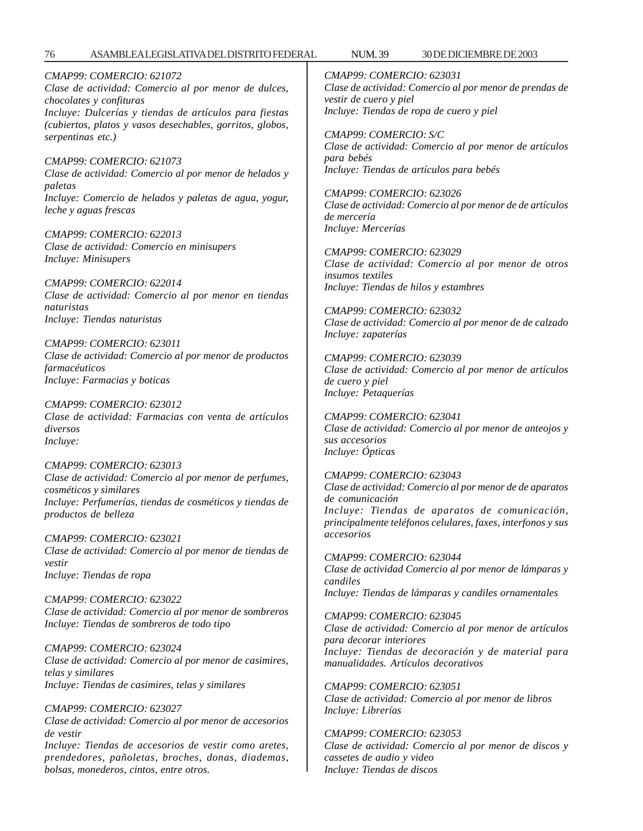*CMAP99: COMERCIO: 621072 Clase de actividad: Comercio al por menor de dulces, chocolates y confituras Incluye: Dulcerías y tiendas de artículos para fiestas (cubiertos, platos y vasos desechables, gorritos, globos, serpentinas etc.)*

*CMAP99: COMERCIO: 621073 Clase de actividad: Comercio al por menor de helados y paletas Incluye: Comercio de helados y paletas de agua, yogur, leche y aguas frescas*

*CMAP99: COMERCIO: 622013 Clase de actividad: Comercio en minisupers Incluye: Minisupers*

*CMAP99: COMERCIO: 622014 Clase de actividad: Comercio al por menor en tiendas naturistas Incluye: Tiendas naturistas*

*CMAP99: COMERCIO: 623011 Clase de actividad: Comercio al por menor de productos farmacéuticos Incluye: Farmacias y boticas*

*CMAP99: COMERCIO: 623012 Clase de actividad: Farmacias con venta de artículos diversos Incluye:*

*CMAP99: COMERCIO: 623013 Clase de actividad: Comercio al por menor de perfumes, cosméticos y similares Incluye: Perfumerías, tiendas de cosméticos y tiendas de productos de belleza*

*CMAP99: COMERCIO: 623021 Clase de actividad: Comercio al por menor de tiendas de vestir Incluye: Tiendas de ropa*

*CMAP99: COMERCIO: 623022 Clase de actividad: Comercio al por menor de sombreros Incluye: Tiendas de sombreros de todo tipo*

*CMAP99: COMERCIO: 623024 Clase de actividad: Comercio al por menor de casimires, telas y similares Incluye: Tiendas de casimires, telas y similares*

*CMAP99: COMERCIO: 623027 Clase de actividad: Comercio al por menor de accesorios de vestir*

*Incluye: Tiendas de accesorios de vestir como aretes, prendedores, pañoletas, broches, donas, diademas, bolsas, monederos, cintos, entre otros.*

*CMAP99: COMERCIO: 623031 Clase de actividad: Comercio al por menor de prendas de vestir de cuero y piel Incluye: Tiendas de ropa de cuero y piel*

*CMAP99: COMERCIO: S/C Clase de actividad: Comercio al por menor de artículos para bebés Incluye: Tiendas de artículos para bebés*

*CMAP99: COMERCIO: 623026 Clase de actividad: Comercio al por menor de de artículos de mercería Incluye: Mercerías*

*CMAP99: COMERCIO: 623029 Clase de actividad: Comercio al por menor de otros insumos textiles Incluye: Tiendas de hilos y estambres*

*CMAP99: COMERCIO: 623032 Clase de actividad: Comercio al por menor de de calzado Incluye: zapaterías*

*CMAP99: COMERCIO: 623039 Clase de actividad: Comercio al por menor de artículos de cuero y piel Incluye: Petaquerías*

*CMAP99: COMERCIO: 623041 Clase de actividad: Comercio al por menor de anteojos y sus accesorios Incluye: Ópticas*

*CMAP99: COMERCIO: 623043 Clase de actividad: Comercio al por menor de de aparatos de comunicación Incluye: Tiendas de aparatos de comunicación, principalmente teléfonos celulares, faxes, interfonos y sus accesorios*

*CMAP99: COMERCIO: 623044 Clase de actividad Comercio al por menor de lámparas y candiles Incluye: Tiendas de lámparas y candiles ornamentales*

*CMAP99: COMERCIO: 623045 Clase de actividad: Comercio al por menor de artículos para decorar interiores Incluye: Tiendas de decoración y de material para manualidades. Artículos decorativos*

*CMAP99: COMERCIO: 623051 Clase de actividad: Comercio al por menor de libros Incluye: Librerías*

*CMAP99: COMERCIO: 623053 Clase de actividad: Comercio al por menor de discos y cassetes de audio y video Incluye: Tiendas de discos*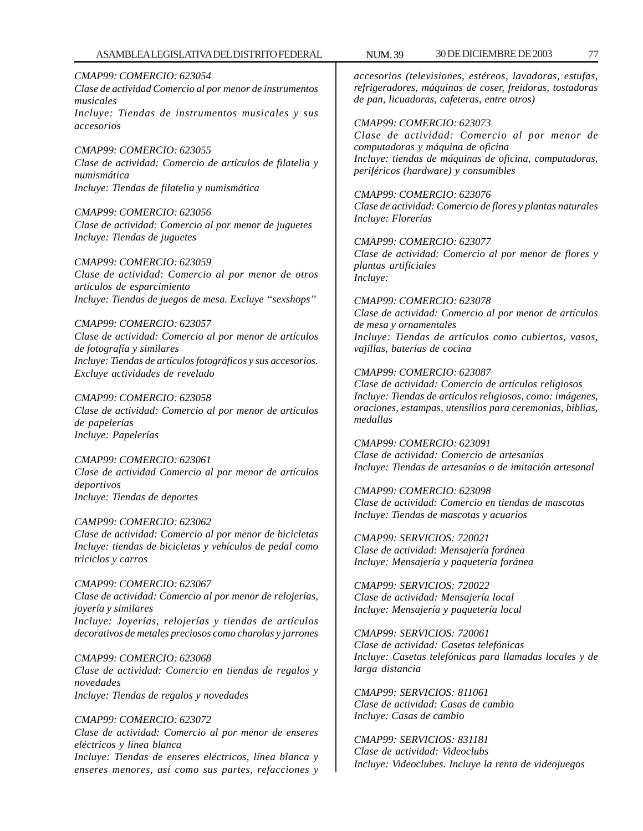*CMAP99: COMERCIO: 623054 Clase de actividad Comercio al por menor de instrumentos musicales Incluye: Tiendas de instrumentos musicales y sus accesorios*

*CMAP99: COMERCIO: 623055 Clase de actividad: Comercio de artículos de filatelia y numismática Incluye: Tiendas de filatelia y numismática*

*CMAP99: COMERCIO: 623056 Clase de actividad: Comercio al por menor de juguetes Incluye: Tiendas de juguetes*

*CMAP99: COMERCIO: 623059 Clase de actividad: Comercio al por menor de otros artículos de esparcimiento Incluye: Tiendas de juegos de mesa. Excluye ''sexshops''*

*CMAP99: COMERCIO: 623057 Clase de actividad: Comercio al por menor de artículos de fotografía y similares Incluye: Tiendas de artículos fotográficos y sus accesorios. Excluye actividades de revelado*

*CMAP99: COMERCIO: 623058 Clase de actividad: Comercio al por menor de artículos de papelerías Incluye: Papelerías*

*CMAP99: COMERCIO: 623061 Clase de actividad Comercio al por menor de artículos deportivos Incluye: Tiendas de deportes*

*CAMP99: COMERCIO: 623062 Clase de actividad: Comercio al por menor de bicicletas Incluye: tiendas de bicicletas y vehículos de pedal como triciclos y carros*

*CMAP99: COMERCIO: 623067 Clase de actividad: Comercio al por menor de relojerías, joyería y similares Incluye: Joyerías, relojerías y tiendas de artículos decorativos de metales preciosos como charolas y jarrones*

*CMAP99: COMERCIO: 623068 Clase de actividad: Comercio en tiendas de regalos y novedades Incluye: Tiendas de regalos y novedades*

*CMAP99: COMERCIO: 623072 Clase de actividad: Comercio al por menor de enseres eléctricos y línea blanca Incluye: Tiendas de enseres eléctricos, línea blanca y enseres menores, así como sus partes, refacciones y*

*accesorios (televisiones, estéreos, lavadoras, estufas, refrigeradores, máquinas de coser, freidoras, tostadoras de pan, licuadoras, cafeteras, entre otros)*

*CMAP99: COMERCIO: 623073 Clase de actividad: Comercio al por menor de computadoras y máquina de oficina Incluye: tiendas de máquinas de oficina, computadoras, periféricos (hardware) y consumibles*

*CMAP99: COMERCIO: 623076 Clase de actividad: Comercio de flores y plantas naturales Incluye: Florerías*

*CMAP99: COMERCIO: 623077 Clase de actividad: Comercio al por menor de flores y plantas artificiales Incluye:*

*CMAP99: COMERCIO: 623078 Clase de actividad: Comercio al por menor de artículos de mesa y ornamentales Incluye: Tiendas de artículos como cubiertos, vasos, vajillas, baterías de cocina*

*CMAP99: COMERCIO: 623087 Clase de actividad: Comercio de artículos religiosos Incluye: Tiendas de artículos religiosos, como: imágenes, oraciones, estampas, utensilios para ceremonias, biblias, medallas*

*CMAP99: COMERCIO: 623091 Clase de actividad: Comercio de artesanías Incluye: Tiendas de artesanías o de imitación artesanal*

*CMAP99: COMERCIO: 623098 Clase de actividad: Comercio en tiendas de mascotas Incluye: Tiendas de mascotas y acuarios*

*CMAP99: SERVICIOS: 720021 Clase de actividad: Mensajería foránea Incluye: Mensajería y paquetería foránea*

*CMAP99: SERVICIOS: 720022 Clase de actividad: Mensajería local Incluye: Mensajería y paquetería local*

*CMAP99: SERVICIOS: 720061 Clase de actividad: Casetas telefónicas Incluye: Casetas telefónicas para llamadas locales y de larga distancia*

*CMAP99: SERVICIOS: 811061 Clase de actividad: Casas de cambio Incluye: Casas de cambio*

*CMAP99: SERVICIOS: 831181 Clase de actividad: Videoclubs Incluye: Videoclubes. Incluye la renta de videojuegos*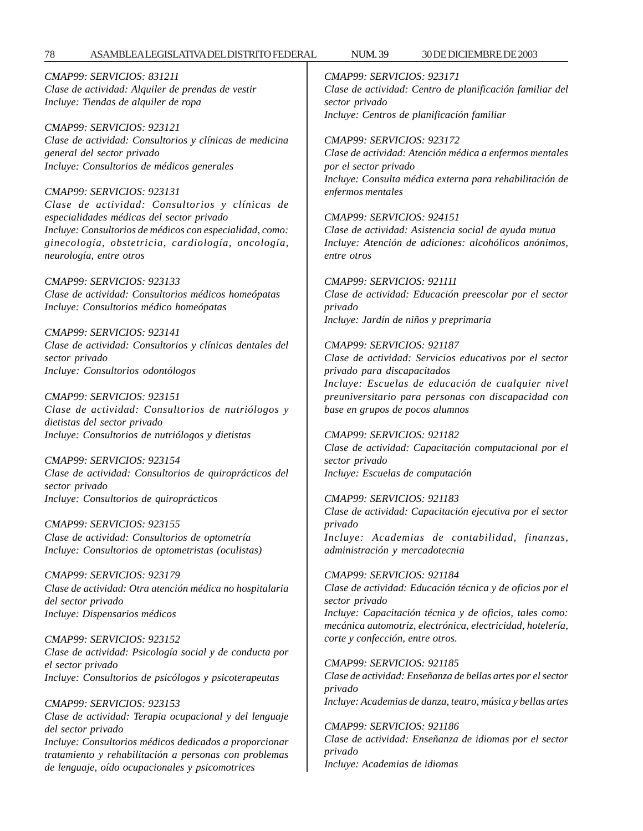78 ASAMBLEA LEGISLATIVA DEL DISTRITO FEDERAL 30 DE NUM. 39 DICIEMBRE DE 2003

*CMAP99: SERVICIOS: 831211 Clase de actividad: Alquiler de prendas de vestir Incluye: Tiendas de alquiler de ropa*

*CMAP99: SERVICIOS: 923121 Clase de actividad: Consultorios y clínicas de medicina general del sector privado Incluye: Consultorios de médicos generales*

*CMAP99: SERVICIOS: 923131 Clase de actividad: Consultorios y clínicas de especialidades médicas del sector privado Incluye: Consultorios de médicos con especialidad, como: ginecología, obstetricia, cardiología, oncología, neurología, entre otros*

*CMAP99: SERVICIOS: 923133 Clase de actividad: Consultorios médicos homeópatas Incluye: Consultorios médico homeópatas*

*CMAP99: SERVICIOS: 923141 Clase de actividad: Consultorios y clínicas dentales del sector privado Incluye: Consultorios odontólogos*

*CMAP99: SERVICIOS: 923151 Clase de actividad: Consultorios de nutriólogos y dietistas del sector privado Incluye: Consultorios de nutriólogos y dietistas*

*CMAP99: SERVICIOS: 923154 Clase de actividad: Consultorios de quiroprácticos del sector privado Incluye: Consultorios de quiroprácticos*

*CMAP99: SERVICIOS: 923155 Clase de actividad: Consultorios de optometría Incluye: Consultorios de optometristas (oculistas)*

*CMAP99: SERVICIOS: 923179 Clase de actividad: Otra atención médica no hospitalaria del sector privado Incluye: Dispensarios médicos*

*CMAP99: SERVICIOS: 923152 Clase de actividad: Psicología social y de conducta por el sector privado Incluye: Consultorios de psicólogos y psicoterapeutas*

*CMAP99: SERVICIOS: 923153 Clase de actividad: Terapia ocupacional y del lenguaje del sector privado Incluye: Consultorios médicos dedicados a proporcionar tratamiento y rehabilitación a personas con problemas de lenguaje, oído ocupacionales y psicomotrices*

*CMAP99: SERVICIOS: 923171 Clase de actividad: Centro de planificación familiar del sector privado Incluye: Centros de planificación familiar*

*CMAP99: SERVICIOS: 923172 Clase de actividad: Atención médica a enfermos mentales por el sector privado Incluye: Consulta médica externa para rehabilitación de enfermos mentales*

*CMAP99: SERVICIOS: 924151 Clase de actividad: Asistencia social de ayuda mutua Incluye: Atención de adiciones: alcohólicos anónimos, entre otros*

*CMAP99: SERVICIOS: 921111 Clase de actividad: Educación preescolar por el sector privado Incluye: Jardín de niños y preprimaria*

*CMAP99: SERVICIOS: 921187 Clase de actividad: Servicios educativos por el sector privado para discapacitados Incluye: Escuelas de educación de cualquier nivel preuniversitario para personas con discapacidad con base en grupos de pocos alumnos*

*CMAP99: SERVICIOS: 921182 Clase de actividad: Capacitación computacional por el sector privado Incluye: Escuelas de computación*

*CMAP99: SERVICIOS: 921183 Clase de actividad: Capacitación ejecutiva por el sector privado Incluye: Academias de contabilidad, finanzas, administración y mercadotecnia*

*CMAP99: SERVICIOS: 921184 Clase de actividad: Educación técnica y de oficios por el sector privado Incluye: Capacitación técnica y de oficios, tales como: mecánica automotriz, electrónica, electricidad, hotelería, corte y confección, entre otros.*

*CMAP99: SERVICIOS: 921185 Clase de actividad: Enseñanza de bellas artes por el sector privado*

*Incluye: Academias de danza, teatro, música y bellas artes*

*CMAP99: SERVICIOS: 921186 Clase de actividad: Enseñanza de idiomas por el sector privado Incluye: Academias de idiomas*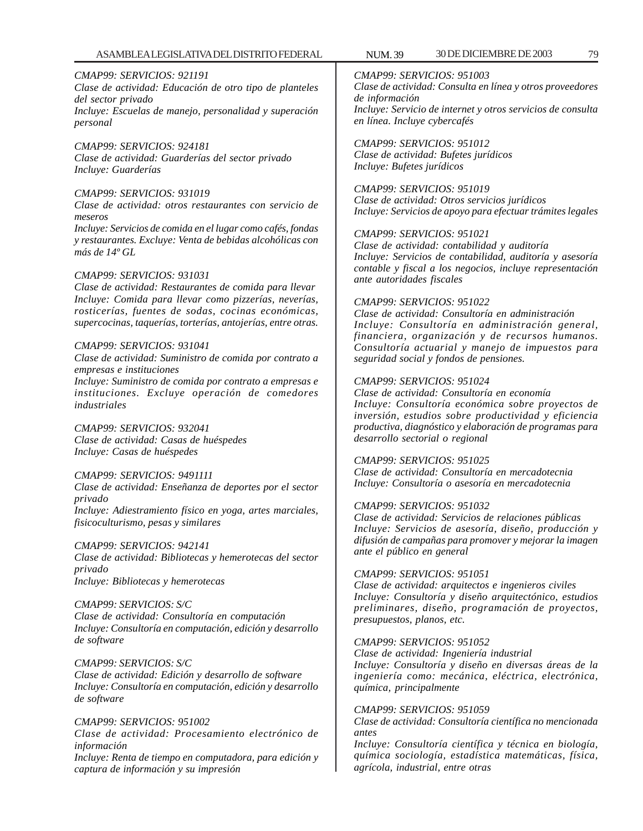### *CMAP99: SERVICIOS: 921191*

*Clase de actividad: Educación de otro tipo de planteles del sector privado Incluye: Escuelas de manejo, personalidad y superación personal*

*CMAP99: SERVICIOS: 924181 Clase de actividad: Guarderías del sector privado Incluye: Guarderías*

### *CMAP99: SERVICIOS: 931019*

*Clase de actividad: otros restaurantes con servicio de meseros*

*Incluye: Servicios de comida en el lugar como cafés, fondas y restaurantes. Excluye: Venta de bebidas alcohólicas con más de 14º GL*

#### *CMAP99: SERVICIOS: 931031*

*Clase de actividad: Restaurantes de comida para llevar Incluye: Comida para llevar como pizzerías, neverías, rosticerías, fuentes de sodas, cocinas económicas, supercocinas, taquerías, torterías, antojerías, entre otras.*

#### *CMAP99: SERVICIOS: 931041*

*Clase de actividad: Suministro de comida por contrato a empresas e instituciones*

*Incluye: Suministro de comida por contrato a empresas e instituciones. Excluye operación de comedores industriales*

*CMAP99: SERVICIOS: 932041 Clase de actividad: Casas de huéspedes Incluye: Casas de huéspedes*

### *CMAP99: SERVICIOS: 9491111*

*Clase de actividad: Enseñanza de deportes por el sector privado Incluye: Adiestramiento físico en yoga, artes marciales,*

*fisicoculturismo, pesas y similares*

### *CMAP99: SERVICIOS: 942141*

*Clase de actividad: Bibliotecas y hemerotecas del sector privado Incluye: Bibliotecas y hemerotecas*

#### *CMAP99: SERVICIOS: S/C*

*Clase de actividad: Consultoría en computación Incluye: Consultoría en computación, edición y desarrollo de software*

### *CMAP99: SERVICIOS: S/C*

*Clase de actividad: Edición y desarrollo de software Incluye: Consultoría en computación, edición y desarrollo de software*

### *CMAP99: SERVICIOS: 951002*

*Clase de actividad: Procesamiento electrónico de información*

*Incluye: Renta de tiempo en computadora, para edición y captura de información y su impresión*

*CMAP99: SERVICIOS: 951003 Clase de actividad: Consulta en línea y otros proveedores de información Incluye: Servicio de internet y otros servicios de consulta en línea. Incluye cybercafés*

*CMAP99: SERVICIOS: 951012 Clase de actividad: Bufetes jurídicos Incluye: Bufetes jurídicos*

*CMAP99: SERVICIOS: 951019 Clase de actividad: Otros servicios jurídicos Incluye: Servicios de apoyo para efectuar trámites legales*

#### *CMAP99: SERVICIOS: 951021*

*Clase de actividad: contabilidad y auditoría Incluye: Servicios de contabilidad, auditoría y asesoría contable y fiscal a los negocios, incluye representación ante autoridades fiscales*

#### *CMAP99: SERVICIOS: 951022*

*Clase de actividad: Consultoría en administración Incluye: Consultoría en administración general, financiera, organización y de recursos humanos. Consultoría actuarial y manejo de impuestos para seguridad social y fondos de pensiones.*

### *CMAP99: SERVICIOS: 951024*

*Clase de actividad: Consultoría en economía Incluye: Consultoría económica sobre proyectos de inversión, estudios sobre productividad y eficiencia productiva, diagnóstico y elaboración de programas para desarrollo sectorial o regional*

### *CMAP99: SERVICIOS: 951025*

*Clase de actividad: Consultoría en mercadotecnia Incluye: Consultoría o asesoría en mercadotecnia*

### *CMAP99: SERVICIOS: 951032*

*Clase de actividad: Servicios de relaciones públicas Incluye: Servicios de asesoría, diseño, producción y difusión de campañas para promover y mejorar la imagen ante el público en general*

### *CMAP99: SERVICIOS: 951051*

*Clase de actividad: arquitectos e ingenieros civiles Incluye: Consultoría y diseño arquitectónico, estudios preliminares, diseño, programación de proyectos, presupuestos, planos, etc.*

### *CMAP99: SERVICIOS: 951052*

*Clase de actividad: Ingeniería industrial Incluye: Consultoría y diseño en diversas áreas de la ingeniería como: mecánica, eléctrica, electrónica, química, principalmente*

#### *CMAP99: SERVICIOS: 951059*

*Clase de actividad: Consultoría científica no mencionada antes*

*Incluye: Consultoría científica y técnica en biología, química sociología, estadística matemáticas, física, agrícola, industrial, entre otras*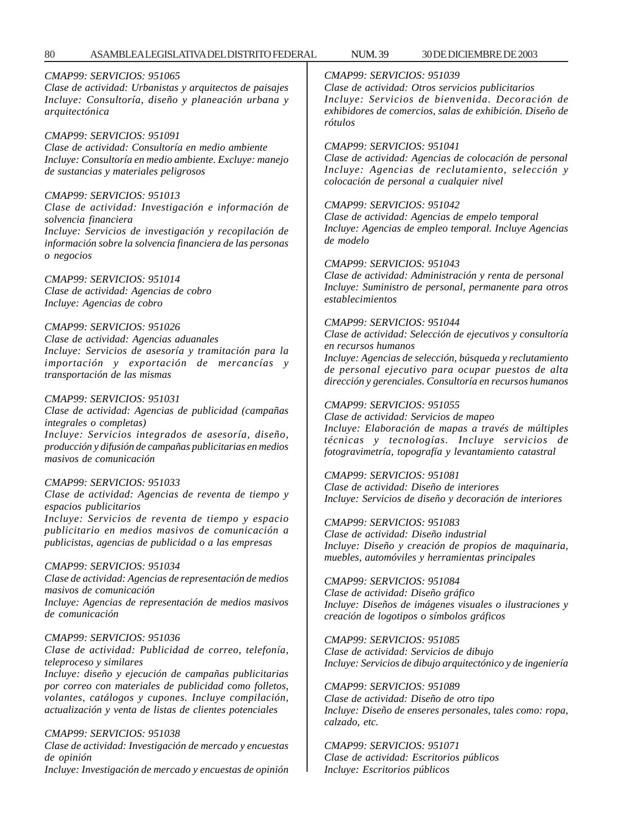## *CMAP99: SERVICIOS: 951065*

*Clase de actividad: Urbanistas y arquitectos de paisajes Incluye: Consultoría, diseño y planeación urbana y arquitectónica*

### *CMAP99: SERVICIOS: 951091*

*Clase de actividad: Consultoría en medio ambiente Incluye: Consultoría en medio ambiente. Excluye: manejo de sustancias y materiales peligrosos*

### *CMAP99: SERVICIOS: 951013*

*Clase de actividad: Investigación e información de solvencia financiera Incluye: Servicios de investigación y recopilación de*

*información sobre la solvencia financiera de las personas o negocios*

### *CMAP99: SERVICIOS: 951014*

*Clase de actividad: Agencias de cobro Incluye: Agencias de cobro*

### *CMAP99: SERVICIOS: 951026*

*Clase de actividad: Agencias aduanales Incluye: Servicios de asesoría y tramitación para la importación y exportación de mercancías y transportación de las mismas*

### *CMAP99: SERVICIOS: 951031*

*Clase de actividad: Agencias de publicidad (campañas integrales o completas)*

*Incluye: Servicios integrados de asesoría, diseño, producción y difusión de campañas publicitarias en medios masivos de comunicación*

### *CMAP99: SERVICIOS: 951033*

*Clase de actividad: Agencias de reventa de tiempo y espacios publicitarios*

*Incluye: Servicios de reventa de tiempo y espacio publicitario en medios masivos de comunicación a publicistas, agencias de publicidad o a las empresas*

### *CMAP99: SERVICIOS: 951034*

*Clase de actividad: Agencias de representación de medios masivos de comunicación Incluye: Agencias de representación de medios masivos*

*de comunicación*

### *CMAP99: SERVICIOS: 951036*

*Clase de actividad: Publicidad de correo, telefonía, teleproceso y similares*

*Incluye: diseño y ejecución de campañas publicitarias por correo con materiales de publicidad como folletos, volantes, catálogos y cupones. Incluye compilación, actualización y venta de listas de clientes potenciales*

### *CMAP99: SERVICIOS: 951038*

*Clase de actividad: Investigación de mercado y encuestas de opinión*

*Incluye: Investigación de mercado y encuestas de opinión*

## *CMAP99: SERVICIOS: 951039*

*Clase de actividad: Otros servicios publicitarios Incluye: Servicios de bienvenida. Decoración de exhibidores de comercios, salas de exhibición. Diseño de rótulos*

## *CMAP99: SERVICIOS: 951041*

*Clase de actividad: Agencias de colocación de personal Incluye: Agencias de reclutamiento, selección y colocación de personal a cualquier nivel*

## *CMAP99: SERVICIOS: 951042*

*Clase de actividad: Agencias de empelo temporal Incluye: Agencias de empleo temporal. Incluye Agencias de modelo*

### *CMAP99: SERVICIOS: 951043*

*Clase de actividad: Administración y renta de personal Incluye: Suministro de personal, permanente para otros establecimientos*

### *CMAP99: SERVICIOS: 951044*

*Clase de actividad: Selección de ejecutivos y consultoría en recursos humanos*

*Incluye: Agencias de selección, búsqueda y reclutamiento de personal ejecutivo para ocupar puestos de alta dirección y gerenciales. Consultoría en recursos humanos*

### *CMAP99: SERVICIOS: 951055*

*Clase de actividad: Servicios de mapeo Incluye: Elaboración de mapas a través de múltiples técnicas y tecnologías. Incluye servicios de fotogravimetría, topografía y levantamiento catastral*

### *CMAP99: SERVICIOS: 951081*

*Clase de actividad: Diseño de interiores Incluye: Servicios de diseño y decoración de interiores*

### *CMAP99: SERVICIOS: 951083*

*Clase de actividad: Diseño industrial Incluye: Diseño y creación de propios de maquinaria, muebles, automóviles y herramientas principales*

### *CMAP99: SERVICIOS: 951084*

*Clase de actividad: Diseño gráfico Incluye: Diseños de imágenes visuales o ilustraciones y creación de logotipos o símbolos gráficos*

#### *CMAP99: SERVICIOS: 951085 Clase de actividad: Servicios de dibujo*

*Incluye: Servicios de dibujo arquitectónico y de ingeniería*

### *CMAP99: SERVICIOS: 951089*

*Clase de actividad: Diseño de otro tipo Incluye: Diseño de enseres personales, tales como: ropa, calzado, etc.*

*CMAP99: SERVICIOS: 951071 Clase de actividad: Escritorios públicos Incluye: Escritorios públicos*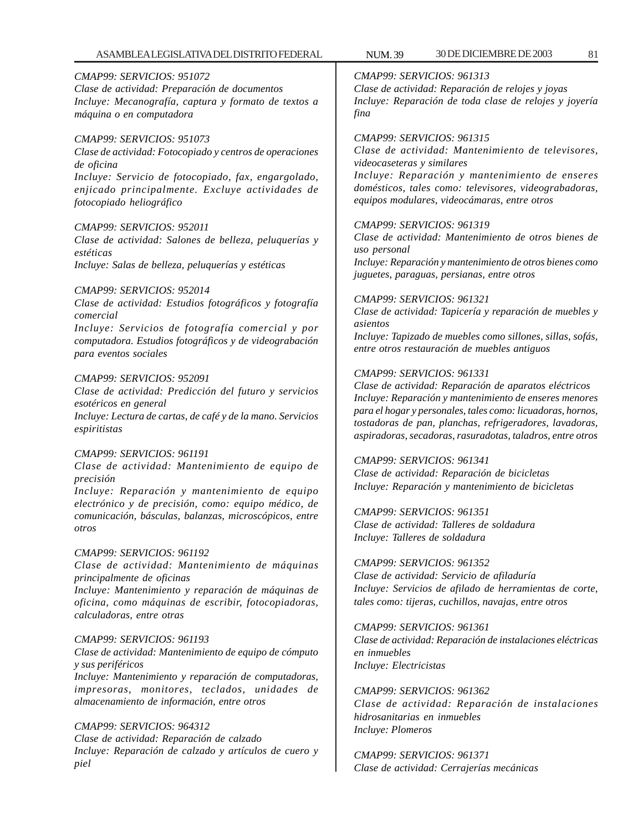### ASAMBLEA LEGISLATIVA DEL DISTRITO FEDERAL NUM. 39 30 DE DICIEMBRE DE 2003 81

### *CMAP99: SERVICIOS: 951072*

*Clase de actividad: Preparación de documentos Incluye: Mecanografía, captura y formato de textos a máquina o en computadora*

### *CMAP99: SERVICIOS: 951073*

*Clase de actividad: Fotocopiado y centros de operaciones de oficina Incluye: Servicio de fotocopiado, fax, engargolado, enjicado principalmente. Excluye actividades de fotocopiado heliográfico*

### *CMAP99: SERVICIOS: 952011*

*Clase de actividad: Salones de belleza, peluquerías y estéticas Incluye: Salas de belleza, peluquerías y estéticas*

#### *CMAP99: SERVICIOS: 952014*

*Clase de actividad: Estudios fotográficos y fotografía comercial*

*Incluye: Servicios de fotografía comercial y por computadora. Estudios fotográficos y de videograbación para eventos sociales*

#### *CMAP99: SERVICIOS: 952091*

*Clase de actividad: Predicción del futuro y servicios esotéricos en general Incluye: Lectura de cartas, de café y de la mano. Servicios espiritistas*

#### *CMAP99: SERVICIOS: 961191*

*Clase de actividad: Mantenimiento de equipo de precisión*

*Incluye: Reparación y mantenimiento de equipo electrónico y de precisión, como: equipo médico, de comunicación, básculas, balanzas, microscópicos, entre otros*

#### *CMAP99: SERVICIOS: 961192*

*Clase de actividad: Mantenimiento de máquinas principalmente de oficinas*

*Incluye: Mantenimiento y reparación de máquinas de oficina, como máquinas de escribir, fotocopiadoras, calculadoras, entre otras*

#### *CMAP99: SERVICIOS: 961193*

*Clase de actividad: Mantenimiento de equipo de cómputo y sus periféricos Incluye: Mantenimiento y reparación de computadoras, impresoras, monitores, teclados, unidades de almacenamiento de información, entre otros*

*CMAP99: SERVICIOS: 964312 Clase de actividad: Reparación de calzado Incluye: Reparación de calzado y artículos de cuero y piel*

*CMAP99: SERVICIOS: 961313 Clase de actividad: Reparación de relojes y joyas Incluye: Reparación de toda clase de relojes y joyería fina*

#### *CMAP99: SERVICIOS: 961315*

*Clase de actividad: Mantenimiento de televisores, videocaseteras y similares Incluye: Reparación y mantenimiento de enseres domésticos, tales como: televisores, videograbadoras, equipos modulares, videocámaras, entre otros*

#### *CMAP99: SERVICIOS: 961319*

*Clase de actividad: Mantenimiento de otros bienes de uso personal Incluye: Reparación y mantenimiento de otros bienes como juguetes, paraguas, persianas, entre otros*

#### *CMAP99: SERVICIOS: 961321*

*Clase de actividad: Tapicería y reparación de muebles y asientos Incluye: Tapizado de muebles como sillones, sillas, sofás, entre otros restauración de muebles antiguos*

#### *CMAP99: SERVICIOS: 961331*

*Clase de actividad: Reparación de aparatos eléctricos Incluye: Reparación y mantenimiento de enseres menores para el hogar y personales, tales como: licuadoras, hornos, tostadoras de pan, planchas, refrigeradores, lavadoras, aspiradoras, secadoras, rasuradotas, taladros, entre otros*

*CMAP99: SERVICIOS: 961341 Clase de actividad: Reparación de bicicletas Incluye: Reparación y mantenimiento de bicicletas*

*CMAP99: SERVICIOS: 961351 Clase de actividad: Talleres de soldadura Incluye: Talleres de soldadura*

#### *CMAP99: SERVICIOS: 961352*

*Clase de actividad: Servicio de afiladuría Incluye: Servicios de afilado de herramientas de corte, tales como: tijeras, cuchillos, navajas, entre otros*

### *CMAP99: SERVICIOS: 961361*

*Clase de actividad: Reparación de instalaciones eléctricas en inmuebles Incluye: Electricistas*

*CMAP99: SERVICIOS: 961362 Clase de actividad: Reparación de instalaciones hidrosanitarias en inmuebles Incluye: Plomeros*

*CMAP99: SERVICIOS: 961371 Clase de actividad: Cerrajerías mecánicas*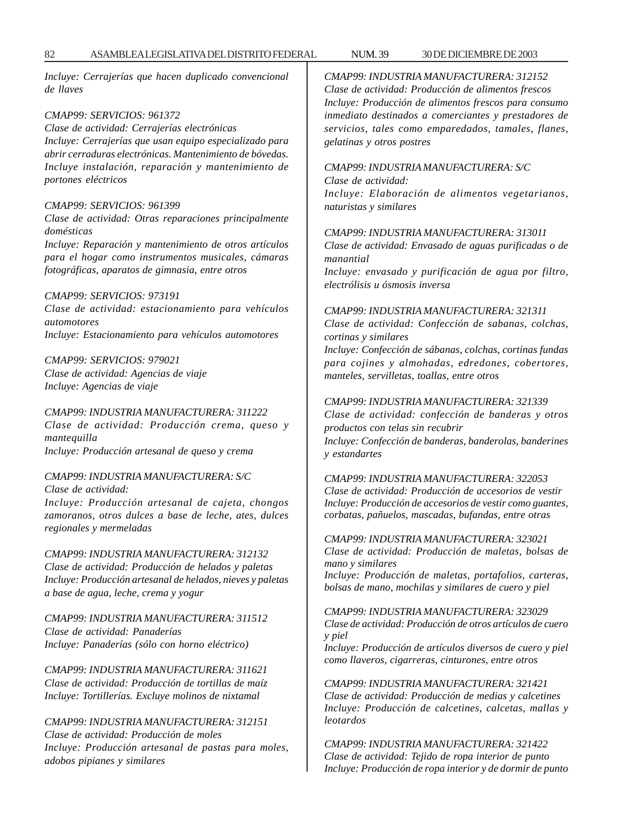*Incluye: Cerrajerías que hacen duplicado convencional de llaves*

### *CMAP99: SERVICIOS: 961372*

*Clase de actividad: Cerrajerías electrónicas Incluye: Cerrajerías que usan equipo especializado para abrir cerraduras electrónicas. Mantenimiento de bóvedas. Incluye instalación, reparación y mantenimiento de portones eléctricos*

#### *CMAP99: SERVICIOS: 961399*

*Clase de actividad: Otras reparaciones principalmente domésticas*

*Incluye: Reparación y mantenimiento de otros artículos para el hogar como instrumentos musicales, cámaras fotográficas, aparatos de gimnasia, entre otros*

### *CMAP99: SERVICIOS: 973191*

*Clase de actividad: estacionamiento para vehículos automotores Incluye: Estacionamiento para vehículos automotores*

### *CMAP99: SERVICIOS: 979021*

*Clase de actividad: Agencias de viaje Incluye: Agencias de viaje*

### *CMAP99: INDUSTRIA MANUFACTURERA: 311222*

*Clase de actividad: Producción crema, queso y mantequilla Incluye: Producción artesanal de queso y crema*

#### *CMAP99: INDUSTRIA MANUFACTURERA: S/C*

*Clase de actividad:*

*Incluye: Producción artesanal de cajeta, chongos zamoranos, otros dulces a base de leche, ates, dulces regionales y mermeladas*

#### *CMAP99: INDUSTRIA MANUFACTURERA: 312132*

*Clase de actividad: Producción de helados y paletas Incluye: Producción artesanal de helados, nieves y paletas a base de agua, leche, crema y yogur*

*CMAP99: INDUSTRIA MANUFACTURERA: 311512 Clase de actividad: Panaderías Incluye: Panaderías (sólo con horno eléctrico)*

*CMAP99: INDUSTRIA MANUFACTURERA: 311621 Clase de actividad: Producción de tortillas de maíz Incluye: Tortillerías. Excluye molinos de nixtamal*

*CMAP99: INDUSTRIA MANUFACTURERA: 312151 Clase de actividad: Producción de moles Incluye: Producción artesanal de pastas para moles, adobos pipianes y similares*

*CMAP99: INDUSTRIA MANUFACTURERA: 312152 Clase de actividad: Producción de alimentos frescos Incluye: Producción de alimentos frescos para consumo inmediato destinados a comerciantes y prestadores de servicios, tales como emparedados, tamales, flanes, gelatinas y otros postres*

### *CMAP99: INDUSTRIA MANUFACTURERA: S/C*

*Clase de actividad:*

*Incluye: Elaboración de alimentos vegetarianos, naturistas y similares*

### *CMAP99: INDUSTRIA MANUFACTURERA: 313011*

*Clase de actividad: Envasado de aguas purificadas o de manantial*

*Incluye: envasado y purificación de agua por filtro, electrólisis u ósmosis inversa*

### *CMAP99: INDUSTRIA MANUFACTURERA: 321311*

*Clase de actividad: Confección de sabanas, colchas, cortinas y similares*

*Incluye: Confección de sábanas, colchas, cortinas fundas para cojines y almohadas, edredones, cobertores, manteles, servilletas, toallas, entre otros*

#### *CMAP99: INDUSTRIA MANUFACTURERA: 321339*

*Clase de actividad: confección de banderas y otros productos con telas sin recubrir*

*Incluye: Confección de banderas, banderolas, banderines y estandartes*

#### *CMAP99: INDUSTRIA MANUFACTURERA: 322053*

*Clase de actividad: Producción de accesorios de vestir Incluye: Producción de accesorios de vestir como guantes, corbatas, pañuelos, mascadas, bufandas, entre otras*

*CMAP99: INDUSTRIA MANUFACTURERA: 323021*

*Clase de actividad: Producción de maletas, bolsas de mano y similares*

*Incluye: Producción de maletas, portafolios, carteras, bolsas de mano, mochilas y similares de cuero y piel*

*CMAP99: INDUSTRIA MANUFACTURERA: 323029 Clase de actividad: Producción de otros artículos de cuero y piel*

*Incluye: Producción de artículos diversos de cuero y piel como llaveros, cigarreras, cinturones, entre otros*

*CMAP99: INDUSTRIA MANUFACTURERA: 321421 Clase de actividad: Producción de medias y calcetines Incluye: Producción de calcetines, calcetas, mallas y leotardos*

*CMAP99: INDUSTRIA MANUFACTURERA: 321422 Clase de actividad: Tejido de ropa interior de punto Incluye: Producción de ropa interior y de dormir de punto*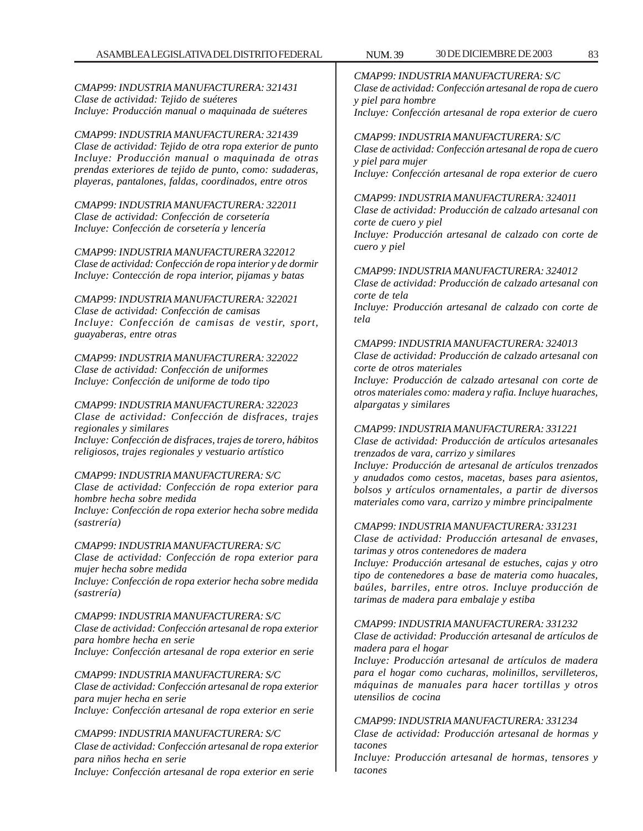*CMAP99: INDUSTRIA MANUFACTURERA: 321439 Clase de actividad: Tejido de otra ropa exterior de punto Incluye: Producción manual o maquinada de otras prendas exteriores de tejido de punto, como: sudaderas, playeras, pantalones, faldas, coordinados, entre otros*

*CMAP99: INDUSTRIA MANUFACTURERA: 322011 Clase de actividad: Confección de corsetería Incluye: Confección de corsetería y lencería*

*CMAP99: INDUSTRIA MANUFACTURERA 322012 Clase de actividad: Confección de ropa interior y de dormir Incluye: Contección de ropa interior, pijamas y batas*

*CMAP99: INDUSTRIA MANUFACTURERA: 322021 Clase de actividad: Confección de camisas Incluye: Confección de camisas de vestir, sport, guayaberas, entre otras*

### *CMAP99: INDUSTRIA MANUFACTURERA: 322022 Clase de actividad: Confección de uniformes Incluye: Confección de uniforme de todo tipo*

*CMAP99: INDUSTRIA MANUFACTURERA: 322023 Clase de actividad: Confección de disfraces, trajes regionales y similares Incluye: Confección de disfraces, trajes de torero, hábitos religiosos, trajes regionales y vestuario artístico*

## *CMAP99: INDUSTRIA MANUFACTURERA: S/C*

*Clase de actividad: Confección de ropa exterior para hombre hecha sobre medida Incluye: Confección de ropa exterior hecha sobre medida (sastrería)*

## *CMAP99: INDUSTRIA MANUFACTURERA: S/C*

*Clase de actividad: Confección de ropa exterior para mujer hecha sobre medida Incluye: Confección de ropa exterior hecha sobre medida (sastrería)*

*CMAP99: INDUSTRIA MANUFACTURERA: S/C Clase de actividad: Confección artesanal de ropa exterior para hombre hecha en serie Incluye: Confección artesanal de ropa exterior en serie*

*CMAP99: INDUSTRIA MANUFACTURERA: S/C Clase de actividad: Confección artesanal de ropa exterior para mujer hecha en serie Incluye: Confección artesanal de ropa exterior en serie*

## *CMAP99: INDUSTRIA MANUFACTURERA: S/C*

*Clase de actividad: Confección artesanal de ropa exterior para niños hecha en serie*

*Incluye: Confección artesanal de ropa exterior en serie*

*CMAP99: INDUSTRIA MANUFACTURERA: S/C Clase de actividad: Confección artesanal de ropa de cuero y piel para hombre Incluye: Confección artesanal de ropa exterior de cuero*

## *CMAP99: INDUSTRIA MANUFACTURERA: S/C*

*Clase de actividad: Confección artesanal de ropa de cuero y piel para mujer Incluye: Confección artesanal de ropa exterior de cuero*

## *CMAP99: INDUSTRIA MANUFACTURERA: 324011*

*Clase de actividad: Producción de calzado artesanal con corte de cuero y piel*

*Incluye: Producción artesanal de calzado con corte de cuero y piel*

## *CMAP99: INDUSTRIA MANUFACTURERA: 324012*

*Clase de actividad: Producción de calzado artesanal con corte de tela Incluye: Producción artesanal de calzado con corte de*

*tela*

## *CMAP99: INDUSTRIA MANUFACTURERA: 324013*

*Clase de actividad: Producción de calzado artesanal con corte de otros materiales*

*Incluye: Producción de calzado artesanal con corte de otros materiales como: madera y rafia. Incluye huaraches, alpargatas y similares*

## *CMAP99: INDUSTRIA MANUFACTURERA: 331221*

*Clase de actividad: Producción de artículos artesanales trenzados de vara, carrizo y similares*

*Incluye: Producción de artesanal de artículos trenzados y anudados como cestos, macetas, bases para asientos, bolsos y artículos ornamentales, a partir de diversos materiales como vara, carrizo y mimbre principalmente*

## *CMAP99: INDUSTRIA MANUFACTURERA: 331231*

*Clase de actividad: Producción artesanal de envases, tarimas y otros contenedores de madera*

*Incluye: Producción artesanal de estuches, cajas y otro tipo de contenedores a base de materia como huacales, baúles, barriles, entre otros. Incluye producción de tarimas de madera para embalaje y estiba*

## *CMAP99: INDUSTRIA MANUFACTURERA: 331232*

*Clase de actividad: Producción artesanal de artículos de madera para el hogar*

*Incluye: Producción artesanal de artículos de madera para el hogar como cucharas, molinillos, servilleteros, máquinas de manuales para hacer tortillas y otros utensilios de cocina*

## *CMAP99: INDUSTRIA MANUFACTURERA: 331234*

*Clase de actividad: Producción artesanal de hormas y tacones*

*Incluye: Producción artesanal de hormas, tensores y tacones*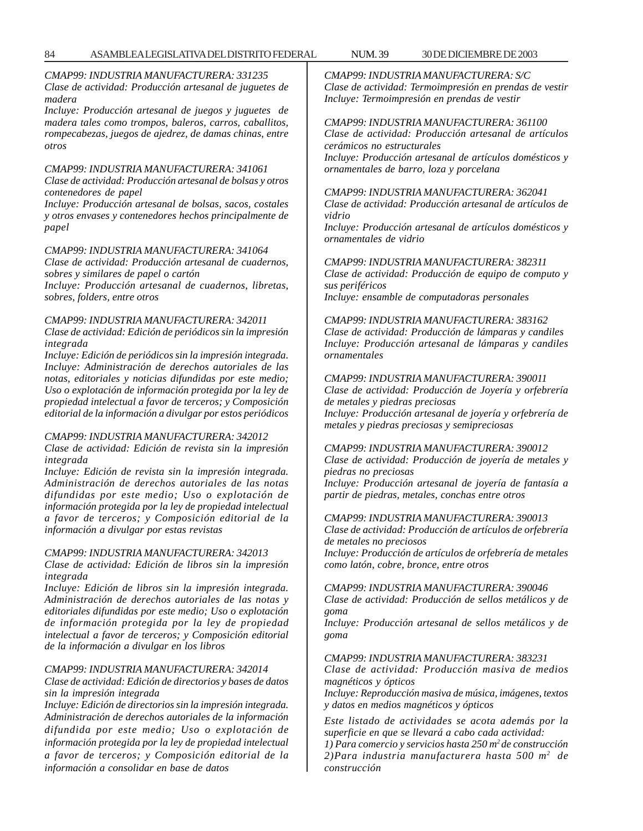*CMAP99: INDUSTRIA MANUFACTURERA: 331235 Clase de actividad: Producción artesanal de juguetes de madera*

*Incluye: Producción artesanal de juegos y juguetes de madera tales como trompos, baleros, carros, caballitos, rompecabezas, juegos de ajedrez, de damas chinas, entre otros*

### *CMAP99: INDUSTRIA MANUFACTURERA: 341061*

*Clase de actividad: Producción artesanal de bolsas y otros contenedores de papel*

*Incluye: Producción artesanal de bolsas, sacos, costales y otros envases y contenedores hechos principalmente de papel*

#### *CMAP99: INDUSTRIA MANUFACTURERA: 341064*

*Clase de actividad: Producción artesanal de cuadernos, sobres y similares de papel o cartón*

*Incluye: Producción artesanal de cuadernos, libretas, sobres, folders, entre otros*

### *CMAP99: INDUSTRIA MANUFACTURERA: 342011*

*Clase de actividad: Edición de periódicos sin la impresión integrada*

*Incluye: Edición de periódicos sin la impresión integrada. Incluye: Administración de derechos autoriales de las notas, editoriales y noticias difundidas por este medio; Uso o explotación de información protegida por la ley de propiedad intelectual a favor de terceros; y Composición editorial de la información a divulgar por estos periódicos*

### *CMAP99: INDUSTRIA MANUFACTURERA: 342012*

*Clase de actividad: Edición de revista sin la impresión integrada*

*Incluye: Edición de revista sin la impresión integrada. Administración de derechos autoriales de las notas difundidas por este medio; Uso o explotación de información protegida por la ley de propiedad intelectual a favor de terceros; y Composición editorial de la información a divulgar por estas revistas*

#### *CMAP99: INDUSTRIA MANUFACTURERA: 342013*

*Clase de actividad: Edición de libros sin la impresión integrada*

*Incluye: Edición de libros sin la impresión integrada. Administración de derechos autoriales de las notas y editoriales difundidas por este medio; Uso o explotación de información protegida por la ley de propiedad intelectual a favor de terceros; y Composición editorial de la información a divulgar en los libros*

### *CMAP99: INDUSTRIA MANUFACTURERA: 342014*

*Clase de actividad: Edición de directorios y bases de datos sin la impresión integrada*

*Incluye: Edición de directorios sin la impresión integrada. Administración de derechos autoriales de la información difundida por este medio; Uso o explotación de información protegida por la ley de propiedad intelectual a favor de terceros; y Composición editorial de la información a consolidar en base de datos*

*CMAP99: INDUSTRIA MANUFACTURERA: S/C Clase de actividad: Termoimpresión en prendas de vestir Incluye: Termoimpresión en prendas de vestir*

*CMAP99: INDUSTRIA MANUFACTURERA: 361100 Clase de actividad: Producción artesanal de artículos cerámicos no estructurales*

*Incluye: Producción artesanal de artículos domésticos y ornamentales de barro, loza y porcelana*

*CMAP99: INDUSTRIA MANUFACTURERA: 362041 Clase de actividad: Producción artesanal de artículos de vidrio*

*Incluye: Producción artesanal de artículos domésticos y ornamentales de vidrio*

*CMAP99: INDUSTRIA MANUFACTURERA: 382311 Clase de actividad: Producción de equipo de computo y sus periféricos Incluye: ensamble de computadoras personales*

*CMAP99: INDUSTRIA MANUFACTURERA: 383162 Clase de actividad: Producción de lámparas y candiles Incluye: Producción artesanal de lámparas y candiles ornamentales*

### *CMAP99: INDUSTRIA MANUFACTURERA: 390011*

*Clase de actividad: Producción de Joyería y orfebrería de metales y piedras preciosas Incluye: Producción artesanal de joyería y orfebrería de*

*metales y piedras preciosas y semipreciosas*

#### *CMAP99: INDUSTRIA MANUFACTURERA: 390012*

*Clase de actividad: Producción de joyería de metales y piedras no preciosas Incluye: Producción artesanal de joyería de fantasía a partir de piedras, metales, conchas entre otros*

*CMAP99: INDUSTRIA MANUFACTURERA: 390013*

*Clase de actividad: Producción de artículos de orfebrería de metales no preciosos*

*Incluye: Producción de artículos de orfebrería de metales como latón, cobre, bronce, entre otros*

*CMAP99: INDUSTRIA MANUFACTURERA: 390046*

*Clase de actividad: Producción de sellos metálicos y de goma*

*Incluye: Producción artesanal de sellos metálicos y de goma*

### *CMAP99: INDUSTRIA MANUFACTURERA: 383231*

*Clase de actividad: Producción masiva de medios magnéticos y ópticos*

*Incluye: Reproducción masiva de música, imágenes, textos y datos en medios magnéticos y ópticos*

*Este listado de actividades se acota además por la superficie en que se llevará a cabo cada actividad:*

*1) Para comercio y servicios hasta 250 m2 de construcción 2)Para industria manufacturera hasta 500 m2 de construcción*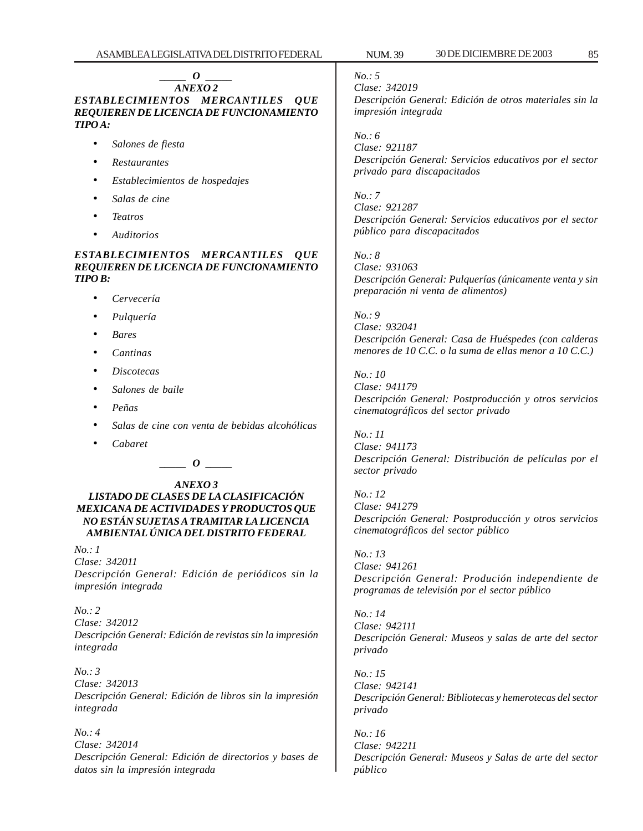#### *\_\_\_\_\_ O \_\_\_\_\_ ANEXO 2*

*ESTABLECIMIENTOS MERCANTILES QUE REQUIEREN DE LICENCIA DE FUNCIONAMIENTO TIPO A:*

- *Salones de fiesta*
- *Restaurantes*
- *Establecimientos de hospedajes*
- *Salas de cine*
- *Teatros*
- *Auditorios*

### *ESTABLECIMIENTOS MERCANTILES QUE REQUIEREN DE LICENCIA DE FUNCIONAMIENTO TIPO B:*

- *Cervecería*
- *Pulquería*
- *Bares*
- *Cantinas*
- *Discotecas*
- *Salones de baile*
- *Peñas*
- *Salas de cine con venta de bebidas alcohólicas*
- *Cabaret*

## $\bm{o}$

### *ANEXO 3 LISTADO DE CLASES DE LA CLASIFICACIÓN MEXICANA DE ACTIVIDADES Y PRODUCTOS QUE NO ESTÁN SUJETAS A TRAMITAR LA LICENCIA AMBIENTAL ÚNICA DEL DISTRITO FEDERAL*

*No.: 1 Clase: 342011 Descripción General: Edición de periódicos sin la impresión integrada*

*No.: 2 Clase: 342012 Descripción General: Edición de revistas sin la impresión integrada*

*No.: 3 Clase: 342013 Descripción General: Edición de libros sin la impresión integrada*

*No.: 4 Clase: 342014 Descripción General: Edición de directorios y bases de datos sin la impresión integrada*

### *No.: 5*

*Clase: 342019 Descripción General: Edición de otros materiales sin la impresión integrada*

*No.: 6*

*Clase: 921187 Descripción General: Servicios educativos por el sector privado para discapacitados*

*No.: 7 Clase: 921287 Descripción General: Servicios educativos por el sector público para discapacitados*

*No.: 8 Clase: 931063 Descripción General: Pulquerías (únicamente venta y sin preparación ni venta de alimentos)*

*No.: 9*

*Clase: 932041 Descripción General: Casa de Huéspedes (con calderas menores de 10 C.C. o la suma de ellas menor a 10 C.C.)*

*No.: 10*

*Clase: 941179 Descripción General: Postproducción y otros servicios cinematográficos del sector privado*

*No.: 11 Clase: 941173 Descripción General: Distribución de películas por el sector privado*

*No.: 12 Clase: 941279 Descripción General: Postproducción y otros servicios cinematográficos del sector público*

*No.: 13 Clase: 941261 Descripción General: Produción independiente de programas de televisión por el sector público*

*No.: 14 Clase: 942111 Descripción General: Museos y salas de arte del sector privado*

*No.: 15 Clase: 942141 Descripción General: Bibliotecas y hemerotecas del sector privado*

*No.: 16 Clase: 942211 Descripción General: Museos y Salas de arte del sector público*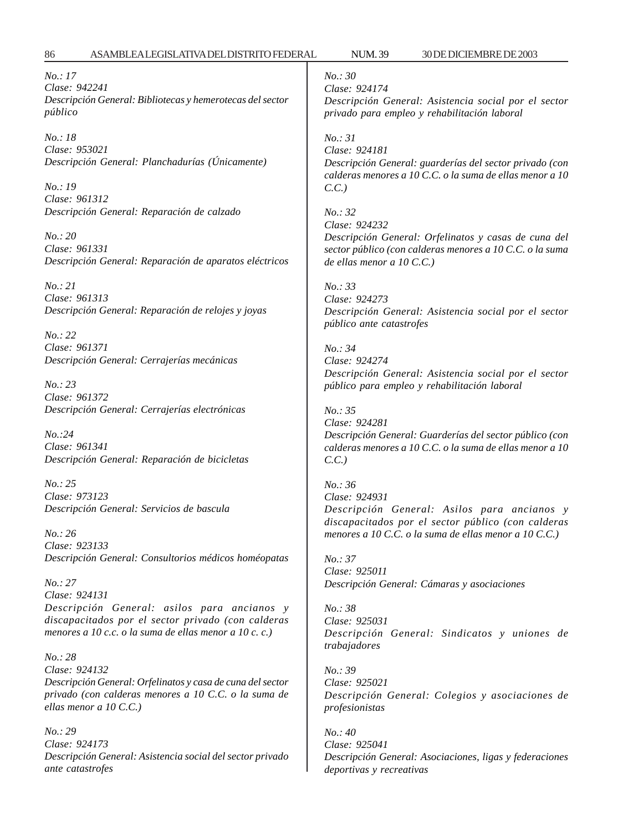*No.: 17 Clase: 942241 Descripción General: Bibliotecas y hemerotecas del sector público*

*No.: 18 Clase: 953021 Descripción General: Planchadurías (Únicamente)*

*No.: 19 Clase: 961312 Descripción General: Reparación de calzado*

*No.: 20 Clase: 961331 Descripción General: Reparación de aparatos eléctricos*

*No.: 21 Clase: 961313 Descripción General: Reparación de relojes y joyas*

*No.: 22 Clase: 961371 Descripción General: Cerrajerías mecánicas*

*No.: 23 Clase: 961372 Descripción General: Cerrajerías electrónicas*

*No.:24 Clase: 961341 Descripción General: Reparación de bicicletas*

*No.: 25 Clase: 973123 Descripción General: Servicios de bascula*

*No.: 26 Clase: 923133 Descripción General: Consultorios médicos homéopatas*

*No.: 27 Clase: 924131 Descripción General: asilos para ancianos y discapacitados por el sector privado (con calderas menores a 10 c.c. o la suma de ellas menor a 10 c. c.)*

*No.: 28 Clase: 924132 Descripción General: Orfelinatos y casa de cuna del sector privado (con calderas menores a 10 C.C. o la suma de ellas menor a 10 C.C.)*

*No.: 29 Clase: 924173 Descripción General: Asistencia social del sector privado ante catastrofes*

*No.: 30 Clase: 924174*

*Descripción General: Asistencia social por el sector privado para empleo y rehabilitación laboral*

*No.: 31 Clase: 924181 Descripción General: guarderías del sector privado (con calderas menores a 10 C.C. o la suma de ellas menor a 10 C.C.)*

*No.: 32 Clase: 924232 Descripción General: Orfelinatos y casas de cuna del sector público (con calderas menores a 10 C.C. o la suma de ellas menor a 10 C.C.)*

*No.: 33 Clase: 924273 Descripción General: Asistencia social por el sector público ante catastrofes*

*No.: 34 Clase: 924274 Descripción General: Asistencia social por el sector público para empleo y rehabilitación laboral*

*No.: 35 Clase: 924281 Descripción General: Guarderías del sector público (con calderas menores a 10 C.C. o la suma de ellas menor a 10 C.C.)*

*No.: 36 Clase: 924931 Descripción General: Asilos para ancianos y discapacitados por el sector público (con calderas menores a 10 C.C. o la suma de ellas menor a 10 C.C.)*

*No.: 37 Clase: 925011 Descripción General: Cámaras y asociaciones*

*No.: 38 Clase: 925031 Descripción General: Sindicatos y uniones de trabajadores*

*No.: 39 Clase: 925021 Descripción General: Colegios y asociaciones de profesionistas*

*No.: 40 Clase: 925041 Descripción General: Asociaciones, ligas y federaciones deportivas y recreativas*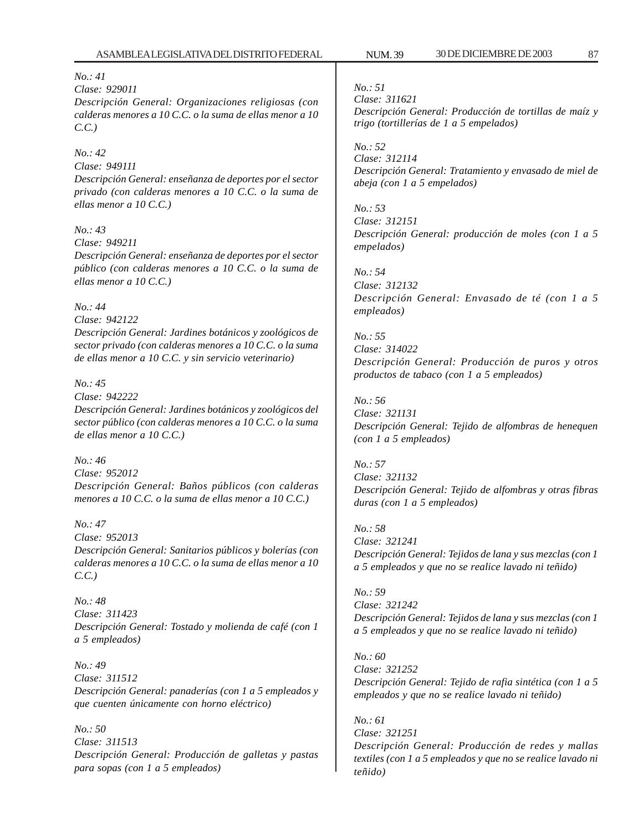#### *No.: 41*

*Clase: 929011*

*Descripción General: Organizaciones religiosas (con calderas menores a 10 C.C. o la suma de ellas menor a 10 C.C.)*

### *No.: 42*

*Clase: 949111 Descripción General: enseñanza de deportes por el sector privado (con calderas menores a 10 C.C. o la suma de ellas menor a 10 C.C.)*

### *No.: 43*

*Clase: 949211 Descripción General: enseñanza de deportes por el sector público (con calderas menores a 10 C.C. o la suma de ellas menor a 10 C.C.)*

### *No.: 44*

*Clase: 942122 Descripción General: Jardines botánicos y zoológicos de sector privado (con calderas menores a 10 C.C. o la suma de ellas menor a 10 C.C. y sin servicio veterinario)*

#### *No.: 45*

*Clase: 942222 Descripción General: Jardines botánicos y zoológicos del sector público (con calderas menores a 10 C.C. o la suma de ellas menor a 10 C.C.)*

### *No.: 46 Clase: 952012 Descripción General: Baños públicos (con calderas menores a 10 C.C. o la suma de ellas menor a 10 C.C.)*

*No.: 47 Clase: 952013 Descripción General: Sanitarios públicos y bolerías (con calderas menores a 10 C.C. o la suma de ellas menor a 10 C.C.)*

*No.: 48 Clase: 311423 Descripción General: Tostado y molienda de café (con 1 a 5 empleados)*

*No.: 49 Clase: 311512 Descripción General: panaderías (con 1 a 5 empleados y que cuenten únicamente con horno eléctrico)*

*No.: 50 Clase: 311513 Descripción General: Producción de galletas y pastas para sopas (con 1 a 5 empleados)*

*No.: 51*

*Clase: 311621 Descripción General: Producción de tortillas de maíz y trigo (tortillerías de 1 a 5 empelados)*

*No.: 52*

*Clase: 312114 Descripción General: Tratamiento y envasado de miel de abeja (con 1 a 5 empelados)*

*No.: 53 Clase: 312151 Descripción General: producción de moles (con 1 a 5 empelados)*

### *No.: 54 Clase: 312132 Descripción General: Envasado de té (con 1 a 5 empleados)*

*No.: 55 Clase: 314022 Descripción General: Producción de puros y otros productos de tabaco (con 1 a 5 empleados)*

### *No.: 56*

*Clase: 321131 Descripción General: Tejido de alfombras de henequen (con 1 a 5 empleados)*

## *No.: 57*

*Clase: 321132 Descripción General: Tejido de alfombras y otras fibras duras (con 1 a 5 empleados)*

## *No.: 58*

*Clase: 321241 Descripción General: Tejidos de lana y sus mezclas (con 1 a 5 empleados y que no se realice lavado ni teñido)*

### *No.: 59 Clase: 321242*

*Descripción General: Tejidos de lana y sus mezclas (con 1 a 5 empleados y que no se realice lavado ni teñido)*

*No.: 60 Clase: 321252 Descripción General: Tejido de rafia sintética (con 1 a 5 empleados y que no se realice lavado ni teñido)*

### *No.: 61 Clase: 321251 Descripción General: Producción de redes y mallas textiles (con 1 a 5 empleados y que no se realice lavado ni teñido)*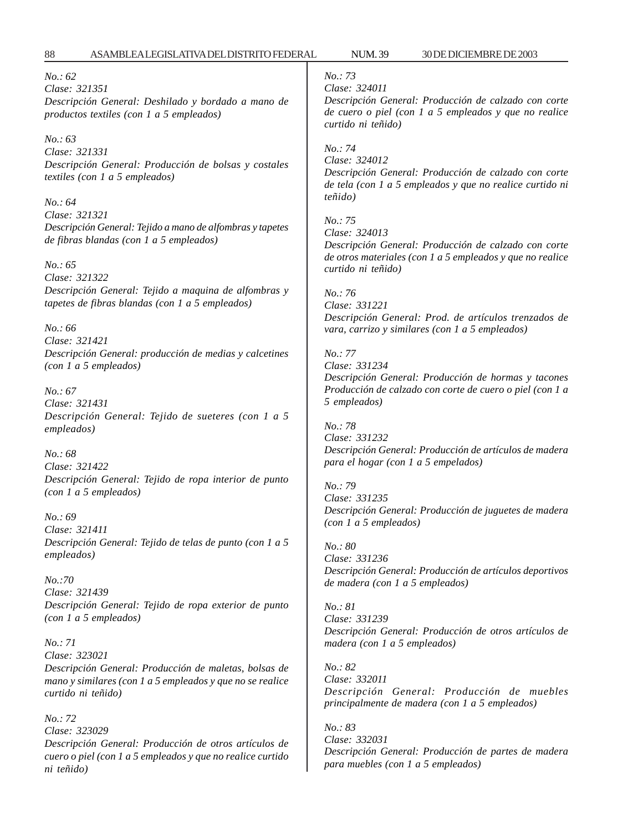*No.: 62 Clase: 321351 Descripción General: Deshilado y bordado a mano de productos textiles (con 1 a 5 empleados)*

*No.: 63 Clase: 321331 Descripción General: Producción de bolsas y costales textiles (con 1 a 5 empleados)*

*No.: 64 Clase: 321321 Descripción General: Tejido a mano de alfombras y tapetes de fibras blandas (con 1 a 5 empleados)*

*No.: 65 Clase: 321322 Descripción General: Tejido a maquina de alfombras y tapetes de fibras blandas (con 1 a 5 empleados)*

*No.: 66 Clase: 321421 Descripción General: producción de medias y calcetines (con 1 a 5 empleados)*

*No.: 67 Clase: 321431 Descripción General: Tejido de sueteres (con 1 a 5 empleados)*

*No.: 68 Clase: 321422 Descripción General: Tejido de ropa interior de punto (con 1 a 5 empleados)*

*No.: 69 Clase: 321411 Descripción General: Tejido de telas de punto (con 1 a 5 empleados)*

*No.:70 Clase: 321439 Descripción General: Tejido de ropa exterior de punto (con 1 a 5 empleados)*

*No.: 71 Clase: 323021 Descripción General: Producción de maletas, bolsas de mano y similares (con 1 a 5 empleados y que no se realice curtido ni teñido)*

*No.: 72 Clase: 323029 Descripción General: Producción de otros artículos de cuero o piel (con 1 a 5 empleados y que no realice curtido ni teñido)*

## *No.: 73*

*Clase: 324011*

*Descripción General: Producción de calzado con corte de cuero o piel (con 1 a 5 empleados y que no realice curtido ni teñido)*

*No.: 74*

*No.: 75*

*Clase: 324012 Descripción General: Producción de calzado con corte de tela (con 1 a 5 empleados y que no realice curtido ni teñido)*

*Clase: 324013 Descripción General: Producción de calzado con corte de otros materiales (con 1 a 5 empleados y que no realice curtido ni teñido)*

*No.: 76 Clase: 331221 Descripción General: Prod. de artículos trenzados de vara, carrizo y similares (con 1 a 5 empleados)*

*No.: 77 Clase: 331234 Descripción General: Producción de hormas y tacones Producción de calzado con corte de cuero o piel (con 1 a 5 empleados)*

*No.: 78 Clase: 331232 Descripción General: Producción de artículos de madera para el hogar (con 1 a 5 empelados)*

*No.: 79 Clase: 331235 Descripción General: Producción de juguetes de madera (con 1 a 5 empleados)*

*No.: 80 Clase: 331236 Descripción General: Producción de artículos deportivos de madera (con 1 a 5 empleados)*

*No.: 81 Clase: 331239 Descripción General: Producción de otros artículos de madera (con 1 a 5 empleados)*

*No.: 82 Clase: 332011 Descripción General: Producción de muebles principalmente de madera (con 1 a 5 empleados)*

*No.: 83 Clase: 332031 Descripción General: Producción de partes de madera para muebles (con 1 a 5 empleados)*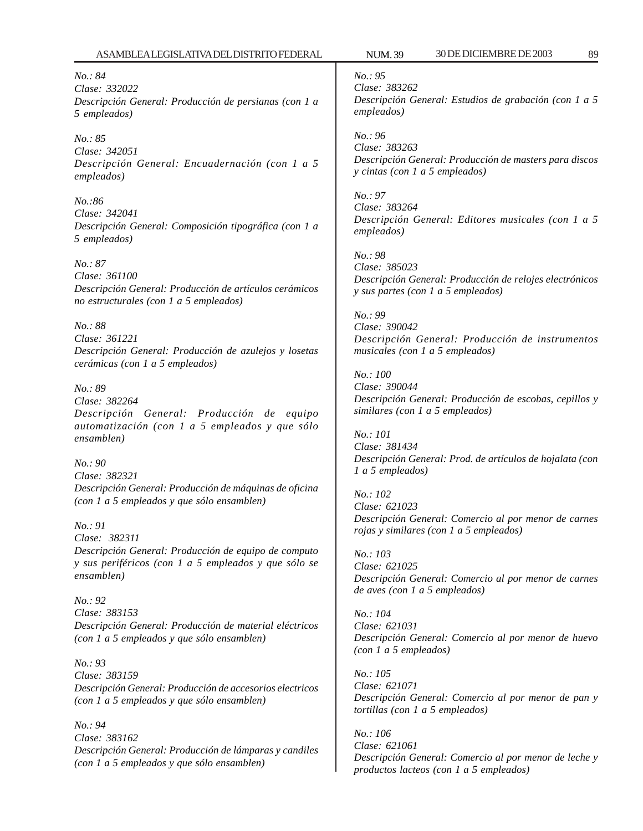*No.: 84 Clase: 332022 Descripción General: Producción de persianas (con 1 a 5 empleados)*

*No.: 85 Clase: 342051 Descripción General: Encuadernación (con 1 a 5 empleados)*

*No.:86 Clase: 342041 Descripción General: Composición tipográfica (con 1 a 5 empleados)*

*No.: 87 Clase: 361100 Descripción General: Producción de artículos cerámicos no estructurales (con 1 a 5 empleados)*

*No.: 88 Clase: 361221 Descripción General: Producción de azulejos y losetas cerámicas (con 1 a 5 empleados)*

*No.: 89 Clase: 382264 Descripción General: Producción de equipo automatización (con 1 a 5 empleados y que sólo ensamblen)*

*No.: 90 Clase: 382321 Descripción General: Producción de máquinas de oficina (con 1 a 5 empleados y que sólo ensamblen)*

*No.: 91 Clase: 382311 Descripción General: Producción de equipo de computo y sus periféricos (con 1 a 5 empleados y que sólo se ensamblen)*

*No.: 92 Clase: 383153 Descripción General: Producción de material eléctricos (con 1 a 5 empleados y que sólo ensamblen)*

*No.: 93 Clase: 383159 Descripción General: Producción de accesorios electricos (con 1 a 5 empleados y que sólo ensamblen)*

*No.: 94 Clase: 383162 Descripción General: Producción de lámparas y candiles (con 1 a 5 empleados y que sólo ensamblen)*

*No.: 95 Clase: 383262 Descripción General: Estudios de grabación (con 1 a 5 empleados)*

*No.: 96 Clase: 383263 Descripción General: Producción de masters para discos y cintas (con 1 a 5 empleados)*

*No.: 97 Clase: 383264 Descripción General: Editores musicales (con 1 a 5 empleados)*

*No.: 98 Clase: 385023 Descripción General: Producción de relojes electrónicos y sus partes (con 1 a 5 empleados)*

*No.: 99 Clase: 390042 Descripción General: Producción de instrumentos musicales (con 1 a 5 empleados)*

*No.: 100 Clase: 390044 Descripción General: Producción de escobas, cepillos y similares (con 1 a 5 empleados)*

*No.: 101 Clase: 381434 Descripción General: Prod. de artículos de hojalata (con 1 a 5 empleados)*

*No.: 102 Clase: 621023 Descripción General: Comercio al por menor de carnes rojas y similares (con 1 a 5 empleados)*

*No.: 103 Clase: 621025 Descripción General: Comercio al por menor de carnes de aves (con 1 a 5 empleados)*

*No.: 104 Clase: 621031 Descripción General: Comercio al por menor de huevo (con 1 a 5 empleados)*

*No.: 105 Clase: 621071 Descripción General: Comercio al por menor de pan y tortillas (con 1 a 5 empleados)*

*No.: 106 Clase: 621061 Descripción General: Comercio al por menor de leche y productos lacteos (con 1 a 5 empleados)*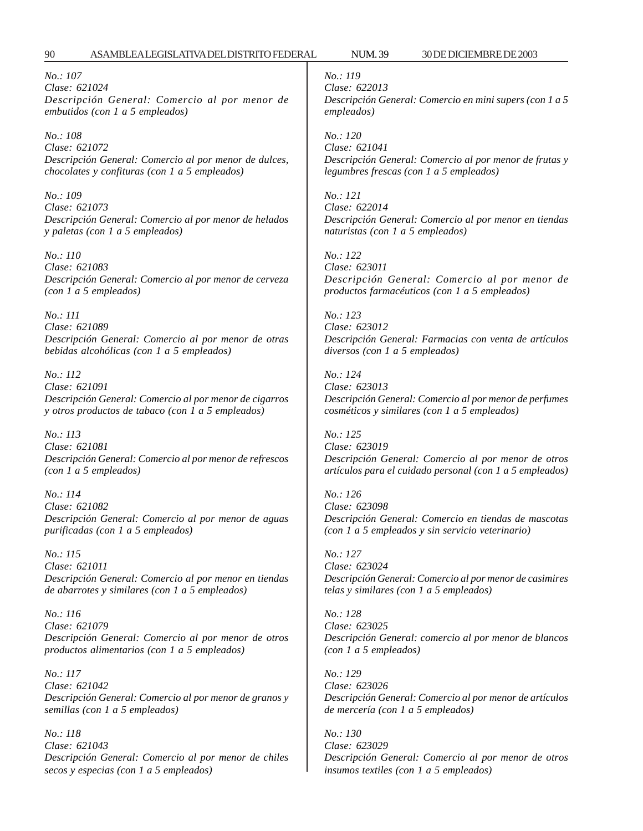*No.: 107 Clase: 621024 Descripción General: Comercio al por menor de embutidos (con 1 a 5 empleados)*

*No.: 108 Clase: 621072 Descripción General: Comercio al por menor de dulces, chocolates y confituras (con 1 a 5 empleados)*

*No.: 109 Clase: 621073 Descripción General: Comercio al por menor de helados y paletas (con 1 a 5 empleados)*

*No.: 110 Clase: 621083 Descripción General: Comercio al por menor de cerveza (con 1 a 5 empleados)*

*No.: 111 Clase: 621089 Descripción General: Comercio al por menor de otras bebidas alcohólicas (con 1 a 5 empleados)*

*No.: 112 Clase: 621091 Descripción General: Comercio al por menor de cigarros y otros productos de tabaco (con 1 a 5 empleados)*

*No.: 113 Clase: 621081 Descripción General: Comercio al por menor de refrescos (con 1 a 5 empleados)*

*No.: 114 Clase: 621082 Descripción General: Comercio al por menor de aguas purificadas (con 1 a 5 empleados)*

*No.: 115 Clase: 621011 Descripción General: Comercio al por menor en tiendas de abarrotes y similares (con 1 a 5 empleados)*

*No.: 116 Clase: 621079 Descripción General: Comercio al por menor de otros productos alimentarios (con 1 a 5 empleados)*

*No.: 117 Clase: 621042 Descripción General: Comercio al por menor de granos y semillas (con 1 a 5 empleados)*

*No.: 118 Clase: 621043 Descripción General: Comercio al por menor de chiles secos y especias (con 1 a 5 empleados)*

*No.: 119 Clase: 622013 Descripción General: Comercio en mini supers (con 1 a 5 empleados)*

*No.: 120 Clase: 621041 Descripción General: Comercio al por menor de frutas y legumbres frescas (con 1 a 5 empleados)*

*No.: 121 Clase: 622014 Descripción General: Comercio al por menor en tiendas naturistas (con 1 a 5 empleados)*

*No.: 122 Clase: 623011 Descripción General: Comercio al por menor de productos farmacéuticos (con 1 a 5 empleados)*

*No.: 123 Clase: 623012 Descripción General: Farmacias con venta de artículos diversos (con 1 a 5 empleados)*

*No.: 124 Clase: 623013 Descripción General: Comercio al por menor de perfumes cosméticos y similares (con 1 a 5 empleados)*

*No.: 125 Clase: 623019 Descripción General: Comercio al por menor de otros artículos para el cuidado personal (con 1 a 5 empleados)*

*No.: 126 Clase: 623098 Descripción General: Comercio en tiendas de mascotas (con 1 a 5 empleados y sin servicio veterinario)*

*No.: 127 Clase: 623024 Descripción General: Comercio al por menor de casimires telas y similares (con 1 a 5 empleados)*

*No.: 128 Clase: 623025 Descripción General: comercio al por menor de blancos (con 1 a 5 empleados)*

*No.: 129 Clase: 623026 Descripción General: Comercio al por menor de artículos de mercería (con 1 a 5 empleados)*

*No.: 130 Clase: 623029 Descripción General: Comercio al por menor de otros insumos textiles (con 1 a 5 empleados)*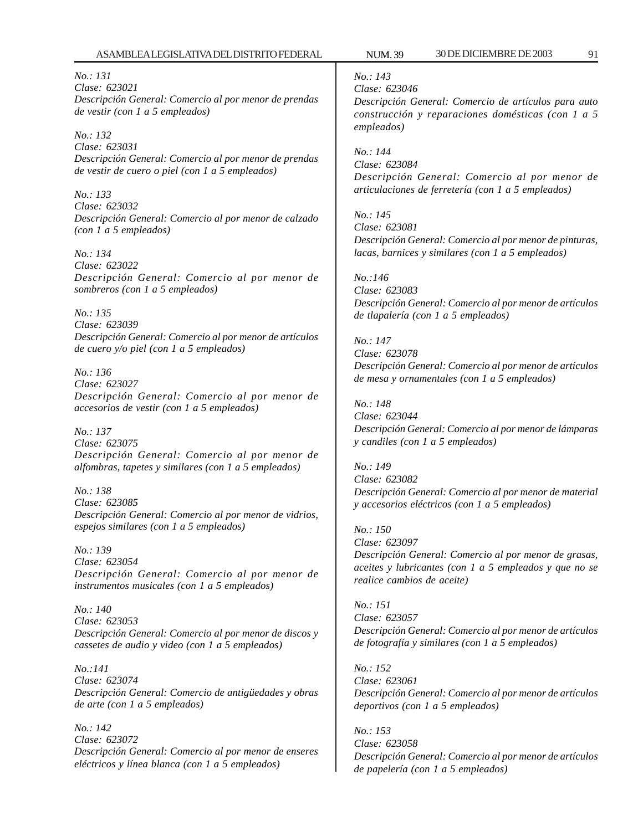*No.: 131 Clase: 623021 Descripción General: Comercio al por menor de prendas de vestir (con 1 a 5 empleados)*

*No.: 132 Clase: 623031 Descripción General: Comercio al por menor de prendas de vestir de cuero o piel (con 1 a 5 empleados)*

*No.: 133 Clase: 623032 Descripción General: Comercio al por menor de calzado (con 1 a 5 empleados)*

*No.: 134 Clase: 623022 Descripción General: Comercio al por menor de sombreros (con 1 a 5 empleados)*

*No.: 135 Clase: 623039 Descripción General: Comercio al por menor de artículos de cuero y/o piel (con 1 a 5 empleados)*

*No.: 136 Clase: 623027 Descripción General: Comercio al por menor de accesorios de vestir (con 1 a 5 empleados)*

*No.: 137 Clase: 623075 Descripción General: Comercio al por menor de alfombras, tapetes y similares (con 1 a 5 empleados)*

*No.: 138 Clase: 623085 Descripción General: Comercio al por menor de vidrios, espejos similares (con 1 a 5 empleados)*

*No.: 139 Clase: 623054 Descripción General: Comercio al por menor de instrumentos musicales (con 1 a 5 empleados)*

*No.: 140 Clase: 623053 Descripción General: Comercio al por menor de discos y cassetes de audio y video (con 1 a 5 empleados)*

*No.:141 Clase: 623074 Descripción General: Comercio de antigüedades y obras de arte (con 1 a 5 empleados)*

*No.: 142 Clase: 623072 Descripción General: Comercio al por menor de enseres eléctricos y línea blanca (con 1 a 5 empleados)*

*No.: 143*

*Clase: 623046 Descripción General: Comercio de artículos para auto construcción y reparaciones domésticas (con 1 a 5 empleados)*

*No.: 144 Clase: 623084 Descripción General: Comercio al por menor de articulaciones de ferretería (con 1 a 5 empleados)*

*No.: 145 Clase: 623081 Descripción General: Comercio al por menor de pinturas, lacas, barnices y similares (con 1 a 5 empleados)*

*No.:146 Clase: 623083 Descripción General: Comercio al por menor de artículos de tlapalería (con 1 a 5 empleados)*

*No.: 147 Clase: 623078 Descripción General: Comercio al por menor de artículos de mesa y ornamentales (con 1 a 5 empleados)*

*No.: 148 Clase: 623044 Descripción General: Comercio al por menor de lámparas y candiles (con 1 a 5 empleados)*

*No.: 149 Clase: 623082 Descripción General: Comercio al por menor de material y accesorios eléctricos (con 1 a 5 empleados)*

*No.: 150 Clase: 623097 Descripción General: Comercio al por menor de grasas, aceites y lubricantes (con 1 a 5 empleados y que no se realice cambios de aceite)*

*No.: 151 Clase: 623057 Descripción General: Comercio al por menor de artículos de fotografía y similares (con 1 a 5 empleados)*

*No.: 152 Clase: 623061 Descripción General: Comercio al por menor de artículos deportivos (con 1 a 5 empleados)*

*No.: 153 Clase: 623058 Descripción General: Comercio al por menor de artículos de papelería (con 1 a 5 empleados)*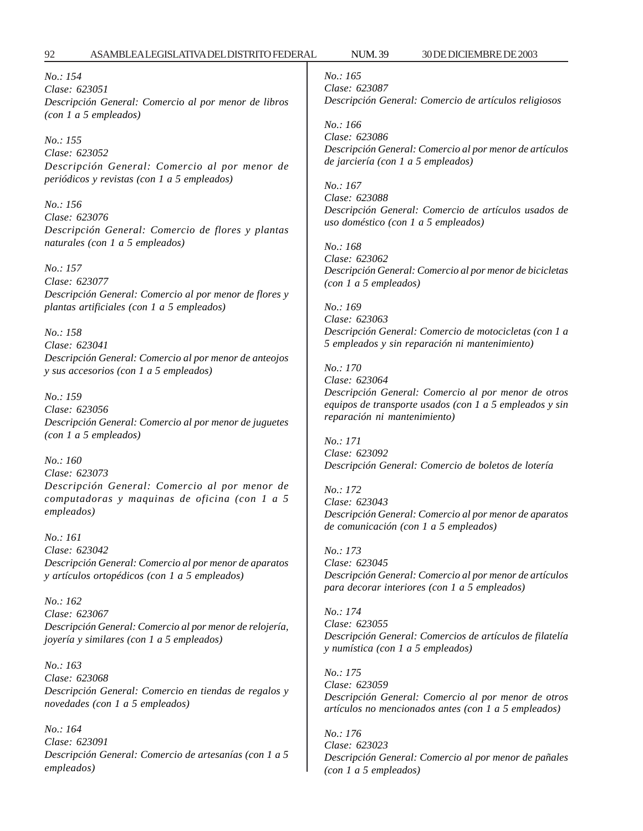*No.: 154 Clase: 623051 Descripción General: Comercio al por menor de libros (con 1 a 5 empleados)*

*No.: 155 Clase: 623052 Descripción General: Comercio al por menor de periódicos y revistas (con 1 a 5 empleados)*

*No.: 156 Clase: 623076 Descripción General: Comercio de flores y plantas naturales (con 1 a 5 empleados)*

*No.: 157 Clase: 623077 Descripción General: Comercio al por menor de flores y plantas artificiales (con 1 a 5 empleados)*

*No.: 158 Clase: 623041 Descripción General: Comercio al por menor de anteojos y sus accesorios (con 1 a 5 empleados)*

*No.: 159 Clase: 623056 Descripción General: Comercio al por menor de juguetes (con 1 a 5 empleados)*

*No.: 160 Clase: 623073 Descripción General: Comercio al por menor de computadoras y maquinas de oficina (con 1 a 5 empleados)*

*No.: 161 Clase: 623042 Descripción General: Comercio al por menor de aparatos y artículos ortopédicos (con 1 a 5 empleados)*

*No.: 162 Clase: 623067 Descripción General: Comercio al por menor de relojería, joyería y similares (con 1 a 5 empleados)*

*No.: 163 Clase: 623068 Descripción General: Comercio en tiendas de regalos y novedades (con 1 a 5 empleados)*

*No.: 164 Clase: 623091 Descripción General: Comercio de artesanías (con 1 a 5 empleados)*

*No.: 165 Clase: 623087 Descripción General: Comercio de artículos religiosos*

*No.: 166 Clase: 623086 Descripción General: Comercio al por menor de artículos de jarciería (con 1 a 5 empleados)*

*No.: 167 Clase: 623088 Descripción General: Comercio de artículos usados de uso doméstico (con 1 a 5 empleados)*

*No.: 168 Clase: 623062 Descripción General: Comercio al por menor de bicicletas (con 1 a 5 empleados)*

*No.: 169 Clase: 623063 Descripción General: Comercio de motocicletas (con 1 a 5 empleados y sin reparación ni mantenimiento)*

*No.: 170 Clase: 623064 Descripción General: Comercio al por menor de otros equipos de transporte usados (con 1 a 5 empleados y sin reparación ni mantenimiento)*

*No.: 171 Clase: 623092 Descripción General: Comercio de boletos de lotería*

*No.: 172 Clase: 623043 Descripción General: Comercio al por menor de aparatos de comunicación (con 1 a 5 empleados)*

*No.: 173 Clase: 623045 Descripción General: Comercio al por menor de artículos para decorar interiores (con 1 a 5 empleados)*

*No.: 174 Clase: 623055 Descripción General: Comercios de artículos de filatelía y numística (con 1 a 5 empleados)*

*No.: 175 Clase: 623059 Descripción General: Comercio al por menor de otros artículos no mencionados antes (con 1 a 5 empleados)*

*No.: 176 Clase: 623023 Descripción General: Comercio al por menor de pañales (con 1 a 5 empleados)*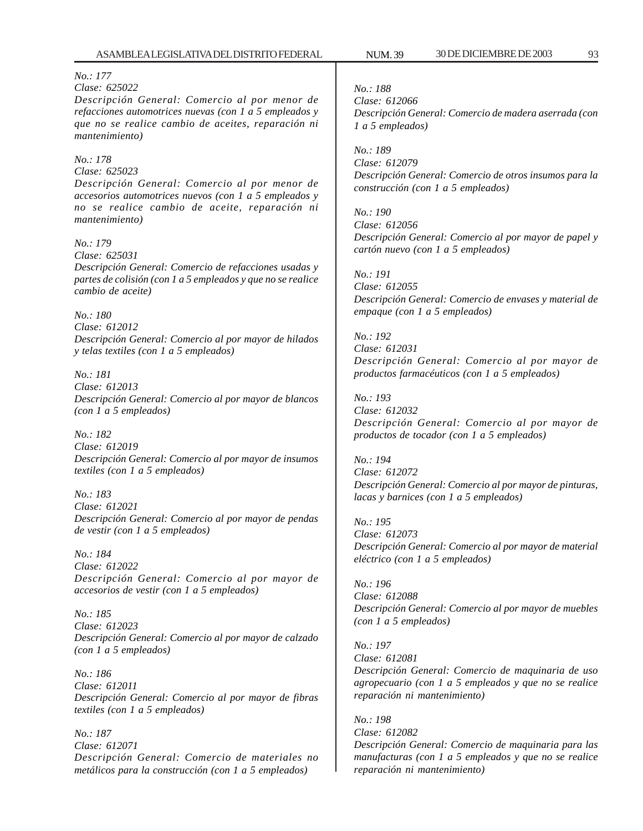### *No.: 177*

#### *Clase: 625022*

*Descripción General: Comercio al por menor de refacciones automotrices nuevas (con 1 a 5 empleados y que no se realice cambio de aceites, reparación ni mantenimiento)*

#### *No.: 178*

*Clase: 625023 Descripción General: Comercio al por menor de accesorios automotrices nuevos (con 1 a 5 empleados y no se realice cambio de aceite, reparación ni mantenimiento)*

*No.: 179 Clase: 625031 Descripción General: Comercio de refacciones usadas y partes de colisión (con 1 a 5 empleados y que no se realice cambio de aceite)*

*No.: 180 Clase: 612012 Descripción General: Comercio al por mayor de hilados y telas textiles (con 1 a 5 empleados)*

*No.: 181 Clase: 612013 Descripción General: Comercio al por mayor de blancos (con 1 a 5 empleados)*

*No.: 182 Clase: 612019 Descripción General: Comercio al por mayor de insumos textiles (con 1 a 5 empleados)*

*No.: 183 Clase: 612021 Descripción General: Comercio al por mayor de pendas de vestir (con 1 a 5 empleados)*

*No.: 184 Clase: 612022 Descripción General: Comercio al por mayor de accesorios de vestir (con 1 a 5 empleados)*

*No.: 185 Clase: 612023 Descripción General: Comercio al por mayor de calzado (con 1 a 5 empleados)*

*No.: 186 Clase: 612011 Descripción General: Comercio al por mayor de fibras textiles (con 1 a 5 empleados)*

*No.: 187 Clase: 612071 Descripción General: Comercio de materiales no metálicos para la construcción (con 1 a 5 empleados)*

*No.: 188 Clase: 612066 Descripción General: Comercio de madera aserrada (con 1 a 5 empleados)*

*No.: 189 Clase: 612079 Descripción General: Comercio de otros insumos para la construcción (con 1 a 5 empleados)*

*No.: 190 Clase: 612056 Descripción General: Comercio al por mayor de papel y cartón nuevo (con 1 a 5 empleados)*

*No.: 191 Clase: 612055 Descripción General: Comercio de envases y material de empaque (con 1 a 5 empleados)*

*No.: 192 Clase: 612031 Descripción General: Comercio al por mayor de productos farmacéuticos (con 1 a 5 empleados)*

*No.: 193 Clase: 612032 Descripción General: Comercio al por mayor de productos de tocador (con 1 a 5 empleados)*

*No.: 194 Clase: 612072 Descripción General: Comercio al por mayor de pinturas, lacas y barnices (con 1 a 5 empleados)*

*No.: 195 Clase: 612073 Descripción General: Comercio al por mayor de material eléctrico (con 1 a 5 empleados)*

*No.: 196 Clase: 612088 Descripción General: Comercio al por mayor de muebles (con 1 a 5 empleados)*

*No.: 197 Clase: 612081 Descripción General: Comercio de maquinaria de uso agropecuario (con 1 a 5 empleados y que no se realice reparación ni mantenimiento)*

*No.: 198 Clase: 612082 Descripción General: Comercio de maquinaria para las manufacturas (con 1 a 5 empleados y que no se realice reparación ni mantenimiento)*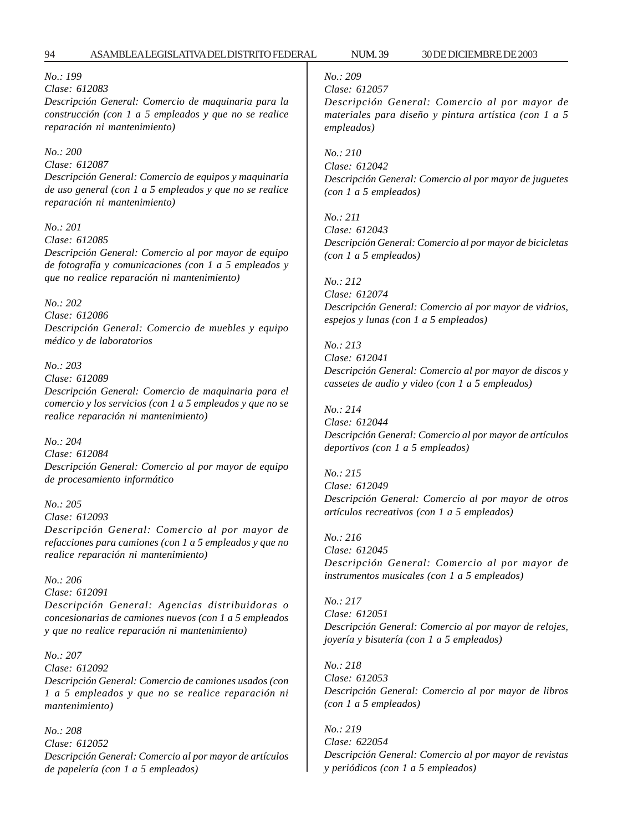#### *No.: 199*

#### *Clase: 612083*

*Descripción General: Comercio de maquinaria para la construcción (con 1 a 5 empleados y que no se realice reparación ni mantenimiento)*

### *No.: 200*

*Clase: 612087 Descripción General: Comercio de equipos y maquinaria de uso general (con 1 a 5 empleados y que no se realice reparación ni mantenimiento)*

#### *No.: 201*

*Clase: 612085 Descripción General: Comercio al por mayor de equipo de fotografía y comunicaciones (con 1 a 5 empleados y que no realice reparación ni mantenimiento)*

#### *No.: 202*

*Clase: 612086 Descripción General: Comercio de muebles y equipo médico y de laboratorios*

#### *No.: 203*

*Clase: 612089 Descripción General: Comercio de maquinaria para el comercio y los servicios (con 1 a 5 empleados y que no se realice reparación ni mantenimiento)*

#### *No.: 204*

*Clase: 612084 Descripción General: Comercio al por mayor de equipo de procesamiento informático*

#### *No.: 205*

*Clase: 612093 Descripción General: Comercio al por mayor de refacciones para camiones (con 1 a 5 empleados y que no realice reparación ni mantenimiento)*

*No.: 206 Clase: 612091 Descripción General: Agencias distribuidoras o concesionarias de camiones nuevos (con 1 a 5 empleados y que no realice reparación ni mantenimiento)*

*No.: 207 Clase: 612092 Descripción General: Comercio de camiones usados (con 1 a 5 empleados y que no se realice reparación ni mantenimiento)*

*No.: 208 Clase: 612052 Descripción General: Comercio al por mayor de artículos de papelería (con 1 a 5 empleados)*

## *No.: 209*

*Clase: 612057*

*Descripción General: Comercio al por mayor de materiales para diseño y pintura artística (con 1 a 5 empleados)*

*No.: 210*

*Clase: 612042 Descripción General: Comercio al por mayor de juguetes (con 1 a 5 empleados)*

*No.: 211 Clase: 612043 Descripción General: Comercio al por mayor de bicicletas (con 1 a 5 empleados)*

*No.: 212 Clase: 612074 Descripción General: Comercio al por mayor de vidrios, espejos y lunas (con 1 a 5 empleados)*

*No.: 213 Clase: 612041 Descripción General: Comercio al por mayor de discos y cassetes de audio y video (con 1 a 5 empleados)*

*No.: 214 Clase: 612044 Descripción General: Comercio al por mayor de artículos deportivos (con 1 a 5 empleados)*

*No.: 215 Clase: 612049 Descripción General: Comercio al por mayor de otros artículos recreativos (con 1 a 5 empleados)*

*No.: 216 Clase: 612045 Descripción General: Comercio al por mayor de instrumentos musicales (con 1 a 5 empleados)*

*No.: 217 Clase: 612051 Descripción General: Comercio al por mayor de relojes, joyería y bisutería (con 1 a 5 empleados)*

*No.: 218 Clase: 612053 Descripción General: Comercio al por mayor de libros (con 1 a 5 empleados)*

*No.: 219 Clase: 622054 Descripción General: Comercio al por mayor de revistas y periódicos (con 1 a 5 empleados)*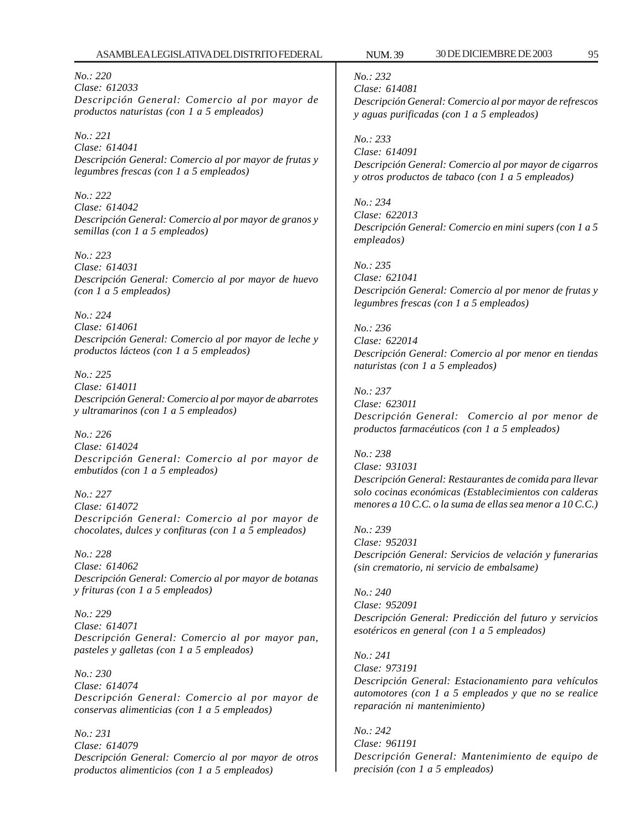*No.: 220 Clase: 612033 Descripción General: Comercio al por mayor de productos naturistas (con 1 a 5 empleados)*

*No.: 221 Clase: 614041 Descripción General: Comercio al por mayor de frutas y legumbres frescas (con 1 a 5 empleados)*

*No.: 222 Clase: 614042 Descripción General: Comercio al por mayor de granos y semillas (con 1 a 5 empleados)*

*No.: 223 Clase: 614031 Descripción General: Comercio al por mayor de huevo (con 1 a 5 empleados)*

*No.: 224 Clase: 614061 Descripción General: Comercio al por mayor de leche y productos lácteos (con 1 a 5 empleados)*

*No.: 225 Clase: 614011 Descripción General: Comercio al por mayor de abarrotes y ultramarinos (con 1 a 5 empleados)*

*No.: 226 Clase: 614024 Descripción General: Comercio al por mayor de embutidos (con 1 a 5 empleados)*

*No.: 227 Clase: 614072 Descripción General: Comercio al por mayor de chocolates, dulces y confituras (con 1 a 5 empleados)*

*No.: 228 Clase: 614062 Descripción General: Comercio al por mayor de botanas y frituras (con 1 a 5 empleados)*

*No.: 229 Clase: 614071 Descripción General: Comercio al por mayor pan, pasteles y galletas (con 1 a 5 empleados)*

*No.: 230 Clase: 614074 Descripción General: Comercio al por mayor de conservas alimenticias (con 1 a 5 empleados)*

*No.: 231 Clase: 614079 Descripción General: Comercio al por mayor de otros productos alimenticios (con 1 a 5 empleados)*

*No.: 232*

*Clase: 614081 Descripción General: Comercio al por mayor de refrescos y aguas purificadas (con 1 a 5 empleados)*

*No.: 233 Clase: 614091 Descripción General: Comercio al por mayor de cigarros y otros productos de tabaco (con 1 a 5 empleados)*

*No.: 234 Clase: 622013 Descripción General: Comercio en mini supers (con 1 a 5 empleados)*

*No.: 235 Clase: 621041 Descripción General: Comercio al por menor de frutas y legumbres frescas (con 1 a 5 empleados)*

*No.: 236 Clase: 622014 Descripción General: Comercio al por menor en tiendas naturistas (con 1 a 5 empleados)*

*No.: 237 Clase: 623011 Descripción General: Comercio al por menor de productos farmacéuticos (con 1 a 5 empleados)*

*No.: 238 Clase: 931031 Descripción General: Restaurantes de comida para llevar solo cocinas económicas (Establecimientos con calderas menores a 10 C.C. o la suma de ellas sea menor a 10 C.C.)*

*No.: 239 Clase: 952031 Descripción General: Servicios de velación y funerarias (sin crematorio, ni servicio de embalsame)*

*No.: 240 Clase: 952091 Descripción General: Predicción del futuro y servicios esotéricos en general (con 1 a 5 empleados)*

*No.: 241 Clase: 973191 Descripción General: Estacionamiento para vehículos automotores (con 1 a 5 empleados y que no se realice reparación ni mantenimiento)*

*No.: 242 Clase: 961191 Descripción General: Mantenimiento de equipo de precisión (con 1 a 5 empleados)*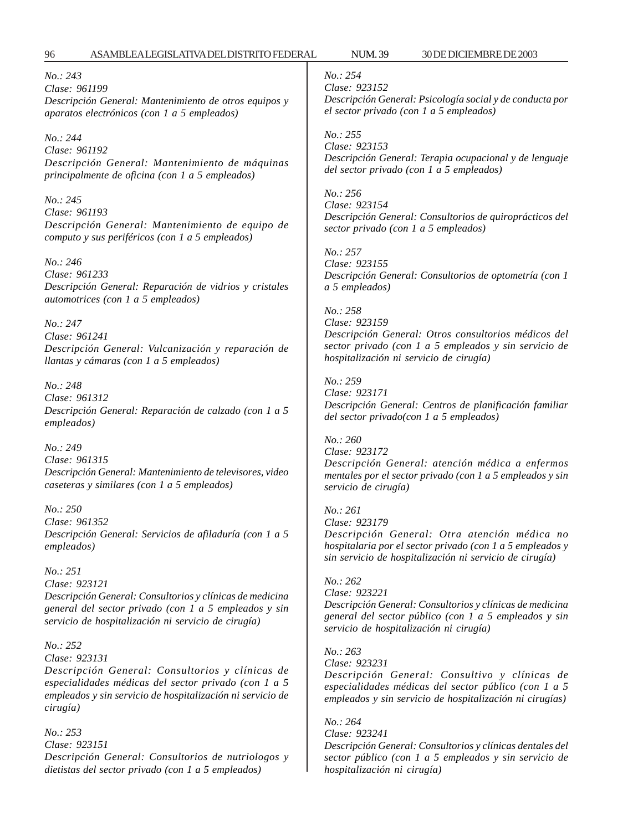*No.: 243 Clase: 961199 Descripción General: Mantenimiento de otros equipos y aparatos electrónicos (con 1 a 5 empleados)*

*No.: 244 Clase: 961192 Descripción General: Mantenimiento de máquinas principalmente de oficina (con 1 a 5 empleados)*

*No.: 245 Clase: 961193 Descripción General: Mantenimiento de equipo de computo y sus periféricos (con 1 a 5 empleados)*

*No.: 246 Clase: 961233 Descripción General: Reparación de vidrios y cristales automotrices (con 1 a 5 empleados)*

*No.: 247 Clase: 961241 Descripción General: Vulcanización y reparación de llantas y cámaras (con 1 a 5 empleados)*

*No.: 248 Clase: 961312 Descripción General: Reparación de calzado (con 1 a 5 empleados)*

*No.: 249 Clase: 961315 Descripción General: Mantenimiento de televisores, video caseteras y similares (con 1 a 5 empleados)*

*No.: 250 Clase: 961352 Descripción General: Servicios de afiladuría (con 1 a 5 empleados)*

*No.: 251 Clase: 923121 Descripción General: Consultorios y clínicas de medicina general del sector privado (con 1 a 5 empleados y sin servicio de hospitalización ni servicio de cirugía)*

*No.: 252 Clase: 923131 Descripción General: Consultorios y clínicas de especialidades médicas del sector privado (con 1 a 5 empleados y sin servicio de hospitalización ni servicio de cirugía)*

*No.: 253 Clase: 923151 Descripción General: Consultorios de nutriologos y dietistas del sector privado (con 1 a 5 empleados)*

## *No.: 254*

*No.: 261*

*Clase: 923152 Descripción General: Psicología social y de conducta por el sector privado (con 1 a 5 empleados)*

*No.: 255 Clase: 923153 Descripción General: Terapia ocupacional y de lenguaje del sector privado (con 1 a 5 empleados)*

*No.: 256 Clase: 923154 Descripción General: Consultorios de quiroprácticos del sector privado (con 1 a 5 empleados)*

*No.: 257 Clase: 923155 Descripción General: Consultorios de optometría (con 1 a 5 empleados)*

*No.: 258 Clase: 923159 Descripción General: Otros consultorios médicos del sector privado (con 1 a 5 empleados y sin servicio de hospitalización ni servicio de cirugía)*

*No.: 259 Clase: 923171 Descripción General: Centros de planificación familiar del sector privado(con 1 a 5 empleados)*

*No.: 260 Clase: 923172 Descripción General: atención médica a enfermos mentales por el sector privado (con 1 a 5 empleados y sin servicio de cirugía)*

*Clase: 923179 Descripción General: Otra atención médica no hospitalaria por el sector privado (con 1 a 5 empleados y sin servicio de hospitalización ni servicio de cirugía)*

*No.: 262 Clase: 923221 Descripción General: Consultorios y clínicas de medicina general del sector público (con 1 a 5 empleados y sin servicio de hospitalización ni cirugía)*

*No.: 263 Clase: 923231 Descripción General: Consultivo y clínicas de especialidades médicas del sector público (con 1 a 5 empleados y sin servicio de hospitalización ni cirugías)*

*No.: 264 Clase: 923241 Descripción General: Consultorios y clínicas dentales del sector público (con 1 a 5 empleados y sin servicio de hospitalización ni cirugía)*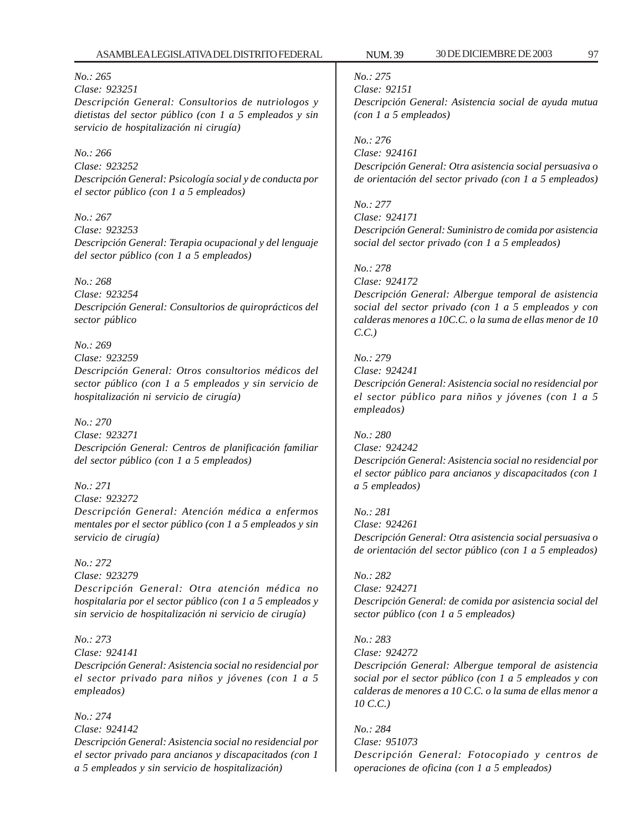## *No.: 275*

*Clase: 92151 Descripción General: Asistencia social de ayuda mutua (con 1 a 5 empleados)*

*No.: 276 Clase: 924161 Descripción General: Otra asistencia social persuasiva o de orientación del sector privado (con 1 a 5 empleados)*

*No.: 277 Clase: 924171 Descripción General: Suministro de comida por asistencia social del sector privado (con 1 a 5 empleados)*

### *No.: 278*

*Clase: 924172*

*Descripción General: Albergue temporal de asistencia social del sector privado (con 1 a 5 empleados y con calderas menores a 10C.C. o la suma de ellas menor de 10 C.C.)*

### *No.: 279*

*Clase: 924241 Descripción General: Asistencia social no residencial por el sector público para niños y jóvenes (con 1 a 5 empleados)*

### *No.: 280*

*Clase: 924242 Descripción General: Asistencia social no residencial por el sector público para ancianos y discapacitados (con 1 a 5 empleados)*

*No.: 281 Clase: 924261 Descripción General: Otra asistencia social persuasiva o de orientación del sector público (con 1 a 5 empleados)*

## *No.: 282 Clase: 924271 Descripción General: de comida por asistencia social del sector público (con 1 a 5 empleados)*

### *No.: 283*

*Clase: 924272*

*Descripción General: Albergue temporal de asistencia social por el sector público (con 1 a 5 empleados y con calderas de menores a 10 C.C. o la suma de ellas menor a 10 C.C.)*

*No.: 284 Clase: 951073 Descripción General: Fotocopiado y centros de operaciones de oficina (con 1 a 5 empleados)*

*No.: 265*

*Clase: 923251 Descripción General: Consultorios de nutriologos y dietistas del sector público (con 1 a 5 empleados y sin servicio de hospitalización ni cirugía)*

### *No.: 266*

*Clase: 923252 Descripción General: Psicología social y de conducta por el sector público (con 1 a 5 empleados)*

*No.: 267 Clase: 923253 Descripción General: Terapia ocupacional y del lenguaje del sector público (con 1 a 5 empleados)*

### *No.: 268*

*Clase: 923254 Descripción General: Consultorios de quiroprácticos del sector público*

### *No.: 269*

*Clase: 923259 Descripción General: Otros consultorios médicos del sector público (con 1 a 5 empleados y sin servicio de hospitalización ni servicio de cirugía)*

### *No.: 270*

*Clase: 923271 Descripción General: Centros de planificación familiar del sector público (con 1 a 5 empleados)*

### *No.: 271*

*Clase: 923272 Descripción General: Atención médica a enfermos mentales por el sector público (con 1 a 5 empleados y sin servicio de cirugía)*

### *No.: 272*

*Clase: 923279 Descripción General: Otra atención médica no hospitalaria por el sector público (con 1 a 5 empleados y sin servicio de hospitalización ni servicio de cirugía)*

### *No.: 273*

*Clase: 924141 Descripción General: Asistencia social no residencial por el sector privado para niños y jóvenes (con 1 a 5 empleados)*

## *No.: 274*

*Clase: 924142*

*Descripción General: Asistencia social no residencial por el sector privado para ancianos y discapacitados (con 1 a 5 empleados y sin servicio de hospitalización)*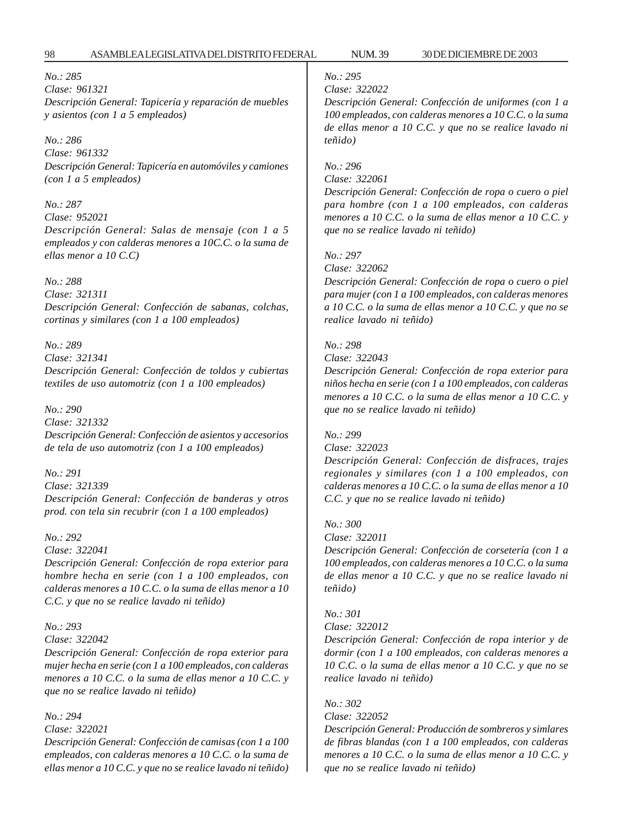### *No.: 285 Clase: 961321 Descripción General: Tapicería y reparación de muebles y asientos (con 1 a 5 empleados)*

### *No.: 286*

*Clase: 961332 Descripción General: Tapicería en automóviles y camiones (con 1 a 5 empleados)*

#### *No.: 287*

*Clase: 952021 Descripción General: Salas de mensaje (con 1 a 5 empleados y con calderas menores a 10C.C. o la suma de ellas menor a 10 C.C)*

### *No.: 288*

*Clase: 321311 Descripción General: Confección de sabanas, colchas, cortinas y similares (con 1 a 100 empleados)*

#### *No.: 289*

*Clase: 321341 Descripción General: Confección de toldos y cubiertas textiles de uso automotriz (con 1 a 100 empleados)*

#### *No.: 290*

*Clase: 321332 Descripción General: Confección de asientos y accesorios de tela de uso automotriz (con 1 a 100 empleados)*

*No.: 291 Clase: 321339 Descripción General: Confección de banderas y otros prod. con tela sin recubrir (con 1 a 100 empleados)*

### *No.: 292*

*Clase: 322041*

*Descripción General: Confección de ropa exterior para hombre hecha en serie (con 1 a 100 empleados, con calderas menores a 10 C.C. o la suma de ellas menor a 10 C.C. y que no se realice lavado ni teñido)*

### *No.: 293*

### *Clase: 322042*

*Descripción General: Confección de ropa exterior para mujer hecha en serie (con 1 a 100 empleados, con calderas menores a 10 C.C. o la suma de ellas menor a 10 C.C. y que no se realice lavado ni teñido)*

#### *No.: 294*

#### *Clase: 322021*

*Descripción General: Confección de camisas (con 1 a 100 empleados, con calderas menores a 10 C.C. o la suma de ellas menor a 10 C.C. y que no se realice lavado ni teñido)*

## *No.: 295*

*Clase: 322022*

*Descripción General: Confección de uniformes (con 1 a 100 empleados, con calderas menores a 10 C.C. o la suma de ellas menor a 10 C.C. y que no se realice lavado ni teñido)*

### *No.: 296 Clase: 322061*

*Descripción General: Confección de ropa o cuero o piel para hombre (con 1 a 100 empleados, con calderas menores a 10 C.C. o la suma de ellas menor a 10 C.C. y que no se realice lavado ni teñido)*

*No.: 297*

*Clase: 322062*

*Descripción General: Confección de ropa o cuero o piel para mujer (con 1 a 100 empleados, con calderas menores a 10 C.C. o la suma de ellas menor a 10 C.C. y que no se realice lavado ni teñido)*

#### *No.: 298*

*Clase: 322043*

*Descripción General: Confección de ropa exterior para niños hecha en serie (con 1 a 100 empleados, con calderas menores a 10 C.C. o la suma de ellas menor a 10 C.C. y que no se realice lavado ni teñido)*

### *No.: 299*

### *Clase: 322023*

*Descripción General: Confección de disfraces, trajes regionales y similares (con 1 a 100 empleados, con calderas menores a 10 C.C. o la suma de ellas menor a 10 C.C. y que no se realice lavado ni teñido)*

### *No.: 300*

### *Clase: 322011*

*Descripción General: Confección de corsetería (con 1 a 100 empleados, con calderas menores a 10 C.C. o la suma de ellas menor a 10 C.C. y que no se realice lavado ni teñido)*

### *No.: 301*

*Clase: 322012*

*Descripción General: Confección de ropa interior y de dormir (con 1 a 100 empleados, con calderas menores a 10 C.C. o la suma de ellas menor a 10 C.C. y que no se realice lavado ni teñido)*

# *No.: 302*

*Clase: 322052*

*Descripción General: Producción de sombreros y simlares de fibras blandas (con 1 a 100 empleados, con calderas menores a 10 C.C. o la suma de ellas menor a 10 C.C. y que no se realice lavado ni teñido)*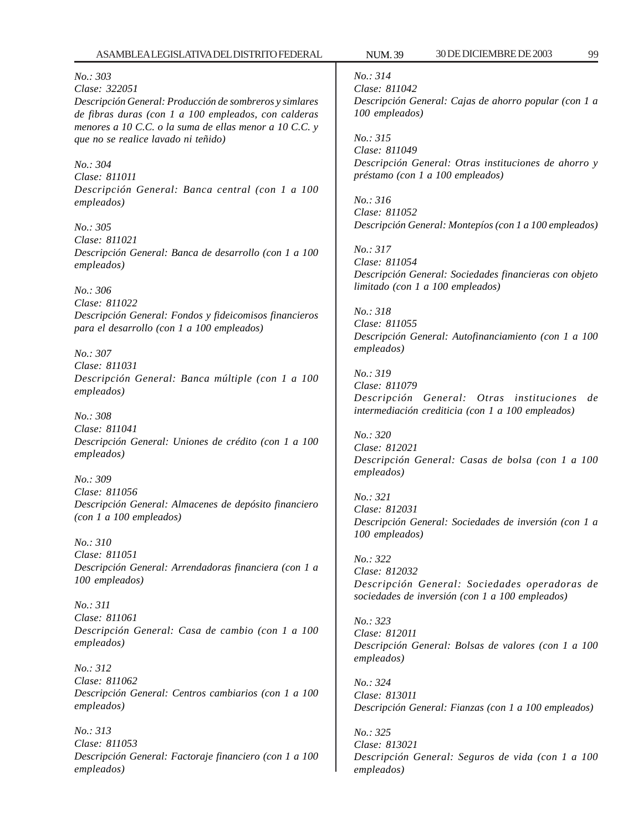ASAMBLEA LEGISLATIVA DEL DISTRITO FEDERAL NUM. 39 30 DE DICIEMBRE DE 2003 99 *No.: 303 Clase: 322051 Descripción General: Producción de sombreros y simlares de fibras duras (con 1 a 100 empleados, con calderas menores a 10 C.C. o la suma de ellas menor a 10 C.C. y que no se realice lavado ni teñido) No.: 304 Clase: 811011 Descripción General: Banca central (con 1 a 100 empleados) No.: 305 Clase: 811021 Descripción General: Banca de desarrollo (con 1 a 100 empleados) No.: 306 Clase: 811022 Descripción General: Fondos y fideicomisos financieros para el desarrollo (con 1 a 100 empleados) No.: 307 Clase: 811031 Descripción General: Banca múltiple (con 1 a 100 empleados) No.: 308 Clase: 811041 Descripción General: Uniones de crédito (con 1 a 100 empleados) No.: 309 Clase: 811056 Descripción General: Almacenes de depósito financiero (con 1 a 100 empleados) No.: 310 Clase: 811051 Descripción General: Arrendadoras financiera (con 1 a 100 empleados) No.: 311*

*Clase: 811061 Descripción General: Casa de cambio (con 1 a 100 empleados)*

*No.: 312 Clase: 811062 Descripción General: Centros cambiarios (con 1 a 100 empleados)*

*No.: 313 Clase: 811053 Descripción General: Factoraje financiero (con 1 a 100 empleados)*

*No.: 314 Clase: 811042 Descripción General: Cajas de ahorro popular (con 1 a 100 empleados)*

*No.: 315 Clase: 811049 Descripción General: Otras instituciones de ahorro y préstamo (con 1 a 100 empleados)*

*No.: 316 Clase: 811052 Descripción General: Montepíos (con 1 a 100 empleados)*

*No.: 317 Clase: 811054 Descripción General: Sociedades financieras con objeto limitado (con 1 a 100 empleados)*

*No.: 318 Clase: 811055 Descripción General: Autofinanciamiento (con 1 a 100 empleados)*

*No.: 319 Clase: 811079 Descripción General: Otras instituciones de intermediación crediticia (con 1 a 100 empleados)*

*No.: 320 Clase: 812021 Descripción General: Casas de bolsa (con 1 a 100 empleados)*

*No.: 321 Clase: 812031 Descripción General: Sociedades de inversión (con 1 a 100 empleados)*

*No.: 322 Clase: 812032 Descripción General: Sociedades operadoras de sociedades de inversión (con 1 a 100 empleados)*

*No.: 323 Clase: 812011 Descripción General: Bolsas de valores (con 1 a 100 empleados)*

*No.: 324 Clase: 813011 Descripción General: Fianzas (con 1 a 100 empleados)*

*No.: 325 Clase: 813021 Descripción General: Seguros de vida (con 1 a 100 empleados)*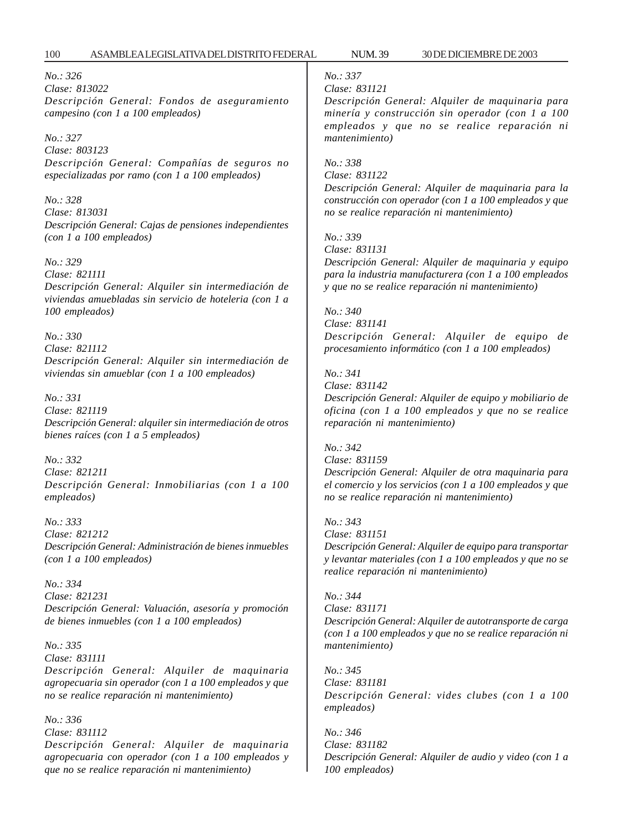*No.: 326 Clase: 813022 Descripción General: Fondos de aseguramiento campesino (con 1 a 100 empleados)*

*No.: 327 Clase: 803123 Descripción General: Compañías de seguros no especializadas por ramo (con 1 a 100 empleados)*

*No.: 328 Clase: 813031 Descripción General: Cajas de pensiones independientes (con 1 a 100 empleados)*

*No.: 329*

*Clase: 821111 Descripción General: Alquiler sin intermediación de viviendas amuebladas sin servicio de hoteleria (con 1 a 100 empleados)*

*No.: 330 Clase: 821112 Descripción General: Alquiler sin intermediación de viviendas sin amueblar (con 1 a 100 empleados)*

*No.: 331 Clase: 821119 Descripción General: alquiler sin intermediación de otros bienes raíces (con 1 a 5 empleados)*

*No.: 332 Clase: 821211 Descripción General: Inmobiliarias (con 1 a 100 empleados)*

*No.: 333 Clase: 821212 Descripción General: Administración de bienes inmuebles (con 1 a 100 empleados)*

*No.: 334 Clase: 821231 Descripción General: Valuación, asesoría y promoción de bienes inmuebles (con 1 a 100 empleados)*

*No.: 335 Clase: 831111 Descripción General: Alquiler de maquinaria agropecuaria sin operador (con 1 a 100 empleados y que no se realice reparación ni mantenimiento)*

*No.: 336 Clase: 831112 Descripción General: Alquiler de maquinaria agropecuaria con operador (con 1 a 100 empleados y que no se realice reparación ni mantenimiento)*

## *No.: 337*

*Clase: 831121*

*Descripción General: Alquiler de maquinaria para minería y construcción sin operador (con 1 a 100 empleados y que no se realice reparación ni mantenimiento)*

*No.: 338 Clase: 831122*

*Descripción General: Alquiler de maquinaria para la construcción con operador (con 1 a 100 empleados y que no se realice reparación ni mantenimiento)*

*No.: 339 Clase: 831131*

*Descripción General: Alquiler de maquinaria y equipo para la industria manufacturera (con 1 a 100 empleados y que no se realice reparación ni mantenimiento)*

*No.: 340 Clase: 831141 Descripción General: Alquiler de equipo de procesamiento informático (con 1 a 100 empleados)*

*No.: 341 Clase: 831142 Descripción General: Alquiler de equipo y mobiliario de oficina (con 1 a 100 empleados y que no se realice reparación ni mantenimiento)*

*No.: 342 Clase: 831159 Descripción General: Alquiler de otra maquinaria para el comercio y los servicios (con 1 a 100 empleados y que no se realice reparación ni mantenimiento)*

*No.: 343 Clase: 831151 Descripción General: Alquiler de equipo para transportar y levantar materiales (con 1 a 100 empleados y que no se realice reparación ni mantenimiento)*

*No.: 344 Clase: 831171 Descripción General: Alquiler de autotransporte de carga (con 1 a 100 empleados y que no se realice reparación ni mantenimiento)*

*No.: 345 Clase: 831181 Descripción General: vides clubes (con 1 a 100 empleados)*

*No.: 346 Clase: 831182 Descripción General: Alquiler de audio y video (con 1 a 100 empleados)*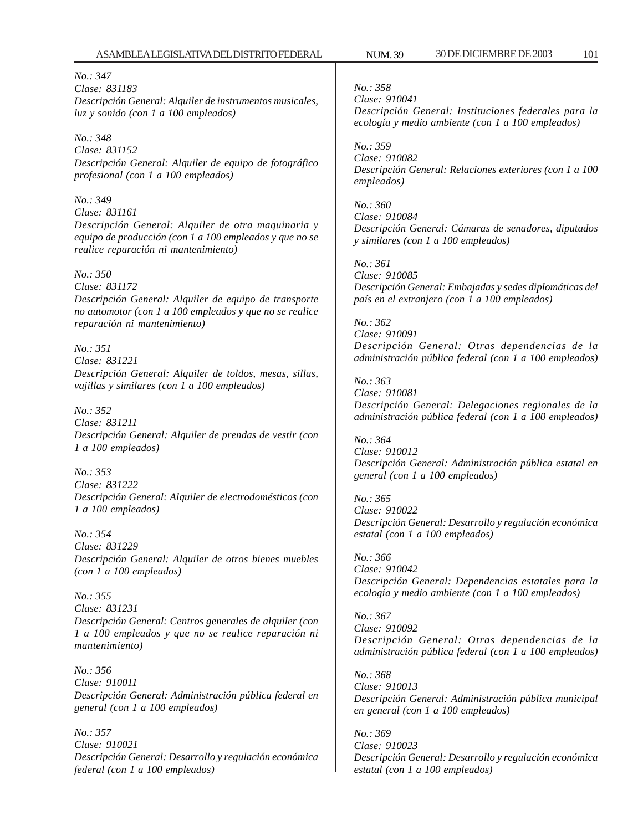*No.: 347 Clase: 831183 Descripción General: Alquiler de instrumentos musicales, luz y sonido (con 1 a 100 empleados)*

*No.: 348 Clase: 831152 Descripción General: Alquiler de equipo de fotográfico profesional (con 1 a 100 empleados)*

*No.: 349 Clase: 831161 Descripción General: Alquiler de otra maquinaria y equipo de producción (con 1 a 100 empleados y que no se realice reparación ni mantenimiento)*

*No.: 350*

*Clase: 831172 Descripción General: Alquiler de equipo de transporte no automotor (con 1 a 100 empleados y que no se realice reparación ni mantenimiento)*

*No.: 351 Clase: 831221 Descripción General: Alquiler de toldos, mesas, sillas, vajillas y similares (con 1 a 100 empleados)*

*No.: 352 Clase: 831211 Descripción General: Alquiler de prendas de vestir (con 1 a 100 empleados)*

*No.: 353 Clase: 831222 Descripción General: Alquiler de electrodomésticos (con 1 a 100 empleados)*

*No.: 354 Clase: 831229 Descripción General: Alquiler de otros bienes muebles (con 1 a 100 empleados)*

*No.: 355 Clase: 831231 Descripción General: Centros generales de alquiler (con 1 a 100 empleados y que no se realice reparación ni mantenimiento)*

*No.: 356 Clase: 910011 Descripción General: Administración pública federal en general (con 1 a 100 empleados)*

*No.: 357 Clase: 910021 Descripción General: Desarrollo y regulación económica federal (con 1 a 100 empleados)*

*No.: 358 Clase: 910041 Descripción General: Instituciones federales para la ecología y medio ambiente (con 1 a 100 empleados)*

*No.: 359 Clase: 910082 Descripción General: Relaciones exteriores (con 1 a 100 empleados)*

*No.: 360 Clase: 910084 Descripción General: Cámaras de senadores, diputados y similares (con 1 a 100 empleados)*

*No.: 361 Clase: 910085 Descripción General: Embajadas y sedes diplomáticas del país en el extranjero (con 1 a 100 empleados)*

*No.: 362 Clase: 910091 Descripción General: Otras dependencias de la administración pública federal (con 1 a 100 empleados)*

*No.: 363 Clase: 910081 Descripción General: Delegaciones regionales de la administración pública federal (con 1 a 100 empleados)*

*No.: 364 Clase: 910012 Descripción General: Administración pública estatal en general (con 1 a 100 empleados)*

*No.: 365 Clase: 910022 Descripción General: Desarrollo y regulación económica estatal (con 1 a 100 empleados)*

*No.: 366 Clase: 910042 Descripción General: Dependencias estatales para la ecología y medio ambiente (con 1 a 100 empleados)*

*No.: 367 Clase: 910092 Descripción General: Otras dependencias de la administración pública federal (con 1 a 100 empleados)*

*No.: 368 Clase: 910013 Descripción General: Administración pública municipal en general (con 1 a 100 empleados)*

*No.: 369 Clase: 910023 Descripción General: Desarrollo y regulación económica estatal (con 1 a 100 empleados)*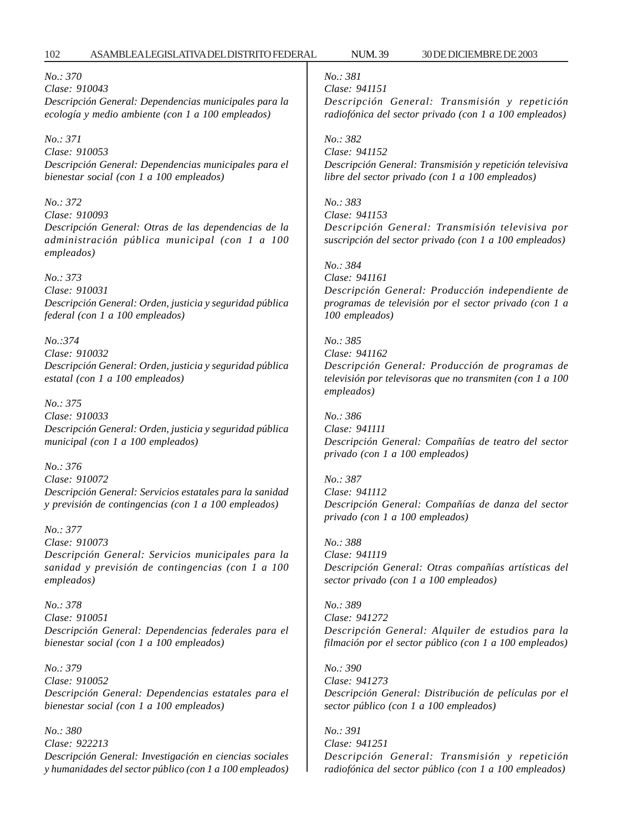*No.: 370 Clase: 910043 Descripción General: Dependencias municipales para la ecología y medio ambiente (con 1 a 100 empleados)*

*No.: 371 Clase: 910053 Descripción General: Dependencias municipales para el bienestar social (con 1 a 100 empleados)*

*No.: 372 Clase: 910093 Descripción General: Otras de las dependencias de la administración pública municipal (con 1 a 100 empleados)*

*No.: 373 Clase: 910031 Descripción General: Orden, justicia y seguridad pública federal (con 1 a 100 empleados)*

*No.:374 Clase: 910032 Descripción General: Orden, justicia y seguridad pública estatal (con 1 a 100 empleados)*

*No.: 375 Clase: 910033 Descripción General: Orden, justicia y seguridad pública municipal (con 1 a 100 empleados)*

*No.: 376 Clase: 910072 Descripción General: Servicios estatales para la sanidad y previsión de contingencias (con 1 a 100 empleados)*

*No.: 377 Clase: 910073 Descripción General: Servicios municipales para la sanidad y previsión de contingencias (con 1 a 100 empleados)*

*No.: 378 Clase: 910051 Descripción General: Dependencias federales para el bienestar social (con 1 a 100 empleados)*

*No.: 379 Clase: 910052 Descripción General: Dependencias estatales para el bienestar social (con 1 a 100 empleados)*

*No.: 380 Clase: 922213 Descripción General: Investigación en ciencias sociales y humanidades del sector público (con 1 a 100 empleados)* *No.: 381 Clase: 941151*

*Descripción General: Transmisión y repetición radiofónica del sector privado (con 1 a 100 empleados)*

*No.: 382 Clase: 941152 Descripción General: Transmisión y repetición televisiva libre del sector privado (con 1 a 100 empleados)*

*No.: 383 Clase: 941153 Descripción General: Transmisión televisiva por suscripción del sector privado (con 1 a 100 empleados)*

*No.: 384 Clase: 941161 Descripción General: Producción independiente de programas de televisión por el sector privado (con 1 a 100 empleados)*

*No.: 385 Clase: 941162 Descripción General: Producción de programas de televisión por televisoras que no transmiten (con 1 a 100 empleados)*

*No.: 386 Clase: 941111 Descripción General: Compañías de teatro del sector privado (con 1 a 100 empleados)*

*No.: 387 Clase: 941112 Descripción General: Compañías de danza del sector privado (con 1 a 100 empleados)*

*No.: 388 Clase: 941119 Descripción General: Otras compañías artísticas del sector privado (con 1 a 100 empleados)*

*No.: 389 Clase: 941272 Descripción General: Alquiler de estudios para la filmación por el sector público (con 1 a 100 empleados)*

*No.: 390 Clase: 941273 Descripción General: Distribución de películas por el sector público (con 1 a 100 empleados)*

*No.: 391 Clase: 941251 Descripción General: Transmisión y repetición radiofónica del sector público (con 1 a 100 empleados)*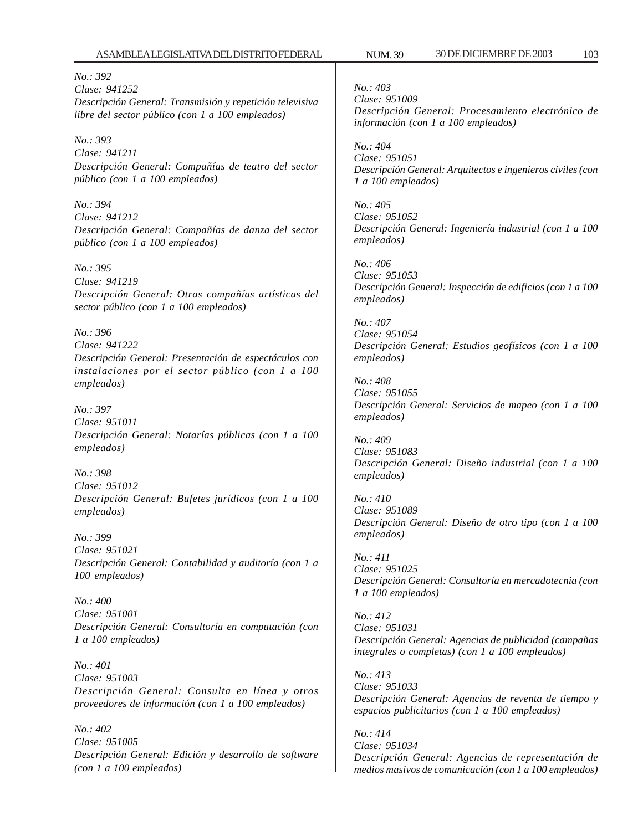*No.: 392 Clase: 941252 Descripción General: Transmisión y repetición televisiva libre del sector público (con 1 a 100 empleados)*

*No.: 393 Clase: 941211 Descripción General: Compañías de teatro del sector público (con 1 a 100 empleados)*

*No.: 394 Clase: 941212 Descripción General: Compañías de danza del sector público (con 1 a 100 empleados)*

*No.: 395 Clase: 941219 Descripción General: Otras compañías artísticas del sector público (con 1 a 100 empleados)*

*No.: 396 Clase: 941222 Descripción General: Presentación de espectáculos con instalaciones por el sector público (con 1 a 100 empleados)*

*No.: 397 Clase: 951011 Descripción General: Notarías públicas (con 1 a 100 empleados)*

*No.: 398 Clase: 951012 Descripción General: Bufetes jurídicos (con 1 a 100 empleados)*

*No.: 399 Clase: 951021 Descripción General: Contabilidad y auditoría (con 1 a 100 empleados)*

*No.: 400 Clase: 951001 Descripción General: Consultoría en computación (con 1 a 100 empleados)*

*No.: 401 Clase: 951003 Descripción General: Consulta en línea y otros proveedores de información (con 1 a 100 empleados)*

*No.: 402 Clase: 951005 Descripción General: Edición y desarrollo de software (con 1 a 100 empleados)*

*No.: 403 Clase: 951009 Descripción General: Procesamiento electrónico de información (con 1 a 100 empleados)*

*No.: 404 Clase: 951051 Descripción General: Arquitectos e ingenieros civiles (con 1 a 100 empleados)*

*No.: 405 Clase: 951052 Descripción General: Ingeniería industrial (con 1 a 100 empleados)*

*No.: 406 Clase: 951053 Descripción General: Inspección de edificios (con 1 a 100 empleados)*

*No.: 407 Clase: 951054 Descripción General: Estudios geofísicos (con 1 a 100 empleados)*

*No.: 408 Clase: 951055 Descripción General: Servicios de mapeo (con 1 a 100 empleados)*

*No.: 409 Clase: 951083 Descripción General: Diseño industrial (con 1 a 100 empleados)*

*No.: 410 Clase: 951089 Descripción General: Diseño de otro tipo (con 1 a 100 empleados)*

*No.: 411 Clase: 951025 Descripción General: Consultoría en mercadotecnia (con 1 a 100 empleados)*

*No.: 412 Clase: 951031 Descripción General: Agencias de publicidad (campañas integrales o completas) (con 1 a 100 empleados)*

*No.: 413 Clase: 951033 Descripción General: Agencias de reventa de tiempo y espacios publicitarios (con 1 a 100 empleados)*

*No.: 414 Clase: 951034 Descripción General: Agencias de representación de medios masivos de comunicación (con 1 a 100 empleados)*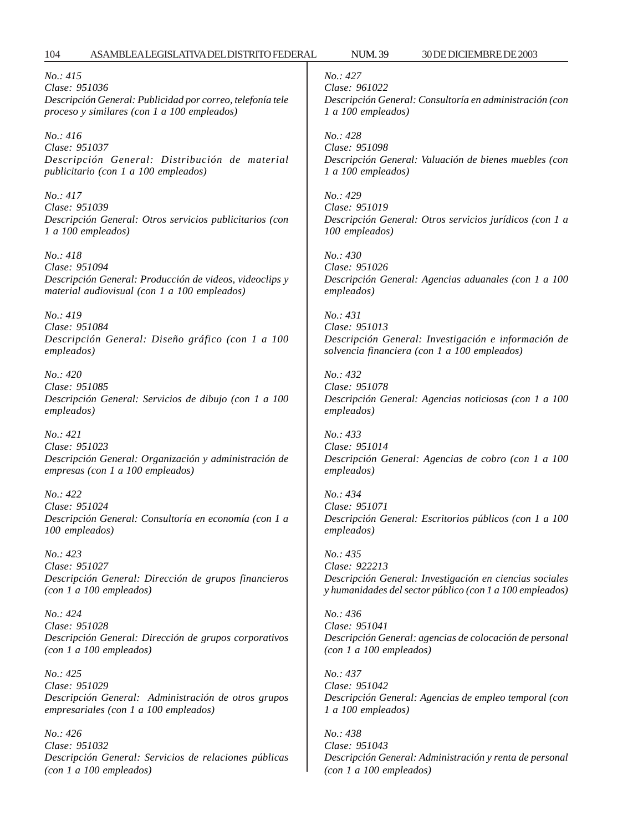*No.: 415 Clase: 951036 Descripción General: Publicidad por correo, telefonía tele proceso y similares (con 1 a 100 empleados)*

*No.: 416 Clase: 951037 Descripción General: Distribución de material publicitario (con 1 a 100 empleados)*

*No.: 417 Clase: 951039 Descripción General: Otros servicios publicitarios (con 1 a 100 empleados)*

*No.: 418 Clase: 951094 Descripción General: Producción de videos, videoclips y material audiovisual (con 1 a 100 empleados)*

*No.: 419 Clase: 951084 Descripción General: Diseño gráfico (con 1 a 100 empleados)*

*No.: 420 Clase: 951085 Descripción General: Servicios de dibujo (con 1 a 100 empleados)*

*No.: 421 Clase: 951023 Descripción General: Organización y administración de empresas (con 1 a 100 empleados)*

*No.: 422 Clase: 951024 Descripción General: Consultoría en economía (con 1 a 100 empleados)*

*No.: 423 Clase: 951027 Descripción General: Dirección de grupos financieros (con 1 a 100 empleados)*

*No.: 424 Clase: 951028 Descripción General: Dirección de grupos corporativos (con 1 a 100 empleados)*

*No.: 425 Clase: 951029 Descripción General: Administración de otros grupos empresariales (con 1 a 100 empleados)*

*No.: 426 Clase: 951032 Descripción General: Servicios de relaciones públicas (con 1 a 100 empleados)*

*No.: 427 Clase: 961022 Descripción General: Consultoría en administración (con 1 a 100 empleados)*

*No.: 428 Clase: 951098 Descripción General: Valuación de bienes muebles (con 1 a 100 empleados)*

*No.: 429 Clase: 951019 Descripción General: Otros servicios jurídicos (con 1 a 100 empleados)*

*No.: 430 Clase: 951026 Descripción General: Agencias aduanales (con 1 a 100 empleados)*

*No.: 431 Clase: 951013 Descripción General: Investigación e información de solvencia financiera (con 1 a 100 empleados)*

*No.: 432 Clase: 951078 Descripción General: Agencias noticiosas (con 1 a 100 empleados)*

*No.: 433 Clase: 951014 Descripción General: Agencias de cobro (con 1 a 100 empleados)*

*No.: 434 Clase: 951071 Descripción General: Escritorios públicos (con 1 a 100 empleados)*

*No.: 435 Clase: 922213 Descripción General: Investigación en ciencias sociales y humanidades del sector público (con 1 a 100 empleados)*

*No.: 436 Clase: 951041 Descripción General: agencias de colocación de personal (con 1 a 100 empleados)*

*No.: 437 Clase: 951042 Descripción General: Agencias de empleo temporal (con 1 a 100 empleados)*

*No.: 438 Clase: 951043 Descripción General: Administración y renta de personal (con 1 a 100 empleados)*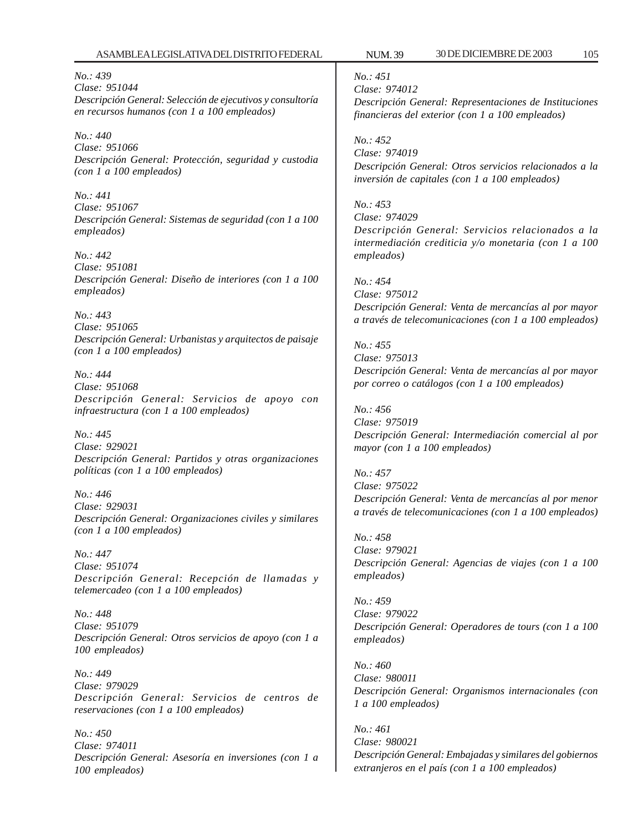*No.: 439 Clase: 951044 Descripción General: Selección de ejecutivos y consultoría en recursos humanos (con 1 a 100 empleados)*

*No.: 440 Clase: 951066 Descripción General: Protección, seguridad y custodia (con 1 a 100 empleados)*

*No.: 441 Clase: 951067 Descripción General: Sistemas de seguridad (con 1 a 100 empleados)*

*No.: 442 Clase: 951081 Descripción General: Diseño de interiores (con 1 a 100 empleados)*

*No.: 443 Clase: 951065 Descripción General: Urbanistas y arquitectos de paisaje (con 1 a 100 empleados)*

*No.: 444 Clase: 951068 Descripción General: Servicios de apoyo con infraestructura (con 1 a 100 empleados)*

*No.: 445 Clase: 929021 Descripción General: Partidos y otras organizaciones políticas (con 1 a 100 empleados)*

*No.: 446 Clase: 929031 Descripción General: Organizaciones civiles y similares (con 1 a 100 empleados)*

*No.: 447 Clase: 951074 Descripción General: Recepción de llamadas y telemercadeo (con 1 a 100 empleados)*

*No.: 448 Clase: 951079 Descripción General: Otros servicios de apoyo (con 1 a 100 empleados)*

*No.: 449 Clase: 979029 Descripción General: Servicios de centros de reservaciones (con 1 a 100 empleados)*

*No.: 450 Clase: 974011 Descripción General: Asesoría en inversiones (con 1 a 100 empleados)*

*No.: 451*

*Clase: 974012 Descripción General: Representaciones de Instituciones financieras del exterior (con 1 a 100 empleados)*

*No.: 452 Clase: 974019 Descripción General: Otros servicios relacionados a la inversión de capitales (con 1 a 100 empleados)*

*No.: 453 Clase: 974029 Descripción General: Servicios relacionados a la intermediación crediticia y/o monetaria (con 1 a 100 empleados)*

*No.: 454 Clase: 975012 Descripción General: Venta de mercancías al por mayor a través de telecomunicaciones (con 1 a 100 empleados)*

*No.: 455 Clase: 975013 Descripción General: Venta de mercancías al por mayor por correo o catálogos (con 1 a 100 empleados)*

*No.: 456 Clase: 975019 Descripción General: Intermediación comercial al por mayor (con 1 a 100 empleados)*

*No.: 457 Clase: 975022 Descripción General: Venta de mercancías al por menor a través de telecomunicaciones (con 1 a 100 empleados)*

*No.: 458 Clase: 979021 Descripción General: Agencias de viajes (con 1 a 100 empleados)*

*No.: 459 Clase: 979022 Descripción General: Operadores de tours (con 1 a 100 empleados)*

*No.: 460 Clase: 980011 Descripción General: Organismos internacionales (con 1 a 100 empleados)*

*No.: 461 Clase: 980021 Descripción General: Embajadas y similares del gobiernos extranjeros en el país (con 1 a 100 empleados)*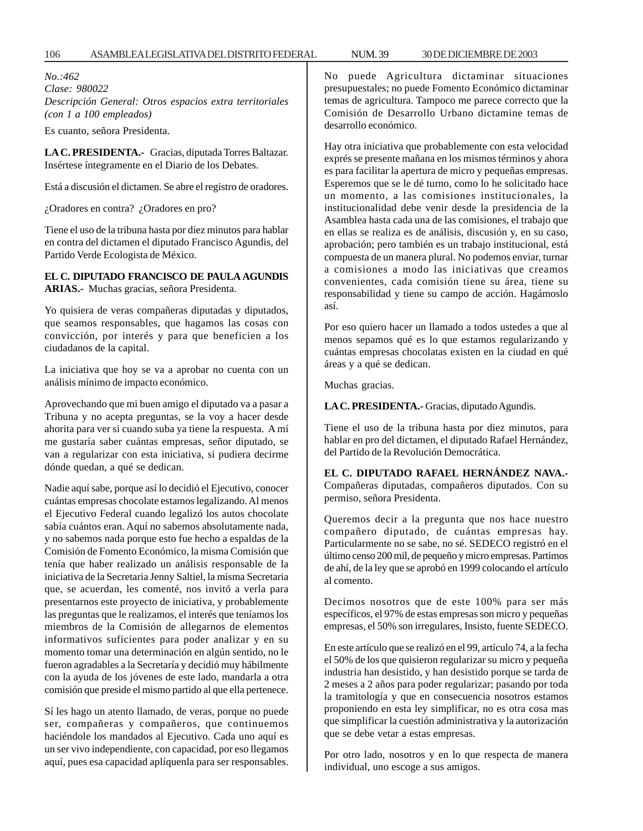*No.:462 Clase: 980022 Descripción General: Otros espacios extra territoriales (con 1 a 100 empleados)*

Es cuanto, señora Presidenta.

**LA C. PRESIDENTA.-** Gracias, diputada Torres Baltazar. Insértese íntegramente en el Diario de los Debates.

Está a discusión el dictamen. Se abre el registro de oradores.

¿Oradores en contra? ¿Oradores en pro?

Tiene el uso de la tribuna hasta por diez minutos para hablar en contra del dictamen el diputado Francisco Agundis, del Partido Verde Ecologista de México.

### **EL C. DIPUTADO FRANCISCO DE PAULA AGUNDIS ARIAS.-** Muchas gracias, señora Presidenta.

Yo quisiera de veras compañeras diputadas y diputados, que seamos responsables, que hagamos las cosas con convicción, por interés y para que beneficien a los ciudadanos de la capital.

La iniciativa que hoy se va a aprobar no cuenta con un análisis mínimo de impacto económico.

Aprovechando que mi buen amigo el diputado va a pasar a Tribuna y no acepta preguntas, se la voy a hacer desde ahorita para ver si cuando suba ya tiene la respuesta. A mí me gustaría saber cuántas empresas, señor diputado, se van a regularizar con esta iniciativa, si pudiera decirme dónde quedan, a qué se dedican.

Nadie aquí sabe, porque así lo decidió el Ejecutivo, conocer cuántas empresas chocolate estamos legalizando. Al menos el Ejecutivo Federal cuando legalizó los autos chocolate sabía cuántos eran. Aquí no sabemos absolutamente nada, y no sabemos nada porque esto fue hecho a espaldas de la Comisión de Fomento Económico, la misma Comisión que tenía que haber realizado un análisis responsable de la iniciativa de la Secretaria Jenny Saltiel, la misma Secretaria que, se acuerdan, les comenté, nos invitó a verla para presentarnos este proyecto de iniciativa, y probablemente las preguntas que le realizamos, el interés que teníamos los miembros de la Comisión de allegarnos de elementos informativos suficientes para poder analizar y en su momento tomar una determinación en algún sentido, no le fueron agradables a la Secretaría y decidió muy hábilmente con la ayuda de los jóvenes de este lado, mandarla a otra comisión que preside el mismo partido al que ella pertenece.

Sí les hago un atento llamado, de veras, porque no puede ser, compañeras y compañeros, que continuemos haciéndole los mandados al Ejecutivo. Cada uno aquí es un ser vivo independiente, con capacidad, por eso llegamos aquí, pues esa capacidad aplíquenla para ser responsables.

No puede Agricultura dictaminar situaciones presupuestales; no puede Fomento Económico dictaminar temas de agricultura. Tampoco me parece correcto que la Comisión de Desarrollo Urbano dictamine temas de desarrollo económico.

Hay otra iniciativa que probablemente con esta velocidad exprés se presente mañana en los mismos términos y ahora es para facilitar la apertura de micro y pequeñas empresas. Esperemos que se le dé turno, como lo he solicitado hace un momento, a las comisiones institucionales, la institucionalidad debe venir desde la presidencia de la Asamblea hasta cada una de las comisiones, el trabajo que en ellas se realiza es de análisis, discusión y, en su caso, aprobación; pero también es un trabajo institucional, está compuesta de un manera plural. No podemos enviar, turnar a comisiones a modo las iniciativas que creamos convenientes, cada comisión tiene su área, tiene su responsabilidad y tiene su campo de acción. Hagámoslo así.

Por eso quiero hacer un llamado a todos ustedes a que al menos sepamos qué es lo que estamos regularizando y cuántas empresas chocolatas existen en la ciudad en qué áreas y a qué se dedican.

Muchas gracias.

**LA C. PRESIDENTA.-** Gracias, diputado Agundis.

Tiene el uso de la tribuna hasta por diez minutos, para hablar en pro del dictamen, el diputado Rafael Hernández, del Partido de la Revolución Democrática.

**EL C. DIPUTADO RAFAEL HERNÁNDEZ NAVA.-** Compañeras diputadas, compañeros diputados. Con su permiso, señora Presidenta.

Queremos decir a la pregunta que nos hace nuestro compañero diputado, de cuántas empresas hay. Particularmente no se sabe, no sé. SEDECO registró en el último censo 200 mil, de pequeño y micro empresas. Partimos de ahí, de la ley que se aprobó en 1999 colocando el artículo al comento.

Decimos nosotros que de este 100% para ser más específicos, el 97% de estas empresas son micro y pequeñas empresas, el 50% son irregulares, Insisto, fuente SEDECO.

En este artículo que se realizó en el 99, artículo 74, a la fecha el 50% de los que quisieron regularizar su micro y pequeña industria han desistido, y han desistido porque se tarda de 2 meses a 2 años para poder regularizar; pasando por toda la tramitología y que en consecuencia nosotros estamos proponiendo en esta ley simplificar, no es otra cosa mas que simplificar la cuestión administrativa y la autorización que se debe vetar a estas empresas.

Por otro lado, nosotros y en lo que respecta de manera individual, uno escoge a sus amigos.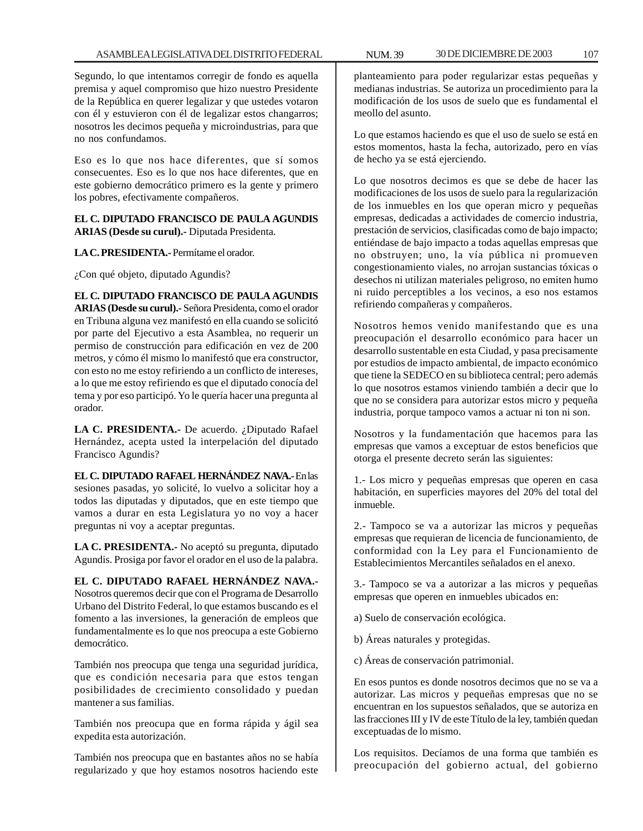Segundo, lo que intentamos corregir de fondo es aquella premisa y aquel compromiso que hizo nuestro Presidente de la República en querer legalizar y que ustedes votaron con él y estuvieron con él de legalizar estos changarros; nosotros les decimos pequeña y microindustrias, para que no nos confundamos.

Eso es lo que nos hace diferentes, que sí somos consecuentes. Eso es lo que nos hace diferentes, que en este gobierno democrático primero es la gente y primero los pobres, efectivamente compañeros.

### **EL C. DIPUTADO FRANCISCO DE PAULA AGUNDIS ARIAS (Desde su curul).-** Diputada Presidenta.

**LA C. PRESIDENTA.-** Permítame el orador.

¿Con qué objeto, diputado Agundis?

**EL C. DIPUTADO FRANCISCO DE PAULA AGUNDIS ARIAS (Desde su curul).-** Señora Presidenta, como el orador en Tribuna alguna vez manifestó en ella cuando se solicitó por parte del Ejecutivo a esta Asamblea, no requerir un permiso de construcción para edificación en vez de 200 metros, y cómo él mismo lo manifestó que era constructor, con esto no me estoy refiriendo a un conflicto de intereses, a lo que me estoy refiriendo es que el diputado conocía del tema y por eso participó. Yo le quería hacer una pregunta al orador.

**LA C. PRESIDENTA.-** De acuerdo. ¿Diputado Rafael Hernández, acepta usted la interpelación del diputado Francisco Agundis?

**EL C. DIPUTADO RAFAEL HERNÁNDEZ NAVA.-** En las sesiones pasadas, yo solicité, lo vuelvo a solicitar hoy a todos las diputadas y diputados, que en este tiempo que vamos a durar en esta Legislatura yo no voy a hacer preguntas ni voy a aceptar preguntas.

**LA C. PRESIDENTA.-** No aceptó su pregunta, diputado Agundis. Prosiga por favor el orador en el uso de la palabra.

**EL C. DIPUTADO RAFAEL HERNÁNDEZ NAVA.-** Nosotros queremos decir que con el Programa de Desarrollo Urbano del Distrito Federal, lo que estamos buscando es el fomento a las inversiones, la generación de empleos que fundamentalmente es lo que nos preocupa a este Gobierno democrático.

También nos preocupa que tenga una seguridad jurídica, que es condición necesaria para que estos tengan posibilidades de crecimiento consolidado y puedan mantener a sus familias.

También nos preocupa que en forma rápida y ágil sea expedita esta autorización.

También nos preocupa que en bastantes años no se había regularizado y que hoy estamos nosotros haciendo este

planteamiento para poder regularizar estas pequeñas y medianas industrias. Se autoriza un procedimiento para la modificación de los usos de suelo que es fundamental el meollo del asunto.

Lo que estamos haciendo es que el uso de suelo se está en estos momentos, hasta la fecha, autorizado, pero en vías de hecho ya se está ejerciendo.

Lo que nosotros decimos es que se debe de hacer las modificaciones de los usos de suelo para la regularización de los inmuebles en los que operan micro y pequeñas empresas, dedicadas a actividades de comercio industria, prestación de servicios, clasificadas como de bajo impacto; entiéndase de bajo impacto a todas aquellas empresas que no obstruyen; uno, la vía pública ni promueven congestionamiento viales, no arrojan sustancias tóxicas o desechos ni utilizan materiales peligroso, no emiten humo ni ruido perceptibles a los vecinos, a eso nos estamos refiriendo compañeras y compañeros.

Nosotros hemos venido manifestando que es una preocupación el desarrollo económico para hacer un desarrollo sustentable en esta Ciudad, y pasa precisamente por estudios de impacto ambiental, de impacto económico que tiene la SEDECO en su biblioteca central; pero además lo que nosotros estamos viniendo también a decir que lo que no se considera para autorizar estos micro y pequeña industria, porque tampoco vamos a actuar ni ton ni son.

Nosotros y la fundamentación que hacemos para las empresas que vamos a exceptuar de estos beneficios que otorga el presente decreto serán las siguientes:

1.- Los micro y pequeñas empresas que operen en casa habitación, en superficies mayores del 20% del total del inmueble.

2.- Tampoco se va a autorizar las micros y pequeñas empresas que requieran de licencia de funcionamiento, de conformidad con la Ley para el Funcionamiento de Establecimientos Mercantiles señalados en el anexo.

3.- Tampoco se va a autorizar a las micros y pequeñas empresas que operen en inmuebles ubicados en:

a) Suelo de conservación ecológica.

b) Áreas naturales y protegidas.

c) Áreas de conservación patrimonial.

En esos puntos es donde nosotros decimos que no se va a autorizar. Las micros y pequeñas empresas que no se encuentran en los supuestos señalados, que se autoriza en las fracciones III y IV de este Título de la ley, también quedan exceptuadas de lo mismo.

Los requisitos. Decíamos de una forma que también es preocupación del gobierno actual, del gobierno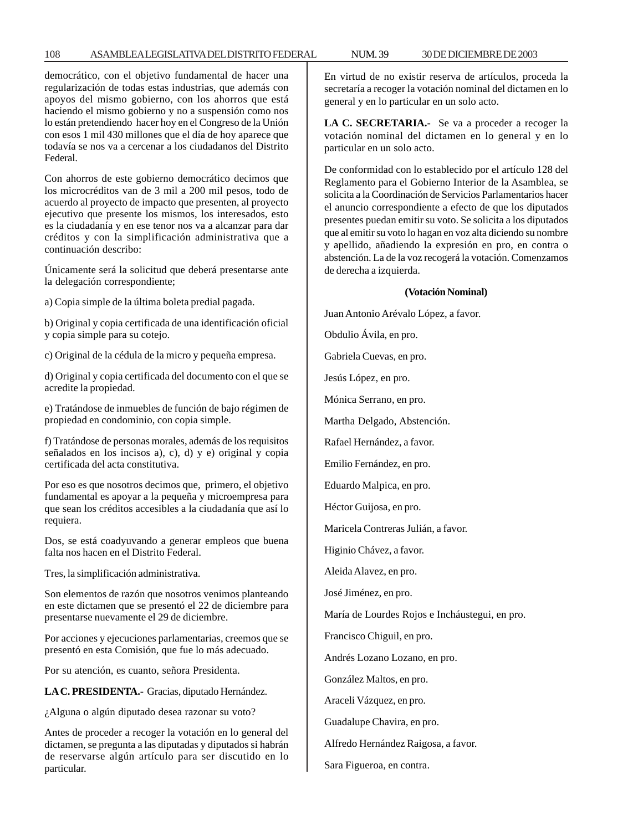#### 108 ASAMBLEA LEGISLATIVA DEL DISTRITO FEDERAL 30 DE NUM. 39 DICIEMBRE DE 2003

democrático, con el objetivo fundamental de hacer una regularización de todas estas industrias, que además con apoyos del mismo gobierno, con los ahorros que está haciendo el mismo gobierno y no a suspensión como nos lo están pretendiendo hacer hoy en el Congreso de la Unión con esos 1 mil 430 millones que el día de hoy aparece que todavía se nos va a cercenar a los ciudadanos del Distrito Federal.

Con ahorros de este gobierno democrático decimos que los microcréditos van de 3 mil a 200 mil pesos, todo de acuerdo al proyecto de impacto que presenten, al proyecto ejecutivo que presente los mismos, los interesados, esto es la ciudadanía y en ese tenor nos va a alcanzar para dar créditos y con la simplificación administrativa que a continuación describo:

Únicamente será la solicitud que deberá presentarse ante la delegación correspondiente;

a) Copia simple de la última boleta predial pagada.

b) Original y copia certificada de una identificación oficial y copia simple para su cotejo.

c) Original de la cédula de la micro y pequeña empresa.

d) Original y copia certificada del documento con el que se acredite la propiedad.

e) Tratándose de inmuebles de función de bajo régimen de propiedad en condominio, con copia simple.

f) Tratándose de personas morales, además de los requisitos señalados en los incisos a), c), d) y e) original y copia certificada del acta constitutiva.

Por eso es que nosotros decimos que, primero, el objetivo fundamental es apoyar a la pequeña y microempresa para que sean los créditos accesibles a la ciudadanía que así lo requiera.

Dos, se está coadyuvando a generar empleos que buena falta nos hacen en el Distrito Federal.

Tres, la simplificación administrativa.

Son elementos de razón que nosotros venimos planteando en este dictamen que se presentó el 22 de diciembre para presentarse nuevamente el 29 de diciembre.

Por acciones y ejecuciones parlamentarias, creemos que se presentó en esta Comisión, que fue lo más adecuado.

Por su atención, es cuanto, señora Presidenta.

**LA C. PRESIDENTA.-** Gracias, diputado Hernández.

¿Alguna o algún diputado desea razonar su voto?

Antes de proceder a recoger la votación en lo general del dictamen, se pregunta a las diputadas y diputados si habrán de reservarse algún artículo para ser discutido en lo particular.

En virtud de no existir reserva de artículos, proceda la secretaría a recoger la votación nominal del dictamen en lo general y en lo particular en un solo acto.

**LA C. SECRETARIA.-** Se va a proceder a recoger la votación nominal del dictamen en lo general y en lo particular en un solo acto.

De conformidad con lo establecido por el artículo 128 del Reglamento para el Gobierno Interior de la Asamblea, se solicita a la Coordinación de Servicios Parlamentarios hacer el anuncio correspondiente a efecto de que los diputados presentes puedan emitir su voto. Se solicita a los diputados que al emitir su voto lo hagan en voz alta diciendo su nombre y apellido, añadiendo la expresión en pro, en contra o abstención. La de la voz recogerá la votación. Comenzamos de derecha a izquierda.

#### **(Votación Nominal)**

Juan Antonio Arévalo López, a favor.

Obdulio Ávila, en pro.

Gabriela Cuevas, en pro.

Jesús López, en pro.

Mónica Serrano, en pro.

Martha Delgado, Abstención.

Rafael Hernández, a favor.

Emilio Fernández, en pro.

Eduardo Malpica, en pro.

Héctor Guijosa, en pro.

Maricela Contreras Julián, a favor.

Higinio Chávez, a favor.

Aleida Alavez, en pro.

José Jiménez, en pro.

María de Lourdes Rojos e Incháustegui, en pro.

Francisco Chiguil, en pro.

Andrés Lozano Lozano, en pro.

González Maltos, en pro.

Araceli Vázquez, en pro.

Guadalupe Chavira, en pro.

Alfredo Hernández Raigosa, a favor.

Sara Figueroa, en contra.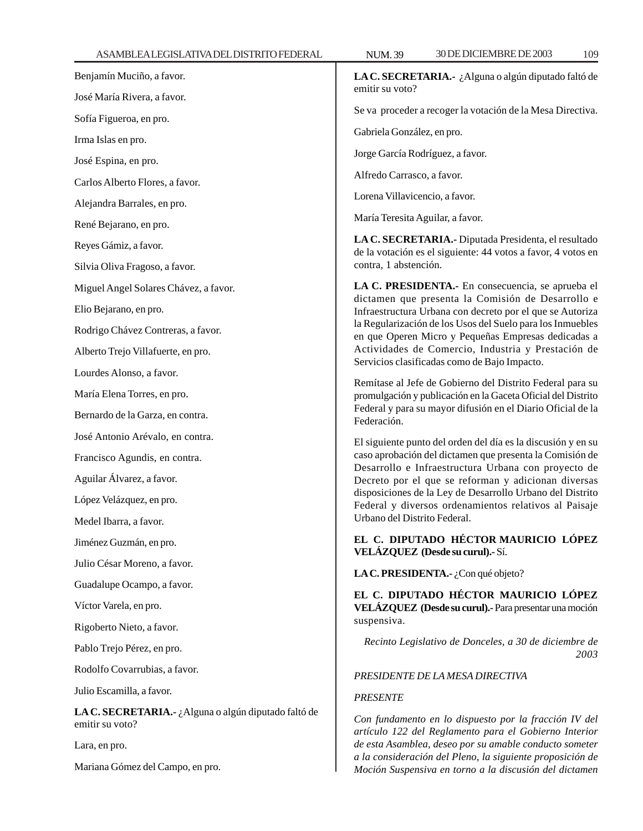| Benjamín Muciño, a favor.                                               | <b>LAC</b>          |
|-------------------------------------------------------------------------|---------------------|
| José María Rivera, a favor.                                             | emiti               |
| Sofía Figueroa, en pro.                                                 | Se va               |
| Irma Islas en pro.                                                      | Gabri               |
| José Espina, en pro.                                                    | Jorge               |
| Carlos Alberto Flores, a favor.                                         | Alfre               |
| Alejandra Barrales, en pro.                                             | Lorer               |
| René Bejarano, en pro.                                                  | María               |
| Reyes Gámiz, a favor.                                                   | <b>LAC</b><br>de la |
| Silvia Oliva Fragoso, a favor.                                          | contr               |
| Miguel Angel Solares Chávez, a favor.                                   | LA O                |
| Elio Bejarano, en pro.                                                  | dicta<br>Infra      |
| Rodrigo Chávez Contreras, a favor.                                      | la Re<br>en qu      |
| Alberto Trejo Villafuerte, en pro.                                      | Activ               |
| Lourdes Alonso, a favor.                                                | Servi               |
| María Elena Torres, en pro.                                             | Remi<br>prom        |
| Bernardo de la Garza, en contra.                                        | Feder<br>Feder      |
| José Antonio Arévalo, en contra.                                        | El sig              |
| Francisco Agundis, en contra.                                           | caso:<br>Desa       |
| Aguilar Álvarez, a favor.                                               | Decr                |
| López Velázquez, en pro.                                                | dispo<br>Fede       |
| Medel Ibarra, a favor.                                                  | Urba                |
| Jiménez Guzmán, en pro.                                                 | EL 0<br>VEL.        |
| Julio César Moreno, a favor.                                            |                     |
| Guadalupe Ocampo, a favor.                                              | <b>LAC</b>          |
| Víctor Varela, en pro.                                                  | EL 0<br>VEL.        |
| Rigoberto Nieto, a favor.                                               | suspe               |
| Pablo Trejo Pérez, en pro.                                              | Re                  |
| Rodolfo Covarrubias, a favor.                                           | PRES                |
| Julio Escamilla, a favor.                                               | <b>PRES</b>         |
| LA C. SECRETARIA.- ¿Alguna o algún diputado faltó de<br>emitir su voto? | Con<br>artíci       |
| Lara, en pro.                                                           | de es               |
| Mariana Gómez del Campo, en pro.                                        | a la c<br>Moci      |

**LA C. SECRETARIA.-** ¿Alguna o algún diputado faltó de r su voto?

proceder a recoger la votación de la Mesa Directiva.

ela González, en pro.

García Rodríguez, a favor.

do Carrasco, a favor.

na Villavicencio, a favor.

a Teresita Aguilar, a favor.

**LA C. SECRETARIA.-** Diputada Presidenta, el resultado votación es el siguiente: 44 votos a favor, 4 votos en a, 1 abstención.

**LA C. PRESIDENTA.-** En consecuencia, se aprueba el men que presenta la Comisión de Desarrollo e estructura Urbana con decreto por el que se Autoriza gularización de los Usos del Suelo para los Inmuebles le Operen Micro y Pequeñas Empresas dedicadas a vidades de Comercio, Industria y Prestación de cios clasificadas como de Bajo Impacto.

ftase al Jefe de Gobierno del Distrito Federal para su ulgación y publicación en la Gaceta Oficial del Distrito ral y para su mayor difusión en el Diario Oficial de la ación.

uiente punto del orden del día es la discusión y en su aprobación del dictamen que presenta la Comisión de rrollo e Infraestructura Urbana con proyecto de eto por el que se reforman y adicionan diversas siciones de la Ley de Desarrollo Urbano del Distrito ral y diversos ordenamientos relativos al Paisaje no del Distrito Federal.

**EL C. DIPUTADO HÉCTOR MAURICIO LÓPEZ VELÁZQUEZ (Desde su curul).-** Sí.

**PRESIDENTA.-** ¿Con qué objeto?

**EL C. DIPUTADO HÉCTOR MAURICIO LÓPEZ VELÁZQUEZ (Desde su curul).-** Para presentar una moción ensiva.

*Recinto Legislativo de Donceles, a 30 de diciembre de 2003*

## *PRESIDENTE DE LA MESA DIRECTIVA*

### *PRESENTE*

*Con fundamento en lo dispuesto por la fracción IV del artículo 122 del Reglamento para el Gobierno Interior de esta Asamblea, deseo por su amable conducto someter a la consideración del Pleno, la siguiente proposición de Moción Suspensiva en torno a la discusión del dictamen*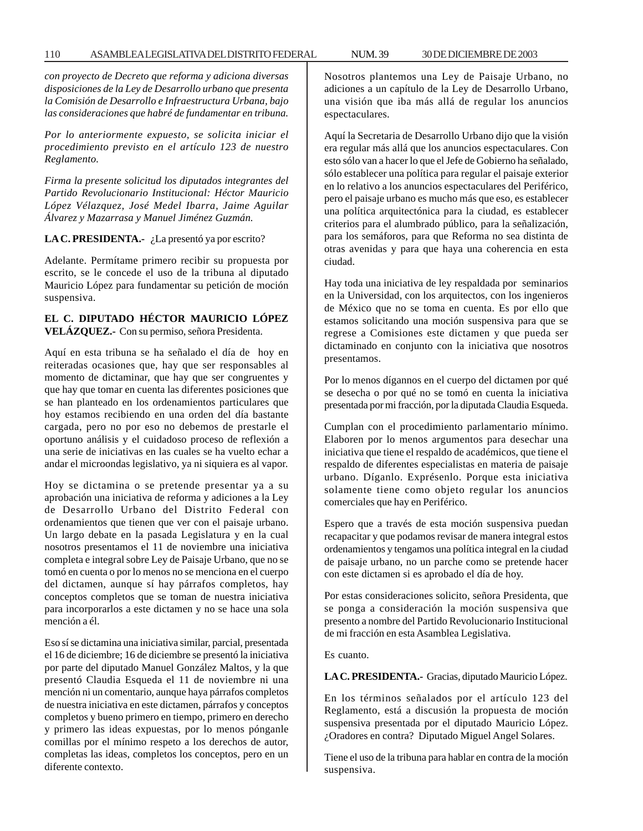*con proyecto de Decreto que reforma y adiciona diversas disposiciones de la Ley de Desarrollo urbano que presenta la Comisión de Desarrollo e Infraestructura Urbana, bajo las consideraciones que habré de fundamentar en tribuna.*

*Por lo anteriormente expuesto, se solicita iniciar el procedimiento previsto en el artículo 123 de nuestro Reglamento.*

*Firma la presente solicitud los diputados integrantes del Partido Revolucionario Institucional: Héctor Mauricio López Vélazquez, José Medel Ibarra, Jaime Aguilar Álvarez y Mazarrasa y Manuel Jiménez Guzmán.*

# **LA C. PRESIDENTA.-** ¿La presentó ya por escrito?

Adelante. Permítame primero recibir su propuesta por escrito, se le concede el uso de la tribuna al diputado Mauricio López para fundamentar su petición de moción suspensiva.

# **EL C. DIPUTADO HÉCTOR MAURICIO LÓPEZ VELÁZQUEZ.-** Con su permiso, señora Presidenta.

Aquí en esta tribuna se ha señalado el día de hoy en reiteradas ocasiones que, hay que ser responsables al momento de dictaminar, que hay que ser congruentes y que hay que tomar en cuenta las diferentes posiciones que se han planteado en los ordenamientos particulares que hoy estamos recibiendo en una orden del día bastante cargada, pero no por eso no debemos de prestarle el oportuno análisis y el cuidadoso proceso de reflexión a una serie de iniciativas en las cuales se ha vuelto echar a andar el microondas legislativo, ya ni siquiera es al vapor.

Hoy se dictamina o se pretende presentar ya a su aprobación una iniciativa de reforma y adiciones a la Ley de Desarrollo Urbano del Distrito Federal con ordenamientos que tienen que ver con el paisaje urbano. Un largo debate en la pasada Legislatura y en la cual nosotros presentamos el 11 de noviembre una iniciativa completa e integral sobre Ley de Paisaje Urbano, que no se tomó en cuenta o por lo menos no se menciona en el cuerpo del dictamen, aunque sí hay párrafos completos, hay conceptos completos que se toman de nuestra iniciativa para incorporarlos a este dictamen y no se hace una sola mención a él.

Eso sí se dictamina una iniciativa similar, parcial, presentada el 16 de diciembre; 16 de diciembre se presentó la iniciativa por parte del diputado Manuel González Maltos, y la que presentó Claudia Esqueda el 11 de noviembre ni una mención ni un comentario, aunque haya párrafos completos de nuestra iniciativa en este dictamen, párrafos y conceptos completos y bueno primero en tiempo, primero en derecho y primero las ideas expuestas, por lo menos pónganle comillas por el mínimo respeto a los derechos de autor, completas las ideas, completos los conceptos, pero en un diferente contexto.

Nosotros plantemos una Ley de Paisaje Urbano, no adiciones a un capítulo de la Ley de Desarrollo Urbano, una visión que iba más allá de regular los anuncios espectaculares.

Aquí la Secretaria de Desarrollo Urbano dijo que la visión era regular más allá que los anuncios espectaculares. Con esto sólo van a hacer lo que el Jefe de Gobierno ha señalado, sólo establecer una política para regular el paisaje exterior en lo relativo a los anuncios espectaculares del Periférico, pero el paisaje urbano es mucho más que eso, es establecer una política arquitectónica para la ciudad, es establecer criterios para el alumbrado público, para la señalización, para los semáforos, para que Reforma no sea distinta de otras avenidas y para que haya una coherencia en esta ciudad.

Hay toda una iniciativa de ley respaldada por seminarios en la Universidad, con los arquitectos, con los ingenieros de México que no se toma en cuenta. Es por ello que estamos solicitando una moción suspensiva para que se regrese a Comisiones este dictamen y que pueda ser dictaminado en conjunto con la iniciativa que nosotros presentamos.

Por lo menos dígannos en el cuerpo del dictamen por qué se desecha o por qué no se tomó en cuenta la iniciativa presentada por mi fracción, por la diputada Claudia Esqueda.

Cumplan con el procedimiento parlamentario mínimo. Elaboren por lo menos argumentos para desechar una iniciativa que tiene el respaldo de académicos, que tiene el respaldo de diferentes especialistas en materia de paisaje urbano. Díganlo. Exprésenlo. Porque esta iniciativa solamente tiene como objeto regular los anuncios comerciales que hay en Periférico.

Espero que a través de esta moción suspensiva puedan recapacitar y que podamos revisar de manera integral estos ordenamientos y tengamos una política integral en la ciudad de paisaje urbano, no un parche como se pretende hacer con este dictamen si es aprobado el día de hoy.

Por estas consideraciones solicito, señora Presidenta, que se ponga a consideración la moción suspensiva que presento a nombre del Partido Revolucionario Institucional de mi fracción en esta Asamblea Legislativa.

Es cuanto.

**LA C. PRESIDENTA.-** Gracias, diputado Mauricio López.

En los términos señalados por el artículo 123 del Reglamento, está a discusión la propuesta de moción suspensiva presentada por el diputado Mauricio López. ¿Oradores en contra? Diputado Miguel Angel Solares.

Tiene el uso de la tribuna para hablar en contra de la moción suspensiva.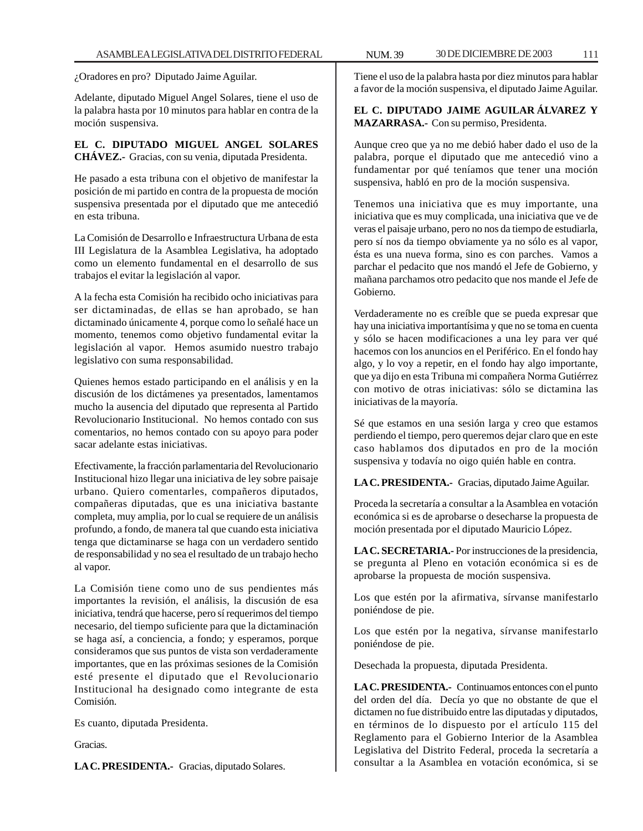¿Oradores en pro? Diputado Jaime Aguilar.

Adelante, diputado Miguel Angel Solares, tiene el uso de la palabra hasta por 10 minutos para hablar en contra de la moción suspensiva.

**EL C. DIPUTADO MIGUEL ANGEL SOLARES CHÁVEZ.-** Gracias, con su venia, diputada Presidenta.

He pasado a esta tribuna con el objetivo de manifestar la posición de mi partido en contra de la propuesta de moción suspensiva presentada por el diputado que me antecedió en esta tribuna.

La Comisión de Desarrollo e Infraestructura Urbana de esta III Legislatura de la Asamblea Legislativa, ha adoptado como un elemento fundamental en el desarrollo de sus trabajos el evitar la legislación al vapor.

A la fecha esta Comisión ha recibido ocho iniciativas para ser dictaminadas, de ellas se han aprobado, se han dictaminado únicamente 4, porque como lo señalé hace un momento, tenemos como objetivo fundamental evitar la legislación al vapor. Hemos asumido nuestro trabajo legislativo con suma responsabilidad.

Quienes hemos estado participando en el análisis y en la discusión de los dictámenes ya presentados, lamentamos mucho la ausencia del diputado que representa al Partido Revolucionario Institucional. No hemos contado con sus comentarios, no hemos contado con su apoyo para poder sacar adelante estas iniciativas.

Efectivamente, la fracción parlamentaria del Revolucionario Institucional hizo llegar una iniciativa de ley sobre paisaje urbano. Quiero comentarles, compañeros diputados, compañeras diputadas, que es una iniciativa bastante completa, muy amplia, por lo cual se requiere de un análisis profundo, a fondo, de manera tal que cuando esta iniciativa tenga que dictaminarse se haga con un verdadero sentido de responsabilidad y no sea el resultado de un trabajo hecho al vapor.

La Comisión tiene como uno de sus pendientes más importantes la revisión, el análisis, la discusión de esa iniciativa, tendrá que hacerse, pero sí requerimos del tiempo necesario, del tiempo suficiente para que la dictaminación se haga así, a conciencia, a fondo; y esperamos, porque consideramos que sus puntos de vista son verdaderamente importantes, que en las próximas sesiones de la Comisión esté presente el diputado que el Revolucionario Institucional ha designado como integrante de esta Comisión.

Es cuanto, diputada Presidenta.

Gracias.

**LA C. PRESIDENTA.-** Gracias, diputado Solares.

Tiene el uso de la palabra hasta por diez minutos para hablar a favor de la moción suspensiva, el diputado Jaime Aguilar.

# **EL C. DIPUTADO JAIME AGUILAR ÁLVAREZ Y MAZARRASA.-** Con su permiso, Presidenta.

Aunque creo que ya no me debió haber dado el uso de la palabra, porque el diputado que me antecedió vino a fundamentar por qué teníamos que tener una moción suspensiva, habló en pro de la moción suspensiva.

Tenemos una iniciativa que es muy importante, una iniciativa que es muy complicada, una iniciativa que ve de veras el paisaje urbano, pero no nos da tiempo de estudiarla, pero sí nos da tiempo obviamente ya no sólo es al vapor, ésta es una nueva forma, sino es con parches. Vamos a parchar el pedacito que nos mandó el Jefe de Gobierno, y mañana parchamos otro pedacito que nos mande el Jefe de Gobierno.

Verdaderamente no es creíble que se pueda expresar que hay una iniciativa importantísima y que no se toma en cuenta y sólo se hacen modificaciones a una ley para ver qué hacemos con los anuncios en el Periférico. En el fondo hay algo, y lo voy a repetir, en el fondo hay algo importante, que ya dijo en esta Tribuna mi compañera Norma Gutiérrez con motivo de otras iniciativas: sólo se dictamina las iniciativas de la mayoría.

Sé que estamos en una sesión larga y creo que estamos perdiendo el tiempo, pero queremos dejar claro que en este caso hablamos dos diputados en pro de la moción suspensiva y todavía no oigo quién hable en contra.

**LA C. PRESIDENTA.-** Gracias, diputado Jaime Aguilar.

Proceda la secretaría a consultar a la Asamblea en votación económica si es de aprobarse o desecharse la propuesta de moción presentada por el diputado Mauricio López.

**LA C. SECRETARIA.-** Por instrucciones de la presidencia, se pregunta al Pleno en votación económica si es de aprobarse la propuesta de moción suspensiva.

Los que estén por la afirmativa, sírvanse manifestarlo poniéndose de pie.

Los que estén por la negativa, sírvanse manifestarlo poniéndose de pie.

Desechada la propuesta, diputada Presidenta.

**LA C. PRESIDENTA.-** Continuamos entonces con el punto del orden del día. Decía yo que no obstante de que el dictamen no fue distribuido entre las diputadas y diputados, en términos de lo dispuesto por el artículo 115 del Reglamento para el Gobierno Interior de la Asamblea Legislativa del Distrito Federal, proceda la secretaría a consultar a la Asamblea en votación económica, si se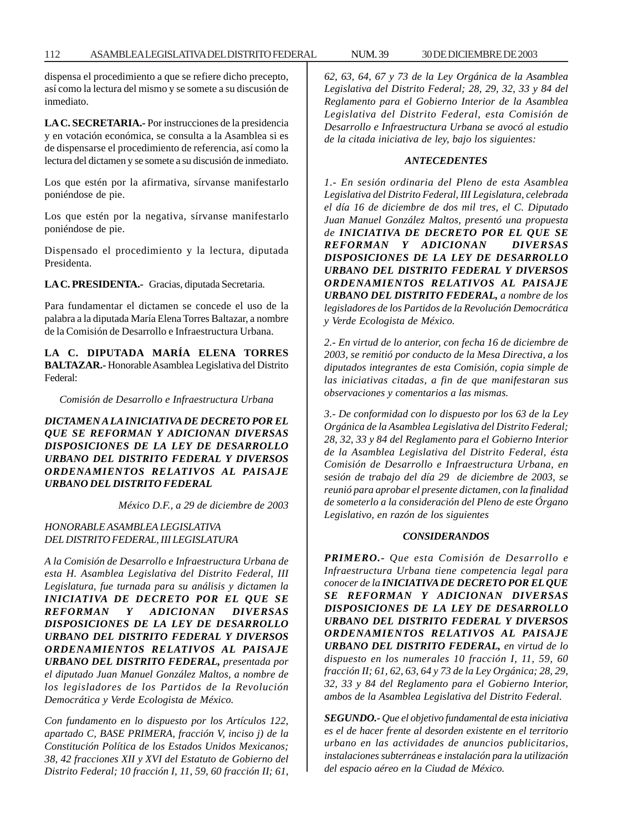dispensa el procedimiento a que se refiere dicho precepto, así como la lectura del mismo y se somete a su discusión de inmediato.

**LA C. SECRETARIA.-** Por instrucciones de la presidencia y en votación económica, se consulta a la Asamblea si es de dispensarse el procedimiento de referencia, así como la lectura del dictamen y se somete a su discusión de inmediato.

Los que estén por la afirmativa, sírvanse manifestarlo poniéndose de pie.

Los que estén por la negativa, sírvanse manifestarlo poniéndose de pie.

Dispensado el procedimiento y la lectura, diputada Presidenta.

**LA C. PRESIDENTA.-** Gracias, diputada Secretaria.

Para fundamentar el dictamen se concede el uso de la palabra a la diputada María Elena Torres Baltazar, a nombre de la Comisión de Desarrollo e Infraestructura Urbana.

**LA C. DIPUTADA MARÍA ELENA TORRES BALTAZAR.-** Honorable Asamblea Legislativa del Distrito Federal:

*Comisión de Desarrollo e Infraestructura Urbana*

*DICTAMEN A LA INICIATIVA DE DECRETO POR EL QUE SE REFORMAN Y ADICIONAN DIVERSAS DISPOSICIONES DE LA LEY DE DESARROLLO URBANO DEL DISTRITO FEDERAL Y DIVERSOS ORDENAMIENTOS RELATIVOS AL PAISAJE URBANO DEL DISTRITO FEDERAL*

*México D.F., a 29 de diciembre de 2003*

# *HONORABLE ASAMBLEA LEGISLATIVA DEL DISTRITO FEDERAL, III LEGISLATURA*

*A la Comisión de Desarrollo e Infraestructura Urbana de esta H. Asamblea Legislativa del Distrito Federal, III Legislatura, fue turnada para su análisis y dictamen la INICIATIVA DE DECRETO POR EL QUE SE REFORMAN Y ADICIONAN DIVERSAS DISPOSICIONES DE LA LEY DE DESARROLLO URBANO DEL DISTRITO FEDERAL Y DIVERSOS ORDENAMIENTOS RELATIVOS AL PAISAJE URBANO DEL DISTRITO FEDERAL, presentada por el diputado Juan Manuel González Maltos, a nombre de los legisladores de los Partidos de la Revolución Democrática y Verde Ecologista de México.*

*Con fundamento en lo dispuesto por los Artículos 122, apartado C, BASE PRIMERA, fracción V, inciso j) de la Constitución Política de los Estados Unidos Mexicanos; 38, 42 fracciones XII y XVI del Estatuto de Gobierno del Distrito Federal; 10 fracción I, 11, 59, 60 fracción II; 61,*

*62, 63, 64, 67 y 73 de la Ley Orgánica de la Asamblea Legislativa del Distrito Federal; 28, 29, 32, 33 y 84 del Reglamento para el Gobierno Interior de la Asamblea Legislativa del Distrito Federal, esta Comisión de Desarrollo e Infraestructura Urbana se avocó al estudio de la citada iniciativa de ley, bajo los siguientes:*

## *ANTECEDENTES*

*1.- En sesión ordinaria del Pleno de esta Asamblea Legislativa del Distrito Federal, III Legislatura, celebrada el día 16 de diciembre de dos mil tres, el C. Diputado Juan Manuel González Maltos, presentó una propuesta de INICIATIVA DE DECRETO POR EL QUE SE REFORMAN Y ADICIONAN DIVERSAS DISPOSICIONES DE LA LEY DE DESARROLLO URBANO DEL DISTRITO FEDERAL Y DIVERSOS ORDENAMIENTOS RELATIVOS AL PAISAJE URBANO DEL DISTRITO FEDERAL, a nombre de los legisladores de los Partidos de la Revolución Democrática y Verde Ecologista de México.*

*2.- En virtud de lo anterior, con fecha 16 de diciembre de 2003, se remitió por conducto de la Mesa Directiva, a los diputados integrantes de esta Comisión, copia simple de las iniciativas citadas, a fin de que manifestaran sus observaciones y comentarios a las mismas.*

*3.- De conformidad con lo dispuesto por los 63 de la Ley Orgánica de la Asamblea Legislativa del Distrito Federal; 28, 32, 33 y 84 del Reglamento para el Gobierno Interior de la Asamblea Legislativa del Distrito Federal, ésta Comisión de Desarrollo e Infraestructura Urbana, en sesión de trabajo del día 29 de diciembre de 2003, se reunió para aprobar el presente dictamen, con la finalidad de someterlo a la consideración del Pleno de este Órgano Legislativo, en razón de los siguientes*

#### *CONSIDERANDOS*

*PRIMERO.- Que esta Comisión de Desarrollo e Infraestructura Urbana tiene competencia legal para conocer de la INICIATIVA DE DECRETO POR EL QUE SE REFORMAN Y ADICIONAN DIVERSAS DISPOSICIONES DE LA LEY DE DESARROLLO URBANO DEL DISTRITO FEDERAL Y DIVERSOS ORDENAMIENTOS RELATIVOS AL PAISAJE URBANO DEL DISTRITO FEDERAL, en virtud de lo dispuesto en los numerales 10 fracción I, 11, 59, 60 fracción II; 61, 62, 63, 64 y 73 de la Ley Orgánica; 28, 29, 32, 33 y 84 del Reglamento para el Gobierno Interior, ambos de la Asamblea Legislativa del Distrito Federal.*

*SEGUNDO.- Que el objetivo fundamental de esta iniciativa es el de hacer frente al desorden existente en el territorio urbano en las actividades de anuncios publicitarios, instalaciones subterráneas e instalación para la utilización del espacio aéreo en la Ciudad de México.*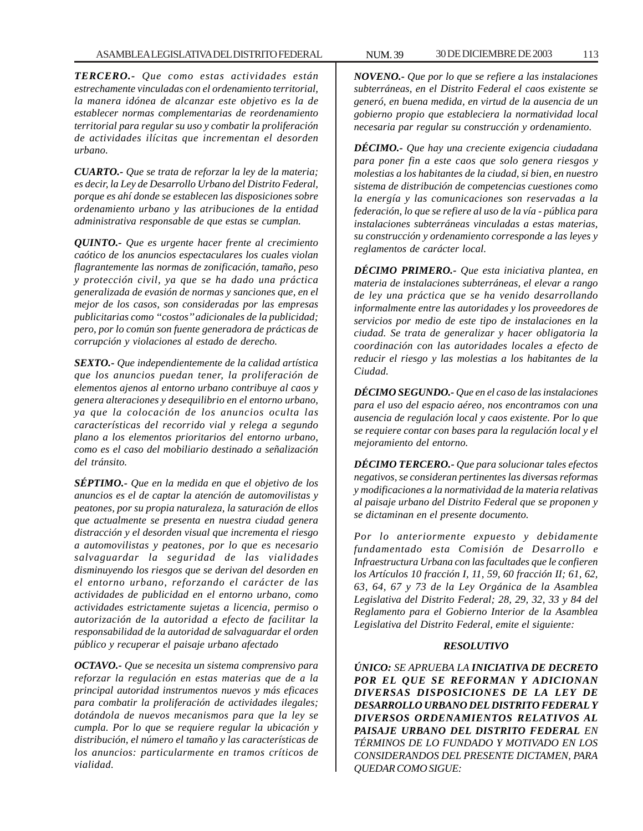*TERCERO.- Que como estas actividades están estrechamente vinculadas con el ordenamiento territorial, la manera idónea de alcanzar este objetivo es la de establecer normas complementarias de reordenamiento territorial para regular su uso y combatir la proliferación de actividades ilícitas que incrementan el desorden urbano.*

*CUARTO.- Que se trata de reforzar la ley de la materia; es decir, la Ley de Desarrollo Urbano del Distrito Federal, porque es ahí donde se establecen las disposiciones sobre ordenamiento urbano y las atribuciones de la entidad administrativa responsable de que estas se cumplan.*

*QUINTO.- Que es urgente hacer frente al crecimiento caótico de los anuncios espectaculares los cuales violan flagrantemente las normas de zonificación, tamaño, peso y protección civil, ya que se ha dado una práctica generalizada de evasión de normas y sanciones que, en el mejor de los casos, son consideradas por las empresas publicitarias como ''costos'' adicionales de la publicidad; pero, por lo común son fuente generadora de prácticas de corrupción y violaciones al estado de derecho.*

*SEXTO.- Que independientemente de la calidad artística que los anuncios puedan tener, la proliferación de elementos ajenos al entorno urbano contribuye al caos y genera alteraciones y desequilibrio en el entorno urbano, ya que la colocación de los anuncios oculta las características del recorrido vial y relega a segundo plano a los elementos prioritarios del entorno urbano, como es el caso del mobiliario destinado a señalización del tránsito.*

*SÉPTIMO.- Que en la medida en que el objetivo de los anuncios es el de captar la atención de automovilistas y peatones, por su propia naturaleza, la saturación de ellos que actualmente se presenta en nuestra ciudad genera distracción y el desorden visual que incrementa el riesgo a automovilistas y peatones, por lo que es necesario salvaguardar la seguridad de las vialidades disminuyendo los riesgos que se derivan del desorden en el entorno urbano, reforzando el carácter de las actividades de publicidad en el entorno urbano, como actividades estrictamente sujetas a licencia, permiso o autorización de la autoridad a efecto de facilitar la responsabilidad de la autoridad de salvaguardar el orden público y recuperar el paisaje urbano afectado*

*OCTAVO.- Que se necesita un sistema comprensivo para reforzar la regulación en estas materias que de a la principal autoridad instrumentos nuevos y más eficaces para combatir la proliferación de actividades ilegales; dotándola de nuevos mecanismos para que la ley se cumpla. Por lo que se requiere regular la ubicación y distribución, el número el tamaño y las características de los anuncios: particularmente en tramos críticos de vialidad.*

*NOVENO.- Que por lo que se refiere a las instalaciones subterráneas, en el Distrito Federal el caos existente se generó, en buena medida, en virtud de la ausencia de un gobierno propio que estableciera la normatividad local necesaria par regular su construcción y ordenamiento.*

*DÉCIMO.- Que hay una creciente exigencia ciudadana para poner fin a este caos que solo genera riesgos y molestias a los habitantes de la ciudad, si bien, en nuestro sistema de distribución de competencias cuestiones como la energía y las comunicaciones son reservadas a la federación, lo que se refiere al uso de la vía - pública para instalaciones subterráneas vinculadas a estas materias, su construcción y ordenamiento corresponde a las leyes y reglamentos de carácter local.*

*DÉCIMO PRIMERO.- Que esta iniciativa plantea, en materia de instalaciones subterráneas, el elevar a rango de ley una práctica que se ha venido desarrollando informalmente entre las autoridades y los proveedores de servicios por medio de este tipo de instalaciones en la ciudad. Se trata de generalizar y hacer obligatoria la coordinación con las autoridades locales a efecto de reducir el riesgo y las molestias a los habitantes de la Ciudad.*

*DÉCIMO SEGUNDO.- Que en el caso de las instalaciones para el uso del espacio aéreo, nos encontramos con una ausencia de regulación local y caos existente. Por lo que se requiere contar con bases para la regulación local y el mejoramiento del entorno.*

*DÉCIMO TERCERO.- Que para solucionar tales efectos negativos, se consideran pertinentes las diversas reformas y modificaciones a la normatividad de la materia relativas al paisaje urbano del Distrito Federal que se proponen y se dictaminan en el presente documento.*

*Por lo anteriormente expuesto y debidamente fundamentado esta Comisión de Desarrollo e Infraestructura Urbana con las facultades que le confieren los Artículos 10 fracción I, 11, 59, 60 fracción II; 61, 62, 63, 64, 67 y 73 de la Ley Orgánica de la Asamblea Legislativa del Distrito Federal; 28, 29, 32, 33 y 84 del Reglamento para el Gobierno Interior de la Asamblea Legislativa del Distrito Federal, emite el siguiente:*

# *RESOLUTIVO*

*ÚNICO: SE APRUEBA LA INICIATIVA DE DECRETO POR EL QUE SE REFORMAN Y ADICIONAN DIVERSAS DISPOSICIONES DE LA LEY DE DESARROLLO URBANO DEL DISTRITO FEDERAL Y DIVERSOS ORDENAMIENTOS RELATIVOS AL PAISAJE URBANO DEL DISTRITO FEDERAL EN TÉRMINOS DE LO FUNDADO Y MOTIVADO EN LOS CONSIDERANDOS DEL PRESENTE DICTAMEN, PARA QUEDAR COMO SIGUE:*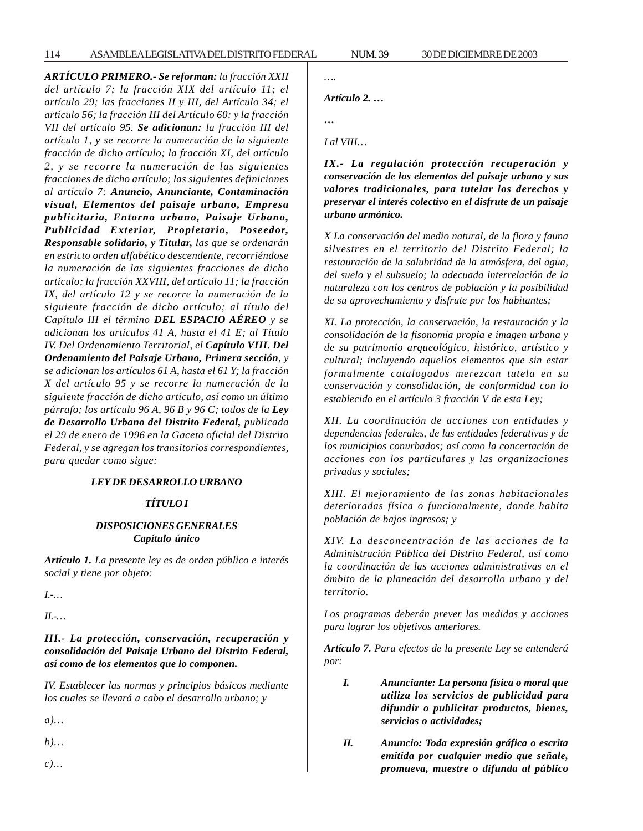*ARTÍCULO PRIMERO.- Se reforman: la fracción XXII del artículo 7; la fracción XIX del artículo 11; el artículo 29; las fracciones II y III, del Artículo 34; el artículo 56; la fracción III del Artículo 60: y la fracción VII del artículo 95. Se adicionan: la fracción III del artículo 1, y se recorre la numeración de la siguiente fracción de dicho artículo; la fracción XI, del artículo 2, y se recorre la numeración de las siguientes fracciones de dicho artículo; las siguientes definiciones al artículo 7: Anuncio, Anunciante, Contaminación visual, Elementos del paisaje urbano, Empresa publicitaria, Entorno urbano, Paisaje Urbano, Publicidad Exterior, Propietario, Poseedor, Responsable solidario, y Titular, las que se ordenarán en estricto orden alfabético descendente, recorriéndose la numeración de las siguientes fracciones de dicho artículo; la fracción XXVIII, del artículo 11; la fracción IX, del artículo 12 y se recorre la numeración de la siguiente fracción de dicho artículo; al título del Capítulo III el término DEL ESPACIO AÉREO y se adicionan los artículos 41 A, hasta el 41 E; al Título IV. Del Ordenamiento Territorial, el Capítulo VIII. Del Ordenamiento del Paisaje Urbano, Primera sección, y se adicionan los artículos 61 A, hasta el 61 Y; la fracción X del artículo 95 y se recorre la numeración de la siguiente fracción de dicho artículo, así como un último párrafo; los artículo 96 A, 96 B y 96 C; todos de la Ley de Desarrollo Urbano del Distrito Federal, publicada el 29 de enero de 1996 en la Gaceta oficial del Distrito Federal, y se agregan los transitorios correspondientes, para quedar como sigue:*

#### *LEY DE DESARROLLO URBANO*

#### *TÍTULO I*

# *DISPOSICIONES GENERALES Capítulo único*

*Artículo 1. La presente ley es de orden público e interés social y tiene por objeto:*

*I.-…*

*II.-…*

*III.- La protección, conservación, recuperación y consolidación del Paisaje Urbano del Distrito Federal, así como de los elementos que lo componen.*

*IV. Establecer las normas y principios básicos mediante los cuales se llevará a cabo el desarrollo urbano; y*

*a)…*

*b)…*

*c)…*

*….*

*Artículo 2. …*

*…*

*I al VIII…*

*IX.- La regulación protección recuperación y conservación de los elementos del paisaje urbano y sus valores tradicionales, para tutelar los derechos y preservar el interés colectivo en el disfrute de un paisaje urbano armónico.*

*X La conservación del medio natural, de la flora y fauna silvestres en el territorio del Distrito Federal; la restauración de la salubridad de la atmósfera, del agua, del suelo y el subsuelo; la adecuada interrelación de la naturaleza con los centros de población y la posibilidad de su aprovechamiento y disfrute por los habitantes;*

*XI. La protección, la conservación, la restauración y la consolidación de la fisonomía propia e imagen urbana y de su patrimonio arqueológico, histórico, artístico y cultural; incluyendo aquellos elementos que sin estar formalmente catalogados merezcan tutela en su conservación y consolidación, de conformidad con lo establecido en el artículo 3 fracción V de esta Ley;*

*XII. La coordinación de acciones con entidades y dependencias federales, de las entidades federativas y de los municipios conurbados; así como la concertación de acciones con los particulares y las organizaciones privadas y sociales;*

*XIII. El mejoramiento de las zonas habitacionales deterioradas física o funcionalmente, donde habita población de bajos ingresos; y*

*XIV. La desconcentración de las acciones de la Administración Pública del Distrito Federal, así como la coordinación de las acciones administrativas en el ámbito de la planeación del desarrollo urbano y del territorio.*

*Los programas deberán prever las medidas y acciones para lograr los objetivos anteriores.*

*Artículo 7. Para efectos de la presente Ley se entenderá por:*

- *I. Anunciante: La persona física o moral que utiliza los servicios de publicidad para difundir o publicitar productos, bienes, servicios o actividades;*
- *II. Anuncio: Toda expresión gráfica o escrita emitida por cualquier medio que señale, promueva, muestre o difunda al público*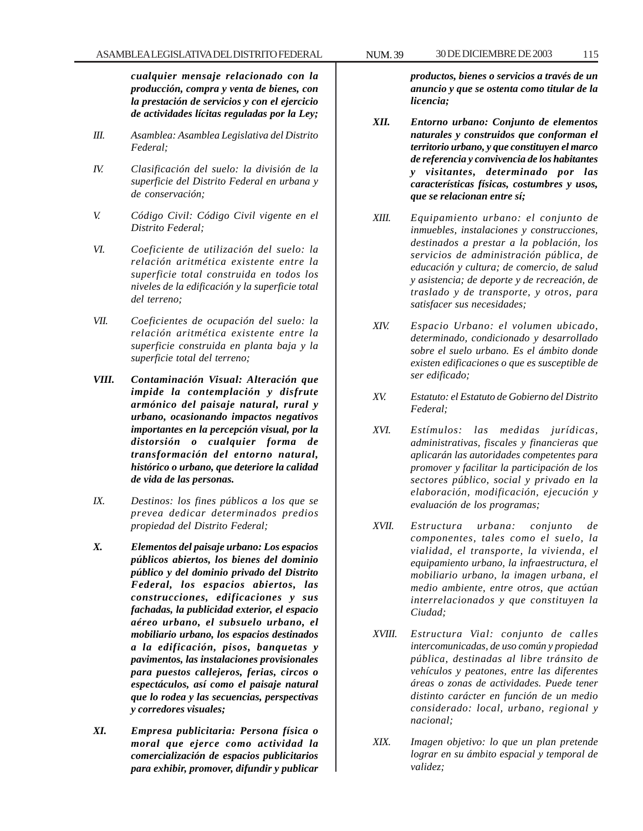*cualquier mensaje relacionado con la producción, compra y venta de bienes, con la prestación de servicios y con el ejercicio de actividades lícitas reguladas por la Ley;*

- *III. Asamblea: Asamblea Legislativa del Distrito Federal;*
- *IV. Clasificación del suelo: la división de la superficie del Distrito Federal en urbana y de conservación;*
- *V. Código Civil: Código Civil vigente en el Distrito Federal;*
- *VI. Coeficiente de utilización del suelo: la relación aritmética existente entre la superficie total construida en todos los niveles de la edificación y la superficie total del terreno;*
- *VII. Coeficientes de ocupación del suelo: la relación aritmética existente entre la superficie construida en planta baja y la superficie total del terreno;*
- *VIII. Contaminación Visual: Alteración que impide la contemplación y disfrute armónico del paisaje natural, rural y urbano, ocasionando impactos negativos importantes en la percepción visual, por la distorsión o cualquier forma de transformación del entorno natural, histórico o urbano, que deteriore la calidad de vida de las personas.*
- *IX. Destinos: los fines públicos a los que se prevea dedicar determinados predios propiedad del Distrito Federal;*
- *X. Elementos del paisaje urbano: Los espacios públicos abiertos, los bienes del dominio público y del dominio privado del Distrito Federal, los espacios abiertos, las construcciones, edificaciones y sus fachadas, la publicidad exterior, el espacio aéreo urbano, el subsuelo urbano, el mobiliario urbano, los espacios destinados a la edificación, pisos, banquetas y pavimentos, las instalaciones provisionales para puestos callejeros, ferias, circos o espectáculos, así como el paisaje natural que lo rodea y las secuencias, perspectivas y corredores visuales;*
- *XI. Empresa publicitaria: Persona física o moral que ejerce como actividad la comercialización de espacios publicitarios para exhibir, promover, difundir y publicar*

*productos, bienes o servicios a través de un anuncio y que se ostenta como titular de la licencia;*

- *XII. Entorno urbano: Conjunto de elementos naturales y construidos que conforman el territorio urbano, y que constituyen el marco de referencia y convivencia de los habitantes y visitantes, determinado por las características físicas, costumbres y usos, que se relacionan entre sí;*
- *XIII. Equipamiento urbano: el conjunto de inmuebles, instalaciones y construcciones, destinados a prestar a la población, los servicios de administración pública, de educación y cultura; de comercio, de salud y asistencia; de deporte y de recreación, de traslado y de transporte, y otros, para satisfacer sus necesidades;*
- *XIV. Espacio Urbano: el volumen ubicado, determinado, condicionado y desarrollado sobre el suelo urbano. Es el ámbito donde existen edificaciones o que es susceptible de ser edificado;*
- *XV. Estatuto: el Estatuto de Gobierno del Distrito Federal;*
- *XVI. Estímulos: las medidas jurídicas, administrativas, fiscales y financieras que aplicarán las autoridades competentes para promover y facilitar la participación de los sectores público, social y privado en la elaboración, modificación, ejecución y evaluación de los programas;*
- *XVII. Estructura urbana: conjunto de componentes, tales como el suelo, la vialidad, el transporte, la vivienda, el equipamiento urbano, la infraestructura, el mobiliario urbano, la imagen urbana, el medio ambiente, entre otros, que actúan interrelacionados y que constituyen la Ciudad;*
- *XVIII. Estructura Vial: conjunto de calles intercomunicadas, de uso común y propiedad pública, destinadas al libre tránsito de vehículos y peatones, entre las diferentes áreas o zonas de actividades. Puede tener distinto carácter en función de un medio considerado: local, urbano, regional y nacional;*
- *XIX. Imagen objetivo: lo que un plan pretende lograr en su ámbito espacial y temporal de validez;*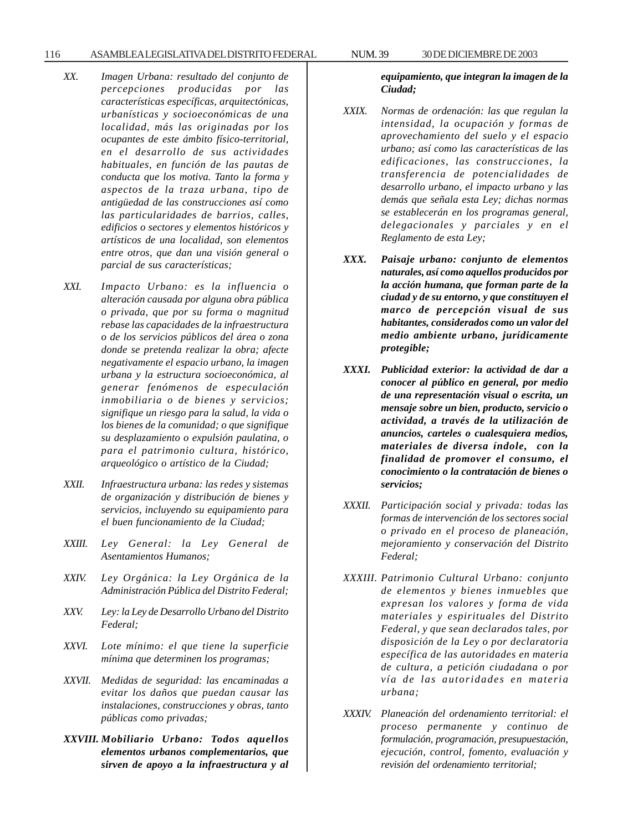#### 116 ASAMBLEA LEGISLATIVA DEL DISTRITO FEDERAL NUM. 39 30 DE DICIEMBRE DE 2003

- *XX. Imagen Urbana: resultado del conjunto de percepciones producidas por las características específicas, arquitectónicas, urbanísticas y socioeconómicas de una localidad, más las originadas por los ocupantes de este ámbito físico-territorial, en el desarrollo de sus actividades habituales, en función de las pautas de conducta que los motiva. Tanto la forma y aspectos de la traza urbana, tipo de antigüedad de las construcciones así como las particularidades de barrios, calles, edificios o sectores y elementos históricos y artísticos de una localidad, son elementos entre otros, que dan una visión general o parcial de sus características;*
- *XXI. Impacto Urbano: es la influencia o alteración causada por alguna obra pública o privada, que por su forma o magnitud rebase las capacidades de la infraestructura o de los servicios públicos del área o zona donde se pretenda realizar la obra; afecte negativamente el espacio urbano, la imagen urbana y la estructura socioeconómica, al generar fenómenos de especulación inmobiliaria o de bienes y servicios; signifique un riesgo para la salud, la vida o los bienes de la comunidad; o que signifique su desplazamiento o expulsión paulatina, o para el patrimonio cultura, histórico, arqueológico o artístico de la Ciudad;*
- *XXII. Infraestructura urbana: las redes y sistemas de organización y distribución de bienes y servicios, incluyendo su equipamiento para el buen funcionamiento de la Ciudad;*
- *XXIII. Ley General: la Ley General de Asentamientos Humanos;*
- *XXIV. Ley Orgánica: la Ley Orgánica de la Administración Pública del Distrito Federal;*
- *XXV. Ley: la Ley de Desarrollo Urbano del Distrito Federal;*
- *XXVI. Lote mínimo: el que tiene la superficie mínima que determinen los programas;*
- *XXVII. Medidas de seguridad: las encaminadas a evitar los daños que puedan causar las instalaciones, construcciones y obras, tanto públicas como privadas;*
- *XXVIII. Mobiliario Urbano: Todos aquellos elementos urbanos complementarios, que sirven de apoyo a la infraestructura y al*

*equipamiento, que integran la imagen de la Ciudad;*

- *XXIX. Normas de ordenación: las que regulan la intensidad, la ocupación y formas de aprovechamiento del suelo y el espacio urbano; así como las características de las edificaciones, las construcciones, la transferencia de potencialidades de desarrollo urbano, el impacto urbano y las demás que señala esta Ley; dichas normas se establecerán en los programas general, delegacionales y parciales y en el Reglamento de esta Ley;*
- *XXX. Paisaje urbano: conjunto de elementos naturales, así como aquellos producidos por la acción humana, que forman parte de la ciudad y de su entorno, y que constituyen el marco de percepción visual de sus habitantes, considerados como un valor del medio ambiente urbano, jurídicamente protegible;*
- *XXXI. Publicidad exterior: la actividad de dar a conocer al público en general, por medio de una representación visual o escrita, un mensaje sobre un bien, producto, servicio o actividad, a través de la utilización de anuncios, carteles o cualesquiera medios, materiales de diversa índole, con la finalidad de promover el consumo, el conocimiento o la contratación de bienes o servicios;*
- *XXXII. Participación social y privada: todas las formas de intervención de los sectores social o privado en el proceso de planeación, mejoramiento y conservación del Distrito Federal;*
- *XXXIII. Patrimonio Cultural Urbano: conjunto de elementos y bienes inmuebles que expresan los valores y forma de vida materiales y espirituales del Distrito Federal, y que sean declarados tales, por disposición de la Ley o por declaratoria específica de las autoridades en materia de cultura, a petición ciudadana o por vía de las autoridades en materia urbana;*
- *XXXIV. Planeación del ordenamiento territorial: el proceso permanente y continuo de formulación, programación, presupuestación, ejecución, control, fomento, evaluación y revisión del ordenamiento territorial;*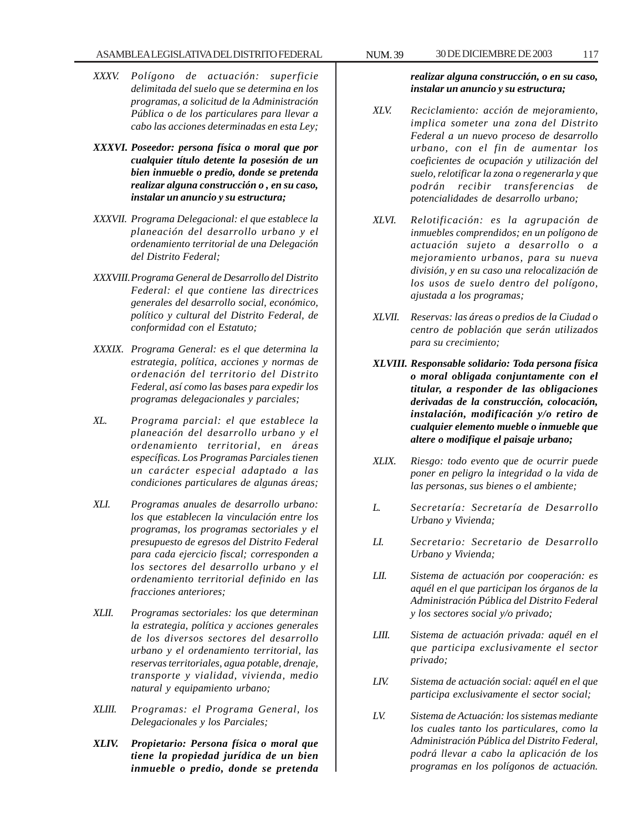- *XXXV. Polígono de actuación: superficie delimitada del suelo que se determina en los programas, a solicitud de la Administración Pública o de los particulares para llevar a cabo las acciones determinadas en esta Ley;*
- *XXXVI. Poseedor: persona física o moral que por cualquier título detente la posesión de un bien inmueble o predio, donde se pretenda realizar alguna construcción o , en su caso, instalar un anuncio y su estructura;*
- *XXXVII. Programa Delegacional: el que establece la planeación del desarrollo urbano y el ordenamiento territorial de una Delegación del Distrito Federal;*
- *XXXVIII.Programa General de Desarrollo del Distrito Federal: el que contiene las directrices generales del desarrollo social, económico, político y cultural del Distrito Federal, de conformidad con el Estatuto;*
- *XXXIX. Programa General: es el que determina la estrategia, política, acciones y normas de ordenación del territorio del Distrito Federal, así como las bases para expedir los programas delegacionales y parciales;*
- *XL. Programa parcial: el que establece la planeación del desarrollo urbano y el ordenamiento territorial, en áreas específicas. Los Programas Parciales tienen un carácter especial adaptado a las condiciones particulares de algunas áreas;*
- *XLI. Programas anuales de desarrollo urbano: los que establecen la vinculación entre los programas, los programas sectoriales y el presupuesto de egresos del Distrito Federal para cada ejercicio fiscal; corresponden a los sectores del desarrollo urbano y el ordenamiento territorial definido en las fracciones anteriores;*
- *XLII. Programas sectoriales: los que determinan la estrategia, política y acciones generales de los diversos sectores del desarrollo urbano y el ordenamiento territorial, las reservas territoriales, agua potable, drenaje, transporte y vialidad, vivienda, medio natural y equipamiento urbano;*
- *XLIII. Programas: el Programa General, los Delegacionales y los Parciales;*
- *XLIV. Propietario: Persona física o moral que tiene la propiedad jurídica de un bien inmueble o predio, donde se pretenda*

*realizar alguna construcción, o en su caso, instalar un anuncio y su estructura;*

- *XLV. Reciclamiento: acción de mejoramiento, implica someter una zona del Distrito Federal a un nuevo proceso de desarrollo urbano, con el fin de aumentar los coeficientes de ocupación y utilización del suelo, relotificar la zona o regenerarla y que podrán recibir transferencias de potencialidades de desarrollo urbano;*
- *XLVI. Relotificación: es la agrupación de inmuebles comprendidos; en un polígono de actuación sujeto a desarrollo o a mejoramiento urbanos, para su nueva división, y en su caso una relocalización de los usos de suelo dentro del polígono, ajustada a los programas;*
- *XLVII. Reservas: las áreas o predios de la Ciudad o centro de población que serán utilizados para su crecimiento;*
- *XLVIII. Responsable solidario: Toda persona física o moral obligada conjuntamente con el titular, a responder de las obligaciones derivadas de la construcción, colocación, instalación, modificación y/o retiro de cualquier elemento mueble o inmueble que altere o modifique el paisaje urbano;*
- *XLIX. Riesgo: todo evento que de ocurrir puede poner en peligro la integridad o la vida de las personas, sus bienes o el ambiente;*
- *L. Secretaría: Secretaría de Desarrollo Urbano y Vivienda;*
- *LI. Secretario: Secretario de Desarrollo Urbano y Vivienda;*
- *LII. Sistema de actuación por cooperación: es aquél en el que participan los órganos de la Administración Pública del Distrito Federal y los sectores social y/o privado;*
- *LIII. Sistema de actuación privada: aquél en el que participa exclusivamente el sector privado;*
- *LIV. Sistema de actuación social: aquél en el que participa exclusivamente el sector social;*
- *LV. Sistema de Actuación: los sistemas mediante los cuales tanto los particulares, como la Administración Pública del Distrito Federal, podrá llevar a cabo la aplicación de los programas en los polígonos de actuación.*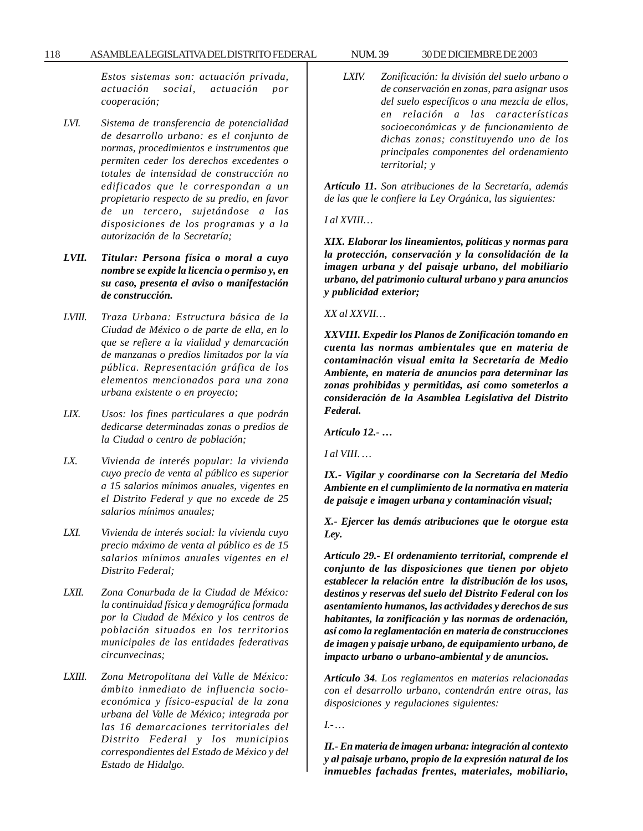### 118 ASAMBLEA LEGISLATIVA DEL DISTRITO FEDERAL NUM. 39 30 DE DICIEMBRE DE 2003

*Estos sistemas son: actuación privada, actuación social, actuación por cooperación;*

- *LVI. Sistema de transferencia de potencialidad de desarrollo urbano: es el conjunto de normas, procedimientos e instrumentos que permiten ceder los derechos excedentes o totales de intensidad de construcción no edificados que le correspondan a un propietario respecto de su predio, en favor de un tercero, sujetándose a las disposiciones de los programas y a la autorización de la Secretaría;*
- *LVII. Titular: Persona física o moral a cuyo nombre se expide la licencia o permiso y, en su caso, presenta el aviso o manifestación de construcción.*
- *LVIII. Traza Urbana: Estructura básica de la Ciudad de México o de parte de ella, en lo que se refiere a la vialidad y demarcación de manzanas o predios limitados por la vía pública. Representación gráfica de los elementos mencionados para una zona urbana existente o en proyecto;*
- *LIX. Usos: los fines particulares a que podrán dedicarse determinadas zonas o predios de la Ciudad o centro de población;*
- *LX. Vivienda de interés popular: la vivienda cuyo precio de venta al público es superior a 15 salarios mínimos anuales, vigentes en el Distrito Federal y que no excede de 25 salarios mínimos anuales;*
- *LXI. Vivienda de interés social: la vivienda cuyo precio máximo de venta al público es de 15 salarios mínimos anuales vigentes en el Distrito Federal;*
- *LXII. Zona Conurbada de la Ciudad de México: la continuidad física y demográfica formada por la Ciudad de México y los centros de población situados en los territorios municipales de las entidades federativas circunvecinas;*
- *LXIII. Zona Metropolitana del Valle de México: ámbito inmediato de influencia socioeconómica y físico-espacial de la zona urbana del Valle de México; integrada por las 16 demarcaciones territoriales del Distrito Federal y los municipios correspondientes del Estado de México y del Estado de Hidalgo.*

*LXIV. Zonificación: la división del suelo urbano o de conservación en zonas, para asignar usos del suelo específicos o una mezcla de ellos, en relación a las características socioeconómicas y de funcionamiento de dichas zonas; constituyendo uno de los principales componentes del ordenamiento territorial; y*

*Artículo 11. Son atribuciones de la Secretaría, además de las que le confiere la Ley Orgánica, las siguientes:*

*I al XVIII…*

*XIX. Elaborar los lineamientos, políticas y normas para la protección, conservación y la consolidación de la imagen urbana y del paisaje urbano, del mobiliario urbano, del patrimonio cultural urbano y para anuncios y publicidad exterior;*

*XX al XXVII…*

*XXVIII. Expedir los Planos de Zonificación tomando en cuenta las normas ambientales que en materia de contaminación visual emita la Secretaría de Medio Ambiente, en materia de anuncios para determinar las zonas prohibidas y permitidas, así como someterlos a consideración de la Asamblea Legislativa del Distrito Federal.*

*Artículo 12.- …*

*I al VIII. …*

*IX.- Vigilar y coordinarse con la Secretaría del Medio Ambiente en el cumplimiento de la normativa en materia de paisaje e imagen urbana y contaminación visual;*

*X.- Ejercer las demás atribuciones que le otorgue esta Ley.*

*Artículo 29.- El ordenamiento territorial, comprende el conjunto de las disposiciones que tienen por objeto establecer la relación entre la distribución de los usos, destinos y reservas del suelo del Distrito Federal con los asentamiento humanos, las actividades y derechos de sus habitantes, la zonificación y las normas de ordenación, así como la reglamentación en materia de construcciones de imagen y paisaje urbano, de equipamiento urbano, de impacto urbano o urbano-ambiental y de anuncios.*

*Artículo 34. Los reglamentos en materias relacionadas con el desarrollo urbano, contendrán entre otras, las disposiciones y regulaciones siguientes:*

*I.- …*

*II.- En materia de imagen urbana: integración al contexto y al paisaje urbano, propio de la expresión natural de los inmuebles fachadas frentes, materiales, mobiliario,*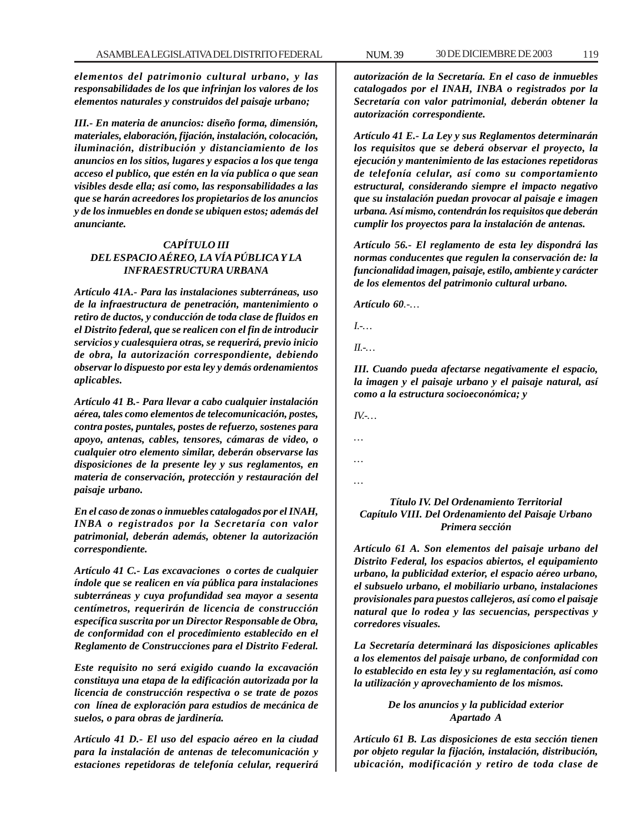*elementos del patrimonio cultural urbano, y las responsabilidades de los que infrinjan los valores de los elementos naturales y construidos del paisaje urbano;*

*III.- En materia de anuncios: diseño forma, dimensión, materiales, elaboración, fijación, instalación, colocación, iluminación, distribución y distanciamiento de los anuncios en los sitios, lugares y espacios a los que tenga acceso el publico, que estén en la vía publica o que sean visibles desde ella; así como, las responsabilidades a las que se harán acreedores los propietarios de los anuncios y de los inmuebles en donde se ubiquen estos; además del anunciante.*

## *CAPÍTULO III DEL ESPACIO AÉREO, LA VÍA PÚBLICA Y LA INFRAESTRUCTURA URBANA*

*Artículo 41A.- Para las instalaciones subterráneas, uso de la infraestructura de penetración, mantenimiento o retiro de ductos, y conducción de toda clase de fluidos en el Distrito federal, que se realicen con el fin de introducir servicios y cualesquiera otras, se requerirá, previo inicio de obra, la autorización correspondiente, debiendo observar lo dispuesto por esta ley y demás ordenamientos aplicables.*

*Artículo 41 B.- Para llevar a cabo cualquier instalación aérea, tales como elementos de telecomunicación, postes, contra postes, puntales, postes de refuerzo, sostenes para apoyo, antenas, cables, tensores, cámaras de video, o cualquier otro elemento similar, deberán observarse las disposiciones de la presente ley y sus reglamentos, en materia de conservación, protección y restauración del paisaje urbano.*

*En el caso de zonas o inmuebles catalogados por el INAH, INBA o registrados por la Secretaría con valor patrimonial, deberán además, obtener la autorización correspondiente.*

*Artículo 41 C.- Las excavaciones o cortes de cualquier índole que se realicen en vía pública para instalaciones subterráneas y cuya profundidad sea mayor a sesenta centímetros, requerirán de licencia de construcción específica suscrita por un Director Responsable de Obra, de conformidad con el procedimiento establecido en el Reglamento de Construcciones para el Distrito Federal.*

*Este requisito no será exigido cuando la excavación constituya una etapa de la edificación autorizada por la licencia de construcción respectiva o se trate de pozos con línea de exploración para estudios de mecánica de suelos, o para obras de jardinería.*

*Artículo 41 D.- El uso del espacio aéreo en la ciudad para la instalación de antenas de telecomunicación y estaciones repetidoras de telefonía celular, requerirá*

*autorización de la Secretaría. En el caso de inmuebles catalogados por el INAH, INBA o registrados por la Secretaría con valor patrimonial, deberán obtener la autorización correspondiente.*

*Artículo 41 E.- La Ley y sus Reglamentos determinarán los requisitos que se deberá observar el proyecto, la ejecución y mantenimiento de las estaciones repetidoras de telefonía celular, así como su comportamiento estructural, considerando siempre el impacto negativo que su instalación puedan provocar al paisaje e imagen urbana. Así mismo, contendrán los requisitos que deberán cumplir los proyectos para la instalación de antenas.*

*Artículo 56.- El reglamento de esta ley dispondrá las normas conducentes que regulen la conservación de: la funcionalidad imagen, paisaje, estilo, ambiente y carácter de los elementos del patrimonio cultural urbano.*

*Artículo 60.-…*

*I.-…*

*II.-…*

*III. Cuando pueda afectarse negativamente el espacio, la imagen y el paisaje urbano y el paisaje natural, así como a la estructura socioeconómica; y*

*IV.-…*

*…*

*… …*

# *Título IV. Del Ordenamiento Territorial Capítulo VIII. Del Ordenamiento del Paisaje Urbano Primera sección*

*Artículo 61 A. Son elementos del paisaje urbano del Distrito Federal, los espacios abiertos, el equipamiento urbano, la publicidad exterior, el espacio aéreo urbano, el subsuelo urbano, el mobiliario urbano, instalaciones provisionales para puestos callejeros, así como el paisaje natural que lo rodea y las secuencias, perspectivas y corredores visuales.*

*La Secretaría determinará las disposiciones aplicables a los elementos del paisaje urbano, de conformidad con lo establecido en esta ley y su reglamentación, así como la utilización y aprovechamiento de los mismos.*

# *De los anuncios y la publicidad exterior Apartado A*

*Artículo 61 B. Las disposiciones de esta sección tienen por objeto regular la fijación, instalación, distribución, ubicación, modificación y retiro de toda clase de*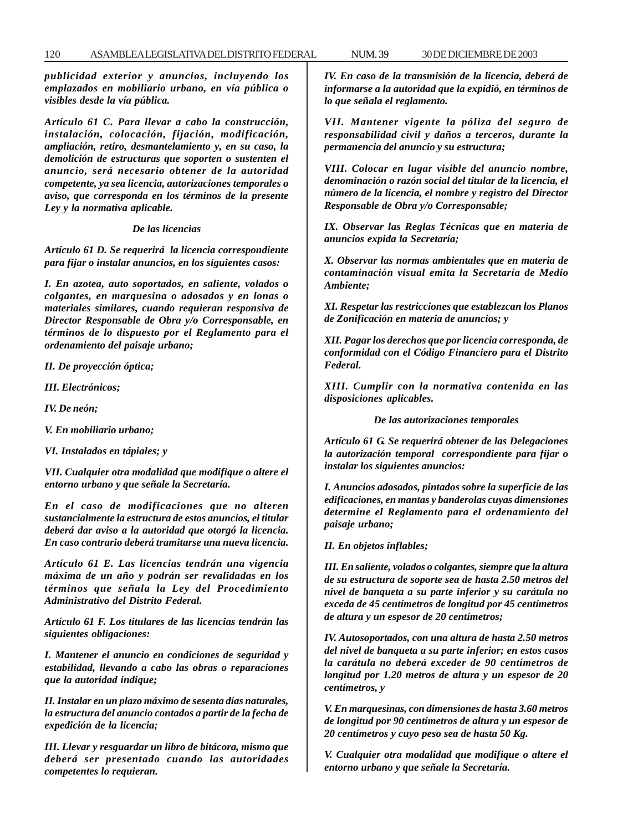*publicidad exterior y anuncios, incluyendo los emplazados en mobiliario urbano, en vía pública o visibles desde la vía pública.*

*Artículo 61 C. Para llevar a cabo la construcción, instalación, colocación, fijación, modificación, ampliación, retiro, desmantelamiento y, en su caso, la demolición de estructuras que soporten o sustenten el anuncio, será necesario obtener de la autoridad competente, ya sea licencia, autorizaciones temporales o aviso, que corresponda en los términos de la presente Ley y la normativa aplicable.*

*De las licencias*

*Artículo 61 D. Se requerirá la licencia correspondiente para fijar o instalar anuncios, en los siguientes casos:*

*I. En azotea, auto soportados, en saliente, volados o colgantes, en marquesina o adosados y en lonas o materiales similares, cuando requieran responsiva de Director Responsable de Obra y/o Corresponsable, en términos de lo dispuesto por el Reglamento para el ordenamiento del paisaje urbano;*

*II. De proyección óptica;*

*III. Electrónicos;*

*IV. De neón;*

*V. En mobiliario urbano;*

*VI. Instalados en tápiales; y*

*VII. Cualquier otra modalidad que modifique o altere el entorno urbano y que señale la Secretaría.*

*En el caso de modificaciones que no alteren sustancialmente la estructura de estos anuncios, el titular deberá dar aviso a la autoridad que otorgó la licencia. En caso contrario deberá tramitarse una nueva licencia.*

*Artículo 61 E. Las licencias tendrán una vigencia máxima de un año y podrán ser revalidadas en los términos que señala la Ley del Procedimiento Administrativo del Distrito Federal.*

*Artículo 61 F. Los titulares de las licencias tendrán las siguientes obligaciones:*

*I. Mantener el anuncio en condiciones de seguridad y estabilidad, llevando a cabo las obras o reparaciones que la autoridad indique;*

*II. Instalar en un plazo máximo de sesenta días naturales, la estructura del anuncio contados a partir de la fecha de expedición de la licencia;*

*III. Llevar y resguardar un libro de bitácora, mismo que deberá ser presentado cuando las autoridades competentes lo requieran.*

*IV. En caso de la transmisión de la licencia, deberá de informarse a la autoridad que la expidió, en términos de lo que señala el reglamento.*

*VII. Mantener vigente la póliza del seguro de responsabilidad civil y daños a terceros, durante la permanencia del anuncio y su estructura;*

*VIII. Colocar en lugar visible del anuncio nombre, denominación o razón social del titular de la licencia, el número de la licencia, el nombre y registro del Director Responsable de Obra y/o Corresponsable;*

*IX. Observar las Reglas Técnicas que en materia de anuncios expida la Secretaría;*

*X. Observar las normas ambientales que en materia de contaminación visual emita la Secretaría de Medio Ambiente;*

*XI. Respetar las restricciones que establezcan los Planos de Zonificación en materia de anuncios; y*

*XII. Pagar los derechos que por licencia corresponda, de conformidad con el Código Financiero para el Distrito Federal.*

*XIII. Cumplir con la normativa contenida en las disposiciones aplicables.*

*De las autorizaciones temporales*

*Artículo 61 G. Se requerirá obtener de las Delegaciones la autorización temporal correspondiente para fijar o instalar los siguientes anuncios:*

*I. Anuncios adosados, pintados sobre la superficie de las edificaciones, en mantas y banderolas cuyas dimensiones determine el Reglamento para el ordenamiento del paisaje urbano;*

*II. En objetos inflables;*

*III. En saliente, volados o colgantes, siempre que la altura de su estructura de soporte sea de hasta 2.50 metros del nivel de banqueta a su parte inferior y su carátula no exceda de 45 centímetros de longitud por 45 centímetros de altura y un espesor de 20 centímetros;*

*IV. Autosoportados, con una altura de hasta 2.50 metros del nivel de banqueta a su parte inferior; en estos casos la carátula no deberá exceder de 90 centímetros de longitud por 1.20 metros de altura y un espesor de 20 centímetros, y*

*V. En marquesinas, con dimensiones de hasta 3.60 metros de longitud por 90 centímetros de altura y un espesor de 20 centímetros y cuyo peso sea de hasta 50 Kg.*

*V. Cualquier otra modalidad que modifique o altere el entorno urbano y que señale la Secretaría.*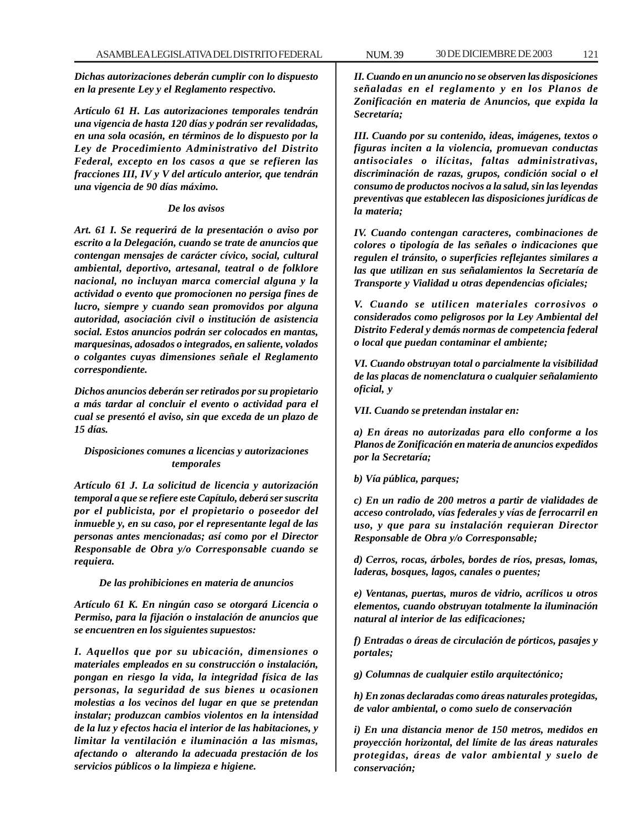*Dichas autorizaciones deberán cumplir con lo dispuesto en la presente Ley y el Reglamento respectivo.*

*Artículo 61 H. Las autorizaciones temporales tendrán una vigencia de hasta 120 días y podrán ser revalidadas, en una sola ocasión, en términos de lo dispuesto por la Ley de Procedimiento Administrativo del Distrito Federal, excepto en los casos a que se refieren las fracciones III, IV y V del artículo anterior, que tendrán una vigencia de 90 días máximo.*

## *De los avisos*

*Art. 61 I. Se requerirá de la presentación o aviso por escrito a la Delegación, cuando se trate de anuncios que contengan mensajes de carácter cívico, social, cultural ambiental, deportivo, artesanal, teatral o de folklore nacional, no incluyan marca comercial alguna y la actividad o evento que promocionen no persiga fines de lucro, siempre y cuando sean promovidos por alguna autoridad, asociación civil o institución de asistencia social. Estos anuncios podrán ser colocados en mantas, marquesinas, adosados o integrados, en saliente, volados o colgantes cuyas dimensiones señale el Reglamento correspondiente.*

*Dichos anuncios deberán ser retirados por su propietario a más tardar al concluir el evento o actividad para el cual se presentó el aviso, sin que exceda de un plazo de 15 días.*

## *Disposiciones comunes a licencias y autorizaciones temporales*

*Artículo 61 J. La solicitud de licencia y autorización temporal a que se refiere este Capítulo, deberá ser suscrita por el publicista, por el propietario o poseedor del inmueble y, en su caso, por el representante legal de las personas antes mencionadas; así como por el Director Responsable de Obra y/o Corresponsable cuando se requiera.*

#### *De las prohibiciones en materia de anuncios*

*Artículo 61 K. En ningún caso se otorgará Licencia o Permiso, para la fijación o instalación de anuncios que se encuentren en los siguientes supuestos:*

*I. Aquellos que por su ubicación, dimensiones o materiales empleados en su construcción o instalación, pongan en riesgo la vida, la integridad física de las personas, la seguridad de sus bienes u ocasionen molestias a los vecinos del lugar en que se pretendan instalar; produzcan cambios violentos en la intensidad de la luz y efectos hacia el interior de las habitaciones, y limitar la ventilación e iluminación a las mismas, afectando o alterando la adecuada prestación de los servicios públicos o la limpieza e higiene.*

*II. Cuando en un anuncio no se observen las disposiciones señaladas en el reglamento y en los Planos de Zonificación en materia de Anuncios, que expida la Secretaría;*

*III. Cuando por su contenido, ideas, imágenes, textos o figuras inciten a la violencia, promuevan conductas antisociales o ilícitas, faltas administrativas, discriminación de razas, grupos, condición social o el consumo de productos nocivos a la salud, sin las leyendas preventivas que establecen las disposiciones jurídicas de la materia;*

*IV. Cuando contengan caracteres, combinaciones de colores o tipología de las señales o indicaciones que regulen el tránsito, o superficies reflejantes similares a las que utilizan en sus señalamientos la Secretaría de Transporte y Vialidad u otras dependencias oficiales;*

*V. Cuando se utilicen materiales corrosivos o considerados como peligrosos por la Ley Ambiental del Distrito Federal y demás normas de competencia federal o local que puedan contaminar el ambiente;*

*VI. Cuando obstruyan total o parcialmente la visibilidad de las placas de nomenclatura o cualquier señalamiento oficial, y*

*VII. Cuando se pretendan instalar en:*

*a) En áreas no autorizadas para ello conforme a los Planos de Zonificación en materia de anuncios expedidos por la Secretaría;*

*b) Vía pública, parques;*

*c) En un radio de 200 metros a partir de vialidades de acceso controlado, vías federales y vías de ferrocarril en uso, y que para su instalación requieran Director Responsable de Obra y/o Corresponsable;*

*d) Cerros, rocas, árboles, bordes de ríos, presas, lomas, laderas, bosques, lagos, canales o puentes;*

*e) Ventanas, puertas, muros de vidrio, acrílicos u otros elementos, cuando obstruyan totalmente la iluminación natural al interior de las edificaciones;*

*f) Entradas o áreas de circulación de pórticos, pasajes y portales;*

*g) Columnas de cualquier estilo arquitectónico;*

*h) En zonas declaradas como áreas naturales protegidas, de valor ambiental, o como suelo de conservación*

*i) En una distancia menor de 150 metros, medidos en proyección horizontal, del límite de las áreas naturales protegidas, áreas de valor ambiental y suelo de conservación;*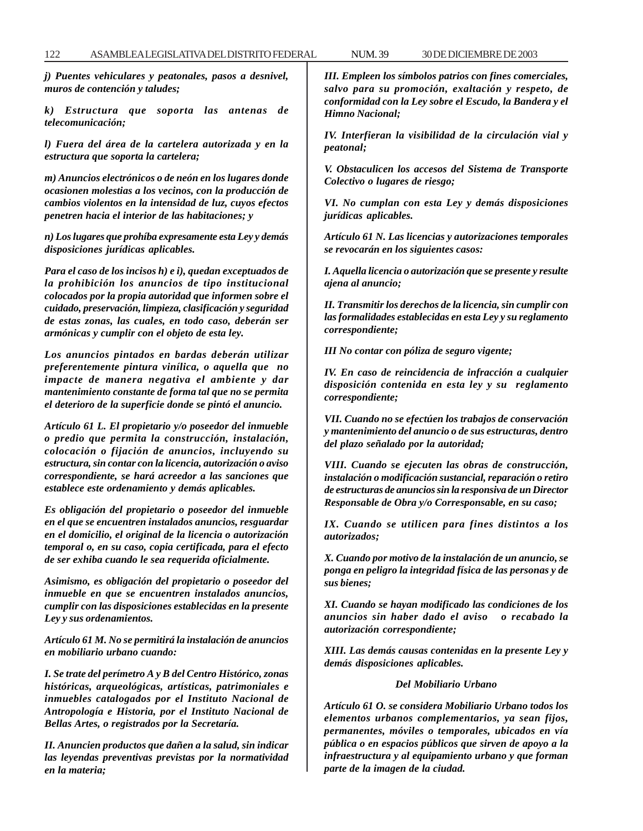*j) Puentes vehiculares y peatonales, pasos a desnivel, muros de contención y taludes;*

*k) Estructura que soporta las antenas de telecomunicación;*

*l) Fuera del área de la cartelera autorizada y en la estructura que soporta la cartelera;*

*m) Anuncios electrónicos o de neón en los lugares donde ocasionen molestias a los vecinos, con la producción de cambios violentos en la intensidad de luz, cuyos efectos penetren hacia el interior de las habitaciones; y*

*n) Los lugares que prohíba expresamente esta Ley y demás disposiciones jurídicas aplicables.*

*Para el caso de los incisos h) e i), quedan exceptuados de la prohibición los anuncios de tipo institucional colocados por la propia autoridad que informen sobre el cuidado, preservación, limpieza, clasificación y seguridad de estas zonas, las cuales, en todo caso, deberán ser armónicas y cumplir con el objeto de esta ley.*

*Los anuncios pintados en bardas deberán utilizar preferentemente pintura vinílica, o aquella que no impacte de manera negativa el ambiente y dar mantenimiento constante de forma tal que no se permita el deterioro de la superficie donde se pintó el anuncio.*

*Artículo 61 L. El propietario y/o poseedor del inmueble o predio que permita la construcción, instalación, colocación o fijación de anuncios, incluyendo su estructura, sin contar con la licencia, autorización o aviso correspondiente, se hará acreedor a las sanciones que establece este ordenamiento y demás aplicables.*

*Es obligación del propietario o poseedor del inmueble en el que se encuentren instalados anuncios, resguardar en el domicilio, el original de la licencia o autorización temporal o, en su caso, copia certificada, para el efecto de ser exhiba cuando le sea requerida oficialmente.*

*Asimismo, es obligación del propietario o poseedor del inmueble en que se encuentren instalados anuncios, cumplir con las disposiciones establecidas en la presente Ley y sus ordenamientos.*

*Artículo 61 M. No se permitirá la instalación de anuncios en mobiliario urbano cuando:*

*I. Se trate del perímetro A y B del Centro Histórico, zonas históricas, arqueológicas, artísticas, patrimoniales e inmuebles catalogados por el Instituto Nacional de Antropología e Historia, por el Instituto Nacional de Bellas Artes, o registrados por la Secretaría.*

*II. Anuncien productos que dañen a la salud, sin indicar las leyendas preventivas previstas por la normatividad en la materia;*

*III. Empleen los símbolos patrios con fines comerciales, salvo para su promoción, exaltación y respeto, de conformidad con la Ley sobre el Escudo, la Bandera y el Himno Nacional;*

*IV. Interfieran la visibilidad de la circulación vial y peatonal;*

*V. Obstaculicen los accesos del Sistema de Transporte Colectivo o lugares de riesgo;*

*VI. No cumplan con esta Ley y demás disposiciones jurídicas aplicables.*

*Artículo 61 N. Las licencias y autorizaciones temporales se revocarán en los siguientes casos:*

*I. Aquella licencia o autorización que se presente y resulte ajena al anuncio;*

*II. Transmitir los derechos de la licencia, sin cumplir con las formalidades establecidas en esta Ley y su reglamento correspondiente;*

*III No contar con póliza de seguro vigente;*

*IV. En caso de reincidencia de infracción a cualquier disposición contenida en esta ley y su reglamento correspondiente;*

*VII. Cuando no se efectúen los trabajos de conservación y mantenimiento del anuncio o de sus estructuras, dentro del plazo señalado por la autoridad;*

*VIII. Cuando se ejecuten las obras de construcción, instalación o modificación sustancial, reparación o retiro de estructuras de anuncios sin la responsiva de un Director Responsable de Obra y/o Corresponsable, en su caso;*

*IX. Cuando se utilicen para fines distintos a los autorizados;*

*X. Cuando por motivo de la instalación de un anuncio, se ponga en peligro la integridad física de las personas y de sus bienes;*

*XI. Cuando se hayan modificado las condiciones de los anuncios sin haber dado el aviso o recabado la autorización correspondiente;*

*XIII. Las demás causas contenidas en la presente Ley y demás disposiciones aplicables.*

#### *Del Mobiliario Urbano*

*Artículo 61 O. se considera Mobiliario Urbano todos los elementos urbanos complementarios, ya sean fijos, permanentes, móviles o temporales, ubicados en vía pública o en espacios públicos que sirven de apoyo a la infraestructura y al equipamiento urbano y que forman parte de la imagen de la ciudad.*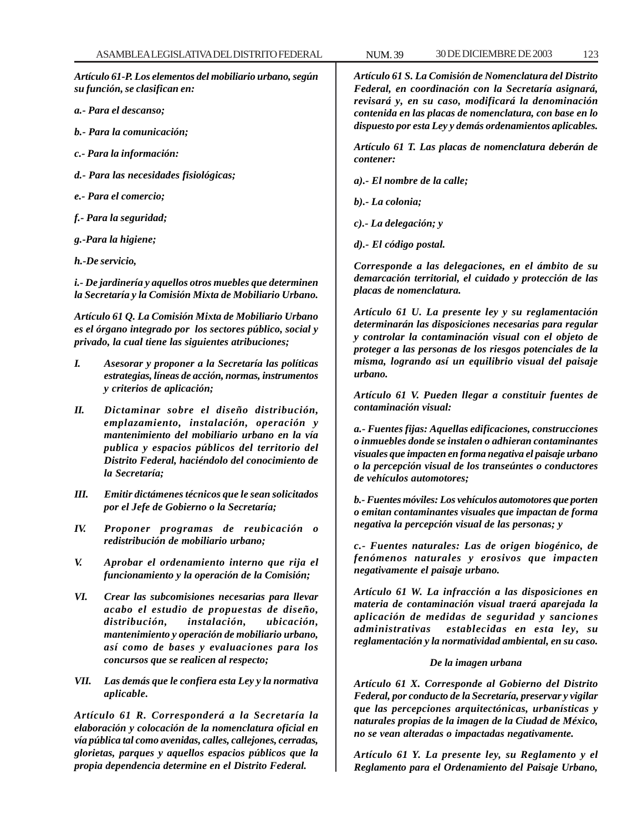*Artículo 61-P. Los elementos del mobiliario urbano, según su función, se clasifican en:*

- *a.- Para el descanso;*
- *b.- Para la comunicación;*
- *c.- Para la información:*
- *d.- Para las necesidades fisiológicas;*
- *e.- Para el comercio;*
- *f.- Para la seguridad;*
- *g.-Para la higiene;*
- *h.-De servicio,*

*i.- De jardinería y aquellos otros muebles que determinen la Secretaría y la Comisión Mixta de Mobiliario Urbano.*

*Artículo 61 Q. La Comisión Mixta de Mobiliario Urbano es el órgano integrado por los sectores público, social y privado, la cual tiene las siguientes atribuciones;*

- *I. Asesorar y proponer a la Secretaría las políticas estrategias, líneas de acción, normas, instrumentos y criterios de aplicación;*
- *II. Dictaminar sobre el diseño distribución, emplazamiento, instalación, operación y mantenimiento del mobiliario urbano en la vía publica y espacios públicos del territorio del Distrito Federal, haciéndolo del conocimiento de la Secretaría;*
- *III. Emitir dictámenes técnicos que le sean solicitados por el Jefe de Gobierno o la Secretaría;*
- *IV. Proponer programas de reubicación o redistribución de mobiliario urbano;*
- *V. Aprobar el ordenamiento interno que rija el funcionamiento y la operación de la Comisión;*
- *VI. Crear las subcomisiones necesarias para llevar acabo el estudio de propuestas de diseño, distribución, instalación, ubicación, mantenimiento y operación de mobiliario urbano, así como de bases y evaluaciones para los concursos que se realicen al respecto;*
- *VII. Las demás que le confiera esta Ley y la normativa aplicable.*

*Artículo 61 R. Corresponderá a la Secretaría la elaboración y colocación de la nomenclatura oficial en vía pública tal como avenidas, calles, callejones, cerradas, glorietas, parques y aquellos espacios públicos que la propia dependencia determine en el Distrito Federal.*

*Artículo 61 S. La Comisión de Nomenclatura del Distrito Federal, en coordinación con la Secretaría asignará, revisará y, en su caso, modificará la denominación contenida en las placas de nomenclatura, con base en lo dispuesto por esta Ley y demás ordenamientos aplicables.*

*Artículo 61 T. Las placas de nomenclatura deberán de contener:*

- *a).- El nombre de la calle;*
- *b).- La colonia;*
- *c).- La delegación; y*
- *d).- El código postal.*

*Corresponde a las delegaciones, en el ámbito de su demarcación territorial, el cuidado y protección de las placas de nomenclatura.*

*Artículo 61 U. La presente ley y su reglamentación determinarán las disposiciones necesarias para regular y controlar la contaminación visual con el objeto de proteger a las personas de los riesgos potenciales de la misma, logrando así un equilibrio visual del paisaje urbano.*

*Artículo 61 V. Pueden llegar a constituir fuentes de contaminación visual:*

*a.- Fuentes fijas: Aquellas edificaciones, construcciones o inmuebles donde se instalen o adhieran contaminantes visuales que impacten en forma negativa el paisaje urbano o la percepción visual de los transeúntes o conductores de vehículos automotores;*

*b.- Fuentes móviles: Los vehículos automotores que porten o emitan contaminantes visuales que impactan de forma negativa la percepción visual de las personas; y*

*c.- Fuentes naturales: Las de origen biogénico, de fenómenos naturales y erosivos que impacten negativamente el paisaje urbano.*

*Artículo 61 W. La infracción a las disposiciones en materia de contaminación visual traerá aparejada la aplicación de medidas de seguridad y sanciones administrativas establecidas en esta ley, su reglamentación y la normatividad ambiental, en su caso.*

#### *De la imagen urbana*

*Artículo 61 X. Corresponde al Gobierno del Distrito Federal, por conducto de la Secretaría, preservar y vigilar que las percepciones arquitectónicas, urbanísticas y naturales propias de la imagen de la Ciudad de México, no se vean alteradas o impactadas negativamente.*

*Artículo 61 Y. La presente ley, su Reglamento y el Reglamento para el Ordenamiento del Paisaje Urbano,*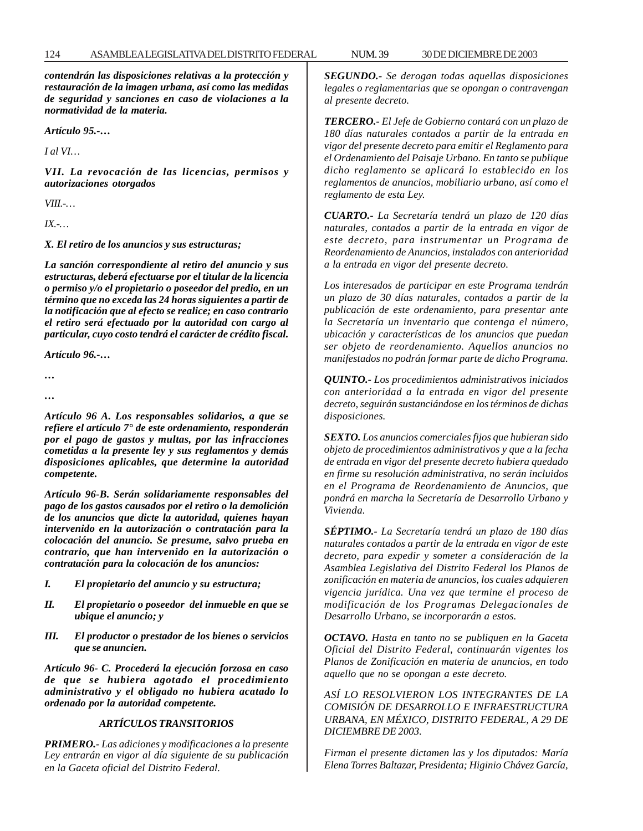*contendrán las disposiciones relativas a la protección y restauración de la imagen urbana, así como las medidas de seguridad y sanciones en caso de violaciones a la normatividad de la materia.*

*Artículo 95.-…*

*I al VI…*

*VII. La revocación de las licencias, permisos y autorizaciones otorgados*

*VIII.-…*

*IX.-…*

*X. El retiro de los anuncios y sus estructuras;*

*La sanción correspondiente al retiro del anuncio y sus estructuras, deberá efectuarse por el titular de la licencia o permiso y/o el propietario o poseedor del predio, en un término que no exceda las 24 horas siguientes a partir de la notificación que al efecto se realice; en caso contrario el retiro será efectuado por la autoridad con cargo al particular, cuyo costo tendrá el carácter de crédito fiscal.*

*Artículo 96.-…*

*… …*

*Artículo 96 A. Los responsables solidarios, a que se refiere el artículo 7° de este ordenamiento, responderán por el pago de gastos y multas, por las infracciones cometidas a la presente ley y sus reglamentos y demás disposiciones aplicables, que determine la autoridad competente.*

*Artículo 96-B. Serán solidariamente responsables del pago de los gastos causados por el retiro o la demolición de los anuncios que dicte la autoridad, quienes hayan intervenido en la autorización o contratación para la colocación del anuncio. Se presume, salvo prueba en contrario, que han intervenido en la autorización o contratación para la colocación de los anuncios:*

- *I. El propietario del anuncio y su estructura;*
- *II. El propietario o poseedor del inmueble en que se ubique el anuncio; y*
- *III. El productor o prestador de los bienes o servicios que se anuncien.*

*Artículo 96- C. Procederá la ejecución forzosa en caso de que se hubiera agotado el procedimiento administrativo y el obligado no hubiera acatado lo ordenado por la autoridad competente.*

### *ARTÍCULOS TRANSITORIOS*

*PRIMERO.- Las adiciones y modificaciones a la presente Ley entrarán en vigor al día siguiente de su publicación en la Gaceta oficial del Distrito Federal.*

*SEGUNDO.- Se derogan todas aquellas disposiciones legales o reglamentarias que se opongan o contravengan al presente decreto.*

*TERCERO.- El Jefe de Gobierno contará con un plazo de 180 días naturales contados a partir de la entrada en vigor del presente decreto para emitir el Reglamento para el Ordenamiento del Paisaje Urbano. En tanto se publique dicho reglamento se aplicará lo establecido en los reglamentos de anuncios, mobiliario urbano, así como el reglamento de esta Ley.*

*CUARTO.- La Secretaría tendrá un plazo de 120 días naturales, contados a partir de la entrada en vigor de este decreto, para instrumentar un Programa de Reordenamiento de Anuncios, instalados con anterioridad a la entrada en vigor del presente decreto.*

*Los interesados de participar en este Programa tendrán un plazo de 30 días naturales, contados a partir de la publicación de este ordenamiento, para presentar ante la Secretaría un inventario que contenga el número, ubicación y características de los anuncios que puedan ser objeto de reordenamiento. Aquellos anuncios no manifestados no podrán formar parte de dicho Programa.*

*QUINTO.- Los procedimientos administrativos iniciados con anterioridad a la entrada en vigor del presente decreto, seguirán sustanciándose en los términos de dichas disposiciones.*

*SEXTO. Los anuncios comerciales fijos que hubieran sido objeto de procedimientos administrativos y que a la fecha de entrada en vigor del presente decreto hubiera quedado en firme su resolución administrativa, no serán incluidos en el Programa de Reordenamiento de Anuncios, que pondrá en marcha la Secretaría de Desarrollo Urbano y Vivienda.*

*SÉPTIMO.- La Secretaría tendrá un plazo de 180 días naturales contados a partir de la entrada en vigor de este decreto, para expedir y someter a consideración de la Asamblea Legislativa del Distrito Federal los Planos de zonificación en materia de anuncios, los cuales adquieren vigencia jurídica. Una vez que termine el proceso de modificación de los Programas Delegacionales de Desarrollo Urbano, se incorporarán a estos.*

*OCTAVO. Hasta en tanto no se publiquen en la Gaceta Oficial del Distrito Federal, continuarán vigentes los Planos de Zonificación en materia de anuncios, en todo aquello que no se opongan a este decreto.*

*ASÍ LO RESOLVIERON LOS INTEGRANTES DE LA COMISIÓN DE DESARROLLO E INFRAESTRUCTURA URBANA, EN MÉXICO, DISTRITO FEDERAL, A 29 DE DICIEMBRE DE 2003.*

*Firman el presente dictamen las y los diputados: María Elena Torres Baltazar, Presidenta; Higinio Chávez García,*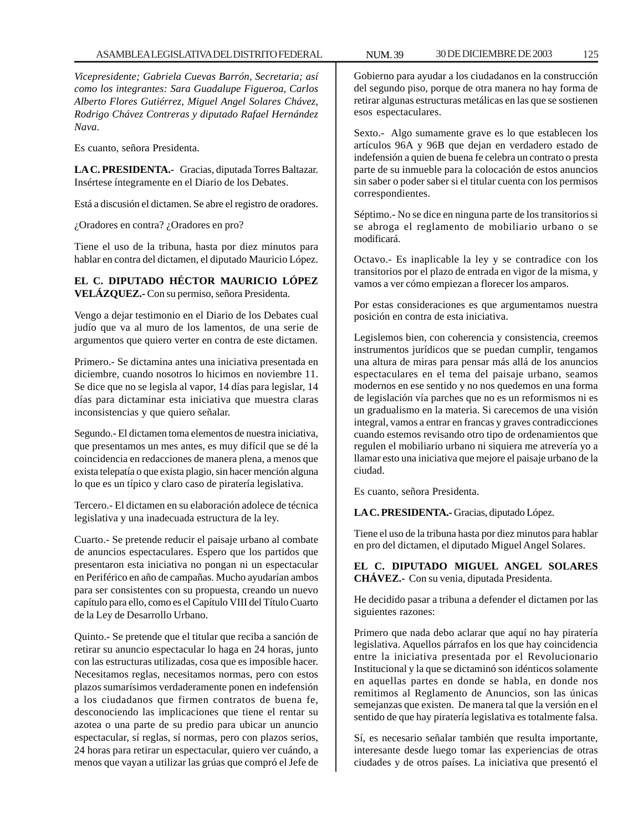*Vicepresidente; Gabriela Cuevas Barrón, Secretaria; así como los integrantes: Sara Guadalupe Figueroa, Carlos Alberto Flores Gutiérrez, Miguel Angel Solares Chávez, Rodrigo Chávez Contreras y diputado Rafael Hernández Nava.*

Es cuanto, señora Presidenta.

**LA C. PRESIDENTA.-** Gracias, diputada Torres Baltazar. Insértese íntegramente en el Diario de los Debates.

Está a discusión el dictamen. Se abre el registro de oradores.

¿Oradores en contra? ¿Oradores en pro?

Tiene el uso de la tribuna, hasta por diez minutos para hablar en contra del dictamen, el diputado Mauricio López.

# **EL C. DIPUTADO HÉCTOR MAURICIO LÓPEZ VELÁZQUEZ.-** Con su permiso, señora Presidenta.

Vengo a dejar testimonio en el Diario de los Debates cual judío que va al muro de los lamentos, de una serie de argumentos que quiero verter en contra de este dictamen.

Primero.- Se dictamina antes una iniciativa presentada en diciembre, cuando nosotros lo hicimos en noviembre 11. Se dice que no se legisla al vapor, 14 días para legislar, 14 días para dictaminar esta iniciativa que muestra claras inconsistencias y que quiero señalar.

Segundo.- El dictamen toma elementos de nuestra iniciativa, que presentamos un mes antes, es muy difícil que se dé la coincidencia en redacciones de manera plena, a menos que exista telepatía o que exista plagio, sin hacer mención alguna lo que es un típico y claro caso de piratería legislativa.

Tercero.- El dictamen en su elaboración adolece de técnica legislativa y una inadecuada estructura de la ley.

Cuarto.- Se pretende reducir el paisaje urbano al combate de anuncios espectaculares. Espero que los partidos que presentaron esta iniciativa no pongan ni un espectacular en Periférico en año de campañas. Mucho ayudarían ambos para ser consistentes con su propuesta, creando un nuevo capítulo para ello, como es el Capítulo VIII del Título Cuarto de la Ley de Desarrollo Urbano.

Quinto.- Se pretende que el titular que reciba a sanción de retirar su anuncio espectacular lo haga en 24 horas, junto con las estructuras utilizadas, cosa que es imposible hacer. Necesitamos reglas, necesitamos normas, pero con estos plazos sumarísimos verdaderamente ponen en indefensión a los ciudadanos que firmen contratos de buena fe, desconociendo las implicaciones que tiene el rentar su azotea o una parte de su predio para ubicar un anuncio espectacular, sí reglas, sí normas, pero con plazos serios, 24 horas para retirar un espectacular, quiero ver cuándo, a menos que vayan a utilizar las grúas que compró el Jefe de

Sexto.- Algo sumamente grave es lo que establecen los artículos 96A y 96B que dejan en verdadero estado de indefensión a quien de buena fe celebra un contrato o presta parte de su inmueble para la colocación de estos anuncios sin saber o poder saber si el titular cuenta con los permisos correspondientes.

Séptimo.- No se dice en ninguna parte de los transitorios si se abroga el reglamento de mobiliario urbano o se modificará.

Octavo.- Es inaplicable la ley y se contradice con los transitorios por el plazo de entrada en vigor de la misma, y vamos a ver cómo empiezan a florecer los amparos.

Por estas consideraciones es que argumentamos nuestra posición en contra de esta iniciativa.

Legislemos bien, con coherencia y consistencia, creemos instrumentos jurídicos que se puedan cumplir, tengamos una altura de miras para pensar más allá de los anuncios espectaculares en el tema del paisaje urbano, seamos modernos en ese sentido y no nos quedemos en una forma de legislación vía parches que no es un reformismos ni es un gradualismo en la materia. Si carecemos de una visión integral, vamos a entrar en francas y graves contradicciones cuando estemos revisando otro tipo de ordenamientos que regulen el mobiliario urbano ni siquiera me atrevería yo a llamar esto una iniciativa que mejore el paisaje urbano de la ciudad.

Es cuanto, señora Presidenta.

**LA C. PRESIDENTA.-** Gracias, diputado López.

Tiene el uso de la tribuna hasta por diez minutos para hablar en pro del dictamen, el diputado Miguel Angel Solares.

**EL C. DIPUTADO MIGUEL ANGEL SOLARES CHÁVEZ.-** Con su venia, diputada Presidenta.

He decidido pasar a tribuna a defender el dictamen por las siguientes razones:

Primero que nada debo aclarar que aquí no hay piratería legislativa. Aquellos párrafos en los que hay coincidencia entre la iniciativa presentada por el Revolucionario Institucional y la que se dictaminó son idénticos solamente en aquellas partes en donde se habla, en donde nos remitimos al Reglamento de Anuncios, son las únicas semejanzas que existen. De manera tal que la versión en el sentido de que hay piratería legislativa es totalmente falsa.

Sí, es necesario señalar también que resulta importante, interesante desde luego tomar las experiencias de otras ciudades y de otros países. La iniciativa que presentó el

esos espectaculares.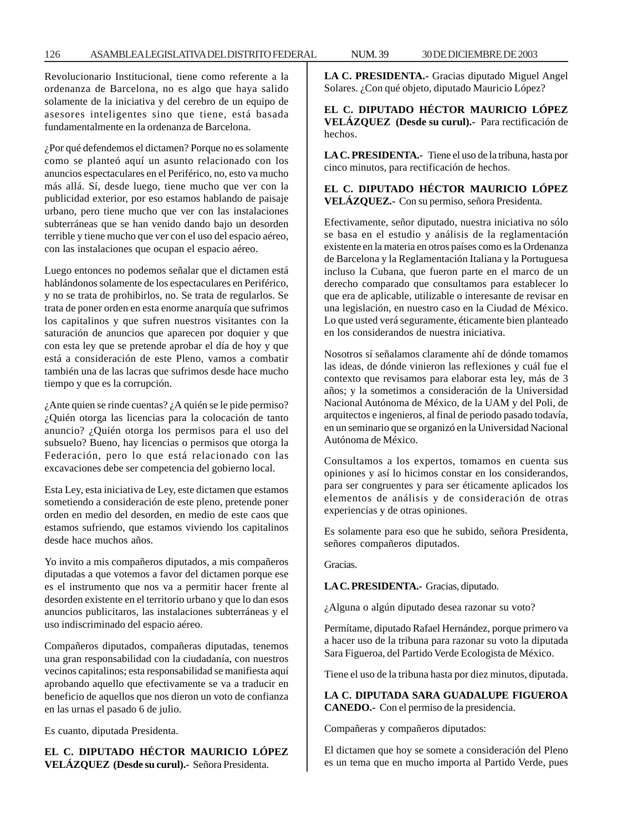Revolucionario Institucional, tiene como referente a la ordenanza de Barcelona, no es algo que haya salido solamente de la iniciativa y del cerebro de un equipo de asesores inteligentes sino que tiene, está basada fundamentalmente en la ordenanza de Barcelona.

¿Por qué defendemos el dictamen? Porque no es solamente como se planteó aquí un asunto relacionado con los anuncios espectaculares en el Periférico, no, esto va mucho más allá. Sí, desde luego, tiene mucho que ver con la publicidad exterior, por eso estamos hablando de paisaje urbano, pero tiene mucho que ver con las instalaciones subterráneas que se han venido dando bajo un desorden terrible y tiene mucho que ver con el uso del espacio aéreo, con las instalaciones que ocupan el espacio aéreo.

Luego entonces no podemos señalar que el dictamen está hablándonos solamente de los espectaculares en Periférico, y no se trata de prohibirlos, no. Se trata de regularlos. Se trata de poner orden en esta enorme anarquía que sufrimos los capitalinos y que sufren nuestros visitantes con la saturación de anuncios que aparecen por doquier y que con esta ley que se pretende aprobar el día de hoy y que está a consideración de este Pleno, vamos a combatir también una de las lacras que sufrimos desde hace mucho tiempo y que es la corrupción.

¿Ante quien se rinde cuentas? ¿A quién se le pide permiso? ¿Quién otorga las licencias para la colocación de tanto anuncio? ¿Quién otorga los permisos para el uso del subsuelo? Bueno, hay licencias o permisos que otorga la Federación, pero lo que está relacionado con las excavaciones debe ser competencia del gobierno local.

Esta Ley, esta iniciativa de Ley, este dictamen que estamos sometiendo a consideración de este pleno, pretende poner orden en medio del desorden, en medio de este caos que estamos sufriendo, que estamos viviendo los capitalinos desde hace muchos años.

Yo invito a mis compañeros diputados, a mis compañeros diputadas a que votemos a favor del dictamen porque ese es el instrumento que nos va a permitir hacer frente al desorden existente en el territorio urbano y que lo dan esos anuncios publicitaros, las instalaciones subterráneas y el uso indiscriminado del espacio aéreo.

Compañeros diputados, compañeras diputadas, tenemos una gran responsabilidad con la ciudadanía, con nuestros vecinos capitalinos; esta responsabilidad se manifiesta aquí aprobando aquello que efectivamente se va a traducir en beneficio de aquellos que nos dieron un voto de confianza en las urnas el pasado 6 de julio.

Es cuanto, diputada Presidenta.

**EL C. DIPUTADO HÉCTOR MAURICIO LÓPEZ VELÁZQUEZ (Desde su curul).-** Señora Presidenta.

**LA C. PRESIDENTA.-** Gracias diputado Miguel Angel Solares. ¿Con qué objeto, diputado Mauricio López?

**EL C. DIPUTADO HÉCTOR MAURICIO LÓPEZ VELÁZQUEZ (Desde su curul).-** Para rectificación de hechos.

**LA C. PRESIDENTA.-** Tiene el uso de la tribuna, hasta por cinco minutos, para rectificación de hechos.

**EL C. DIPUTADO HÉCTOR MAURICIO LÓPEZ VELÁZQUEZ.-** Con su permiso, señora Presidenta.

Efectivamente, señor diputado, nuestra iniciativa no sólo se basa en el estudio y análisis de la reglamentación existente en la materia en otros países como es la Ordenanza de Barcelona y la Reglamentación Italiana y la Portuguesa incluso la Cubana, que fueron parte en el marco de un derecho comparado que consultamos para establecer lo que era de aplicable, utilizable o interesante de revisar en una legislación, en nuestro caso en la Ciudad de México. Lo que usted verá seguramente, éticamente bien planteado en los considerandos de nuestra iniciativa.

Nosotros sí señalamos claramente ahí de dónde tomamos las ideas, de dónde vinieron las reflexiones y cuál fue el contexto que revisamos para elaborar esta ley, más de 3 años; y la sometimos a consideración de la Universidad Nacional Autónoma de México, de la UAM y del Poli, de arquitectos e ingenieros, al final de periodo pasado todavía, en un seminario que se organizó en la Universidad Nacional Autónoma de México.

Consultamos a los expertos, tomamos en cuenta sus opiniones y así lo hicimos constar en los considerandos, para ser congruentes y para ser éticamente aplicados los elementos de análisis y de consideración de otras experiencias y de otras opiniones.

Es solamente para eso que he subido, señora Presidenta, señores compañeros diputados.

Gracias.

**LA C. PRESIDENTA.-** Gracias, diputado.

¿Alguna o algún diputado desea razonar su voto?

Permítame, diputado Rafael Hernández, porque primero va a hacer uso de la tribuna para razonar su voto la diputada Sara Figueroa, del Partido Verde Ecologista de México.

Tiene el uso de la tribuna hasta por diez minutos, diputada.

**LA C. DIPUTADA SARA GUADALUPE FIGUEROA CANEDO.-** Con el permiso de la presidencia.

Compañeras y compañeros diputados:

El dictamen que hoy se somete a consideración del Pleno es un tema que en mucho importa al Partido Verde, pues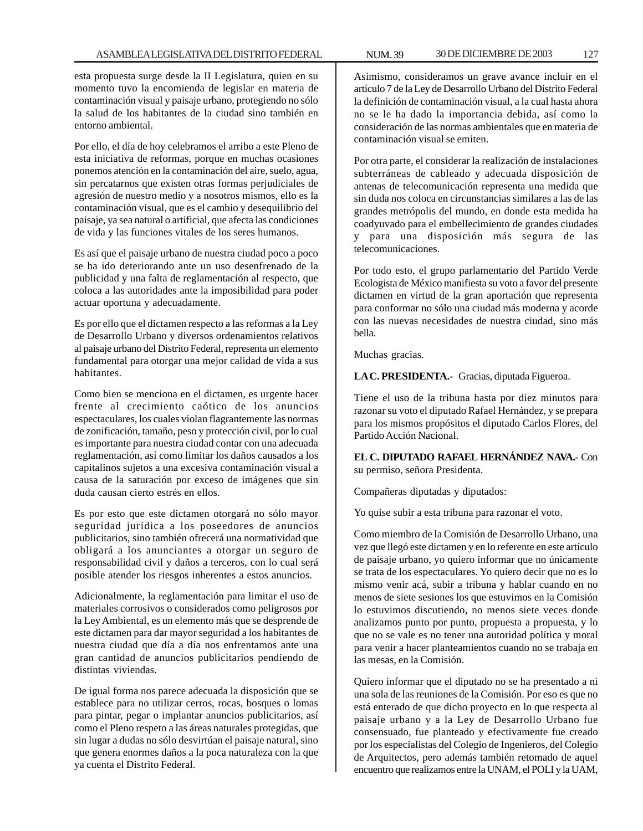esta propuesta surge desde la II Legislatura, quien en su momento tuvo la encomienda de legislar en materia de contaminación visual y paisaje urbano, protegiendo no sólo la salud de los habitantes de la ciudad sino también en entorno ambiental.

Por ello, el día de hoy celebramos el arribo a este Pleno de esta iniciativa de reformas, porque en muchas ocasiones ponemos atención en la contaminación del aire, suelo, agua, sin percatarnos que existen otras formas perjudiciales de agresión de nuestro medio y a nosotros mismos, ello es la contaminación visual, que es el cambio y desequilibrio del paisaje, ya sea natural o artificial, que afecta las condiciones de vida y las funciones vitales de los seres humanos.

Es así que el paisaje urbano de nuestra ciudad poco a poco se ha ido deteriorando ante un uso desenfrenado de la publicidad y una falta de reglamentación al respecto, que coloca a las autoridades ante la imposibilidad para poder actuar oportuna y adecuadamente.

Es por ello que el dictamen respecto a las reformas a la Ley de Desarrollo Urbano y diversos ordenamientos relativos al paisaje urbano del Distrito Federal, representa un elemento fundamental para otorgar una mejor calidad de vida a sus habitantes.

Como bien se menciona en el dictamen, es urgente hacer frente al crecimiento caótico de los anuncios espectaculares, los cuales violan flagrantemente las normas de zonificación, tamaño, peso y protección civil, por lo cual es importante para nuestra ciudad contar con una adecuada reglamentación, así como limitar los daños causados a los capitalinos sujetos a una excesiva contaminación visual a causa de la saturación por exceso de imágenes que sin duda causan cierto estrés en ellos.

Es por esto que este dictamen otorgará no sólo mayor seguridad jurídica a los poseedores de anuncios publicitarios, sino también ofrecerá una normatividad que obligará a los anunciantes a otorgar un seguro de responsabilidad civil y daños a terceros, con lo cual será posible atender los riesgos inherentes a estos anuncios.

Adicionalmente, la reglamentación para limitar el uso de materiales corrosivos o considerados como peligrosos por la Ley Ambiental, es un elemento más que se desprende de este dictamen para dar mayor seguridad a los habitantes de nuestra ciudad que día a día nos enfrentamos ante una gran cantidad de anuncios publicitarios pendiendo de distintas viviendas.

De igual forma nos parece adecuada la disposición que se establece para no utilizar cerros, rocas, bosques o lomas para pintar, pegar o implantar anuncios publicitarios, así como el Pleno respeto a las áreas naturales protegidas, que sin lugar a dudas no sólo desvirtúan el paisaje natural, sino que genera enormes daños a la poca naturaleza con la que ya cuenta el Distrito Federal.

Asimismo, consideramos un grave avance incluir en el artículo 7 de la Ley de Desarrollo Urbano del Distrito Federal la definición de contaminación visual, a la cual hasta ahora no se le ha dado la importancia debida, así como la consideración de las normas ambientales que en materia de contaminación visual se emiten.

Por otra parte, el considerar la realización de instalaciones subterráneas de cableado y adecuada disposición de antenas de telecomunicación representa una medida que sin duda nos coloca en circunstancias similares a las de las grandes metrópolis del mundo, en donde esta medida ha coadyuvado para el embellecimiento de grandes ciudades y para una disposición más segura de las telecomunicaciones.

Por todo esto, el grupo parlamentario del Partido Verde Ecologista de México manifiesta su voto a favor del presente dictamen en virtud de la gran aportación que representa para conformar no sólo una ciudad más moderna y acorde con las nuevas necesidades de nuestra ciudad, sino más bella.

Muchas gracias.

**LA C. PRESIDENTA.-** Gracias, diputada Figueroa.

Tiene el uso de la tribuna hasta por diez minutos para razonar su voto el diputado Rafael Hernández, y se prepara para los mismos propósitos el diputado Carlos Flores, del Partido Acción Nacional.

**EL C. DIPUTADO RAFAEL HERNÁNDEZ NAVA.-** Con su permiso, señora Presidenta.

Compañeras diputadas y diputados:

Yo quise subir a esta tribuna para razonar el voto.

Como miembro de la Comisión de Desarrollo Urbano, una vez que llegó este dictamen y en lo referente en este artículo de paisaje urbano, yo quiero informar que no únicamente se trata de los espectaculares. Yo quiero decir que no es lo mismo venir acá, subir a tribuna y hablar cuando en no menos de siete sesiones los que estuvimos en la Comisión lo estuvimos discutiendo, no menos siete veces donde analizamos punto por punto, propuesta a propuesta, y lo que no se vale es no tener una autoridad política y moral para venir a hacer planteamientos cuando no se trabaja en las mesas, en la Comisión.

Quiero informar que el diputado no se ha presentado a ni una sola de las reuniones de la Comisión. Por eso es que no está enterado de que dicho proyecto en lo que respecta al paisaje urbano y a la Ley de Desarrollo Urbano fue consensuado, fue planteado y efectivamente fue creado por los especialistas del Colegio de Ingenieros, del Colegio de Arquitectos, pero además también retomado de aquel encuentro que realizamos entre la UNAM, el POLI y la UAM,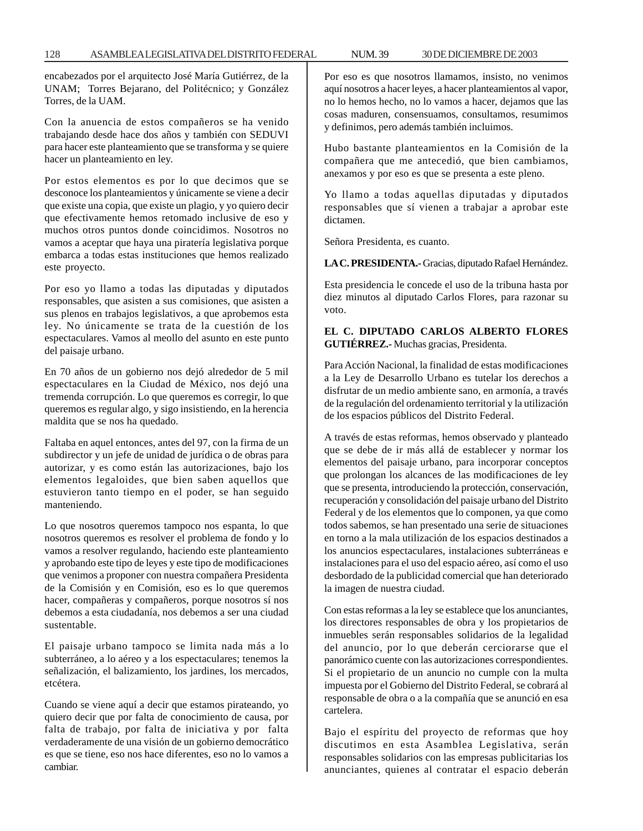encabezados por el arquitecto José María Gutiérrez, de la UNAM; Torres Bejarano, del Politécnico; y González Torres, de la UAM.

Con la anuencia de estos compañeros se ha venido trabajando desde hace dos años y también con SEDUVI para hacer este planteamiento que se transforma y se quiere hacer un planteamiento en ley.

Por estos elementos es por lo que decimos que se desconoce los planteamientos y únicamente se viene a decir que existe una copia, que existe un plagio, y yo quiero decir que efectivamente hemos retomado inclusive de eso y muchos otros puntos donde coincidimos. Nosotros no vamos a aceptar que haya una piratería legislativa porque embarca a todas estas instituciones que hemos realizado este proyecto.

Por eso yo llamo a todas las diputadas y diputados responsables, que asisten a sus comisiones, que asisten a sus plenos en trabajos legislativos, a que aprobemos esta ley. No únicamente se trata de la cuestión de los espectaculares. Vamos al meollo del asunto en este punto del paisaje urbano.

En 70 años de un gobierno nos dejó alrededor de 5 mil espectaculares en la Ciudad de México, nos dejó una tremenda corrupción. Lo que queremos es corregir, lo que queremos es regular algo, y sigo insistiendo, en la herencia maldita que se nos ha quedado.

Faltaba en aquel entonces, antes del 97, con la firma de un subdirector y un jefe de unidad de jurídica o de obras para autorizar, y es como están las autorizaciones, bajo los elementos legaloides, que bien saben aquellos que estuvieron tanto tiempo en el poder, se han seguido manteniendo.

Lo que nosotros queremos tampoco nos espanta, lo que nosotros queremos es resolver el problema de fondo y lo vamos a resolver regulando, haciendo este planteamiento y aprobando este tipo de leyes y este tipo de modificaciones que venimos a proponer con nuestra compañera Presidenta de la Comisión y en Comisión, eso es lo que queremos hacer, compañeras y compañeros, porque nosotros sí nos debemos a esta ciudadanía, nos debemos a ser una ciudad sustentable.

El paisaje urbano tampoco se limita nada más a lo subterráneo, a lo aéreo y a los espectaculares; tenemos la señalización, el balizamiento, los jardines, los mercados, etcétera.

Cuando se viene aquí a decir que estamos pirateando, yo quiero decir que por falta de conocimiento de causa, por falta de trabajo, por falta de iniciativa y por falta verdaderamente de una visión de un gobierno democrático es que se tiene, eso nos hace diferentes, eso no lo vamos a cambiar.

Por eso es que nosotros llamamos, insisto, no venimos aquí nosotros a hacer leyes, a hacer planteamientos al vapor, no lo hemos hecho, no lo vamos a hacer, dejamos que las cosas maduren, consensuamos, consultamos, resumimos y definimos, pero además también incluimos.

Hubo bastante planteamientos en la Comisión de la compañera que me antecedió, que bien cambiamos, anexamos y por eso es que se presenta a este pleno.

Yo llamo a todas aquellas diputadas y diputados responsables que sí vienen a trabajar a aprobar este dictamen.

Señora Presidenta, es cuanto.

**LA C. PRESIDENTA.-** Gracias, diputado Rafael Hernández.

Esta presidencia le concede el uso de la tribuna hasta por diez minutos al diputado Carlos Flores, para razonar su voto.

## **EL C. DIPUTADO CARLOS ALBERTO FLORES GUTIÉRREZ.-** Muchas gracias, Presidenta.

Para Acción Nacional, la finalidad de estas modificaciones a la Ley de Desarrollo Urbano es tutelar los derechos a disfrutar de un medio ambiente sano, en armonía, a través de la regulación del ordenamiento territorial y la utilización de los espacios públicos del Distrito Federal.

A través de estas reformas, hemos observado y planteado que se debe de ir más allá de establecer y normar los elementos del paisaje urbano, para incorporar conceptos que prolongan los alcances de las modificaciones de ley que se presenta, introduciendo la protección, conservación, recuperación y consolidación del paisaje urbano del Distrito Federal y de los elementos que lo componen, ya que como todos sabemos, se han presentado una serie de situaciones en torno a la mala utilización de los espacios destinados a los anuncios espectaculares, instalaciones subterráneas e instalaciones para el uso del espacio aéreo, así como el uso desbordado de la publicidad comercial que han deteriorado la imagen de nuestra ciudad.

Con estas reformas a la ley se establece que los anunciantes, los directores responsables de obra y los propietarios de inmuebles serán responsables solidarios de la legalidad del anuncio, por lo que deberán cerciorarse que el panorámico cuente con las autorizaciones correspondientes. Si el propietario de un anuncio no cumple con la multa impuesta por el Gobierno del Distrito Federal, se cobrará al responsable de obra o a la compañía que se anunció en esa cartelera.

Bajo el espíritu del proyecto de reformas que hoy discutimos en esta Asamblea Legislativa, serán responsables solidarios con las empresas publicitarias los anunciantes, quienes al contratar el espacio deberán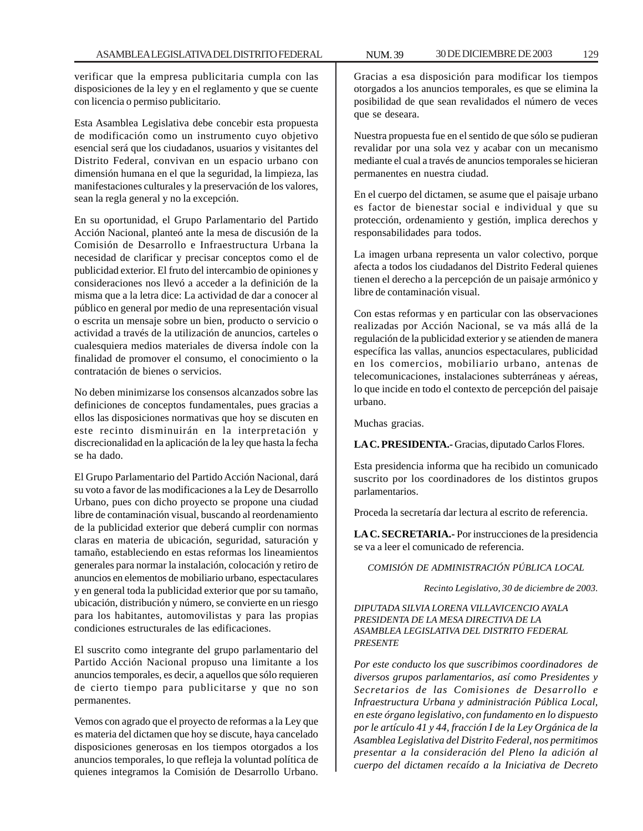verificar que la empresa publicitaria cumpla con las disposiciones de la ley y en el reglamento y que se cuente con licencia o permiso publicitario.

Esta Asamblea Legislativa debe concebir esta propuesta de modificación como un instrumento cuyo objetivo esencial será que los ciudadanos, usuarios y visitantes del Distrito Federal, convivan en un espacio urbano con dimensión humana en el que la seguridad, la limpieza, las manifestaciones culturales y la preservación de los valores, sean la regla general y no la excepción.

En su oportunidad, el Grupo Parlamentario del Partido Acción Nacional, planteó ante la mesa de discusión de la Comisión de Desarrollo e Infraestructura Urbana la necesidad de clarificar y precisar conceptos como el de publicidad exterior. El fruto del intercambio de opiniones y consideraciones nos llevó a acceder a la definición de la misma que a la letra dice: La actividad de dar a conocer al público en general por medio de una representación visual o escrita un mensaje sobre un bien, producto o servicio o actividad a través de la utilización de anuncios, carteles o cualesquiera medios materiales de diversa índole con la finalidad de promover el consumo, el conocimiento o la contratación de bienes o servicios.

No deben minimizarse los consensos alcanzados sobre las definiciones de conceptos fundamentales, pues gracias a ellos las disposiciones normativas que hoy se discuten en este recinto disminuirán en la interpretación y discrecionalidad en la aplicación de la ley que hasta la fecha se ha dado.

El Grupo Parlamentario del Partido Acción Nacional, dará su voto a favor de las modificaciones a la Ley de Desarrollo Urbano, pues con dicho proyecto se propone una ciudad libre de contaminación visual, buscando al reordenamiento de la publicidad exterior que deberá cumplir con normas claras en materia de ubicación, seguridad, saturación y tamaño, estableciendo en estas reformas los lineamientos generales para normar la instalación, colocación y retiro de anuncios en elementos de mobiliario urbano, espectaculares y en general toda la publicidad exterior que por su tamaño, ubicación, distribución y número, se convierte en un riesgo para los habitantes, automovilistas y para las propias condiciones estructurales de las edificaciones.

El suscrito como integrante del grupo parlamentario del Partido Acción Nacional propuso una limitante a los anuncios temporales, es decir, a aquellos que sólo requieren de cierto tiempo para publicitarse y que no son permanentes.

Vemos con agrado que el proyecto de reformas a la Ley que es materia del dictamen que hoy se discute, haya cancelado disposiciones generosas en los tiempos otorgados a los anuncios temporales, lo que refleja la voluntad política de quienes integramos la Comisión de Desarrollo Urbano.

Gracias a esa disposición para modificar los tiempos otorgados a los anuncios temporales, es que se elimina la posibilidad de que sean revalidados el número de veces que se deseara.

Nuestra propuesta fue en el sentido de que sólo se pudieran revalidar por una sola vez y acabar con un mecanismo mediante el cual a través de anuncios temporales se hicieran permanentes en nuestra ciudad.

En el cuerpo del dictamen, se asume que el paisaje urbano es factor de bienestar social e individual y que su protección, ordenamiento y gestión, implica derechos y responsabilidades para todos.

La imagen urbana representa un valor colectivo, porque afecta a todos los ciudadanos del Distrito Federal quienes tienen el derecho a la percepción de un paisaje armónico y libre de contaminación visual.

Con estas reformas y en particular con las observaciones realizadas por Acción Nacional, se va más allá de la regulación de la publicidad exterior y se atienden de manera específica las vallas, anuncios espectaculares, publicidad en los comercios, mobiliario urbano, antenas de telecomunicaciones, instalaciones subterráneas y aéreas, lo que incide en todo el contexto de percepción del paisaje urbano.

Muchas gracias.

**LA C. PRESIDENTA.-** Gracias, diputado Carlos Flores.

Esta presidencia informa que ha recibido un comunicado suscrito por los coordinadores de los distintos grupos parlamentarios.

Proceda la secretaría dar lectura al escrito de referencia.

**LA C. SECRETARIA.-** Por instrucciones de la presidencia se va a leer el comunicado de referencia.

#### *COMISIÓN DE ADMINISTRACIÓN PÚBLICA LOCAL*

*Recinto Legislativo, 30 de diciembre de 2003.*

*DIPUTADA SILVIA LORENA VILLAVICENCIO AYALA PRESIDENTA DE LA MESA DIRECTIVA DE LA ASAMBLEA LEGISLATIVA DEL DISTRITO FEDERAL PRESENTE*

*Por este conducto los que suscribimos coordinadores de diversos grupos parlamentarios, así como Presidentes y Secretarios de las Comisiones de Desarrollo e Infraestructura Urbana y administración Pública Local, en este órgano legislativo, con fundamento en lo dispuesto por le artículo 41 y 44, fracción I de la Ley Orgánica de la Asamblea Legislativa del Distrito Federal, nos permitimos presentar a la consideración del Pleno la adición al cuerpo del dictamen recaído a la Iniciativa de Decreto*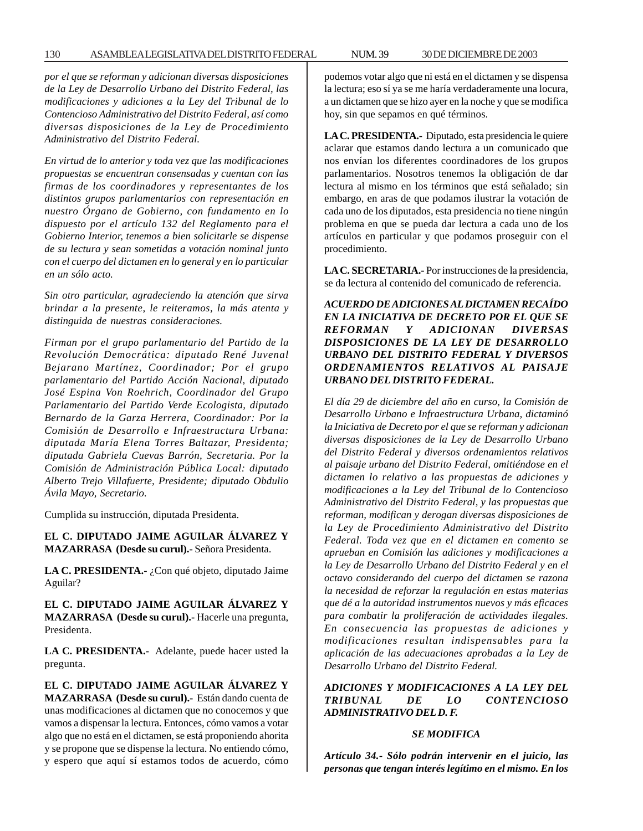#### 130 ASAMBLEA LEGISLATIVA DEL DISTRITO FEDERAL 30 DE NUM. 39 DICIEMBRE DE 2003

*por el que se reforman y adicionan diversas disposiciones de la Ley de Desarrollo Urbano del Distrito Federal, las modificaciones y adiciones a la Ley del Tribunal de lo Contencioso Administrativo del Distrito Federal, así como diversas disposiciones de la Ley de Procedimiento Administrativo del Distrito Federal.*

*En virtud de lo anterior y toda vez que las modificaciones propuestas se encuentran consensadas y cuentan con las firmas de los coordinadores y representantes de los distintos grupos parlamentarios con representación en nuestro Órgano de Gobierno, con fundamento en lo dispuesto por el artículo 132 del Reglamento para el Gobierno Interior, tenemos a bien solicitarle se dispense de su lectura y sean sometidas a votación nominal junto con el cuerpo del dictamen en lo general y en lo particular en un sólo acto.*

*Sin otro particular, agradeciendo la atención que sirva brindar a la presente, le reiteramos, la más atenta y distinguida de nuestras consideraciones.*

*Firman por el grupo parlamentario del Partido de la Revolución Democrática: diputado René Juvenal Bejarano Martínez, Coordinador; Por el grupo parlamentario del Partido Acción Nacional, diputado José Espina Von Roehrich, Coordinador del Grupo Parlamentario del Partido Verde Ecologista, diputado Bernardo de la Garza Herrera, Coordinador: Por la Comisión de Desarrollo e Infraestructura Urbana: diputada María Elena Torres Baltazar, Presidenta; diputada Gabriela Cuevas Barrón, Secretaria. Por la Comisión de Administración Pública Local: diputado Alberto Trejo Villafuerte, Presidente; diputado Obdulio Ávila Mayo, Secretario.*

Cumplida su instrucción, diputada Presidenta.

**EL C. DIPUTADO JAIME AGUILAR ÁLVAREZ Y MAZARRASA (Desde su curul).-** Señora Presidenta.

**LA C. PRESIDENTA.-** ¿Con qué objeto, diputado Jaime Aguilar?

**EL C. DIPUTADO JAIME AGUILAR ÁLVAREZ Y MAZARRASA (Desde su curul).-** Hacerle una pregunta, Presidenta.

**LA C. PRESIDENTA.-** Adelante, puede hacer usted la pregunta.

**EL C. DIPUTADO JAIME AGUILAR ÁLVAREZ Y MAZARRASA (Desde su curul).-** Están dando cuenta de unas modificaciones al dictamen que no conocemos y que vamos a dispensar la lectura. Entonces, cómo vamos a votar algo que no está en el dictamen, se está proponiendo ahorita y se propone que se dispense la lectura. No entiendo cómo, y espero que aquí sí estamos todos de acuerdo, cómo podemos votar algo que ni está en el dictamen y se dispensa la lectura; eso sí ya se me haría verdaderamente una locura, a un dictamen que se hizo ayer en la noche y que se modifica hoy, sin que sepamos en qué términos.

**LA C. PRESIDENTA.-** Diputado, esta presidencia le quiere aclarar que estamos dando lectura a un comunicado que nos envían los diferentes coordinadores de los grupos parlamentarios. Nosotros tenemos la obligación de dar lectura al mismo en los términos que está señalado; sin embargo, en aras de que podamos ilustrar la votación de cada uno de los diputados, esta presidencia no tiene ningún problema en que se pueda dar lectura a cada uno de los artículos en particular y que podamos proseguir con el procedimiento.

**LA C. SECRETARIA.-** Por instrucciones de la presidencia, se da lectura al contenido del comunicado de referencia.

*ACUERDO DE ADICIONES AL DICTAMEN RECAÍDO EN LA INICIATIVA DE DECRETO POR EL QUE SE REFORMAN Y ADICIONAN DIVERSAS DISPOSICIONES DE LA LEY DE DESARROLLO URBANO DEL DISTRITO FEDERAL Y DIVERSOS ORDENAMIENTOS RELATIVOS AL PAISAJE URBANO DEL DISTRITO FEDERAL.*

*El día 29 de diciembre del año en curso, la Comisión de Desarrollo Urbano e Infraestructura Urbana, dictaminó la Iniciativa de Decreto por el que se reforman y adicionan diversas disposiciones de la Ley de Desarrollo Urbano del Distrito Federal y diversos ordenamientos relativos al paisaje urbano del Distrito Federal, omitiéndose en el dictamen lo relativo a las propuestas de adiciones y modificaciones a la Ley del Tribunal de lo Contencioso Administrativo del Distrito Federal, y las propuestas que reforman, modifican y derogan diversas disposiciones de la Ley de Procedimiento Administrativo del Distrito Federal. Toda vez que en el dictamen en comento se aprueban en Comisión las adiciones y modificaciones a la Ley de Desarrollo Urbano del Distrito Federal y en el octavo considerando del cuerpo del dictamen se razona la necesidad de reforzar la regulación en estas materias que dé a la autoridad instrumentos nuevos y más eficaces para combatir la proliferación de actividades ilegales. En consecuencia las propuestas de adiciones y modificaciones resultan indispensables para la aplicación de las adecuaciones aprobadas a la Ley de Desarrollo Urbano del Distrito Federal.*

# *ADICIONES Y MODIFICACIONES A LA LEY DEL TRIBUNAL DE LO CONTENCIOSO ADMINISTRATIVO DEL D. F.*

#### *SE MODIFICA*

*Artículo 34.- Sólo podrán intervenir en el juicio, las personas que tengan interés legítimo en el mismo. En los*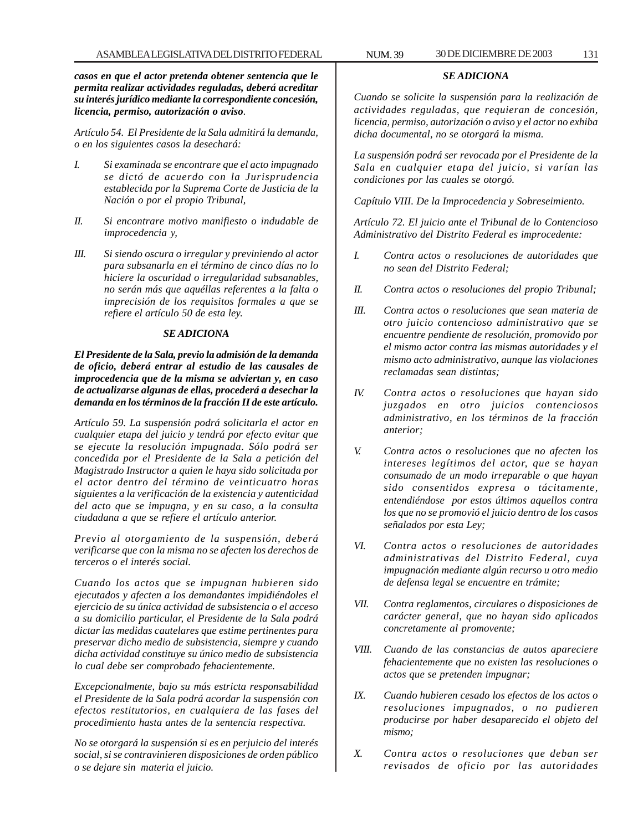*casos en que el actor pretenda obtener sentencia que le permita realizar actividades reguladas, deberá acreditar su interés jurídico mediante la correspondiente concesión, licencia, permiso, autorización o aviso.*

*Artículo 54. El Presidente de la Sala admitirá la demanda, o en los siguientes casos la desechará:*

- *I. Si examinada se encontrare que el acto impugnado se dictó de acuerdo con la Jurisprudencia establecida por la Suprema Corte de Justicia de la Nación o por el propio Tribunal,*
- *II. Si encontrare motivo manifiesto o indudable de improcedencia y,*
- *III. Si siendo oscura o irregular y previniendo al actor para subsanarla en el término de cinco días no lo hiciere la oscuridad o irregularidad subsanables, no serán más que aquéllas referentes a la falta o imprecisión de los requisitos formales a que se refiere el artículo 50 de esta ley.*

#### *SE ADICIONA*

*El Presidente de la Sala, previo la admisión de la demanda de oficio, deberá entrar al estudio de las causales de improcedencia que de la misma se adviertan y, en caso de actualizarse algunas de ellas, procederá a desechar la demanda en los términos de la fracción II de este artículo.*

*Artículo 59. La suspensión podrá solicitarla el actor en cualquier etapa del juicio y tendrá por efecto evitar que se ejecute la resolución impugnada. Sólo podrá ser concedida por el Presidente de la Sala a petición del Magistrado Instructor a quien le haya sido solicitada por el actor dentro del término de veinticuatro horas siguientes a la verificación de la existencia y autenticidad del acto que se impugna, y en su caso, a la consulta ciudadana a que se refiere el artículo anterior.*

*Previo al otorgamiento de la suspensión, deberá verificarse que con la misma no se afecten los derechos de terceros o el interés social.*

*Cuando los actos que se impugnan hubieren sido ejecutados y afecten a los demandantes impidiéndoles el ejercicio de su única actividad de subsistencia o el acceso a su domicilio particular, el Presidente de la Sala podrá dictar las medidas cautelares que estime pertinentes para preservar dicho medio de subsistencia, siempre y cuando dicha actividad constituye su único medio de subsistencia lo cual debe ser comprobado fehacientemente.*

*Excepcionalmente, bajo su más estricta responsabilidad el Presidente de la Sala podrá acordar la suspensión con efectos restitutorios, en cualquiera de las fases del procedimiento hasta antes de la sentencia respectiva.*

*No se otorgará la suspensión si es en perjuicio del interés social, si se contravinieren disposiciones de orden público o se dejare sin materia el juicio.*

## *SE ADICIONA*

*Cuando se solicite la suspensión para la realización de actividades reguladas, que requieran de concesión, licencia, permiso, autorización o aviso y el actor no exhiba dicha documental, no se otorgará la misma.*

*La suspensión podrá ser revocada por el Presidente de la Sala en cualquier etapa del juicio, si varían las condiciones por las cuales se otorgó.*

*Capítulo VIII. De la Improcedencia y Sobreseimiento.*

*Artículo 72. El juicio ante el Tribunal de lo Contencioso Administrativo del Distrito Federal es improcedente:*

- *I. Contra actos o resoluciones de autoridades que no sean del Distrito Federal;*
- *II. Contra actos o resoluciones del propio Tribunal;*
- *III. Contra actos o resoluciones que sean materia de otro juicio contencioso administrativo que se encuentre pendiente de resolución, promovido por el mismo actor contra las mismas autoridades y el mismo acto administrativo, aunque las violaciones reclamadas sean distintas;*
- *IV. Contra actos o resoluciones que hayan sido juzgados en otro juicios contenciosos administrativo, en los términos de la fracción anterior;*
- *V. Contra actos o resoluciones que no afecten los intereses legítimos del actor, que se hayan consumado de un modo irreparable o que hayan sido consentidos expresa o tácitamente, entendiéndose por estos últimos aquellos contra los que no se promovió el juicio dentro de los casos señalados por esta Ley;*
- *VI. Contra actos o resoluciones de autoridades administrativas del Distrito Federal, cuya impugnación mediante algún recurso u otro medio de defensa legal se encuentre en trámite;*
- *VII. Contra reglamentos, circulares o disposiciones de carácter general, que no hayan sido aplicados concretamente al promovente;*
- *VIII. Cuando de las constancias de autos apareciere fehacientemente que no existen las resoluciones o actos que se pretenden impugnar;*
- *IX. Cuando hubieren cesado los efectos de los actos o resoluciones impugnados, o no pudieren producirse por haber desaparecido el objeto del mismo;*
- *X. Contra actos o resoluciones que deban ser revisados de oficio por las autoridades*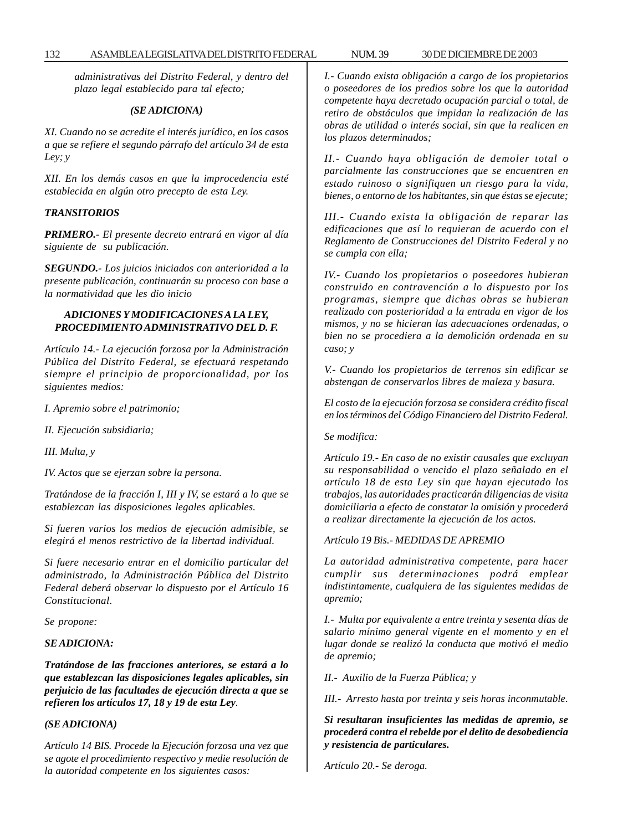*administrativas del Distrito Federal, y dentro del plazo legal establecido para tal efecto;*

#### *(SE ADICIONA)*

*XI. Cuando no se acredite el interés jurídico, en los casos a que se refiere el segundo párrafo del artículo 34 de esta Ley; y*

*XII. En los demás casos en que la improcedencia esté establecida en algún otro precepto de esta Ley.*

## *TRANSITORIOS*

*PRIMERO.- El presente decreto entrará en vigor al día siguiente de su publicación.*

*SEGUNDO.- Los juicios iniciados con anterioridad a la presente publicación, continuarán su proceso con base a la normatividad que les dio inicio*

#### *ADICIONES Y MODIFICACIONES A LA LEY, PROCEDIMIENTO ADMINISTRATIVO DEL D. F.*

*Artículo 14.- La ejecución forzosa por la Administración Pública del Distrito Federal, se efectuará respetando siempre el principio de proporcionalidad, por los siguientes medios:*

*I. Apremio sobre el patrimonio;*

*II. Ejecución subsidiaria;*

*III. Multa, y*

*IV. Actos que se ejerzan sobre la persona.*

*Tratándose de la fracción I, III y IV, se estará a lo que se establezcan las disposiciones legales aplicables.*

*Si fueren varios los medios de ejecución admisible, se elegirá el menos restrictivo de la libertad individual.*

*Si fuere necesario entrar en el domicilio particular del administrado, la Administración Pública del Distrito Federal deberá observar lo dispuesto por el Artículo 16 Constitucional.*

*Se propone:*

#### *SE ADICIONA:*

*Tratándose de las fracciones anteriores, se estará a lo que establezcan las disposiciones legales aplicables, sin perjuicio de las facultades de ejecución directa a que se refieren los artículos 17, 18 y 19 de esta Ley.*

#### *(SE ADICIONA)*

*Artículo 14 BIS. Procede la Ejecución forzosa una vez que se agote el procedimiento respectivo y medie resolución de la autoridad competente en los siguientes casos:*

*I.- Cuando exista obligación a cargo de los propietarios o poseedores de los predios sobre los que la autoridad competente haya decretado ocupación parcial o total, de retiro de obstáculos que impidan la realización de las obras de utilidad o interés social, sin que la realicen en los plazos determinados;*

*II.- Cuando haya obligación de demoler total o parcialmente las construcciones que se encuentren en estado ruinoso o signifiquen un riesgo para la vida, bienes, o entorno de los habitantes, sin que éstas se ejecute;*

*III.- Cuando exista la obligación de reparar las edificaciones que así lo requieran de acuerdo con el Reglamento de Construcciones del Distrito Federal y no se cumpla con ella;*

*IV.- Cuando los propietarios o poseedores hubieran construido en contravención a lo dispuesto por los programas, siempre que dichas obras se hubieran realizado con posterioridad a la entrada en vigor de los mismos, y no se hicieran las adecuaciones ordenadas, o bien no se procediera a la demolición ordenada en su caso; y*

*V.- Cuando los propietarios de terrenos sin edificar se abstengan de conservarlos libres de maleza y basura.*

*El costo de la ejecución forzosa se considera crédito fiscal en los términos del Código Financiero del Distrito Federal.*

*Se modifica:*

*Artículo 19.- En caso de no existir causales que excluyan su responsabilidad o vencido el plazo señalado en el artículo 18 de esta Ley sin que hayan ejecutado los trabajos, las autoridades practicarán diligencias de visita domiciliaria a efecto de constatar la omisión y procederá a realizar directamente la ejecución de los actos.*

*Artículo 19 Bis.- MEDIDAS DE APREMIO*

*La autoridad administrativa competente, para hacer cumplir sus determinaciones podrá emplear indistintamente, cualquiera de las siguientes medidas de apremio;*

*I.- Multa por equivalente a entre treinta y sesenta días de salario mínimo general vigente en el momento y en el lugar donde se realizó la conducta que motivó el medio de apremio;*

*II.- Auxilio de la Fuerza Pública; y*

*III.- Arresto hasta por treinta y seis horas inconmutable.*

*Si resultaran insuficientes las medidas de apremio, se procederá contra el rebelde por el delito de desobediencia y resistencia de particulares.*

*Artículo 20.- Se deroga.*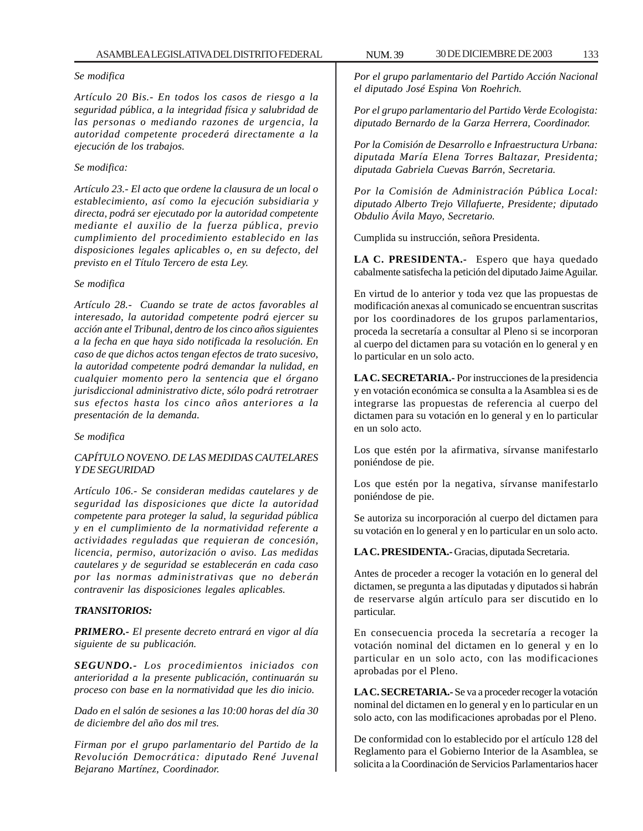#### *Se modifica*

*Artículo 20 Bis.- En todos los casos de riesgo a la seguridad pública, a la integridad física y salubridad de las personas o mediando razones de urgencia, la autoridad competente procederá directamente a la ejecución de los trabajos.*

## *Se modifica:*

*Artículo 23.- El acto que ordene la clausura de un local o establecimiento, así como la ejecución subsidiaria y directa, podrá ser ejecutado por la autoridad competente mediante el auxilio de la fuerza pública, previo cumplimiento del procedimiento establecido en las disposiciones legales aplicables o, en su defecto, del previsto en el Título Tercero de esta Ley.*

#### *Se modifica*

*Artículo 28.- Cuando se trate de actos favorables al interesado, la autoridad competente podrá ejercer su acción ante el Tribunal, dentro de los cinco años siguientes a la fecha en que haya sido notificada la resolución. En caso de que dichos actos tengan efectos de trato sucesivo, la autoridad competente podrá demandar la nulidad, en cualquier momento pero la sentencia que el órgano jurisdiccional administrativo dicte, sólo podrá retrotraer sus efectos hasta los cinco años anteriores a la presentación de la demanda.*

#### *Se modifica*

## *CAPÍTULO NOVENO. DE LAS MEDIDAS CAUTELARES Y DE SEGURIDAD*

*Artículo 106.- Se consideran medidas cautelares y de seguridad las disposiciones que dicte la autoridad competente para proteger la salud, la seguridad pública y en el cumplimiento de la normatividad referente a actividades reguladas que requieran de concesión, licencia, permiso, autorización o aviso. Las medidas cautelares y de seguridad se establecerán en cada caso por las normas administrativas que no deberán contravenir las disposiciones legales aplicables.*

## *TRANSITORIOS:*

*PRIMERO.- El presente decreto entrará en vigor al día siguiente de su publicación.*

*SEGUNDO.- Los procedimientos iniciados con anterioridad a la presente publicación, continuarán su proceso con base en la normatividad que les dio inicio.*

*Dado en el salón de sesiones a las 10:00 horas del día 30 de diciembre del año dos mil tres.*

*Firman por el grupo parlamentario del Partido de la Revolución Democrática: diputado René Juvenal Bejarano Martínez, Coordinador.*

*Por el grupo parlamentario del Partido Acción Nacional el diputado José Espina Von Roehrich.*

*Por el grupo parlamentario del Partido Verde Ecologista: diputado Bernardo de la Garza Herrera, Coordinador.*

*Por la Comisión de Desarrollo e Infraestructura Urbana: diputada María Elena Torres Baltazar, Presidenta; diputada Gabriela Cuevas Barrón, Secretaria.*

*Por la Comisión de Administración Pública Local: diputado Alberto Trejo Villafuerte, Presidente; diputado Obdulio Ávila Mayo, Secretario.*

Cumplida su instrucción, señora Presidenta.

**LA C. PRESIDENTA.-** Espero que haya quedado cabalmente satisfecha la petición del diputado Jaime Aguilar.

En virtud de lo anterior y toda vez que las propuestas de modificación anexas al comunicado se encuentran suscritas por los coordinadores de los grupos parlamentarios, proceda la secretaría a consultar al Pleno si se incorporan al cuerpo del dictamen para su votación en lo general y en lo particular en un solo acto.

**LA C. SECRETARIA.-** Por instrucciones de la presidencia y en votación económica se consulta a la Asamblea si es de integrarse las propuestas de referencia al cuerpo del dictamen para su votación en lo general y en lo particular en un solo acto.

Los que estén por la afirmativa, sírvanse manifestarlo poniéndose de pie.

Los que estén por la negativa, sírvanse manifestarlo poniéndose de pie.

Se autoriza su incorporación al cuerpo del dictamen para su votación en lo general y en lo particular en un solo acto.

**LA C. PRESIDENTA.-** Gracias, diputada Secretaria.

Antes de proceder a recoger la votación en lo general del dictamen, se pregunta a las diputadas y diputados si habrán de reservarse algún artículo para ser discutido en lo particular.

En consecuencia proceda la secretaría a recoger la votación nominal del dictamen en lo general y en lo particular en un solo acto, con las modificaciones aprobadas por el Pleno.

**LA C. SECRETARIA.-** Se va a proceder recoger la votación nominal del dictamen en lo general y en lo particular en un solo acto, con las modificaciones aprobadas por el Pleno.

De conformidad con lo establecido por el artículo 128 del Reglamento para el Gobierno Interior de la Asamblea, se solicita a la Coordinación de Servicios Parlamentarios hacer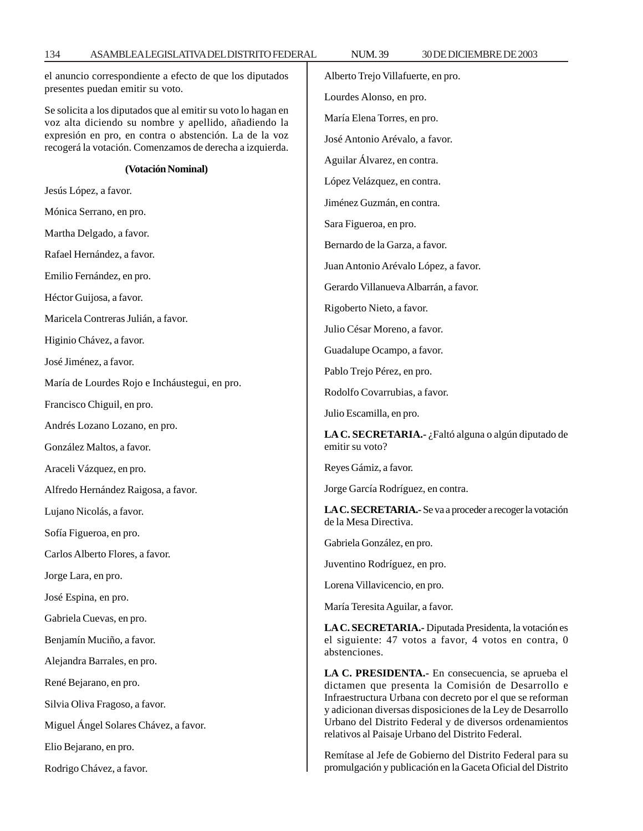el anuncio correspondiente a efecto de que los diputados presentes puedan emitir su voto.

Se solicita a los diputados que al emitir su voto lo hagan en voz alta diciendo su nombre y apellido, añadiendo la expresión en pro, en contra o abstención. La de la voz recogerá la votación. Comenzamos de derecha a izquierda.

#### **(Votación Nominal)**

Jesús López, a favor.

Mónica Serrano, en pro.

Martha Delgado, a favor.

Rafael Hernández, a favor.

Emilio Fernández, en pro.

Héctor Guijosa, a favor.

Maricela Contreras Julián, a favor.

Higinio Chávez, a favor.

José Jiménez, a favor.

María de Lourdes Rojo e Incháustegui, en pro.

Francisco Chiguil, en pro.

Andrés Lozano Lozano, en pro.

González Maltos, a favor.

Araceli Vázquez, en pro.

Alfredo Hernández Raigosa, a favor.

Lujano Nicolás, a favor.

Sofía Figueroa, en pro.

Carlos Alberto Flores, a favor.

Jorge Lara, en pro.

José Espina, en pro.

Gabriela Cuevas, en pro.

Benjamín Muciño, a favor.

Alejandra Barrales, en pro.

René Bejarano, en pro.

Silvia Oliva Fragoso, a favor.

Miguel Ángel Solares Chávez, a favor.

Elio Bejarano, en pro.

Rodrigo Chávez, a favor.

Alberto Trejo Villafuerte, en pro. Lourdes Alonso, en pro. María Elena Torres, en pro. José Antonio Arévalo, a favor. Aguilar Álvarez, en contra. López Velázquez, en contra. Jiménez Guzmán, en contra. Sara Figueroa, en pro. Bernardo de la Garza, a favor. Juan Antonio Arévalo López, a favor. Gerardo Villanueva Albarrán, a favor. Rigoberto Nieto, a favor. Julio César Moreno, a favor. Guadalupe Ocampo, a favor. Pablo Trejo Pérez, en pro. Rodolfo Covarrubias, a favor. Julio Escamilla, en pro. **LA C. SECRETARIA.-** ¿Faltó alguna o algún diputado de emitir su voto? Reyes Gámiz, a favor. Jorge García Rodríguez, en contra. **LA C. SECRETARIA.-** Se va a proceder a recoger la votación de la Mesa Directiva. Gabriela González, en pro. Juventino Rodríguez, en pro. Lorena Villavicencio, en pro. María Teresita Aguilar, a favor. **LA C. SECRETARIA.-** Diputada Presidenta, la votación es el siguiente: 47 votos a favor, 4 votos en contra, 0 abstenciones. **LA C. PRESIDENTA.-** En consecuencia, se aprueba el

dictamen que presenta la Comisión de Desarrollo e Infraestructura Urbana con decreto por el que se reforman y adicionan diversas disposiciones de la Ley de Desarrollo Urbano del Distrito Federal y de diversos ordenamientos relativos al Paisaje Urbano del Distrito Federal.

Remítase al Jefe de Gobierno del Distrito Federal para su promulgación y publicación en la Gaceta Oficial del Distrito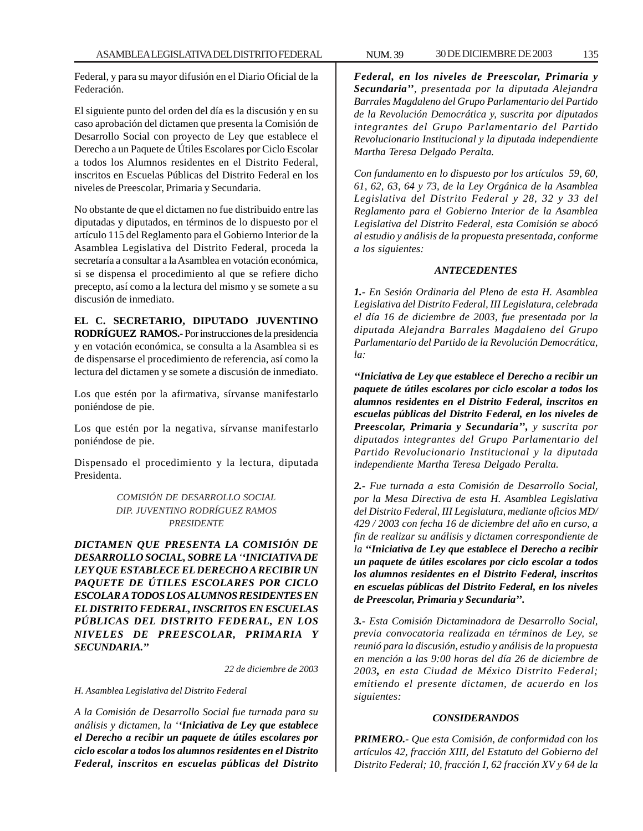Federal, y para su mayor difusión en el Diario Oficial de la Federación.

El siguiente punto del orden del día es la discusión y en su caso aprobación del dictamen que presenta la Comisión de Desarrollo Social con proyecto de Ley que establece el Derecho a un Paquete de Útiles Escolares por Ciclo Escolar a todos los Alumnos residentes en el Distrito Federal, inscritos en Escuelas Públicas del Distrito Federal en los niveles de Preescolar, Primaria y Secundaria.

No obstante de que el dictamen no fue distribuido entre las diputadas y diputados, en términos de lo dispuesto por el artículo 115 del Reglamento para el Gobierno Interior de la Asamblea Legislativa del Distrito Federal, proceda la secretaría a consultar a la Asamblea en votación económica, si se dispensa el procedimiento al que se refiere dicho precepto, así como a la lectura del mismo y se somete a su discusión de inmediato.

**EL C. SECRETARIO, DIPUTADO JUVENTINO RODRÍGUEZ RAMOS.-** Por instrucciones de la presidencia y en votación económica, se consulta a la Asamblea si es de dispensarse el procedimiento de referencia, así como la lectura del dictamen y se somete a discusión de inmediato.

Los que estén por la afirmativa, sírvanse manifestarlo poniéndose de pie.

Los que estén por la negativa, sírvanse manifestarlo poniéndose de pie.

Dispensado el procedimiento y la lectura, diputada Presidenta.

> *COMISIÓN DE DESARROLLO SOCIAL DIP. JUVENTINO RODRÍGUEZ RAMOS PRESIDENTE*

*DICTAMEN QUE PRESENTA LA COMISIÓN DE DESARROLLO SOCIAL, SOBRE LA ''INICIATIVA DE LEY QUE ESTABLECE EL DERECHO A RECIBIR UN PAQUETE DE ÚTILES ESCOLARES POR CICLO ESCOLAR A TODOS LOS ALUMNOS RESIDENTES EN EL DISTRITO FEDERAL, INSCRITOS EN ESCUELAS PÚBLICAS DEL DISTRITO FEDERAL, EN LOS NIVELES DE PREESCOLAR, PRIMARIA Y SECUNDARIA.''*

*22 de diciembre de 2003*

*H. Asamblea Legislativa del Distrito Federal*

*A la Comisión de Desarrollo Social fue turnada para su análisis y dictamen, la ''Iniciativa de Ley que establece el Derecho a recibir un paquete de útiles escolares por ciclo escolar a todos los alumnos residentes en el Distrito Federal, inscritos en escuelas públicas del Distrito*

*Federal, en los niveles de Preescolar, Primaria y Secundaria'', presentada por la diputada Alejandra Barrales Magdaleno del Grupo Parlamentario del Partido de la Revolución Democrática y, suscrita por diputados integrantes del Grupo Parlamentario del Partido Revolucionario Institucional y la diputada independiente Martha Teresa Delgado Peralta.*

*Con fundamento en lo dispuesto por los artículos 59, 60, 61, 62, 63, 64 y 73, de la Ley Orgánica de la Asamblea Legislativa del Distrito Federal y 28, 32 y 33 del Reglamento para el Gobierno Interior de la Asamblea Legislativa del Distrito Federal, esta Comisión se abocó al estudio y análisis de la propuesta presentada, conforme a los siguientes:*

#### *ANTECEDENTES*

*1.- En Sesión Ordinaria del Pleno de esta H. Asamblea Legislativa del Distrito Federal, III Legislatura, celebrada el día 16 de diciembre de 2003, fue presentada por la diputada Alejandra Barrales Magdaleno del Grupo Parlamentario del Partido de la Revolución Democrática, la:*

*''Iniciativa de Ley que establece el Derecho a recibir un paquete de útiles escolares por ciclo escolar a todos los alumnos residentes en el Distrito Federal, inscritos en escuelas públicas del Distrito Federal, en los niveles de Preescolar, Primaria y Secundaria'', y suscrita por diputados integrantes del Grupo Parlamentario del Partido Revolucionario Institucional y la diputada independiente Martha Teresa Delgado Peralta.*

*2.- Fue turnada a esta Comisión de Desarrollo Social, por la Mesa Directiva de esta H. Asamblea Legislativa del Distrito Federal, III Legislatura, mediante oficios MD/ 429 / 2003 con fecha 16 de diciembre del año en curso, a fin de realizar su análisis y dictamen correspondiente de la ''Iniciativa de Ley que establece el Derecho a recibir un paquete de útiles escolares por ciclo escolar a todos los alumnos residentes en el Distrito Federal, inscritos en escuelas públicas del Distrito Federal, en los niveles de Preescolar, Primaria y Secundaria''.*

*3.- Esta Comisión Dictaminadora de Desarrollo Social, previa convocatoria realizada en términos de Ley, se reunió para la discusión, estudio y análisis de la propuesta en mención a las 9:00 horas del día 26 de diciembre de 2003, en esta Ciudad de México Distrito Federal; emitiendo el presente dictamen, de acuerdo en los siguientes:*

#### *CONSIDERANDOS*

*PRIMERO.- Que esta Comisión, de conformidad con los artículos 42, fracción XIII, del Estatuto del Gobierno del Distrito Federal; 10, fracción I, 62 fracción XV y 64 de la*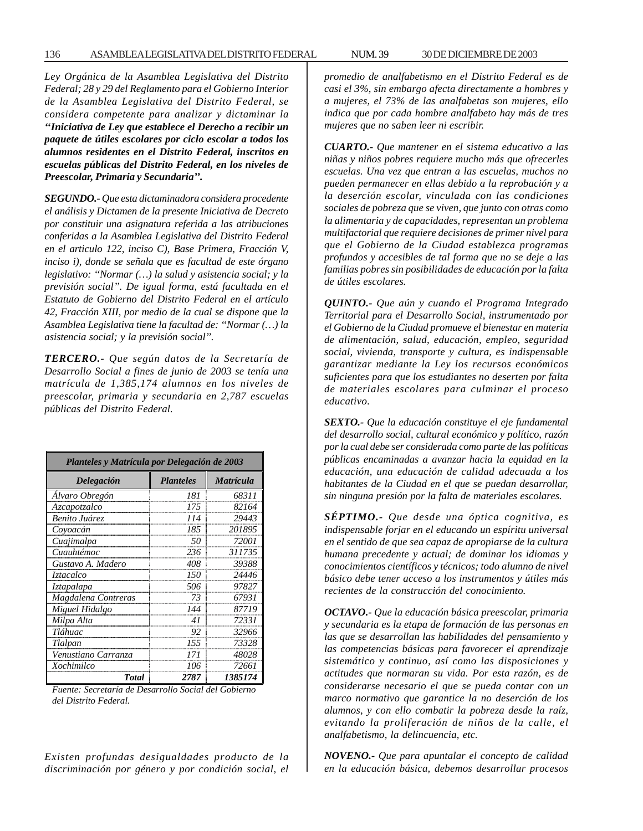*Ley Orgánica de la Asamblea Legislativa del Distrito Federal; 28 y 29 del Reglamento para el Gobierno Interior de la Asamblea Legislativa del Distrito Federal, se considera competente para analizar y dictaminar la ''Iniciativa de Ley que establece el Derecho a recibir un paquete de útiles escolares por ciclo escolar a todos los alumnos residentes en el Distrito Federal, inscritos en escuelas públicas del Distrito Federal, en los niveles de Preescolar, Primaria y Secundaria''.*

*SEGUNDO.- Que esta dictaminadora considera procedente el análisis y Dictamen de la presente Iniciativa de Decreto por constituir una asignatura referida a las atribuciones conferidas a la Asamblea Legislativa del Distrito Federal en el articulo 122, inciso C), Base Primera, Fracción V, inciso i), donde se señala que es facultad de este órgano legislativo: ''Normar (…) la salud y asistencia social; y la previsión social''. De igual forma, está facultada en el Estatuto de Gobierno del Distrito Federal en el artículo 42, Fracción XIII, por medio de la cual se dispone que la Asamblea Legislativa tiene la facultad de: ''Normar (…) la asistencia social; y la previsión social''.*

*TERCERO.- Que según datos de la Secretaría de Desarrollo Social a fines de junio de 2003 se tenía una matrícula de 1,385,174 alumnos en los niveles de preescolar, primaria y secundaria en 2,787 escuelas públicas del Distrito Federal.*

| Planteles y Matrícula por Delegación de 2003 |                  |                  |  |  |
|----------------------------------------------|------------------|------------------|--|--|
| Delegación                                   | <b>Planteles</b> | <i>Matrícula</i> |  |  |
| Alvaro Obregón                               | 181              | 68311            |  |  |
| Azcapotzalco                                 | 175              | 82164            |  |  |
| Benito Juárez                                | 114              | 29443            |  |  |
| Coyoacán                                     | 185              | 201895           |  |  |
| Cuajimalpa                                   | 50               | 72001            |  |  |
| Cuauhtémoc                                   | 236              | 311735           |  |  |
| Gustavo A. Madero                            | 408              | 39388            |  |  |
| Iztacalco                                    | 150              | 24446            |  |  |
| Iztapalapa                                   | 506              | 97827            |  |  |
| Magdalena Contreras                          | 73               | 67931            |  |  |
| Miguel Hidalgo                               | 144              | 87719            |  |  |
| Milpa Alta                                   | 41               | 72331            |  |  |
| Tláhuac                                      | 92               | 32966            |  |  |
| Tlalpan                                      | 155              | 73328            |  |  |
| Venustiano Carranza                          | 171              | 48028            |  |  |
| Xochimilco                                   | 106              | 72661            |  |  |
| <b>Total</b>                                 | 2787             | 1385174          |  |  |

*Fuente: Secretaría de Desarrollo Social del Gobierno del Distrito Federal.* 

*Existen profundas desigualdades producto de la discriminación por género y por condición social, el*

*promedio de analfabetismo en el Distrito Federal es de casi el 3%, sin embargo afecta directamente a hombres y a mujeres, el 73% de las analfabetas son mujeres, ello indica que por cada hombre analfabeto hay más de tres mujeres que no saben leer ni escribir.*

*CUARTO.- Que mantener en el sistema educativo a las niñas y niños pobres requiere mucho más que ofrecerles escuelas. Una vez que entran a las escuelas, muchos no pueden permanecer en ellas debido a la reprobación y a la deserción escolar, vinculada con las condiciones sociales de pobreza que se viven, que junto con otras como la alimentaria y de capacidades, representan un problema multifactorial que requiere decisiones de primer nivel para que el Gobierno de la Ciudad establezca programas profundos y accesibles de tal forma que no se deje a las familias pobres sin posibilidades de educación por la falta de útiles escolares.*

*QUINTO.- Que aún y cuando el Programa Integrado Territorial para el Desarrollo Social, instrumentado por el Gobierno de la Ciudad promueve el bienestar en materia de alimentación, salud, educación, empleo, seguridad social, vivienda, transporte y cultura, es indispensable garantizar mediante la Ley los recursos económicos suficientes para que los estudiantes no deserten por falta de materiales escolares para culminar el proceso educativo.*

*SEXTO.- Que la educación constituye el eje fundamental del desarrollo social, cultural económico y político, razón por la cual debe ser considerada como parte de las políticas públicas encaminadas a avanzar hacia la equidad en la educación, una educación de calidad adecuada a los habitantes de la Ciudad en el que se puedan desarrollar, sin ninguna presión por la falta de materiales escolares.*

*SÉPTIMO.- Que desde una óptica cognitiva, es indispensable forjar en el educando un espíritu universal en el sentido de que sea capaz de apropiarse de la cultura humana precedente y actual; de dominar los idiomas y conocimientos científicos y técnicos; todo alumno de nivel básico debe tener acceso a los instrumentos y útiles más recientes de la construcción del conocimiento.*

*OCTAVO.- Que la educación básica preescolar, primaria y secundaria es la etapa de formación de las personas en las que se desarrollan las habilidades del pensamiento y las competencias básicas para favorecer el aprendizaje sistemático y continuo, así como las disposiciones y actitudes que normaran su vida. Por esta razón, es de considerarse necesario el que se pueda contar con un marco normativo que garantice la no deserción de los alumnos, y con ello combatir la pobreza desde la raíz, evitando la proliferación de niños de la calle, el analfabetismo, la delincuencia, etc.*

*NOVENO.- Que para apuntalar el concepto de calidad en la educación básica, debemos desarrollar procesos*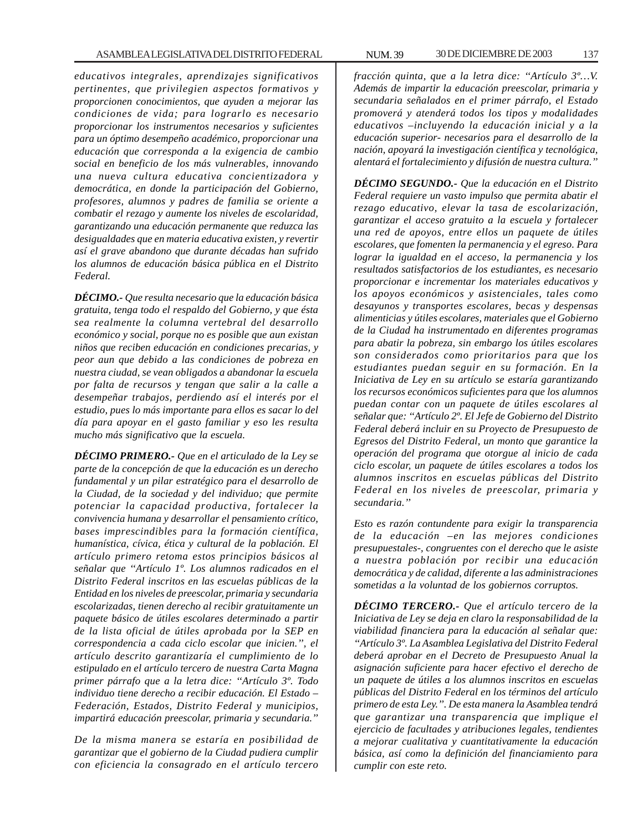*educativos integrales, aprendizajes significativos pertinentes, que privilegien aspectos formativos y proporcionen conocimientos, que ayuden a mejorar las condiciones de vida; para lograrlo es necesario proporcionar los instrumentos necesarios y suficientes para un óptimo desempeño académico, proporcionar una educación que corresponda a la exigencia de cambio social en beneficio de los más vulnerables, innovando una nueva cultura educativa concientizadora y democrática, en donde la participación del Gobierno, profesores, alumnos y padres de familia se oriente a combatir el rezago y aumente los niveles de escolaridad, garantizando una educación permanente que reduzca las desigualdades que en materia educativa existen, y revertir así el grave abandono que durante décadas han sufrido los alumnos de educación básica pública en el Distrito Federal.*

*DÉCIMO.- Que resulta necesario que la educación básica gratuita, tenga todo el respaldo del Gobierno, y que ésta sea realmente la columna vertebral del desarrollo económico y social, porque no es posible que aun existan niños que reciben educación en condiciones precarias, y peor aun que debido a las condiciones de pobreza en nuestra ciudad, se vean obligados a abandonar la escuela por falta de recursos y tengan que salir a la calle a desempeñar trabajos, perdiendo así el interés por el estudio, pues lo más importante para ellos es sacar lo del día para apoyar en el gasto familiar y eso les resulta mucho más significativo que la escuela.*

*DÉCIMO PRIMERO.- Que en el articulado de la Ley se parte de la concepción de que la educación es un derecho fundamental y un pilar estratégico para el desarrollo de la Ciudad, de la sociedad y del individuo; que permite potenciar la capacidad productiva, fortalecer la convivencia humana y desarrollar el pensamiento crítico, bases imprescindibles para la formación científica, humanística, cívica, ética y cultural de la población. El artículo primero retoma estos principios básicos al señalar que ''Artículo 1º. Los alumnos radicados en el Distrito Federal inscritos en las escuelas públicas de la Entidad en los niveles de preescolar, primaria y secundaria escolarizadas, tienen derecho al recibir gratuitamente un paquete básico de útiles escolares determinado a partir de la lista oficial de útiles aprobada por la SEP en correspondencia a cada ciclo escolar que inicien.'', el artículo descrito garantizaría el cumplimiento de lo estipulado en el artículo tercero de nuestra Carta Magna primer párrafo que a la letra dice: ''Artículo 3º. Todo individuo tiene derecho a recibir educación. El Estado – Federación, Estados, Distrito Federal y municipios, impartirá educación preescolar, primaria y secundaria.''*

*De la misma manera se estaría en posibilidad de garantizar que el gobierno de la Ciudad pudiera cumplir con eficiencia la consagrado en el artículo tercero* *fracción quinta, que a la letra dice: ''Artículo 3º…V. Además de impartir la educación preescolar, primaria y secundaria señalados en el primer párrafo, el Estado promoverá y atenderá todos los tipos y modalidades educativos –incluyendo la educación inicial y a la educación superior- necesarios para el desarrollo de la nación, apoyará la investigación científica y tecnológica, alentará el fortalecimiento y difusión de nuestra cultura.''*

*DÉCIMO SEGUNDO.- Que la educación en el Distrito Federal requiere un vasto impulso que permita abatir el rezago educativo, elevar la tasa de escolarización, garantizar el acceso gratuito a la escuela y fortalecer una red de apoyos, entre ellos un paquete de útiles escolares, que fomenten la permanencia y el egreso. Para lograr la igualdad en el acceso, la permanencia y los resultados satisfactorios de los estudiantes, es necesario proporcionar e incrementar los materiales educativos y los apoyos económicos y asistenciales, tales como desayunos y transportes escolares, becas y despensas alimenticias y útiles escolares, materiales que el Gobierno de la Ciudad ha instrumentado en diferentes programas para abatir la pobreza, sin embargo los útiles escolares son considerados como prioritarios para que los estudiantes puedan seguir en su formación. En la Iniciativa de Ley en su artículo se estaría garantizando los recursos económicos suficientes para que los alumnos puedan contar con un paquete de útiles escolares al señalar que: ''Artículo 2º. El Jefe de Gobierno del Distrito Federal deberá incluir en su Proyecto de Presupuesto de Egresos del Distrito Federal, un monto que garantice la operación del programa que otorgue al inicio de cada ciclo escolar, un paquete de útiles escolares a todos los alumnos inscritos en escuelas públicas del Distrito Federal en los niveles de preescolar, primaria y secundaria.''*

*Esto es razón contundente para exigir la transparencia de la educación –en las mejores condiciones presupuestales-, congruentes con el derecho que le asiste a nuestra población por recibir una educación democrática y de calidad, diferente a las administraciones sometidas a la voluntad de los gobiernos corruptos.*

*DÉCIMO TERCERO.- Que el artículo tercero de la Iniciativa de Ley se deja en claro la responsabilidad de la viabilidad financiera para la educación al señalar que: ''Artículo 3º. La Asamblea Legislativa del Distrito Federal deberá aprobar en el Decreto de Presupuesto Anual la asignación suficiente para hacer efectivo el derecho de un paquete de útiles a los alumnos inscritos en escuelas públicas del Distrito Federal en los términos del artículo primero de esta Ley.''. De esta manera la Asamblea tendrá que garantizar una transparencia que implique el ejercicio de facultades y atribuciones legales, tendientes a mejorar cualitativa y cuantitativamente la educación básica, así como la definición del financiamiento para cumplir con este reto.*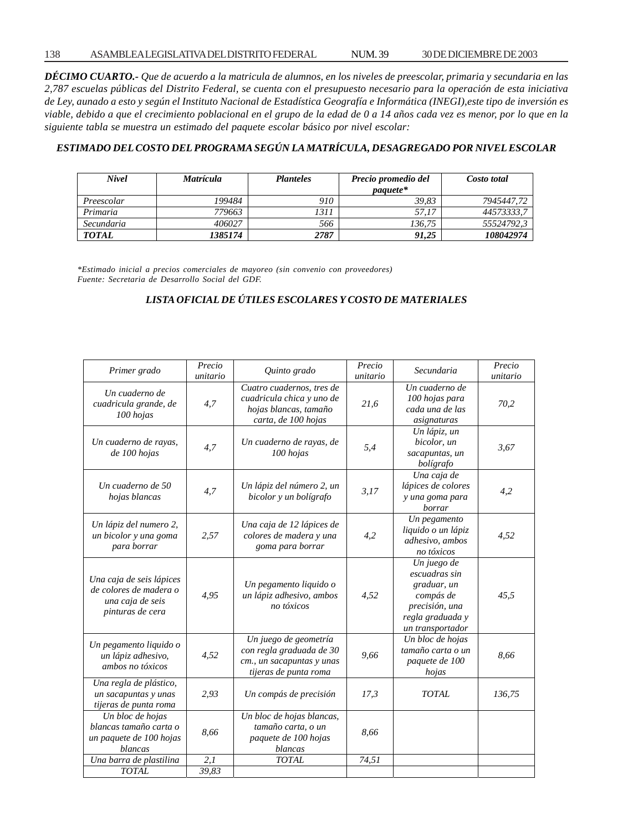*DÉCIMO CUARTO.- Que de acuerdo a la matricula de alumnos, en los niveles de preescolar, primaria y secundaria en las 2,787 escuelas públicas del Distrito Federal, se cuenta con el presupuesto necesario para la operación de esta iniciativa de Ley, aunado a esto y según el Instituto Nacional de Estadística Geografía e Informática (INEGI),este tipo de inversión es viable, debido a que el crecimiento poblacional en el grupo de la edad de 0 a 14 años cada vez es menor, por lo que en la siguiente tabla se muestra un estimado del paquete escolar básico por nivel escolar:*

# *ESTIMADO DEL COSTO DEL PROGRAMA SEGÚN LA MATRÍCULA, DESAGREGADO POR NIVEL ESCOLAR*

| <b>Nivel</b> | <i>Matrícula</i> | <b>Planteles</b> | Precio promedio del | Costo total |
|--------------|------------------|------------------|---------------------|-------------|
|              |                  |                  | <i>paauete*</i>     |             |
| Preescolar   | 199484           | 910              | 39.83               | 7945447.72  |
| Primaria     | 779663           | 1311             | 57.17               | 44573333.7  |
| Secundaria   | 406027           | 566              | 136.75              | 55524792.3  |
| <b>TOTAL</b> | 1385174          | 2787             | 91.25               | 108042974   |

*\*Estimado inicial a precios comerciales de mayoreo (sin convenio con proveedores) Fuente: Secretaria de Desarrollo Social del GDF.*

# *LISTA OFICIAL DE ÚTILES ESCOLARES Y COSTO DE MATERIALES*

| Primer grado                                                                               | Precio<br>unitario | Quinto grado                                                                                            | Precio<br>unitario | Secundaria                                                                                                         | Precio<br>unitario |
|--------------------------------------------------------------------------------------------|--------------------|---------------------------------------------------------------------------------------------------------|--------------------|--------------------------------------------------------------------------------------------------------------------|--------------------|
| Un cuaderno de<br>cuadricula grande, de<br>100 hojas                                       | 4,7                | Cuatro cuadernos, tres de<br>cuadricula chica y uno de<br>hojas blancas, tamaño<br>carta, de 100 hojas  | 21,6               | Un cuaderno de<br>100 hojas para<br>cada una de las<br>asignaturas                                                 | 70,2               |
| Un cuaderno de rayas,<br>de 100 hojas                                                      | 4,7                | Un cuaderno de rayas, de<br>100 hojas                                                                   | 5,4                | Un lápiz, un<br>bicolor, un<br>sacapuntas, un<br>bolígrafo                                                         | 3,67               |
| Un cuaderno de 50<br>hojas blancas                                                         | 4,7                | Un lápiz del número 2, un<br>bicolor y un bolígrafo                                                     | 3,17               | Una caja de<br>lápices de colores<br>y una goma para<br>borrar                                                     | 4,2                |
| Un lápiz del numero 2,<br>un bicolor y una goma<br>para borrar                             | 2,57               | Una caja de 12 lápices de<br>colores de madera y una<br>goma para borrar                                | 4,2                | Un pegamento<br>liquido o un lápiz<br>adhesivo, ambos<br>no tóxicos                                                | 4,52               |
| Una caja de seis lápices<br>de colores de madera o<br>una caja de seis<br>pinturas de cera | 4,95               | Un pegamento liquido o<br>un lápiz adhesivo, ambos<br>no tóxicos                                        | 4,52               | Un juego de<br>escuadras sin<br>graduar, un<br>compás de<br>precisión, una<br>regla graduada y<br>un transportador | 45,5               |
| Un pegamento liquido o<br>un lápiz adhesivo,<br>ambos no tóxicos                           | 4,52               | Un juego de geometría<br>con regla graduada de 30<br>cm., un sacapuntas y unas<br>tijeras de punta roma | 9,66               | Un bloc de hojas<br>tamaño carta o un<br>paquete de 100<br>hojas                                                   | 8,66               |
| Una regla de plástico,<br>un sacapuntas y unas<br>tijeras de punta roma                    | 2,93               | Un compás de precisión                                                                                  | 17,3               | <b>TOTAL</b>                                                                                                       | 136,75             |
| Un bloc de hojas<br>blancas tamaño carta o<br>un paquete de 100 hojas<br>blancas           | 8,66               | Un bloc de hojas blancas,<br>tamaño carta, o un<br>paquete de 100 hojas<br>blancas                      | 8,66               |                                                                                                                    |                    |
| Una barra de plastilina                                                                    | 2,1                | <b>TOTAL</b>                                                                                            | 74,51              |                                                                                                                    |                    |
| <b>TOTAL</b>                                                                               | 39,83              |                                                                                                         |                    |                                                                                                                    |                    |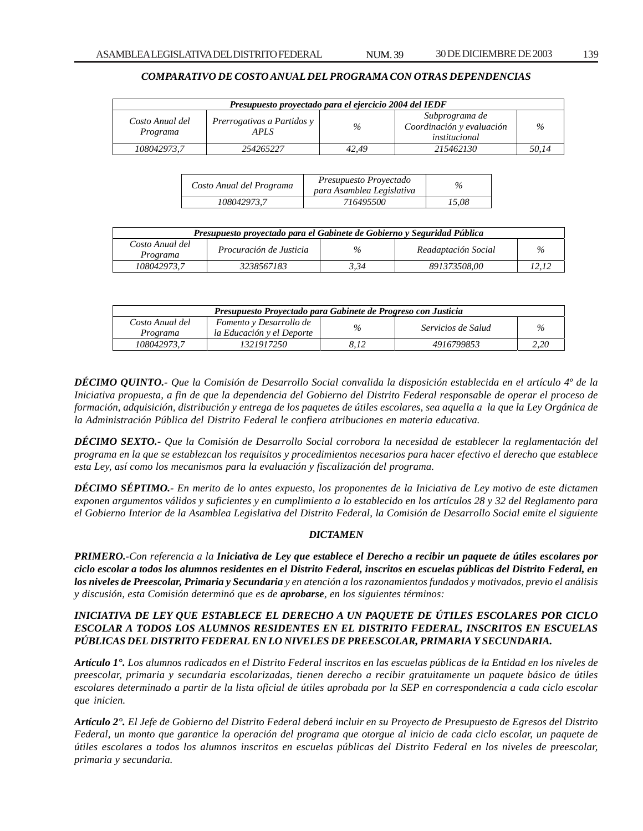# *COMPARATIVO DE COSTO ANUAL DEL PROGRAMA CON OTRAS DEPENDENCIAS*

| Presupuesto proyectado para el ejercicio 2004 del IEDF |                                           |       |                                                              |       |  |
|--------------------------------------------------------|-------------------------------------------|-------|--------------------------------------------------------------|-------|--|
| Costo Anual del<br>Programa                            | <i>Prerrogativas a Partidos y</i><br>APLS | $\%$  | Subprograma de<br>Coordinación y evaluación<br>institucional | $\%$  |  |
| 108042973.7                                            | 254265227                                 | 42.49 | 215462130                                                    | 50.14 |  |

| Costo Anual del Programa | Presupuesto Proyectado<br>para Asamblea Legislativa | $\%$  |
|--------------------------|-----------------------------------------------------|-------|
| 108042973.7              | 716495500                                           | 15.08 |

| Presupuesto provectado para el Gabinete de Gobierno y Seguridad Pública |                         |      |                     |               |  |
|-------------------------------------------------------------------------|-------------------------|------|---------------------|---------------|--|
| Costo Anual del<br>Programa                                             | Procuración de Justicia | $\%$ | Readaptación Social | $\frac{a}{2}$ |  |
| 108042973.7                                                             | 3238567183              | 3.34 | 891373508.00        |               |  |

| Presupuesto Proyectado para Gabinete de Progreso con Justicia |                                                      |      |                    |                             |  |
|---------------------------------------------------------------|------------------------------------------------------|------|--------------------|-----------------------------|--|
| Costo Anual del<br>Programa                                   | Fomento y Desarrollo de<br>la Educación y el Deporte | $\%$ | Servicios de Salud | $\mathcal{O}_{\mathcal{A}}$ |  |
| 108042973.7                                                   | 1321917250                                           |      | 4916799853         | 2.20                        |  |

*DÉCIMO QUINTO.- Que la Comisión de Desarrollo Social convalida la disposición establecida en el artículo 4º de la Iniciativa propuesta, a fin de que la dependencia del Gobierno del Distrito Federal responsable de operar el proceso de formación, adquisición, distribución y entrega de los paquetes de útiles escolares, sea aquella a la que la Ley Orgánica de la Administración Pública del Distrito Federal le confiera atribuciones en materia educativa.*

*DÉCIMO SEXTO.- Que la Comisión de Desarrollo Social corrobora la necesidad de establecer la reglamentación del programa en la que se establezcan los requisitos y procedimientos necesarios para hacer efectivo el derecho que establece esta Ley, así como los mecanismos para la evaluación y fiscalización del programa.*

*DÉCIMO SÉPTIMO.- En merito de lo antes expuesto, los proponentes de la Iniciativa de Ley motivo de este dictamen exponen argumentos válidos y suficientes y en cumplimiento a lo establecido en los artículos 28 y 32 del Reglamento para el Gobierno Interior de la Asamblea Legislativa del Distrito Federal, la Comisión de Desarrollo Social emite el siguiente*

#### *DICTAMEN*

*PRIMERO.-Con referencia a la Iniciativa de Ley que establece el Derecho a recibir un paquete de útiles escolares por ciclo escolar a todos los alumnos residentes en el Distrito Federal, inscritos en escuelas públicas del Distrito Federal, en los niveles de Preescolar, Primaria y Secundaria y en atención a los razonamientos fundados y motivados, previo el análisis y discusión, esta Comisión determinó que es de aprobarse, en los siguientes términos:*

# *INICIATIVA DE LEY QUE ESTABLECE EL DERECHO A UN PAQUETE DE ÚTILES ESCOLARES POR CICLO ESCOLAR A TODOS LOS ALUMNOS RESIDENTES EN EL DISTRITO FEDERAL, INSCRITOS EN ESCUELAS PÚBLICAS DEL DISTRITO FEDERAL EN LO NIVELES DE PREESCOLAR, PRIMARIA Y SECUNDARIA.*

*Artículo 1°. Los alumnos radicados en el Distrito Federal inscritos en las escuelas públicas de la Entidad en los niveles de preescolar, primaria y secundaria escolarizadas, tienen derecho a recibir gratuitamente un paquete básico de útiles escolares determinado a partir de la lista oficial de útiles aprobada por la SEP en correspondencia a cada ciclo escolar que inicien.*

*Artículo 2°. El Jefe de Gobierno del Distrito Federal deberá incluir en su Proyecto de Presupuesto de Egresos del Distrito Federal, un monto que garantice la operación del programa que otorgue al inicio de cada ciclo escolar, un paquete de útiles escolares a todos los alumnos inscritos en escuelas públicas del Distrito Federal en los niveles de preescolar, primaria y secundaria.*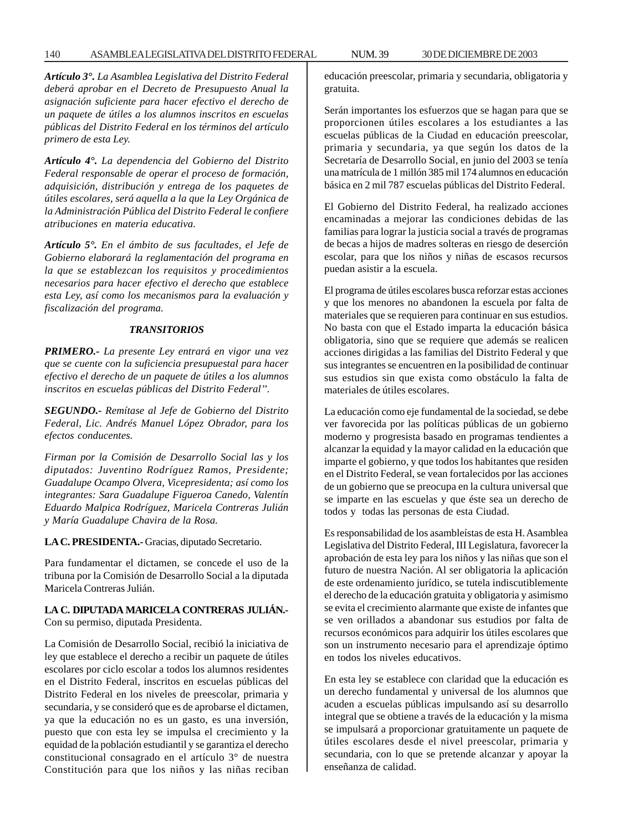### 140 ASAMBLEA LEGISLATIVA DEL DISTRITO FEDERAL NUM. 39 30 DE DICIEMBRE DE 2003

*Artículo 3°. La Asamblea Legislativa del Distrito Federal deberá aprobar en el Decreto de Presupuesto Anual la asignación suficiente para hacer efectivo el derecho de un paquete de útiles a los alumnos inscritos en escuelas públicas del Distrito Federal en los términos del artículo primero de esta Ley.*

*Artículo 4°. La dependencia del Gobierno del Distrito Federal responsable de operar el proceso de formación, adquisición, distribución y entrega de los paquetes de útiles escolares, será aquella a la que la Ley Orgánica de la Administración Pública del Distrito Federal le confiere atribuciones en materia educativa.*

*Artículo 5°. En el ámbito de sus facultades, el Jefe de Gobierno elaborará la reglamentación del programa en la que se establezcan los requisitos y procedimientos necesarios para hacer efectivo el derecho que establece esta Ley, así como los mecanismos para la evaluación y fiscalización del programa.*

## *TRANSITORIOS*

*PRIMERO.- La presente Ley entrará en vigor una vez que se cuente con la suficiencia presupuestal para hacer efectivo el derecho de un paquete de útiles a los alumnos inscritos en escuelas públicas del Distrito Federal''.*

*SEGUNDO.- Remítase al Jefe de Gobierno del Distrito Federal, Lic. Andrés Manuel López Obrador, para los efectos conducentes.*

*Firman por la Comisión de Desarrollo Social las y los diputados: Juventino Rodríguez Ramos, Presidente; Guadalupe Ocampo Olvera, Vicepresidenta; así como los integrantes: Sara Guadalupe Figueroa Canedo, Valentín Eduardo Malpica Rodríguez, Maricela Contreras Julián y María Guadalupe Chavira de la Rosa.*

**LA C. PRESIDENTA.-** Gracias, diputado Secretario.

Para fundamentar el dictamen, se concede el uso de la tribuna por la Comisión de Desarrollo Social a la diputada Maricela Contreras Julián.

#### **LA C. DIPUTADA MARICELA CONTRERAS JULIÁN.-** Con su permiso, diputada Presidenta.

La Comisión de Desarrollo Social, recibió la iniciativa de ley que establece el derecho a recibir un paquete de útiles escolares por ciclo escolar a todos los alumnos residentes en el Distrito Federal, inscritos en escuelas públicas del Distrito Federal en los niveles de preescolar, primaria y secundaria, y se consideró que es de aprobarse el dictamen, ya que la educación no es un gasto, es una inversión, puesto que con esta ley se impulsa el crecimiento y la equidad de la población estudiantil y se garantiza el derecho constitucional consagrado en el artículo 3° de nuestra Constitución para que los niños y las niñas reciban educación preescolar, primaria y secundaria, obligatoria y gratuita.

Serán importantes los esfuerzos que se hagan para que se proporcionen útiles escolares a los estudiantes a las escuelas públicas de la Ciudad en educación preescolar, primaria y secundaria, ya que según los datos de la Secretaría de Desarrollo Social, en junio del 2003 se tenía una matrícula de 1 millón 385 mil 174 alumnos en educación básica en 2 mil 787 escuelas públicas del Distrito Federal.

El Gobierno del Distrito Federal, ha realizado acciones encaminadas a mejorar las condiciones debidas de las familias para lograr la justicia social a través de programas de becas a hijos de madres solteras en riesgo de deserción escolar, para que los niños y niñas de escasos recursos puedan asistir a la escuela.

El programa de útiles escolares busca reforzar estas acciones y que los menores no abandonen la escuela por falta de materiales que se requieren para continuar en sus estudios. No basta con que el Estado imparta la educación básica obligatoria, sino que se requiere que además se realicen acciones dirigidas a las familias del Distrito Federal y que sus integrantes se encuentren en la posibilidad de continuar sus estudios sin que exista como obstáculo la falta de materiales de útiles escolares.

La educación como eje fundamental de la sociedad, se debe ver favorecida por las políticas públicas de un gobierno moderno y progresista basado en programas tendientes a alcanzar la equidad y la mayor calidad en la educación que imparte el gobierno, y que todos los habitantes que residen en el Distrito Federal, se vean fortalecidos por las acciones de un gobierno que se preocupa en la cultura universal que se imparte en las escuelas y que éste sea un derecho de todos y todas las personas de esta Ciudad.

Es responsabilidad de los asambleístas de esta H. Asamblea Legislativa del Distrito Federal, III Legislatura, favorecer la aprobación de esta ley para los niños y las niñas que son el futuro de nuestra Nación. Al ser obligatoria la aplicación de este ordenamiento jurídico, se tutela indiscutiblemente el derecho de la educación gratuita y obligatoria y asimismo se evita el crecimiento alarmante que existe de infantes que se ven orillados a abandonar sus estudios por falta de recursos económicos para adquirir los útiles escolares que son un instrumento necesario para el aprendizaje óptimo en todos los niveles educativos.

En esta ley se establece con claridad que la educación es un derecho fundamental y universal de los alumnos que acuden a escuelas públicas impulsando así su desarrollo integral que se obtiene a través de la educación y la misma se impulsará a proporcionar gratuitamente un paquete de útiles escolares desde el nivel preescolar, primaria y secundaria, con lo que se pretende alcanzar y apoyar la enseñanza de calidad.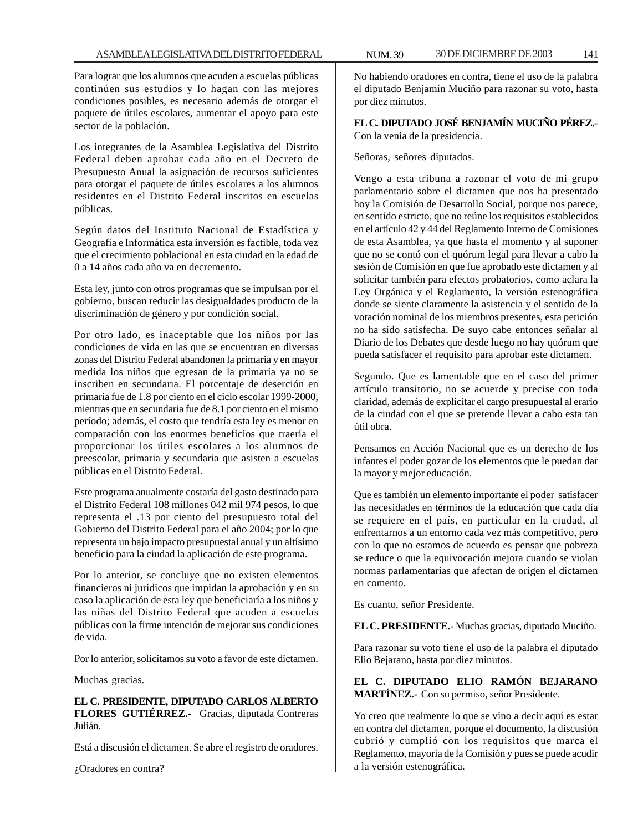Para lograr que los alumnos que acuden a escuelas públicas continúen sus estudios y lo hagan con las mejores condiciones posibles, es necesario además de otorgar el paquete de útiles escolares, aumentar el apoyo para este sector de la población.

Los integrantes de la Asamblea Legislativa del Distrito Federal deben aprobar cada año en el Decreto de Presupuesto Anual la asignación de recursos suficientes para otorgar el paquete de útiles escolares a los alumnos residentes en el Distrito Federal inscritos en escuelas públicas.

Según datos del Instituto Nacional de Estadística y Geografía e Informática esta inversión es factible, toda vez que el crecimiento poblacional en esta ciudad en la edad de 0 a 14 años cada año va en decremento.

Esta ley, junto con otros programas que se impulsan por el gobierno, buscan reducir las desigualdades producto de la discriminación de género y por condición social.

Por otro lado, es inaceptable que los niños por las condiciones de vida en las que se encuentran en diversas zonas del Distrito Federal abandonen la primaria y en mayor medida los niños que egresan de la primaria ya no se inscriben en secundaria. El porcentaje de deserción en primaria fue de 1.8 por ciento en el ciclo escolar 1999-2000, mientras que en secundaria fue de 8.1 por ciento en el mismo período; además, el costo que tendría esta ley es menor en comparación con los enormes beneficios que traería el proporcionar los útiles escolares a los alumnos de preescolar, primaria y secundaria que asisten a escuelas públicas en el Distrito Federal.

Este programa anualmente costaría del gasto destinado para el Distrito Federal 108 millones 042 mil 974 pesos, lo que representa el .13 por ciento del presupuesto total del Gobierno del Distrito Federal para el año 2004; por lo que representa un bajo impacto presupuestal anual y un altísimo beneficio para la ciudad la aplicación de este programa.

Por lo anterior, se concluye que no existen elementos financieros ni jurídicos que impidan la aprobación y en su caso la aplicación de esta ley que beneficiaría a los niños y las niñas del Distrito Federal que acuden a escuelas públicas con la firme intención de mejorar sus condiciones de vida.

Por lo anterior, solicitamos su voto a favor de este dictamen.

Muchas gracias.

## **EL C. PRESIDENTE, DIPUTADO CARLOS ALBERTO FLORES GUTIÉRREZ.-** Gracias, diputada Contreras Julián.

Está a discusión el dictamen. Se abre el registro de oradores.

¿Oradores en contra?

No habiendo oradores en contra, tiene el uso de la palabra el diputado Benjamín Muciño para razonar su voto, hasta por diez minutos.

**EL C. DIPUTADO JOSÉ BENJAMÍN MUCIÑO PÉREZ.-** Con la venia de la presidencia.

Señoras, señores diputados.

Vengo a esta tribuna a razonar el voto de mi grupo parlamentario sobre el dictamen que nos ha presentado hoy la Comisión de Desarrollo Social, porque nos parece, en sentido estricto, que no reúne los requisitos establecidos en el artículo 42 y 44 del Reglamento Interno de Comisiones de esta Asamblea, ya que hasta el momento y al suponer que no se contó con el quórum legal para llevar a cabo la sesión de Comisión en que fue aprobado este dictamen y al solicitar también para efectos probatorios, como aclara la Ley Orgánica y el Reglamento, la versión estenográfica donde se siente claramente la asistencia y el sentido de la votación nominal de los miembros presentes, esta petición no ha sido satisfecha. De suyo cabe entonces señalar al Diario de los Debates que desde luego no hay quórum que pueda satisfacer el requisito para aprobar este dictamen.

Segundo. Que es lamentable que en el caso del primer artículo transitorio, no se acuerde y precise con toda claridad, además de explicitar el cargo presupuestal al erario de la ciudad con el que se pretende llevar a cabo esta tan útil obra.

Pensamos en Acción Nacional que es un derecho de los infantes el poder gozar de los elementos que le puedan dar la mayor y mejor educación.

Que es también un elemento importante el poder satisfacer las necesidades en términos de la educación que cada día se requiere en el país, en particular en la ciudad, al enfrentarnos a un entorno cada vez más competitivo, pero con lo que no estamos de acuerdo es pensar que pobreza se reduce o que la equivocación mejora cuando se violan normas parlamentarias que afectan de origen el dictamen en comento.

Es cuanto, señor Presidente.

**EL C. PRESIDENTE.-** Muchas gracias, diputado Muciño.

Para razonar su voto tiene el uso de la palabra el diputado Elio Bejarano, hasta por diez minutos.

# **EL C. DIPUTADO ELIO RAMÓN BEJARANO MARTÍNEZ.-** Con su permiso, señor Presidente.

Yo creo que realmente lo que se vino a decir aquí es estar en contra del dictamen, porque el documento, la discusión cubrió y cumplió con los requisitos que marca el Reglamento, mayoría de la Comisión y pues se puede acudir a la versión estenográfica.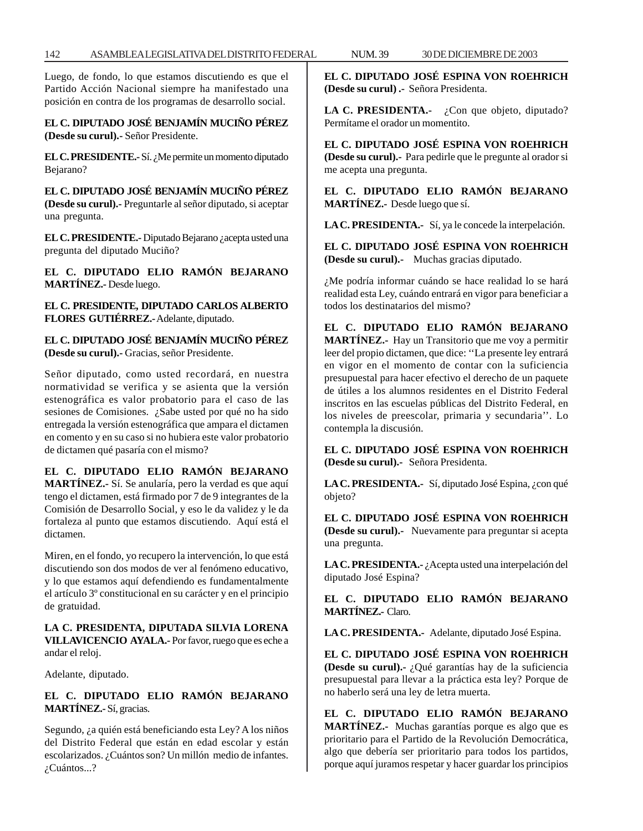Luego, de fondo, lo que estamos discutiendo es que el Partido Acción Nacional siempre ha manifestado una posición en contra de los programas de desarrollo social.

**EL C. DIPUTADO JOSÉ BENJAMÍN MUCIÑO PÉREZ (Desde su curul).-** Señor Presidente.

**EL C. PRESIDENTE.** - Sí. ¿Me permite un momento diputado Bejarano?

**EL C. DIPUTADO JOSÉ BENJAMÍN MUCIÑO PÉREZ (Desde su curul).-** Preguntarle al señor diputado, si aceptar una pregunta.

**EL C. PRESIDENTE.-** Diputado Bejarano ¿acepta usted una pregunta del diputado Muciño?

**EL C. DIPUTADO ELIO RAMÓN BEJARANO MARTÍNEZ.-** Desde luego.

**EL C. PRESIDENTE, DIPUTADO CARLOS ALBERTO FLORES GUTIÉRREZ.-** Adelante, diputado.

**EL C. DIPUTADO JOSÉ BENJAMÍN MUCIÑO PÉREZ (Desde su curul).-** Gracias, señor Presidente.

Señor diputado, como usted recordará, en nuestra normatividad se verifica y se asienta que la versión estenográfica es valor probatorio para el caso de las sesiones de Comisiones. ¿Sabe usted por qué no ha sido entregada la versión estenográfica que ampara el dictamen en comento y en su caso si no hubiera este valor probatorio de dictamen qué pasaría con el mismo?

**EL C. DIPUTADO ELIO RAMÓN BEJARANO MARTÍNEZ.-** Sí. Se anularía, pero la verdad es que aquí tengo el dictamen, está firmado por 7 de 9 integrantes de la Comisión de Desarrollo Social, y eso le da validez y le da fortaleza al punto que estamos discutiendo. Aquí está el dictamen.

Miren, en el fondo, yo recupero la intervención, lo que está discutiendo son dos modos de ver al fenómeno educativo, y lo que estamos aquí defendiendo es fundamentalmente el artículo 3º constitucional en su carácter y en el principio de gratuidad.

# **LA C. PRESIDENTA, DIPUTADA SILVIA LORENA VILLAVICENCIO AYALA.-** Por favor, ruego que es eche a andar el reloj.

Adelante, diputado.

# **EL C. DIPUTADO ELIO RAMÓN BEJARANO MARTÍNEZ.-** Sí, gracias.

Segundo, ¿a quién está beneficiando esta Ley? A los niños del Distrito Federal que están en edad escolar y están escolarizados. ¿Cuántos son? Un millón medio de infantes. ¿Cuántos...?

**EL C. DIPUTADO JOSÉ ESPINA VON ROEHRICH (Desde su curul) .-** Señora Presidenta.

LA C. PRESIDENTA.- ¿Con que objeto, diputado? Permítame el orador un momentito.

**EL C. DIPUTADO JOSÉ ESPINA VON ROEHRICH (Desde su curul).-** Para pedirle que le pregunte al orador si me acepta una pregunta.

**EL C. DIPUTADO ELIO RAMÓN BEJARANO MARTÍNEZ.-** Desde luego que sí.

**LA C. PRESIDENTA.-** Sí, ya le concede la interpelación.

**EL C. DIPUTADO JOSÉ ESPINA VON ROEHRICH (Desde su curul).-** Muchas gracias diputado.

¿Me podría informar cuándo se hace realidad lo se hará realidad esta Ley, cuándo entrará en vigor para beneficiar a todos los destinatarios del mismo?

**EL C. DIPUTADO ELIO RAMÓN BEJARANO MARTÍNEZ.-** Hay un Transitorio que me voy a permitir leer del propio dictamen, que dice: ''La presente ley entrará en vigor en el momento de contar con la suficiencia presupuestal para hacer efectivo el derecho de un paquete de útiles a los alumnos residentes en el Distrito Federal inscritos en las escuelas públicas del Distrito Federal, en los niveles de preescolar, primaria y secundaria''. Lo contempla la discusión.

**EL C. DIPUTADO JOSÉ ESPINA VON ROEHRICH (Desde su curul).-** Señora Presidenta.

**LA C. PRESIDENTA.-** Sí, diputado José Espina, ¿con qué objeto?

**EL C. DIPUTADO JOSÉ ESPINA VON ROEHRICH (Desde su curul).-** Nuevamente para preguntar si acepta una pregunta.

LA C. PRESIDENTA.-<sup>*i*</sup> Acepta usted una interpelación del diputado José Espina?

**EL C. DIPUTADO ELIO RAMÓN BEJARANO MARTÍNEZ.-** Claro.

**LA C. PRESIDENTA.-** Adelante, diputado José Espina.

**EL C. DIPUTADO JOSÉ ESPINA VON ROEHRICH (Desde su curul).-** ¿Qué garantías hay de la suficiencia presupuestal para llevar a la práctica esta ley? Porque de no haberlo será una ley de letra muerta.

**EL C. DIPUTADO ELIO RAMÓN BEJARANO MARTÍNEZ.-** Muchas garantías porque es algo que es prioritario para el Partido de la Revolución Democrática, algo que debería ser prioritario para todos los partidos, porque aquí juramos respetar y hacer guardar los principios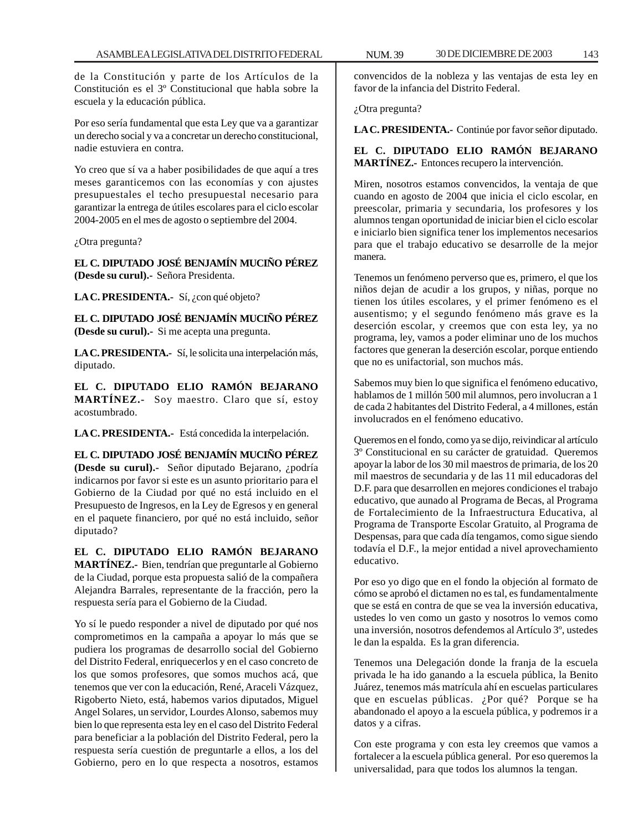de la Constitución y parte de los Artículos de la Constitución es el 3º Constitucional que habla sobre la escuela y la educación pública.

Por eso sería fundamental que esta Ley que va a garantizar un derecho social y va a concretar un derecho constitucional, nadie estuviera en contra.

Yo creo que sí va a haber posibilidades de que aquí a tres meses garanticemos con las economías y con ajustes presupuestales el techo presupuestal necesario para garantizar la entrega de útiles escolares para el ciclo escolar 2004-2005 en el mes de agosto o septiembre del 2004.

¿Otra pregunta?

**EL C. DIPUTADO JOSÉ BENJAMÍN MUCIÑO PÉREZ (Desde su curul).-** Señora Presidenta.

LA C. PRESIDENTA.- Sí, ¿con qué objeto?

**EL C. DIPUTADO JOSÉ BENJAMÍN MUCIÑO PÉREZ (Desde su curul).-** Si me acepta una pregunta.

**LA C. PRESIDENTA.-** Sí, le solicita una interpelación más, diputado.

**EL C. DIPUTADO ELIO RAMÓN BEJARANO MARTÍNEZ.-** Soy maestro. Claro que sí, estoy acostumbrado.

**LA C. PRESIDENTA.-** Está concedida la interpelación.

**EL C. DIPUTADO JOSÉ BENJAMÍN MUCIÑO PÉREZ (Desde su curul).-** Señor diputado Bejarano, ¿podría indicarnos por favor si este es un asunto prioritario para el Gobierno de la Ciudad por qué no está incluido en el Presupuesto de Ingresos, en la Ley de Egresos y en general en el paquete financiero, por qué no está incluido, señor diputado?

**EL C. DIPUTADO ELIO RAMÓN BEJARANO MARTÍNEZ.-** Bien, tendrían que preguntarle al Gobierno de la Ciudad, porque esta propuesta salió de la compañera Alejandra Barrales, representante de la fracción, pero la respuesta sería para el Gobierno de la Ciudad.

Yo sí le puedo responder a nivel de diputado por qué nos comprometimos en la campaña a apoyar lo más que se pudiera los programas de desarrollo social del Gobierno del Distrito Federal, enriquecerlos y en el caso concreto de los que somos profesores, que somos muchos acá, que tenemos que ver con la educación, René, Araceli Vázquez, Rigoberto Nieto, está, habemos varios diputados, Miguel Angel Solares, un servidor, Lourdes Alonso, sabemos muy bien lo que representa esta ley en el caso del Distrito Federal para beneficiar a la población del Distrito Federal, pero la respuesta sería cuestión de preguntarle a ellos, a los del Gobierno, pero en lo que respecta a nosotros, estamos

convencidos de la nobleza y las ventajas de esta ley en favor de la infancia del Distrito Federal.

¿Otra pregunta?

**LA C. PRESIDENTA.-** Continúe por favor señor diputado.

# **EL C. DIPUTADO ELIO RAMÓN BEJARANO MARTÍNEZ.-** Entonces recupero la intervención.

Miren, nosotros estamos convencidos, la ventaja de que cuando en agosto de 2004 que inicia el ciclo escolar, en preescolar, primaria y secundaria, los profesores y los alumnos tengan oportunidad de iniciar bien el ciclo escolar e iniciarlo bien significa tener los implementos necesarios para que el trabajo educativo se desarrolle de la mejor manera.

Tenemos un fenómeno perverso que es, primero, el que los niños dejan de acudir a los grupos, y niñas, porque no tienen los útiles escolares, y el primer fenómeno es el ausentismo; y el segundo fenómeno más grave es la deserción escolar, y creemos que con esta ley, ya no programa, ley, vamos a poder eliminar uno de los muchos factores que generan la deserción escolar, porque entiendo que no es unifactorial, son muchos más.

Sabemos muy bien lo que significa el fenómeno educativo, hablamos de 1 millón 500 mil alumnos, pero involucran a 1 de cada 2 habitantes del Distrito Federal, a 4 millones, están involucrados en el fenómeno educativo.

Queremos en el fondo, como ya se dijo, reivindicar al artículo 3º Constitucional en su carácter de gratuidad. Queremos apoyar la labor de los 30 mil maestros de primaria, de los 20 mil maestros de secundaria y de las 11 mil educadoras del D.F. para que desarrollen en mejores condiciones el trabajo educativo, que aunado al Programa de Becas, al Programa de Fortalecimiento de la Infraestructura Educativa, al Programa de Transporte Escolar Gratuito, al Programa de Despensas, para que cada día tengamos, como sigue siendo todavía el D.F., la mejor entidad a nivel aprovechamiento educativo.

Por eso yo digo que en el fondo la objeción al formato de cómo se aprobó el dictamen no es tal, es fundamentalmente que se está en contra de que se vea la inversión educativa, ustedes lo ven como un gasto y nosotros lo vemos como una inversión, nosotros defendemos al Artículo 3º, ustedes le dan la espalda. Es la gran diferencia.

Tenemos una Delegación donde la franja de la escuela privada le ha ido ganando a la escuela pública, la Benito Juárez, tenemos más matrícula ahí en escuelas particulares que en escuelas públicas. ¿Por qué? Porque se ha abandonado el apoyo a la escuela pública, y podremos ir a datos y a cifras.

Con este programa y con esta ley creemos que vamos a fortalecer a la escuela pública general. Por eso queremos la universalidad, para que todos los alumnos la tengan.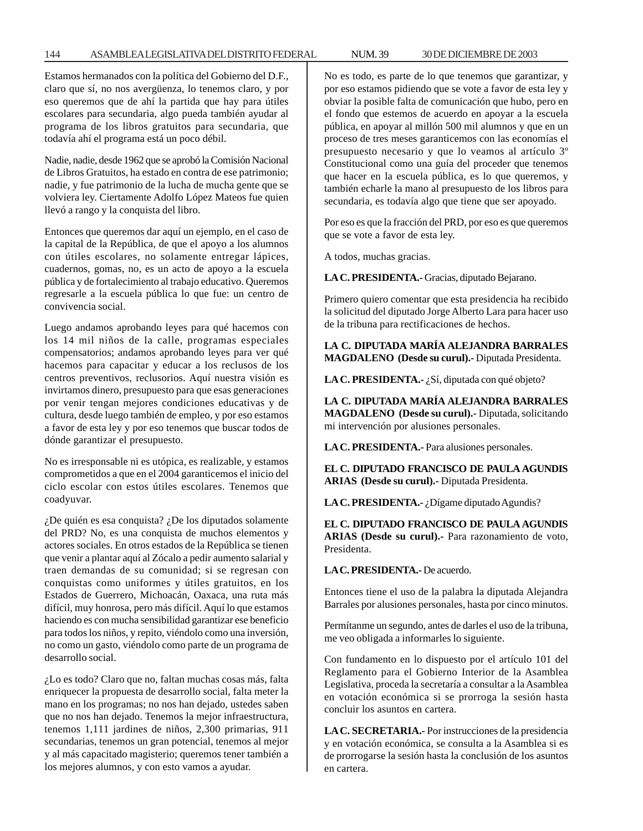## 144 ASAMBLEA LEGISLATIVA DEL DISTRITO FEDERAL NUM. 39 30 DE DICIEMBRE DE 2003

Estamos hermanados con la política del Gobierno del D.F., claro que sí, no nos avergüenza, lo tenemos claro, y por eso queremos que de ahí la partida que hay para útiles escolares para secundaria, algo pueda también ayudar al programa de los libros gratuitos para secundaria, que todavía ahí el programa está un poco débil.

Nadie, nadie, desde 1962 que se aprobó la Comisión Nacional de Libros Gratuitos, ha estado en contra de ese patrimonio; nadie, y fue patrimonio de la lucha de mucha gente que se volviera ley. Ciertamente Adolfo López Mateos fue quien llevó a rango y la conquista del libro.

Entonces que queremos dar aquí un ejemplo, en el caso de la capital de la República, de que el apoyo a los alumnos con útiles escolares, no solamente entregar lápices, cuadernos, gomas, no, es un acto de apoyo a la escuela pública y de fortalecimiento al trabajo educativo. Queremos regresarle a la escuela pública lo que fue: un centro de convivencia social.

Luego andamos aprobando leyes para qué hacemos con los 14 mil niños de la calle, programas especiales compensatorios; andamos aprobando leyes para ver qué hacemos para capacitar y educar a los reclusos de los centros preventivos, reclusorios. Aquí nuestra visión es invirtamos dinero, presupuesto para que esas generaciones por venir tengan mejores condiciones educativas y de cultura, desde luego también de empleo, y por eso estamos a favor de esta ley y por eso tenemos que buscar todos de dónde garantizar el presupuesto.

No es irresponsable ni es utópica, es realizable, y estamos comprometidos a que en el 2004 garanticemos el inicio del ciclo escolar con estos útiles escolares. Tenemos que coadyuvar.

¿De quién es esa conquista? ¿De los diputados solamente del PRD? No, es una conquista de muchos elementos y actores sociales. En otros estados de la República se tienen que venir a plantar aquí al Zócalo a pedir aumento salarial y traen demandas de su comunidad; si se regresan con conquistas como uniformes y útiles gratuitos, en los Estados de Guerrero, Michoacán, Oaxaca, una ruta más difícil, muy honrosa, pero más difícil. Aquí lo que estamos haciendo es con mucha sensibilidad garantizar ese beneficio para todos los niños, y repito, viéndolo como una inversión, no como un gasto, viéndolo como parte de un programa de desarrollo social.

¿Lo es todo? Claro que no, faltan muchas cosas más, falta enriquecer la propuesta de desarrollo social, falta meter la mano en los programas; no nos han dejado, ustedes saben que no nos han dejado. Tenemos la mejor infraestructura, tenemos 1,111 jardines de niños, 2,300 primarias, 911 secundarias, tenemos un gran potencial, tenemos al mejor y al más capacitado magisterio; queremos tener también a los mejores alumnos, y con esto vamos a ayudar.

No es todo, es parte de lo que tenemos que garantizar, y por eso estamos pidiendo que se vote a favor de esta ley y obviar la posible falta de comunicación que hubo, pero en el fondo que estemos de acuerdo en apoyar a la escuela pública, en apoyar al millón 500 mil alumnos y que en un proceso de tres meses garanticemos con las economías el presupuesto necesario y que lo veamos al artículo 3º Constitucional como una guía del proceder que tenemos que hacer en la escuela pública, es lo que queremos, y también echarle la mano al presupuesto de los libros para secundaria, es todavía algo que tiene que ser apoyado.

Por eso es que la fracción del PRD, por eso es que queremos que se vote a favor de esta ley.

A todos, muchas gracias.

**LA C. PRESIDENTA.-** Gracias, diputado Bejarano.

Primero quiero comentar que esta presidencia ha recibido la solicitud del diputado Jorge Alberto Lara para hacer uso de la tribuna para rectificaciones de hechos.

**LA C. DIPUTADA MARÍA ALEJANDRA BARRALES MAGDALENO (Desde su curul).-** Diputada Presidenta.

**LA C. PRESIDENTA.-** ¿Sí, diputada con qué objeto?

**LA C. DIPUTADA MARÍA ALEJANDRA BARRALES MAGDALENO (Desde su curul).-** Diputada, solicitando mi intervención por alusiones personales.

**LA C. PRESIDENTA.-** Para alusiones personales.

**EL C. DIPUTADO FRANCISCO DE PAULA AGUNDIS ARIAS (Desde su curul).-** Diputada Presidenta.

**LA C. PRESIDENTA.-** ¿Dígame diputado Agundis?

**EL C. DIPUTADO FRANCISCO DE PAULA AGUNDIS ARIAS (Desde su curul).-** Para razonamiento de voto, Presidenta.

**LA C. PRESIDENTA.-** De acuerdo.

Entonces tiene el uso de la palabra la diputada Alejandra Barrales por alusiones personales, hasta por cinco minutos.

Permítanme un segundo, antes de darles el uso de la tribuna, me veo obligada a informarles lo siguiente.

Con fundamento en lo dispuesto por el artículo 101 del Reglamento para el Gobierno Interior de la Asamblea Legislativa, proceda la secretaría a consultar a la Asamblea en votación económica si se prorroga la sesión hasta concluir los asuntos en cartera.

**LA C. SECRETARIA.-** Por instrucciones de la presidencia y en votación económica, se consulta a la Asamblea si es de prorrogarse la sesión hasta la conclusión de los asuntos en cartera.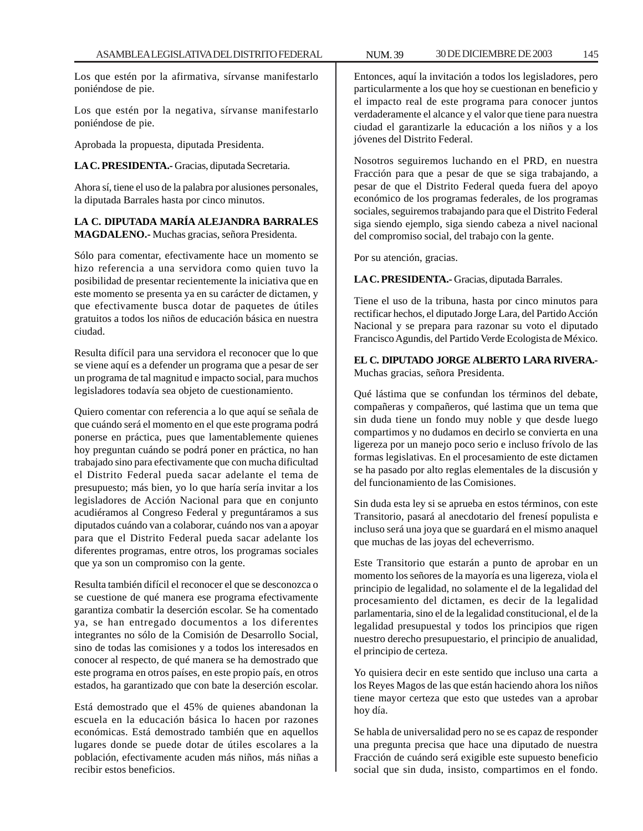Los que estén por la afirmativa, sírvanse manifestarlo poniéndose de pie.

Los que estén por la negativa, sírvanse manifestarlo poniéndose de pie.

Aprobada la propuesta, diputada Presidenta.

**LA C. PRESIDENTA.-** Gracias, diputada Secretaria.

Ahora sí, tiene el uso de la palabra por alusiones personales, la diputada Barrales hasta por cinco minutos.

# **LA C. DIPUTADA MARÍA ALEJANDRA BARRALES MAGDALENO.-** Muchas gracias, señora Presidenta.

Sólo para comentar, efectivamente hace un momento se hizo referencia a una servidora como quien tuvo la posibilidad de presentar recientemente la iniciativa que en este momento se presenta ya en su carácter de dictamen, y que efectivamente busca dotar de paquetes de útiles gratuitos a todos los niños de educación básica en nuestra ciudad.

Resulta difícil para una servidora el reconocer que lo que se viene aquí es a defender un programa que a pesar de ser un programa de tal magnitud e impacto social, para muchos legisladores todavía sea objeto de cuestionamiento.

Quiero comentar con referencia a lo que aquí se señala de que cuándo será el momento en el que este programa podrá ponerse en práctica, pues que lamentablemente quienes hoy preguntan cuándo se podrá poner en práctica, no han trabajado sino para efectivamente que con mucha dificultad el Distrito Federal pueda sacar adelante el tema de presupuesto; más bien, yo lo que haría sería invitar a los legisladores de Acción Nacional para que en conjunto acudiéramos al Congreso Federal y preguntáramos a sus diputados cuándo van a colaborar, cuándo nos van a apoyar para que el Distrito Federal pueda sacar adelante los diferentes programas, entre otros, los programas sociales que ya son un compromiso con la gente.

Resulta también difícil el reconocer el que se desconozca o se cuestione de qué manera ese programa efectivamente garantiza combatir la deserción escolar. Se ha comentado ya, se han entregado documentos a los diferentes integrantes no sólo de la Comisión de Desarrollo Social, sino de todas las comisiones y a todos los interesados en conocer al respecto, de qué manera se ha demostrado que este programa en otros países, en este propio país, en otros estados, ha garantizado que con bate la deserción escolar.

Está demostrado que el 45% de quienes abandonan la escuela en la educación básica lo hacen por razones económicas. Está demostrado también que en aquellos lugares donde se puede dotar de útiles escolares a la población, efectivamente acuden más niños, más niñas a recibir estos beneficios.

Entonces, aquí la invitación a todos los legisladores, pero particularmente a los que hoy se cuestionan en beneficio y el impacto real de este programa para conocer juntos verdaderamente el alcance y el valor que tiene para nuestra ciudad el garantizarle la educación a los niños y a los jóvenes del Distrito Federal.

Nosotros seguiremos luchando en el PRD, en nuestra Fracción para que a pesar de que se siga trabajando, a pesar de que el Distrito Federal queda fuera del apoyo económico de los programas federales, de los programas sociales, seguiremos trabajando para que el Distrito Federal siga siendo ejemplo, siga siendo cabeza a nivel nacional del compromiso social, del trabajo con la gente.

Por su atención, gracias.

**LA C. PRESIDENTA.-** Gracias, diputada Barrales.

Tiene el uso de la tribuna, hasta por cinco minutos para rectificar hechos, el diputado Jorge Lara, del Partido Acción Nacional y se prepara para razonar su voto el diputado Francisco Agundis, del Partido Verde Ecologista de México.

**EL C. DIPUTADO JORGE ALBERTO LARA RIVERA.-** Muchas gracias, señora Presidenta.

Qué lástima que se confundan los términos del debate, compañeras y compañeros, qué lastima que un tema que sin duda tiene un fondo muy noble y que desde luego compartimos y no dudamos en decirlo se convierta en una ligereza por un manejo poco serio e incluso frívolo de las formas legislativas. En el procesamiento de este dictamen se ha pasado por alto reglas elementales de la discusión y del funcionamiento de las Comisiones.

Sin duda esta ley si se aprueba en estos términos, con este Transitorio, pasará al anecdotario del frenesí populista e incluso será una joya que se guardará en el mismo anaquel que muchas de las joyas del echeverrismo.

Este Transitorio que estarán a punto de aprobar en un momento los señores de la mayoría es una ligereza, viola el principio de legalidad, no solamente el de la legalidad del procesamiento del dictamen, es decir de la legalidad parlamentaria, sino el de la legalidad constitucional, el de la legalidad presupuestal y todos los principios que rigen nuestro derecho presupuestario, el principio de anualidad, el principio de certeza.

Yo quisiera decir en este sentido que incluso una carta a los Reyes Magos de las que están haciendo ahora los niños tiene mayor certeza que esto que ustedes van a aprobar hoy día.

Se habla de universalidad pero no se es capaz de responder una pregunta precisa que hace una diputado de nuestra Fracción de cuándo será exigible este supuesto beneficio social que sin duda, insisto, compartimos en el fondo.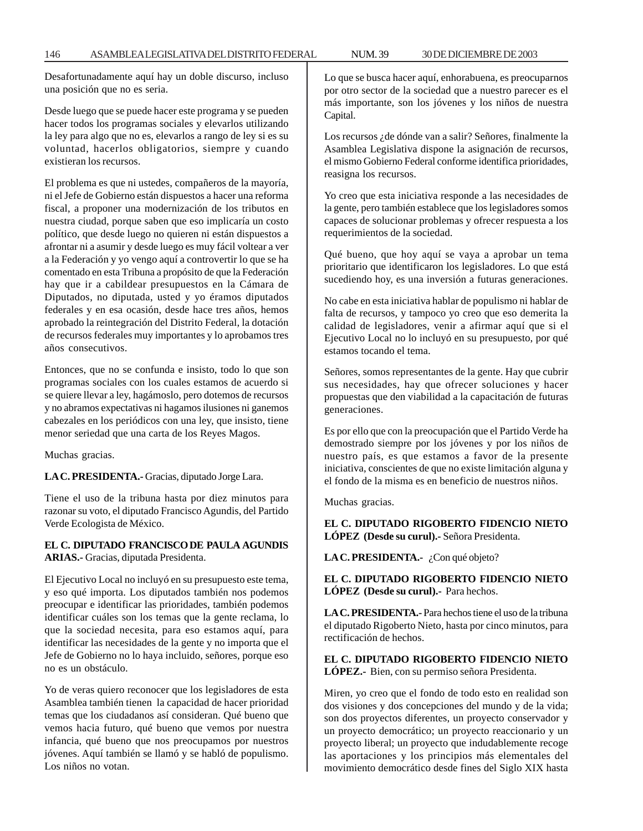Desafortunadamente aquí hay un doble discurso, incluso una posición que no es seria.

Desde luego que se puede hacer este programa y se pueden hacer todos los programas sociales y elevarlos utilizando la ley para algo que no es, elevarlos a rango de ley si es su voluntad, hacerlos obligatorios, siempre y cuando existieran los recursos.

El problema es que ni ustedes, compañeros de la mayoría, ni el Jefe de Gobierno están dispuestos a hacer una reforma fiscal, a proponer una modernización de los tributos en nuestra ciudad, porque saben que eso implicaría un costo político, que desde luego no quieren ni están dispuestos a afrontar ni a asumir y desde luego es muy fácil voltear a ver a la Federación y yo vengo aquí a controvertir lo que se ha comentado en esta Tribuna a propósito de que la Federación hay que ir a cabildear presupuestos en la Cámara de Diputados, no diputada, usted y yo éramos diputados federales y en esa ocasión, desde hace tres años, hemos aprobado la reintegración del Distrito Federal, la dotación de recursos federales muy importantes y lo aprobamos tres años consecutivos.

Entonces, que no se confunda e insisto, todo lo que son programas sociales con los cuales estamos de acuerdo si se quiere llevar a ley, hagámoslo, pero dotemos de recursos y no abramos expectativas ni hagamos ilusiones ni ganemos cabezales en los periódicos con una ley, que insisto, tiene menor seriedad que una carta de los Reyes Magos.

Muchas gracias.

**LA C. PRESIDENTA.-** Gracias, diputado Jorge Lara.

Tiene el uso de la tribuna hasta por diez minutos para razonar su voto, el diputado Francisco Agundis, del Partido Verde Ecologista de México.

# **EL C. DIPUTADO FRANCISCO DE PAULA AGUNDIS ARIAS.-** Gracias, diputada Presidenta.

El Ejecutivo Local no incluyó en su presupuesto este tema, y eso qué importa. Los diputados también nos podemos preocupar e identificar las prioridades, también podemos identificar cuáles son los temas que la gente reclama, lo que la sociedad necesita, para eso estamos aquí, para identificar las necesidades de la gente y no importa que el Jefe de Gobierno no lo haya incluido, señores, porque eso no es un obstáculo.

Yo de veras quiero reconocer que los legisladores de esta Asamblea también tienen la capacidad de hacer prioridad temas que los ciudadanos así consideran. Qué bueno que vemos hacia futuro, qué bueno que vemos por nuestra infancia, qué bueno que nos preocupamos por nuestros jóvenes. Aquí también se llamó y se habló de populismo. Los niños no votan.

Lo que se busca hacer aquí, enhorabuena, es preocuparnos por otro sector de la sociedad que a nuestro parecer es el más importante, son los jóvenes y los niños de nuestra Capital.

Los recursos ¿de dónde van a salir? Señores, finalmente la Asamblea Legislativa dispone la asignación de recursos, el mismo Gobierno Federal conforme identifica prioridades, reasigna los recursos.

Yo creo que esta iniciativa responde a las necesidades de la gente, pero también establece que los legisladores somos capaces de solucionar problemas y ofrecer respuesta a los requerimientos de la sociedad.

Qué bueno, que hoy aquí se vaya a aprobar un tema prioritario que identificaron los legisladores. Lo que está sucediendo hoy, es una inversión a futuras generaciones.

No cabe en esta iniciativa hablar de populismo ni hablar de falta de recursos, y tampoco yo creo que eso demerita la calidad de legisladores, venir a afirmar aquí que si el Ejecutivo Local no lo incluyó en su presupuesto, por qué estamos tocando el tema.

Señores, somos representantes de la gente. Hay que cubrir sus necesidades, hay que ofrecer soluciones y hacer propuestas que den viabilidad a la capacitación de futuras generaciones.

Es por ello que con la preocupación que el Partido Verde ha demostrado siempre por los jóvenes y por los niños de nuestro país, es que estamos a favor de la presente iniciativa, conscientes de que no existe limitación alguna y el fondo de la misma es en beneficio de nuestros niños.

Muchas gracias.

**EL C. DIPUTADO RIGOBERTO FIDENCIO NIETO LÓPEZ (Desde su curul).-** Señora Presidenta.

LA C. PRESIDENTA.- ¿Con qué objeto?

**EL C. DIPUTADO RIGOBERTO FIDENCIO NIETO LÓPEZ (Desde su curul).-** Para hechos.

**LA C. PRESIDENTA.-** Para hechos tiene el uso de la tribuna el diputado Rigoberto Nieto, hasta por cinco minutos, para rectificación de hechos.

**EL C. DIPUTADO RIGOBERTO FIDENCIO NIETO LÓPEZ.-** Bien, con su permiso señora Presidenta.

Miren, yo creo que el fondo de todo esto en realidad son dos visiones y dos concepciones del mundo y de la vida; son dos proyectos diferentes, un proyecto conservador y un proyecto democrático; un proyecto reaccionario y un proyecto liberal; un proyecto que indudablemente recoge las aportaciones y los principios más elementales del movimiento democrático desde fines del Siglo XIX hasta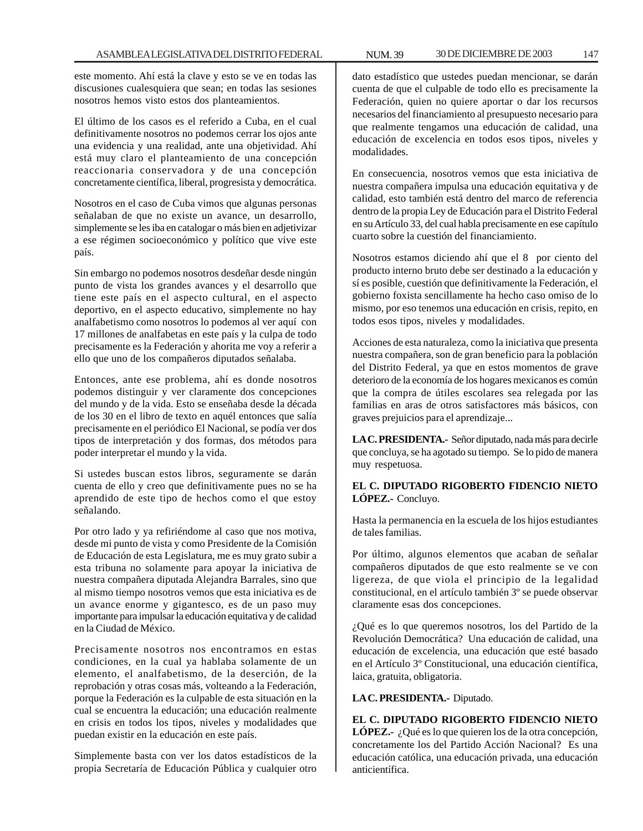este momento. Ahí está la clave y esto se ve en todas las discusiones cualesquiera que sean; en todas las sesiones nosotros hemos visto estos dos planteamientos.

El último de los casos es el referido a Cuba, en el cual definitivamente nosotros no podemos cerrar los ojos ante una evidencia y una realidad, ante una objetividad. Ahí está muy claro el planteamiento de una concepción reaccionaria conservadora y de una concepción concretamente científica, liberal, progresista y democrática.

Nosotros en el caso de Cuba vimos que algunas personas señalaban de que no existe un avance, un desarrollo, simplemente se les iba en catalogar o más bien en adjetivizar a ese régimen socioeconómico y político que vive este país.

Sin embargo no podemos nosotros desdeñar desde ningún punto de vista los grandes avances y el desarrollo que tiene este país en el aspecto cultural, en el aspecto deportivo, en el aspecto educativo, simplemente no hay analfabetismo como nosotros lo podemos al ver aquí con 17 millones de analfabetas en este país y la culpa de todo precisamente es la Federación y ahorita me voy a referir a ello que uno de los compañeros diputados señalaba.

Entonces, ante ese problema, ahí es donde nosotros podemos distinguir y ver claramente dos concepciones del mundo y de la vida. Esto se enseñaba desde la década de los 30 en el libro de texto en aquél entonces que salía precisamente en el periódico El Nacional, se podía ver dos tipos de interpretación y dos formas, dos métodos para poder interpretar el mundo y la vida.

Si ustedes buscan estos libros, seguramente se darán cuenta de ello y creo que definitivamente pues no se ha aprendido de este tipo de hechos como el que estoy señalando.

Por otro lado y ya refiriéndome al caso que nos motiva, desde mi punto de vista y como Presidente de la Comisión de Educación de esta Legislatura, me es muy grato subir a esta tribuna no solamente para apoyar la iniciativa de nuestra compañera diputada Alejandra Barrales, sino que al mismo tiempo nosotros vemos que esta iniciativa es de un avance enorme y gigantesco, es de un paso muy importante para impulsar la educación equitativa y de calidad en la Ciudad de México.

Precisamente nosotros nos encontramos en estas condiciones, en la cual ya hablaba solamente de un elemento, el analfabetismo, de la deserción, de la reprobación y otras cosas más, volteando a la Federación, porque la Federación es la culpable de esta situación en la cual se encuentra la educación; una educación realmente en crisis en todos los tipos, niveles y modalidades que puedan existir en la educación en este país.

Simplemente basta con ver los datos estadísticos de la propia Secretaría de Educación Pública y cualquier otro dato estadístico que ustedes puedan mencionar, se darán cuenta de que el culpable de todo ello es precisamente la Federación, quien no quiere aportar o dar los recursos necesarios del financiamiento al presupuesto necesario para que realmente tengamos una educación de calidad, una educación de excelencia en todos esos tipos, niveles y modalidades.

En consecuencia, nosotros vemos que esta iniciativa de nuestra compañera impulsa una educación equitativa y de calidad, esto también está dentro del marco de referencia dentro de la propia Ley de Educación para el Distrito Federal en su Artículo 33, del cual habla precisamente en ese capítulo cuarto sobre la cuestión del financiamiento.

Nosotros estamos diciendo ahí que el 8 por ciento del producto interno bruto debe ser destinado a la educación y sí es posible, cuestión que definitivamente la Federación, el gobierno foxista sencillamente ha hecho caso omiso de lo mismo, por eso tenemos una educación en crisis, repito, en todos esos tipos, niveles y modalidades.

Acciones de esta naturaleza, como la iniciativa que presenta nuestra compañera, son de gran beneficio para la población del Distrito Federal, ya que en estos momentos de grave deterioro de la economía de los hogares mexicanos es común que la compra de útiles escolares sea relegada por las familias en aras de otros satisfactores más básicos, con graves prejuicios para el aprendizaje...

**LA C. PRESIDENTA.-** Señor diputado, nada más para decirle que concluya, se ha agotado su tiempo. Se lo pido de manera muy respetuosa.

# **EL C. DIPUTADO RIGOBERTO FIDENCIO NIETO LÓPEZ.-** Concluyo.

Hasta la permanencia en la escuela de los hijos estudiantes de tales familias.

Por último, algunos elementos que acaban de señalar compañeros diputados de que esto realmente se ve con ligereza, de que viola el principio de la legalidad constitucional, en el artículo también 3º se puede observar claramente esas dos concepciones.

¿Qué es lo que queremos nosotros, los del Partido de la Revolución Democrática? Una educación de calidad, una educación de excelencia, una educación que esté basado en el Artículo 3º Constitucional, una educación científica, laica, gratuita, obligatoria.

# **LA C. PRESIDENTA.-** Diputado.

**EL C. DIPUTADO RIGOBERTO FIDENCIO NIETO LÓPEZ.-** ¿Qué es lo que quieren los de la otra concepción, concretamente los del Partido Acción Nacional? Es una educación católica, una educación privada, una educación anticientífica.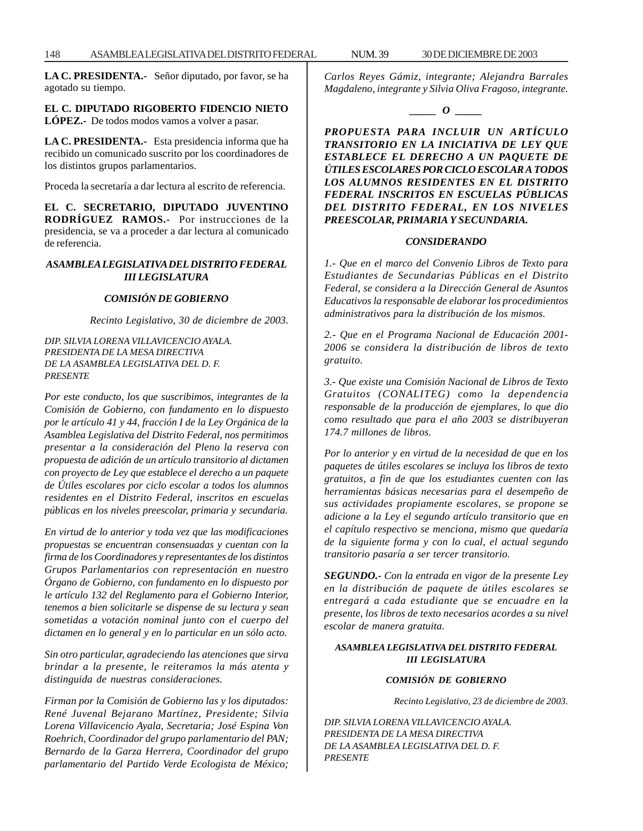**LA C. PRESIDENTA.-** Señor diputado, por favor, se ha agotado su tiempo.

**EL C. DIPUTADO RIGOBERTO FIDENCIO NIETO LÓPEZ.-** De todos modos vamos a volver a pasar.

**LA C. PRESIDENTA.-** Esta presidencia informa que ha recibido un comunicado suscrito por los coordinadores de los distintos grupos parlamentarios.

Proceda la secretaría a dar lectura al escrito de referencia.

**EL C. SECRETARIO, DIPUTADO JUVENTINO RODRÍGUEZ RAMOS.-** Por instrucciones de la presidencia, se va a proceder a dar lectura al comunicado de referencia.

### *ASAMBLEA LEGISLATIVA DEL DISTRITO FEDERAL III LEGISLATURA*

#### *COMISIÓN DE GOBIERNO*

*Recinto Legislativo, 30 de diciembre de 2003.*

*DIP. SILVIA LORENA VILLAVICENCIO AYALA. PRESIDENTA DE LA MESA DIRECTIVA DE LA ASAMBLEA LEGISLATIVA DEL D. F. PRESENTE*

*Por este conducto, los que suscribimos, integrantes de la Comisión de Gobierno, con fundamento en lo dispuesto por le artículo 41 y 44, fracción I de la Ley Orgánica de la Asamblea Legislativa del Distrito Federal, nos permitimos presentar a la consideración del Pleno la reserva con propuesta de adición de un artículo transitorio al dictamen con proyecto de Ley que establece el derecho a un paquete de Útiles escolares por ciclo escolar a todos los alumnos residentes en el Distrito Federal, inscritos en escuelas públicas en los niveles preescolar, primaria y secundaria.*

*En virtud de lo anterior y toda vez que las modificaciones propuestas se encuentran consensuadas y cuentan con la firma de los Coordinadores y representantes de los distintos Grupos Parlamentarios con representación en nuestro Órgano de Gobierno, con fundamento en lo dispuesto por le artículo 132 del Reglamento para el Gobierno Interior, tenemos a bien solicitarle se dispense de su lectura y sean sometidas a votación nominal junto con el cuerpo del dictamen en lo general y en lo particular en un sólo acto.*

*Sin otro particular, agradeciendo las atenciones que sirva brindar a la presente, le reiteramos la más atenta y distinguida de nuestras consideraciones.*

*Firman por la Comisión de Gobierno las y los diputados: René Juvenal Bejarano Martínez, Presidente; Silvia Lorena Villavicencio Ayala, Secretaria; José Espina Von Roehrich, Coordinador del grupo parlamentario del PAN; Bernardo de la Garza Herrera, Coordinador del grupo parlamentario del Partido Verde Ecologista de México;* *Carlos Reyes Gámiz, integrante; Alejandra Barrales Magdaleno, integrante y Silvia Oliva Fragoso, integrante.*



*PROPUESTA PARA INCLUIR UN ARTÍCULO TRANSITORIO EN LA INICIATIVA DE LEY QUE ESTABLECE EL DERECHO A UN PAQUETE DE ÚTILES ESCOLARES POR CICLO ESCOLAR A TODOS LOS ALUMNOS RESIDENTES EN EL DISTRITO FEDERAL INSCRITOS EN ESCUELAS PÚBLICAS DEL DISTRITO FEDERAL, EN LOS NIVELES PREESCOLAR, PRIMARIA Y SECUNDARIA.*

#### *CONSIDERANDO*

*1.- Que en el marco del Convenio Libros de Texto para Estudiantes de Secundarias Públicas en el Distrito Federal, se considera a la Dirección General de Asuntos Educativos la responsable de elaborar los procedimientos administrativos para la distribución de los mismos.*

*2.- Que en el Programa Nacional de Educación 2001- 2006 se considera la distribución de libros de texto gratuito.*

*3.- Que existe una Comisión Nacional de Libros de Texto Gratuitos (CONALITEG) como la dependencia responsable de la producción de ejemplares, lo que dio como resultado que para el año 2003 se distribuyeran 174.7 millones de libros.*

*Por lo anterior y en virtud de la necesidad de que en los paquetes de útiles escolares se incluya los libros de texto gratuitos, a fin de que los estudiantes cuenten con las herramientas básicas necesarias para el desempeño de sus actividades propiamente escolares, se propone se adicione a la Ley el segundo artículo transitorio que en el capítulo respectivo se menciona, mismo que quedaría de la siguiente forma y con lo cual, el actual segundo transitorio pasaría a ser tercer transitorio.*

*SEGUNDO.- Con la entrada en vigor de la presente Ley en la distribución de paquete de útiles escolares se entregará a cada estudiante que se encuadre en la presente, los libros de texto necesarios acordes a su nivel escolar de manera gratuita.*

#### *ASAMBLEA LEGISLATIVA DEL DISTRITO FEDERAL III LEGISLATURA*

#### *COMISIÓN DE GOBIERNO*

*Recinto Legislativo, 23 de diciembre de 2003.*

*DIP. SILVIA LORENA VILLAVICENCIO AYALA. PRESIDENTA DE LA MESA DIRECTIVA DE LA ASAMBLEA LEGISLATIVA DEL D. F. PRESENTE*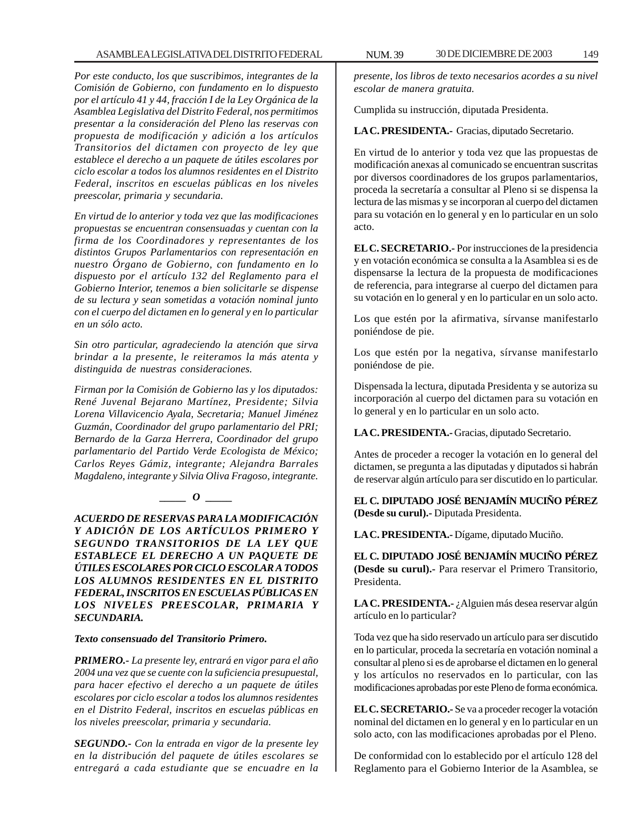*Por este conducto, los que suscribimos, integrantes de la Comisión de Gobierno, con fundamento en lo dispuesto por el artículo 41 y 44, fracción I de la Ley Orgánica de la Asamblea Legislativa del Distrito Federal, nos permitimos presentar a la consideración del Pleno las reservas con propuesta de modificación y adición a los artículos Transitorios del dictamen con proyecto de ley que establece el derecho a un paquete de útiles escolares por ciclo escolar a todos los alumnos residentes en el Distrito Federal, inscritos en escuelas públicas en los niveles preescolar, primaria y secundaria.*

*En virtud de lo anterior y toda vez que las modificaciones propuestas se encuentran consensuadas y cuentan con la firma de los Coordinadores y representantes de los distintos Grupos Parlamentarios con representación en nuestro Órgano de Gobierno, con fundamento en lo dispuesto por el artículo 132 del Reglamento para el Gobierno Interior, tenemos a bien solicitarle se dispense de su lectura y sean sometidas a votación nominal junto con el cuerpo del dictamen en lo general y en lo particular en un sólo acto.*

*Sin otro particular, agradeciendo la atención que sirva brindar a la presente, le reiteramos la más atenta y distinguida de nuestras consideraciones.*

*Firman por la Comisión de Gobierno las y los diputados: René Juvenal Bejarano Martínez, Presidente; Silvia Lorena Villavicencio Ayala, Secretaria; Manuel Jiménez Guzmán, Coordinador del grupo parlamentario del PRI; Bernardo de la Garza Herrera, Coordinador del grupo parlamentario del Partido Verde Ecologista de México; Carlos Reyes Gámiz, integrante; Alejandra Barrales Magdaleno, integrante y Silvia Oliva Fragoso, integrante.*

# *\_\_\_\_\_ O \_\_\_\_\_*

*ACUERDO DE RESERVAS PARA LA MODIFICACIÓN Y ADICIÓN DE LOS ARTÍCULOS PRIMERO Y SEGUNDO TRANSITORIOS DE LA LEY QUE ESTABLECE EL DERECHO A UN PAQUETE DE ÚTILES ESCOLARES POR CICLO ESCOLAR A TODOS LOS ALUMNOS RESIDENTES EN EL DISTRITO FEDERAL, INSCRITOS EN ESCUELAS PÚBLICAS EN LOS NIVELES PREESCOLAR, PRIMARIA Y SECUNDARIA.*

# *Texto consensuado del Transitorio Primero.*

*PRIMERO.- La presente ley, entrará en vigor para el año 2004 una vez que se cuente con la suficiencia presupuestal, para hacer efectivo el derecho a un paquete de útiles escolares por ciclo escolar a todos los alumnos residentes en el Distrito Federal, inscritos en escuelas públicas en los niveles preescolar, primaria y secundaria.*

*SEGUNDO.- Con la entrada en vigor de la presente ley en la distribución del paquete de útiles escolares se entregará a cada estudiante que se encuadre en la*

*presente, los libros de texto necesarios acordes a su nivel escolar de manera gratuita.*

Cumplida su instrucción, diputada Presidenta.

**LA C. PRESIDENTA.-** Gracias, diputado Secretario.

En virtud de lo anterior y toda vez que las propuestas de modificación anexas al comunicado se encuentran suscritas por diversos coordinadores de los grupos parlamentarios, proceda la secretaría a consultar al Pleno si se dispensa la lectura de las mismas y se incorporan al cuerpo del dictamen para su votación en lo general y en lo particular en un solo acto.

**EL C. SECRETARIO.-** Por instrucciones de la presidencia y en votación económica se consulta a la Asamblea si es de dispensarse la lectura de la propuesta de modificaciones de referencia, para integrarse al cuerpo del dictamen para su votación en lo general y en lo particular en un solo acto.

Los que estén por la afirmativa, sírvanse manifestarlo poniéndose de pie.

Los que estén por la negativa, sírvanse manifestarlo poniéndose de pie.

Dispensada la lectura, diputada Presidenta y se autoriza su incorporación al cuerpo del dictamen para su votación en lo general y en lo particular en un solo acto.

**LA C. PRESIDENTA.-** Gracias, diputado Secretario.

Antes de proceder a recoger la votación en lo general del dictamen, se pregunta a las diputadas y diputados si habrán de reservar algún artículo para ser discutido en lo particular.

**EL C. DIPUTADO JOSÉ BENJAMÍN MUCIÑO PÉREZ (Desde su curul).-** Diputada Presidenta.

**LA C. PRESIDENTA.-** Dígame, diputado Muciño.

**EL C. DIPUTADO JOSÉ BENJAMÍN MUCIÑO PÉREZ (Desde su curul).-** Para reservar el Primero Transitorio, Presidenta.

LA C. PRESIDENTA.- ¿Alguien más desea reservar algún artículo en lo particular?

Toda vez que ha sido reservado un artículo para ser discutido en lo particular, proceda la secretaría en votación nominal a consultar al pleno si es de aprobarse el dictamen en lo general y los artículos no reservados en lo particular, con las modificaciones aprobadas por este Pleno de forma económica.

**EL C. SECRETARIO.-** Se va a proceder recoger la votación nominal del dictamen en lo general y en lo particular en un solo acto, con las modificaciones aprobadas por el Pleno.

De conformidad con lo establecido por el artículo 128 del Reglamento para el Gobierno Interior de la Asamblea, se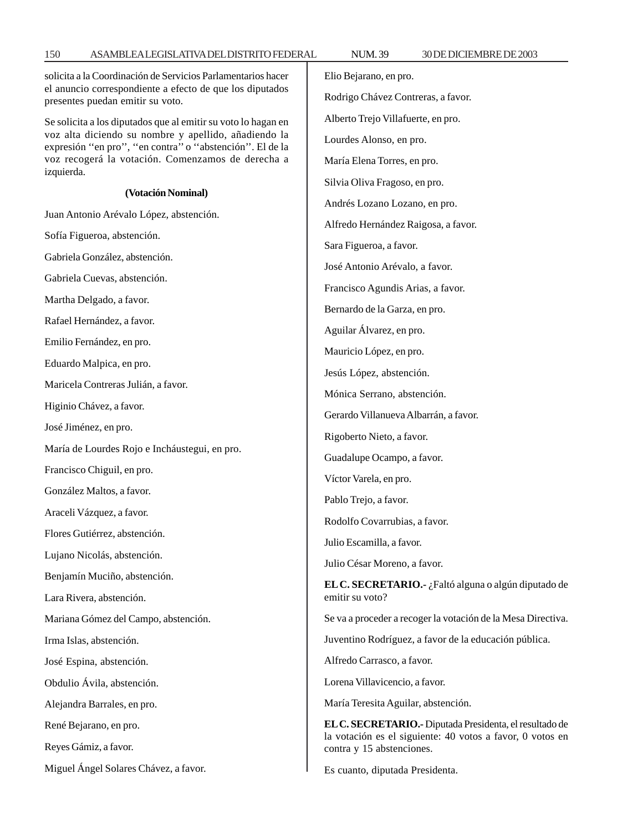solicita a la Coordinación de Servicios Parlamentarios hacer el anuncio correspondiente a efecto de que los diputados presentes puedan emitir su voto. Se solicita a los diputados que al emitir su voto lo hagan en voz alta diciendo su nombre y apellido, añadiendo la expresión ''en pro'', ''en contra'' o ''abstención''. El de la voz recogerá la votación. Comenzamos de derecha a izquierda. **(Votación Nominal)** Juan Antonio Arévalo López, abstención. Sofía Figueroa, abstención. Gabriela González, abstención. Gabriela Cuevas, abstención. Martha Delgado, a favor. Rafael Hernández, a favor. Emilio Fernández, en pro. Eduardo Malpica, en pro. Maricela Contreras Julián, a favor. Higinio Chávez, a favor. José Jiménez, en pro. María de Lourdes Rojo e Incháustegui, en pro. Francisco Chiguil, en pro. González Maltos, a favor. Araceli Vázquez, a favor. Flores Gutiérrez, abstención. Lujano Nicolás, abstención. Benjamín Muciño, abstención. Lara Rivera, abstención. Mariana Gómez del Campo, abstención. Irma Islas, abstención. José Espina, abstención. Obdulio Ávila, abstención. Alejandra Barrales, en pro. René Bejarano, en pro. Reyes Gámiz, a favor. Miguel Ángel Solares Chávez, a favor. Elio Bejarano, en pro. Rodrigo Chávez Contreras, a favor. Alberto Trejo Villafuerte, en pro. Lourdes Alonso, en pro. María Elena Torres, en pro. Silvia Oliva Fragoso, en pro. Andrés Lozano Lozano, en pro. Alfredo Hernández Raigosa, a favor. Sara Figueroa, a favor. José Antonio Arévalo, a favor. Francisco Agundis Arias, a favor. Bernardo de la Garza, en pro. Aguilar Álvarez, en pro. Mauricio López, en pro. Jesús López, abstención. Mónica Serrano, abstención. Gerardo Villanueva Albarrán, a favor. Rigoberto Nieto, a favor. Guadalupe Ocampo, a favor. Víctor Varela, en pro. Pablo Trejo, a favor. Rodolfo Covarrubias, a favor. Julio Escamilla, a favor. Julio César Moreno, a favor. **EL C. SECRETARIO.-** ¿Faltó alguna o algún diputado de emitir su voto? Se va a proceder a recoger la votación de la Mesa Directiva. Juventino Rodríguez, a favor de la educación pública. Alfredo Carrasco, a favor. Lorena Villavicencio, a favor. María Teresita Aguilar, abstención. **EL C. SECRETARIO.-** Diputada Presidenta, el resultado de la votación es el siguiente: 40 votos a favor, 0 votos en contra y 15 abstenciones. Es cuanto, diputada Presidenta.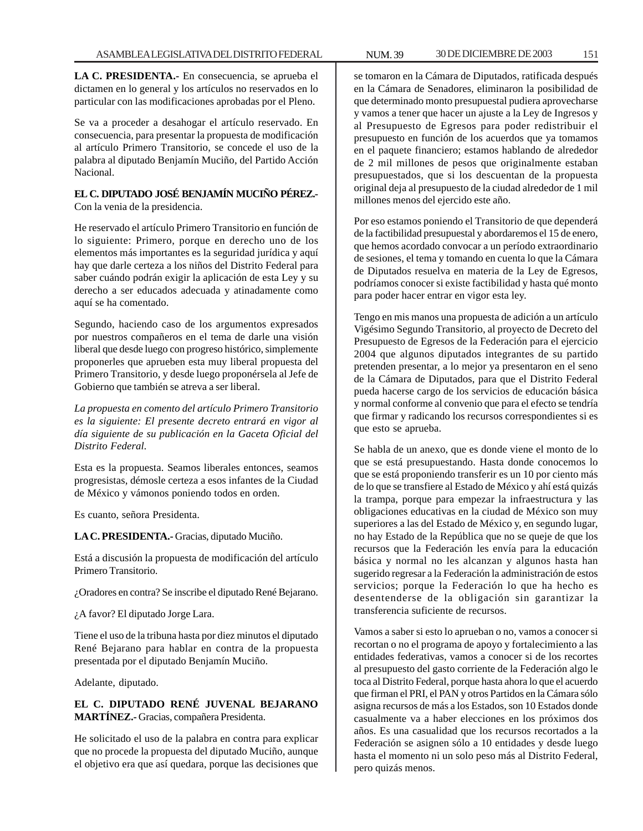**LA C. PRESIDENTA.-** En consecuencia, se aprueba el dictamen en lo general y los artículos no reservados en lo particular con las modificaciones aprobadas por el Pleno.

Se va a proceder a desahogar el artículo reservado. En consecuencia, para presentar la propuesta de modificación al artículo Primero Transitorio, se concede el uso de la palabra al diputado Benjamín Muciño, del Partido Acción Nacional.

# **EL C. DIPUTADO JOSÉ BENJAMÍN MUCIÑO PÉREZ.-**

Con la venia de la presidencia.

He reservado el artículo Primero Transitorio en función de lo siguiente: Primero, porque en derecho uno de los elementos más importantes es la seguridad jurídica y aquí hay que darle certeza a los niños del Distrito Federal para saber cuándo podrán exigir la aplicación de esta Ley y su derecho a ser educados adecuada y atinadamente como aquí se ha comentado.

Segundo, haciendo caso de los argumentos expresados por nuestros compañeros en el tema de darle una visión liberal que desde luego con progreso histórico, simplemente proponerles que aprueben esta muy liberal propuesta del Primero Transitorio, y desde luego proponérsela al Jefe de Gobierno que también se atreva a ser liberal.

*La propuesta en comento del artículo Primero Transitorio es la siguiente: El presente decreto entrará en vigor al día siguiente de su publicación en la Gaceta Oficial del Distrito Federal.*

Esta es la propuesta. Seamos liberales entonces, seamos progresistas, démosle certeza a esos infantes de la Ciudad de México y vámonos poniendo todos en orden.

Es cuanto, señora Presidenta.

**LA C. PRESIDENTA.-** Gracias, diputado Muciño.

Está a discusión la propuesta de modificación del artículo Primero Transitorio.

¿Oradores en contra? Se inscribe el diputado René Bejarano.

¿A favor? El diputado Jorge Lara.

Tiene el uso de la tribuna hasta por diez minutos el diputado René Bejarano para hablar en contra de la propuesta presentada por el diputado Benjamín Muciño.

Adelante, diputado.

# **EL C. DIPUTADO RENÉ JUVENAL BEJARANO MARTÍNEZ.-** Gracias, compañera Presidenta.

He solicitado el uso de la palabra en contra para explicar que no procede la propuesta del diputado Muciño, aunque el objetivo era que así quedara, porque las decisiones que se tomaron en la Cámara de Diputados, ratificada después en la Cámara de Senadores, eliminaron la posibilidad de que determinado monto presupuestal pudiera aprovecharse y vamos a tener que hacer un ajuste a la Ley de Ingresos y al Presupuesto de Egresos para poder redistribuir el presupuesto en función de los acuerdos que ya tomamos en el paquete financiero; estamos hablando de alrededor de 2 mil millones de pesos que originalmente estaban presupuestados, que si los descuentan de la propuesta original deja al presupuesto de la ciudad alrededor de 1 mil millones menos del ejercido este año.

Por eso estamos poniendo el Transitorio de que dependerá de la factibilidad presupuestal y abordaremos el 15 de enero, que hemos acordado convocar a un período extraordinario de sesiones, el tema y tomando en cuenta lo que la Cámara de Diputados resuelva en materia de la Ley de Egresos, podríamos conocer si existe factibilidad y hasta qué monto para poder hacer entrar en vigor esta ley.

Tengo en mis manos una propuesta de adición a un artículo Vigésimo Segundo Transitorio, al proyecto de Decreto del Presupuesto de Egresos de la Federación para el ejercicio 2004 que algunos diputados integrantes de su partido pretenden presentar, a lo mejor ya presentaron en el seno de la Cámara de Diputados, para que el Distrito Federal pueda hacerse cargo de los servicios de educación básica y normal conforme al convenio que para el efecto se tendría que firmar y radicando los recursos correspondientes si es que esto se aprueba.

Se habla de un anexo, que es donde viene el monto de lo que se está presupuestando. Hasta donde conocemos lo que se está proponiendo transferir es un 10 por ciento más de lo que se transfiere al Estado de México y ahí está quizás la trampa, porque para empezar la infraestructura y las obligaciones educativas en la ciudad de México son muy superiores a las del Estado de México y, en segundo lugar, no hay Estado de la República que no se queje de que los recursos que la Federación les envía para la educación básica y normal no les alcanzan y algunos hasta han sugerido regresar a la Federación la administración de estos servicios; porque la Federación lo que ha hecho es desentenderse de la obligación sin garantizar la transferencia suficiente de recursos.

Vamos a saber si esto lo aprueban o no, vamos a conocer si recortan o no el programa de apoyo y fortalecimiento a las entidades federativas, vamos a conocer si de los recortes al presupuesto del gasto corriente de la Federación algo le toca al Distrito Federal, porque hasta ahora lo que el acuerdo que firman el PRI, el PAN y otros Partidos en la Cámara sólo asigna recursos de más a los Estados, son 10 Estados donde casualmente va a haber elecciones en los próximos dos años. Es una casualidad que los recursos recortados a la Federación se asignen sólo a 10 entidades y desde luego hasta el momento ni un solo peso más al Distrito Federal, pero quizás menos.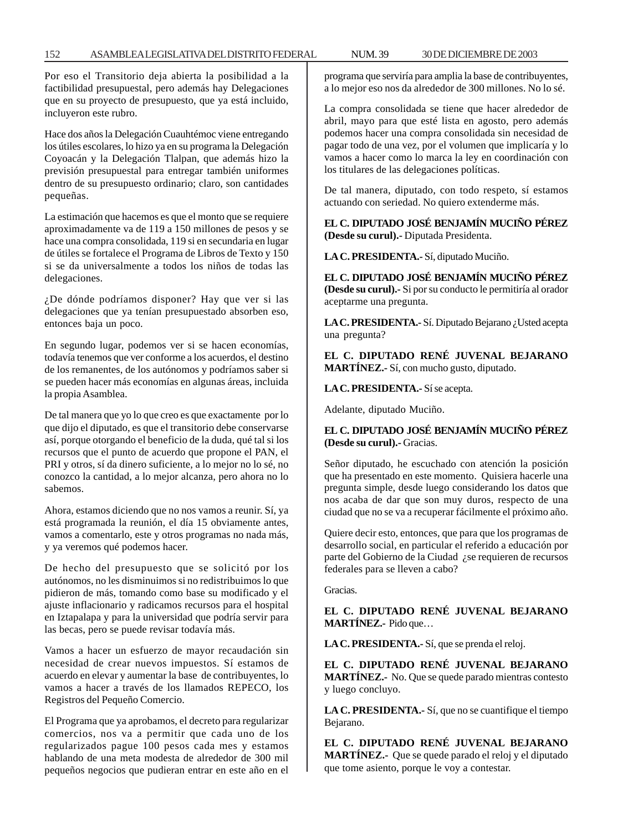Por eso el Transitorio deja abierta la posibilidad a la factibilidad presupuestal, pero además hay Delegaciones que en su proyecto de presupuesto, que ya está incluido, incluyeron este rubro.

Hace dos años la Delegación Cuauhtémoc viene entregando los útiles escolares, lo hizo ya en su programa la Delegación Coyoacán y la Delegación Tlalpan, que además hizo la previsión presupuestal para entregar también uniformes dentro de su presupuesto ordinario; claro, son cantidades pequeñas.

La estimación que hacemos es que el monto que se requiere aproximadamente va de 119 a 150 millones de pesos y se hace una compra consolidada, 119 si en secundaria en lugar de útiles se fortalece el Programa de Libros de Texto y 150 si se da universalmente a todos los niños de todas las delegaciones.

¿De dónde podríamos disponer? Hay que ver si las delegaciones que ya tenían presupuestado absorben eso, entonces baja un poco.

En segundo lugar, podemos ver si se hacen economías, todavía tenemos que ver conforme a los acuerdos, el destino de los remanentes, de los autónomos y podríamos saber si se pueden hacer más economías en algunas áreas, incluida la propia Asamblea.

De tal manera que yo lo que creo es que exactamente por lo que dijo el diputado, es que el transitorio debe conservarse así, porque otorgando el beneficio de la duda, qué tal si los recursos que el punto de acuerdo que propone el PAN, el PRI y otros, sí da dinero suficiente, a lo mejor no lo sé, no conozco la cantidad, a lo mejor alcanza, pero ahora no lo sabemos.

Ahora, estamos diciendo que no nos vamos a reunir. Sí, ya está programada la reunión, el día 15 obviamente antes, vamos a comentarlo, este y otros programas no nada más, y ya veremos qué podemos hacer.

De hecho del presupuesto que se solicitó por los autónomos, no les disminuimos si no redistribuimos lo que pidieron de más, tomando como base su modificado y el ajuste inflacionario y radicamos recursos para el hospital en Iztapalapa y para la universidad que podría servir para las becas, pero se puede revisar todavía más.

Vamos a hacer un esfuerzo de mayor recaudación sin necesidad de crear nuevos impuestos. Sí estamos de acuerdo en elevar y aumentar la base de contribuyentes, lo vamos a hacer a través de los llamados REPECO, los Registros del Pequeño Comercio.

El Programa que ya aprobamos, el decreto para regularizar comercios, nos va a permitir que cada uno de los regularizados pague 100 pesos cada mes y estamos hablando de una meta modesta de alrededor de 300 mil pequeños negocios que pudieran entrar en este año en el programa que serviría para amplia la base de contribuyentes, a lo mejor eso nos da alrededor de 300 millones. No lo sé.

La compra consolidada se tiene que hacer alrededor de abril, mayo para que esté lista en agosto, pero además podemos hacer una compra consolidada sin necesidad de pagar todo de una vez, por el volumen que implicaría y lo vamos a hacer como lo marca la ley en coordinación con los titulares de las delegaciones políticas.

De tal manera, diputado, con todo respeto, sí estamos actuando con seriedad. No quiero extenderme más.

**EL C. DIPUTADO JOSÉ BENJAMÍN MUCIÑO PÉREZ (Desde su curul).-** Diputada Presidenta.

**LA C. PRESIDENTA.-** Sí, diputado Muciño.

**EL C. DIPUTADO JOSÉ BENJAMÍN MUCIÑO PÉREZ (Desde su curul).-** Si por su conducto le permitiría al orador aceptarme una pregunta.

LA C. PRESIDENTA.- Sí. Diputado Bejarano ¿Usted acepta una pregunta?

**EL C. DIPUTADO RENÉ JUVENAL BEJARANO MARTÍNEZ.-** Sí, con mucho gusto, diputado.

**LA C. PRESIDENTA.-** Sí se acepta.

Adelante, diputado Muciño.

# **EL C. DIPUTADO JOSÉ BENJAMÍN MUCIÑO PÉREZ (Desde su curul).-** Gracias.

Señor diputado, he escuchado con atención la posición que ha presentado en este momento. Quisiera hacerle una pregunta simple, desde luego considerando los datos que nos acaba de dar que son muy duros, respecto de una ciudad que no se va a recuperar fácilmente el próximo año.

Quiere decir esto, entonces, que para que los programas de desarrollo social, en particular el referido a educación por parte del Gobierno de la Ciudad ¿se requieren de recursos federales para se lleven a cabo?

Gracias.

**EL C. DIPUTADO RENÉ JUVENAL BEJARANO MARTÍNEZ.-** Pido que…

**LA C. PRESIDENTA.-** Sí, que se prenda el reloj.

**EL C. DIPUTADO RENÉ JUVENAL BEJARANO MARTÍNEZ.-** No. Que se quede parado mientras contesto y luego concluyo.

**LA C. PRESIDENTA.-** Sí, que no se cuantifique el tiempo Bejarano.

**EL C. DIPUTADO RENÉ JUVENAL BEJARANO MARTÍNEZ.-** Que se quede parado el reloj y el diputado que tome asiento, porque le voy a contestar.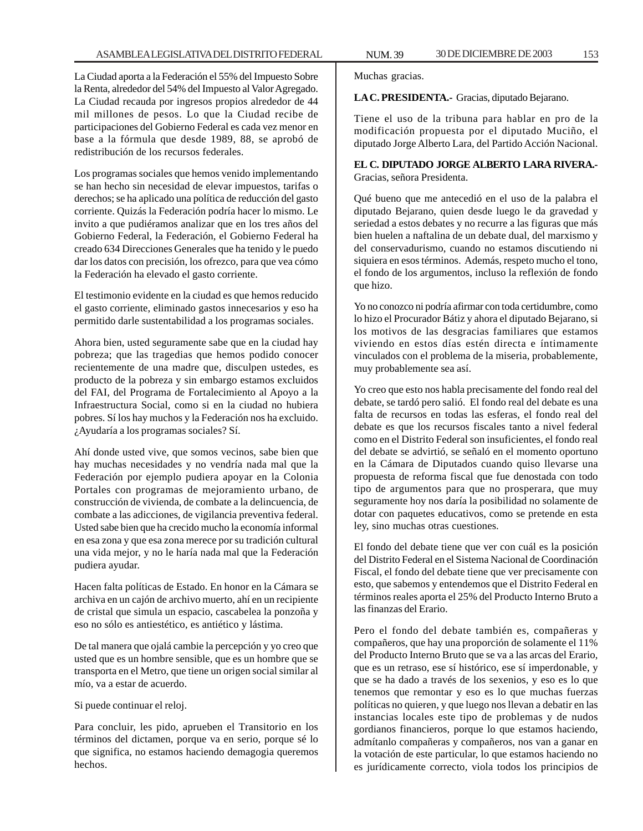La Ciudad aporta a la Federación el 55% del Impuesto Sobre la Renta, alrededor del 54% del Impuesto al Valor Agregado. La Ciudad recauda por ingresos propios alrededor de 44 mil millones de pesos. Lo que la Ciudad recibe de participaciones del Gobierno Federal es cada vez menor en base a la fórmula que desde 1989, 88, se aprobó de redistribución de los recursos federales.

Los programas sociales que hemos venido implementando se han hecho sin necesidad de elevar impuestos, tarifas o derechos; se ha aplicado una política de reducción del gasto corriente. Quizás la Federación podría hacer lo mismo. Le invito a que pudiéramos analizar que en los tres años del Gobierno Federal, la Federación, el Gobierno Federal ha creado 634 Direcciones Generales que ha tenido y le puedo dar los datos con precisión, los ofrezco, para que vea cómo la Federación ha elevado el gasto corriente.

El testimonio evidente en la ciudad es que hemos reducido el gasto corriente, eliminado gastos innecesarios y eso ha permitido darle sustentabilidad a los programas sociales.

Ahora bien, usted seguramente sabe que en la ciudad hay pobreza; que las tragedias que hemos podido conocer recientemente de una madre que, disculpen ustedes, es producto de la pobreza y sin embargo estamos excluidos del FAI, del Programa de Fortalecimiento al Apoyo a la Infraestructura Social, como si en la ciudad no hubiera pobres. Sí los hay muchos y la Federación nos ha excluido. ¿Ayudaría a los programas sociales? Sí.

Ahí donde usted vive, que somos vecinos, sabe bien que hay muchas necesidades y no vendría nada mal que la Federación por ejemplo pudiera apoyar en la Colonia Portales con programas de mejoramiento urbano, de construcción de vivienda, de combate a la delincuencia, de combate a las adicciones, de vigilancia preventiva federal. Usted sabe bien que ha crecido mucho la economía informal en esa zona y que esa zona merece por su tradición cultural una vida mejor, y no le haría nada mal que la Federación pudiera ayudar.

Hacen falta políticas de Estado. En honor en la Cámara se archiva en un cajón de archivo muerto, ahí en un recipiente de cristal que simula un espacio, cascabelea la ponzoña y eso no sólo es antiestético, es antiético y lástima.

De tal manera que ojalá cambie la percepción y yo creo que usted que es un hombre sensible, que es un hombre que se transporta en el Metro, que tiene un origen social similar al mío, va a estar de acuerdo.

Si puede continuar el reloj.

Para concluir, les pido, aprueben el Transitorio en los términos del dictamen, porque va en serio, porque sé lo que significa, no estamos haciendo demagogia queremos hechos.

Muchas gracias.

**LA C. PRESIDENTA.-** Gracias, diputado Bejarano.

Tiene el uso de la tribuna para hablar en pro de la modificación propuesta por el diputado Muciño, el diputado Jorge Alberto Lara, del Partido Acción Nacional.

# **EL C. DIPUTADO JORGE ALBERTO LARA RIVERA.-** Gracias, señora Presidenta.

Qué bueno que me antecedió en el uso de la palabra el diputado Bejarano, quien desde luego le da gravedad y seriedad a estos debates y no recurre a las figuras que más bien huelen a naftalina de un debate dual, del marxismo y del conservadurismo, cuando no estamos discutiendo ni siquiera en esos términos. Además, respeto mucho el tono, el fondo de los argumentos, incluso la reflexión de fondo que hizo.

Yo no conozco ni podría afirmar con toda certidumbre, como lo hizo el Procurador Bátiz y ahora el diputado Bejarano, si los motivos de las desgracias familiares que estamos viviendo en estos días estén directa e íntimamente vinculados con el problema de la miseria, probablemente, muy probablemente sea así.

Yo creo que esto nos habla precisamente del fondo real del debate, se tardó pero salió. El fondo real del debate es una falta de recursos en todas las esferas, el fondo real del debate es que los recursos fiscales tanto a nivel federal como en el Distrito Federal son insuficientes, el fondo real del debate se advirtió, se señaló en el momento oportuno en la Cámara de Diputados cuando quiso llevarse una propuesta de reforma fiscal que fue denostada con todo tipo de argumentos para que no prosperara, que muy seguramente hoy nos daría la posibilidad no solamente de dotar con paquetes educativos, como se pretende en esta ley, sino muchas otras cuestiones.

El fondo del debate tiene que ver con cuál es la posición del Distrito Federal en el Sistema Nacional de Coordinación Fiscal, el fondo del debate tiene que ver precisamente con esto, que sabemos y entendemos que el Distrito Federal en términos reales aporta el 25% del Producto Interno Bruto a las finanzas del Erario.

Pero el fondo del debate también es, compañeras y compañeros, que hay una proporción de solamente el 11% del Producto Interno Bruto que se va a las arcas del Erario, que es un retraso, ese sí histórico, ese sí imperdonable, y que se ha dado a través de los sexenios, y eso es lo que tenemos que remontar y eso es lo que muchas fuerzas políticas no quieren, y que luego nos llevan a debatir en las instancias locales este tipo de problemas y de nudos gordianos financieros, porque lo que estamos haciendo, admítanlo compañeras y compañeros, nos van a ganar en la votación de este particular, lo que estamos haciendo no es jurídicamente correcto, viola todos los principios de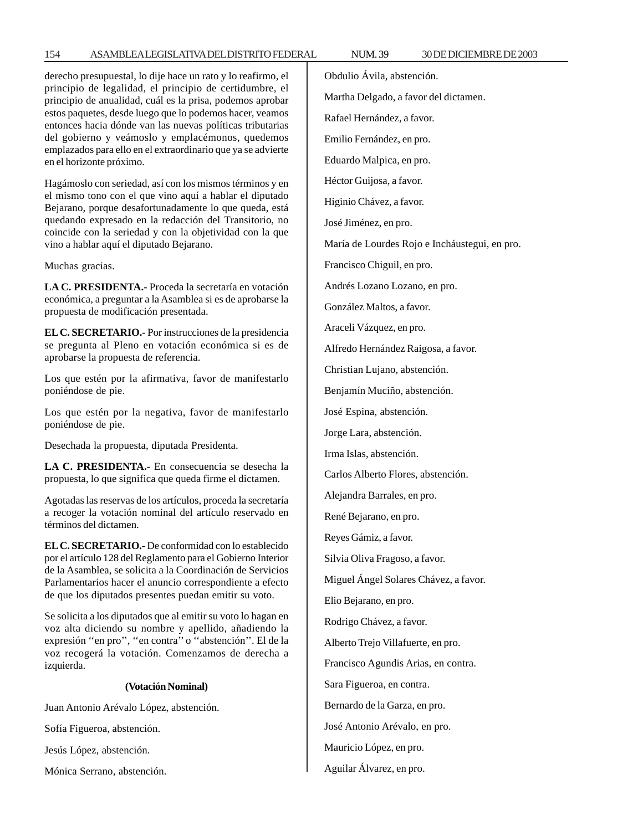# 154 ASAMBLEA LEGISLATIVA DEL DISTRITO FEDERAL NUM. 39 30 DE DICIEMBRE DE 2003

derecho presupuestal, lo dije hace un rato y lo reafirmo, el principio de legalidad, el principio de certidumbre, el principio de anualidad, cuál es la prisa, podemos aprobar estos paquetes, desde luego que lo podemos hacer, veamos entonces hacia dónde van las nuevas políticas tributarias del gobierno y veámoslo y emplacémonos, quedemos emplazados para ello en el extraordinario que ya se advierte en el horizonte próximo.

Hagámoslo con seriedad, así con los mismos términos y en el mismo tono con el que vino aquí a hablar el diputado Bejarano, porque desafortunadamente lo que queda, está quedando expresado en la redacción del Transitorio, no coincide con la seriedad y con la objetividad con la que vino a hablar aquí el diputado Bejarano.

Muchas gracias.

**LA C. PRESIDENTA.-** Proceda la secretaría en votación económica, a preguntar a la Asamblea si es de aprobarse la propuesta de modificación presentada.

**EL C. SECRETARIO.-** Por instrucciones de la presidencia se pregunta al Pleno en votación económica si es de aprobarse la propuesta de referencia.

Los que estén por la afirmativa, favor de manifestarlo poniéndose de pie.

Los que estén por la negativa, favor de manifestarlo poniéndose de pie.

Desechada la propuesta, diputada Presidenta.

**LA C. PRESIDENTA.-** En consecuencia se desecha la propuesta, lo que significa que queda firme el dictamen.

Agotadas las reservas de los artículos, proceda la secretaría a recoger la votación nominal del artículo reservado en términos del dictamen.

**EL C. SECRETARIO.-** De conformidad con lo establecido por el artículo 128 del Reglamento para el Gobierno Interior de la Asamblea, se solicita a la Coordinación de Servicios Parlamentarios hacer el anuncio correspondiente a efecto de que los diputados presentes puedan emitir su voto.

Se solicita a los diputados que al emitir su voto lo hagan en voz alta diciendo su nombre y apellido, añadiendo la expresión ''en pro'', ''en contra'' o ''abstención''. El de la voz recogerá la votación. Comenzamos de derecha a izquierda.

#### **(Votación Nominal)**

Juan Antonio Arévalo López, abstención.

Sofía Figueroa, abstención.

Jesús López, abstención.

Mónica Serrano, abstención.

Obdulio Ávila, abstención.

Martha Delgado, a favor del dictamen.

Rafael Hernández, a favor.

Emilio Fernández, en pro.

Eduardo Malpica, en pro.

Héctor Guijosa, a favor.

Higinio Chávez, a favor.

José Jiménez, en pro.

María de Lourdes Rojo e Incháustegui, en pro.

Francisco Chiguil, en pro.

Andrés Lozano Lozano, en pro.

González Maltos, a favor.

Araceli Vázquez, en pro.

Alfredo Hernández Raigosa, a favor.

Christian Lujano, abstención.

Benjamín Muciño, abstención.

José Espina, abstención.

Jorge Lara, abstención.

Irma Islas, abstención.

Carlos Alberto Flores, abstención.

Alejandra Barrales, en pro.

René Bejarano, en pro.

Reyes Gámiz, a favor.

Silvia Oliva Fragoso, a favor.

Miguel Ángel Solares Chávez, a favor.

Elio Bejarano, en pro.

Rodrigo Chávez, a favor.

Alberto Trejo Villafuerte, en pro.

Francisco Agundis Arias, en contra.

Sara Figueroa, en contra.

Bernardo de la Garza, en pro.

José Antonio Arévalo, en pro.

Mauricio López, en pro.

Aguilar Álvarez, en pro.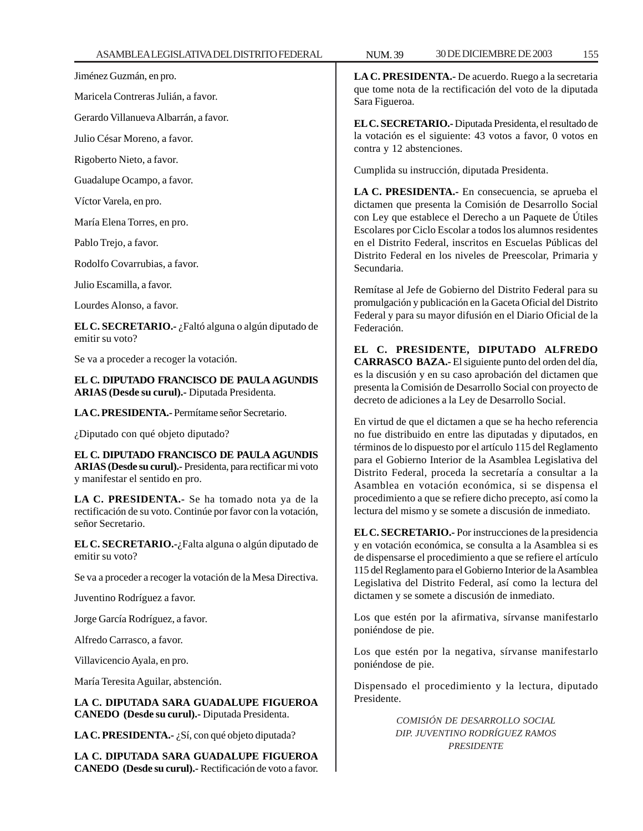Jiménez Guzmán, en pro.

Maricela Contreras Julián, a favor.

Gerardo Villanueva Albarrán, a favor.

Julio César Moreno, a favor.

Rigoberto Nieto, a favor.

Guadalupe Ocampo, a favor.

Víctor Varela, en pro.

María Elena Torres, en pro.

Pablo Trejo, a favor.

Rodolfo Covarrubias, a favor.

Julio Escamilla, a favor.

Lourdes Alonso, a favor.

**EL C. SECRETARIO.-** ¿Faltó alguna o algún diputado de emitir su voto?

Se va a proceder a recoger la votación.

**EL C. DIPUTADO FRANCISCO DE PAULA AGUNDIS ARIAS (Desde su curul).-** Diputada Presidenta.

**LA C. PRESIDENTA.-** Permítame señor Secretario.

¿Diputado con qué objeto diputado?

**EL C. DIPUTADO FRANCISCO DE PAULA AGUNDIS ARIAS (Desde su curul).-** Presidenta, para rectificar mi voto y manifestar el sentido en pro.

**LA C. PRESIDENTA.-** Se ha tomado nota ya de la rectificación de su voto. Continúe por favor con la votación, señor Secretario.

**EL C. SECRETARIO.-**¿Falta alguna o algún diputado de emitir su voto?

Se va a proceder a recoger la votación de la Mesa Directiva.

Juventino Rodríguez a favor.

Jorge García Rodríguez, a favor.

Alfredo Carrasco, a favor.

Villavicencio Ayala, en pro.

María Teresita Aguilar, abstención.

**LA C. DIPUTADA SARA GUADALUPE FIGUEROA CANEDO (Desde su curul).-** Diputada Presidenta.

**LA C. PRESIDENTA.-** ¿Sí, con qué objeto diputada?

**LA C. DIPUTADA SARA GUADALUPE FIGUEROA CANEDO (Desde su curul).-** Rectificación de voto a favor. **LA C. PRESIDENTA.-** De acuerdo. Ruego a la secretaria que tome nota de la rectificación del voto de la diputada Sara Figueroa.

**EL C. SECRETARIO.-** Diputada Presidenta, el resultado de la votación es el siguiente: 43 votos a favor, 0 votos en contra y 12 abstenciones.

Cumplida su instrucción, diputada Presidenta.

**LA C. PRESIDENTA.-** En consecuencia, se aprueba el dictamen que presenta la Comisión de Desarrollo Social con Ley que establece el Derecho a un Paquete de Útiles Escolares por Ciclo Escolar a todos los alumnos residentes en el Distrito Federal, inscritos en Escuelas Públicas del Distrito Federal en los niveles de Preescolar, Primaria y Secundaria.

Remítase al Jefe de Gobierno del Distrito Federal para su promulgación y publicación en la Gaceta Oficial del Distrito Federal y para su mayor difusión en el Diario Oficial de la Federación.

**EL C. PRESIDENTE, DIPUTADO ALFREDO CARRASCO BAZA.-** El siguiente punto del orden del día, es la discusión y en su caso aprobación del dictamen que presenta la Comisión de Desarrollo Social con proyecto de decreto de adiciones a la Ley de Desarrollo Social.

En virtud de que el dictamen a que se ha hecho referencia no fue distribuido en entre las diputadas y diputados, en términos de lo dispuesto por el artículo 115 del Reglamento para el Gobierno Interior de la Asamblea Legislativa del Distrito Federal, proceda la secretaría a consultar a la Asamblea en votación económica, si se dispensa el procedimiento a que se refiere dicho precepto, así como la lectura del mismo y se somete a discusión de inmediato.

**EL C. SECRETARIO.-** Por instrucciones de la presidencia y en votación económica, se consulta a la Asamblea si es de dispensarse el procedimiento a que se refiere el artículo 115 del Reglamento para el Gobierno Interior de la Asamblea Legislativa del Distrito Federal, así como la lectura del dictamen y se somete a discusión de inmediato.

Los que estén por la afirmativa, sírvanse manifestarlo poniéndose de pie.

Los que estén por la negativa, sírvanse manifestarlo poniéndose de pie.

Dispensado el procedimiento y la lectura, diputado Presidente.

> *COMISIÓN DE DESARROLLO SOCIAL DIP. JUVENTINO RODRÍGUEZ RAMOS PRESIDENTE*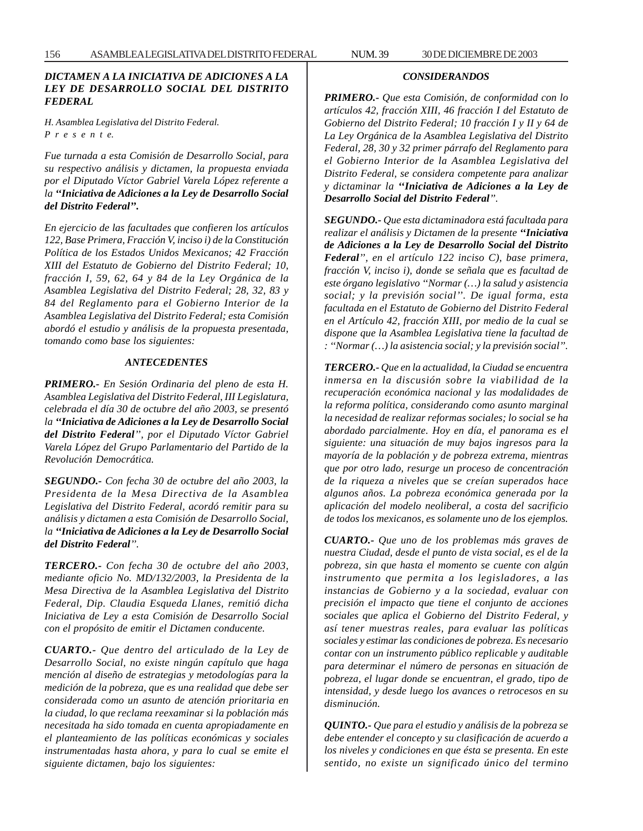# *DICTAMEN A LA INICIATIVA DE ADICIONES A LA LEY DE DESARROLLO SOCIAL DEL DISTRITO FEDERAL*

*H. Asamblea Legislativa del Distrito Federal. P r e s e n t e.*

*Fue turnada a esta Comisión de Desarrollo Social, para su respectivo análisis y dictamen, la propuesta enviada por el Diputado Víctor Gabriel Varela López referente a la ''Iniciativa de Adiciones a la Ley de Desarrollo Social del Distrito Federal''.*

*En ejercicio de las facultades que confieren los artículos 122, Base Primera, Fracción V, inciso i) de la Constitución Política de los Estados Unidos Mexicanos; 42 Fracción XIII del Estatuto de Gobierno del Distrito Federal; 10, fracción I, 59, 62, 64 y 84 de la Ley Orgánica de la Asamblea Legislativa del Distrito Federal; 28, 32, 83 y 84 del Reglamento para el Gobierno Interior de la Asamblea Legislativa del Distrito Federal; esta Comisión abordó el estudio y análisis de la propuesta presentada, tomando como base los siguientes:*

#### *ANTECEDENTES*

*PRIMERO.- En Sesión Ordinaria del pleno de esta H. Asamblea Legislativa del Distrito Federal, III Legislatura, celebrada el día 30 de octubre del año 2003, se presentó la ''Iniciativa de Adiciones a la Ley de Desarrollo Social del Distrito Federal'', por el Diputado Víctor Gabriel Varela López del Grupo Parlamentario del Partido de la Revolución Democrática.*

*SEGUNDO.- Con fecha 30 de octubre del año 2003, la Presidenta de la Mesa Directiva de la Asamblea Legislativa del Distrito Federal, acordó remitir para su análisis y dictamen a esta Comisión de Desarrollo Social, la ''Iniciativa de Adiciones a la Ley de Desarrollo Social del Distrito Federal''.*

*TERCERO.- Con fecha 30 de octubre del año 2003, mediante oficio No. MD/132/2003, la Presidenta de la Mesa Directiva de la Asamblea Legislativa del Distrito Federal, Dip. Claudia Esqueda Llanes, remitió dicha Iniciativa de Ley a esta Comisión de Desarrollo Social con el propósito de emitir el Dictamen conducente.*

*CUARTO.- Que dentro del articulado de la Ley de Desarrollo Social, no existe ningún capítulo que haga mención al diseño de estrategias y metodologías para la medición de la pobreza, que es una realidad que debe ser considerada como un asunto de atención prioritaria en la ciudad, lo que reclama reexaminar si la población más necesitada ha sido tomada en cuenta apropiadamente en el planteamiento de las políticas económicas y sociales instrumentadas hasta ahora, y para lo cual se emite el siguiente dictamen, bajo los siguientes:*

#### *CONSIDERANDOS*

*PRIMERO.- Que esta Comisión, de conformidad con lo artículos 42, fracción XIII, 46 fracción I del Estatuto de Gobierno del Distrito Federal; 10 fracción I y II y 64 de La Ley Orgánica de la Asamblea Legislativa del Distrito Federal, 28, 30 y 32 primer párrafo del Reglamento para el Gobierno Interior de la Asamblea Legislativa del Distrito Federal, se considera competente para analizar y dictaminar la ''Iniciativa de Adiciones a la Ley de Desarrollo Social del Distrito Federal''.*

*SEGUNDO.- Que esta dictaminadora está facultada para realizar el análisis y Dictamen de la presente ''Iniciativa de Adiciones a la Ley de Desarrollo Social del Distrito Federal'', en el artículo 122 inciso C), base primera, fracción V, inciso i), donde se señala que es facultad de este órgano legislativo ''Normar (…) la salud y asistencia social; y la previsión social''. De igual forma, esta facultada en el Estatuto de Gobierno del Distrito Federal en el Artículo 42, fracción XIII, por medio de la cual se dispone que la Asamblea Legislativa tiene la facultad de : ''Normar (…) la asistencia social; y la previsión social''.*

*TERCERO.- Que en la actualidad, la Ciudad se encuentra inmersa en la discusión sobre la viabilidad de la recuperación económica nacional y las modalidades de la reforma política, considerando como asunto marginal la necesidad de realizar reformas sociales; lo social se ha abordado parcialmente. Hoy en día, el panorama es el siguiente: una situación de muy bajos ingresos para la mayoría de la población y de pobreza extrema, mientras que por otro lado, resurge un proceso de concentración de la riqueza a niveles que se creían superados hace algunos años. La pobreza económica generada por la aplicación del modelo neoliberal, a costa del sacrificio de todos los mexicanos, es solamente uno de los ejemplos.*

*CUARTO.- Que uno de los problemas más graves de nuestra Ciudad, desde el punto de vista social, es el de la pobreza, sin que hasta el momento se cuente con algún instrumento que permita a los legisladores, a las instancias de Gobierno y a la sociedad, evaluar con precisión el impacto que tiene el conjunto de acciones sociales que aplica el Gobierno del Distrito Federal, y así tener muestras reales, para evaluar las políticas sociales y estimar las condiciones de pobreza. Es necesario contar con un instrumento público replicable y auditable para determinar el número de personas en situación de pobreza, el lugar donde se encuentran, el grado, tipo de intensidad, y desde luego los avances o retrocesos en su disminución.*

*QUINTO.- Que para el estudio y análisis de la pobreza se debe entender el concepto y su clasificación de acuerdo a los niveles y condiciones en que ésta se presenta. En este sentido, no existe un significado único del termino*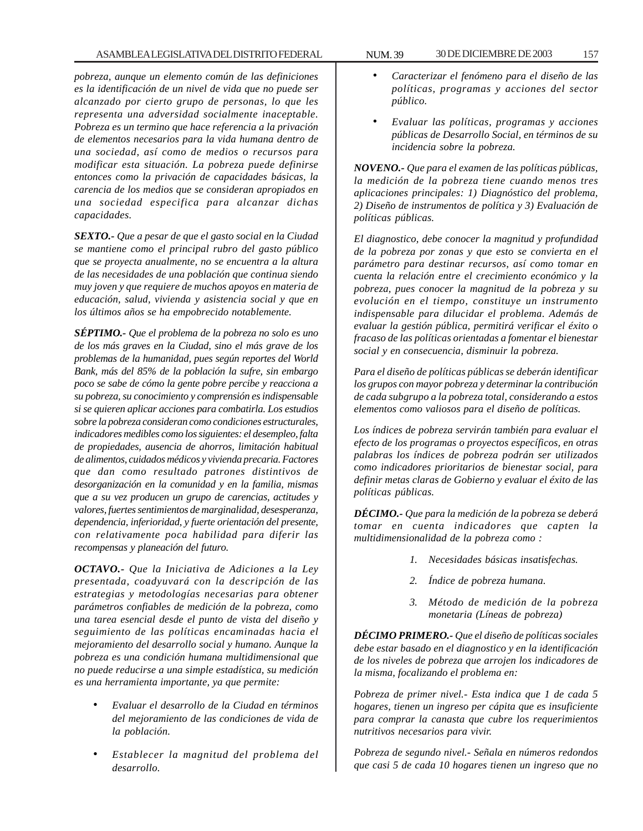*pobreza, aunque un elemento común de las definiciones es la identificación de un nivel de vida que no puede ser alcanzado por cierto grupo de personas, lo que les representa una adversidad socialmente inaceptable. Pobreza es un termino que hace referencia a la privación de elementos necesarios para la vida humana dentro de una sociedad, así como de medios o recursos para modificar esta situación. La pobreza puede definirse entonces como la privación de capacidades básicas, la carencia de los medios que se consideran apropiados en una sociedad especifica para alcanzar dichas capacidades.*

*SEXTO.- Que a pesar de que el gasto social en la Ciudad se mantiene como el principal rubro del gasto público que se proyecta anualmente, no se encuentra a la altura de las necesidades de una población que continua siendo muy joven y que requiere de muchos apoyos en materia de educación, salud, vivienda y asistencia social y que en los últimos años se ha empobrecido notablemente.*

*SÉPTIMO.- Que el problema de la pobreza no solo es uno de los más graves en la Ciudad, sino el más grave de los problemas de la humanidad, pues según reportes del World Bank, más del 85% de la población la sufre, sin embargo poco se sabe de cómo la gente pobre percibe y reacciona a su pobreza, su conocimiento y comprensión es indispensable si se quieren aplicar acciones para combatirla. Los estudios sobre la pobreza consideran como condiciones estructurales, indicadores medibles como los siguientes: el desempleo, falta de propiedades, ausencia de ahorros, limitación habitual de alimentos, cuidados médicos y vivienda precaria. Factores que dan como resultado patrones distintivos de desorganización en la comunidad y en la familia, mismas que a su vez producen un grupo de carencias, actitudes y valores, fuertes sentimientos de marginalidad, desesperanza, dependencia, inferioridad, y fuerte orientación del presente, con relativamente poca habilidad para diferir las recompensas y planeación del futuro.*

*OCTAVO.- Que la Iniciativa de Adiciones a la Ley presentada, coadyuvará con la descripción de las estrategias y metodologías necesarias para obtener parámetros confiables de medición de la pobreza, como una tarea esencial desde el punto de vista del diseño y seguimiento de las políticas encaminadas hacia el mejoramiento del desarrollo social y humano. Aunque la pobreza es una condición humana multidimensional que no puede reducirse a una simple estadística, su medición es una herramienta importante, ya que permite:*

- *Evaluar el desarrollo de la Ciudad en términos del mejoramiento de las condiciones de vida de la población.*
- *Establecer la magnitud del problema del desarrollo.*
- *Caracterizar el fenómeno para el diseño de las políticas, programas y acciones del sector público.*
- *Evaluar las políticas, programas y acciones públicas de Desarrollo Social, en términos de su incidencia sobre la pobreza.*

*NOVENO.- Que para el examen de las políticas públicas, la medición de la pobreza tiene cuando menos tres aplicaciones principales: 1) Diagnóstico del problema, 2) Diseño de instrumentos de política y 3) Evaluación de políticas públicas.*

*El diagnostico, debe conocer la magnitud y profundidad de la pobreza por zonas y que esto se convierta en el parámetro para destinar recursos, así como tomar en cuenta la relación entre el crecimiento económico y la pobreza, pues conocer la magnitud de la pobreza y su evolución en el tiempo, constituye un instrumento indispensable para dilucidar el problema. Además de evaluar la gestión pública, permitirá verificar el éxito o fracaso de las políticas orientadas a fomentar el bienestar social y en consecuencia, disminuir la pobreza.*

*Para el diseño de políticas públicas se deberán identificar los grupos con mayor pobreza y determinar la contribución de cada subgrupo a la pobreza total, considerando a estos elementos como valiosos para el diseño de políticas.*

*Los índices de pobreza servirán también para evaluar el efecto de los programas o proyectos específicos, en otras palabras los índices de pobreza podrán ser utilizados como indicadores prioritarios de bienestar social, para definir metas claras de Gobierno y evaluar el éxito de las políticas públicas.*

*DÉCIMO.- Que para la medición de la pobreza se deberá tomar en cuenta indicadores que capten la multidimensionalidad de la pobreza como :*

- *1. Necesidades básicas insatisfechas.*
- *2. Índice de pobreza humana.*
- *3. Método de medición de la pobreza monetaria (Líneas de pobreza)*

*DÉCIMO PRIMERO.- Que el diseño de políticas sociales debe estar basado en el diagnostico y en la identificación de los niveles de pobreza que arrojen los indicadores de la misma, focalizando el problema en:*

*Pobreza de primer nivel.- Esta indica que 1 de cada 5 hogares, tienen un ingreso per cápita que es insuficiente para comprar la canasta que cubre los requerimientos nutritivos necesarios para vivir.*

*Pobreza de segundo nivel.- Señala en números redondos que casi 5 de cada 10 hogares tienen un ingreso que no*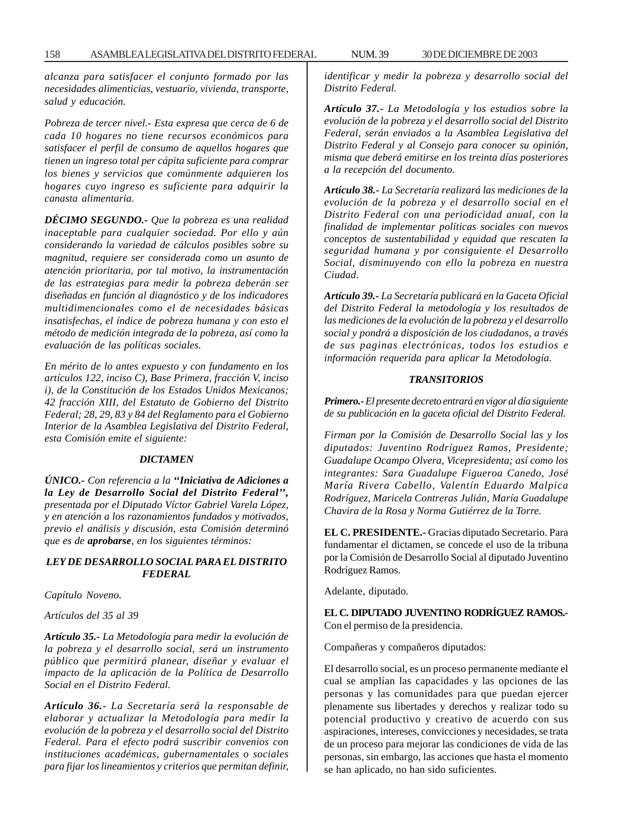*alcanza para satisfacer el conjunto formado por las necesidades alimenticias, vestuario, vivienda, transporte, salud y educación.*

*Pobreza de tercer nivel.- Esta expresa que cerca de 6 de cada 10 hogares no tiene recursos económicos para satisfacer el perfil de consumo de aquellos hogares que tienen un ingreso total per cápita suficiente para comprar los bienes y servicios que comúnmente adquieren los hogares cuyo ingreso es suficiente para adquirir la canasta alimentaria.*

*DÉCIMO SEGUNDO.- Que la pobreza es una realidad inaceptable para cualquier sociedad. Por ello y aún considerando la variedad de cálculos posibles sobre su magnitud, requiere ser considerada como un asunto de atención prioritaria, por tal motivo, la instrumentación de las estrategias para medir la pobreza deberán ser diseñadas en función al diagnóstico y de los indicadores multidimencionales como el de necesidades básicas insatisfechas, el índice de pobreza humana y con esto el método de medición integrada de la pobreza, así como la evaluación de las políticas sociales.*

*En mérito de lo antes expuesto y con fundamento en los artículos 122, inciso C), Base Primera, fracción V, inciso i), de la Constitución de los Estados Unidos Mexicanos; 42 fracción XIII, del Estatuto de Gobierno del Distrito Federal; 28, 29, 83 y 84 del Reglamento para el Gobierno Interior de la Asamblea Legislativa del Distrito Federal, esta Comisión emite el siguiente:*

#### *DICTAMEN*

*ÚNICO.- Con referencia a la ''Iniciativa de Adiciones a la Ley de Desarrollo Social del Distrito Federal'', presentada por el Diputado Víctor Gabriel Varela López, y en atención a los razonamientos fundados y motivados, previo el análisis y discusión, esta Comisión determinó que es de aprobarse, en los siguientes términos:*

## *LEY DE DESARROLLO SOCIAL PARA EL DISTRITO FEDERAL*

*Capítulo Noveno.*

*Artículos del 35 al 39*

*Artículo 35.- La Metodología para medir la evolución de la pobreza y el desarrollo social, será un instrumento público que permitirá planear, diseñar y evaluar el impacto de la aplicación de la Política de Desarrollo Social en el Distrito Federal.*

*Artículo 36.- La Secretaría será la responsable de elaborar y actualizar la Metodología para medir la evolución de la pobreza y el desarrollo social del Distrito Federal. Para el efecto podrá suscribir convenios con instituciones académicas, gubernamentales o sociales para fijar los lineamientos y criterios que permitan definir,* *identificar y medir la pobreza y desarrollo social del Distrito Federal.*

*Artículo 37.- La Metodología y los estudios sobre la evolución de la pobreza y el desarrollo social del Distrito Federal, serán enviados a la Asamblea Legislativa del Distrito Federal y al Consejo para conocer su opinión, misma que deberá emitirse en los treinta días posteriores a la recepción del documento.*

*Artículo 38.- La Secretaría realizará las mediciones de la evolución de la pobreza y el desarrollo social en el Distrito Federal con una periodicidad anual, con la finalidad de implementar políticas sociales con nuevos conceptos de sustentabilidad y equidad que rescaten la seguridad humana y por consiguiente el Desarrollo Social, disminuyendo con ello la pobreza en nuestra Ciudad.*

*Artículo 39.- La Secretaría publicará en la Gaceta Oficial del Distrito Federal la metodología y los resultados de las mediciones de la evolución de la pobreza y el desarrollo social y pondrá a disposición de los ciudadanos, a través de sus paginas electrónicas, todos los estudios e información requerida para aplicar la Metodología.*

### *TRANSITORIOS*

*Primero.- El presente decreto entrará en vigor al día siguiente de su publicación en la gaceta oficial del Distrito Federal.*

*Firman por la Comisión de Desarrollo Social las y los diputados: Juventino Rodríguez Ramos, Presidente; Guadalupe Ocampo Olvera, Vicepresidenta; así como los integrantes: Sara Guadalupe Figueroa Canedo, José María Rivera Cabello, Valentín Eduardo Malpica Rodríguez, Maricela Contreras Julián, María Guadalupe Chavira de la Rosa y Norma Gutiérrez de la Torre.*

**EL C. PRESIDENTE.-** Gracias diputado Secretario. Para fundamentar el dictamen, se concede el uso de la tribuna por la Comisión de Desarrollo Social al diputado Juventino Rodríguez Ramos.

Adelante, diputado.

**EL C. DIPUTADO JUVENTINO RODRÍGUEZ RAMOS.-** Con el permiso de la presidencia.

Compañeras y compañeros diputados:

El desarrollo social, es un proceso permanente mediante el cual se amplían las capacidades y las opciones de las personas y las comunidades para que puedan ejercer plenamente sus libertades y derechos y realizar todo su potencial productivo y creativo de acuerdo con sus aspiraciones, intereses, convicciones y necesidades, se trata de un proceso para mejorar las condiciones de vida de las personas, sin embargo, las acciones que hasta el momento se han aplicado, no han sido suficientes.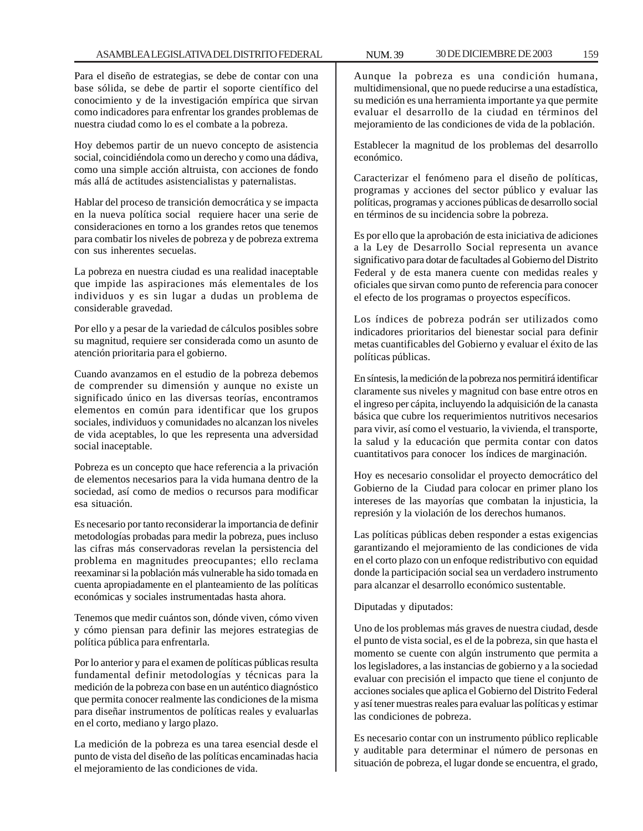Para el diseño de estrategias, se debe de contar con una base sólida, se debe de partir el soporte científico del conocimiento y de la investigación empírica que sirvan como indicadores para enfrentar los grandes problemas de nuestra ciudad como lo es el combate a la pobreza.

Hoy debemos partir de un nuevo concepto de asistencia social, coincidiéndola como un derecho y como una dádiva, como una simple acción altruista, con acciones de fondo más allá de actitudes asistencialistas y paternalistas.

Hablar del proceso de transición democrática y se impacta en la nueva política social requiere hacer una serie de consideraciones en torno a los grandes retos que tenemos para combatir los niveles de pobreza y de pobreza extrema con sus inherentes secuelas.

La pobreza en nuestra ciudad es una realidad inaceptable que impide las aspiraciones más elementales de los individuos y es sin lugar a dudas un problema de considerable gravedad.

Por ello y a pesar de la variedad de cálculos posibles sobre su magnitud, requiere ser considerada como un asunto de atención prioritaria para el gobierno.

Cuando avanzamos en el estudio de la pobreza debemos de comprender su dimensión y aunque no existe un significado único en las diversas teorías, encontramos elementos en común para identificar que los grupos sociales, individuos y comunidades no alcanzan los niveles de vida aceptables, lo que les representa una adversidad social inaceptable.

Pobreza es un concepto que hace referencia a la privación de elementos necesarios para la vida humana dentro de la sociedad, así como de medios o recursos para modificar esa situación.

Es necesario por tanto reconsiderar la importancia de definir metodologías probadas para medir la pobreza, pues incluso las cifras más conservadoras revelan la persistencia del problema en magnitudes preocupantes; ello reclama reexaminar si la población más vulnerable ha sido tomada en cuenta apropiadamente en el planteamiento de las políticas económicas y sociales instrumentadas hasta ahora.

Tenemos que medir cuántos son, dónde viven, cómo viven y cómo piensan para definir las mejores estrategias de política pública para enfrentarla.

Por lo anterior y para el examen de políticas públicas resulta fundamental definir metodologías y técnicas para la medición de la pobreza con base en un auténtico diagnóstico que permita conocer realmente las condiciones de la misma para diseñar instrumentos de políticas reales y evaluarlas en el corto, mediano y largo plazo.

La medición de la pobreza es una tarea esencial desde el punto de vista del diseño de las políticas encaminadas hacia el mejoramiento de las condiciones de vida.

Aunque la pobreza es una condición humana, multidimensional, que no puede reducirse a una estadística, su medición es una herramienta importante ya que permite evaluar el desarrollo de la ciudad en términos del mejoramiento de las condiciones de vida de la población.

Establecer la magnitud de los problemas del desarrollo económico.

Caracterizar el fenómeno para el diseño de políticas, programas y acciones del sector público y evaluar las políticas, programas y acciones públicas de desarrollo social en términos de su incidencia sobre la pobreza.

Es por ello que la aprobación de esta iniciativa de adiciones a la Ley de Desarrollo Social representa un avance significativo para dotar de facultades al Gobierno del Distrito Federal y de esta manera cuente con medidas reales y oficiales que sirvan como punto de referencia para conocer el efecto de los programas o proyectos específicos.

Los índices de pobreza podrán ser utilizados como indicadores prioritarios del bienestar social para definir metas cuantificables del Gobierno y evaluar el éxito de las políticas públicas.

En síntesis, la medición de la pobreza nos permitirá identificar claramente sus niveles y magnitud con base entre otros en el ingreso per cápita, incluyendo la adquisición de la canasta básica que cubre los requerimientos nutritivos necesarios para vivir, así como el vestuario, la vivienda, el transporte, la salud y la educación que permita contar con datos cuantitativos para conocer los índices de marginación.

Hoy es necesario consolidar el proyecto democrático del Gobierno de la Ciudad para colocar en primer plano los intereses de las mayorías que combatan la injusticia, la represión y la violación de los derechos humanos.

Las políticas públicas deben responder a estas exigencias garantizando el mejoramiento de las condiciones de vida en el corto plazo con un enfoque redistributivo con equidad donde la participación social sea un verdadero instrumento para alcanzar el desarrollo económico sustentable.

Diputadas y diputados:

Uno de los problemas más graves de nuestra ciudad, desde el punto de vista social, es el de la pobreza, sin que hasta el momento se cuente con algún instrumento que permita a los legisladores, a las instancias de gobierno y a la sociedad evaluar con precisión el impacto que tiene el conjunto de acciones sociales que aplica el Gobierno del Distrito Federal y así tener muestras reales para evaluar las políticas y estimar las condiciones de pobreza.

Es necesario contar con un instrumento público replicable y auditable para determinar el número de personas en situación de pobreza, el lugar donde se encuentra, el grado,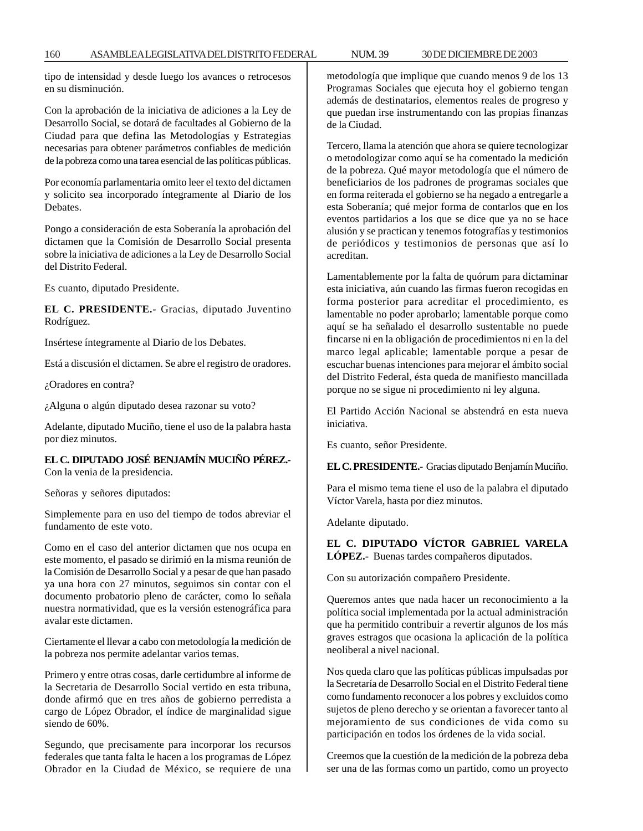tipo de intensidad y desde luego los avances o retrocesos en su disminución.

Con la aprobación de la iniciativa de adiciones a la Ley de Desarrollo Social, se dotará de facultades al Gobierno de la Ciudad para que defina las Metodologías y Estrategias necesarias para obtener parámetros confiables de medición de la pobreza como una tarea esencial de las políticas públicas.

Por economía parlamentaria omito leer el texto del dictamen y solicito sea incorporado íntegramente al Diario de los Debates.

Pongo a consideración de esta Soberanía la aprobación del dictamen que la Comisión de Desarrollo Social presenta sobre la iniciativa de adiciones a la Ley de Desarrollo Social del Distrito Federal.

Es cuanto, diputado Presidente.

**EL C. PRESIDENTE.-** Gracias, diputado Juventino Rodríguez.

Insértese íntegramente al Diario de los Debates.

Está a discusión el dictamen. Se abre el registro de oradores.

¿Oradores en contra?

¿Alguna o algún diputado desea razonar su voto?

Adelante, diputado Muciño, tiene el uso de la palabra hasta por diez minutos.

# **EL C. DIPUTADO JOSÉ BENJAMÍN MUCIÑO PÉREZ.-** Con la venia de la presidencia.

Señoras y señores diputados:

Simplemente para en uso del tiempo de todos abreviar el fundamento de este voto.

Como en el caso del anterior dictamen que nos ocupa en este momento, el pasado se dirimió en la misma reunión de la Comisión de Desarrollo Social y a pesar de que han pasado ya una hora con 27 minutos, seguimos sin contar con el documento probatorio pleno de carácter, como lo señala nuestra normatividad, que es la versión estenográfica para avalar este dictamen.

Ciertamente el llevar a cabo con metodología la medición de la pobreza nos permite adelantar varios temas.

Primero y entre otras cosas, darle certidumbre al informe de la Secretaria de Desarrollo Social vertido en esta tribuna, donde afirmó que en tres años de gobierno perredista a cargo de López Obrador, el índice de marginalidad sigue siendo de 60%.

Segundo, que precisamente para incorporar los recursos federales que tanta falta le hacen a los programas de López Obrador en la Ciudad de México, se requiere de una

metodología que implique que cuando menos 9 de los 13 Programas Sociales que ejecuta hoy el gobierno tengan además de destinatarios, elementos reales de progreso y que puedan irse instrumentando con las propias finanzas de la Ciudad.

Tercero, llama la atención que ahora se quiere tecnologizar o metodologizar como aquí se ha comentado la medición de la pobreza. Qué mayor metodología que el número de beneficiarios de los padrones de programas sociales que en forma reiterada el gobierno se ha negado a entregarle a esta Soberanía; qué mejor forma de contarlos que en los eventos partidarios a los que se dice que ya no se hace alusión y se practican y tenemos fotografías y testimonios de periódicos y testimonios de personas que así lo acreditan.

Lamentablemente por la falta de quórum para dictaminar esta iniciativa, aún cuando las firmas fueron recogidas en forma posterior para acreditar el procedimiento, es lamentable no poder aprobarlo; lamentable porque como aquí se ha señalado el desarrollo sustentable no puede fincarse ni en la obligación de procedimientos ni en la del marco legal aplicable; lamentable porque a pesar de escuchar buenas intenciones para mejorar el ámbito social del Distrito Federal, ésta queda de manifiesto mancillada porque no se sigue ni procedimiento ni ley alguna.

El Partido Acción Nacional se abstendrá en esta nueva iniciativa.

Es cuanto, señor Presidente.

**EL C. PRESIDENTE.-** Gracias diputado Benjamín Muciño.

Para el mismo tema tiene el uso de la palabra el diputado Víctor Varela, hasta por diez minutos.

Adelante diputado.

**EL C. DIPUTADO VÍCTOR GABRIEL VARELA LÓPEZ.-** Buenas tardes compañeros diputados.

Con su autorización compañero Presidente.

Queremos antes que nada hacer un reconocimiento a la política social implementada por la actual administración que ha permitido contribuir a revertir algunos de los más graves estragos que ocasiona la aplicación de la política neoliberal a nivel nacional.

Nos queda claro que las políticas públicas impulsadas por la Secretaría de Desarrollo Social en el Distrito Federal tiene como fundamento reconocer a los pobres y excluidos como sujetos de pleno derecho y se orientan a favorecer tanto al mejoramiento de sus condiciones de vida como su participación en todos los órdenes de la vida social.

Creemos que la cuestión de la medición de la pobreza deba ser una de las formas como un partido, como un proyecto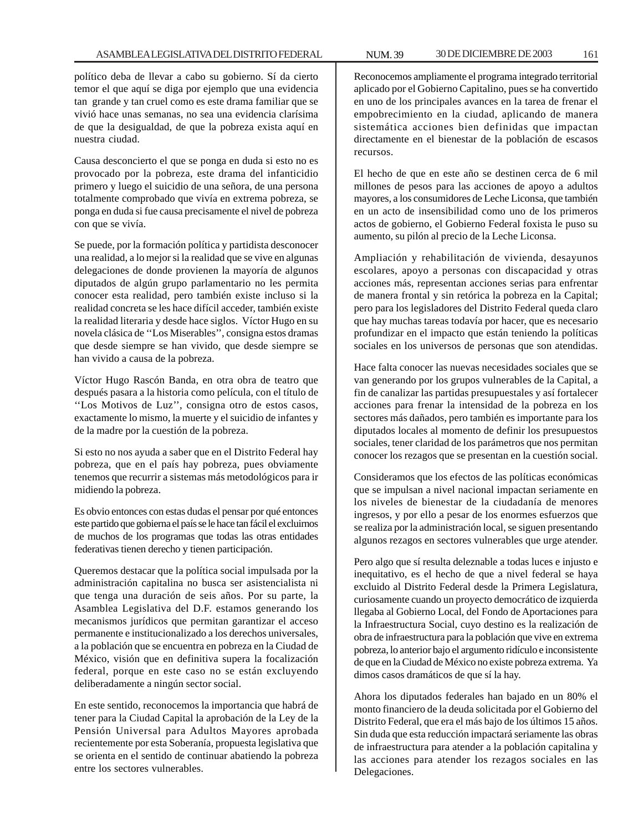político deba de llevar a cabo su gobierno. Sí da cierto temor el que aquí se diga por ejemplo que una evidencia tan grande y tan cruel como es este drama familiar que se vivió hace unas semanas, no sea una evidencia clarísima de que la desigualdad, de que la pobreza exista aquí en nuestra ciudad.

Causa desconcierto el que se ponga en duda si esto no es provocado por la pobreza, este drama del infanticidio primero y luego el suicidio de una señora, de una persona totalmente comprobado que vivía en extrema pobreza, se ponga en duda si fue causa precisamente el nivel de pobreza con que se vivía.

Se puede, por la formación política y partidista desconocer una realidad, a lo mejor si la realidad que se vive en algunas delegaciones de donde provienen la mayoría de algunos diputados de algún grupo parlamentario no les permita conocer esta realidad, pero también existe incluso si la realidad concreta se les hace difícil acceder, también existe la realidad literaria y desde hace siglos. Víctor Hugo en su novela clásica de ''Los Miserables'', consigna estos dramas que desde siempre se han vivido, que desde siempre se han vivido a causa de la pobreza.

Víctor Hugo Rascón Banda, en otra obra de teatro que después pasara a la historia como película, con el título de ''Los Motivos de Luz'', consigna otro de estos casos, exactamente lo mismo, la muerte y el suicidio de infantes y de la madre por la cuestión de la pobreza.

Si esto no nos ayuda a saber que en el Distrito Federal hay pobreza, que en el país hay pobreza, pues obviamente tenemos que recurrir a sistemas más metodológicos para ir midiendo la pobreza.

Es obvio entonces con estas dudas el pensar por qué entonces este partido que gobierna el país se le hace tan fácil el excluirnos de muchos de los programas que todas las otras entidades federativas tienen derecho y tienen participación.

Queremos destacar que la política social impulsada por la administración capitalina no busca ser asistencialista ni que tenga una duración de seis años. Por su parte, la Asamblea Legislativa del D.F. estamos generando los mecanismos jurídicos que permitan garantizar el acceso permanente e institucionalizado a los derechos universales, a la población que se encuentra en pobreza en la Ciudad de México, visión que en definitiva supera la focalización federal, porque en este caso no se están excluyendo deliberadamente a ningún sector social.

En este sentido, reconocemos la importancia que habrá de tener para la Ciudad Capital la aprobación de la Ley de la Pensión Universal para Adultos Mayores aprobada recientemente por esta Soberanía, propuesta legislativa que se orienta en el sentido de continuar abatiendo la pobreza entre los sectores vulnerables.

Reconocemos ampliamente el programa integrado territorial aplicado por el Gobierno Capitalino, pues se ha convertido en uno de los principales avances en la tarea de frenar el empobrecimiento en la ciudad, aplicando de manera sistemática acciones bien definidas que impactan directamente en el bienestar de la población de escasos recursos.

El hecho de que en este año se destinen cerca de 6 mil millones de pesos para las acciones de apoyo a adultos mayores, a los consumidores de Leche Liconsa, que también en un acto de insensibilidad como uno de los primeros actos de gobierno, el Gobierno Federal foxista le puso su aumento, su pilón al precio de la Leche Liconsa.

Ampliación y rehabilitación de vivienda, desayunos escolares, apoyo a personas con discapacidad y otras acciones más, representan acciones serias para enfrentar de manera frontal y sin retórica la pobreza en la Capital; pero para los legisladores del Distrito Federal queda claro que hay muchas tareas todavía por hacer, que es necesario profundizar en el impacto que están teniendo la políticas sociales en los universos de personas que son atendidas.

Hace falta conocer las nuevas necesidades sociales que se van generando por los grupos vulnerables de la Capital, a fin de canalizar las partidas presupuestales y así fortalecer acciones para frenar la intensidad de la pobreza en los sectores más dañados, pero también es importante para los diputados locales al momento de definir los presupuestos sociales, tener claridad de los parámetros que nos permitan conocer los rezagos que se presentan en la cuestión social.

Consideramos que los efectos de las políticas económicas que se impulsan a nivel nacional impactan seriamente en los niveles de bienestar de la ciudadanía de menores ingresos, y por ello a pesar de los enormes esfuerzos que se realiza por la administración local, se siguen presentando algunos rezagos en sectores vulnerables que urge atender.

Pero algo que sí resulta deleznable a todas luces e injusto e inequitativo, es el hecho de que a nivel federal se haya excluido al Distrito Federal desde la Primera Legislatura, curiosamente cuando un proyecto democrático de izquierda llegaba al Gobierno Local, del Fondo de Aportaciones para la Infraestructura Social, cuyo destino es la realización de obra de infraestructura para la población que vive en extrema pobreza, lo anterior bajo el argumento ridículo e inconsistente de que en la Ciudad de México no existe pobreza extrema. Ya dimos casos dramáticos de que sí la hay.

Ahora los diputados federales han bajado en un 80% el monto financiero de la deuda solicitada por el Gobierno del Distrito Federal, que era el más bajo de los últimos 15 años. Sin duda que esta reducción impactará seriamente las obras de infraestructura para atender a la población capitalina y las acciones para atender los rezagos sociales en las Delegaciones.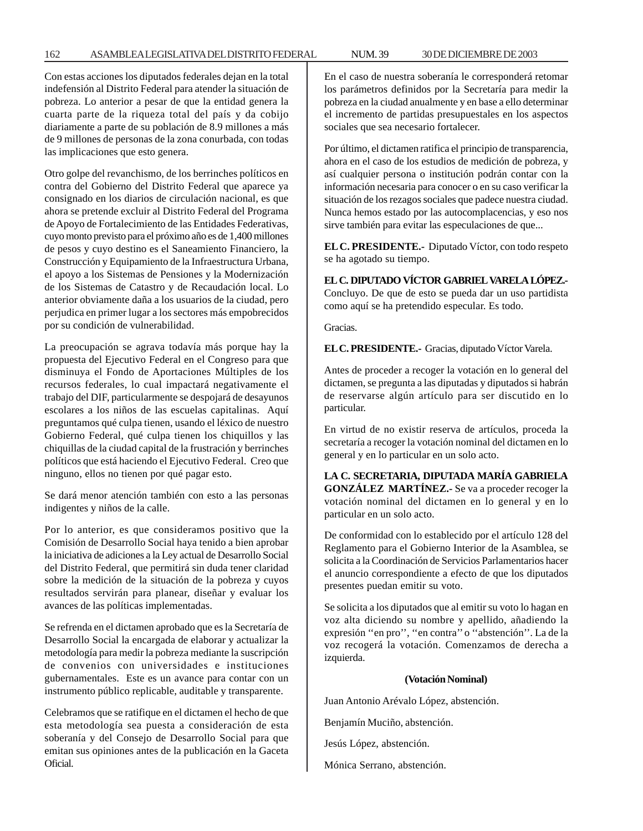Con estas acciones los diputados federales dejan en la total indefensión al Distrito Federal para atender la situación de pobreza. Lo anterior a pesar de que la entidad genera la cuarta parte de la riqueza total del país y da cobijo diariamente a parte de su población de 8.9 millones a más de 9 millones de personas de la zona conurbada, con todas las implicaciones que esto genera.

Otro golpe del revanchismo, de los berrinches políticos en contra del Gobierno del Distrito Federal que aparece ya consignado en los diarios de circulación nacional, es que ahora se pretende excluir al Distrito Federal del Programa de Apoyo de Fortalecimiento de las Entidades Federativas, cuyo monto previsto para el próximo año es de 1,400 millones de pesos y cuyo destino es el Saneamiento Financiero, la Construcción y Equipamiento de la Infraestructura Urbana, el apoyo a los Sistemas de Pensiones y la Modernización de los Sistemas de Catastro y de Recaudación local. Lo anterior obviamente daña a los usuarios de la ciudad, pero perjudica en primer lugar a los sectores más empobrecidos por su condición de vulnerabilidad.

La preocupación se agrava todavía más porque hay la propuesta del Ejecutivo Federal en el Congreso para que disminuya el Fondo de Aportaciones Múltiples de los recursos federales, lo cual impactará negativamente el trabajo del DIF, particularmente se despojará de desayunos escolares a los niños de las escuelas capitalinas. Aquí preguntamos qué culpa tienen, usando el léxico de nuestro Gobierno Federal, qué culpa tienen los chiquillos y las chiquillas de la ciudad capital de la frustración y berrinches políticos que está haciendo el Ejecutivo Federal. Creo que ninguno, ellos no tienen por qué pagar esto.

Se dará menor atención también con esto a las personas indigentes y niños de la calle.

Por lo anterior, es que consideramos positivo que la Comisión de Desarrollo Social haya tenido a bien aprobar la iniciativa de adiciones a la Ley actual de Desarrollo Social del Distrito Federal, que permitirá sin duda tener claridad sobre la medición de la situación de la pobreza y cuyos resultados servirán para planear, diseñar y evaluar los avances de las políticas implementadas.

Se refrenda en el dictamen aprobado que es la Secretaría de Desarrollo Social la encargada de elaborar y actualizar la metodología para medir la pobreza mediante la suscripción de convenios con universidades e instituciones gubernamentales. Este es un avance para contar con un instrumento público replicable, auditable y transparente.

Celebramos que se ratifique en el dictamen el hecho de que esta metodología sea puesta a consideración de esta soberanía y del Consejo de Desarrollo Social para que emitan sus opiniones antes de la publicación en la Gaceta Oficial.

En el caso de nuestra soberanía le corresponderá retomar los parámetros definidos por la Secretaría para medir la pobreza en la ciudad anualmente y en base a ello determinar el incremento de partidas presupuestales en los aspectos sociales que sea necesario fortalecer.

Por último, el dictamen ratifica el principio de transparencia, ahora en el caso de los estudios de medición de pobreza, y así cualquier persona o institución podrán contar con la información necesaria para conocer o en su caso verificar la situación de los rezagos sociales que padece nuestra ciudad. Nunca hemos estado por las autocomplacencias, y eso nos sirve también para evitar las especulaciones de que...

**EL C. PRESIDENTE.-** Diputado Víctor, con todo respeto se ha agotado su tiempo.

**EL C. DIPUTADO VÍCTOR GABRIEL VARELA LÓPEZ.-** Concluyo. De que de esto se pueda dar un uso partidista

como aquí se ha pretendido especular. Es todo.

Gracias.

**EL C. PRESIDENTE.-** Gracias, diputado Víctor Varela.

Antes de proceder a recoger la votación en lo general del dictamen, se pregunta a las diputadas y diputados si habrán de reservarse algún artículo para ser discutido en lo particular.

En virtud de no existir reserva de artículos, proceda la secretaría a recoger la votación nominal del dictamen en lo general y en lo particular en un solo acto.

**LA C. SECRETARIA, DIPUTADA MARÍA GABRIELA GONZÁLEZ MARTÍNEZ.-** Se va a proceder recoger la votación nominal del dictamen en lo general y en lo particular en un solo acto.

De conformidad con lo establecido por el artículo 128 del Reglamento para el Gobierno Interior de la Asamblea, se solicita a la Coordinación de Servicios Parlamentarios hacer el anuncio correspondiente a efecto de que los diputados presentes puedan emitir su voto.

Se solicita a los diputados que al emitir su voto lo hagan en voz alta diciendo su nombre y apellido, añadiendo la expresión ''en pro'', ''en contra'' o ''abstención''. La de la voz recogerá la votación. Comenzamos de derecha a izquierda.

#### **(Votación Nominal)**

Juan Antonio Arévalo López, abstención.

Benjamín Muciño, abstención.

Jesús López, abstención.

Mónica Serrano, abstención.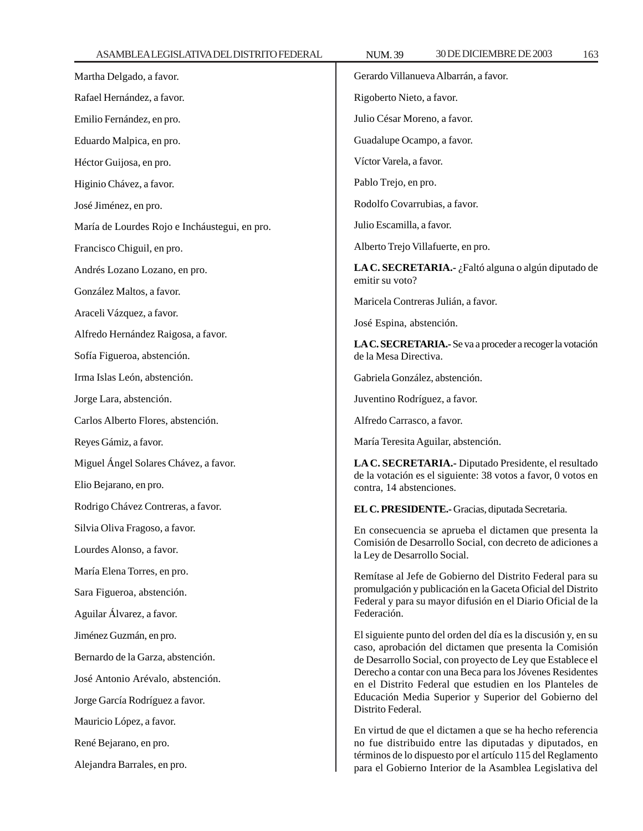| Martha Delgado, a favor.                      | Gerardo Villanueva Albarrán, a favor.                                                                                       |  |  |
|-----------------------------------------------|-----------------------------------------------------------------------------------------------------------------------------|--|--|
| Rafael Hernández, a favor.                    | Rigoberto Nieto, a favor.                                                                                                   |  |  |
| Emilio Fernández, en pro.                     | Julio César Moreno, a favor.                                                                                                |  |  |
| Eduardo Malpica, en pro.                      | Guadalupe Ocampo, a favor.                                                                                                  |  |  |
| Héctor Guijosa, en pro.                       | Víctor Varela, a favor.                                                                                                     |  |  |
| Higinio Chávez, a favor.                      | Pablo Trejo, en pro.                                                                                                        |  |  |
| José Jiménez, en pro.                         | Rodolfo Covarrubias, a favor.                                                                                               |  |  |
| María de Lourdes Rojo e Incháustegui, en pro. | Julio Escamilla, a favor.                                                                                                   |  |  |
| Francisco Chiguil, en pro.                    | Alberto Trejo Villafuerte, en pro.                                                                                          |  |  |
| Andrés Lozano Lozano, en pro.                 | LA C. SECRETARIA.- ¿Faltó alguna o algún diputado de<br>emitir su voto?                                                     |  |  |
| González Maltos, a favor.                     | Maricela Contreras Julián, a favor.                                                                                         |  |  |
| Araceli Vázquez, a favor.                     |                                                                                                                             |  |  |
| Alfredo Hernández Raigosa, a favor.           | José Espina, abstención.                                                                                                    |  |  |
| Sofía Figueroa, abstención.                   | LA C. SECRETARIA.- Se va a proceder a recoger la votación<br>de la Mesa Directiva.                                          |  |  |
| Irma Islas León, abstención.                  | Gabriela González, abstención.                                                                                              |  |  |
| Jorge Lara, abstención.                       | Juventino Rodríguez, a favor.                                                                                               |  |  |
| Carlos Alberto Flores, abstención.            | Alfredo Carrasco, a favor.                                                                                                  |  |  |
| Reyes Gámiz, a favor.                         | María Teresita Aguilar, abstención.                                                                                         |  |  |
| Miguel Ángel Solares Chávez, a favor.         | LA C. SECRETARIA.- Diputado Presidente, el resultado                                                                        |  |  |
| Elio Bejarano, en pro.                        | de la votación es el siguiente: 38 votos a favor, 0 votos en<br>contra, 14 abstenciones.                                    |  |  |
| Rodrigo Chávez Contreras, a favor.            | EL C. PRESIDENTE.- Gracias, diputada Secretaria.                                                                            |  |  |
| Silvia Oliva Fragoso, a favor.                | En consecuencia se aprueba el dictamen que presenta la                                                                      |  |  |
| Lourdes Alonso, a favor.                      | Comisión de Desarrollo Social, con decreto de adiciones a<br>la Ley de Desarrollo Social.                                   |  |  |
| María Elena Torres, en pro.                   | Remítase al Jefe de Gobierno del Distrito Federal para su                                                                   |  |  |
| Sara Figueroa, abstención.                    | promulgación y publicación en la Gaceta Oficial del Distrito<br>Federal y para su mayor difusión en el Diario Oficial de la |  |  |
| Aguilar Álvarez, a favor.                     | Federación.                                                                                                                 |  |  |
| Jiménez Guzmán, en pro.                       | El siguiente punto del orden del día es la discusión y, en su                                                               |  |  |
| Bernardo de la Garza, abstención.             | caso, aprobación del dictamen que presenta la Comisión<br>de Desarrollo Social, con proyecto de Ley que Establece el        |  |  |
| José Antonio Arévalo, abstención.             | Derecho a contar con una Beca para los Jóvenes Residentes<br>en el Distrito Federal que estudien en los Planteles de        |  |  |
| Jorge García Rodríguez a favor.               | Educación Media Superior y Superior del Gobierno del<br>Distrito Federal.                                                   |  |  |
| Mauricio López, a favor.                      | En virtud de que el dictamen a que se ha hecho referencia                                                                   |  |  |
| René Bejarano, en pro.                        | no fue distribuido entre las diputadas y diputados, en                                                                      |  |  |
| Alejandra Barrales, en pro.                   | términos de lo dispuesto por el artículo 115 del Reglamento<br>para el Gobierno Interior de la Asamblea Legislativa del     |  |  |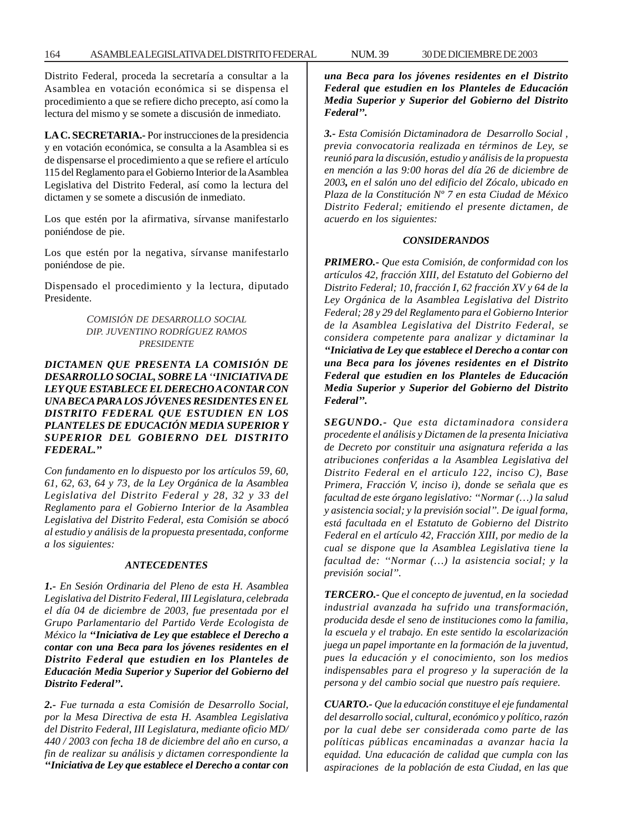Distrito Federal, proceda la secretaría a consultar a la Asamblea en votación económica si se dispensa el procedimiento a que se refiere dicho precepto, así como la lectura del mismo y se somete a discusión de inmediato.

**LA C. SECRETARIA.-** Por instrucciones de la presidencia y en votación económica, se consulta a la Asamblea si es de dispensarse el procedimiento a que se refiere el artículo 115 del Reglamento para el Gobierno Interior de la Asamblea Legislativa del Distrito Federal, así como la lectura del dictamen y se somete a discusión de inmediato.

Los que estén por la afirmativa, sírvanse manifestarlo poniéndose de pie.

Los que estén por la negativa, sírvanse manifestarlo poniéndose de pie.

Dispensado el procedimiento y la lectura, diputado Presidente.

# *COMISIÓN DE DESARROLLO SOCIAL DIP. JUVENTINO RODRÍGUEZ RAMOS PRESIDENTE*

# *DICTAMEN QUE PRESENTA LA COMISIÓN DE DESARROLLO SOCIAL, SOBRE LA ''INICIATIVA DE LEY QUE ESTABLECE EL DERECHO A CONTAR CON UNA BECA PARA LOS JÓVENES RESIDENTES EN EL DISTRITO FEDERAL QUE ESTUDIEN EN LOS PLANTELES DE EDUCACIÓN MEDIA SUPERIOR Y SUPERIOR DEL GOBIERNO DEL DISTRITO FEDERAL.''*

*Con fundamento en lo dispuesto por los artículos 59, 60, 61, 62, 63, 64 y 73, de la Ley Orgánica de la Asamblea Legislativa del Distrito Federal y 28, 32 y 33 del Reglamento para el Gobierno Interior de la Asamblea Legislativa del Distrito Federal, esta Comisión se abocó al estudio y análisis de la propuesta presentada, conforme a los siguientes:*

#### *ANTECEDENTES*

*1.- En Sesión Ordinaria del Pleno de esta H. Asamblea Legislativa del Distrito Federal, III Legislatura, celebrada el día 04 de diciembre de 2003, fue presentada por el Grupo Parlamentario del Partido Verde Ecologista de México la ''Iniciativa de Ley que establece el Derecho a contar con una Beca para los jóvenes residentes en el Distrito Federal que estudien en los Planteles de Educación Media Superior y Superior del Gobierno del Distrito Federal''.*

*2.- Fue turnada a esta Comisión de Desarrollo Social, por la Mesa Directiva de esta H. Asamblea Legislativa del Distrito Federal, III Legislatura, mediante oficio MD/ 440 / 2003 con fecha 18 de diciembre del año en curso, a fin de realizar su análisis y dictamen correspondiente la ''Iniciativa de Ley que establece el Derecho a contar con* *una Beca para los jóvenes residentes en el Distrito Federal que estudien en los Planteles de Educación Media Superior y Superior del Gobierno del Distrito Federal''.*

*3.- Esta Comisión Dictaminadora de Desarrollo Social , previa convocatoria realizada en términos de Ley, se reunió para la discusión, estudio y análisis de la propuesta en mención a las 9:00 horas del día 26 de diciembre de 2003, en el salón uno del edificio del Zócalo, ubicado en Plaza de la Constitución Nº 7 en esta Ciudad de México Distrito Federal; emitiendo el presente dictamen, de acuerdo en los siguientes:*

#### *CONSIDERANDOS*

*PRIMERO.- Que esta Comisión, de conformidad con los artículos 42, fracción XIII, del Estatuto del Gobierno del Distrito Federal; 10, fracción I, 62 fracción XV y 64 de la Ley Orgánica de la Asamblea Legislativa del Distrito Federal; 28 y 29 del Reglamento para el Gobierno Interior de la Asamblea Legislativa del Distrito Federal, se considera competente para analizar y dictaminar la ''Iniciativa de Ley que establece el Derecho a contar con una Beca para los jóvenes residentes en el Distrito Federal que estudien en los Planteles de Educación Media Superior y Superior del Gobierno del Distrito Federal''.*

*SEGUNDO.- Que esta dictaminadora considera procedente el análisis y Dictamen de la presenta Iniciativa de Decreto por constituir una asignatura referida a las atribuciones conferidas a la Asamblea Legislativa del Distrito Federal en el articulo 122, inciso C), Base Primera, Fracción V, inciso i), donde se señala que es facultad de este órgano legislativo: ''Normar (…) la salud y asistencia social; y la previsión social''. De igual forma, está facultada en el Estatuto de Gobierno del Distrito Federal en el artículo 42, Fracción XIII, por medio de la cual se dispone que la Asamblea Legislativa tiene la facultad de: ''Normar (…) la asistencia social; y la previsión social''.*

*TERCERO.- Que el concepto de juventud, en la sociedad industrial avanzada ha sufrido una transformación, producida desde el seno de instituciones como la familia, la escuela y el trabajo. En este sentido la escolarización juega un papel importante en la formación de la juventud, pues la educación y el conocimiento, son los medios indispensables para el progreso y la superación de la persona y del cambio social que nuestro país requiere.*

*CUARTO.- Que la educación constituye el eje fundamental del desarrollo social, cultural, económico y político, razón por la cual debe ser considerada como parte de las políticas públicas encaminadas a avanzar hacia la equidad. Una educación de calidad que cumpla con las aspiraciones de la población de esta Ciudad, en las que*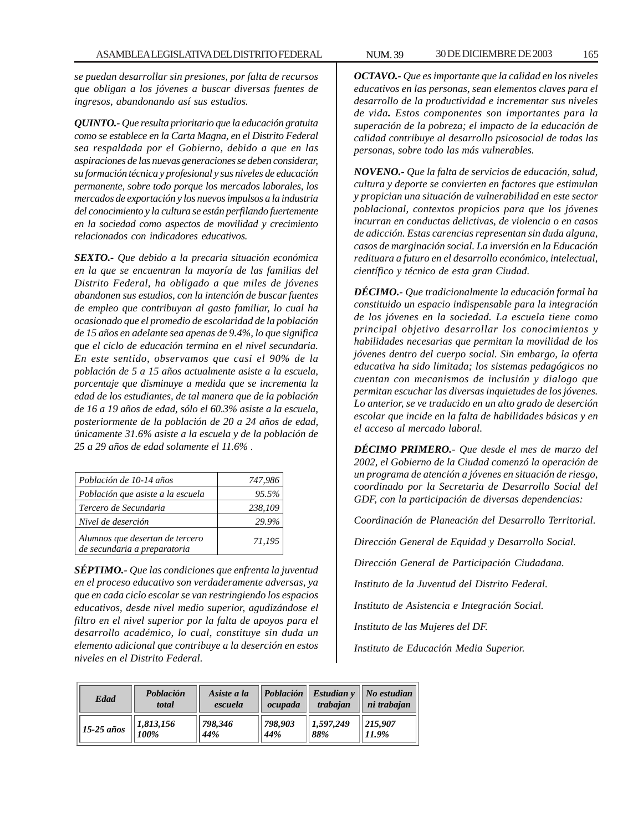*se puedan desarrollar sin presiones, por falta de recursos que obligan a los jóvenes a buscar diversas fuentes de ingresos, abandonando así sus estudios.*

*QUINTO.- Que resulta prioritario que la educación gratuita como se establece en la Carta Magna, en el Distrito Federal sea respaldada por el Gobierno, debido a que en las aspiraciones de las nuevas generaciones se deben considerar, su formación técnica y profesional y sus niveles de educación permanente, sobre todo porque los mercados laborales, los mercados de exportación y los nuevos impulsos a la industria del conocimiento y la cultura se están perfilando fuertemente en la sociedad como aspectos de movilidad y crecimiento relacionados con indicadores educativos.*

*SEXTO.- Que debido a la precaria situación económica en la que se encuentran la mayoría de las familias del Distrito Federal, ha obligado a que miles de jóvenes abandonen sus estudios, con la intención de buscar fuentes de empleo que contribuyan al gasto familiar, lo cual ha ocasionado que el promedio de escolaridad de la población de 15 años en adelante sea apenas de 9.4%, lo que significa que el ciclo de educación termina en el nivel secundaria. En este sentido, observamos que casi el 90% de la población de 5 a 15 años actualmente asiste a la escuela, porcentaje que disminuye a medida que se incrementa la edad de los estudiantes, de tal manera que de la población de 16 a 19 años de edad, sólo el 60.3% asiste a la escuela, posteriormente de la población de 20 a 24 años de edad, únicamente 31.6% asiste a la escuela y de la población de 25 a 29 años de edad solamente el 11.6% .*

| Población de 10-14 años                                         | 747,986 |
|-----------------------------------------------------------------|---------|
| Población que asiste a la escuela                               | 95.5%   |
| Tercero de Secundaria                                           | 238,109 |
| Nivel de deserción                                              | 29.9%   |
| Alumnos que desertan de tercero<br>de secundaria a preparatoria | 71,195  |

*SÉPTIMO.- Que las condiciones que enfrenta la juventud en el proceso educativo son verdaderamente adversas, ya que en cada ciclo escolar se van restringiendo los espacios educativos, desde nivel medio superior, agudizándose el filtro en el nivel superior por la falta de apoyos para el desarrollo académico, lo cual, constituye sin duda un elemento adicional que contribuye a la deserción en estos niveles en el Distrito Federal.*

*OCTAVO.- Que es importante que la calidad en los niveles educativos en las personas, sean elementos claves para el desarrollo de la productividad e incrementar sus niveles de vida. Estos componentes son importantes para la superación de la pobreza; el impacto de la educación de calidad contribuye al desarrollo psicosocial de todas las personas, sobre todo las más vulnerables.*

*NOVENO.- Que la falta de servicios de educación, salud, cultura y deporte se convierten en factores que estimulan y propician una situación de vulnerabilidad en este sector poblacional, contextos propicios para que los jóvenes incurran en conductas delictivas, de violencia o en casos de adicción. Estas carencias representan sin duda alguna, casos de marginación social. La inversión en la Educación redituara a futuro en el desarrollo económico, intelectual, científico y técnico de esta gran Ciudad.*

*DÉCIMO.- Que tradicionalmente la educación formal ha constituido un espacio indispensable para la integración de los jóvenes en la sociedad. La escuela tiene como principal objetivo desarrollar los conocimientos y habilidades necesarias que permitan la movilidad de los jóvenes dentro del cuerpo social. Sin embargo, la oferta educativa ha sido limitada; los sistemas pedagógicos no cuentan con mecanismos de inclusión y dialogo que permitan escuchar las diversas inquietudes de los jóvenes. Lo anterior, se ve traducido en un alto grado de deserción escolar que incide en la falta de habilidades básicas y en el acceso al mercado laboral.*

*DÉCIMO PRIMERO.- Que desde el mes de marzo del 2002, el Gobierno de la Ciudad comenzó la operación de un programa de atención a jóvenes en situación de riesgo, coordinado por la Secretaria de Desarrollo Social del GDF, con la participación de diversas dependencias:*

*Coordinación de Planeación del Desarrollo Territorial.*

*Dirección General de Equidad y Desarrollo Social.*

*Dirección General de Participación Ciudadana.*

*Instituto de la Juventud del Distrito Federal.*

*Instituto de Asistencia e Integración Social.*

*Instituto de las Mujeres del DF.*

*Instituto de Educación Media Superior.*

| Edad         | Población<br>total | Asiste a la<br>escuela | ocupada | $\vert$ Población $\vert$ Estudian v<br>trabajan | $\vert$ No estudian<br>ni trabajan |
|--------------|--------------------|------------------------|---------|--------------------------------------------------|------------------------------------|
| $15-25$ años | 1,813,156          | 798,346                | 798.903 | $\parallel$ 1,597,249                            | 215.907                            |
|              | 100%               | 44%                    | 44%     | 88%                                              | 11.9%                              |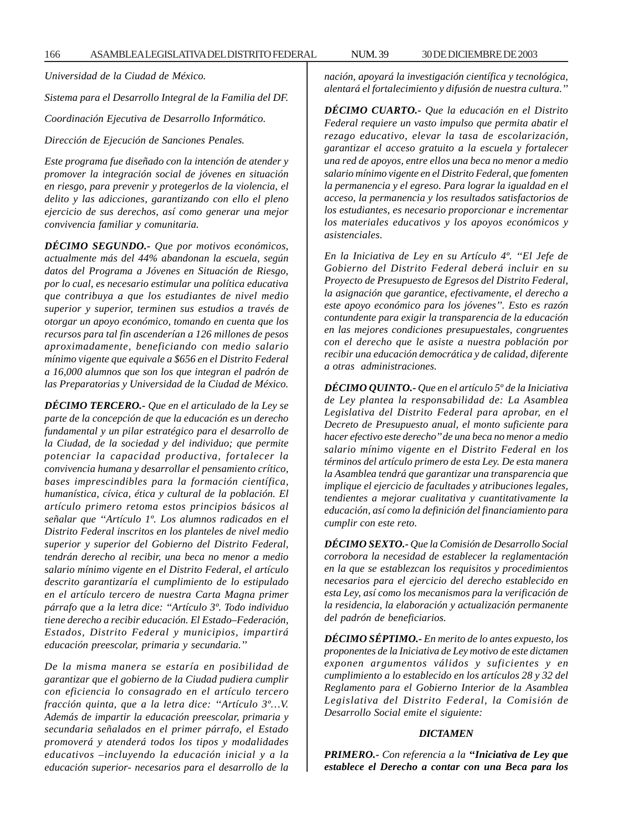*Universidad de la Ciudad de México.*

*Sistema para el Desarrollo Integral de la Familia del DF.*

*Coordinación Ejecutiva de Desarrollo Informático.*

*Dirección de Ejecución de Sanciones Penales.*

*Este programa fue diseñado con la intención de atender y promover la integración social de jóvenes en situación en riesgo, para prevenir y protegerlos de la violencia, el delito y las adicciones, garantizando con ello el pleno ejercicio de sus derechos, así como generar una mejor convivencia familiar y comunitaria.*

*DÉCIMO SEGUNDO.- Que por motivos económicos, actualmente más del 44% abandonan la escuela, según datos del Programa a Jóvenes en Situación de Riesgo, por lo cual, es necesario estimular una política educativa que contribuya a que los estudiantes de nivel medio superior y superior, terminen sus estudios a través de otorgar un apoyo económico, tomando en cuenta que los recursos para tal fin ascenderían a 126 millones de pesos aproximadamente, beneficiando con medio salario mínimo vigente que equivale a \$656 en el Distrito Federal a 16,000 alumnos que son los que integran el padrón de las Preparatorias y Universidad de la Ciudad de México.*

*DÉCIMO TERCERO.- Que en el articulado de la Ley se parte de la concepción de que la educación es un derecho fundamental y un pilar estratégico para el desarrollo de la Ciudad, de la sociedad y del individuo; que permite potenciar la capacidad productiva, fortalecer la convivencia humana y desarrollar el pensamiento crítico, bases imprescindibles para la formación científica, humanística, cívica, ética y cultural de la población. El artículo primero retoma estos principios básicos al señalar que ''Artículo 1º. Los alumnos radicados en el Distrito Federal inscritos en los planteles de nivel medio superior y superior del Gobierno del Distrito Federal, tendrán derecho al recibir, una beca no menor a medio salario mínimo vigente en el Distrito Federal, el artículo descrito garantizaría el cumplimiento de lo estipulado en el artículo tercero de nuestra Carta Magna primer párrafo que a la letra dice: ''Artículo 3º. Todo individuo tiene derecho a recibir educación. El Estado–Federación, Estados, Distrito Federal y municipios, impartirá educación preescolar, primaria y secundaria.''*

*De la misma manera se estaría en posibilidad de garantizar que el gobierno de la Ciudad pudiera cumplir con eficiencia lo consagrado en el artículo tercero fracción quinta, que a la letra dice: ''Artículo 3º…V. Además de impartir la educación preescolar, primaria y secundaria señalados en el primer párrafo, el Estado promoverá y atenderá todos los tipos y modalidades educativos –incluyendo la educación inicial y a la educación superior- necesarios para el desarrollo de la* *nación, apoyará la investigación científica y tecnológica, alentará el fortalecimiento y difusión de nuestra cultura.''*

*DÉCIMO CUARTO.- Que la educación en el Distrito Federal requiere un vasto impulso que permita abatir el rezago educativo, elevar la tasa de escolarización, garantizar el acceso gratuito a la escuela y fortalecer una red de apoyos, entre ellos una beca no menor a medio salario mínimo vigente en el Distrito Federal, que fomenten la permanencia y el egreso. Para lograr la igualdad en el acceso, la permanencia y los resultados satisfactorios de los estudiantes, es necesario proporcionar e incrementar los materiales educativos y los apoyos económicos y asistenciales.*

*En la Iniciativa de Ley en su Artículo 4º. ''El Jefe de Gobierno del Distrito Federal deberá incluir en su Proyecto de Presupuesto de Egresos del Distrito Federal, la asignación que garantice, efectivamente, el derecho a este apoyo económico para los jóvenes''. Esto es razón contundente para exigir la transparencia de la educación en las mejores condiciones presupuestales, congruentes con el derecho que le asiste a nuestra población por recibir una educación democrática y de calidad, diferente a otras administraciones.*

*DÉCIMO QUINTO.- Que en el artículo 5º de la Iniciativa de Ley plantea la responsabilidad de: La Asamblea Legislativa del Distrito Federal para aprobar, en el Decreto de Presupuesto anual, el monto suficiente para hacer efectivo este derecho'' de una beca no menor a medio salario mínimo vigente en el Distrito Federal en los términos del artículo primero de esta Ley. De esta manera la Asamblea tendrá que garantizar una transparencia que implique el ejercicio de facultades y atribuciones legales, tendientes a mejorar cualitativa y cuantitativamente la educación, así como la definición del financiamiento para cumplir con este reto.*

*DÉCIMO SEXTO.- Que la Comisión de Desarrollo Social corrobora la necesidad de establecer la reglamentación en la que se establezcan los requisitos y procedimientos necesarios para el ejercicio del derecho establecido en esta Ley, así como los mecanismos para la verificación de la residencia, la elaboración y actualización permanente del padrón de beneficiarios.*

*DÉCIMO SÉPTIMO.- En merito de lo antes expuesto, los proponentes de la Iniciativa de Ley motivo de este dictamen exponen argumentos válidos y suficientes y en cumplimiento a lo establecido en los artículos 28 y 32 del Reglamento para el Gobierno Interior de la Asamblea Legislativa del Distrito Federal, la Comisión de Desarrollo Social emite el siguiente:*

#### *DICTAMEN*

*PRIMERO.- Con referencia a la ''Iniciativa de Ley que establece el Derecho a contar con una Beca para los*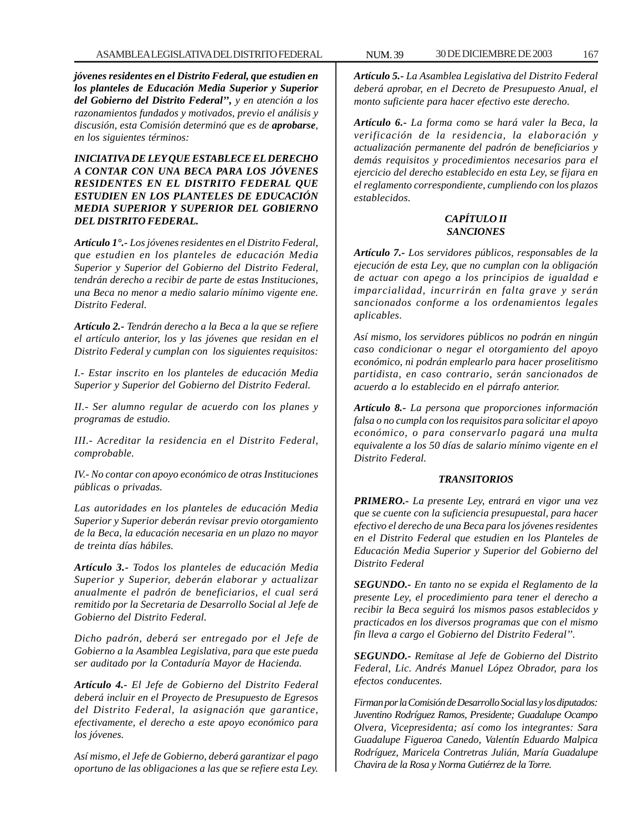*jóvenes residentes en el Distrito Federal, que estudien en los planteles de Educación Media Superior y Superior del Gobierno del Distrito Federal'', y en atención a los razonamientos fundados y motivados, previo el análisis y discusión, esta Comisión determinó que es de aprobarse, en los siguientes términos:*

*INICIATIVA DE LEY QUE ESTABLECE EL DERECHO A CONTAR CON UNA BECA PARA LOS JÓVENES RESIDENTES EN EL DISTRITO FEDERAL QUE ESTUDIEN EN LOS PLANTELES DE EDUCACIÓN MEDIA SUPERIOR Y SUPERIOR DEL GOBIERNO DEL DISTRITO FEDERAL.*

*Artículo 1°.- Los jóvenes residentes en el Distrito Federal, que estudien en los planteles de educación Media Superior y Superior del Gobierno del Distrito Federal, tendrán derecho a recibir de parte de estas Instituciones, una Beca no menor a medio salario mínimo vigente ene. Distrito Federal.*

*Artículo 2.- Tendrán derecho a la Beca a la que se refiere el artículo anterior, los y las jóvenes que residan en el Distrito Federal y cumplan con los siguientes requisitos:*

*I.- Estar inscrito en los planteles de educación Media Superior y Superior del Gobierno del Distrito Federal.*

*II.- Ser alumno regular de acuerdo con los planes y programas de estudio.*

*III.- Acreditar la residencia en el Distrito Federal, comprobable.*

*IV.- No contar con apoyo económico de otras Instituciones públicas o privadas.*

*Las autoridades en los planteles de educación Media Superior y Superior deberán revisar previo otorgamiento de la Beca, la educación necesaria en un plazo no mayor de treinta días hábiles.*

*Artículo 3.- Todos los planteles de educación Media Superior y Superior, deberán elaborar y actualizar anualmente el padrón de beneficiarios, el cual será remitido por la Secretaria de Desarrollo Social al Jefe de Gobierno del Distrito Federal.*

*Dicho padrón, deberá ser entregado por el Jefe de Gobierno a la Asamblea Legislativa, para que este pueda ser auditado por la Contaduría Mayor de Hacienda.*

*Artículo 4.- El Jefe de Gobierno del Distrito Federal deberá incluir en el Proyecto de Presupuesto de Egresos del Distrito Federal, la asignación que garantice, efectivamente, el derecho a este apoyo económico para los jóvenes.*

*Así mismo, el Jefe de Gobierno, deberá garantizar el pago oportuno de las obligaciones a las que se refiere esta Ley.*

*Artículo 5.- La Asamblea Legislativa del Distrito Federal deberá aprobar, en el Decreto de Presupuesto Anual, el monto suficiente para hacer efectivo este derecho.*

*Artículo 6.- La forma como se hará valer la Beca, la verificación de la residencia, la elaboración y actualización permanente del padrón de beneficiarios y demás requisitos y procedimientos necesarios para el ejercicio del derecho establecido en esta Ley, se fijara en el reglamento correspondiente, cumpliendo con los plazos establecidos.*

# *CAPÍTULO II SANCIONES*

*Artículo 7.- Los servidores públicos, responsables de la ejecución de esta Ley, que no cumplan con la obligación de actuar con apego a los principios de igualdad e imparcialidad, incurrirán en falta grave y serán sancionados conforme a los ordenamientos legales aplicables.*

*Así mismo, los servidores públicos no podrán en ningún caso condicionar o negar el otorgamiento del apoyo económico, ni podrán emplearlo para hacer proselitismo partidista, en caso contrario, serán sancionados de acuerdo a lo establecido en el párrafo anterior.*

*Artículo 8.- La persona que proporciones información falsa o no cumpla con los requisitos para solicitar el apoyo económico, o para conservarlo pagará una multa equivalente a los 50 días de salario mínimo vigente en el Distrito Federal.*

#### *TRANSITORIOS*

*PRIMERO.- La presente Ley, entrará en vigor una vez que se cuente con la suficiencia presupuestal, para hacer efectivo el derecho de una Beca para los jóvenes residentes en el Distrito Federal que estudien en los Planteles de Educación Media Superior y Superior del Gobierno del Distrito Federal*

*SEGUNDO.- En tanto no se expida el Reglamento de la presente Ley, el procedimiento para tener el derecho a recibir la Beca seguirá los mismos pasos establecidos y practicados en los diversos programas que con el mismo fin lleva a cargo el Gobierno del Distrito Federal''.*

*SEGUNDO.- Remítase al Jefe de Gobierno del Distrito Federal, Lic. Andrés Manuel López Obrador, para los efectos conducentes.*

*Firman por la Comisión de Desarrollo Social las y los diputados: Juventino Rodríguez Ramos, Presidente; Guadalupe Ocampo Olvera, Vicepresidenta; así como los integrantes: Sara Guadalupe Figueroa Canedo, Valentín Eduardo Malpica Rodríguez, Maricela Contretras Julián, María Guadalupe Chavira de la Rosa y Norma Gutiérrez de la Torre.*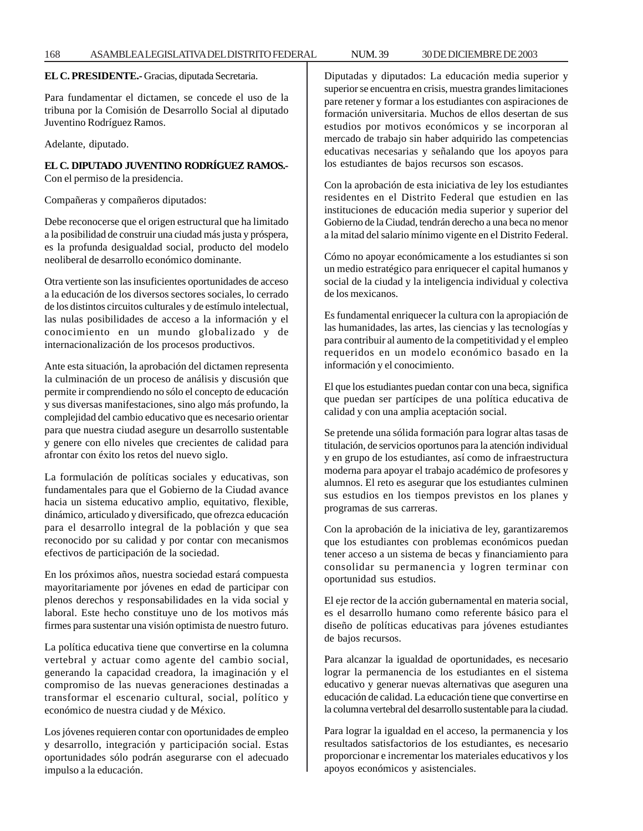**EL C. PRESIDENTE.-** Gracias, diputada Secretaria.

Para fundamentar el dictamen, se concede el uso de la tribuna por la Comisión de Desarrollo Social al diputado Juventino Rodríguez Ramos.

Adelante, diputado.

**EL C. DIPUTADO JUVENTINO RODRÍGUEZ RAMOS.-** Con el permiso de la presidencia.

Compañeras y compañeros diputados:

Debe reconocerse que el origen estructural que ha limitado a la posibilidad de construir una ciudad más justa y próspera, es la profunda desigualdad social, producto del modelo neoliberal de desarrollo económico dominante.

Otra vertiente son las insuficientes oportunidades de acceso a la educación de los diversos sectores sociales, lo cerrado de los distintos circuitos culturales y de estímulo intelectual, las nulas posibilidades de acceso a la información y el conocimiento en un mundo globalizado y de internacionalización de los procesos productivos.

Ante esta situación, la aprobación del dictamen representa la culminación de un proceso de análisis y discusión que permite ir comprendiendo no sólo el concepto de educación y sus diversas manifestaciones, sino algo más profundo, la complejidad del cambio educativo que es necesario orientar para que nuestra ciudad asegure un desarrollo sustentable y genere con ello niveles que crecientes de calidad para afrontar con éxito los retos del nuevo siglo.

La formulación de políticas sociales y educativas, son fundamentales para que el Gobierno de la Ciudad avance hacia un sistema educativo amplio, equitativo, flexible, dinámico, articulado y diversificado, que ofrezca educación para el desarrollo integral de la población y que sea reconocido por su calidad y por contar con mecanismos efectivos de participación de la sociedad.

En los próximos años, nuestra sociedad estará compuesta mayoritariamente por jóvenes en edad de participar con plenos derechos y responsabilidades en la vida social y laboral. Este hecho constituye uno de los motivos más firmes para sustentar una visión optimista de nuestro futuro.

La política educativa tiene que convertirse en la columna vertebral y actuar como agente del cambio social, generando la capacidad creadora, la imaginación y el compromiso de las nuevas generaciones destinadas a transformar el escenario cultural, social, político y económico de nuestra ciudad y de México.

Los jóvenes requieren contar con oportunidades de empleo y desarrollo, integración y participación social. Estas oportunidades sólo podrán asegurarse con el adecuado impulso a la educación.

Diputadas y diputados: La educación media superior y superior se encuentra en crisis, muestra grandes limitaciones pare retener y formar a los estudiantes con aspiraciones de formación universitaria. Muchos de ellos desertan de sus estudios por motivos económicos y se incorporan al mercado de trabajo sin haber adquirido las competencias educativas necesarias y señalando que los apoyos para los estudiantes de bajos recursos son escasos.

Con la aprobación de esta iniciativa de ley los estudiantes residentes en el Distrito Federal que estudien en las instituciones de educación media superior y superior del Gobierno de la Ciudad, tendrán derecho a una beca no menor a la mitad del salario mínimo vigente en el Distrito Federal.

Cómo no apoyar económicamente a los estudiantes si son un medio estratégico para enriquecer el capital humanos y social de la ciudad y la inteligencia individual y colectiva de los mexicanos.

Es fundamental enriquecer la cultura con la apropiación de las humanidades, las artes, las ciencias y las tecnologías y para contribuir al aumento de la competitividad y el empleo requeridos en un modelo económico basado en la información y el conocimiento.

El que los estudiantes puedan contar con una beca, significa que puedan ser partícipes de una política educativa de calidad y con una amplia aceptación social.

Se pretende una sólida formación para lograr altas tasas de titulación, de servicios oportunos para la atención individual y en grupo de los estudiantes, así como de infraestructura moderna para apoyar el trabajo académico de profesores y alumnos. El reto es asegurar que los estudiantes culminen sus estudios en los tiempos previstos en los planes y programas de sus carreras.

Con la aprobación de la iniciativa de ley, garantizaremos que los estudiantes con problemas económicos puedan tener acceso a un sistema de becas y financiamiento para consolidar su permanencia y logren terminar con oportunidad sus estudios.

El eje rector de la acción gubernamental en materia social, es el desarrollo humano como referente básico para el diseño de políticas educativas para jóvenes estudiantes de bajos recursos.

Para alcanzar la igualdad de oportunidades, es necesario lograr la permanencia de los estudiantes en el sistema educativo y generar nuevas alternativas que aseguren una educación de calidad. La educación tiene que convertirse en la columna vertebral del desarrollo sustentable para la ciudad.

Para lograr la igualdad en el acceso, la permanencia y los resultados satisfactorios de los estudiantes, es necesario proporcionar e incrementar los materiales educativos y los apoyos económicos y asistenciales.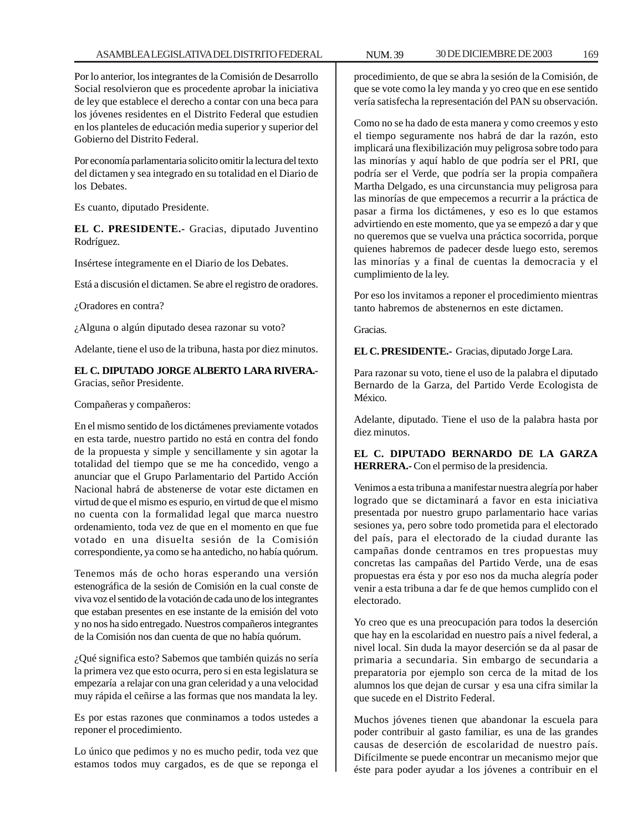Por lo anterior, los integrantes de la Comisión de Desarrollo Social resolvieron que es procedente aprobar la iniciativa de ley que establece el derecho a contar con una beca para los jóvenes residentes en el Distrito Federal que estudien en los planteles de educación media superior y superior del Gobierno del Distrito Federal.

Por economía parlamentaria solicito omitir la lectura del texto del dictamen y sea integrado en su totalidad en el Diario de los Debates.

Es cuanto, diputado Presidente.

**EL C. PRESIDENTE.-** Gracias, diputado Juventino Rodríguez.

Insértese íntegramente en el Diario de los Debates.

Está a discusión el dictamen. Se abre el registro de oradores.

¿Oradores en contra?

¿Alguna o algún diputado desea razonar su voto?

Adelante, tiene el uso de la tribuna, hasta por diez minutos.

# **EL C. DIPUTADO JORGE ALBERTO LARA RIVERA.-** Gracias, señor Presidente.

Compañeras y compañeros:

En el mismo sentido de los dictámenes previamente votados en esta tarde, nuestro partido no está en contra del fondo de la propuesta y simple y sencillamente y sin agotar la totalidad del tiempo que se me ha concedido, vengo a anunciar que el Grupo Parlamentario del Partido Acción Nacional habrá de abstenerse de votar este dictamen en virtud de que el mismo es espurio, en virtud de que el mismo no cuenta con la formalidad legal que marca nuestro ordenamiento, toda vez de que en el momento en que fue votado en una disuelta sesión de la Comisión correspondiente, ya como se ha antedicho, no había quórum.

Tenemos más de ocho horas esperando una versión estenográfica de la sesión de Comisión en la cual conste de viva voz el sentido de la votación de cada uno de los integrantes que estaban presentes en ese instante de la emisión del voto y no nos ha sido entregado. Nuestros compañeros integrantes de la Comisión nos dan cuenta de que no había quórum.

¿Qué significa esto? Sabemos que también quizás no sería la primera vez que esto ocurra, pero si en esta legislatura se empezaría a relajar con una gran celeridad y a una velocidad muy rápida el ceñirse a las formas que nos mandata la ley.

Es por estas razones que conminamos a todos ustedes a reponer el procedimiento.

Lo único que pedimos y no es mucho pedir, toda vez que estamos todos muy cargados, es de que se reponga el procedimiento, de que se abra la sesión de la Comisión, de que se vote como la ley manda y yo creo que en ese sentido vería satisfecha la representación del PAN su observación.

Como no se ha dado de esta manera y como creemos y esto el tiempo seguramente nos habrá de dar la razón, esto implicará una flexibilización muy peligrosa sobre todo para las minorías y aquí hablo de que podría ser el PRI, que podría ser el Verde, que podría ser la propia compañera Martha Delgado, es una circunstancia muy peligrosa para las minorías de que empecemos a recurrir a la práctica de pasar a firma los dictámenes, y eso es lo que estamos advirtiendo en este momento, que ya se empezó a dar y que no queremos que se vuelva una práctica socorrida, porque quienes habremos de padecer desde luego esto, seremos las minorías y a final de cuentas la democracia y el cumplimiento de la ley.

Por eso los invitamos a reponer el procedimiento mientras tanto habremos de abstenernos en este dictamen.

Gracias.

**EL C. PRESIDENTE.-** Gracias, diputado Jorge Lara.

Para razonar su voto, tiene el uso de la palabra el diputado Bernardo de la Garza, del Partido Verde Ecologista de México.

Adelante, diputado. Tiene el uso de la palabra hasta por diez minutos.

**EL C. DIPUTADO BERNARDO DE LA GARZA HERRERA.-** Con el permiso de la presidencia.

Venimos a esta tribuna a manifestar nuestra alegría por haber logrado que se dictaminará a favor en esta iniciativa presentada por nuestro grupo parlamentario hace varias sesiones ya, pero sobre todo prometida para el electorado del país, para el electorado de la ciudad durante las campañas donde centramos en tres propuestas muy concretas las campañas del Partido Verde, una de esas propuestas era ésta y por eso nos da mucha alegría poder venir a esta tribuna a dar fe de que hemos cumplido con el electorado.

Yo creo que es una preocupación para todos la deserción que hay en la escolaridad en nuestro país a nivel federal, a nivel local. Sin duda la mayor deserción se da al pasar de primaria a secundaria. Sin embargo de secundaria a preparatoria por ejemplo son cerca de la mitad de los alumnos los que dejan de cursar y esa una cifra similar la que sucede en el Distrito Federal.

Muchos jóvenes tienen que abandonar la escuela para poder contribuir al gasto familiar, es una de las grandes causas de deserción de escolaridad de nuestro país. Difícilmente se puede encontrar un mecanismo mejor que éste para poder ayudar a los jóvenes a contribuir en el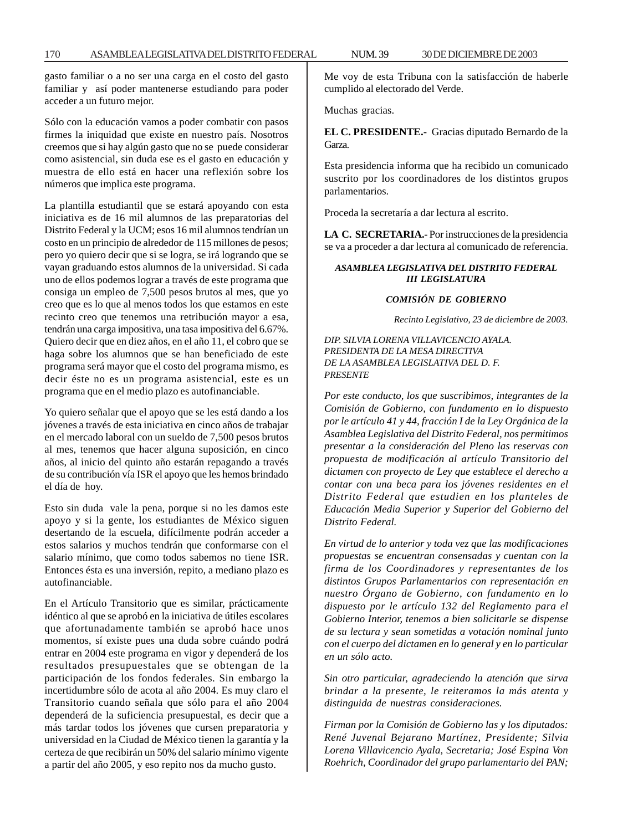gasto familiar o a no ser una carga en el costo del gasto familiar y así poder mantenerse estudiando para poder acceder a un futuro mejor.

Sólo con la educación vamos a poder combatir con pasos firmes la iniquidad que existe en nuestro país. Nosotros creemos que si hay algún gasto que no se puede considerar como asistencial, sin duda ese es el gasto en educación y muestra de ello está en hacer una reflexión sobre los números que implica este programa.

La plantilla estudiantil que se estará apoyando con esta iniciativa es de 16 mil alumnos de las preparatorias del Distrito Federal y la UCM; esos 16 mil alumnos tendrían un costo en un principio de alrededor de 115 millones de pesos; pero yo quiero decir que si se logra, se irá logrando que se vayan graduando estos alumnos de la universidad. Si cada uno de ellos podemos lograr a través de este programa que consiga un empleo de 7,500 pesos brutos al mes, que yo creo que es lo que al menos todos los que estamos en este recinto creo que tenemos una retribución mayor a esa, tendrán una carga impositiva, una tasa impositiva del 6.67%. Quiero decir que en diez años, en el año 11, el cobro que se haga sobre los alumnos que se han beneficiado de este programa será mayor que el costo del programa mismo, es decir éste no es un programa asistencial, este es un programa que en el medio plazo es autofinanciable.

Yo quiero señalar que el apoyo que se les está dando a los jóvenes a través de esta iniciativa en cinco años de trabajar en el mercado laboral con un sueldo de 7,500 pesos brutos al mes, tenemos que hacer alguna suposición, en cinco años, al inicio del quinto año estarán repagando a través de su contribución vía ISR el apoyo que les hemos brindado el día de hoy.

Esto sin duda vale la pena, porque si no les damos este apoyo y si la gente, los estudiantes de México siguen desertando de la escuela, difícilmente podrán acceder a estos salarios y muchos tendrán que conformarse con el salario mínimo, que como todos sabemos no tiene ISR. Entonces ésta es una inversión, repito, a mediano plazo es autofinanciable.

En el Artículo Transitorio que es similar, prácticamente idéntico al que se aprobó en la iniciativa de útiles escolares que afortunadamente también se aprobó hace unos momentos, sí existe pues una duda sobre cuándo podrá entrar en 2004 este programa en vigor y dependerá de los resultados presupuestales que se obtengan de la participación de los fondos federales. Sin embargo la incertidumbre sólo de acota al año 2004. Es muy claro el Transitorio cuando señala que sólo para el año 2004 dependerá de la suficiencia presupuestal, es decir que a más tardar todos los jóvenes que cursen preparatoria y universidad en la Ciudad de México tienen la garantía y la certeza de que recibirán un 50% del salario mínimo vigente a partir del año 2005, y eso repito nos da mucho gusto.

Me voy de esta Tribuna con la satisfacción de haberle cumplido al electorado del Verde.

Muchas gracias.

**EL C. PRESIDENTE.-** Gracias diputado Bernardo de la Garza.

Esta presidencia informa que ha recibido un comunicado suscrito por los coordinadores de los distintos grupos parlamentarios.

Proceda la secretaría a dar lectura al escrito.

**LA C. SECRETARIA.-** Por instrucciones de la presidencia se va a proceder a dar lectura al comunicado de referencia.

# *ASAMBLEA LEGISLATIVA DEL DISTRITO FEDERAL III LEGISLATURA*

#### *COMISIÓN DE GOBIERNO*

*Recinto Legislativo, 23 de diciembre de 2003.*

*DIP. SILVIA LORENA VILLAVICENCIO AYALA. PRESIDENTA DE LA MESA DIRECTIVA DE LA ASAMBLEA LEGISLATIVA DEL D. F. PRESENTE*

*Por este conducto, los que suscribimos, integrantes de la Comisión de Gobierno, con fundamento en lo dispuesto por le artículo 41 y 44, fracción I de la Ley Orgánica de la Asamblea Legislativa del Distrito Federal, nos permitimos presentar a la consideración del Pleno las reservas con propuesta de modificación al artículo Transitorio del dictamen con proyecto de Ley que establece el derecho a contar con una beca para los jóvenes residentes en el Distrito Federal que estudien en los planteles de Educación Media Superior y Superior del Gobierno del Distrito Federal.*

*En virtud de lo anterior y toda vez que las modificaciones propuestas se encuentran consensadas y cuentan con la firma de los Coordinadores y representantes de los distintos Grupos Parlamentarios con representación en nuestro Órgano de Gobierno, con fundamento en lo dispuesto por le artículo 132 del Reglamento para el Gobierno Interior, tenemos a bien solicitarle se dispense de su lectura y sean sometidas a votación nominal junto con el cuerpo del dictamen en lo general y en lo particular en un sólo acto.*

*Sin otro particular, agradeciendo la atención que sirva brindar a la presente, le reiteramos la más atenta y distinguida de nuestras consideraciones.*

*Firman por la Comisión de Gobierno las y los diputados: René Juvenal Bejarano Martínez, Presidente; Silvia Lorena Villavicencio Ayala, Secretaria; José Espina Von Roehrich, Coordinador del grupo parlamentario del PAN;*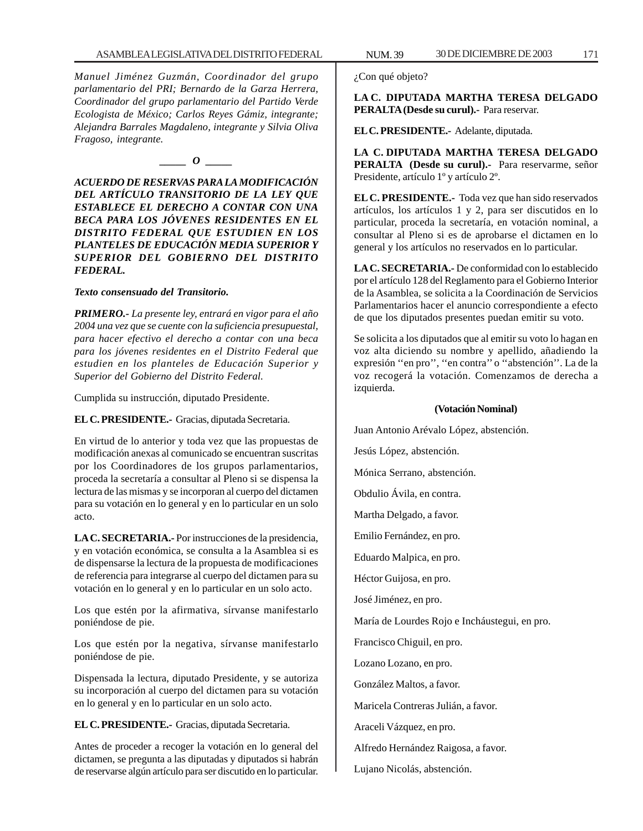*Manuel Jiménez Guzmán, Coordinador del grupo parlamentario del PRI; Bernardo de la Garza Herrera, Coordinador del grupo parlamentario del Partido Verde Ecologista de México; Carlos Reyes Gámiz, integrante; Alejandra Barrales Magdaleno, integrante y Silvia Oliva Fragoso, integrante.*

*\_\_\_\_\_ O \_\_\_\_\_*

*ACUERDO DE RESERVAS PARA LA MODIFICACIÓN DEL ARTÍCULO TRANSITORIO DE LA LEY QUE ESTABLECE EL DERECHO A CONTAR CON UNA BECA PARA LOS JÓVENES RESIDENTES EN EL DISTRITO FEDERAL QUE ESTUDIEN EN LOS PLANTELES DE EDUCACIÓN MEDIA SUPERIOR Y SUPERIOR DEL GOBIERNO DEL DISTRITO FEDERAL.*

#### *Texto consensuado del Transitorio.*

*PRIMERO.- La presente ley, entrará en vigor para el año 2004 una vez que se cuente con la suficiencia presupuestal, para hacer efectivo el derecho a contar con una beca para los jóvenes residentes en el Distrito Federal que estudien en los planteles de Educación Superior y Superior del Gobierno del Distrito Federal.*

Cumplida su instrucción, diputado Presidente.

**EL C. PRESIDENTE.-** Gracias, diputada Secretaria.

En virtud de lo anterior y toda vez que las propuestas de modificación anexas al comunicado se encuentran suscritas por los Coordinadores de los grupos parlamentarios, proceda la secretaría a consultar al Pleno si se dispensa la lectura de las mismas y se incorporan al cuerpo del dictamen para su votación en lo general y en lo particular en un solo acto.

**LA C. SECRETARIA.-** Por instrucciones de la presidencia, y en votación económica, se consulta a la Asamblea si es de dispensarse la lectura de la propuesta de modificaciones de referencia para integrarse al cuerpo del dictamen para su votación en lo general y en lo particular en un solo acto.

Los que estén por la afirmativa, sírvanse manifestarlo poniéndose de pie.

Los que estén por la negativa, sírvanse manifestarlo poniéndose de pie.

Dispensada la lectura, diputado Presidente, y se autoriza su incorporación al cuerpo del dictamen para su votación en lo general y en lo particular en un solo acto.

**EL C. PRESIDENTE.-** Gracias, diputada Secretaria.

Antes de proceder a recoger la votación en lo general del dictamen, se pregunta a las diputadas y diputados si habrán de reservarse algún artículo para ser discutido en lo particular.

¿Con qué objeto?

**LA C. DIPUTADA MARTHA TERESA DELGADO PERALTA (Desde su curul).-** Para reservar.

**EL C. PRESIDENTE.-** Adelante, diputada.

**LA C. DIPUTADA MARTHA TERESA DELGADO PERALTA (Desde su curul).-** Para reservarme, señor Presidente, artículo 1º y artículo 2º.

**EL C. PRESIDENTE.-** Toda vez que han sido reservados artículos, los artículos 1 y 2, para ser discutidos en lo particular, proceda la secretaría, en votación nominal, a consultar al Pleno si es de aprobarse el dictamen en lo general y los artículos no reservados en lo particular.

**LA C. SECRETARIA.-** De conformidad con lo establecido por el artículo 128 del Reglamento para el Gobierno Interior de la Asamblea, se solicita a la Coordinación de Servicios Parlamentarios hacer el anuncio correspondiente a efecto de que los diputados presentes puedan emitir su voto.

Se solicita a los diputados que al emitir su voto lo hagan en voz alta diciendo su nombre y apellido, añadiendo la expresión ''en pro'', ''en contra'' o ''abstención''. La de la voz recogerá la votación. Comenzamos de derecha a izquierda.

#### **(Votación Nominal)**

Juan Antonio Arévalo López, abstención.

Jesús López, abstención.

Mónica Serrano, abstención.

Obdulio Ávila, en contra.

Martha Delgado, a favor.

Emilio Fernández, en pro.

Eduardo Malpica, en pro.

Héctor Guijosa, en pro.

José Jiménez, en pro.

María de Lourdes Rojo e Incháustegui, en pro.

Francisco Chiguil, en pro.

Lozano Lozano, en pro.

González Maltos, a favor.

Maricela Contreras Julián, a favor.

Araceli Vázquez, en pro.

Alfredo Hernández Raigosa, a favor.

Lujano Nicolás, abstención.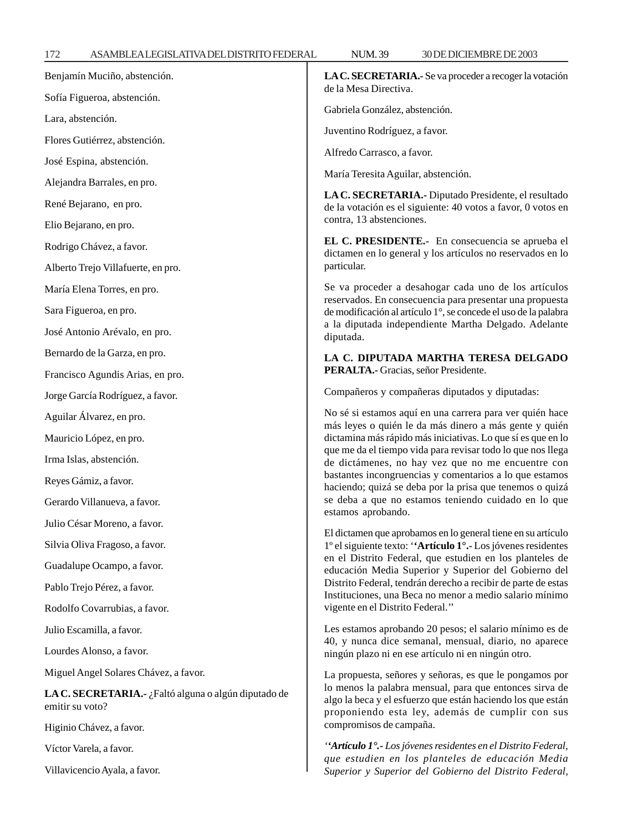| 172<br>ASAMBLEALEGISLATIVADELDISTRITO FEDERAL | <b>NUM.39</b><br>30 DE DICIEMBRE DE 2003                                                                                                                                                                                                                                        |  |  |
|-----------------------------------------------|---------------------------------------------------------------------------------------------------------------------------------------------------------------------------------------------------------------------------------------------------------------------------------|--|--|
| Benjamín Muciño, abstención.                  | LA C. SECRETARIA.- Se va proceder a recoger la votación<br>de la Mesa Directiva.<br>Gabriela González, abstención.<br>Juventino Rodríguez, a favor.<br>Alfredo Carrasco, a favor.<br>María Teresita Aguilar, abstención.                                                        |  |  |
| Sofía Figueroa, abstención.                   |                                                                                                                                                                                                                                                                                 |  |  |
| Lara, abstención.                             |                                                                                                                                                                                                                                                                                 |  |  |
| Flores Gutiérrez, abstención.                 |                                                                                                                                                                                                                                                                                 |  |  |
| José Espina, abstención.                      |                                                                                                                                                                                                                                                                                 |  |  |
| Alejandra Barrales, en pro.                   |                                                                                                                                                                                                                                                                                 |  |  |
| René Bejarano, en pro.                        | LA C. SECRETARIA.- Diputado Presidente, el resultado<br>de la votación es el siguiente: 40 votos a favor, 0 votos er                                                                                                                                                            |  |  |
| Elio Bejarano, en pro.                        | contra, 13 abstenciones.                                                                                                                                                                                                                                                        |  |  |
| Rodrigo Chávez, a favor.                      | EL C. PRESIDENTE.- En consecuencia se aprueba e<br>dictamen en lo general y los artículos no reservados en lo                                                                                                                                                                   |  |  |
| Alberto Trejo Villafuerte, en pro.            | particular.                                                                                                                                                                                                                                                                     |  |  |
| María Elena Torres, en pro.                   | Se va proceder a desahogar cada uno de los artículos                                                                                                                                                                                                                            |  |  |
| Sara Figueroa, en pro.                        | reservados. En consecuencia para presentar una propuesta<br>de modificación al artículo 1°, se concede el uso de la palabra<br>a la diputada independiente Martha Delgado. Adelante<br>diputada.                                                                                |  |  |
| José Antonio Arévalo, en pro.                 |                                                                                                                                                                                                                                                                                 |  |  |
| Bernardo de la Garza, en pro.                 | LA C. DIPUTADA MARTHA TERESA DELGADO                                                                                                                                                                                                                                            |  |  |
| Francisco Agundis Arias, en pro.              | PERALTA.- Gracias, señor Presidente.                                                                                                                                                                                                                                            |  |  |
| Jorge García Rodríguez, a favor.              | Compañeros y compañeras diputados y diputadas:                                                                                                                                                                                                                                  |  |  |
| Aguilar Álvarez, en pro.                      | No sé si estamos aquí en una carrera para ver quién hace                                                                                                                                                                                                                        |  |  |
| Mauricio López, en pro.                       | más leyes o quién le da más dinero a más gente y quiér<br>dictamina más rápido más iniciativas. Lo que sí es que en lo                                                                                                                                                          |  |  |
| Irma Islas, abstención.                       | que me da el tiempo vida para revisar todo lo que nos llega<br>de dictámenes, no hay vez que no me encuentre cor                                                                                                                                                                |  |  |
| Reyes Gámiz, a favor.                         | bastantes incongruencias y comentarios a lo que estamos<br>haciendo; quizá se deba por la prisa que tenemos o quiza                                                                                                                                                             |  |  |
| Gerardo Villanueva, a favor.                  | se deba a que no estamos teniendo cuidado en lo que<br>estamos aprobando.                                                                                                                                                                                                       |  |  |
| Julio César Moreno, a favor.                  |                                                                                                                                                                                                                                                                                 |  |  |
| Silvia Oliva Fragoso, a favor.                | El dictamen que aprobamos en lo general tiene en su artículo<br>1° el siguiente texto: "Artículo 1° .- Los jóvenes residentes                                                                                                                                                   |  |  |
| Guadalupe Ocampo, a favor.                    | en el Distrito Federal, que estudien en los planteles de<br>educación Media Superior y Superior del Gobierno de<br>Distrito Federal, tendrán derecho a recibir de parte de estas<br>Instituciones, una Beca no menor a medio salario mínimo<br>vigente en el Distrito Federal." |  |  |
| Pablo Trejo Pérez, a favor.                   |                                                                                                                                                                                                                                                                                 |  |  |
| Rodolfo Covarrubias, a favor.                 |                                                                                                                                                                                                                                                                                 |  |  |
| Julio Escamilla, a favor.                     | Les estamos aprobando 20 pesos; el salario mínimo es de                                                                                                                                                                                                                         |  |  |

Lourdes Alonso, a favor.

Miguel Angel Solares Chávez, a favor.

**LA C. SECRETARIA.-** ¿Faltó alguna o algún diputado de emitir su voto?

Higinio Chávez, a favor.

Víctor Varela, a favor.

Villavicencio Ayala, a favor.

# **LA C. SECRETARIA.-** Se va proceder a recoger la votación

# **LA C. DIPUTADA MARTHA TERESA DELGADO**

Les estamos aprobando 20 pesos; el salario mínimo es de 40, y nunca dice semanal, mensual, diario, no aparece ningún plazo ni en ese artículo ni en ningún otro.

La propuesta, señores y señoras, es que le pongamos por lo menos la palabra mensual, para que entonces sirva de algo la beca y el esfuerzo que están haciendo los que están proponiendo esta ley, además de cumplir con sus compromisos de campaña.

*''Artículo 1°.- Los jóvenes residentes en el Distrito Federal, que estudien en los planteles de educación Media Superior y Superior del Gobierno del Distrito Federal,*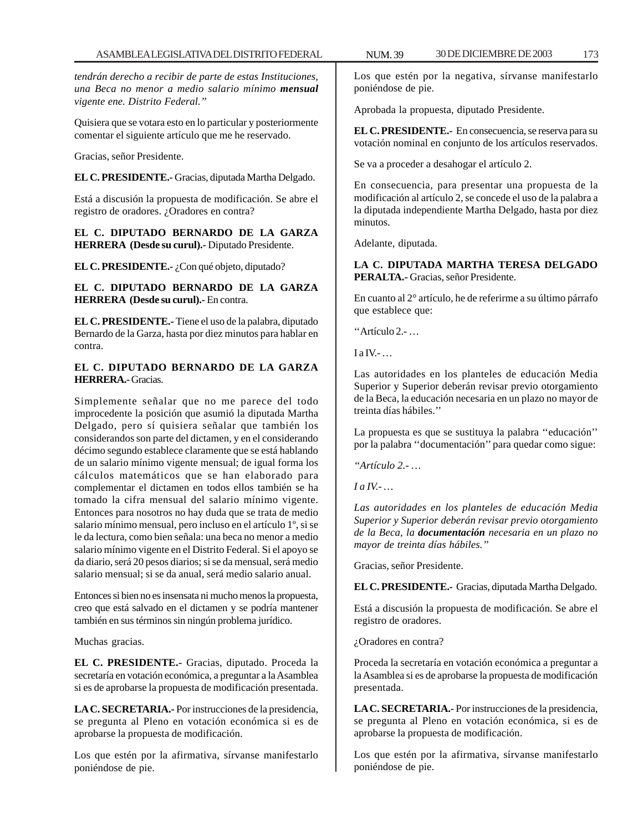*tendrán derecho a recibir de parte de estas Instituciones, una Beca no menor a medio salario mínimo mensual vigente ene. Distrito Federal.''*

Quisiera que se votara esto en lo particular y posteriormente comentar el siguiente artículo que me he reservado.

Gracias, señor Presidente.

**EL C. PRESIDENTE.-** Gracias, diputada Martha Delgado.

Está a discusión la propuesta de modificación. Se abre el registro de oradores. ¿Oradores en contra?

**EL C. DIPUTADO BERNARDO DE LA GARZA HERRERA (Desde su curul).-** Diputado Presidente.

**EL C. PRESIDENTE.-** ¿Con qué objeto, diputado?

**EL C. DIPUTADO BERNARDO DE LA GARZA HERRERA (Desde su curul).-** En contra.

**EL C. PRESIDENTE.-** Tiene el uso de la palabra, diputado Bernardo de la Garza, hasta por diez minutos para hablar en contra.

# **EL C. DIPUTADO BERNARDO DE LA GARZA HERRERA.-** Gracias.

Simplemente señalar que no me parece del todo improcedente la posición que asumió la diputada Martha Delgado, pero sí quisiera señalar que también los considerandos son parte del dictamen, y en el considerando décimo segundo establece claramente que se está hablando de un salario mínimo vigente mensual; de igual forma los cálculos matemáticos que se han elaborado para complementar el dictamen en todos ellos también se ha tomado la cifra mensual del salario mínimo vigente. Entonces para nosotros no hay duda que se trata de medio salario mínimo mensual, pero incluso en el artículo 1º, si se le da lectura, como bien señala: una beca no menor a medio salario mínimo vigente en el Distrito Federal. Si el apoyo se da diario, será 20 pesos diarios; si se da mensual, será medio salario mensual; si se da anual, será medio salario anual.

Entonces si bien no es insensata ni mucho menos la propuesta, creo que está salvado en el dictamen y se podría mantener también en sus términos sin ningún problema jurídico.

Muchas gracias.

**EL C. PRESIDENTE.-** Gracias, diputado. Proceda la secretaría en votación económica, a preguntar a la Asamblea si es de aprobarse la propuesta de modificación presentada.

**LA C. SECRETARIA.-** Por instrucciones de la presidencia, se pregunta al Pleno en votación económica si es de aprobarse la propuesta de modificación.

Los que estén por la afirmativa, sírvanse manifestarlo poniéndose de pie.

Los que estén por la negativa, sírvanse manifestarlo poniéndose de pie.

Aprobada la propuesta, diputado Presidente.

**EL C. PRESIDENTE.-** En consecuencia, se reserva para su votación nominal en conjunto de los artículos reservados.

Se va a proceder a desahogar el artículo 2.

En consecuencia, para presentar una propuesta de la modificación al artículo 2, se concede el uso de la palabra a la diputada independiente Martha Delgado, hasta por diez minutos.

Adelante, diputada.

**LA C. DIPUTADA MARTHA TERESA DELGADO PERALTA.-** Gracias, señor Presidente.

En cuanto al 2° artículo, he de referirme a su último párrafo que establece que:

''Artículo 2.- …

 $I$  a IV.-  $\ldots$ 

Las autoridades en los planteles de educación Media Superior y Superior deberán revisar previo otorgamiento de la Beca, la educación necesaria en un plazo no mayor de treinta días hábiles.''

La propuesta es que se sustituya la palabra ''educación'' por la palabra ''documentación'' para quedar como sigue:

*''Artículo 2.- …*

*I a IV.- …*

*Las autoridades en los planteles de educación Media Superior y Superior deberán revisar previo otorgamiento de la Beca, la documentación necesaria en un plazo no mayor de treinta días hábiles.''*

Gracias, señor Presidente.

**EL C. PRESIDENTE.-** Gracias, diputada Martha Delgado.

Está a discusión la propuesta de modificación. Se abre el registro de oradores.

¿Oradores en contra?

Proceda la secretaría en votación económica a preguntar a la Asamblea si es de aprobarse la propuesta de modificación presentada.

**LA C. SECRETARIA.-** Por instrucciones de la presidencia, se pregunta al Pleno en votación económica, si es de aprobarse la propuesta de modificación.

Los que estén por la afirmativa, sírvanse manifestarlo poniéndose de pie.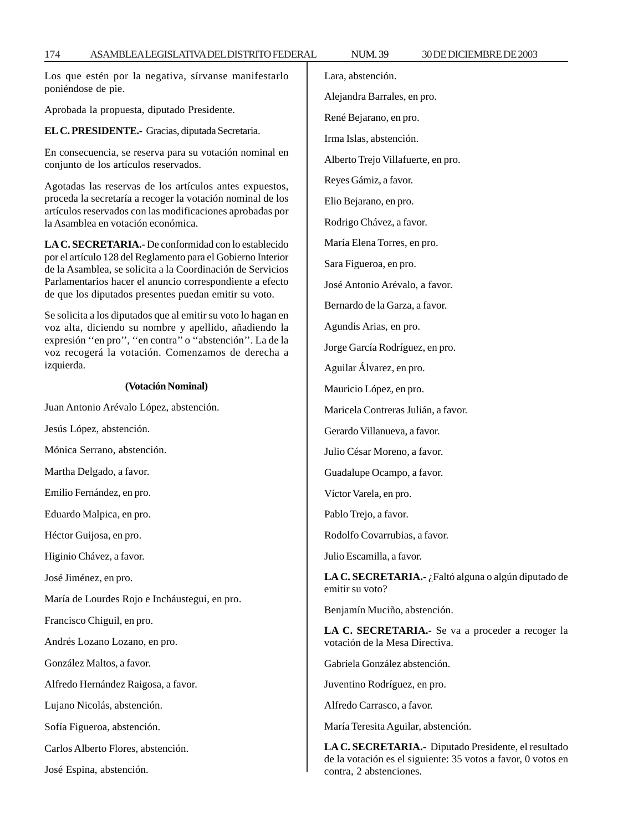Los que estén por la negativa, sírvanse manifestarlo poniéndose de pie.

Aprobada la propuesta, diputado Presidente.

**EL C. PRESIDENTE.-** Gracias, diputada Secretaria.

En consecuencia, se reserva para su votación nominal en conjunto de los artículos reservados.

Agotadas las reservas de los artículos antes expuestos, proceda la secretaría a recoger la votación nominal de los artículos reservados con las modificaciones aprobadas por la Asamblea en votación económica.

**LA C. SECRETARIA.-** De conformidad con lo establecido por el artículo 128 del Reglamento para el Gobierno Interior de la Asamblea, se solicita a la Coordinación de Servicios Parlamentarios hacer el anuncio correspondiente a efecto de que los diputados presentes puedan emitir su voto.

Se solicita a los diputados que al emitir su voto lo hagan en voz alta, diciendo su nombre y apellido, añadiendo la expresión ''en pro'', ''en contra'' o ''abstención''. La de la voz recogerá la votación. Comenzamos de derecha a izquierda.

### **(Votación Nominal)**

Juan Antonio Arévalo López, abstención.

Jesús López, abstención.

Mónica Serrano, abstención.

Martha Delgado, a favor.

Emilio Fernández, en pro.

Eduardo Malpica, en pro.

Héctor Guijosa, en pro.

Higinio Chávez, a favor.

José Jiménez, en pro.

María de Lourdes Rojo e Incháustegui, en pro.

Francisco Chiguil, en pro.

Andrés Lozano Lozano, en pro.

González Maltos, a favor.

Alfredo Hernández Raigosa, a favor.

Lujano Nicolás, abstención.

Sofía Figueroa, abstención.

Carlos Alberto Flores, abstención.

José Espina, abstención.

Lara, abstención.

Alejandra Barrales, en pro.

René Bejarano, en pro.

Irma Islas, abstención.

Alberto Trejo Villafuerte, en pro.

Reyes Gámiz, a favor.

Elio Bejarano, en pro.

Rodrigo Chávez, a favor.

María Elena Torres, en pro.

Sara Figueroa, en pro.

José Antonio Arévalo, a favor.

Bernardo de la Garza, a favor.

Agundis Arias, en pro.

Jorge García Rodríguez, en pro.

Aguilar Álvarez, en pro.

Mauricio López, en pro.

Maricela Contreras Julián, a favor.

Gerardo Villanueva, a favor.

Julio César Moreno, a favor.

Guadalupe Ocampo, a favor.

Víctor Varela, en pro.

Pablo Trejo, a favor.

Rodolfo Covarrubias, a favor.

Julio Escamilla, a favor.

**LA C. SECRETARIA.-** ¿Faltó alguna o algún diputado de emitir su voto?

Benjamín Muciño, abstención.

**LA C. SECRETARIA.-** Se va a proceder a recoger la votación de la Mesa Directiva.

Gabriela González abstención.

Juventino Rodríguez, en pro.

Alfredo Carrasco, a favor.

María Teresita Aguilar, abstención.

**LA C. SECRETARIA.-** Diputado Presidente, el resultado de la votación es el siguiente: 35 votos a favor, 0 votos en contra, 2 abstenciones.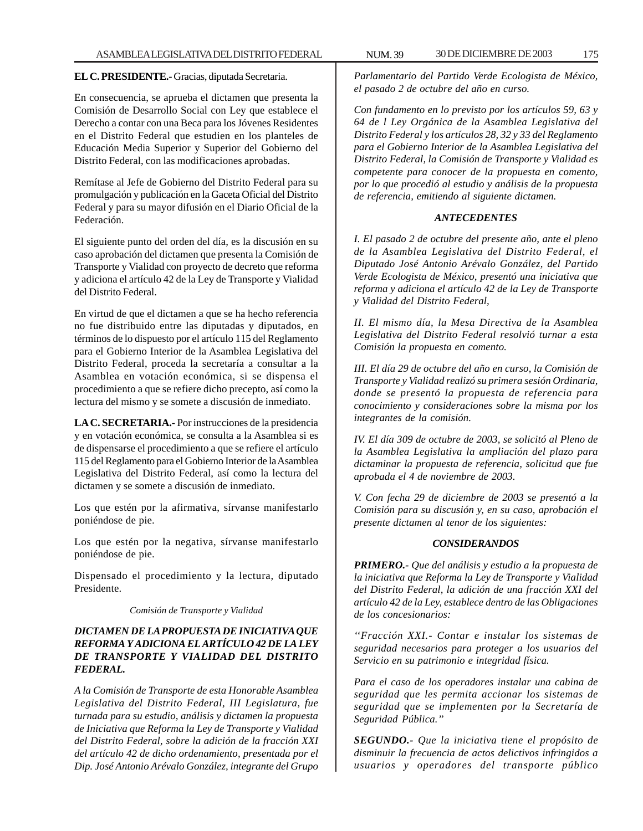#### **EL C. PRESIDENTE.-** Gracias, diputada Secretaria.

En consecuencia, se aprueba el dictamen que presenta la Comisión de Desarrollo Social con Ley que establece el Derecho a contar con una Beca para los Jóvenes Residentes en el Distrito Federal que estudien en los planteles de Educación Media Superior y Superior del Gobierno del Distrito Federal, con las modificaciones aprobadas.

Remítase al Jefe de Gobierno del Distrito Federal para su promulgación y publicación en la Gaceta Oficial del Distrito Federal y para su mayor difusión en el Diario Oficial de la Federación.

El siguiente punto del orden del día, es la discusión en su caso aprobación del dictamen que presenta la Comisión de Transporte y Vialidad con proyecto de decreto que reforma y adiciona el artículo 42 de la Ley de Transporte y Vialidad del Distrito Federal.

En virtud de que el dictamen a que se ha hecho referencia no fue distribuido entre las diputadas y diputados, en términos de lo dispuesto por el artículo 115 del Reglamento para el Gobierno Interior de la Asamblea Legislativa del Distrito Federal, proceda la secretaría a consultar a la Asamblea en votación económica, si se dispensa el procedimiento a que se refiere dicho precepto, así como la lectura del mismo y se somete a discusión de inmediato.

**LA C. SECRETARIA.-** Por instrucciones de la presidencia y en votación económica, se consulta a la Asamblea si es de dispensarse el procedimiento a que se refiere el artículo 115 del Reglamento para el Gobierno Interior de la Asamblea Legislativa del Distrito Federal, así como la lectura del dictamen y se somete a discusión de inmediato.

Los que estén por la afirmativa, sírvanse manifestarlo poniéndose de pie.

Los que estén por la negativa, sírvanse manifestarlo poniéndose de pie.

Dispensado el procedimiento y la lectura, diputado Presidente.

*Comisión de Transporte y Vialidad*

# *DICTAMEN DE LA PROPUESTA DE INICIATIVA QUE REFORMA Y ADICIONA EL ARTÍCULO 42 DE LA LEY DE TRANSPORTE Y VIALIDAD DEL DISTRITO FEDERAL.*

*A la Comisión de Transporte de esta Honorable Asamblea Legislativa del Distrito Federal, III Legislatura, fue turnada para su estudio, análisis y dictamen la propuesta de Iniciativa que Reforma la Ley de Transporte y Vialidad del Distrito Federal, sobre la adición de la fracción XXI del artículo 42 de dicho ordenamiento, presentada por el Dip. José Antonio Arévalo González, integrante del Grupo*

*Parlamentario del Partido Verde Ecologista de México, el pasado 2 de octubre del año en curso.*

*Con fundamento en lo previsto por los artículos 59, 63 y 64 de l Ley Orgánica de la Asamblea Legislativa del Distrito Federal y los artículos 28, 32 y 33 del Reglamento para el Gobierno Interior de la Asamblea Legislativa del Distrito Federal, la Comisión de Transporte y Vialidad es competente para conocer de la propuesta en comento, por lo que procedió al estudio y análisis de la propuesta de referencia, emitiendo al siguiente dictamen.*

#### *ANTECEDENTES*

*I. El pasado 2 de octubre del presente año, ante el pleno de la Asamblea Legislativa del Distrito Federal, el Diputado José Antonio Arévalo González, del Partido Verde Ecologista de México, presentó una iniciativa que reforma y adiciona el artículo 42 de la Ley de Transporte y Vialidad del Distrito Federal,*

*II. El mismo día, la Mesa Directiva de la Asamblea Legislativa del Distrito Federal resolvió turnar a esta Comisión la propuesta en comento.*

*III. El día 29 de octubre del año en curso, la Comisión de Transporte y Vialidad realizó su primera sesión Ordinaria, donde se presentó la propuesta de referencia para conocimiento y consideraciones sobre la misma por los integrantes de la comisión.*

*IV. El día 309 de octubre de 2003, se solicitó al Pleno de la Asamblea Legislativa la ampliación del plazo para dictaminar la propuesta de referencia, solicitud que fue aprobada el 4 de noviembre de 2003.*

*V. Con fecha 29 de diciembre de 2003 se presentó a la Comisión para su discusión y, en su caso, aprobación el presente dictamen al tenor de los siguientes:*

# *CONSIDERANDOS*

*PRIMERO.- Que del análisis y estudio a la propuesta de la iniciativa que Reforma la Ley de Transporte y Vialidad del Distrito Federal, la adición de una fracción XXI del artículo 42 de la Ley, establece dentro de las Obligaciones de los concesionarios:*

*''Fracción XXI.- Contar e instalar los sistemas de seguridad necesarios para proteger a los usuarios del Servicio en su patrimonio e integridad física.*

*Para el caso de los operadores instalar una cabina de seguridad que les permita accionar los sistemas de seguridad que se implementen por la Secretaría de Seguridad Pública.''*

*SEGUNDO.- Que la iniciativa tiene el propósito de disminuir la frecuencia de actos delictivos infringidos a usuarios y operadores del transporte público*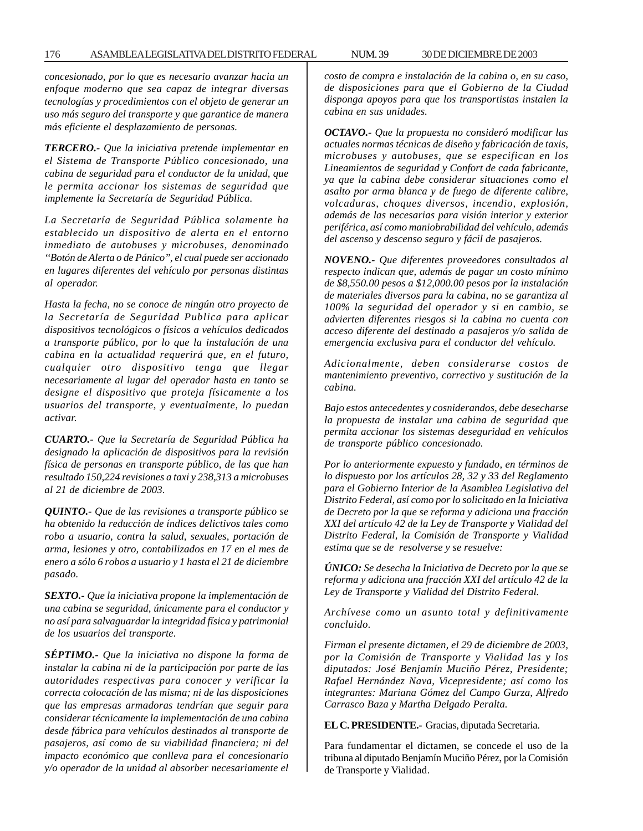*concesionado, por lo que es necesario avanzar hacia un enfoque moderno que sea capaz de integrar diversas tecnologías y procedimientos con el objeto de generar un uso más seguro del transporte y que garantice de manera más eficiente el desplazamiento de personas.*

*TERCERO.- Que la iniciativa pretende implementar en el Sistema de Transporte Público concesionado, una cabina de seguridad para el conductor de la unidad, que le permita accionar los sistemas de seguridad que implemente la Secretaría de Seguridad Pública.*

*La Secretaría de Seguridad Pública solamente ha establecido un dispositivo de alerta en el entorno inmediato de autobuses y microbuses, denominado ''Botón de Alerta o de Pánico'', el cual puede ser accionado en lugares diferentes del vehículo por personas distintas al operador.*

*Hasta la fecha, no se conoce de ningún otro proyecto de la Secretaría de Seguridad Publica para aplicar dispositivos tecnológicos o físicos a vehículos dedicados a transporte público, por lo que la instalación de una cabina en la actualidad requerirá que, en el futuro, cualquier otro dispositivo tenga que llegar necesariamente al lugar del operador hasta en tanto se designe el dispositivo que proteja físicamente a los usuarios del transporte, y eventualmente, lo puedan activar.*

*CUARTO.- Que la Secretaría de Seguridad Pública ha designado la aplicación de dispositivos para la revisión física de personas en transporte público, de las que han resultado 150,224 revisiones a taxi y 238,313 a microbuses al 21 de diciembre de 2003.*

*QUINTO.- Que de las revisiones a transporte público se ha obtenido la reducción de índices delictivos tales como robo a usuario, contra la salud, sexuales, portación de arma, lesiones y otro, contabilizados en 17 en el mes de enero a sólo 6 robos a usuario y 1 hasta el 21 de diciembre pasado.*

*SEXTO.- Que la iniciativa propone la implementación de una cabina se seguridad, únicamente para el conductor y no así para salvaguardar la integridad física y patrimonial de los usuarios del transporte.*

*SÉPTIMO.- Que la iniciativa no dispone la forma de instalar la cabina ni de la participación por parte de las autoridades respectivas para conocer y verificar la correcta colocación de las misma; ni de las disposiciones que las empresas armadoras tendrían que seguir para considerar técnicamente la implementación de una cabina desde fábrica para vehículos destinados al transporte de pasajeros, así como de su viabilidad financiera; ni del impacto económico que conlleva para el concesionario y/o operador de la unidad al absorber necesariamente el* *costo de compra e instalación de la cabina o, en su caso, de disposiciones para que el Gobierno de la Ciudad disponga apoyos para que los transportistas instalen la cabina en sus unidades.*

*OCTAVO.- Que la propuesta no consideró modificar las actuales normas técnicas de diseño y fabricación de taxis, microbuses y autobuses, que se especifican en los Lineamientos de seguridad y Confort de cada fabricante, ya que la cabina debe considerar situaciones como el asalto por arma blanca y de fuego de diferente calibre, volcaduras, choques diversos, incendio, explosión, además de las necesarias para visión interior y exterior periférica, así como maniobrabilidad del vehículo, además del ascenso y descenso seguro y fácil de pasajeros.*

*NOVENO.- Que diferentes proveedores consultados al respecto indican que, además de pagar un costo mínimo de \$8,550.00 pesos a \$12,000.00 pesos por la instalación de materiales diversos para la cabina, no se garantiza al 100% la seguridad del operador y si en cambio, se advierten diferentes riesgos si la cabina no cuenta con acceso diferente del destinado a pasajeros y/o salida de emergencia exclusiva para el conductor del vehículo.*

*Adicionalmente, deben considerarse costos de mantenimiento preventivo, correctivo y sustitución de la cabina.*

*Bajo estos antecedentes y cosniderandos, debe desecharse la propuesta de instalar una cabina de seguridad que permita accionar los sistemas deseguridad en vehículos de transporte público concesionado.*

*Por lo anteriormente expuesto y fundado, en términos de lo dispuesto por los artículos 28, 32 y 33 del Reglamento para el Gobierno Interior de la Asamblea Legislativa del Distrito Federal, así como por lo solicitado en la Iniciativa de Decreto por la que se reforma y adiciona una fracción XXI del artículo 42 de la Ley de Transporte y Vialidad del Distrito Federal, la Comisión de Transporte y Vialidad estima que se de resolverse y se resuelve:*

*ÚNICO: Se desecha la Iniciativa de Decreto por la que se reforma y adiciona una fracción XXI del artículo 42 de la Ley de Transporte y Vialidad del Distrito Federal.*

*Archívese como un asunto total y definitivamente concluido.*

*Firman el presente dictamen, el 29 de diciembre de 2003, por la Comisión de Transporte y Vialidad las y los diputados: José Benjamín Muciño Pérez, Presidente; Rafael Hernández Nava, Vicepresidente; así como los integrantes: Mariana Gómez del Campo Gurza, Alfredo Carrasco Baza y Martha Delgado Peralta.*

**EL C. PRESIDENTE.-** Gracias, diputada Secretaria.

Para fundamentar el dictamen, se concede el uso de la tribuna al diputado Benjamín Muciño Pérez, por la Comisión de Transporte y Vialidad.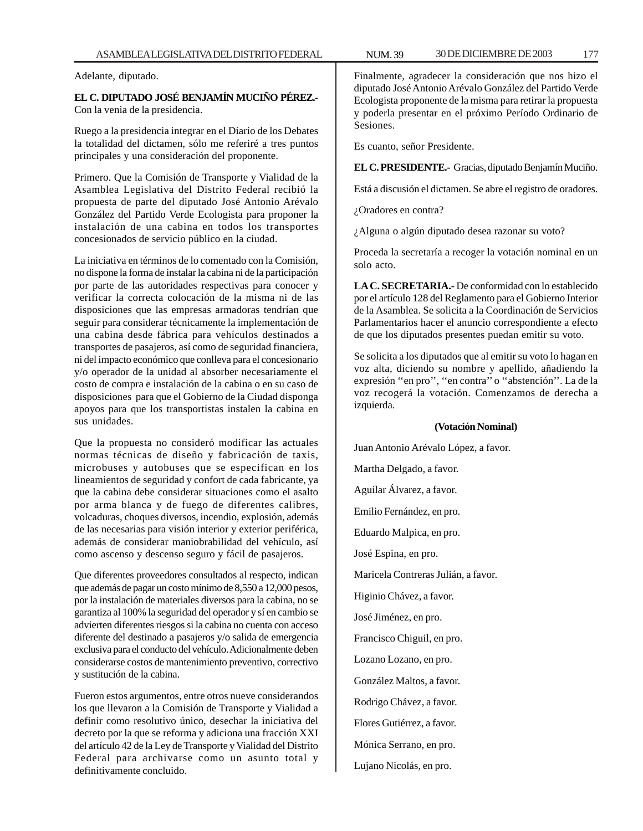Adelante, diputado.

**EL C. DIPUTADO JOSÉ BENJAMÍN MUCIÑO PÉREZ.-** Con la venia de la presidencia.

Ruego a la presidencia integrar en el Diario de los Debates la totalidad del dictamen, sólo me referiré a tres puntos principales y una consideración del proponente.

Primero. Que la Comisión de Transporte y Vialidad de la Asamblea Legislativa del Distrito Federal recibió la propuesta de parte del diputado José Antonio Arévalo González del Partido Verde Ecologista para proponer la instalación de una cabina en todos los transportes concesionados de servicio público en la ciudad.

La iniciativa en términos de lo comentado con la Comisión, no dispone la forma de instalar la cabina ni de la participación por parte de las autoridades respectivas para conocer y verificar la correcta colocación de la misma ni de las disposiciones que las empresas armadoras tendrían que seguir para considerar técnicamente la implementación de una cabina desde fábrica para vehículos destinados a transportes de pasajeros, así como de seguridad financiera, ni del impacto económico que conlleva para el concesionario y/o operador de la unidad al absorber necesariamente el costo de compra e instalación de la cabina o en su caso de disposiciones para que el Gobierno de la Ciudad disponga apoyos para que los transportistas instalen la cabina en sus unidades.

Que la propuesta no consideró modificar las actuales normas técnicas de diseño y fabricación de taxis, microbuses y autobuses que se especifican en los lineamientos de seguridad y confort de cada fabricante, ya que la cabina debe considerar situaciones como el asalto por arma blanca y de fuego de diferentes calibres, volcaduras, choques diversos, incendio, explosión, además de las necesarias para visión interior y exterior periférica, además de considerar maniobrabilidad del vehículo, así como ascenso y descenso seguro y fácil de pasajeros.

Que diferentes proveedores consultados al respecto, indican que además de pagar un costo mínimo de 8,550 a 12,000 pesos, por la instalación de materiales diversos para la cabina, no se garantiza al 100% la seguridad del operador y sí en cambio se advierten diferentes riesgos si la cabina no cuenta con acceso diferente del destinado a pasajeros y/o salida de emergencia exclusiva para el conducto del vehículo. Adicionalmente deben considerarse costos de mantenimiento preventivo, correctivo y sustitución de la cabina.

Fueron estos argumentos, entre otros nueve considerandos los que llevaron a la Comisión de Transporte y Vialidad a definir como resolutivo único, desechar la iniciativa del decreto por la que se reforma y adiciona una fracción XXI del artículo 42 de la Ley de Transporte y Vialidad del Distrito Federal para archivarse como un asunto total y definitivamente concluido.

Finalmente, agradecer la consideración que nos hizo el diputado José Antonio Arévalo González del Partido Verde Ecologista proponente de la misma para retirar la propuesta y poderla presentar en el próximo Período Ordinario de Sesiones.

Es cuanto, señor Presidente.

**EL C. PRESIDENTE.-** Gracias, diputado Benjamín Muciño.

Está a discusión el dictamen. Se abre el registro de oradores.

¿Oradores en contra?

¿Alguna o algún diputado desea razonar su voto?

Proceda la secretaría a recoger la votación nominal en un solo acto.

**LA C. SECRETARIA.-** De conformidad con lo establecido por el artículo 128 del Reglamento para el Gobierno Interior de la Asamblea. Se solicita a la Coordinación de Servicios Parlamentarios hacer el anuncio correspondiente a efecto de que los diputados presentes puedan emitir su voto.

Se solicita a los diputados que al emitir su voto lo hagan en voz alta, diciendo su nombre y apellido, añadiendo la expresión ''en pro'', ''en contra'' o ''abstención''. La de la voz recogerá la votación. Comenzamos de derecha a izquierda.

#### **(Votación Nominal)**

Juan Antonio Arévalo López, a favor. Martha Delgado, a favor. Aguilar Álvarez, a favor. Emilio Fernández, en pro. Eduardo Malpica, en pro. José Espina, en pro. Maricela Contreras Julián, a favor. Higinio Chávez, a favor. José Jiménez, en pro. Francisco Chiguil, en pro. Lozano Lozano, en pro. González Maltos, a favor. Rodrigo Chávez, a favor. Flores Gutiérrez, a favor. Mónica Serrano, en pro. Lujano Nicolás, en pro.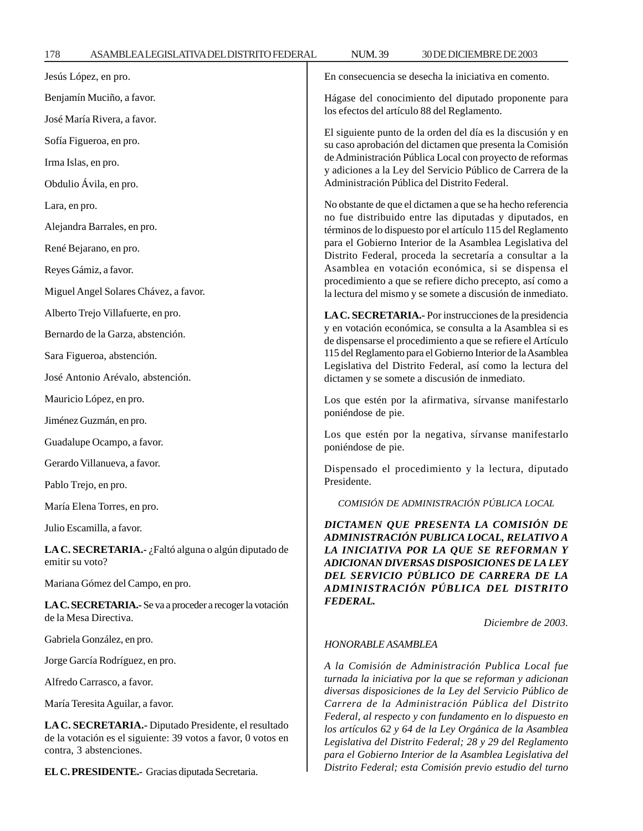| 178                                                                                                                                                                                    | ASAMBLEALEGISLATIVADELDISTRITO FEDERAL                                             | <b>NUM.39</b>                                                                                                                                                                                                                                                                                                                                                | 30 DE DICIEMBRE DE 2003                                     |  |                                                                        |                        |                                                                                                                                                                                                                                                                                                              |  |  |
|----------------------------------------------------------------------------------------------------------------------------------------------------------------------------------------|------------------------------------------------------------------------------------|--------------------------------------------------------------------------------------------------------------------------------------------------------------------------------------------------------------------------------------------------------------------------------------------------------------------------------------------------------------|-------------------------------------------------------------|--|------------------------------------------------------------------------|------------------------|--------------------------------------------------------------------------------------------------------------------------------------------------------------------------------------------------------------------------------------------------------------------------------------------------------------|--|--|
|                                                                                                                                                                                        | Jesús López, en pro.                                                               | En consecuencia se desecha la iniciativa en comento.                                                                                                                                                                                                                                                                                                         |                                                             |  |                                                                        |                        |                                                                                                                                                                                                                                                                                                              |  |  |
| Benjamín Muciño, a favor.<br>José María Rivera, a favor.<br>Sofía Figueroa, en pro.<br>Irma Islas, en pro.                                                                             |                                                                                    | Hágase del conocimiento del diputado proponente para<br>los efectos del artículo 88 del Reglamento.<br>El siguiente punto de la orden del día es la discusión y en<br>su caso aprobación del dictamen que presenta la Comisión<br>de Administración Pública Local con proyecto de reformas<br>y adiciones a la Ley del Servicio Público de Carrera de la     |                                                             |  |                                                                        |                        |                                                                                                                                                                                                                                                                                                              |  |  |
|                                                                                                                                                                                        |                                                                                    |                                                                                                                                                                                                                                                                                                                                                              |                                                             |  |                                                                        | Obdulio Ávila, en pro. | Administración Pública del Distrito Federal.                                                                                                                                                                                                                                                                 |  |  |
|                                                                                                                                                                                        |                                                                                    |                                                                                                                                                                                                                                                                                                                                                              |                                                             |  | Lara, en pro.<br>Alejandra Barrales, en pro.<br>René Bejarano, en pro. |                        | No obstante de que el dictamen a que se ha hecho referencia<br>no fue distribuido entre las diputadas y diputados, en<br>términos de lo dispuesto por el artículo 115 del Reglamento<br>para el Gobierno Interior de la Asamblea Legislativa del<br>Distrito Federal, proceda la secretaría a consultar a la |  |  |
|                                                                                                                                                                                        |                                                                                    |                                                                                                                                                                                                                                                                                                                                                              |                                                             |  |                                                                        |                        |                                                                                                                                                                                                                                                                                                              |  |  |
|                                                                                                                                                                                        | Miguel Angel Solares Chávez, a favor.                                              |                                                                                                                                                                                                                                                                                                                                                              | la lectura del mismo y se somete a discusión de inmediato.  |  |                                                                        |                        |                                                                                                                                                                                                                                                                                                              |  |  |
|                                                                                                                                                                                        | Alberto Trejo Villafuerte, en pro.                                                 |                                                                                                                                                                                                                                                                                                                                                              | LA C. SECRETARIA.- Por instrucciones de la presidencia      |  |                                                                        |                        |                                                                                                                                                                                                                                                                                                              |  |  |
|                                                                                                                                                                                        | Bernardo de la Garza, abstención.                                                  | y en votación económica, se consulta a la Asamblea si es<br>de dispensarse el procedimiento a que se refiere el Artículo                                                                                                                                                                                                                                     |                                                             |  |                                                                        |                        |                                                                                                                                                                                                                                                                                                              |  |  |
|                                                                                                                                                                                        | Sara Figueroa, abstención.                                                         |                                                                                                                                                                                                                                                                                                                                                              | 115 del Reglamento para el Gobierno Interior de la Asamblea |  |                                                                        |                        |                                                                                                                                                                                                                                                                                                              |  |  |
|                                                                                                                                                                                        | José Antonio Arévalo, abstención.                                                  | Legislativa del Distrito Federal, así como la lectura del<br>dictamen y se somete a discusión de inmediato.                                                                                                                                                                                                                                                  |                                                             |  |                                                                        |                        |                                                                                                                                                                                                                                                                                                              |  |  |
|                                                                                                                                                                                        | Mauricio López, en pro.                                                            | Los que estén por la afirmativa, sírvanse manifestarlo                                                                                                                                                                                                                                                                                                       |                                                             |  |                                                                        |                        |                                                                                                                                                                                                                                                                                                              |  |  |
|                                                                                                                                                                                        | Jiménez Guzmán, en pro.                                                            | poniéndose de pie.                                                                                                                                                                                                                                                                                                                                           |                                                             |  |                                                                        |                        |                                                                                                                                                                                                                                                                                                              |  |  |
|                                                                                                                                                                                        | Guadalupe Ocampo, a favor.                                                         | Los que estén por la negativa, sírvanse manifestarlo<br>poniéndose de pie.<br>Dispensado el procedimiento y la lectura, diputado<br>Presidente.                                                                                                                                                                                                              |                                                             |  |                                                                        |                        |                                                                                                                                                                                                                                                                                                              |  |  |
|                                                                                                                                                                                        | Gerardo Villanueva, a favor.                                                       |                                                                                                                                                                                                                                                                                                                                                              |                                                             |  |                                                                        |                        |                                                                                                                                                                                                                                                                                                              |  |  |
|                                                                                                                                                                                        | Pablo Trejo, en pro.                                                               |                                                                                                                                                                                                                                                                                                                                                              |                                                             |  |                                                                        |                        |                                                                                                                                                                                                                                                                                                              |  |  |
|                                                                                                                                                                                        | María Elena Torres, en pro.                                                        |                                                                                                                                                                                                                                                                                                                                                              | COMISIÓN DE ADMINISTRACIÓN PÚBLICA LOCAL                    |  |                                                                        |                        |                                                                                                                                                                                                                                                                                                              |  |  |
|                                                                                                                                                                                        | Julio Escamilla, a favor.                                                          |                                                                                                                                                                                                                                                                                                                                                              | DICTAMEN QUE PRESENTA LA COMISIÓN DE                        |  |                                                                        |                        |                                                                                                                                                                                                                                                                                                              |  |  |
| emitir su voto?                                                                                                                                                                        | LA C. SECRETARIA.- ¿Faltó alguna o algún diputado de                               | ADMINISTRACIÓN PUBLICA LOCAL, RELATIVO A<br>LA INICIATIVA POR LA QUE SE REFORMAN Y<br>ADICIONAN DIVERSAS DISPOSICIONES DE LA LEY<br>DEL SERVICIO PÚBLICO DE CARRERA DE LA<br>ADMINISTRACIÓN PÚBLICA DEL DISTRITO                                                                                                                                             |                                                             |  |                                                                        |                        |                                                                                                                                                                                                                                                                                                              |  |  |
|                                                                                                                                                                                        | Mariana Gómez del Campo, en pro.                                                   |                                                                                                                                                                                                                                                                                                                                                              |                                                             |  |                                                                        |                        |                                                                                                                                                                                                                                                                                                              |  |  |
|                                                                                                                                                                                        | LA C. SECRETARIA.- Se va a proceder a recoger la votación<br>de la Mesa Directiva. | <b>FEDERAL.</b><br>Diciembre de 2003.                                                                                                                                                                                                                                                                                                                        |                                                             |  |                                                                        |                        |                                                                                                                                                                                                                                                                                                              |  |  |
|                                                                                                                                                                                        | Gabriela González, en pro.                                                         | HONORABLE ASAMBLEA                                                                                                                                                                                                                                                                                                                                           |                                                             |  |                                                                        |                        |                                                                                                                                                                                                                                                                                                              |  |  |
|                                                                                                                                                                                        | Jorge García Rodríguez, en pro.                                                    | A la Comisión de Administración Publica Local fue                                                                                                                                                                                                                                                                                                            |                                                             |  |                                                                        |                        |                                                                                                                                                                                                                                                                                                              |  |  |
| Alfredo Carrasco, a favor.<br>María Teresita Aguilar, a favor.<br>LA C. SECRETARIA.- Diputado Presidente, el resultado<br>de la votación es el siguiente: 39 votos a favor, 0 votos en |                                                                                    | turnada la iniciativa por la que se reforman y adicionan<br>diversas disposiciones de la Ley del Servicio Público de<br>Carrera de la Administración Pública del Distrito<br>Federal, al respecto y con fundamento en lo dispuesto en<br>los artículos 62 y 64 de la Ley Orgánica de la Asamblea<br>Legislativa del Distrito Federal: 28 y 29 del Reglamento |                                                             |  |                                                                        |                        |                                                                                                                                                                                                                                                                                                              |  |  |

*Legislativa del Distrito Federal; 28 y 29 del Reglamento para el Gobierno Interior de la Asamblea Legislativa del Distrito Federal; esta Comisión previo estudio del turno*

**EL C. PRESIDENTE.-** Gracias diputada Secretaria.

contra, 3 abstenciones.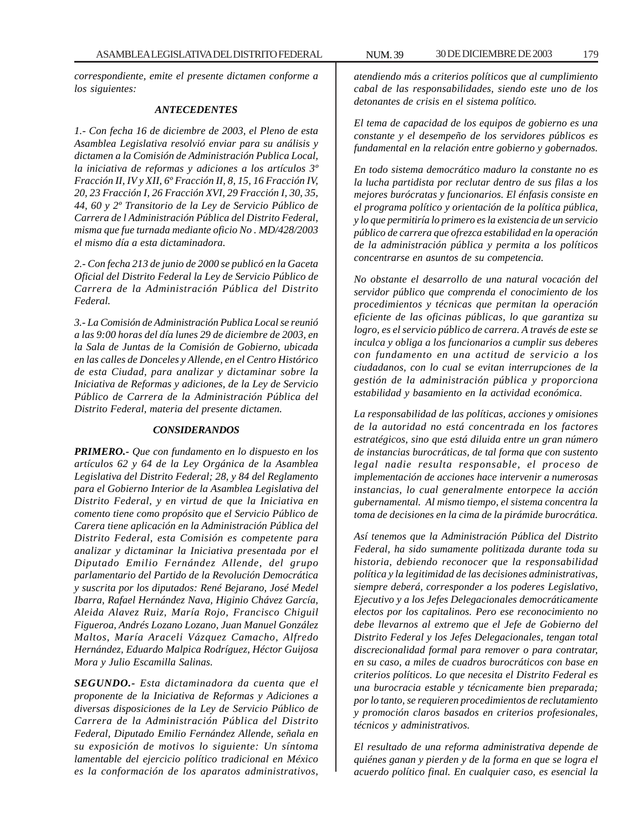*correspondiente, emite el presente dictamen conforme a los siguientes:*

#### *ANTECEDENTES*

*1.- Con fecha 16 de diciembre de 2003, el Pleno de esta Asamblea Legislativa resolvió enviar para su análisis y dictamen a la Comisión de Administración Publica Local, la iniciativa de reformas y adiciones a los artículos 3º Fracción II, IV y XII, 6º Fracción II, 8, 15, 16 Fracción IV, 20, 23 Fracción I, 26 Fracción XVI, 29 Fracción I, 30, 35, 44, 60 y 2º Transitorio de la Ley de Servicio Público de Carrera de l Administración Pública del Distrito Federal, misma que fue turnada mediante oficio No . MD/428/2003 el mismo día a esta dictaminadora.*

*2.- Con fecha 213 de junio de 2000 se publicó en la Gaceta Oficial del Distrito Federal la Ley de Servicio Público de Carrera de la Administración Pública del Distrito Federal.*

*3.- La Comisión de Administración Publica Local se reunió a las 9:00 horas del día lunes 29 de diciembre de 2003, en la Sala de Juntas de la Comisión de Gobierno, ubicada en las calles de Donceles y Allende, en el Centro Histórico de esta Ciudad, para analizar y dictaminar sobre la Iniciativa de Reformas y adiciones, de la Ley de Servicio Público de Carrera de la Administración Pública del Distrito Federal, materia del presente dictamen.*

#### *CONSIDERANDOS*

*PRIMERO.- Que con fundamento en lo dispuesto en los artículos 62 y 64 de la Ley Orgánica de la Asamblea Legislativa del Distrito Federal; 28, y 84 del Reglamento para el Gobierno Interior de la Asamblea Legislativa del Distrito Federal, y en virtud de que la Iniciativa en comento tiene como propósito que el Servicio Público de Carera tiene aplicación en la Administración Pública del Distrito Federal, esta Comisión es competente para analizar y dictaminar la Iniciativa presentada por el Diputado Emilio Fernández Allende, del grupo parlamentario del Partido de la Revolución Democrática y suscrita por los diputados: René Bejarano, José Medel Ibarra, Rafael Hernández Nava, Higinio Chávez García, Aleida Alavez Ruiz, María Rojo, Francisco Chiguil Figueroa, Andrés Lozano Lozano, Juan Manuel González Maltos, María Araceli Vázquez Camacho, Alfredo Hernández, Eduardo Malpica Rodríguez, Héctor Guijosa Mora y Julio Escamilla Salinas.*

*SEGUNDO.- Esta dictaminadora da cuenta que el proponente de la Iniciativa de Reformas y Adiciones a diversas disposiciones de la Ley de Servicio Público de Carrera de la Administración Pública del Distrito Federal, Diputado Emilio Fernández Allende, señala en su exposición de motivos lo siguiente: Un síntoma lamentable del ejercicio político tradicional en México es la conformación de los aparatos administrativos,*

*atendiendo más a criterios políticos que al cumplimiento cabal de las responsabilidades, siendo este uno de los detonantes de crisis en el sistema político.*

*El tema de capacidad de los equipos de gobierno es una constante y el desempeño de los servidores públicos es fundamental en la relación entre gobierno y gobernados.*

*En todo sistema democrático maduro la constante no es la lucha partidista por reclutar dentro de sus filas a los mejores burócratas y funcionarios. El énfasis consiste en el programa político y orientación de la política pública, y lo que permitiría lo primero es la existencia de un servicio público de carrera que ofrezca estabilidad en la operación de la administración pública y permita a los políticos concentrarse en asuntos de su competencia.*

*No obstante el desarrollo de una natural vocación del servidor público que comprenda el conocimiento de los procedimientos y técnicas que permitan la operación eficiente de las oficinas públicas, lo que garantiza su logro, es el servicio público de carrera. A través de este se inculca y obliga a los funcionarios a cumplir sus deberes con fundamento en una actitud de servicio a los ciudadanos, con lo cual se evitan interrupciones de la gestión de la administración pública y proporciona estabilidad y basamiento en la actividad económica.*

*La responsabilidad de las políticas, acciones y omisiones de la autoridad no está concentrada en los factores estratégicos, sino que está diluida entre un gran número de instancias burocráticas, de tal forma que con sustento legal nadie resulta responsable, el proceso de implementación de acciones hace intervenir a numerosas instancias, lo cual generalmente entorpece la acción gubernamental. Al mismo tiempo, el sistema concentra la toma de decisiones en la cima de la pirámide burocrática.*

*Así tenemos que la Administración Pública del Distrito Federal, ha sido sumamente politizada durante toda su historia, debiendo reconocer que la responsabilidad política y la legitimidad de las decisiones administrativas, siempre deberá, corresponder a los poderes Legislativo, Ejecutivo y a los Jefes Delegacionales democráticamente electos por los capitalinos. Pero ese reconocimiento no debe llevarnos al extremo que el Jefe de Gobierno del Distrito Federal y los Jefes Delegacionales, tengan total discrecionalidad formal para remover o para contratar, en su caso, a miles de cuadros burocráticos con base en criterios políticos. Lo que necesita el Distrito Federal es una burocracia estable y técnicamente bien preparada; por lo tanto, se requieren procedimientos de reclutamiento y promoción claros basados en criterios profesionales, técnicos y administrativos.*

*El resultado de una reforma administrativa depende de quiénes ganan y pierden y de la forma en que se logra el acuerdo político final. En cualquier caso, es esencial la*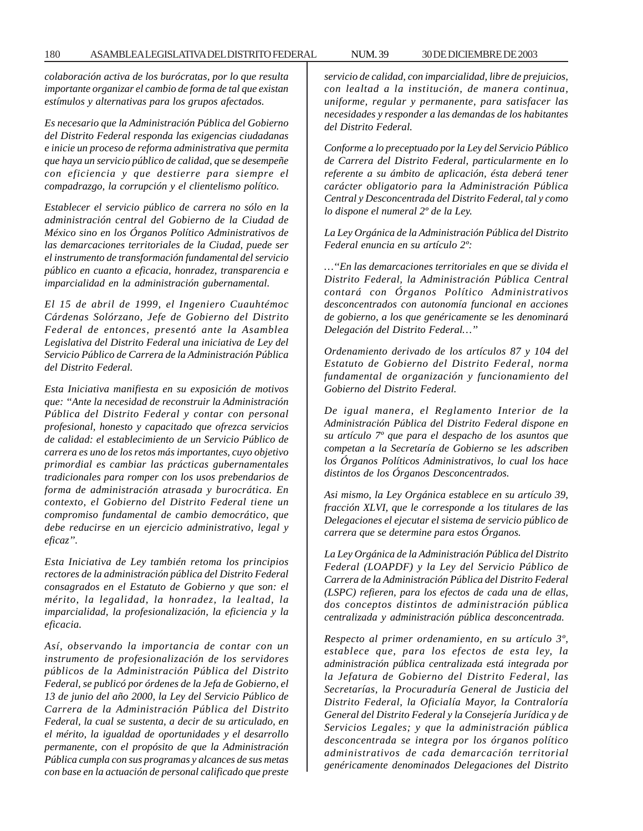*colaboración activa de los burócratas, por lo que resulta importante organizar el cambio de forma de tal que existan*

*Es necesario que la Administración Pública del Gobierno del Distrito Federal responda las exigencias ciudadanas e inicie un proceso de reforma administrativa que permita que haya un servicio público de calidad, que se desempeñe con eficiencia y que destierre para siempre el compadrazgo, la corrupción y el clientelismo político.*

*estímulos y alternativas para los grupos afectados.*

*Establecer el servicio público de carrera no sólo en la administración central del Gobierno de la Ciudad de México sino en los Órganos Político Administrativos de las demarcaciones territoriales de la Ciudad, puede ser el instrumento de transformación fundamental del servicio público en cuanto a eficacia, honradez, transparencia e imparcialidad en la administración gubernamental.*

*El 15 de abril de 1999, el Ingeniero Cuauhtémoc Cárdenas Solórzano, Jefe de Gobierno del Distrito Federal de entonces, presentó ante la Asamblea Legislativa del Distrito Federal una iniciativa de Ley del Servicio Público de Carrera de la Administración Pública del Distrito Federal.*

*Esta Iniciativa manifiesta en su exposición de motivos que: ''Ante la necesidad de reconstruir la Administración Pública del Distrito Federal y contar con personal profesional, honesto y capacitado que ofrezca servicios de calidad: el establecimiento de un Servicio Público de carrera es uno de los retos más importantes, cuyo objetivo primordial es cambiar las prácticas gubernamentales tradicionales para romper con los usos prebendarios de forma de administración atrasada y burocrática. En contexto, el Gobierno del Distrito Federal tiene un compromiso fundamental de cambio democrático, que debe reducirse en un ejercicio administrativo, legal y eficaz''.*

*Esta Iniciativa de Ley también retoma los principios rectores de la administración pública del Distrito Federal consagrados en el Estatuto de Gobierno y que son: el mérito, la legalidad, la honradez, la lealtad, la imparcialidad, la profesionalización, la eficiencia y la eficacia.*

*Así, observando la importancia de contar con un instrumento de profesionalización de los servidores públicos de la Administración Pública del Distrito Federal, se publicó por órdenes de la Jefa de Gobierno, el 13 de junio del año 2000, la Ley del Servicio Público de Carrera de la Administración Pública del Distrito Federal, la cual se sustenta, a decir de su articulado, en el mérito, la igualdad de oportunidades y el desarrollo permanente, con el propósito de que la Administración Pública cumpla con sus programas y alcances de sus metas con base en la actuación de personal calificado que preste*

*servicio de calidad, con imparcialidad, libre de prejuicios, con lealtad a la institución, de manera continua, uniforme, regular y permanente, para satisfacer las necesidades y responder a las demandas de los habitantes del Distrito Federal.*

*Conforme a lo preceptuado por la Ley del Servicio Público de Carrera del Distrito Federal, particularmente en lo referente a su ámbito de aplicación, ésta deberá tener carácter obligatorio para la Administración Pública Central y Desconcentrada del Distrito Federal, tal y como lo dispone el numeral 2º de la Ley.*

*La Ley Orgánica de la Administración Pública del Distrito Federal enuncia en su artículo 2º:*

*…''En las demarcaciones territoriales en que se divida el Distrito Federal, la Administración Pública Central contará con Órganos Político Administrativos desconcentrados con autonomía funcional en acciones de gobierno, a los que genéricamente se les denominará Delegación del Distrito Federal…''*

*Ordenamiento derivado de los artículos 87 y 104 del Estatuto de Gobierno del Distrito Federal, norma fundamental de organización y funcionamiento del Gobierno del Distrito Federal.*

*De igual manera, el Reglamento Interior de la Administración Pública del Distrito Federal dispone en su artículo 7º que para el despacho de los asuntos que competan a la Secretaría de Gobierno se les adscriben los Órganos Políticos Administrativos, lo cual los hace distintos de los Órganos Desconcentrados.*

*Asi mismo, la Ley Orgánica establece en su artículo 39, fracción XLVI, que le corresponde a los titulares de las Delegaciones el ejecutar el sistema de servicio público de carrera que se determine para estos Órganos.*

*La Ley Orgánica de la Administración Pública del Distrito Federal (LOAPDF) y la Ley del Servicio Público de Carrera de la Administración Pública del Distrito Federal (LSPC) refieren, para los efectos de cada una de ellas, dos conceptos distintos de administración pública centralizada y administración pública desconcentrada.*

*Respecto al primer ordenamiento, en su artículo 3º, establece que, para los efectos de esta ley, la administración pública centralizada está integrada por la Jefatura de Gobierno del Distrito Federal, las Secretarías, la Procuraduría General de Justicia del Distrito Federal, la Oficialía Mayor, la Contraloría General del Distrito Federal y la Consejería Jurídica y de Servicios Legales; y que la administración pública desconcentrada se integra por los órganos político administrativos de cada demarcación territorial genéricamente denominados Delegaciones del Distrito*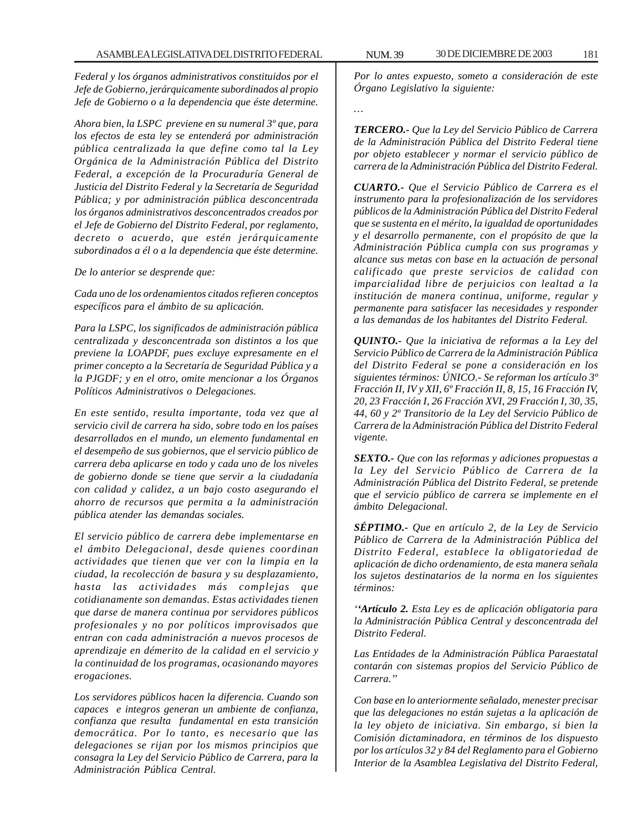*Federal y los órganos administrativos constituidos por el Jefe de Gobierno, jerárquicamente subordinados al propio Jefe de Gobierno o a la dependencia que éste determine.*

*Ahora bien, la LSPC previene en su numeral 3º que, para los efectos de esta ley se entenderá por administración pública centralizada la que define como tal la Ley Orgánica de la Administración Pública del Distrito Federal, a excepción de la Procuraduría General de Justicia del Distrito Federal y la Secretaría de Seguridad Pública; y por administración pública desconcentrada los órganos administrativos desconcentrados creados por el Jefe de Gobierno del Distrito Federal, por reglamento, decreto o acuerdo, que estén jerárquicamente subordinados a él o a la dependencia que éste determine.*

### *De lo anterior se desprende que:*

*Cada uno de los ordenamientos citados refieren conceptos específicos para el ámbito de su aplicación.*

*Para la LSPC, los significados de administración pública centralizada y desconcentrada son distintos a los que previene la LOAPDF, pues excluye expresamente en el primer concepto a la Secretaría de Seguridad Pública y a la PJGDF; y en el otro, omite mencionar a los Órganos Políticos Administrativos o Delegaciones.*

*En este sentido, resulta importante, toda vez que al servicio civil de carrera ha sido, sobre todo en los países desarrollados en el mundo, un elemento fundamental en el desempeño de sus gobiernos, que el servicio público de carrera deba aplicarse en todo y cada uno de los niveles de gobierno donde se tiene que servir a la ciudadanía con calidad y calidez, a un bajo costo asegurando el ahorro de recursos que permita a la administración pública atender las demandas sociales.*

*El servicio público de carrera debe implementarse en el ámbito Delegacional, desde quienes coordinan actividades que tienen que ver con la limpia en la ciudad, la recolección de basura y su desplazamiento, hasta las actividades más complejas que cotidianamente son demandas. Estas actividades tienen que darse de manera continua por servidores públicos profesionales y no por políticos improvisados que entran con cada administración a nuevos procesos de aprendizaje en démerito de la calidad en el servicio y la continuidad de los programas, ocasionando mayores erogaciones.*

*Los servidores públicos hacen la diferencia. Cuando son capaces e integros generan un ambiente de confianza, confianza que resulta fundamental en esta transición democrática. Por lo tanto, es necesario que las delegaciones se rijan por los mismos principios que consagra la Ley del Servicio Público de Carrera, para la Administración Pública Central.*

*Por lo antes expuesto, someto a consideración de este Órgano Legislativo la siguiente:*

*…*

*TERCERO.- Que la Ley del Servicio Público de Carrera de la Administración Pública del Distrito Federal tiene por objeto establecer y normar el servicio público de carrera de la Administración Pública del Distrito Federal.*

*CUARTO.- Que el Servicio Público de Carrera es el instrumento para la profesionalización de los servidores públicos de la Administración Pública del Distrito Federal que se sustenta en el mérito, la igualdad de oportunidades y el desarrollo permanente, con el propósito de que la Administración Pública cumpla con sus programas y alcance sus metas con base en la actuación de personal calificado que preste servicios de calidad con imparcialidad libre de perjuicios con lealtad a la institución de manera continua, uniforme, regular y permanente para satisfacer las necesidades y responder a las demandas de los habitantes del Distrito Federal.*

*QUINTO.- Que la iniciativa de reformas a la Ley del Servicio Público de Carrera de la Administración Pública del Distrito Federal se pone a consideración en los siguientes términos: ÚNICO.- Se reforman los artículo 3º Fracción II, IV y XII, 6º Fracción II, 8, 15, 16 Fracción IV, 20, 23 Fracción I, 26 Fracción XVI, 29 Fracción I, 30, 35, 44, 60 y 2º Transitorio de la Ley del Servicio Público de Carrera de la Administración Pública del Distrito Federal vigente.*

*SEXTO.- Que con las reformas y adiciones propuestas a la Ley del Servicio Público de Carrera de la Administración Pública del Distrito Federal, se pretende que el servicio público de carrera se implemente en el ámbito Delegacional.*

*SÉPTIMO.- Que en artículo 2, de la Ley de Servicio Público de Carrera de la Administración Pública del Distrito Federal, establece la obligatoriedad de aplicación de dicho ordenamiento, de esta manera señala los sujetos destinatarios de la norma en los siguientes términos:*

*''Artículo 2. Esta Ley es de aplicación obligatoria para la Administración Pública Central y desconcentrada del Distrito Federal.*

*Las Entidades de la Administración Pública Paraestatal contarán con sistemas propios del Servicio Público de Carrera.''*

*Con base en lo anteriormente señalado, menester precisar que las delegaciones no están sujetas a la aplicación de la ley objeto de iniciativa. Sin embargo, si bien la Comisión dictaminadora, en términos de los dispuesto por los artículos 32 y 84 del Reglamento para el Gobierno Interior de la Asamblea Legislativa del Distrito Federal,*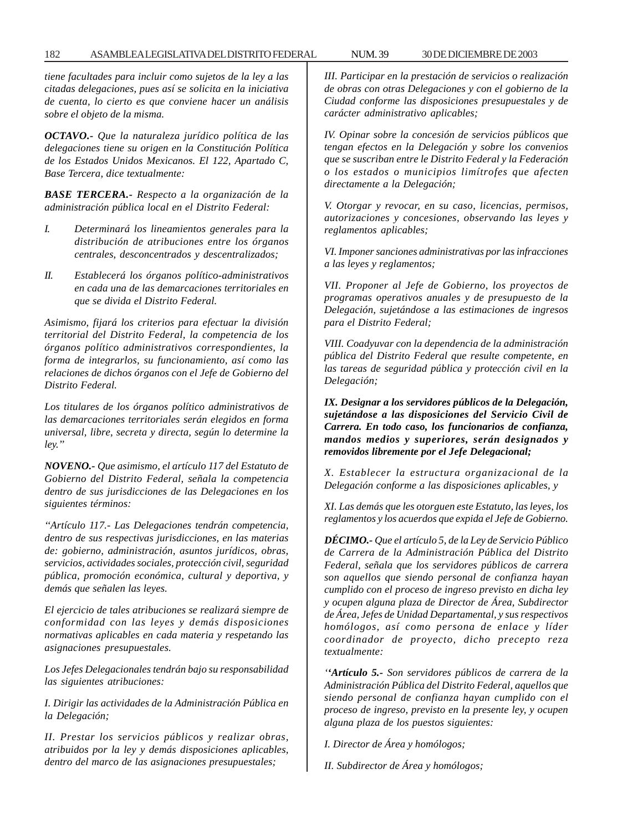## 182 ASAMBLEA LEGISLATIVA DEL DISTRITO FEDERAL NUM. 39 30 DE DICIEMBRE DE 2003

*tiene facultades para incluir como sujetos de la ley a las citadas delegaciones, pues así se solicita en la iniciativa de cuenta, lo cierto es que conviene hacer un análisis sobre el objeto de la misma.*

*OCTAVO.- Que la naturaleza jurídico política de las delegaciones tiene su origen en la Constitución Política de los Estados Unidos Mexicanos. El 122, Apartado C, Base Tercera, dice textualmente:*

*BASE TERCERA.- Respecto a la organización de la administración pública local en el Distrito Federal:*

- *I. Determinará los lineamientos generales para la distribución de atribuciones entre los órganos centrales, desconcentrados y descentralizados;*
- *II. Establecerá los órganos político-administrativos en cada una de las demarcaciones territoriales en que se divida el Distrito Federal.*

*Asimismo, fijará los criterios para efectuar la división territorial del Distrito Federal, la competencia de los órganos político administrativos correspondientes, la forma de integrarlos, su funcionamiento, así como las relaciones de dichos órganos con el Jefe de Gobierno del Distrito Federal.*

*Los titulares de los órganos político administrativos de las demarcaciones territoriales serán elegidos en forma universal, libre, secreta y directa, según lo determine la ley.''*

*NOVENO.- Que asimismo, el artículo 117 del Estatuto de Gobierno del Distrito Federal, señala la competencia dentro de sus jurisdicciones de las Delegaciones en los siguientes términos:*

*''Artículo 117.- Las Delegaciones tendrán competencia, dentro de sus respectivas jurisdicciones, en las materias de: gobierno, administración, asuntos jurídicos, obras, servicios, actividades sociales, protección civil, seguridad pública, promoción económica, cultural y deportiva, y demás que señalen las leyes.*

*El ejercicio de tales atribuciones se realizará siempre de conformidad con las leyes y demás disposiciones normativas aplicables en cada materia y respetando las asignaciones presupuestales.*

*Los Jefes Delegacionales tendrán bajo su responsabilidad las siguientes atribuciones:*

*I. Dirigir las actividades de la Administración Pública en la Delegación;*

*II. Prestar los servicios públicos y realizar obras, atribuidos por la ley y demás disposiciones aplicables, dentro del marco de las asignaciones presupuestales;*

*III. Participar en la prestación de servicios o realización de obras con otras Delegaciones y con el gobierno de la Ciudad conforme las disposiciones presupuestales y de carácter administrativo aplicables;*

*IV. Opinar sobre la concesión de servicios públicos que tengan efectos en la Delegación y sobre los convenios que se suscriban entre le Distrito Federal y la Federación o los estados o municipios limítrofes que afecten directamente a la Delegación;*

*V. Otorgar y revocar, en su caso, licencias, permisos, autorizaciones y concesiones, observando las leyes y reglamentos aplicables;*

*VI. Imponer sanciones administrativas por las infracciones a las leyes y reglamentos;*

*VII. Proponer al Jefe de Gobierno, los proyectos de programas operativos anuales y de presupuesto de la Delegación, sujetándose a las estimaciones de ingresos para el Distrito Federal;*

*VIII. Coadyuvar con la dependencia de la administración pública del Distrito Federal que resulte competente, en las tareas de seguridad pública y protección civil en la Delegación;*

*IX. Designar a los servidores públicos de la Delegación, sujetándose a las disposiciones del Servicio Civil de Carrera. En todo caso, los funcionarios de confianza, mandos medios y superiores, serán designados y removidos libremente por el Jefe Delegacional;*

*X. Establecer la estructura organizacional de la Delegación conforme a las disposiciones aplicables, y*

*XI. Las demás que les otorguen este Estatuto, las leyes, los reglamentos y los acuerdos que expida el Jefe de Gobierno.*

*DÉCIMO.- Que el artículo 5, de la Ley de Servicio Público de Carrera de la Administración Pública del Distrito Federal, señala que los servidores públicos de carrera son aquellos que siendo personal de confianza hayan cumplido con el proceso de ingreso previsto en dicha ley y ocupen alguna plaza de Director de Área, Subdirector de Área, Jefes de Unidad Departamental, y sus respectivos homólogos, así como persona de enlace y líder coordinador de proyecto, dicho precepto reza textualmente:*

*''Artículo 5.- Son servidores públicos de carrera de la Administración Pública del Distrito Federal, aquellos que siendo personal de confianza hayan cumplido con el proceso de ingreso, previsto en la presente ley, y ocupen alguna plaza de los puestos siguientes:*

*I. Director de Área y homólogos;*

*II. Subdirector de Área y homólogos;*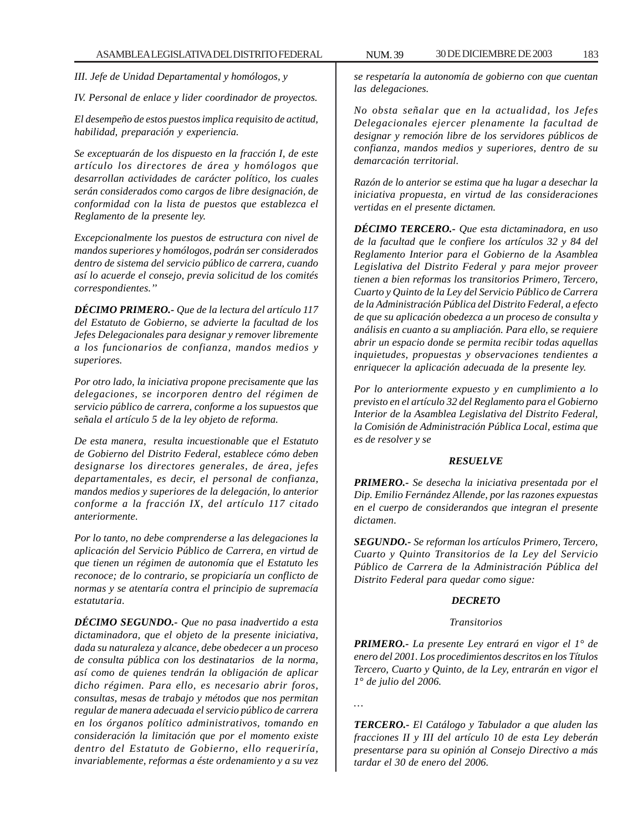*III. Jefe de Unidad Departamental y homólogos, y*

*IV. Personal de enlace y lider coordinador de proyectos.*

*El desempeño de estos puestos implica requisito de actitud, habilidad, preparación y experiencia.*

*Se exceptuarán de los dispuesto en la fracción I, de este artículo los directores de área y homólogos que desarrollan actividades de carácter político, los cuales serán considerados como cargos de libre designación, de conformidad con la lista de puestos que establezca el Reglamento de la presente ley.*

*Excepcionalmente los puestos de estructura con nivel de mandos superiores y homólogos, podrán ser considerados dentro de sistema del servicio público de carrera, cuando así lo acuerde el consejo, previa solicitud de los comités correspondientes.''*

*DÉCIMO PRIMERO.- Que de la lectura del artículo 117 del Estatuto de Gobierno, se advierte la facultad de los Jefes Delegacionales para designar y remover libremente a los funcionarios de confianza, mandos medios y superiores.*

*Por otro lado, la iniciativa propone precisamente que las delegaciones, se incorporen dentro del régimen de servicio público de carrera, conforme a los supuestos que señala el artículo 5 de la ley objeto de reforma.*

*De esta manera, resulta incuestionable que el Estatuto de Gobierno del Distrito Federal, establece cómo deben designarse los directores generales, de área, jefes departamentales, es decir, el personal de confianza, mandos medios y superiores de la delegación, lo anterior conforme a la fracción IX, del artículo 117 citado anteriormente.*

*Por lo tanto, no debe comprenderse a las delegaciones la aplicación del Servicio Público de Carrera, en virtud de que tienen un régimen de autonomía que el Estatuto les reconoce; de lo contrario, se propiciaría un conflicto de normas y se atentaría contra el principio de supremacía estatutaria.*

*DÉCIMO SEGUNDO.- Que no pasa inadvertido a esta dictaminadora, que el objeto de la presente iniciativa, dada su naturaleza y alcance, debe obedecer a un proceso de consulta pública con los destinatarios de la norma, así como de quienes tendrán la obligación de aplicar dicho régimen. Para ello, es necesario abrir foros, consultas, mesas de trabajo y métodos que nos permitan regular de manera adecuada el servicio público de carrera en los órganos político administrativos, tomando en consideración la limitación que por el momento existe dentro del Estatuto de Gobierno, ello requeriría, invariablemente, reformas a éste ordenamiento y a su vez*

*se respetaría la autonomía de gobierno con que cuentan las delegaciones.*

*No obsta señalar que en la actualidad, los Jefes Delegacionales ejercer plenamente la facultad de designar y remoción libre de los servidores públicos de confianza, mandos medios y superiores, dentro de su demarcación territorial.*

*Razón de lo anterior se estima que ha lugar a desechar la iniciativa propuesta, en virtud de las consideraciones vertidas en el presente dictamen.*

*DÉCIMO TERCERO.- Que esta dictaminadora, en uso de la facultad que le confiere los artículos 32 y 84 del Reglamento Interior para el Gobierno de la Asamblea Legislativa del Distrito Federal y para mejor proveer tienen a bien reformas los transitorios Primero, Tercero, Cuarto y Quinto de la Ley del Servicio Público de Carrera de la Administración Pública del Distrito Federal, a efecto de que su aplicación obedezca a un proceso de consulta y análisis en cuanto a su ampliación. Para ello, se requiere abrir un espacio donde se permita recibir todas aquellas inquietudes, propuestas y observaciones tendientes a enriquecer la aplicación adecuada de la presente ley.*

*Por lo anteriormente expuesto y en cumplimiento a lo previsto en el artículo 32 del Reglamento para el Gobierno Interior de la Asamblea Legislativa del Distrito Federal, la Comisión de Administración Pública Local, estima que es de resolver y se*

## *RESUELVE*

*PRIMERO.- Se desecha la iniciativa presentada por el Dip. Emilio Fernández Allende, por las razones expuestas en el cuerpo de considerandos que integran el presente dictamen.*

*SEGUNDO.- Se reforman los artículos Primero, Tercero, Cuarto y Quinto Transitorios de la Ley del Servicio Público de Carrera de la Administración Pública del Distrito Federal para quedar como sigue:*

## *DECRETO*

## *Transitorios*

*PRIMERO.- La presente Ley entrará en vigor el 1° de enero del 2001. Los procedimientos descritos en los Títulos Tercero, Cuarto y Quinto, de la Ley, entrarán en vigor el 1° de julio del 2006.*

*…*

*TERCERO.- El Catálogo y Tabulador a que aluden las fracciones II y III del artículo 10 de esta Ley deberán presentarse para su opinión al Consejo Directivo a más tardar el 30 de enero del 2006.*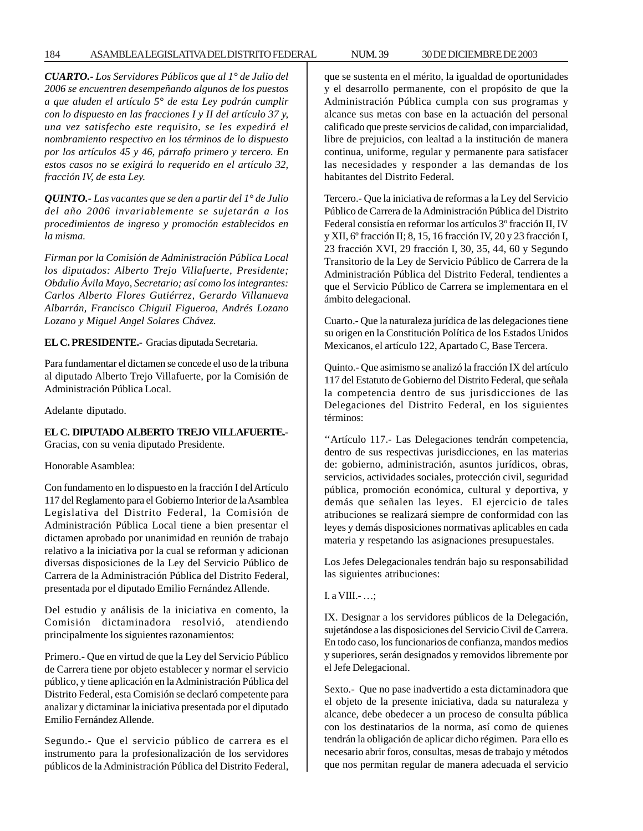# 184 ASAMBLEA LEGISLATIVA DEL DISTRITO FEDERAL NUM. 39 30 DE DICIEMBRE DE 2003

*CUARTO.- Los Servidores Públicos que al 1° de Julio del 2006 se encuentren desempeñando algunos de los puestos a que aluden el artículo 5° de esta Ley podrán cumplir con lo dispuesto en las fracciones I y II del artículo 37 y, una vez satisfecho este requisito, se les expedirá el nombramiento respectivo en los términos de lo dispuesto por los artículos 45 y 46, párrafo primero y tercero. En estos casos no se exigirá lo requerido en el artículo 32, fracción IV, de esta Ley.*

*QUINTO.- Las vacantes que se den a partir del 1° de Julio del año 2006 invariablemente se sujetarán a los procedimientos de ingreso y promoción establecidos en la misma.*

*Firman por la Comisión de Administración Pública Local los diputados: Alberto Trejo Villafuerte, Presidente; Obdulio Ávila Mayo, Secretario; así como los integrantes: Carlos Alberto Flores Gutiérrez, Gerardo Villanueva Albarrán, Francisco Chiguil Figueroa, Andrés Lozano Lozano y Miguel Angel Solares Chávez.*

# **EL C. PRESIDENTE.-** Gracias diputada Secretaria.

Para fundamentar el dictamen se concede el uso de la tribuna al diputado Alberto Trejo Villafuerte, por la Comisión de Administración Pública Local.

Adelante diputado.

# **EL C. DIPUTADO ALBERTO TREJO VILLAFUERTE.-** Gracias, con su venia diputado Presidente.

# Honorable Asamblea:

Con fundamento en lo dispuesto en la fracción I del Artículo 117 del Reglamento para el Gobierno Interior de la Asamblea Legislativa del Distrito Federal, la Comisión de Administración Pública Local tiene a bien presentar el dictamen aprobado por unanimidad en reunión de trabajo relativo a la iniciativa por la cual se reforman y adicionan diversas disposiciones de la Ley del Servicio Público de Carrera de la Administración Pública del Distrito Federal, presentada por el diputado Emilio Fernández Allende.

Del estudio y análisis de la iniciativa en comento, la Comisión dictaminadora resolvió, atendiendo principalmente los siguientes razonamientos:

Primero.- Que en virtud de que la Ley del Servicio Público de Carrera tiene por objeto establecer y normar el servicio público, y tiene aplicación en la Administración Pública del Distrito Federal, esta Comisión se declaró competente para analizar y dictaminar la iniciativa presentada por el diputado Emilio Fernández Allende.

Segundo.- Que el servicio público de carrera es el instrumento para la profesionalización de los servidores públicos de la Administración Pública del Distrito Federal, que se sustenta en el mérito, la igualdad de oportunidades y el desarrollo permanente, con el propósito de que la Administración Pública cumpla con sus programas y alcance sus metas con base en la actuación del personal calificado que preste servicios de calidad, con imparcialidad, libre de prejuicios, con lealtad a la institución de manera continua, uniforme, regular y permanente para satisfacer las necesidades y responder a las demandas de los habitantes del Distrito Federal.

Tercero.- Que la iniciativa de reformas a la Ley del Servicio Público de Carrera de la Administración Pública del Distrito Federal consistía en reformar los artículos 3º fracción II, IV y XII, 6º fracción II; 8, 15, 16 fracción IV, 20 y 23 fracción I, 23 fracción XVI, 29 fracción I, 30, 35, 44, 60 y Segundo Transitorio de la Ley de Servicio Público de Carrera de la Administración Pública del Distrito Federal, tendientes a que el Servicio Público de Carrera se implementara en el ámbito delegacional.

Cuarto.- Que la naturaleza jurídica de las delegaciones tiene su origen en la Constitución Política de los Estados Unidos Mexicanos, el artículo 122, Apartado C, Base Tercera.

Quinto.- Que asimismo se analizó la fracción IX del artículo 117 del Estatuto de Gobierno del Distrito Federal, que señala la competencia dentro de sus jurisdicciones de las Delegaciones del Distrito Federal, en los siguientes términos:

''Artículo 117.- Las Delegaciones tendrán competencia, dentro de sus respectivas jurisdicciones, en las materias de: gobierno, administración, asuntos jurídicos, obras, servicios, actividades sociales, protección civil, seguridad pública, promoción económica, cultural y deportiva, y demás que señalen las leyes. El ejercicio de tales atribuciones se realizará siempre de conformidad con las leyes y demás disposiciones normativas aplicables en cada materia y respetando las asignaciones presupuestales.

Los Jefes Delegacionales tendrán bajo su responsabilidad las siguientes atribuciones:

# I. a VIII.- …;

IX. Designar a los servidores públicos de la Delegación, sujetándose a las disposiciones del Servicio Civil de Carrera. En todo caso, los funcionarios de confianza, mandos medios y superiores, serán designados y removidos libremente por el Jefe Delegacional.

Sexto.- Que no pase inadvertido a esta dictaminadora que el objeto de la presente iniciativa, dada su naturaleza y alcance, debe obedecer a un proceso de consulta pública con los destinatarios de la norma, así como de quienes tendrán la obligación de aplicar dicho régimen. Para ello es necesario abrir foros, consultas, mesas de trabajo y métodos que nos permitan regular de manera adecuada el servicio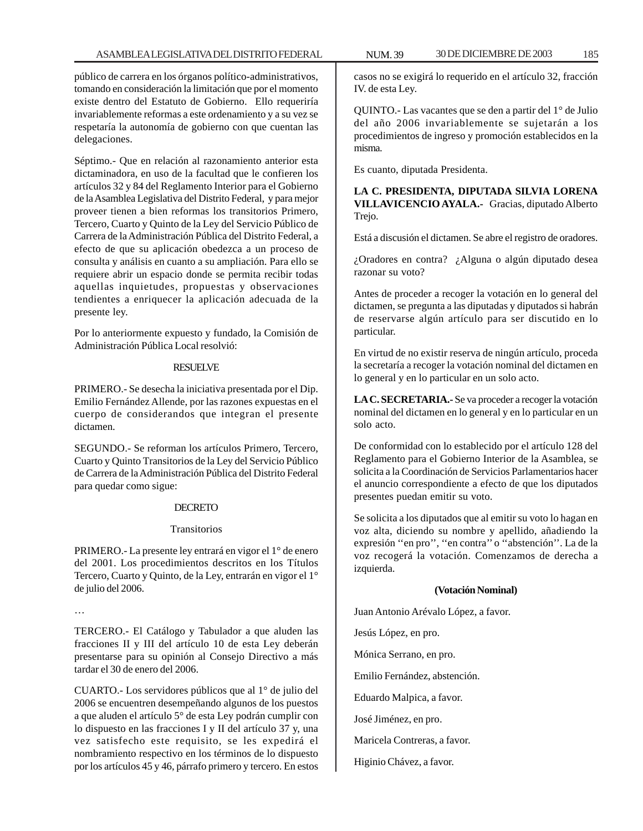público de carrera en los órganos político-administrativos, tomando en consideración la limitación que por el momento existe dentro del Estatuto de Gobierno. Ello requeriría invariablemente reformas a este ordenamiento y a su vez se respetaría la autonomía de gobierno con que cuentan las delegaciones.

Séptimo.- Que en relación al razonamiento anterior esta dictaminadora, en uso de la facultad que le confieren los artículos 32 y 84 del Reglamento Interior para el Gobierno de la Asamblea Legislativa del Distrito Federal, y para mejor proveer tienen a bien reformas los transitorios Primero, Tercero, Cuarto y Quinto de la Ley del Servicio Público de Carrera de la Administración Pública del Distrito Federal, a efecto de que su aplicación obedezca a un proceso de consulta y análisis en cuanto a su ampliación. Para ello se requiere abrir un espacio donde se permita recibir todas aquellas inquietudes, propuestas y observaciones tendientes a enriquecer la aplicación adecuada de la presente ley.

Por lo anteriormente expuesto y fundado, la Comisión de Administración Pública Local resolvió:

## RESUELVE

PRIMERO.- Se desecha la iniciativa presentada por el Dip. Emilio Fernández Allende, por las razones expuestas en el cuerpo de considerandos que integran el presente dictamen.

SEGUNDO.- Se reforman los artículos Primero, Tercero, Cuarto y Quinto Transitorios de la Ley del Servicio Público de Carrera de la Administración Pública del Distrito Federal para quedar como sigue:

## DECRETO

### Transitorios

PRIMERO.- La presente ley entrará en vigor el 1° de enero del 2001. Los procedimientos descritos en los Títulos Tercero, Cuarto y Quinto, de la Ley, entrarán en vigor el 1° de julio del 2006.

…

TERCERO.- El Catálogo y Tabulador a que aluden las fracciones II y III del artículo 10 de esta Ley deberán presentarse para su opinión al Consejo Directivo a más tardar el 30 de enero del 2006.

CUARTO.- Los servidores públicos que al 1° de julio del 2006 se encuentren desempeñando algunos de los puestos a que aluden el artículo 5° de esta Ley podrán cumplir con lo dispuesto en las fracciones I y II del artículo 37 y, una vez satisfecho este requisito, se les expedirá el nombramiento respectivo en los términos de lo dispuesto por los artículos 45 y 46, párrafo primero y tercero. En estos

casos no se exigirá lo requerido en el artículo 32, fracción IV. de esta Ley.

QUINTO.- Las vacantes que se den a partir del 1° de Julio del año 2006 invariablemente se sujetarán a los procedimientos de ingreso y promoción establecidos en la misma.

Es cuanto, diputada Presidenta.

**LA C. PRESIDENTA, DIPUTADA SILVIA LORENA VILLAVICENCIO AYALA.-** Gracias, diputado Alberto Trejo.

Está a discusión el dictamen. Se abre el registro de oradores.

¿Oradores en contra? ¿Alguna o algún diputado desea razonar su voto?

Antes de proceder a recoger la votación en lo general del dictamen, se pregunta a las diputadas y diputados si habrán de reservarse algún artículo para ser discutido en lo particular.

En virtud de no existir reserva de ningún artículo, proceda la secretaría a recoger la votación nominal del dictamen en lo general y en lo particular en un solo acto.

**LA C. SECRETARIA.-** Se va proceder a recoger la votación nominal del dictamen en lo general y en lo particular en un solo acto.

De conformidad con lo establecido por el artículo 128 del Reglamento para el Gobierno Interior de la Asamblea, se solicita a la Coordinación de Servicios Parlamentarios hacer el anuncio correspondiente a efecto de que los diputados presentes puedan emitir su voto.

Se solicita a los diputados que al emitir su voto lo hagan en voz alta, diciendo su nombre y apellido, añadiendo la expresión ''en pro'', ''en contra'' o ''abstención''. La de la voz recogerá la votación. Comenzamos de derecha a izquierda.

### **(Votación Nominal)**

Juan Antonio Arévalo López, a favor.

Jesús López, en pro.

Mónica Serrano, en pro.

Emilio Fernández, abstención.

Eduardo Malpica, a favor.

José Jiménez, en pro.

Maricela Contreras, a favor.

Higinio Chávez, a favor.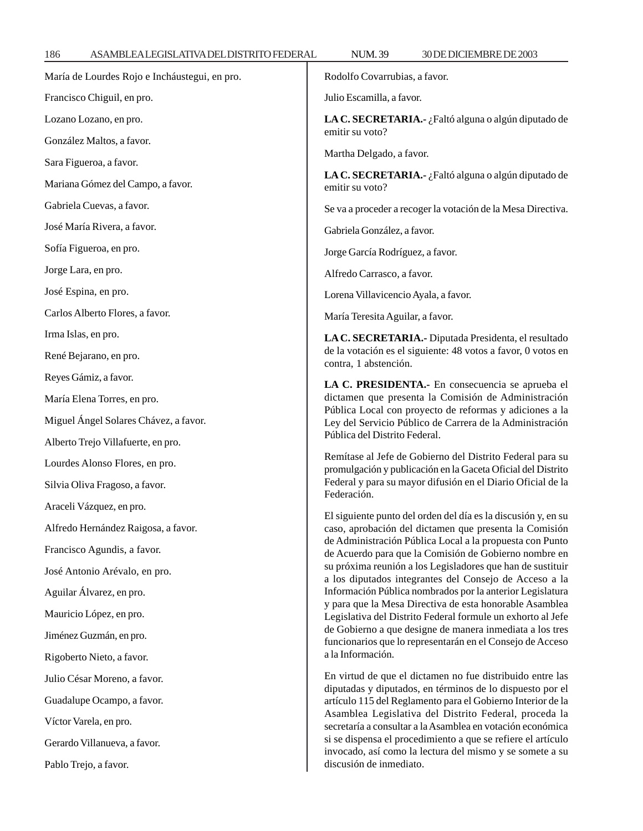| María de Lourdes Rojo e Incháustegui, en pro. | Rodolfo Covarrubias, a favor.                                                                                             |
|-----------------------------------------------|---------------------------------------------------------------------------------------------------------------------------|
| Francisco Chiguil, en pro.                    | Julio Escamilla, a favor.                                                                                                 |
| Lozano Lozano, en pro.                        | LA C. SECRETARIA.- ¿Faltó alguna o algún diputado de                                                                      |
| González Maltos, a favor.                     | emitir su voto?                                                                                                           |
| Sara Figueroa, a favor.                       | Martha Delgado, a favor.                                                                                                  |
| Mariana Gómez del Campo, a favor.             | LA C. SECRETARIA.- ¿Faltó alguna o algún diputado de<br>emitir su voto?                                                   |
| Gabriela Cuevas, a favor.                     | Se va a proceder a recoger la votación de la Mesa Directiva.                                                              |
| José María Rivera, a favor.                   | Gabriela González, a favor.                                                                                               |
| Sofía Figueroa, en pro.                       | Jorge García Rodríguez, a favor.                                                                                          |
| Jorge Lara, en pro.                           | Alfredo Carrasco, a favor.                                                                                                |
| José Espina, en pro.                          | Lorena Villavicencio Ayala, a favor.                                                                                      |
| Carlos Alberto Flores, a favor.               | María Teresita Aguilar, a favor.                                                                                          |
| Irma Islas, en pro.                           | LA C. SECRETARIA.- Diputada Presidenta, el resultado                                                                      |
| René Bejarano, en pro.                        | de la votación es el siguiente: 48 votos a favor, 0 votos en<br>contra, 1 abstención.                                     |
| Reyes Gámiz, a favor.                         | LA C. PRESIDENTA.- En consecuencia se aprueba el                                                                          |
| María Elena Torres, en pro.                   | dictamen que presenta la Comisión de Administración<br>Pública Local con proyecto de reformas y adiciones a la            |
| Miguel Ángel Solares Chávez, a favor.         | Ley del Servicio Público de Carrera de la Administración                                                                  |
| Alberto Trejo Villafuerte, en pro.            | Pública del Distrito Federal.                                                                                             |
| Lourdes Alonso Flores, en pro.                | Remítase al Jefe de Gobierno del Distrito Federal para su<br>promulgación y publicación en la Gaceta Oficial del Distrito |
| Silvia Oliva Fragoso, a favor.                | Federal y para su mayor difusión en el Diario Oficial de la<br>Federación.                                                |
| Araceli Vázquez, en pro.                      | El siguiente punto del orden del día es la discusión y, en su                                                             |
| Alfredo Hernández Raigosa, a favor.           | caso, aprobación del dictamen que presenta la Comisión                                                                    |
| Francisco Agundis, a favor.                   | de Administración Pública Local a la propuesta con Punto<br>de Acuerdo para que la Comisión de Gobierno nombre en         |
| José Antonio Arévalo, en pro.                 | su próxima reunión a los Legisladores que han de sustituir<br>a los diputados integrantes del Consejo de Acceso a la      |
| Aguilar Álvarez, en pro.                      | Información Pública nombrados por la anterior Legislatura                                                                 |
| Mauricio López, en pro.                       | y para que la Mesa Directiva de esta honorable Asamblea<br>Legislativa del Distrito Federal formule un exhorto al Jefe    |
| Jiménez Guzmán, en pro.                       | de Gobierno a que designe de manera inmediata a los tres<br>funcionarios que lo representarán en el Consejo de Acceso     |
| Rigoberto Nieto, a favor.                     | a la Información.                                                                                                         |
| Julio César Moreno, a favor.                  | En virtud de que el dictamen no fue distribuido entre las<br>diputadas y diputados, en términos de lo dispuesto por el    |
| Guadalupe Ocampo, a favor.                    | artículo 115 del Reglamento para el Gobierno Interior de la                                                               |
| Víctor Varela, en pro.                        | Asamblea Legislativa del Distrito Federal, proceda la<br>secretaría a consultar a la Asamblea en votación económica       |
| Gerardo Villanueva, a favor.                  | si se dispensa el procedimiento a que se refiere el artículo<br>invocado, así como la lectura del mismo y se somete a su  |
| Pablo Trejo, a favor.                         | discusión de inmediato.                                                                                                   |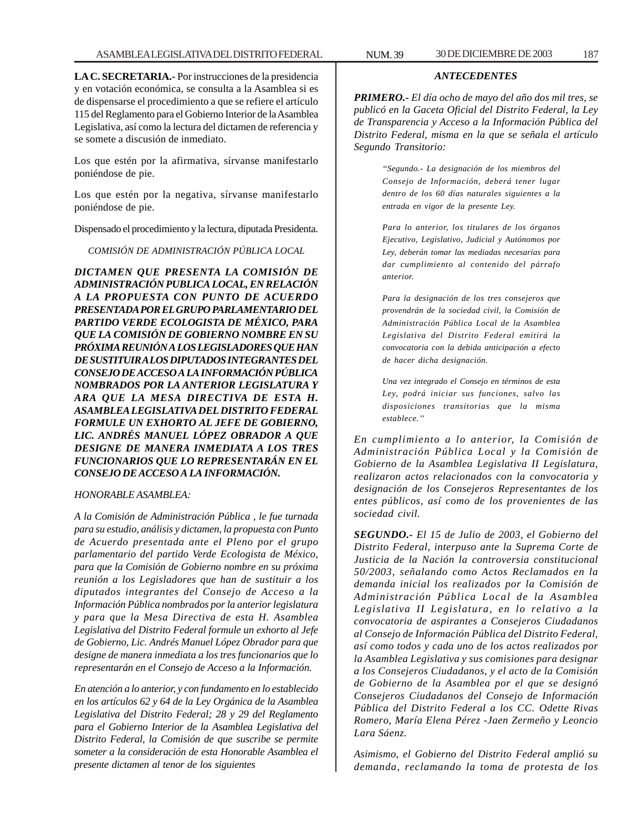**LA C. SECRETARIA.-** Por instrucciones de la presidencia y en votación económica, se consulta a la Asamblea si es de dispensarse el procedimiento a que se refiere el artículo 115 del Reglamento para el Gobierno Interior de la Asamblea Legislativa, así como la lectura del dictamen de referencia y se somete a discusión de inmediato.

Los que estén por la afirmativa, sírvanse manifestarlo poniéndose de pie.

Los que estén por la negativa, sírvanse manifestarlo poniéndose de pie.

Dispensado el procedimiento y la lectura, diputada Presidenta.

*COMISIÓN DE ADMINISTRACIÓN PÚBLICA LOCAL*

*DICTAMEN QUE PRESENTA LA COMISIÓN DE ADMINISTRACIÓN PUBLICA LOCAL, EN RELACIÓN A LA PROPUESTA CON PUNTO DE ACUERDO PRESENTADA POR EL GRUPO PARLAMENTARIO DEL PARTIDO VERDE ECOLOGISTA DE MÉXICO, PARA QUE LA COMISIÓN DE GOBIERNO NOMBRE EN SU PRÓXIMA REUNIÓN A LOS LEGISLADORES QUE HAN DE SUSTITUIR A LOS DIPUTADOS INTEGRANTES DEL CONSEJO DE ACCESO A LA INFORMACIÓN PÚBLICA NOMBRADOS POR LA ANTERIOR LEGISLATURA Y ARA QUE LA MESA DIRECTIVA DE ESTA H. ASAMBLEA LEGISLATIVA DEL DISTRITO FEDERAL FORMULE UN EXHORTO AL JEFE DE GOBIERNO, LIC. ANDRÉS MANUEL LÓPEZ OBRADOR A QUE DESIGNE DE MANERA INMEDIATA A LOS TRES FUNCIONARIOS QUE LO REPRESENTARÁN EN EL CONSEJO DE ACCESO A LA INFORMACIÓN.*

## *HONORABLE ASAMBLEA:*

*A la Comisión de Administración Pública , le fue turnada para su estudio, análisis y dictamen, la propuesta con Punto de Acuerdo presentada ante el Pleno por el grupo parlamentario del partido Verde Ecologista de México, para que la Comisión de Gobierno nombre en su próxima reunión a los Legisladores que han de sustituir a los diputados integrantes del Consejo de Acceso a la Información Pública nombrados por la anterior legislatura y para que la Mesa Directiva de esta H. Asamblea Legislativa del Distrito Federal formule un exhorto al Jefe de Gobierno, Lic. Andrés Manuel López Obrador para que designe de manera inmediata a los tres funcionarios que lo representarán en el Consejo de Acceso a la Información.*

*En atención a lo anterior, y con fundamento en lo establecido en los artículos 62 y 64 de la Ley Orgánica de la Asamblea Legislativa del Distrito Federal; 28 y 29 del Reglamento para el Gobierno Interior de la Asamblea Legislativa del Distrito Federal, la Comisión de que suscribe se permite someter a la consideración de esta Honorable Asamblea el presente dictamen al tenor de los siguientes*

# *ANTECEDENTES*

*PRIMERO.- El día ocho de mayo del año dos mil tres, se publicó en la Gaceta Oficial del Distrito Federal, la Ley de Transparencia y Acceso a la Información Pública del Distrito Federal, misma en la que se señala el artículo Segundo Transitorio:*

> *''Segundo.- La designación de los miembros del Consejo de Información, deberá tener lugar dentro de los 60 días naturales siguientes a la entrada en vigor de la presente Ley.*

> *Para lo anterior, los titulares de los órganos Ejecutivo, Legislativo, Judicial y Autónomos por Ley, deberán tomar las mediadas necesarias para dar cumplimiento al contenido del párrafo anterior.*

> *Para la designación de los tres consejeros que provendrán de la sociedad civil, la Comisión de Administración Pública Local de la Asamblea Legislativa del Distrito Federal emitirá la convocatoria con la debida anticipación a efecto de hacer dicha designación.*

> *Una vez integrado el Consejo en términos de esta Ley, podrá iniciar sus funciones, salvo las disposiciones transitorias que la misma establece.''*

*En cumplimiento a lo anterior, la Comisión de Administración Pública Local y la Comisión de Gobierno de la Asamblea Legislativa II Legislatura, realizaron actos relacionados con la convocatoria y designación de los Consejeros Representantes de los entes públicos, así como de los provenientes de las sociedad civil.*

*SEGUNDO.- El 15 de Julio de 2003, el Gobierno del Distrito Federal, interpuso ante la Suprema Corte de Justicia de la Nación la controversia constitucional 50/2003, señalando como Actos Reclamados en la demanda inicial los realizados por la Comisión de Administración Pública Local de la Asamblea Legislativa II Legislatura, en lo relativo a la convocatoria de aspirantes a Consejeros Ciudadanos al Consejo de Información Pública del Distrito Federal, así como todos y cada uno de los actos realizados por la Asamblea Legislativa y sus comisiones para designar a los Consejeros Ciudadanos, y el acto de la Comisión de Gobierno de la Asamblea por el que se designó Consejeros Ciudadanos del Consejo de Información Pública del Distrito Federal a los CC. Odette Rivas Romero, María Elena Pérez -Jaen Zermeño y Leoncio Lara Sáenz.*

*Asimismo, el Gobierno del Distrito Federal amplió su demanda, reclamando la toma de protesta de los*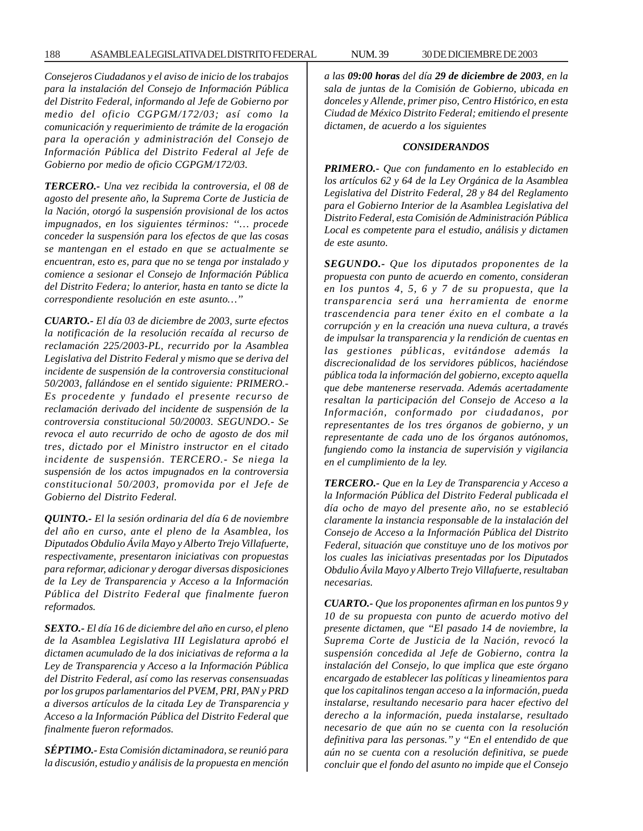*Consejeros Ciudadanos y el aviso de inicio de los trabajos para la instalación del Consejo de Información Pública del Distrito Federal, informando al Jefe de Gobierno por medio del oficio CGPGM/172/03; así como la comunicación y requerimiento de trámite de la erogación para la operación y administración del Consejo de Información Pública del Distrito Federal al Jefe de Gobierno por medio de oficio CGPGM/172/03.*

*TERCERO.- Una vez recibida la controversia, el 08 de agosto del presente año, la Suprema Corte de Justicia de la Nación, otorgó la suspensión provisional de los actos impugnados, en los siguientes términos: ''… procede conceder la suspensión para los efectos de que las cosas se mantengan en el estado en que se actualmente se encuentran, esto es, para que no se tenga por instalado y comience a sesionar el Consejo de Información Pública del Distrito Federa; lo anterior, hasta en tanto se dicte la correspondiente resolución en este asunto…''*

*CUARTO.- El día 03 de diciembre de 2003, surte efectos la notificación de la resolución recaída al recurso de reclamación 225/2003-PL, recurrido por la Asamblea Legislativa del Distrito Federal y mismo que se deriva del incidente de suspensión de la controversia constitucional 50/2003, fallándose en el sentido siguiente: PRIMERO.- Es procedente y fundado el presente recurso de reclamación derivado del incidente de suspensión de la controversia constitucional 50/20003. SEGUNDO.- Se revoca el auto recurrido de ocho de agosto de dos mil tres, dictado por el Ministro instructor en el citado incidente de suspensión. TERCERO.- Se niega la suspensión de los actos impugnados en la controversia constitucional 50/2003, promovida por el Jefe de Gobierno del Distrito Federal.*

*QUINTO.- El la sesión ordinaria del día 6 de noviembre del año en curso, ante el pleno de la Asamblea, los Diputados Obdulio Ávila Mayo y Alberto Trejo Villafuerte, respectivamente, presentaron iniciativas con propuestas para reformar, adicionar y derogar diversas disposiciones de la Ley de Transparencia y Acceso a la Información Pública del Distrito Federal que finalmente fueron reformados.*

*SEXTO.- El día 16 de diciembre del año en curso, el pleno de la Asamblea Legislativa III Legislatura aprobó el dictamen acumulado de la dos iniciativas de reforma a la Ley de Transparencia y Acceso a la Información Pública del Distrito Federal, así como las reservas consensuadas por los grupos parlamentarios del PVEM, PRI, PAN y PRD a diversos artículos de la citada Ley de Transparencia y Acceso a la Información Pública del Distrito Federal que finalmente fueron reformados.*

*SÉPTIMO.- Esta Comisión dictaminadora, se reunió para la discusión, estudio y análisis de la propuesta en mención* *a las 09:00 horas del día 29 de diciembre de 2003, en la sala de juntas de la Comisión de Gobierno, ubicada en donceles y Allende, primer piso, Centro Histórico, en esta Ciudad de México Distrito Federal; emitiendo el presente dictamen, de acuerdo a los siguientes*

### *CONSIDERANDOS*

*PRIMERO.- Que con fundamento en lo establecido en los artículos 62 y 64 de la Ley Orgánica de la Asamblea Legislativa del Distrito Federal, 28 y 84 del Reglamento para el Gobierno Interior de la Asamblea Legislativa del Distrito Federal, esta Comisión de Administración Pública Local es competente para el estudio, análisis y dictamen de este asunto.*

*SEGUNDO.- Que los diputados proponentes de la propuesta con punto de acuerdo en comento, consideran en los puntos 4, 5, 6 y 7 de su propuesta, que la transparencia será una herramienta de enorme trascendencia para tener éxito en el combate a la corrupción y en la creación una nueva cultura, a través de impulsar la transparencia y la rendición de cuentas en las gestiones públicas, evitándose además la discrecionalidad de los servidores públicos, haciéndose pública toda la información del gobierno, excepto aquella que debe mantenerse reservada. Además acertadamente resaltan la participación del Consejo de Acceso a la Información, conformado por ciudadanos, por representantes de los tres órganos de gobierno, y un representante de cada uno de los órganos autónomos, fungiendo como la instancia de supervisión y vigilancia en el cumplimiento de la ley.*

*TERCERO.- Que en la Ley de Transparencia y Acceso a la Información Pública del Distrito Federal publicada el día ocho de mayo del presente año, no se estableció claramente la instancia responsable de la instalación del Consejo de Acceso a la Información Pública del Distrito Federal, situación que constituye uno de los motivos por los cuales las iniciativas presentadas por los Diputados Obdulio Ávila Mayo y Alberto Trejo Villafuerte, resultaban necesarias.*

*CUARTO.- Que los proponentes afirman en los puntos 9 y 10 de su propuesta con punto de acuerdo motivo del presente dictamen, que ''El pasado 14 de noviembre, la Suprema Corte de Justicia de la Nación, revocó la suspensión concedida al Jefe de Gobierno, contra la instalación del Consejo, lo que implica que este órgano encargado de establecer las políticas y lineamientos para que los capitalinos tengan acceso a la información, pueda instalarse, resultando necesario para hacer efectivo del derecho a la información, pueda instalarse, resultado necesario de que aún no se cuenta con la resolución definitiva para las personas.'' y ''En el entendido de que aún no se cuenta con a resolución definitiva, se puede concluir que el fondo del asunto no impide que el Consejo*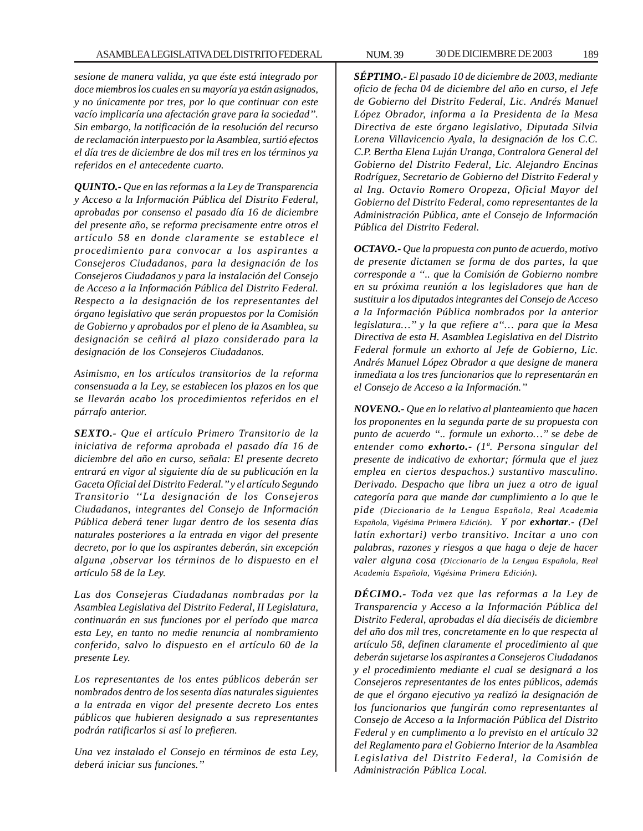*sesione de manera valida, ya que éste está integrado por doce miembros los cuales en su mayoría ya están asignados, y no únicamente por tres, por lo que continuar con este vacío implicaría una afectación grave para la sociedad''. Sin embargo, la notificación de la resolución del recurso de reclamación interpuesto por la Asamblea, surtió efectos el día tres de diciembre de dos mil tres en los términos ya referidos en el antecedente cuarto.*

*QUINTO.- Que en las reformas a la Ley de Transparencia y Acceso a la Información Pública del Distrito Federal, aprobadas por consenso el pasado día 16 de diciembre del presente año, se reforma precisamente entre otros el artículo 58 en donde claramente se establece el procedimiento para convocar a los aspirantes a Consejeros Ciudadanos, para la designación de los Consejeros Ciudadanos y para la instalación del Consejo de Acceso a la Información Pública del Distrito Federal. Respecto a la designación de los representantes del órgano legislativo que serán propuestos por la Comisión de Gobierno y aprobados por el pleno de la Asamblea, su designación se ceñirá al plazo considerado para la designación de los Consejeros Ciudadanos.*

*Asimismo, en los artículos transitorios de la reforma consensuada a la Ley, se establecen los plazos en los que se llevarán acabo los procedimientos referidos en el párrafo anterior.*

*SEXTO.- Que el artículo Primero Transitorio de la iniciativa de reforma aprobada el pasado día 16 de diciembre del año en curso, señala: El presente decreto entrará en vigor al siguiente día de su publicación en la Gaceta Oficial del Distrito Federal.'' y el artículo Segundo Transitorio ''La designación de los Consejeros Ciudadanos, integrantes del Consejo de Información Pública deberá tener lugar dentro de los sesenta días naturales posteriores a la entrada en vigor del presente decreto, por lo que los aspirantes deberán, sin excepción alguna ,observar los términos de lo dispuesto en el artículo 58 de la Ley.*

*Las dos Consejeras Ciudadanas nombradas por la Asamblea Legislativa del Distrito Federal, II Legislatura, continuarán en sus funciones por el período que marca esta Ley, en tanto no medie renuncia al nombramiento conferido, salvo lo dispuesto en el artículo 60 de la presente Ley.*

*Los representantes de los entes públicos deberán ser nombrados dentro de los sesenta días naturales siguientes a la entrada en vigor del presente decreto Los entes públicos que hubieren designado a sus representantes podrán ratificarlos si así lo prefieren.*

*Una vez instalado el Consejo en términos de esta Ley, deberá iniciar sus funciones.''*

*SÉPTIMO.- El pasado 10 de diciembre de 2003, mediante oficio de fecha 04 de diciembre del año en curso, el Jefe de Gobierno del Distrito Federal, Lic. Andrés Manuel López Obrador, informa a la Presidenta de la Mesa Directiva de este órgano legislativo, Diputada Silvia Lorena Villavicencio Ayala, la designación de los C.C. C.P. Bertha Elena Luján Uranga, Contralora General del Gobierno del Distrito Federal, Lic. Alejandro Encinas Rodríguez, Secretario de Gobierno del Distrito Federal y al Ing. Octavio Romero Oropeza, Oficial Mayor del Gobierno del Distrito Federal, como representantes de la Administración Pública, ante el Consejo de Información Pública del Distrito Federal.*

*OCTAVO.- Que la propuesta con punto de acuerdo, motivo de presente dictamen se forma de dos partes, la que corresponde a ''.. que la Comisión de Gobierno nombre en su próxima reunión a los legisladores que han de sustituir a los diputados integrantes del Consejo de Acceso a la Información Pública nombrados por la anterior legislatura…'' y la que refiere a''… para que la Mesa Directiva de esta H. Asamblea Legislativa en del Distrito Federal formule un exhorto al Jefe de Gobierno, Lic. Andrés Manuel López Obrador a que designe de manera inmediata a los tres funcionarios que lo representarán en el Consejo de Acceso a la Información.''*

*NOVENO.- Que en lo relativo al planteamiento que hacen los proponentes en la segunda parte de su propuesta con punto de acuerdo ''.. formule un exhorto…'' se debe de entender como exhorto.- (1ª. Persona singular del presente de indicativo de exhortar; fórmula que el juez emplea en ciertos despachos.) sustantivo masculino. Derivado. Despacho que libra un juez a otro de igual categoría para que mande dar cumplimiento a lo que le pide (Diccionario de la Lengua Española, Real Academia Española, Vigésima Primera Edición). Y por exhortar.- (Del latín exhortari) verbo transitivo. Incitar a uno con palabras, razones y riesgos a que haga o deje de hacer valer alguna cosa (Diccionario de la Lengua Española, Real Academia Española, Vigésima Primera Edición).*

*DÉCIMO.- Toda vez que las reformas a la Ley de Transparencia y Acceso a la Información Pública del Distrito Federal, aprobadas el día dieciséis de diciembre del año dos mil tres, concretamente en lo que respecta al artículo 58, definen claramente el procedimiento al que deberán sujetarse los aspirantes a Consejeros Ciudadanos y el procedimiento mediante el cual se designará a los Consejeros representantes de los entes públicos, además de que el órgano ejecutivo ya realizó la designación de los funcionarios que fungirán como representantes al Consejo de Acceso a la Información Pública del Distrito Federal y en cumplimento a lo previsto en el artículo 32 del Reglamento para el Gobierno Interior de la Asamblea Legislativa del Distrito Federal, la Comisión de Administración Pública Local.*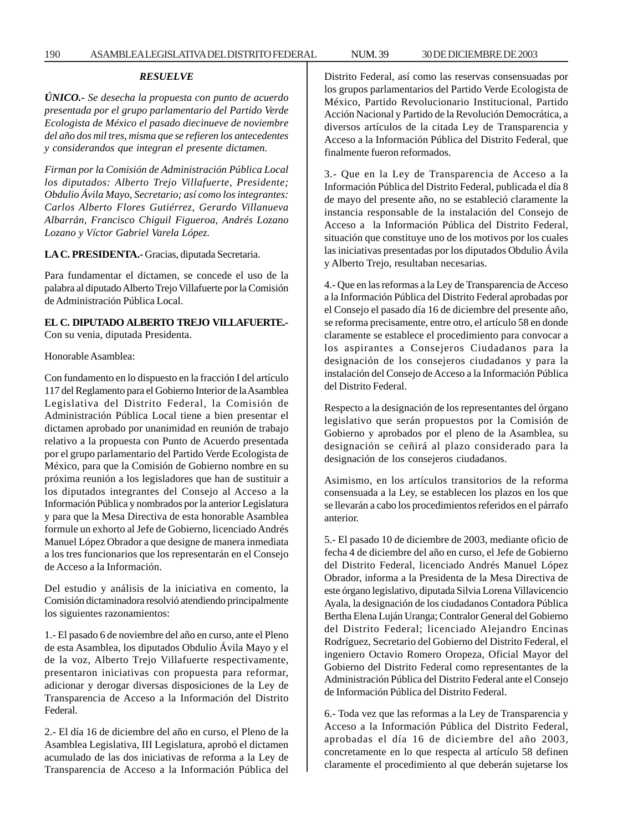*ÚNICO.- Se desecha la propuesta con punto de acuerdo presentada por el grupo parlamentario del Partido Verde Ecologista de México el pasado diecinueve de noviembre del año dos mil tres, misma que se refieren los antecedentes y considerandos que integran el presente dictamen.*

*Firman por la Comisión de Administración Pública Local los diputados: Alberto Trejo Villafuerte, Presidente; Obdulio Ávila Mayo, Secretario; así como los integrantes: Carlos Alberto Flores Gutiérrez, Gerardo Villanueva Albarrán, Francisco Chiguil Figueroa, Andrés Lozano Lozano y Víctor Gabriel Varela López.*

# **LA C. PRESIDENTA.-** Gracias, diputada Secretaria.

Para fundamentar el dictamen, se concede el uso de la palabra al diputado Alberto Trejo Villafuerte por la Comisión de Administración Pública Local.

# **EL C. DIPUTADO ALBERTO TREJO VILLAFUERTE.-**

Con su venia, diputada Presidenta.

## Honorable Asamblea:

Con fundamento en lo dispuesto en la fracción I del artículo 117 del Reglamento para el Gobierno Interior de la Asamblea Legislativa del Distrito Federal, la Comisión de Administración Pública Local tiene a bien presentar el dictamen aprobado por unanimidad en reunión de trabajo relativo a la propuesta con Punto de Acuerdo presentada por el grupo parlamentario del Partido Verde Ecologista de México, para que la Comisión de Gobierno nombre en su próxima reunión a los legisladores que han de sustituir a los diputados integrantes del Consejo al Acceso a la Información Pública y nombrados por la anterior Legislatura y para que la Mesa Directiva de esta honorable Asamblea formule un exhorto al Jefe de Gobierno, licenciado Andrés Manuel López Obrador a que designe de manera inmediata a los tres funcionarios que los representarán en el Consejo de Acceso a la Información.

Del estudio y análisis de la iniciativa en comento, la Comisión dictaminadora resolvió atendiendo principalmente los siguientes razonamientos:

1.- El pasado 6 de noviembre del año en curso, ante el Pleno de esta Asamblea, los diputados Obdulio Ávila Mayo y el de la voz, Alberto Trejo Villafuerte respectivamente, presentaron iniciativas con propuesta para reformar, adicionar y derogar diversas disposiciones de la Ley de Transparencia de Acceso a la Información del Distrito Federal.

2.- El día 16 de diciembre del año en curso, el Pleno de la Asamblea Legislativa, III Legislatura, aprobó el dictamen acumulado de las dos iniciativas de reforma a la Ley de Transparencia de Acceso a la Información Pública del Distrito Federal, así como las reservas consensuadas por los grupos parlamentarios del Partido Verde Ecologista de México, Partido Revolucionario Institucional, Partido Acción Nacional y Partido de la Revolución Democrática, a diversos artículos de la citada Ley de Transparencia y Acceso a la Información Pública del Distrito Federal, que finalmente fueron reformados.

3.- Que en la Ley de Transparencia de Acceso a la Información Pública del Distrito Federal, publicada el día 8 de mayo del presente año, no se estableció claramente la instancia responsable de la instalación del Consejo de Acceso a la Información Pública del Distrito Federal, situación que constituye uno de los motivos por los cuales las iniciativas presentadas por los diputados Obdulio Ávila y Alberto Trejo, resultaban necesarias.

4.- Que en las reformas a la Ley de Transparencia de Acceso a la Información Pública del Distrito Federal aprobadas por el Consejo el pasado día 16 de diciembre del presente año, se reforma precisamente, entre otro, el artículo 58 en donde claramente se establece el procedimiento para convocar a los aspirantes a Consejeros Ciudadanos para la designación de los consejeros ciudadanos y para la instalación del Consejo de Acceso a la Información Pública del Distrito Federal.

Respecto a la designación de los representantes del órgano legislativo que serán propuestos por la Comisión de Gobierno y aprobados por el pleno de la Asamblea, su designación se ceñirá al plazo considerado para la designación de los consejeros ciudadanos.

Asimismo, en los artículos transitorios de la reforma consensuada a la Ley, se establecen los plazos en los que se llevarán a cabo los procedimientos referidos en el párrafo anterior.

5.- El pasado 10 de diciembre de 2003, mediante oficio de fecha 4 de diciembre del año en curso, el Jefe de Gobierno del Distrito Federal, licenciado Andrés Manuel López Obrador, informa a la Presidenta de la Mesa Directiva de este órgano legislativo, diputada Silvia Lorena Villavicencio Ayala, la designación de los ciudadanos Contadora Pública Bertha Elena Luján Uranga; Contralor General del Gobierno del Distrito Federal; licenciado Alejandro Encinas Rodríguez, Secretario del Gobierno del Distrito Federal, el ingeniero Octavio Romero Oropeza, Oficial Mayor del Gobierno del Distrito Federal como representantes de la Administración Pública del Distrito Federal ante el Consejo de Información Pública del Distrito Federal.

6.- Toda vez que las reformas a la Ley de Transparencia y Acceso a la Información Pública del Distrito Federal, aprobadas el día 16 de diciembre del año 2003, concretamente en lo que respecta al artículo 58 definen claramente el procedimiento al que deberán sujetarse los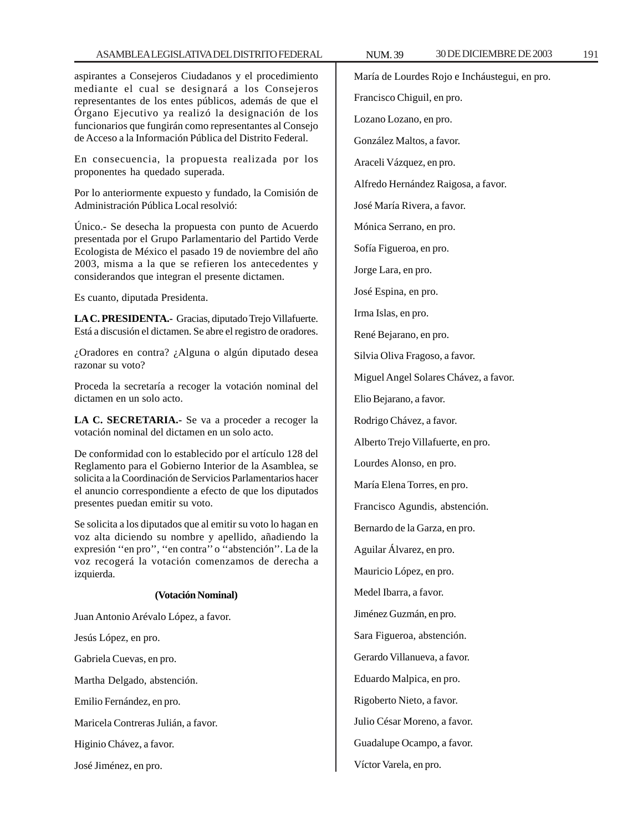aspirantes a Consejeros Ciudadanos y el procedimiento mediante el cual se designará a los Consejeros representantes de los entes públicos, además de que el Órgano Ejecutivo ya realizó la designación de los funcionarios que fungirán como representantes al Consejo de Acceso a la Información Pública del Distrito Federal.

En consecuencia, la propuesta realizada por los proponentes ha quedado superada.

Por lo anteriormente expuesto y fundado, la Comisión de Administración Pública Local resolvió:

Único.- Se desecha la propuesta con punto de Acuerdo presentada por el Grupo Parlamentario del Partido Verde Ecologista de México el pasado 19 de noviembre del año 2003, misma a la que se refieren los antecedentes y considerandos que integran el presente dictamen.

Es cuanto, diputada Presidenta.

**LA C. PRESIDENTA.-** Gracias, diputado Trejo Villafuerte. Está a discusión el dictamen. Se abre el registro de oradores.

¿Oradores en contra? ¿Alguna o algún diputado desea razonar su voto?

Proceda la secretaría a recoger la votación nominal del dictamen en un solo acto.

**LA C. SECRETARIA.-** Se va a proceder a recoger la votación nominal del dictamen en un solo acto.

De conformidad con lo establecido por el artículo 128 del Reglamento para el Gobierno Interior de la Asamblea, se solicita a la Coordinación de Servicios Parlamentarios hacer el anuncio correspondiente a efecto de que los diputados presentes puedan emitir su voto.

Se solicita a los diputados que al emitir su voto lo hagan en voz alta diciendo su nombre y apellido, añadiendo la expresión ''en pro'', ''en contra'' o ''abstención''. La de la voz recogerá la votación comenzamos de derecha a izquierda.

### **(Votación Nominal)**

Juan Antonio Arévalo López, a favor.

Jesús López, en pro.

Gabriela Cuevas, en pro.

Martha Delgado, abstención.

Emilio Fernández, en pro.

Maricela Contreras Julián, a favor.

Higinio Chávez, a favor.

José Jiménez, en pro.

María de Lourdes Rojo e Incháustegui, en pro.

Francisco Chiguil, en pro.

Lozano Lozano, en pro.

González Maltos, a favor.

Araceli Vázquez, en pro.

Alfredo Hernández Raigosa, a favor.

José María Rivera, a favor.

Mónica Serrano, en pro.

Sofía Figueroa, en pro.

Jorge Lara, en pro.

José Espina, en pro.

Irma Islas, en pro.

René Bejarano, en pro.

Silvia Oliva Fragoso, a favor.

Miguel Angel Solares Chávez, a favor.

Elio Bejarano, a favor.

Rodrigo Chávez, a favor.

Alberto Trejo Villafuerte, en pro.

Lourdes Alonso, en pro.

María Elena Torres, en pro.

Francisco Agundis, abstención.

Bernardo de la Garza, en pro.

Aguilar Álvarez, en pro.

Mauricio López, en pro.

Medel Ibarra, a favor.

Jiménez Guzmán, en pro.

Sara Figueroa, abstención.

Gerardo Villanueva, a favor.

Eduardo Malpica, en pro.

Rigoberto Nieto, a favor.

Julio César Moreno, a favor.

Guadalupe Ocampo, a favor.

Víctor Varela, en pro.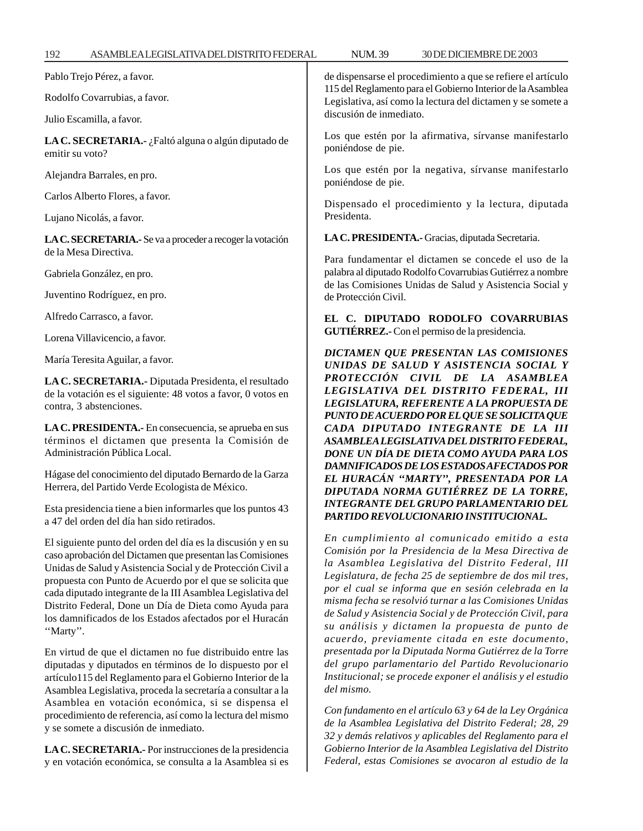| ASAMBLEALEGISLATIVADELDISTRITO FEDERAL<br>192                                                                                                                                                                                                                                                                                                                                                                                                                                                                       | <b>NUM.39</b><br>30 DE DICIEMBRE DE 2003                                                                                                                                                                                                                                                                                                                                                                                                                                                                                                                         |  |
|---------------------------------------------------------------------------------------------------------------------------------------------------------------------------------------------------------------------------------------------------------------------------------------------------------------------------------------------------------------------------------------------------------------------------------------------------------------------------------------------------------------------|------------------------------------------------------------------------------------------------------------------------------------------------------------------------------------------------------------------------------------------------------------------------------------------------------------------------------------------------------------------------------------------------------------------------------------------------------------------------------------------------------------------------------------------------------------------|--|
| Pablo Trejo Pérez, a favor.                                                                                                                                                                                                                                                                                                                                                                                                                                                                                         | de dispensarse el procedimiento a que se refiere el artículo                                                                                                                                                                                                                                                                                                                                                                                                                                                                                                     |  |
| Rodolfo Covarrubias, a favor.                                                                                                                                                                                                                                                                                                                                                                                                                                                                                       | 115 del Reglamento para el Gobierno Interior de la Asamblea<br>Legislativa, así como la lectura del dictamen y se somete a                                                                                                                                                                                                                                                                                                                                                                                                                                       |  |
| Julio Escamilla, a favor.                                                                                                                                                                                                                                                                                                                                                                                                                                                                                           | discusión de inmediato.                                                                                                                                                                                                                                                                                                                                                                                                                                                                                                                                          |  |
| LA C. SECRETARIA.- ¿Faltó alguna o algún diputado de<br>emitir su voto?                                                                                                                                                                                                                                                                                                                                                                                                                                             | Los que estén por la afirmativa, sírvanse manifestarlo<br>poniéndose de pie.                                                                                                                                                                                                                                                                                                                                                                                                                                                                                     |  |
| Alejandra Barrales, en pro.                                                                                                                                                                                                                                                                                                                                                                                                                                                                                         | Los que estén por la negativa, sírvanse manifestarlo<br>poniéndose de pie.                                                                                                                                                                                                                                                                                                                                                                                                                                                                                       |  |
| Carlos Alberto Flores, a favor.                                                                                                                                                                                                                                                                                                                                                                                                                                                                                     | Dispensado el procedimiento y la lectura, diputada                                                                                                                                                                                                                                                                                                                                                                                                                                                                                                               |  |
| Lujano Nicolás, a favor.                                                                                                                                                                                                                                                                                                                                                                                                                                                                                            | Presidenta.                                                                                                                                                                                                                                                                                                                                                                                                                                                                                                                                                      |  |
| LA C. SECRETARIA.- Se va a proceder a recoger la votación                                                                                                                                                                                                                                                                                                                                                                                                                                                           | LA C. PRESIDENTA.- Gracias, diputada Secretaria.                                                                                                                                                                                                                                                                                                                                                                                                                                                                                                                 |  |
| de la Mesa Directiva.                                                                                                                                                                                                                                                                                                                                                                                                                                                                                               | Para fundamentar el dictamen se concede el uso de la                                                                                                                                                                                                                                                                                                                                                                                                                                                                                                             |  |
| Gabriela González, en pro.                                                                                                                                                                                                                                                                                                                                                                                                                                                                                          | palabra al diputado Rodolfo Covarrubias Gutiérrez a nombre<br>de las Comisiones Unidas de Salud y Asistencia Social y                                                                                                                                                                                                                                                                                                                                                                                                                                            |  |
| Juventino Rodríguez, en pro.                                                                                                                                                                                                                                                                                                                                                                                                                                                                                        | de Protección Civil.                                                                                                                                                                                                                                                                                                                                                                                                                                                                                                                                             |  |
| Alfredo Carrasco, a favor.                                                                                                                                                                                                                                                                                                                                                                                                                                                                                          | EL C. DIPUTADO RODOLFO COVARRUBIAS                                                                                                                                                                                                                                                                                                                                                                                                                                                                                                                               |  |
| Lorena Villavicencio, a favor.                                                                                                                                                                                                                                                                                                                                                                                                                                                                                      | GUTIÉRREZ.- Con el permiso de la presidencia.                                                                                                                                                                                                                                                                                                                                                                                                                                                                                                                    |  |
| María Teresita Aguilar, a favor.                                                                                                                                                                                                                                                                                                                                                                                                                                                                                    | DICTAMEN QUE PRESENTAN LAS COMISIONES<br>UNIDAS DE SALUD Y ASISTENCIA SOCIAL Y                                                                                                                                                                                                                                                                                                                                                                                                                                                                                   |  |
| LA C. SECRETARIA.- Diputada Presidenta, el resultado<br>de la votación es el siguiente: 48 votos a favor, 0 votos en<br>contra, 3 abstenciones.                                                                                                                                                                                                                                                                                                                                                                     | PROTECCIÓN CIVIL DE LA ASAMBLEA<br>LEGISLATIVA DEL DISTRITO FEDERAL, III<br>LEGISLATURA, REFERENTE A LA PROPUESTA DE<br>PUNTO DE ACUERDO POR EL QUE SE SOLICITA QUE                                                                                                                                                                                                                                                                                                                                                                                              |  |
| LA C. PRESIDENTA.- En consecuencia, se aprueba en sus<br>términos el dictamen que presenta la Comisión de<br>Administración Pública Local.                                                                                                                                                                                                                                                                                                                                                                          | CADA DIPUTADO INTEGRANTE DE LA III<br>ASAMBLEA LEGISLATIVA DEL DISTRITO FEDERAL,<br>DONE UN DÍA DE DIETA COMO AYUDA PARA LOS                                                                                                                                                                                                                                                                                                                                                                                                                                     |  |
| Hágase del conocimiento del diputado Bernardo de la Garza<br>Herrera, del Partido Verde Ecologista de México.                                                                                                                                                                                                                                                                                                                                                                                                       | DAMNIFICADOS DE LOS ESTADOS AFECTADOS POR<br>EL HURACÁN "MARTY", PRESENTADA POR LA<br>DIPUTADA NORMA GUTIÉRREZ DE LA TORRE,                                                                                                                                                                                                                                                                                                                                                                                                                                      |  |
| Esta presidencia tiene a bien informarles que los puntos 43<br>a 47 del orden del día han sido retirados.                                                                                                                                                                                                                                                                                                                                                                                                           | <b>INTEGRANTE DEL GRUPO PARLAMENTARIO DEL</b><br>PARTIDO REVOLUCIONARIO INSTITUCIONAL.                                                                                                                                                                                                                                                                                                                                                                                                                                                                           |  |
| El siguiente punto del orden del día es la discusión y en su<br>caso aprobación del Dictamen que presentan las Comisiones<br>Unidas de Salud y Asistencia Social y de Protección Civil a<br>propuesta con Punto de Acuerdo por el que se solicita que<br>cada diputado integrante de la III Asamblea Legislativa del<br>Distrito Federal, Done un Día de Dieta como Ayuda para<br>los damnificados de los Estados afectados por el Huracán<br>"Marty".<br>En virtud de que el dictamen no fue distribuido entre las | En cumplimiento al comunicado emitido a esta<br>Comisión por la Presidencia de la Mesa Directiva de<br>la Asamblea Legislativa del Distrito Federal, III<br>Legislatura, de fecha 25 de septiembre de dos mil tres,<br>por el cual se informa que en sesión celebrada en la<br>misma fecha se resolvió turnar a las Comisiones Unidas<br>de Salud y Asistencia Social y de Protección Civil, para<br>su análisis y dictamen la propuesta de punto de<br>acuerdo, previamente citada en este documento,<br>presentada por la Diputada Norma Gutiérrez de la Torre |  |
| diputadas y diputados en términos de lo dispuesto por el<br>artículo 115 del Reglamento para el Gobierno Interior de la<br>Asamblea Legislativa, proceda la secretaría a consultar a la<br>Asamblea en votación económica, si se dispensa el                                                                                                                                                                                                                                                                        | del grupo parlamentario del Partido Revolucionario<br>Institucional; se procede exponer el análisis y el estudio<br>del mismo.                                                                                                                                                                                                                                                                                                                                                                                                                                   |  |

procedimiento de referencia, así como la lectura del mismo

**LA C. SECRETARIA.-** Por instrucciones de la presidencia y en votación económica, se consulta a la Asamblea si es

y se somete a discusión de inmediato.

*Con fundamento en el artículo 63 y 64 de la Ley Orgánica de la Asamblea Legislativa del Distrito Federal; 28, 29 32 y demás relativos y aplicables del Reglamento para el Gobierno Interior de la Asamblea Legislativa del Distrito Federal, estas Comisiones se avocaron al estudio de la*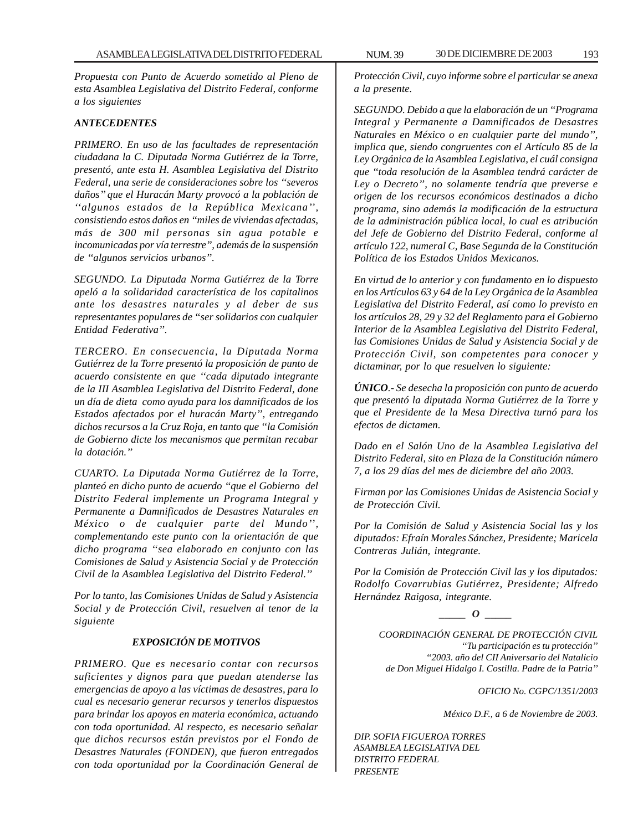*Propuesta con Punto de Acuerdo sometido al Pleno de esta Asamblea Legislativa del Distrito Federal, conforme a los siguientes*

## *ANTECEDENTES*

*PRIMERO. En uso de las facultades de representación ciudadana la C. Diputada Norma Gutiérrez de la Torre, presentó, ante esta H. Asamblea Legislativa del Distrito Federal, una serie de consideraciones sobre los ''severos daños'' que el Huracán Marty provocó a la población de ''algunos estados de la República Mexicana'', consistiendo estos daños en ''miles de viviendas afectadas, más de 300 mil personas sin agua potable e incomunicadas por vía terrestre'', además de la suspensión de ''algunos servicios urbanos''.*

*SEGUNDO. La Diputada Norma Gutiérrez de la Torre apeló a la solidaridad característica de los capitalinos ante los desastres naturales y al deber de sus representantes populares de ''ser solidarios con cualquier Entidad Federativa''.*

*TERCERO. En consecuencia, la Diputada Norma Gutiérrez de la Torre presentó la proposición de punto de acuerdo consistente en que ''cada diputado integrante de la III Asamblea Legislativa del Distrito Federal, done un día de dieta como ayuda para los damnificados de los Estados afectados por el huracán Marty'', entregando dichos recursos a la Cruz Roja, en tanto que ''la Comisión de Gobierno dicte los mecanismos que permitan recabar la dotación.''*

*CUARTO. La Diputada Norma Gutiérrez de la Torre, planteó en dicho punto de acuerdo ''que el Gobierno del Distrito Federal implemente un Programa Integral y Permanente a Damnificados de Desastres Naturales en México o de cualquier parte del Mundo'', complementando este punto con la orientación de que dicho programa ''sea elaborado en conjunto con las Comisiones de Salud y Asistencia Social y de Protección Civil de la Asamblea Legislativa del Distrito Federal.''*

*Por lo tanto, las Comisiones Unidas de Salud y Asistencia Social y de Protección Civil, resuelven al tenor de la siguiente*

# *EXPOSICIÓN DE MOTIVOS*

*PRIMERO. Que es necesario contar con recursos suficientes y dignos para que puedan atenderse las emergencias de apoyo a las víctimas de desastres, para lo cual es necesario generar recursos y tenerlos dispuestos para brindar los apoyos en materia económica, actuando con toda oportunidad. Al respecto, es necesario señalar que dichos recursos están previstos por el Fondo de Desastres Naturales (FONDEN), que fueron entregados con toda oportunidad por la Coordinación General de*

*Protección Civil, cuyo informe sobre el particular se anexa a la presente.*

*SEGUNDO. Debido a que la elaboración de un ''Programa Integral y Permanente a Damnificados de Desastres Naturales en México o en cualquier parte del mundo'', implica que, siendo congruentes con el Artículo 85 de la Ley Orgánica de la Asamblea Legislativa, el cuál consigna que ''toda resolución de la Asamblea tendrá carácter de Ley o Decreto'', no solamente tendría que preverse e origen de los recursos económicos destinados a dicho programa, sino además la modificación de la estructura de la administración pública local, lo cual es atribución del Jefe de Gobierno del Distrito Federal, conforme al artículo 122, numeral C, Base Segunda de la Constitución Política de los Estados Unidos Mexicanos.*

*En virtud de lo anterior y con fundamento en lo dispuesto en los Artículos 63 y 64 de la Ley Orgánica de la Asamblea Legislativa del Distrito Federal, así como lo previsto en los artículos 28, 29 y 32 del Reglamento para el Gobierno Interior de la Asamblea Legislativa del Distrito Federal, las Comisiones Unidas de Salud y Asistencia Social y de Protección Civil, son competentes para conocer y dictaminar, por lo que resuelven lo siguiente:*

*ÚNICO.- Se desecha la proposición con punto de acuerdo que presentó la diputada Norma Gutiérrez de la Torre y que el Presidente de la Mesa Directiva turnó para los efectos de dictamen.*

*Dado en el Salón Uno de la Asamblea Legislativa del Distrito Federal, sito en Plaza de la Constitución número 7, a los 29 días del mes de diciembre del año 2003.*

*Firman por las Comisiones Unidas de Asistencia Social y de Protección Civil.*

*Por la Comisión de Salud y Asistencia Social las y los diputados: Efraín Morales Sánchez, Presidente; Maricela Contreras Julián, integrante.*

*Por la Comisión de Protección Civil las y los diputados: Rodolfo Covarrubias Gutiérrez, Presidente; Alfredo Hernández Raigosa, integrante.*

*\_\_\_\_\_ O \_\_\_\_\_*

*COORDINACIÓN GENERAL DE PROTECCIÓN CIVIL ''Tu participación es tu protección'' ''2003. año del CII Aniversario del Natalicio de Don Miguel Hidalgo I. Costilla. Padre de la Patria''*

*OFICIO No. CGPC/1351/2003*

*México D.F., a 6 de Noviembre de 2003.*

*DIP. SOFIA FIGUEROA TORRES ASAMBLEA LEGISLATIVA DEL DISTRITO FEDERAL PRESENTE*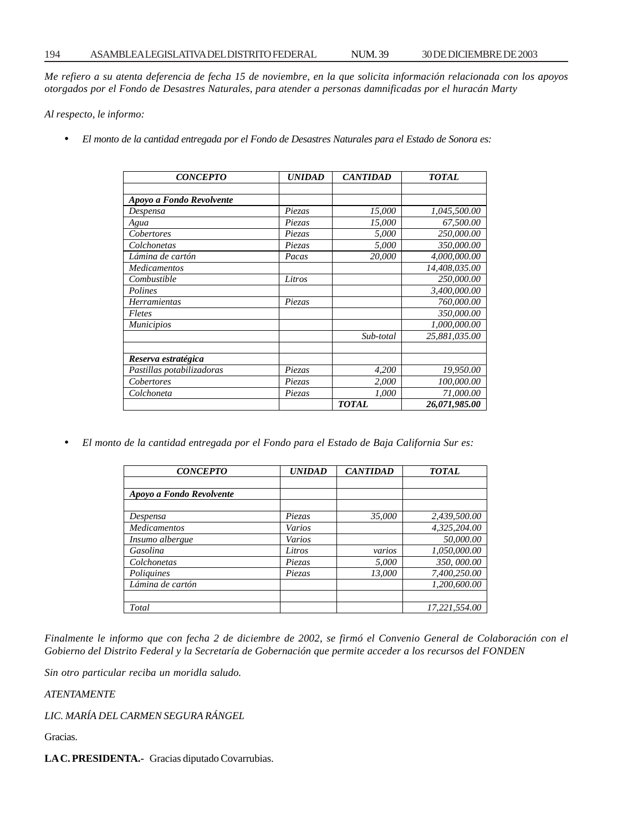*Me refiero a su atenta deferencia de fecha 15 de noviembre, en la que solicita información relacionada con los apoyos otorgados por el Fondo de Desastres Naturales, para atender a personas damnificadas por el huracán Marty*

*Al respecto, le informo:*

• *El monto de la cantidad entregada por el Fondo de Desastres Naturales para el Estado de Sonora es:*

| <b>CONCEPTO</b>           | <b>UNIDAD</b> | <b>CANTIDAD</b> | <b>TOTAL</b>  |
|---------------------------|---------------|-----------------|---------------|
|                           |               |                 |               |
| Apoyo a Fondo Revolvente  |               |                 |               |
| Despensa                  | <i>Piezas</i> | 15,000          | 1,045,500.00  |
| Agua                      | Piezas        | 15,000          | 67,500.00     |
| Cobertores                | Piezas        | 5,000           | 250,000.00    |
| Colchonetas               | Piezas        | 5,000           | 350,000.00    |
| Lámina de cartón          | Pacas         | 20,000          | 4,000,000.00  |
| <b>Medicamentos</b>       |               |                 | 14,408,035.00 |
| Combustible               | Litros        |                 | 250,000.00    |
| Polines                   |               |                 | 3,400,000.00  |
| <b>Herramientas</b>       | Piezas        |                 | 760,000.00    |
| Fletes                    |               |                 | 350,000.00    |
| <b>Municipios</b>         |               |                 | 1,000,000.00  |
|                           |               | Sub-total       | 25,881,035.00 |
| Reserva estratégica       |               |                 |               |
| Pastillas potabilizadoras | Piezas        | 4,200           | 19,950.00     |
| Cobertores                | Piezas        | 2,000           | 100,000.00    |
| Colchoneta                | Piezas        | 1,000           | 71,000.00     |
|                           |               | <b>TOTAL</b>    | 26,071,985.00 |

• *El monto de la cantidad entregada por el Fondo para el Estado de Baja California Sur es:*

| <b>CONCEPTO</b>          | <b>UNIDAD</b> | <b>CANTIDAD</b> | <b>TOTAL</b>  |
|--------------------------|---------------|-----------------|---------------|
|                          |               |                 |               |
| Apoyo a Fondo Revolvente |               |                 |               |
|                          |               |                 |               |
| Despensa                 | Piezas        | 35.000          | 2,439,500.00  |
| <b>Medicamentos</b>      | Varios        |                 | 4,325,204.00  |
| Insumo albergue          | Varios        |                 | 50,000.00     |
| Gasolina                 | Litros        | varios          | 1,050,000.00  |
| Colchonetas              | Piezas        | 5,000           | 350,000.00    |
| Poliquines               | Piezas        | 13.000          | 7,400,250.00  |
| Lámina de cartón         |               |                 | 1.200.600.00  |
|                          |               |                 |               |
| Total                    |               |                 | 17,221,554.00 |

*Finalmente le informo que con fecha 2 de diciembre de 2002, se firmó el Convenio General de Colaboración con el Gobierno del Distrito Federal y la Secretaría de Gobernación que permite acceder a los recursos del FONDEN*

*Sin otro particular reciba un moridla saludo.*

*ATENTAMENTE*

*LIC. MARÍA DEL CARMEN SEGURA RÁNGEL*

Gracias.

**LA C. PRESIDENTA.-** Gracias diputado Covarrubias.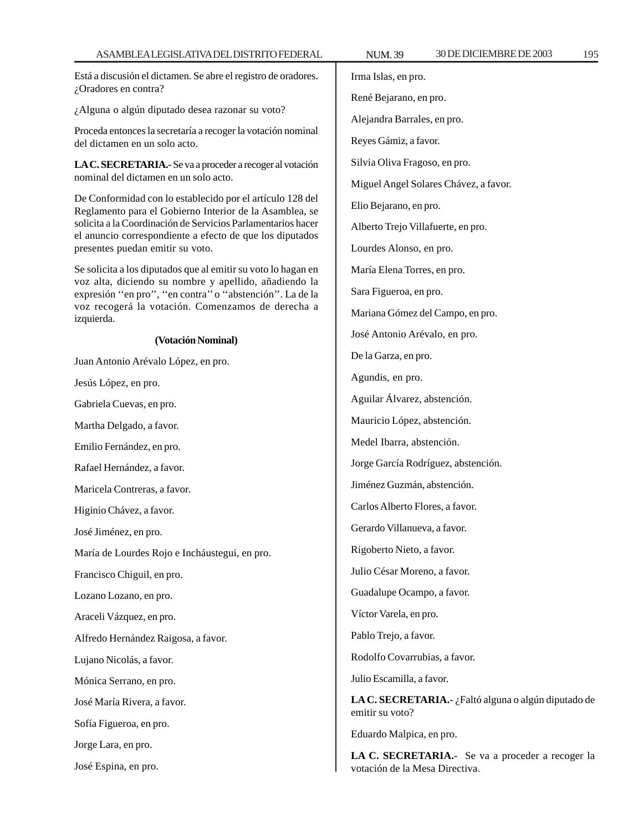Está a discusión el dictamen. Se abre el registro de oradores. ¿Oradores en contra?

¿Alguna o algún diputado desea razonar su voto?

Proceda entonces la secretaría a recoger la votación nominal del dictamen en un solo acto.

**LA C. SECRETARIA.-** Se va a proceder a recoger al votación nominal del dictamen en un solo acto.

De Conformidad con lo establecido por el artículo 128 del Reglamento para el Gobierno Interior de la Asamblea, se solicita a la Coordinación de Servicios Parlamentarios hacer el anuncio correspondiente a efecto de que los diputados presentes puedan emitir su voto.

Se solicita a los diputados que al emitir su voto lo hagan en voz alta, diciendo su nombre y apellido, añadiendo la expresión ''en pro'', ''en contra'' o ''abstención''. La de la voz recogerá la votación. Comenzamos de derecha a izquierda.

# **(Votación Nominal)**

Juan Antonio Arévalo López, en pro.

Jesús López, en pro.

Gabriela Cuevas, en pro.

Martha Delgado, a favor.

Emilio Fernández, en pro.

Rafael Hernández, a favor.

Maricela Contreras, a favor.

Higinio Chávez, a favor.

José Jiménez, en pro.

María de Lourdes Rojo e Incháustegui, en pro.

Francisco Chiguil, en pro.

Lozano Lozano, en pro.

Araceli Vázquez, en pro.

Alfredo Hernández Raigosa, a favor.

Lujano Nicolás, a favor.

Mónica Serrano, en pro.

José María Rivera, a favor.

Sofía Figueroa, en pro.

Jorge Lara, en pro.

José Espina, en pro.

Irma Islas, en pro. René Bejarano, en pro. Alejandra Barrales, en pro.

Reyes Gámiz, a favor.

Silvia Oliva Fragoso, en pro.

Miguel Angel Solares Chávez, a favor.

Elio Bejarano, en pro.

Alberto Trejo Villafuerte, en pro.

Lourdes Alonso, en pro.

María Elena Torres, en pro.

Sara Figueroa, en pro.

Mariana Gómez del Campo, en pro.

José Antonio Arévalo, en pro.

De la Garza, en pro.

Agundis, en pro.

Aguilar Álvarez, abstención.

Mauricio López, abstención.

Medel Ibarra, abstención.

Jorge García Rodríguez, abstención.

Jiménez Guzmán, abstención.

Carlos Alberto Flores, a favor.

Gerardo Villanueva, a favor.

Rigoberto Nieto, a favor.

Julio César Moreno, a favor.

Guadalupe Ocampo, a favor.

Víctor Varela, en pro.

Pablo Trejo, a favor.

Rodolfo Covarrubias, a favor.

Julio Escamilla, a favor.

**LA C. SECRETARIA.-** ¿Faltó alguna o algún diputado de emitir su voto?

Eduardo Malpica, en pro.

**LA C. SECRETARIA.-** Se va a proceder a recoger la votación de la Mesa Directiva.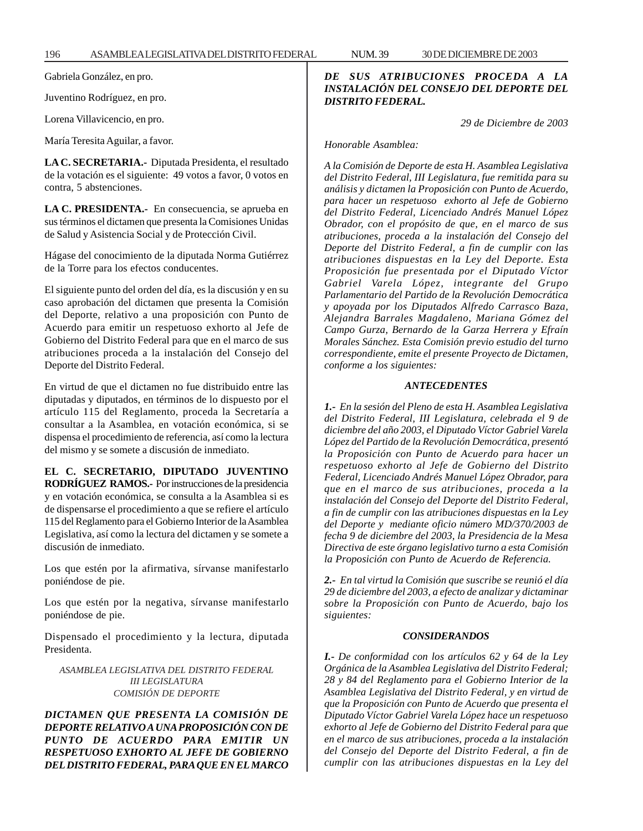Gabriela González, en pro.

Juventino Rodríguez, en pro.

Lorena Villavicencio, en pro.

María Teresita Aguilar, a favor.

**LA C. SECRETARIA.-** Diputada Presidenta, el resultado de la votación es el siguiente: 49 votos a favor, 0 votos en contra, 5 abstenciones.

**LA C. PRESIDENTA.-** En consecuencia, se aprueba en sus términos el dictamen que presenta la Comisiones Unidas de Salud y Asistencia Social y de Protección Civil.

Hágase del conocimiento de la diputada Norma Gutiérrez de la Torre para los efectos conducentes.

El siguiente punto del orden del día, es la discusión y en su caso aprobación del dictamen que presenta la Comisión del Deporte, relativo a una proposición con Punto de Acuerdo para emitir un respetuoso exhorto al Jefe de Gobierno del Distrito Federal para que en el marco de sus atribuciones proceda a la instalación del Consejo del Deporte del Distrito Federal.

En virtud de que el dictamen no fue distribuido entre las diputadas y diputados, en términos de lo dispuesto por el artículo 115 del Reglamento, proceda la Secretaría a consultar a la Asamblea, en votación económica, si se dispensa el procedimiento de referencia, así como la lectura del mismo y se somete a discusión de inmediato.

**EL C. SECRETARIO, DIPUTADO JUVENTINO RODRÍGUEZ RAMOS.-** Por instrucciones de la presidencia y en votación económica, se consulta a la Asamblea si es de dispensarse el procedimiento a que se refiere el artículo 115 del Reglamento para el Gobierno Interior de la Asamblea Legislativa, así como la lectura del dictamen y se somete a discusión de inmediato.

Los que estén por la afirmativa, sírvanse manifestarlo poniéndose de pie.

Los que estén por la negativa, sírvanse manifestarlo poniéndose de pie.

Dispensado el procedimiento y la lectura, diputada Presidenta.

*ASAMBLEA LEGISLATIVA DEL DISTRITO FEDERAL III LEGISLATURA COMISIÓN DE DEPORTE*

*DICTAMEN QUE PRESENTA LA COMISIÓN DE DEPORTE RELATIVO A UNA PROPOSICIÓN CON DE PUNTO DE ACUERDO PARA EMITIR UN RESPETUOSO EXHORTO AL JEFE DE GOBIERNO DEL DISTRITO FEDERAL, PARA QUE EN EL MARCO*

# *DE SUS ATRIBUCIONES PROCEDA A LA INSTALACIÓN DEL CONSEJO DEL DEPORTE DEL DISTRITO FEDERAL.*

 *29 de Diciembre de 2003*

*Honorable Asamblea:*

*A la Comisión de Deporte de esta H. Asamblea Legislativa del Distrito Federal, III Legislatura, fue remitida para su análisis y dictamen la Proposición con Punto de Acuerdo, para hacer un respetuoso exhorto al Jefe de Gobierno del Distrito Federal, Licenciado Andrés Manuel López Obrador, con el propósito de que, en el marco de sus atribuciones, proceda a la instalación del Consejo del Deporte del Distrito Federal, a fin de cumplir con las atribuciones dispuestas en la Ley del Deporte. Esta Proposición fue presentada por el Diputado Víctor Gabriel Varela López, integrante del Grupo Parlamentario del Partido de la Revolución Democrática y apoyada por los Diputados Alfredo Carrasco Baza, Alejandra Barrales Magdaleno, Mariana Gómez del Campo Gurza, Bernardo de la Garza Herrera y Efraín Morales Sánchez. Esta Comisión previo estudio del turno correspondiente, emite el presente Proyecto de Dictamen, conforme a los siguientes:*

## *ANTECEDENTES*

*1.- En la sesión del Pleno de esta H. Asamblea Legislativa del Distrito Federal, III Legislatura, celebrada el 9 de diciembre del año 2003, el Diputado Víctor Gabriel Varela López del Partido de la Revolución Democrática, presentó la Proposición con Punto de Acuerdo para hacer un respetuoso exhorto al Jefe de Gobierno del Distrito Federal, Licenciado Andrés Manuel López Obrador, para que en el marco de sus atribuciones, proceda a la instalación del Consejo del Deporte del Distrito Federal, a fin de cumplir con las atribuciones dispuestas en la Ley del Deporte y mediante oficio número MD/370/2003 de fecha 9 de diciembre del 2003, la Presidencia de la Mesa Directiva de este órgano legislativo turno a esta Comisión la Proposición con Punto de Acuerdo de Referencia.*

*2.- En tal virtud la Comisión que suscribe se reunió el día 29 de diciembre del 2003, a efecto de analizar y dictaminar sobre la Proposición con Punto de Acuerdo, bajo los siguientes:*

## *CONSIDERANDOS*

*I.- De conformidad con los artículos 62 y 64 de la Ley Orgánica de la Asamblea Legislativa del Distrito Federal; 28 y 84 del Reglamento para el Gobierno Interior de la Asamblea Legislativa del Distrito Federal, y en virtud de que la Proposición con Punto de Acuerdo que presenta el Diputado Víctor Gabriel Varela López hace un respetuoso exhorto al Jefe de Gobierno del Distrito Federal para que en el marco de sus atribuciones, proceda a la instalación del Consejo del Deporte del Distrito Federal, a fin de cumplir con las atribuciones dispuestas en la Ley del*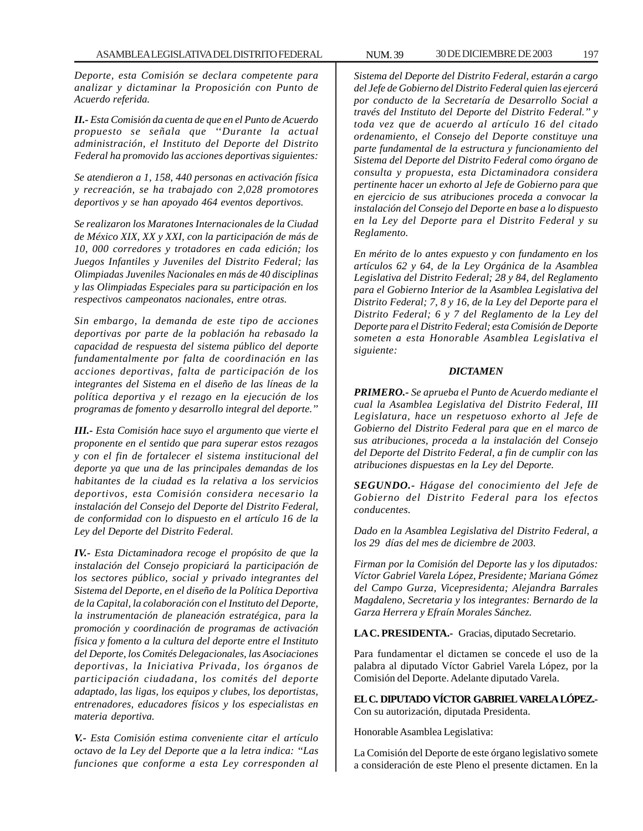*Deporte, esta Comisión se declara competente para analizar y dictaminar la Proposición con Punto de Acuerdo referida.*

*II.- Esta Comisión da cuenta de que en el Punto de Acuerdo propuesto se señala que ''Durante la actual administración, el Instituto del Deporte del Distrito Federal ha promovido las acciones deportivas siguientes:*

*Se atendieron a 1, 158, 440 personas en activación física y recreación, se ha trabajado con 2,028 promotores deportivos y se han apoyado 464 eventos deportivos.*

*Se realizaron los Maratones Internacionales de la Ciudad de México XIX, XX y XXI, con la participación de más de 10, 000 corredores y trotadores en cada edición; los Juegos Infantiles y Juveniles del Distrito Federal; las Olimpiadas Juveniles Nacionales en más de 40 disciplinas y las Olimpiadas Especiales para su participación en los respectivos campeonatos nacionales, entre otras.*

*Sin embargo, la demanda de este tipo de acciones deportivas por parte de la población ha rebasado la capacidad de respuesta del sistema público del deporte fundamentalmente por falta de coordinación en las acciones deportivas, falta de participación de los integrantes del Sistema en el diseño de las líneas de la política deportiva y el rezago en la ejecución de los programas de fomento y desarrollo integral del deporte.''*

*III.- Esta Comisión hace suyo el argumento que vierte el proponente en el sentido que para superar estos rezagos y con el fin de fortalecer el sistema institucional del deporte ya que una de las principales demandas de los habitantes de la ciudad es la relativa a los servicios deportivos, esta Comisión considera necesario la instalación del Consejo del Deporte del Distrito Federal, de conformidad con lo dispuesto en el artículo 16 de la Ley del Deporte del Distrito Federal.*

*IV.- Esta Dictaminadora recoge el propósito de que la instalación del Consejo propiciará la participación de los sectores público, social y privado integrantes del Sistema del Deporte, en el diseño de la Política Deportiva de la Capital, la colaboración con el Instituto del Deporte, la instrumentación de planeación estratégica, para la promoción y coordinación de programas de activación física y fomento a la cultura del deporte entre el Instituto del Deporte, los Comités Delegacionales, las Asociaciones deportivas, la Iniciativa Privada, los órganos de participación ciudadana, los comités del deporte adaptado, las ligas, los equipos y clubes, los deportistas, entrenadores, educadores físicos y los especialistas en materia deportiva.*

*V.- Esta Comisión estima conveniente citar el artículo octavo de la Ley del Deporte que a la letra indica: ''Las funciones que conforme a esta Ley corresponden al* *Sistema del Deporte del Distrito Federal, estarán a cargo del Jefe de Gobierno del Distrito Federal quien las ejercerá por conducto de la Secretaría de Desarrollo Social a través del Instituto del Deporte del Distrito Federal.'' y toda vez que de acuerdo al artículo 16 del citado ordenamiento, el Consejo del Deporte constituye una parte fundamental de la estructura y funcionamiento del Sistema del Deporte del Distrito Federal como órgano de consulta y propuesta, esta Dictaminadora considera pertinente hacer un exhorto al Jefe de Gobierno para que en ejercicio de sus atribuciones proceda a convocar la instalación del Consejo del Deporte en base a lo dispuesto en la Ley del Deporte para el Distrito Federal y su Reglamento.*

*En mérito de lo antes expuesto y con fundamento en los artículos 62 y 64, de la Ley Orgánica de la Asamblea Legislativa del Distrito Federal; 28 y 84, del Reglamento para el Gobierno Interior de la Asamblea Legislativa del Distrito Federal; 7, 8 y 16, de la Ley del Deporte para el Distrito Federal; 6 y 7 del Reglamento de la Ley del Deporte para el Distrito Federal; esta Comisión de Deporte someten a esta Honorable Asamblea Legislativa el siguiente:*

### *DICTAMEN*

*PRIMERO.- Se aprueba el Punto de Acuerdo mediante el cual la Asamblea Legislativa del Distrito Federal, III Legislatura, hace un respetuoso exhorto al Jefe de Gobierno del Distrito Federal para que en el marco de sus atribuciones, proceda a la instalación del Consejo del Deporte del Distrito Federal, a fin de cumplir con las atribuciones dispuestas en la Ley del Deporte.*

*SEGUNDO.- Hágase del conocimiento del Jefe de Gobierno del Distrito Federal para los efectos conducentes.*

*Dado en la Asamblea Legislativa del Distrito Federal, a los 29 días del mes de diciembre de 2003.*

*Firman por la Comisión del Deporte las y los diputados: Víctor Gabriel Varela López, Presidente; Mariana Gómez del Campo Gurza, Vicepresidenta; Alejandra Barrales Magdaleno, Secretaria y los integrantes: Bernardo de la Garza Herrera y Efraín Morales Sánchez.*

**LA C. PRESIDENTA.-** Gracias, diputado Secretario.

Para fundamentar el dictamen se concede el uso de la palabra al diputado Víctor Gabriel Varela López, por la Comisión del Deporte. Adelante diputado Varela.

**EL C. DIPUTADO VÍCTOR GABRIEL VARELA LÓPEZ.-** Con su autorización, diputada Presidenta.

Honorable Asamblea Legislativa:

La Comisión del Deporte de este órgano legislativo somete a consideración de este Pleno el presente dictamen. En la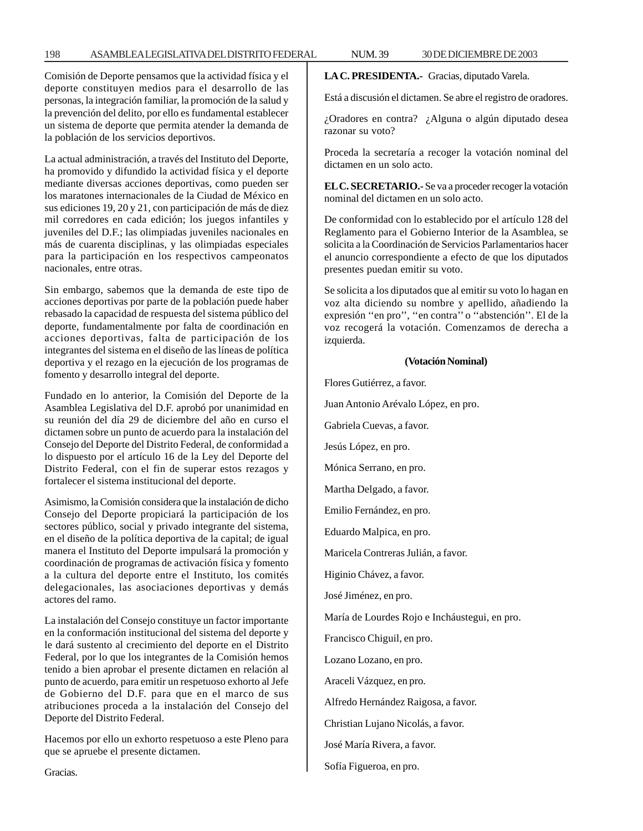# 198 ASAMBLEA LEGISLATIVA DEL DISTRITO FEDERAL NUM. 39 30 DE DICIEMBRE DE 2003

Comisión de Deporte pensamos que la actividad física y el deporte constituyen medios para el desarrollo de las personas, la integración familiar, la promoción de la salud y la prevención del delito, por ello es fundamental establecer un sistema de deporte que permita atender la demanda de la población de los servicios deportivos.

La actual administración, a través del Instituto del Deporte, ha promovido y difundido la actividad física y el deporte mediante diversas acciones deportivas, como pueden ser los maratones internacionales de la Ciudad de México en sus ediciones 19, 20 y 21, con participación de más de diez mil corredores en cada edición; los juegos infantiles y juveniles del D.F.; las olimpiadas juveniles nacionales en más de cuarenta disciplinas, y las olimpiadas especiales para la participación en los respectivos campeonatos nacionales, entre otras.

Sin embargo, sabemos que la demanda de este tipo de acciones deportivas por parte de la población puede haber rebasado la capacidad de respuesta del sistema público del deporte, fundamentalmente por falta de coordinación en acciones deportivas, falta de participación de los integrantes del sistema en el diseño de las líneas de política deportiva y el rezago en la ejecución de los programas de fomento y desarrollo integral del deporte.

Fundado en lo anterior, la Comisión del Deporte de la Asamblea Legislativa del D.F. aprobó por unanimidad en su reunión del día 29 de diciembre del año en curso el dictamen sobre un punto de acuerdo para la instalación del Consejo del Deporte del Distrito Federal, de conformidad a lo dispuesto por el artículo 16 de la Ley del Deporte del Distrito Federal, con el fin de superar estos rezagos y fortalecer el sistema institucional del deporte.

Asimismo, la Comisión considera que la instalación de dicho Consejo del Deporte propiciará la participación de los sectores público, social y privado integrante del sistema, en el diseño de la política deportiva de la capital; de igual manera el Instituto del Deporte impulsará la promoción y coordinación de programas de activación física y fomento a la cultura del deporte entre el Instituto, los comités delegacionales, las asociaciones deportivas y demás actores del ramo.

La instalación del Consejo constituye un factor importante en la conformación institucional del sistema del deporte y le dará sustento al crecimiento del deporte en el Distrito Federal, por lo que los integrantes de la Comisión hemos tenido a bien aprobar el presente dictamen en relación al punto de acuerdo, para emitir un respetuoso exhorto al Jefe de Gobierno del D.F. para que en el marco de sus atribuciones proceda a la instalación del Consejo del Deporte del Distrito Federal.

Hacemos por ello un exhorto respetuoso a este Pleno para que se apruebe el presente dictamen.

**LA C. PRESIDENTA.-** Gracias, diputado Varela.

Está a discusión el dictamen. Se abre el registro de oradores.

¿Oradores en contra? ¿Alguna o algún diputado desea razonar su voto?

Proceda la secretaría a recoger la votación nominal del dictamen en un solo acto.

**EL C. SECRETARIO.-** Se va a proceder recoger la votación nominal del dictamen en un solo acto.

De conformidad con lo establecido por el artículo 128 del Reglamento para el Gobierno Interior de la Asamblea, se solicita a la Coordinación de Servicios Parlamentarios hacer el anuncio correspondiente a efecto de que los diputados presentes puedan emitir su voto.

Se solicita a los diputados que al emitir su voto lo hagan en voz alta diciendo su nombre y apellido, añadiendo la expresión ''en pro'', ''en contra'' o ''abstención''. El de la voz recogerá la votación. Comenzamos de derecha a izquierda.

# **(Votación Nominal)**

Flores Gutiérrez, a favor.

Juan Antonio Arévalo López, en pro.

Gabriela Cuevas, a favor.

Jesús López, en pro.

Mónica Serrano, en pro.

Martha Delgado, a favor.

Emilio Fernández, en pro.

Eduardo Malpica, en pro.

Maricela Contreras Julián, a favor.

Higinio Chávez, a favor.

José Jiménez, en pro.

María de Lourdes Rojo e Incháustegui, en pro.

Francisco Chiguil, en pro.

Lozano Lozano, en pro.

Araceli Vázquez, en pro.

Alfredo Hernández Raigosa, a favor.

Christian Lujano Nicolás, a favor.

José María Rivera, a favor.

Sofía Figueroa, en pro.

Gracias.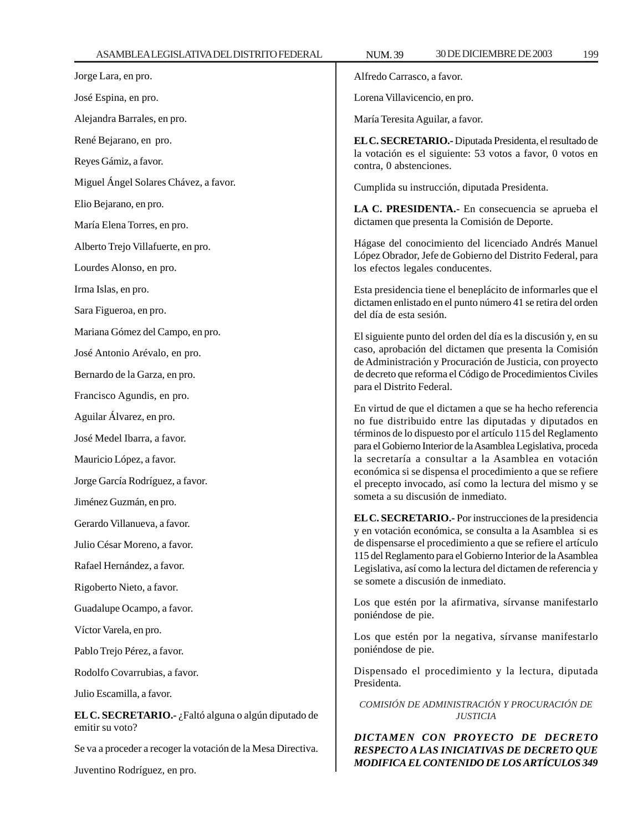Juventino Rodríguez, en pro.

| Jorge Lara, en pro.                                                     | Alfredo Carrasco, a favor.                                                                                                   |  |
|-------------------------------------------------------------------------|------------------------------------------------------------------------------------------------------------------------------|--|
| José Espina, en pro.                                                    | Lorena Villavicencio, en pro.                                                                                                |  |
| Alejandra Barrales, en pro.                                             | María Teresita Aguilar, a favor.                                                                                             |  |
| René Bejarano, en pro.                                                  | EL C. SECRETARIO.- Diputada Presidenta, el resultado de                                                                      |  |
| Reyes Gámiz, a favor.                                                   | la votación es el siguiente: 53 votos a favor, 0 votos en<br>contra, 0 abstenciones.                                         |  |
| Miguel Ángel Solares Chávez, a favor.                                   | Cumplida su instrucción, diputada Presidenta.                                                                                |  |
| Elio Bejarano, en pro.                                                  | LA C. PRESIDENTA.- En consecuencia se aprueba el                                                                             |  |
| María Elena Torres, en pro.                                             | dictamen que presenta la Comisión de Deporte.                                                                                |  |
| Alberto Trejo Villafuerte, en pro.                                      | Hágase del conocimiento del licenciado Andrés Manuel<br>López Obrador, Jefe de Gobierno del Distrito Federal, para           |  |
| Lourdes Alonso, en pro.                                                 | los efectos legales conducentes.                                                                                             |  |
| Irma Islas, en pro.                                                     | Esta presidencia tiene el beneplácito de informarles que el                                                                  |  |
| Sara Figueroa, en pro.                                                  | dictamen enlistado en el punto número 41 se retira del orden<br>del día de esta sesión.                                      |  |
| Mariana Gómez del Campo, en pro.                                        | El siguiente punto del orden del día es la discusión y, en su                                                                |  |
| José Antonio Arévalo, en pro.                                           | caso, aprobación del dictamen que presenta la Comisión<br>de Administración y Procuración de Justicia, con proyecto          |  |
| Bernardo de la Garza, en pro.                                           | de decreto que reforma el Código de Procedimientos Civiles                                                                   |  |
| Francisco Agundis, en pro.                                              | para el Distrito Federal.                                                                                                    |  |
| Aguilar Álvarez, en pro.                                                | En virtud de que el dictamen a que se ha hecho referencia<br>no fue distribuido entre las diputadas y diputados en           |  |
| José Medel Ibarra, a favor.                                             | términos de lo dispuesto por el artículo 115 del Reglamento<br>para el Gobierno Interior de la Asamblea Legislativa, proceda |  |
| Mauricio López, a favor.                                                | la secretaría a consultar a la Asamblea en votación                                                                          |  |
| Jorge García Rodríguez, a favor.                                        | económica si se dispensa el procedimiento a que se refiere<br>el precepto invocado, así como la lectura del mismo y se       |  |
| Jiménez Guzmán, en pro.                                                 | someta a su discusión de inmediato.                                                                                          |  |
| Gerardo Villanueva, a favor.                                            | EL C. SECRETARIO.- Por instrucciones de la presidencia<br>y en votación económica, se consulta a la Asamblea si es           |  |
| Julio César Moreno, a favor.                                            | de dispensarse el procedimiento a que se refiere el artículo                                                                 |  |
| Rafael Hernández, a favor.                                              | 115 del Reglamento para el Gobierno Interior de la Asamblea<br>Legislativa, así como la lectura del dictamen de referencia y |  |
| Rigoberto Nieto, a favor.                                               | se somete a discusión de inmediato.                                                                                          |  |
| Guadalupe Ocampo, a favor.                                              | Los que estén por la afirmativa, sírvanse manifestarlo<br>poniéndose de pie.                                                 |  |
| Víctor Varela, en pro.                                                  | Los que estén por la negativa, sírvanse manifestarlo                                                                         |  |
| Pablo Trejo Pérez, a favor.                                             | poniéndose de pie.                                                                                                           |  |
| Rodolfo Covarrubias, a favor.                                           | Dispensado el procedimiento y la lectura, diputada                                                                           |  |
| Julio Escamilla, a favor.                                               | Presidenta.                                                                                                                  |  |
| EL C. SECRETARIO.- ¿Faltó alguna o algún diputado de<br>emitir su voto? | COMISIÓN DE ADMINISTRACIÓN Y PROCURACIÓN DE<br><b>JUSTICIA</b>                                                               |  |
| Se va a proceder a recoger la votación de la Mesa Directiva.            | DICTAMEN CON PROYECTO DE DECRETO<br>RESPECTO A LAS INICIATIVAS DE DECRETO QUE                                                |  |
| Inventino Rodríguez en pro-                                             | MODIFICA EL CONTENIDO DE LOS ARTÍCULOS 349                                                                                   |  |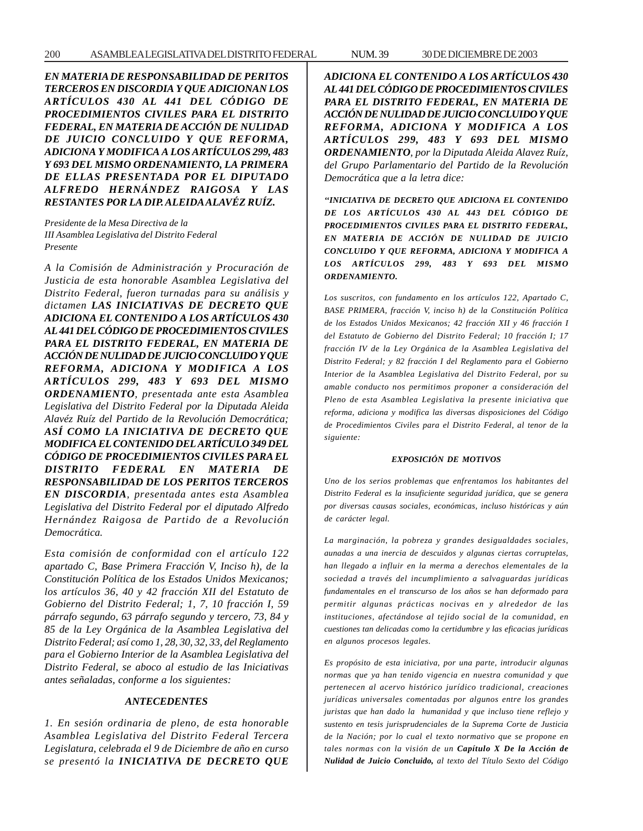*EN MATERIA DE RESPONSABILIDAD DE PERITOS TERCEROS EN DISCORDIA Y QUE ADICIONAN LOS ARTÍCULOS 430 AL 441 DEL CÓDIGO DE PROCEDIMIENTOS CIVILES PARA EL DISTRITO FEDERAL, EN MATERIA DE ACCIÓN DE NULIDAD DE JUICIO CONCLUIDO Y QUE REFORMA, ADICIONA Y MODIFICA A LOS ARTÍCULOS 299, 483 Y 693 DEL MISMO ORDENAMIENTO, LA PRIMERA DE ELLAS PRESENTADA POR EL DIPUTADO ALFREDO HERNÁNDEZ RAIGOSA Y LAS RESTANTES POR LA DIP. ALEIDA ALAVÉZ RUÍZ.*

*Presidente de la Mesa Directiva de la III Asamblea Legislativa del Distrito Federal Presente*

*A la Comisión de Administración y Procuración de Justicia de esta honorable Asamblea Legislativa del Distrito Federal, fueron turnadas para su análisis y dictamen LAS INICIATIVAS DE DECRETO QUE ADICIONA EL CONTENIDO A LOS ARTÍCULOS 430 AL 441 DEL CÓDIGO DE PROCEDIMIENTOS CIVILES PARA EL DISTRITO FEDERAL, EN MATERIA DE ACCIÓN DE NULIDAD DE JUICIO CONCLUIDO Y QUE REFORMA, ADICIONA Y MODIFICA A LOS ARTÍCULOS 299, 483 Y 693 DEL MISMO ORDENAMIENTO, presentada ante esta Asamblea Legislativa del Distrito Federal por la Diputada Aleida Alavéz Ruíz del Partido de la Revolución Democrática; ASÍ COMO LA INICIATIVA DE DECRETO QUE MODIFICA EL CONTENIDO DEL ARTÍCULO 349 DEL CÓDIGO DE PROCEDIMIENTOS CIVILES PARA EL DISTRITO FEDERAL EN MATERIA DE RESPONSABILIDAD DE LOS PERITOS TERCEROS EN DISCORDIA, presentada antes esta Asamblea Legislativa del Distrito Federal por el diputado Alfredo Hernández Raigosa de Partido de a Revolución Democrática.*

*Esta comisión de conformidad con el artículo 122 apartado C, Base Primera Fracción V, Inciso h), de la Constitución Política de los Estados Unidos Mexicanos; los artículos 36, 40 y 42 fracción XII del Estatuto de Gobierno del Distrito Federal; 1, 7, 10 fracción I, 59 párrafo segundo, 63 párrafo segundo y tercero, 73, 84 y 85 de la Ley Orgánica de la Asamblea Legislativa del Distrito Federal; así como 1, 28, 30, 32, 33, del Reglamento para el Gobierno Interior de la Asamblea Legislativa del Distrito Federal, se aboco al estudio de las Iniciativas antes señaladas, conforme a los siguientes:*

## *ANTECEDENTES*

*1. En sesión ordinaria de pleno, de esta honorable Asamblea Legislativa del Distrito Federal Tercera Legislatura, celebrada el 9 de Diciembre de año en curso se presentó la INICIATIVA DE DECRETO QUE* *ADICIONA EL CONTENIDO A LOS ARTÍCULOS 430 AL 441 DEL CÓDIGO DE PROCEDIMIENTOS CIVILES PARA EL DISTRITO FEDERAL, EN MATERIA DE ACCIÓN DE NULIDAD DE JUICIO CONCLUIDO Y QUE REFORMA, ADICIONA Y MODIFICA A LOS ARTÍCULOS 299, 483 Y 693 DEL MISMO ORDENAMIENTO, por la Diputada Aleida Alavez Ruíz, del Grupo Parlamentario del Partido de la Revolución Democrática que a la letra dice:*

*''INICIATIVA DE DECRETO QUE ADICIONA EL CONTENIDO DE LOS ARTÍCULOS 430 AL 443 DEL CÓDIGO DE PROCEDIMIENTOS CIVILES PARA EL DISTRITO FEDERAL, EN MATERIA DE ACCIÓN DE NULIDAD DE JUICIO CONCLUIDO Y QUE REFORMA, ADICIONA Y MODIFICA A LOS ARTÍCULOS 299, 483 Y 693 DEL MISMO ORDENAMIENTO.*

*Los suscritos, con fundamento en los artículos 122, Apartado C, BASE PRIMERA, fracción V, inciso h) de la Constitución Política de los Estados Unidos Mexicanos; 42 fracción XII y 46 fracción I del Estatuto de Gobierno del Distrito Federal; 10 fracción I; 17 fracción IV de la Ley Orgánica de la Asamblea Legislativa del Distrito Federal; y 82 fracción I del Reglamento para el Gobierno Interior de la Asamblea Legislativa del Distrito Federal, por su amable conducto nos permitimos proponer a consideración del Pleno de esta Asamblea Legislativa la presente iniciativa que reforma, adiciona y modifica las diversas disposiciones del Código de Procedimientos Civiles para el Distrito Federal, al tenor de la siguiente:*

### *EXPOSICIÓN DE MOTIVOS*

*Uno de los serios problemas que enfrentamos los habitantes del Distrito Federal es la insuficiente seguridad jurídica, que se genera por diversas causas sociales, económicas, incluso históricas y aún de carácter legal.*

*La marginación, la pobreza y grandes desigualdades sociales, aunadas a una inercia de descuidos y algunas ciertas corruptelas, han llegado a influir en la merma a derechos elementales de la sociedad a través del incumplimiento a salvaguardas jurídicas fundamentales en el transcurso de los años se han deformado para permitir algunas prácticas nocivas en y alrededor de las instituciones, afectándose al tejido social de la comunidad, en cuestiones tan delicadas como la certidumbre y las eficacias jurídicas en algunos procesos legales.*

*Es propósito de esta iniciativa, por una parte, introducir algunas normas que ya han tenido vigencia en nuestra comunidad y que pertenecen al acervo histórico jurídico tradicional, creaciones jurídicas universales comentadas por algunos entre los grandes juristas que han dado la humanidad y que incluso tiene reflejo y sustento en tesis jurisprudenciales de la Suprema Corte de Justicia de la Nación; por lo cual el texto normativo que se propone en tales normas con la visión de un Capítulo X De la Acción de Nulidad de Juicio Concluido, al texto del Título Sexto del Código*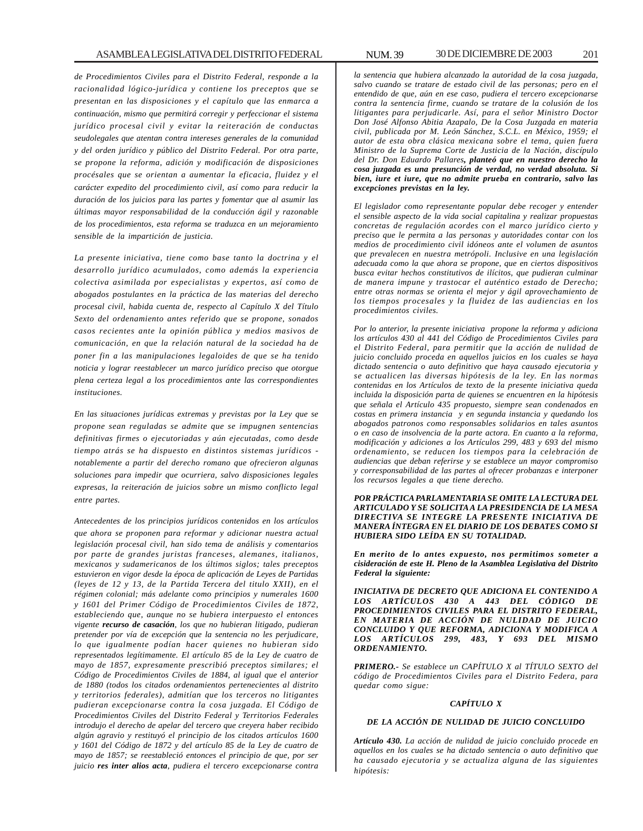*de Procedimientos Civiles para el Distrito Federal, responde a la racionalidad lógico-jurídica y contiene los preceptos que se presentan en las disposiciones y el capítulo que las enmarca a continuación, mismo que permitirá corregir y perfeccionar el sistema jurídico procesal civil y evitar la reiteración de conductas seudolegales que atentan contra intereses generales de la comunidad y del orden jurídico y público del Distrito Federal. Por otra parte, se propone la reforma, adición y modificación de disposiciones procésales que se orientan a aumentar la eficacia, fluidez y el carácter expedito del procedimiento civil, así como para reducir la duración de los juicios para las partes y fomentar que al asumir las últimas mayor responsabilidad de la conducción ágil y razonable de los procedimientos, esta reforma se traduzca en un mejoramiento sensible de la impartición de justicia.*

*La presente iniciativa, tiene como base tanto la doctrina y el desarrollo jurídico acumulados, como además la experiencia colectiva asimilada por especialistas y expertos, así como de abogados postulantes en la práctica de las materias del derecho procesal civil, habida cuenta de, respecto al Capítulo X del Título Sexto del ordenamiento antes referido que se propone, sonados casos recientes ante la opinión pública y medios masivos de comunicación, en que la relación natural de la sociedad ha de poner fin a las manipulaciones legaloides de que se ha tenido noticia y lograr reestablecer un marco jurídico preciso que otorgue plena certeza legal a los procedimientos ante las correspondientes instituciones.*

*En las situaciones jurídicas extremas y previstas por la Ley que se propone sean reguladas se admite que se impugnen sentencias definitivas firmes o ejecutoriadas y aún ejecutadas, como desde tiempo atrás se ha dispuesto en distintos sistemas jurídicos notablemente a partir del derecho romano que ofrecieron algunas soluciones para impedir que ocurriera, salvo disposiciones legales expresas, la reiteración de juicios sobre un mismo conflicto legal entre partes.*

*Antecedentes de los principios jurídicos contenidos en los artículos que ahora se proponen para reformar y adicionar nuestra actual legislación procesal civil, han sido tema de análisis y comentarios por parte de grandes juristas franceses, alemanes, italianos, mexicanos y sudamericanos de los últimos siglos; tales preceptos estuvieron en vigor desde la época de aplicación de Leyes de Partidas (leyes de 12 y 13, de la Partida Tercera del titulo XXII), en el régimen colonial; más adelante como principios y numerales 1600 y 1601 del Primer Código de Procedimientos Civiles de 1872, estableciendo que, aunque no se hubiera interpuesto el entonces vigente recurso de casación, los que no hubieran litigado, pudieran pretender por vía de excepción que la sentencia no les perjudicare, lo que igualmente podían hacer quienes no hubieran sido representados legítimamente. El artículo 85 de la Ley de cuatro de mayo de 1857, expresamente prescribió preceptos similares; el Código de Procedimientos Civiles de 1884, al igual que el anterior de 1880 (todos los citados ordenamientos pertenecientes al distrito y territorios federales), admitían que los terceros no litigantes pudieran excepcionarse contra la cosa juzgada. El Código de Procedimientos Civiles del Distrito Federal y Territorios Federales introdujo el derecho de apelar del tercero que creyera haber recibido algún agravio y restituyó el principio de los citados artículos 1600 y 1601 del Código de 1872 y del artículo 85 de la Ley de cuatro de mayo de 1857; se reestableció entonces el principio de que, por ser juicio res inter alios acta, pudiera el tercero excepcionarse contra*

*la sentencia que hubiera alcanzado la autoridad de la cosa juzgada, salvo cuando se tratare de estado civil de las personas; pero en el entendido de que, aún en ese caso, pudiera el tercero excepcionarse contra la sentencia firme, cuando se tratare de la colusión de los litigantes para perjudicarle. Así, para el señor Ministro Doctor Don José Alfonso Abitia Azapalo, De la Cosa Juzgada en materia civil, publicada por M. León Sánchez, S.C.L. en México, 1959; el autor de esta obra clásica mexicana sobre el tema, quien fuera Ministro de la Suprema Corte de Justicia de la Nación, discípulo del Dr. Don Eduardo Pallares, planteó que en nuestro derecho la cosa juzgada es una presunción de verdad, no verdad absoluta. Si bien, iure et iure, que no admite prueba en contrario, salvo las excepciones previstas en la ley.*

*El legislador como representante popular debe recoger y entender el sensible aspecto de la vida social capitalina y realizar propuestas concretas de regulación acordes con el marco jurídico cierto y preciso que le permita a las personas y autoridades contar con los medios de procedimiento civil idóneos ante el volumen de asuntos que prevalecen en nuestra metrópoli. Inclusive en una legislación adecuada como la que ahora se propone, que en ciertos dispositivos busca evitar hechos constitutivos de ilícitos, que pudieran culminar de manera impune y trastocar el auténtico estado de Derecho; entre otras normas se orienta el mejor y ágil aprovechamiento de los tiempos procesales y la fluidez de las audiencias en los procedimientos civiles.*

*Por lo anterior, la presente iniciativa propone la reforma y adiciona los artículos 430 al 441 del Código de Procedimientos Civiles para el Distrito Federal, para permitir que la acción de nulidad de juicio concluido proceda en aquellos juicios en los cuales se haya dictado sentencia o auto definitivo que haya causado ejecutoria y se actualicen las diversas hipótesis de la ley. En las normas contenidas en los Artículos de texto de la presente iniciativa queda incluida la disposición parta de quienes se encuentren en la hipótesis que señala el Artículo 435 propuesto, siempre sean condenados en costas en primera instancia y en segunda instancia y quedando los abogados patronos como responsables solidarios en tales asuntos o en caso de insolvencia de la parte actora. En cuanto a la reforma, modificación y adiciones a los Artículos 299, 483 y 693 del mismo ordenamiento, se reducen los tiempos para la celebración de audiencias que deban referirse y se establece un mayor compromiso y corresponsabilidad de las partes al ofrecer probanzas e interponer los recursos legales a que tiene derecho.*

*POR PRÁCTICA PARLAMENTARIA SE OMITE LA LECTURA DEL ARTICULADO Y SE SOLICITAA LA PRESIDENCIA DE LA MESA DIRECTIVA SE INTEGRE LA PRESENTE INICIATIVA DE MANERA ÍNTEGRA EN EL DIARIO DE LOS DEBATES COMO SI HUBIERA SIDO LEÍDA EN SU TOTALIDAD.*

*En merito de lo antes expuesto, nos permitimos someter a cisideración de este H. Pleno de la Asamblea Legislativa del Distrito Federal la siguiente:*

*INICIATIVA DE DECRETO QUE ADICIONA EL CONTENIDO A LOS ARTÍCULOS 430 A 443 DEL CÓDIGO DE PROCEDIMIENTOS CIVILES PARA EL DISTRITO FEDERAL, EN MATERIA DE ACCIÓN DE NULIDAD DE JUICIO CONCLUIDO Y QUE REFORMA, ADICIONA Y MODIFICA A LOS ARTÍCULOS 299, 483, Y 693 DEL MISMO ORDENAMIENTO.*

*PRIMERO.- Se establece un CAPÍTULO X al TÍTULO SEXTO del código de Procedimientos Civiles para el Distrito Federa, para quedar como sigue:*

#### *CAPÍTULO X*

### *DE LA ACCIÓN DE NULIDAD DE JUICIO CONCLUIDO*

*Artículo 430. La acción de nulidad de juicio concluido procede en aquellos en los cuales se ha dictado sentencia o auto definitivo que ha causado ejecutoria y se actualiza alguna de las siguientes hipótesis:*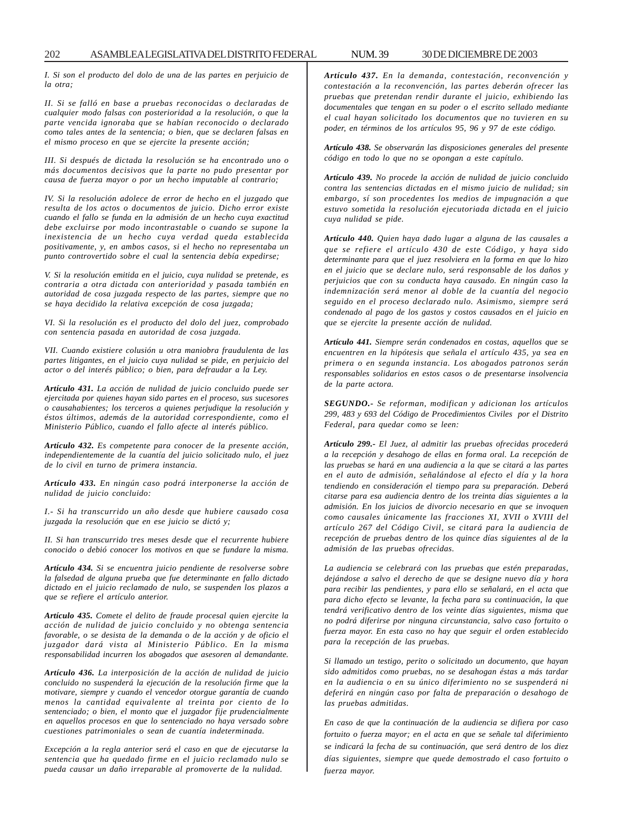*I. Si son el producto del dolo de una de las partes en perjuicio de la otra;*

*II. Si se falló en base a pruebas reconocidas o declaradas de cualquier modo falsas con posterioridad a la resolución, o que la parte vencida ignoraba que se habían reconocido o declarado como tales antes de la sentencia; o bien, que se declaren falsas en el mismo proceso en que se ejercite la presente acción;*

*III. Si después de dictada la resolución se ha encontrado uno o más documentos decisivos que la parte no pudo presentar por causa de fuerza mayor o por un hecho imputable al contrario;*

*IV. Si la resolución adolece de error de hecho en el juzgado que resulta de los actos o documentos de juicio. Dicho error existe cuando el fallo se funda en la admisión de un hecho cuya exactitud debe excluirse por modo incontrastable o cuando se supone la inexistencia de un hecho cuya verdad queda establecida positivamente, y, en ambos casos, si el hecho no representaba un punto controvertido sobre el cual la sentencia debía expedirse;*

*V. Si la resolución emitida en el juicio, cuya nulidad se pretende, es contraria a otra dictada con anterioridad y pasada también en autoridad de cosa juzgada respecto de las partes, siempre que no se haya decidido la relativa excepción de cosa juzgada;*

*VI. Si la resolución es el producto del dolo del juez, comprobado con sentencia pasada en autoridad de cosa juzgada.*

*VII. Cuando existiere colusión u otra maniobra fraudulenta de las partes litigantes, en el juicio cuya nulidad se pide, en perjuicio del actor o del interés público; o bien, para defraudar a la Ley.*

*Artículo 431. La acción de nulidad de juicio concluido puede ser ejercitada por quienes hayan sido partes en el proceso, sus sucesores o causahabientes; los terceros a quienes perjudique la resolución y éstos últimos, además de la autoridad correspondiente, como el Ministerio Público, cuando el fallo afecte al interés público.*

*Artículo 432. Es competente para conocer de la presente acción, independientemente de la cuantía del juicio solicitado nulo, el juez de lo civil en turno de primera instancia.*

*Artículo 433. En ningún caso podrá interponerse la acción de nulidad de juicio concluido:*

*I.- Si ha transcurrido un año desde que hubiere causado cosa juzgada la resolución que en ese juicio se dictó y;*

*II. Si han transcurrido tres meses desde que el recurrente hubiere conocido o debió conocer los motivos en que se fundare la misma.*

*Artículo 434. Si se encuentra juicio pendiente de resolverse sobre la falsedad de alguna prueba que fue determinante en fallo dictado dictado en el juicio reclamado de nulo, se suspenden los plazos a que se refiere el artículo anterior.*

*Artículo 435. Comete el delito de fraude procesal quien ejercite la acción de nulidad de juicio concluido y no obtenga sentencia favorable, o se desista de la demanda o de la acción y de oficio el juzgador dará vista al Ministerio Público. En la misma responsabilidad incurren los abogados que asesoren al demandante.*

*Artículo 436. La interposición de la acción de nulidad de juicio concluido no suspenderá la ejecución de la resolución firme que la motivare, siempre y cuando el vencedor otorgue garantía de cuando menos la cantidad equivalente al treinta por ciento de lo sentenciado; o bien, el monto que el juzgador fije prudencialmente en aquellos procesos en que lo sentenciado no haya versado sobre cuestiones patrimoniales o sean de cuantía indeterminada.*

*Excepción a la regla anterior será el caso en que de ejecutarse la sentencia que ha quedado firme en el juicio reclamado nulo se pueda causar un daño irreparable al promoverte de la nulidad.*

*Artículo 437. En la demanda, contestación, reconvención y contestación a la reconvención, las partes deberán ofrecer las pruebas que pretendan rendir durante el juicio, exhibiendo las documentales que tengan en su poder o el escrito sellado mediante el cual hayan solicitado los documentos que no tuvieren en su poder, en términos de los artículos 95, 96 y 97 de este código.*

*Artículo 438. Se observarán las disposiciones generales del presente código en todo lo que no se opongan a este capítulo.*

*Artículo 439. No procede la acción de nulidad de juicio concluido contra las sentencias dictadas en el mismo juicio de nulidad; sin embargo, sí son procedentes los medios de impugnación a que estuvo sometida la resolución ejecutoriada dictada en el juicio cuya nulidad se pide.*

*Artículo 440. Quien haya dado lugar a alguna de las causales a que se refiere el artículo 430 de este Código, y haya sido determinante para que el juez resolviera en la forma en que lo hizo en el juicio que se declare nulo, será responsable de los daños y perjuicios que con su conducta haya causado. En ningún caso la indemnización será menor al doble de la cuantía del negocio seguido en el proceso declarado nulo. Asimismo, siempre será condenado al pago de los gastos y costos causados en el juicio en que se ejercite la presente acción de nulidad.*

*Artículo 441. Siempre serán condenados en costas, aquellos que se encuentren en la hipótesis que señala el artículo 435, ya sea en primera o en segunda instancia. Los abogados patronos serán responsables solidarios en estos casos o de presentarse insolvencia de la parte actora.*

*SEGUNDO.- Se reforman, modifican y adicionan los artículos 299, 483 y 693 del Código de Procedimientos Civiles por el Distrito Federal, para quedar como se leen:*

*Artículo 299.- El Juez, al admitir las pruebas ofrecidas procederá a la recepción y desahogo de ellas en forma oral. La recepción de las pruebas se hará en una audiencia a la que se citará a las partes en el auto de admisión, señalándose al efecto el día y la hora tendiendo en consideración el tiempo para su preparación. Deberá citarse para esa audiencia dentro de los treinta días siguientes a la admisión. En los juicios de divorcio necesario en que se invoquen como causales únicamente las fracciones XI, XVII o XVIII del artículo 267 del Código Civil, se citará para la audiencia de recepción de pruebas dentro de los quince días siguientes al de la admisión de las pruebas ofrecidas.*

*La audiencia se celebrará con las pruebas que estén preparadas, dejándose a salvo el derecho de que se designe nuevo día y hora para recibir las pendientes, y para ello se señalará, en el acta que para dicho efecto se levante, la fecha para su continuación, la que tendrá verificativo dentro de los veinte días siguientes, misma que no podrá diferirse por ninguna circunstancia, salvo caso fortuito o fuerza mayor. En esta caso no hay que seguir el orden establecido para la recepción de las pruebas.*

*Si llamado un testigo, perito o solicitado un documento, que hayan sido admitidos como pruebas, no se desahogan éstas a más tardar en la audiencia o en su único diferimiento no se suspenderá ni deferirá en ningún caso por falta de preparación o desahogo de las pruebas admitidas.*

*En caso de que la continuación de la audiencia se difiera por caso fortuito o fuerza mayor; en el acta en que se señale tal diferimiento se indicará la fecha de su continuación, que será dentro de los diez días siguientes, siempre que quede demostrado el caso fortuito o fuerza mayor.*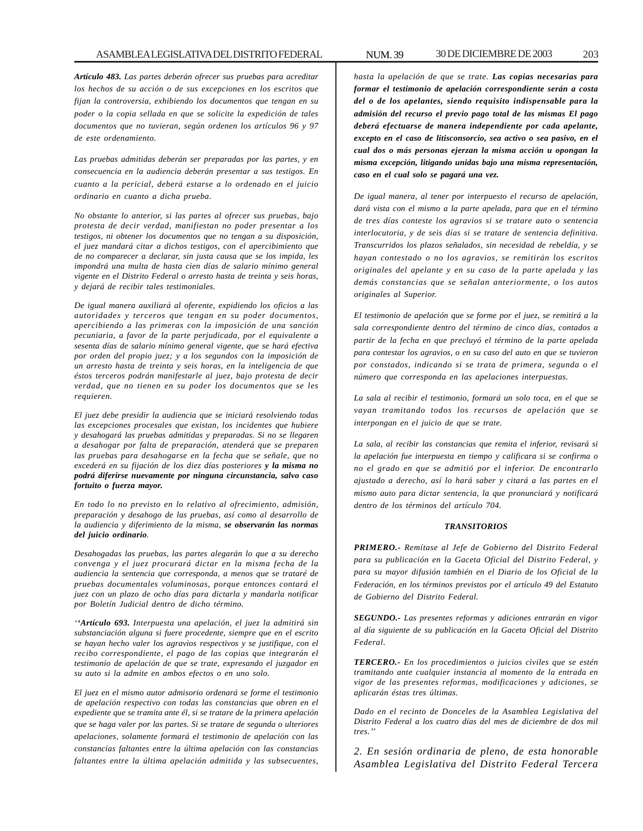*Artículo 483. Las partes deberán ofrecer sus pruebas para acreditar los hechos de su acción o de sus excepciones en los escritos que fijan la controversia, exhibiendo los documentos que tengan en su poder o la copia sellada en que se solicite la expedición de tales documentos que no tuvieran, según ordenen los artículos 96 y 97 de este ordenamiento.*

*Las pruebas admitidas deberán ser preparadas por las partes, y en consecuencia en la audiencia deberán presentar a sus testigos. En cuanto a la pericial, deberá estarse a lo ordenado en el juicio ordinario en cuanto a dicha prueba.*

*No obstante lo anterior, si las partes al ofrecer sus pruebas, bajo protesta de decir verdad, manifiestan no poder presentar a los testigos, ni obtener los documentos que no tengan a su disposición, el juez mandará citar a dichos testigos, con el apercibimiento que de no comparecer a declarar, sin justa causa que se los impida, les impondrá una multa de hasta cien días de salario mínimo general vigente en el Distrito Federal o arresto hasta de treinta y seis horas, y dejará de recibir tales testimoniales.*

*De igual manera auxiliará al oferente, expidiendo los oficios a las autoridades y terceros que tengan en su poder documentos, apercibiendo a las primeras con la imposición de una sanción pecuniaria, a favor de la parte perjudicada, por el equivalente a sesenta días de salario mínimo general vigente, que se hará efectiva por orden del propio juez; y a los segundos con la imposición de un arresto hasta de treinta y seis horas, en la inteligencia de que éstos terceros podrán manifestarle al juez, bajo protesta de decir verdad, que no tienen en su poder los documentos que se les requieren.*

*El juez debe presidir la audiencia que se iniciará resolviendo todas las excepciones procesales que existan, los incidentes que hubiere y desahogará las pruebas admitidas y preparadas. Si no se llegaren a desahogar por falta de preparación, atenderá que se preparen las pruebas para desahogarse en la fecha que se señale, que no excederá en su fijación de los diez días posteriores y la misma no podrá diferirse nuevamente por ninguna circunstancia, salvo caso fortuito o fuerza mayor.*

*En todo lo no previsto en lo relativo al ofrecimiento, admisión, preparación y desahogo de las pruebas, así como al desarrollo de la audiencia y diferimiento de la misma, se observarán las normas del juicio ordinario.*

*Desahogadas las pruebas, las partes alegarán lo que a su derecho convenga y el juez procurará dictar en la misma fecha de la audiencia la sentencia que corresponda, a menos que se trataré de pruebas documentales voluminosas, porque entonces contará el juez con un plazo de ocho días para dictarla y mandarla notificar por Boletín Judicial dentro de dicho término.*

*''Artículo 693. Interpuesta una apelación, el juez la admitirá sin substanciación alguna si fuere procedente, siempre que en el escrito se hayan hecho valer los agravios respectivos y se justifique, con el recibo correspondiente, el pago de las copias que integrarán el testimonio de apelación de que se trate, expresando el juzgador en su auto si la admite en ambos efectos o en uno solo.*

*El juez en el mismo autor admisorio ordenará se forme el testimonio de apelación respectivo con todas las constancias que obren en el expediente que se tramita ante él, si se tratare de la primera apelación que se haga valer por las partes. Si se tratare de segunda o ulteriores apelaciones, solamente formará el testimonio de apelación con las constancias faltantes entre la última apelación con las constancias faltantes entre la última apelación admitida y las subsecuentes,*

*hasta la apelación de que se trate. Las copias necesarias para formar el testimonio de apelación correspondiente serán a costa del o de los apelantes, siendo requisito indispensable para la admisión del recurso el previo pago total de las mismas El pago deberá efectuarse de manera independiente por cada apelante, excepto en el caso de litisconsorcio, sea activo o sea pasivo, en el cual dos o más personas ejerzan la misma acción u opongan la misma excepción, litigando unidas bajo una misma representación, caso en el cual solo se pagará una vez.*

*De igual manera, al tener por interpuesto el recurso de apelación, dará vista con el mismo a la parte apelada, para que en el término de tres días conteste los agravios si se tratare auto o sentencia interlocutoria, y de seis días si se tratare de sentencia definitiva. Transcurridos los plazos señalados, sin necesidad de rebeldía, y se hayan contestado o no los agravios, se remitirán los escritos originales del apelante y en su caso de la parte apelada y las demás constancias que se señalan anteriormente, o los autos originales al Superior.*

*El testimonio de apelación que se forme por el juez, se remitirá a la sala correspondiente dentro del término de cinco días, contados a partir de la fecha en que precluyó el término de la parte apelada para contestar los agravios, o en su caso del auto en que se tuvieron por constados, indicando si se trata de primera, segunda o el número que corresponda en las apelaciones interpuestas.*

*La sala al recibir el testimonio, formará un solo toca, en el que se vayan tramitando todos los recursos de apelación que se interpongan en el juicio de que se trate.*

*La sala, al recibir las constancias que remita el inferior, revisará si la apelación fue interpuesta en tiempo y calificara si se confirma o no el grado en que se admitió por el inferior. De encontrarlo ajustado a derecho, así lo hará saber y citará a las partes en el mismo auto para dictar sentencia, la que pronunciará y notificará dentro de los términos del artículo 704.*

#### *TRANSITORIOS*

*PRIMERO.- Remítase al Jefe de Gobierno del Distrito Federal para su publicación en la Gaceta Oficial del Distrito Federal, y para su mayor difusión también en el Diario de los Oficial de la Federación, en los términos previstos por el artículo 49 del Estatuto de Gobierno del Distrito Federal.*

*SEGUNDO.- Las presentes reformas y adiciones entrarán en vigor al día siguiente de su publicación en la Gaceta Oficial del Distrito Federal.*

*TERCERO.- En los procedimientos o juicios civiles que se estén tramitando ante cualquier instancia al momento de la entrada en vigor de las presentes reformas, modificaciones y adiciones, se aplicarán éstas tres últimas.*

*Dado en el recinto de Donceles de la Asamblea Legislativa del Distrito Federal a los cuatro días del mes de diciembre de dos mil tres.''*

*2. En sesión ordinaria de pleno, de esta honorable Asamblea Legislativa del Distrito Federal Tercera*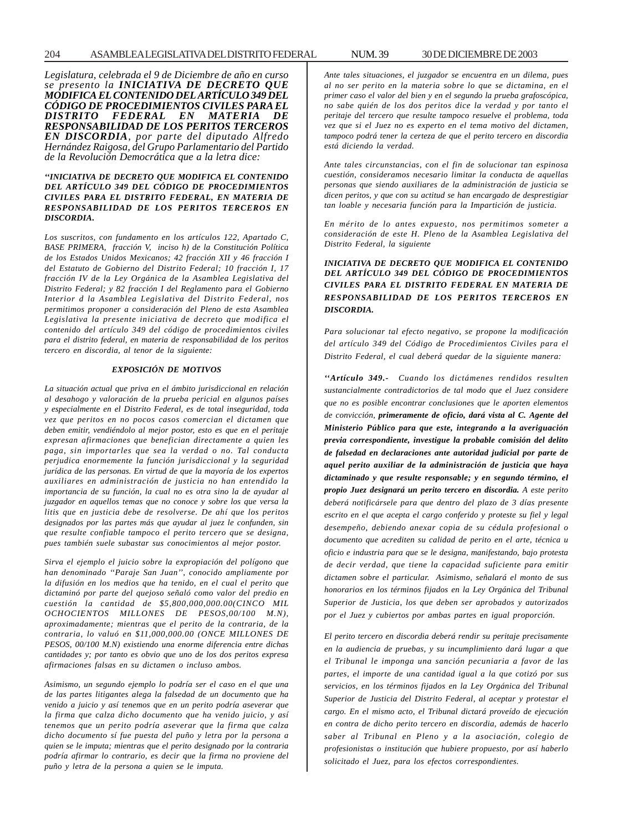*Legislatura, celebrada el 9 de Diciembre de año en curso se presento la INICIATIVA DE DECRETO QUE MODIFICA EL CONTENIDO DEL ARTÍCULO 349 DEL CÓDIGO DE PROCEDIMIENTOS CIVILES PARA EL DISTRITO FEDERAL EN MATERIA DE RESPONSABILIDAD DE LOS PERITOS TERCEROS EN DISCORDIA, por parte del diputado Alfredo Hernández Raigosa, del Grupo Parlamentario del Partido de la Revolución Democrática que a la letra dice:*

#### *''INICIATIVA DE DECRETO QUE MODIFICA EL CONTENIDO DEL ARTÍCULO 349 DEL CÓDIGO DE PROCEDIMIENTOS CIVILES PARA EL DISTRITO FEDERAL, EN MATERIA DE RESPONSABILIDAD DE LOS PERITOS TERCEROS EN DISCORDIA***.**

*Los suscritos, con fundamento en los artículos 122, Apartado C, BASE PRIMERA, fracción V, inciso h) de la Constitución Política de los Estados Unidos Mexicanos; 42 fracción XII y 46 fracción I del Estatuto de Gobierno del Distrito Federal; 10 fracción I, 17 fracción IV de la Ley Orgánica de la Asamblea Legislativa del Distrito Federal; y 82 fracción I del Reglamento para el Gobierno Interior d la Asamblea Legislativa del Distrito Federal, nos permitimos proponer a consideración del Pleno de esta Asamblea Legislativa la presente iniciativa de decreto que modifica el contenido del artículo 349 del código de procedimientos civiles para el distrito federal, en materia de responsabilidad de los peritos tercero en discordia, al tenor de la siguiente:*

### *EXPOSICIÓN DE MOTIVOS*

*La situación actual que priva en el ámbito jurisdiccional en relación al desahogo y valoración de la prueba pericial en algunos países y especialmente en el Distrito Federal, es de total inseguridad, toda vez que peritos en no pocos casos comercian el dictamen que deben emitir, vendiéndolo al mejor postor, esto es que en el peritaje expresan afirmaciones que benefician directamente a quien les paga, sin importarles que sea la verdad o no. Tal conducta perjudica enormemente la función jurisdiccional y la seguridad jurídica de las personas. En virtud de que la mayoría de los expertos auxiliares en administración de justicia no han entendido la importancia de su función, la cual no es otra sino la de ayudar al juzgador en aquellos temas que no conoce y sobre los que versa la litis que en justicia debe de resolverse. De ahí que los peritos designados por las partes más que ayudar al juez le confunden, sin que resulte confiable tampoco el perito tercero que se designa, pues también suele subastar sus conocimientos al mejor postor.*

*Sirva el ejemplo el juicio sobre la expropiación del polígono que han denominado ''Paraje San Juan'', conocido ampliamente por la difusión en los medios que ha tenido, en el cual el perito que dictaminó por parte del quejoso señaló como valor del predio en cuestión la cantidad de \$5,800,000,000.00(CINCO MIL OCHOCIENTOS MILLONES DE PESOS,00/100 M.N), aproximadamente; mientras que el perito de la contraria, de la contraria, lo valuó en \$11,000,000.00 (ONCE MILLONES DE PESOS, 00/100 M.N) existiendo una enorme diferencia entre dichas cantidades y; por tanto es obvio que uno de los dos peritos expresa afirmaciones falsas en su dictamen o incluso ambos.*

*Asimismo, un segundo ejemplo lo podría ser el caso en el que una de las partes litigantes alega la falsedad de un documento que ha venido a juicio y así tenemos que en un perito podría aseverar que la firma que calza dicho documento que ha venido juicio, y así tenemos que un perito podría aseverar que la firma que calza dicho documento sí fue puesta del puño y letra por la persona a quien se le imputa; mientras que el perito designado por la contraria podría afirmar lo contrario, es decir que la firma no proviene del puño y letra de la persona a quien se le imputa.*

*Ante tales situaciones, el juzgador se encuentra en un dilema, pues al no ser perito en la materia sobre lo que se dictamina, en el primer caso el valor del bien y en el segundo la prueba grafoscópica, no sabe quién de los dos peritos dice la verdad y por tanto el peritaje del tercero que resulte tampoco resuelve el problema, toda vez que si el Juez no es experto en el tema motivo del dictamen, tampoco podrá tener la certeza de que el perito tercero en discordia está diciendo la verdad.*

*Ante tales circunstancias, con el fin de solucionar tan espinosa cuestión, consideramos necesario limitar la conducta de aquellas personas que siendo auxiliares de la administración de justicia se dicen peritos, y que con su actitud se han encargado de desprestigiar tan loable y necesaria función para la Impartición de justicia.*

*En mérito de lo antes expuesto, nos permitimos someter a consideración de este H. Pleno de la Asamblea Legislativa del Distrito Federal, la siguiente*

## *INICIATIVA DE DECRETO QUE MODIFICA EL CONTENIDO DEL ARTÍCULO 349 DEL CÓDIGO DE PROCEDIMIENTOS CIVILES PARA EL DISTRITO FEDERAL EN MATERIA DE RESPONSABILIDAD DE LOS PERITOS TERCEROS EN DISCORDIA.*

*Para solucionar tal efecto negativo, se propone la modificación del artículo 349 del Código de Procedimientos Civiles para el Distrito Federal, el cual deberá quedar de la siguiente manera:*

*''Artículo 349.- Cuando los dictámenes rendidos resulten sustancialmente contradictorios de tal modo que el Juez considere que no es posible encontrar conclusiones que le aporten elementos de convicción, primeramente de oficio, dará vista al C. Agente del Ministerio Público para que este, integrando a la averiguación previa correspondiente, investigue la probable comisión del delito de falsedad en declaraciones ante autoridad judicial por parte de aquel perito auxiliar de la administración de justicia que haya dictaminado y que resulte responsable; y en segundo término, el propio Juez designará un perito tercero en discordia. A este perito deberá notificársele para que dentro del plazo de 3 días presente escrito en el que acepta el cargo conferido y proteste su fiel y legal desempeño, debiendo anexar copia de su cédula profesional o documento que acrediten su calidad de perito en el arte, técnica u oficio e industria para que se le designa, manifestando, bajo protesta de decir verdad, que tiene la capacidad suficiente para emitir dictamen sobre el particular. Asimismo, señalará el monto de sus honorarios en los términos fijados en la Ley Orgánica del Tribunal Superior de Justicia, los que deben ser aprobados y autorizados por el Juez y cubiertos por ambas partes en igual proporción.*

*El perito tercero en discordia deberá rendir su peritaje precisamente en la audiencia de pruebas, y su incumplimiento dará lugar a que el Tribunal le imponga una sanción pecuniaria a favor de las partes, el importe de una cantidad igual a la que cotizó por sus servicios, en los términos fijados en la Ley Orgánica del Tribunal Superior de Justicia del Distrito Federal, al aceptar y protestar el cargo. En el mismo acto, el Tribunal dictará proveído de ejecución en contra de dicho perito tercero en discordia, además de hacerlo saber al Tribunal en Pleno y a la asociación, colegio de profesionistas o institución que hubiere propuesto, por así haberlo solicitado el Juez, para los efectos correspondientes.*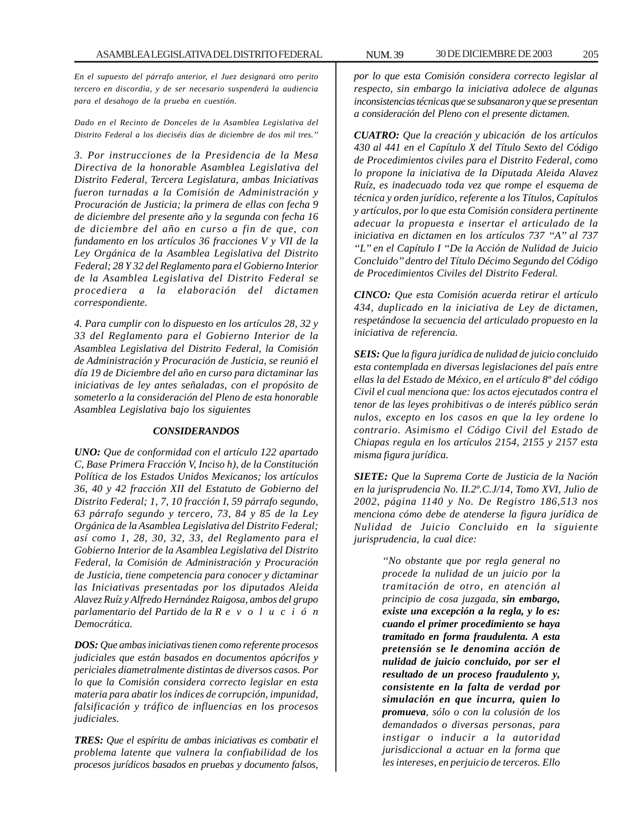*En el supuesto del párrafo anterior, el Juez designará otro perito tercero en discordia, y de ser necesario suspenderá la audiencia para el desahogo de la prueba en cuestión.*

*Dado en el Recinto de Donceles de la Asamblea Legislativa del Distrito Federal a los dieciséis días de diciembre de dos mil tres.''*

*3. Por instrucciones de la Presidencia de la Mesa Directiva de la honorable Asamblea Legislativa del Distrito Federal, Tercera Legislatura, ambas Iniciativas fueron turnadas a la Comisión de Administración y Procuración de Justicia; la primera de ellas con fecha 9 de diciembre del presente año y la segunda con fecha 16 de diciembre del año en curso a fin de que, con fundamento en los artículos 36 fracciones V y VII de la Ley Orgánica de la Asamblea Legislativa del Distrito Federal; 28 Y 32 del Reglamento para el Gobierno Interior de la Asamblea Legislativa del Distrito Federal se procediera a la elaboración del dictamen correspondiente.*

*4. Para cumplir con lo dispuesto en los artículos 28, 32 y 33 del Reglamento para el Gobierno Interior de la Asamblea Legislativa del Distrito Federal, la Comisión de Administración y Procuración de Justicia, se reunió el día 19 de Diciembre del año en curso para dictaminar las iniciativas de ley antes señaladas, con el propósito de someterlo a la consideración del Pleno de esta honorable Asamblea Legislativa bajo los siguientes*

## *CONSIDERANDOS*

*UNO: Que de conformidad con el artículo 122 apartado C, Base Primera Fracción V, Inciso h), de la Constitución Política de los Estados Unidos Mexicanos; los artículos 36, 40 y 42 fracción XII del Estatuto de Gobierno del Distrito Federal; 1, 7, 10 fracción I, 59 párrafo segundo, 63 párrafo segundo y tercero, 73, 84 y 85 de la Ley Orgánica de la Asamblea Legislativa del Distrito Federal; así como 1, 28, 30, 32, 33, del Reglamento para el Gobierno Interior de la Asamblea Legislativa del Distrito Federal, la Comisión de Administración y Procuración de Justicia, tiene competencia para conocer y dictaminar las Iniciativas presentadas por los diputados Aleida Alavez Ruíz y Alfredo Hernández Raigosa, ambos del grupo parlamentario del Partido de la R evolución Democrática.*

*DOS: Que ambas iniciativas tienen como referente procesos judiciales que están basados en documentos apócrifos y periciales diametralmente distintas de diversos casos. Por lo que la Comisión considera correcto legislar en esta materia para abatir los índices de corrupción, impunidad, falsificación y tráfico de influencias en los procesos judiciales.*

*TRES: Que el espíritu de ambas iniciativas es combatir el problema latente que vulnera la confiabilidad de los procesos jurídicos basados en pruebas y documento falsos,*

*por lo que esta Comisión considera correcto legislar al respecto, sin embargo la iniciativa adolece de algunas inconsistencias técnicas que se subsanaron y que se presentan a consideración del Pleno con el presente dictamen.*

*CUATRO: Que la creación y ubicación de los artículos 430 al 441 en el Capítulo X del Título Sexto del Código de Procedimientos civiles para el Distrito Federal, como lo propone la iniciativa de la Diputada Aleida Alavez Ruíz, es inadecuado toda vez que rompe el esquema de técnica y orden jurídico, referente a los Títulos, Capítulos y artículos, por lo que esta Comisión considera pertinente adecuar la propuesta e insertar el articulado de la iniciativa en dictamen en los artículos 737 ''A'' al 737 ''L'' en el Capítulo I ''De la Acción de Nulidad de Juicio Concluido'' dentro del Título Décimo Segundo del Código de Procedimientos Civiles del Distrito Federal.*

*CINCO: Que esta Comisión acuerda retirar el artículo 434, duplicado en la iniciativa de Ley de dictamen, respetándose la secuencia del articulado propuesto en la iniciativa de referencia.*

*SEIS: Que la figura jurídica de nulidad de juicio concluido esta contemplada en diversas legislaciones del país entre ellas la del Estado de México, en el artículo 8º del código Civil el cual menciona que: los actos ejecutados contra el tenor de las leyes prohibitivas o de interés público serán nulos, excepto en los casos en que la ley ordene lo contrario. Asimismo el Código Civil del Estado de Chiapas regula en los artículos 2154, 2155 y 2157 esta misma figura jurídica.*

*SIETE: Que la Suprema Corte de Justicia de la Nación en la jurisprudencia No. II.2º.C.J/14, Tomo XVI, Julio de 2002, página 1140 y No. De Registro 186,513 nos menciona cómo debe de atenderse la figura jurídica de Nulidad de Juicio Concluido en la siguiente jurisprudencia, la cual dice:*

> *''No obstante que por regla general no procede la nulidad de un juicio por la tramitación de otro, en atención al principio de cosa juzgada, sin embargo, existe una excepción a la regla, y lo es: cuando el primer procedimiento se haya tramitado en forma fraudulenta. A esta pretensión se le denomina acción de nulidad de juicio concluido, por ser el resultado de un proceso fraudulento y, consistente en la falta de verdad por simulación en que incurra, quien lo promueva, sólo o con la colusión de los demandados o diversas personas, para instigar o inducir a la autoridad jurisdiccional a actuar en la forma que les intereses, en perjuicio de terceros. Ello*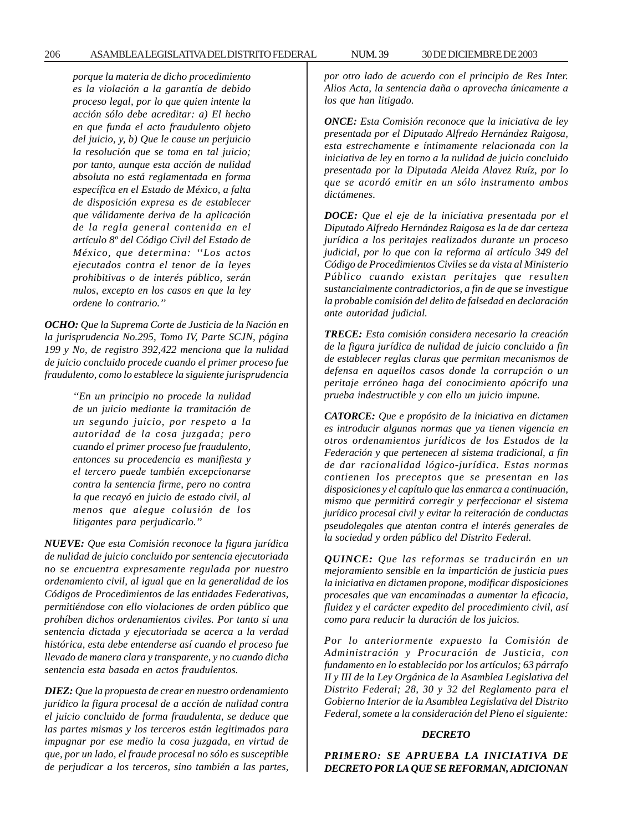*porque la materia de dicho procedimiento es la violación a la garantía de debido proceso legal, por lo que quien intente la acción sólo debe acreditar: a) El hecho en que funda el acto fraudulento objeto del juicio, y, b) Que le cause un perjuicio la resolución que se toma en tal juicio; por tanto, aunque esta acción de nulidad absoluta no está reglamentada en forma específica en el Estado de México, a falta de disposición expresa es de establecer que válidamente deriva de la aplicación de la regla general contenida en el artículo 8º del Código Civil del Estado de México, que determina: ''Los actos ejecutados contra el tenor de la leyes prohibitivas o de interés público, serán nulos, excepto en los casos en que la ley ordene lo contrario.''*

*OCHO: Que la Suprema Corte de Justicia de la Nación en la jurisprudencia No.295, Tomo IV, Parte SCJN, página 199 y No, de registro 392,422 menciona que la nulidad de juicio concluido procede cuando el primer proceso fue fraudulento, como lo establece la siguiente jurisprudencia*

> *''En un principio no procede la nulidad de un juicio mediante la tramitación de un segundo juicio, por respeto a la autoridad de la cosa juzgada; pero cuando el primer proceso fue fraudulento, entonces su procedencia es manifiesta y el tercero puede también excepcionarse contra la sentencia firme, pero no contra la que recayó en juicio de estado civil, al menos que alegue colusión de los litigantes para perjudicarlo.''*

*NUEVE: Que esta Comisión reconoce la figura jurídica de nulidad de juicio concluido por sentencia ejecutoriada no se encuentra expresamente regulada por nuestro ordenamiento civil, al igual que en la generalidad de los Códigos de Procedimientos de las entidades Federativas, permitiéndose con ello violaciones de orden público que prohíben dichos ordenamientos civiles. Por tanto si una sentencia dictada y ejecutoriada se acerca a la verdad histórica, esta debe entenderse así cuando el proceso fue llevado de manera clara y transparente, y no cuando dicha sentencia esta basada en actos fraudulentos.*

*DIEZ: Que la propuesta de crear en nuestro ordenamiento jurídico la figura procesal de a acción de nulidad contra el juicio concluido de forma fraudulenta, se deduce que las partes mismas y los terceros están legitimados para impugnar por ese medio la cosa juzgada, en virtud de que, por un lado, el fraude procesal no sólo es susceptible de perjudicar a los terceros, sino también a las partes,*

*por otro lado de acuerdo con el principio de Res Inter. Alios Acta, la sentencia daña o aprovecha únicamente a los que han litigado.*

*ONCE: Esta Comisión reconoce que la iniciativa de ley presentada por el Diputado Alfredo Hernández Raigosa, esta estrechamente e íntimamente relacionada con la iniciativa de ley en torno a la nulidad de juicio concluido presentada por la Diputada Aleida Alavez Ruíz, por lo que se acordó emitir en un sólo instrumento ambos dictámenes.*

*DOCE: Que el eje de la iniciativa presentada por el Diputado Alfredo Hernández Raigosa es la de dar certeza jurídica a los peritajes realizados durante un proceso judicial, por lo que con la reforma al artículo 349 del Código de Procedimientos Civiles se da vista al Ministerio Público cuando existan peritajes que resulten sustancialmente contradictorios, a fin de que se investigue la probable comisión del delito de falsedad en declaración ante autoridad judicial.*

*TRECE: Esta comisión considera necesario la creación de la figura jurídica de nulidad de juicio concluido a fin de establecer reglas claras que permitan mecanismos de defensa en aquellos casos donde la corrupción o un peritaje erróneo haga del conocimiento apócrifo una prueba indestructible y con ello un juicio impune.*

*CATORCE: Que e propósito de la iniciativa en dictamen es introducir algunas normas que ya tienen vigencia en otros ordenamientos jurídicos de los Estados de la Federación y que pertenecen al sistema tradicional, a fin de dar racionalidad lógico-jurídica. Estas normas contienen los preceptos que se presentan en las disposiciones y el capítulo que las enmarca a continuación, mismo que permitirá corregir y perfeccionar el sistema jurídico procesal civil y evitar la reiteración de conductas pseudolegales que atentan contra el interés generales de la sociedad y orden público del Distrito Federal.*

*QUINCE: Que las reformas se traducirán en un mejoramiento sensible en la impartición de justicia pues la iniciativa en dictamen propone, modificar disposiciones procesales que van encaminadas a aumentar la eficacia, fluidez y el carácter expedito del procedimiento civil, así como para reducir la duración de los juicios.*

*Por lo anteriormente expuesto la Comisión de Administración y Procuración de Justicia, con fundamento en lo establecido por los artículos; 63 párrafo II y III de la Ley Orgánica de la Asamblea Legislativa del Distrito Federal; 28, 30 y 32 del Reglamento para el Gobierno Interior de la Asamblea Legislativa del Distrito Federal, somete a la consideración del Pleno el siguiente:*

### *DECRETO*

*PRIMERO: SE APRUEBA LA INICIATIVA DE DECRETO POR LA QUE SE REFORMAN, ADICIONAN*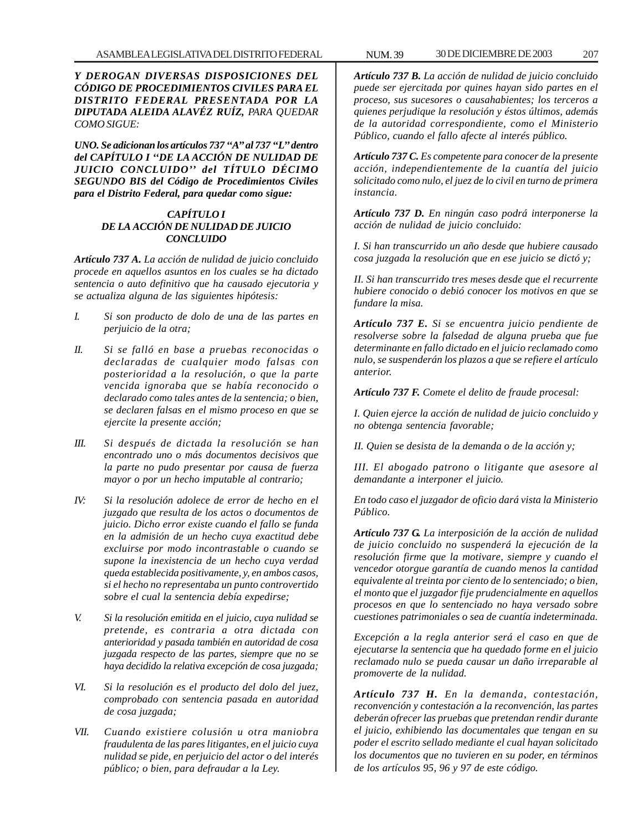*Y DEROGAN DIVERSAS DISPOSICIONES DEL CÓDIGO DE PROCEDIMIENTOS CIVILES PARA EL DISTRITO FEDERAL PRESENTADA POR LA DIPUTADA ALEIDA ALAVÉZ RUÍZ, PARA QUEDAR COMO SIGUE:*

*UNO. Se adicionan los artículos 737 ''A'' al 737 ''L'' dentro del CAPÍTULO I ''DE LA ACCIÓN DE NULIDAD DE JUICIO CONCLUIDO'' del TÍTULO DÉCIMO SEGUNDO BIS del Código de Procedimientos Civiles para el Distrito Federal, para quedar como sigue:*

# *CAPÍTULO I DE LA ACCIÓN DE NULIDAD DE JUICIO CONCLUIDO*

*Artículo 737 A. La acción de nulidad de juicio concluido procede en aquellos asuntos en los cuales se ha dictado sentencia o auto definitivo que ha causado ejecutoria y se actualiza alguna de las siguientes hipótesis:*

- *I. Si son producto de dolo de una de las partes en perjuicio de la otra;*
- *II. Si se falló en base a pruebas reconocidas o declaradas de cualquier modo falsas con posterioridad a la resolución, o que la parte vencida ignoraba que se había reconocido o declarado como tales antes de la sentencia; o bien, se declaren falsas en el mismo proceso en que se ejercite la presente acción;*
- *III. Si después de dictada la resolución se han encontrado uno o más documentos decisivos que la parte no pudo presentar por causa de fuerza mayor o por un hecho imputable al contrario;*
- *IV: Si la resolución adolece de error de hecho en el juzgado que resulta de los actos o documentos de juicio. Dicho error existe cuando el fallo se funda en la admisión de un hecho cuya exactitud debe excluirse por modo incontrastable o cuando se supone la inexistencia de un hecho cuya verdad queda establecida positivamente, y, en ambos casos, si el hecho no representaba un punto controvertido sobre el cual la sentencia debía expedirse;*
- *V. Si la resolución emitida en el juicio, cuya nulidad se pretende, es contraria a otra dictada con anterioridad y pasada también en autoridad de cosa juzgada respecto de las partes, siempre que no se haya decidido la relativa excepción de cosa juzgada;*
- *VI. Si la resolución es el producto del dolo del juez, comprobado con sentencia pasada en autoridad de cosa juzgada;*
- *VII. Cuando existiere colusión u otra maniobra fraudulenta de las pares litigantes, en el juicio cuya nulidad se pide, en perjuicio del actor o del interés público; o bien, para defraudar a la Ley.*

*Artículo 737 B. La acción de nulidad de juicio concluido puede ser ejercitada por quines hayan sido partes en el proceso, sus sucesores o causahabientes; los terceros a quienes perjudique la resolución y éstos últimos, además de la autoridad correspondiente, como el Ministerio Público, cuando el fallo afecte al interés público.*

*Artículo 737 C. Es competente para conocer de la presente acción, independientemente de la cuantía del juicio solicitado como nulo, el juez de lo civil en turno de primera instancia.*

*Artículo 737 D. En ningún caso podrá interponerse la acción de nulidad de juicio concluido:*

*I. Si han transcurrido un año desde que hubiere causado cosa juzgada la resolución que en ese juicio se dictó y;*

*II. Si han transcurrido tres meses desde que el recurrente hubiere conocido o debió conocer los motivos en que se fundare la misa.*

*Artículo 737 E. Si se encuentra juicio pendiente de resolverse sobre la falsedad de alguna prueba que fue determinante en fallo dictado en el juicio reclamado como nulo, se suspenderán los plazos a que se refiere el artículo anterior.*

*Artículo 737 F. Comete el delito de fraude procesal:*

*I. Quien ejerce la acción de nulidad de juicio concluido y no obtenga sentencia favorable;*

*II. Quien se desista de la demanda o de la acción y;*

*III. El abogado patrono o litigante que asesore al demandante a interponer el juicio.*

*En todo caso el juzgador de oficio dará vista la Ministerio Público.*

*Artículo 737 G. La interposición de la acción de nulidad de juicio concluido no suspenderá la ejecución de la resolución firme que la motivare, siempre y cuando el vencedor otorgue garantía de cuando menos la cantidad equivalente al treinta por ciento de lo sentenciado; o bien, el monto que el juzgador fije prudencialmente en aquellos procesos en que lo sentenciado no haya versado sobre cuestiones patrimoniales o sea de cuantía indeterminada.*

*Excepción a la regla anterior será el caso en que de ejecutarse la sentencia que ha quedado forme en el juicio reclamado nulo se pueda causar un daño irreparable al promoverte de la nulidad.*

*Artículo 737 H. En la demanda, contestación, reconvención y contestación a la reconvención, las partes deberán ofrecer las pruebas que pretendan rendir durante el juicio, exhibiendo las documentales que tengan en su poder el escrito sellado mediante el cual hayan solicitado los documentos que no tuvieren en su poder, en términos de los artículos 95, 96 y 97 de este código.*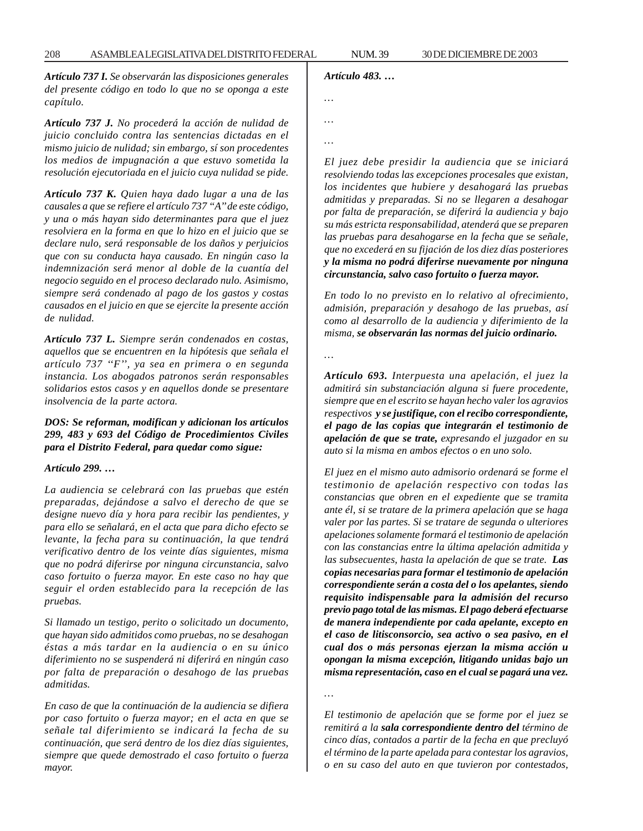*Artículo 737 I. Se observarán las disposiciones generales del presente código en todo lo que no se oponga a este capítulo.*

*Artículo 737 J. No procederá la acción de nulidad de juicio concluido contra las sentencias dictadas en el mismo juicio de nulidad; sin embargo, sí son procedentes los medios de impugnación a que estuvo sometida la resolución ejecutoriada en el juicio cuya nulidad se pide.*

*Artículo 737 K. Quien haya dado lugar a una de las causales a que se refiere el artículo 737 ''A'' de este código, y una o más hayan sido determinantes para que el juez resolviera en la forma en que lo hizo en el juicio que se declare nulo, será responsable de los daños y perjuicios que con su conducta haya causado. En ningún caso la indemnización será menor al doble de la cuantía del negocio seguido en el proceso declarado nulo. Asimismo, siempre será condenado al pago de los gastos y costas causados en el juicio en que se ejercite la presente acción de nulidad.*

*Artículo 737 L. Siempre serán condenados en costas, aquellos que se encuentren en la hipótesis que señala el artículo 737 ''F'', ya sea en primera o en segunda instancia. Los abogados patronos serán responsables solidarios estos casos y en aquellos donde se presentare insolvencia de la parte actora.*

## *DOS: Se reforman, modifican y adicionan los artículos 299, 483 y 693 del Código de Procedimientos Civiles para el Distrito Federal, para quedar como sigue:*

## *Artículo 299. …*

*La audiencia se celebrará con las pruebas que estén preparadas, dejándose a salvo el derecho de que se designe nuevo día y hora para recibir las pendientes, y para ello se señalará, en el acta que para dicho efecto se levante, la fecha para su continuación, la que tendrá verificativo dentro de los veinte días siguientes, misma que no podrá diferirse por ninguna circunstancia, salvo caso fortuito o fuerza mayor. En este caso no hay que seguir el orden establecido para la recepción de las pruebas.*

*Si llamado un testigo, perito o solicitado un documento, que hayan sido admitidos como pruebas, no se desahogan éstas a más tardar en la audiencia o en su único diferimiento no se suspenderá ni diferirá en ningún caso por falta de preparación o desahogo de las pruebas admitidas.*

*En caso de que la continuación de la audiencia se difiera por caso fortuito o fuerza mayor; en el acta en que se señale tal diferimiento se indicará la fecha de su continuación, que será dentro de los diez días siguientes, siempre que quede demostrado el caso fortuito o fuerza mayor.*

# *Artículo 483. …*

| $\cdots$ |  |  |
|----------|--|--|
|          |  |  |
|          |  |  |

*…*

*…*

*El juez debe presidir la audiencia que se iniciará resolviendo todas las excepciones procesales que existan, los incidentes que hubiere y desahogará las pruebas admitidas y preparadas. Si no se llegaren a desahogar por falta de preparación, se diferirá la audiencia y bajo su más estricta responsabilidad, atenderá que se preparen las pruebas para desahogarse en la fecha que se señale, que no excederá en su fijación de los diez días posteriores y la misma no podrá diferirse nuevamente por ninguna circunstancia, salvo caso fortuito o fuerza mayor.*

*En todo lo no previsto en lo relativo al ofrecimiento, admisión, preparación y desahogo de las pruebas, así como al desarrollo de la audiencia y diferimiento de la misma, se observarán las normas del juicio ordinario.*

*…*

*Artículo 693. Interpuesta una apelación, el juez la admitirá sin substanciación alguna si fuere procedente, siempre que en el escrito se hayan hecho valer los agravios respectivos y se justifique, con el recibo correspondiente, el pago de las copias que integrarán el testimonio de apelación de que se trate, expresando el juzgador en su auto si la misma en ambos efectos o en uno solo.*

*El juez en el mismo auto admisorio ordenará se forme el testimonio de apelación respectivo con todas las constancias que obren en el expediente que se tramita ante él, si se tratare de la primera apelación que se haga valer por las partes. Si se tratare de segunda o ulteriores apelaciones solamente formará el testimonio de apelación con las constancias entre la última apelación admitida y las subsecuentes, hasta la apelación de que se trate. Las copias necesarias para formar el testimonio de apelación correspondiente serán a costa del o los apelantes, siendo requisito indispensable para la admisión del recurso previo pago total de las mismas. El pago deberá efectuarse de manera independiente por cada apelante, excepto en el caso de litisconsorcio, sea activo o sea pasivo, en el cual dos o más personas ejerzan la misma acción u opongan la misma excepción, litigando unidas bajo un misma representación, caso en el cual se pagará una vez.*

*…*

*El testimonio de apelación que se forme por el juez se remitirá a la sala correspondiente dentro del término de cinco días, contados a partir de la fecha en que precluyó el término de la parte apelada para contestar los agravios, o en su caso del auto en que tuvieron por contestados,*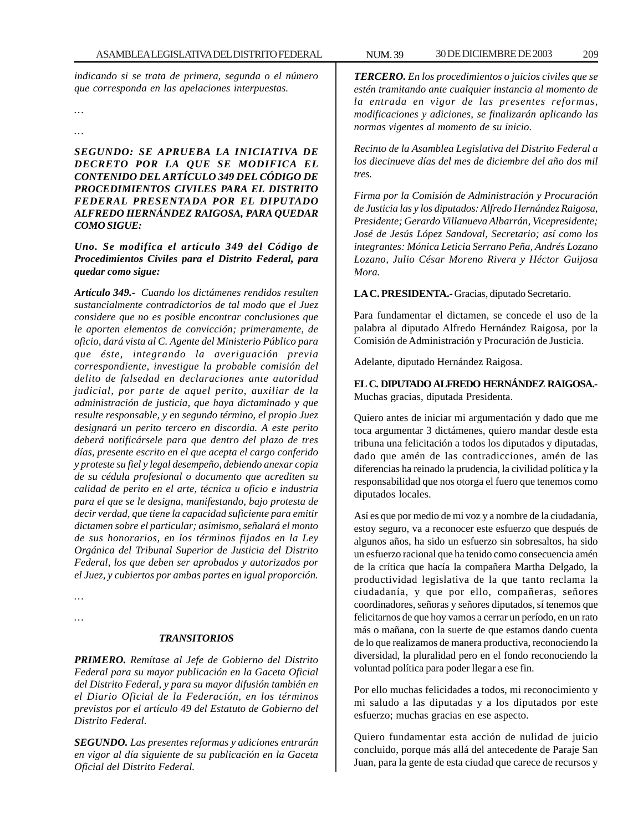*indicando si se trata de primera, segunda o el número que corresponda en las apelaciones interpuestas.*

*… …*

*SEGUNDO: SE APRUEBA LA INICIATIVA DE DECRETO POR LA QUE SE MODIFICA EL CONTENIDO DEL ARTÍCULO 349 DEL CÓDIGO DE PROCEDIMIENTOS CIVILES PARA EL DISTRITO FEDERAL PRESENTADA POR EL DIPUTADO ALFREDO HERNÁNDEZ RAIGOSA, PARA QUEDAR COMO SIGUE:*

*Uno. Se modifica el artículo 349 del Código de Procedimientos Civiles para el Distrito Federal, para quedar como sigue:*

*Artículo 349.- Cuando los dictámenes rendidos resulten sustancialmente contradictorios de tal modo que el Juez considere que no es posible encontrar conclusiones que le aporten elementos de convicción; primeramente, de oficio, dará vista al C. Agente del Ministerio Público para que éste, integrando la averiguación previa correspondiente, investigue la probable comisión del delito de falsedad en declaraciones ante autoridad judicial, por parte de aquel perito, auxiliar de la administración de justicia, que haya dictaminado y que resulte responsable, y en segundo término, el propio Juez designará un perito tercero en discordia. A este perito deberá notificársele para que dentro del plazo de tres días, presente escrito en el que acepta el cargo conferido y proteste su fiel y legal desempeño, debiendo anexar copia de su cédula profesional o documento que acrediten su calidad de perito en el arte, técnica u oficio e industria para el que se le designa, manifestando, bajo protesta de decir verdad, que tiene la capacidad suficiente para emitir dictamen sobre el particular; asimismo, señalará el monto de sus honorarios, en los términos fijados en la Ley Orgánica del Tribunal Superior de Justicia del Distrito Federal, los que deben ser aprobados y autorizados por el Juez, y cubiertos por ambas partes en igual proporción.*

*… …*

### *TRANSITORIOS*

*PRIMERO. Remítase al Jefe de Gobierno del Distrito Federal para su mayor publicación en la Gaceta Oficial del Distrito Federal, y para su mayor difusión también en el Diario Oficial de la Federación, en los términos previstos por el artículo 49 del Estatuto de Gobierno del Distrito Federal.*

*SEGUNDO. Las presentes reformas y adiciones entrarán en vigor al día siguiente de su publicación en la Gaceta Oficial del Distrito Federal.*

*TERCERO. En los procedimientos o juicios civiles que se estén tramitando ante cualquier instancia al momento de la entrada en vigor de las presentes reformas, modificaciones y adiciones, se finalizarán aplicando las normas vigentes al momento de su inicio.*

*Recinto de la Asamblea Legislativa del Distrito Federal a los diecinueve días del mes de diciembre del año dos mil tres.*

*Firma por la Comisión de Administración y Procuración de Justicia las y los diputados: Alfredo Hernández Raigosa, Presidente; Gerardo Villanueva Albarrán, Vicepresidente; José de Jesús López Sandoval, Secretario; así como los integrantes: Mónica Leticia Serrano Peña, Andrés Lozano Lozano, Julio César Moreno Rivera y Héctor Guijosa Mora.*

**LA C. PRESIDENTA.-** Gracias, diputado Secretario.

Para fundamentar el dictamen, se concede el uso de la palabra al diputado Alfredo Hernández Raigosa, por la Comisión de Administración y Procuración de Justicia.

Adelante, diputado Hernández Raigosa.

**EL C. DIPUTADO ALFREDO HERNÁNDEZ RAIGOSA.-** Muchas gracias, diputada Presidenta.

Quiero antes de iniciar mi argumentación y dado que me toca argumentar 3 dictámenes, quiero mandar desde esta tribuna una felicitación a todos los diputados y diputadas, dado que amén de las contradicciones, amén de las diferencias ha reinado la prudencia, la civilidad política y la responsabilidad que nos otorga el fuero que tenemos como diputados locales.

Así es que por medio de mi voz y a nombre de la ciudadanía, estoy seguro, va a reconocer este esfuerzo que después de algunos años, ha sido un esfuerzo sin sobresaltos, ha sido un esfuerzo racional que ha tenido como consecuencia amén de la crítica que hacía la compañera Martha Delgado, la productividad legislativa de la que tanto reclama la ciudadanía, y que por ello, compañeras, señores coordinadores, señoras y señores diputados, sí tenemos que felicitarnos de que hoy vamos a cerrar un período, en un rato más o mañana, con la suerte de que estamos dando cuenta de lo que realizamos de manera productiva, reconociendo la diversidad, la pluralidad pero en el fondo reconociendo la voluntad política para poder llegar a ese fin.

Por ello muchas felicidades a todos, mi reconocimiento y mi saludo a las diputadas y a los diputados por este esfuerzo; muchas gracias en ese aspecto.

Quiero fundamentar esta acción de nulidad de juicio concluido, porque más allá del antecedente de Paraje San Juan, para la gente de esta ciudad que carece de recursos y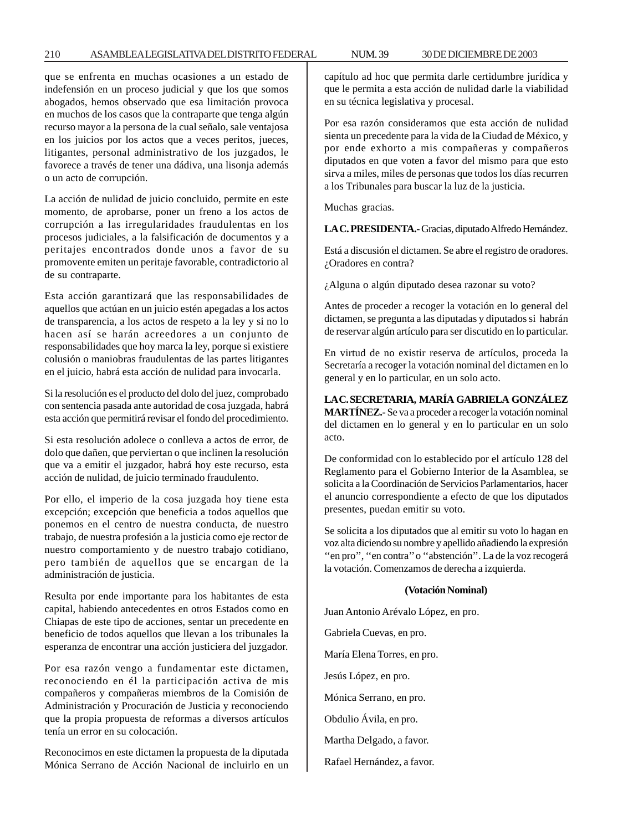## 210 ASAMBLEA LEGISLATIVA DEL DISTRITO FEDERAL 30 DE NUM. 39 DICIEMBRE DE 2003

que se enfrenta en muchas ocasiones a un estado de indefensión en un proceso judicial y que los que somos abogados, hemos observado que esa limitación provoca en muchos de los casos que la contraparte que tenga algún recurso mayor a la persona de la cual señalo, sale ventajosa en los juicios por los actos que a veces peritos, jueces, litigantes, personal administrativo de los juzgados, le favorece a través de tener una dádiva, una lisonja además o un acto de corrupción.

La acción de nulidad de juicio concluido, permite en este momento, de aprobarse, poner un freno a los actos de corrupción a las irregularidades fraudulentas en los procesos judiciales, a la falsificación de documentos y a peritajes encontrados donde unos a favor de su promovente emiten un peritaje favorable, contradictorio al de su contraparte.

Esta acción garantizará que las responsabilidades de aquellos que actúan en un juicio estén apegadas a los actos de transparencia, a los actos de respeto a la ley y si no lo hacen así se harán acreedores a un conjunto de responsabilidades que hoy marca la ley, porque si existiere colusión o maniobras fraudulentas de las partes litigantes en el juicio, habrá esta acción de nulidad para invocarla.

Si la resolución es el producto del dolo del juez, comprobado con sentencia pasada ante autoridad de cosa juzgada, habrá esta acción que permitirá revisar el fondo del procedimiento.

Si esta resolución adolece o conlleva a actos de error, de dolo que dañen, que perviertan o que inclinen la resolución que va a emitir el juzgador, habrá hoy este recurso, esta acción de nulidad, de juicio terminado fraudulento.

Por ello, el imperio de la cosa juzgada hoy tiene esta excepción; excepción que beneficia a todos aquellos que ponemos en el centro de nuestra conducta, de nuestro trabajo, de nuestra profesión a la justicia como eje rector de nuestro comportamiento y de nuestro trabajo cotidiano, pero también de aquellos que se encargan de la administración de justicia.

Resulta por ende importante para los habitantes de esta capital, habiendo antecedentes en otros Estados como en Chiapas de este tipo de acciones, sentar un precedente en beneficio de todos aquellos que llevan a los tribunales la esperanza de encontrar una acción justiciera del juzgador.

Por esa razón vengo a fundamentar este dictamen, reconociendo en él la participación activa de mis compañeros y compañeras miembros de la Comisión de Administración y Procuración de Justicia y reconociendo que la propia propuesta de reformas a diversos artículos tenía un error en su colocación.

Reconocimos en este dictamen la propuesta de la diputada Mónica Serrano de Acción Nacional de incluirlo en un capítulo ad hoc que permita darle certidumbre jurídica y que le permita a esta acción de nulidad darle la viabilidad en su técnica legislativa y procesal.

Por esa razón consideramos que esta acción de nulidad sienta un precedente para la vida de la Ciudad de México, y por ende exhorto a mis compañeras y compañeros diputados en que voten a favor del mismo para que esto sirva a miles, miles de personas que todos los días recurren a los Tribunales para buscar la luz de la justicia.

Muchas gracias.

**LA C. PRESIDENTA.-** Gracias, diputado Alfredo Hernández.

Está a discusión el dictamen. Se abre el registro de oradores. ¿Oradores en contra?

¿Alguna o algún diputado desea razonar su voto?

Antes de proceder a recoger la votación en lo general del dictamen, se pregunta a las diputadas y diputados si habrán de reservar algún artículo para ser discutido en lo particular.

En virtud de no existir reserva de artículos, proceda la Secretaría a recoger la votación nominal del dictamen en lo general y en lo particular, en un solo acto.

**LA C. SECRETARIA, MARÍA GABRIELA GONZÁLEZ MARTÍNEZ.-** Se va a proceder a recoger la votación nominal

del dictamen en lo general y en lo particular en un solo acto.

De conformidad con lo establecido por el artículo 128 del Reglamento para el Gobierno Interior de la Asamblea, se solicita a la Coordinación de Servicios Parlamentarios, hacer el anuncio correspondiente a efecto de que los diputados presentes, puedan emitir su voto.

Se solicita a los diputados que al emitir su voto lo hagan en voz alta diciendo su nombre y apellido añadiendo la expresión "en pro", "en contra" o "abstención". La de la voz recogerá la votación. Comenzamos de derecha a izquierda.

## **(Votación Nominal)**

Juan Antonio Arévalo López, en pro.

Gabriela Cuevas, en pro.

María Elena Torres, en pro.

Jesús López, en pro.

Mónica Serrano, en pro.

Obdulio Ávila, en pro.

Martha Delgado, a favor.

Rafael Hernández, a favor.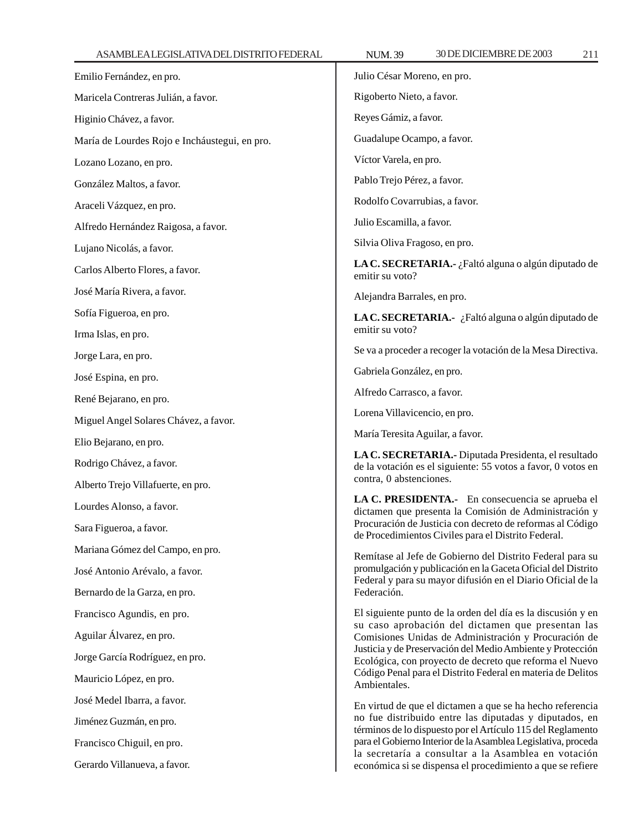Emilio Fernández, en pro. Maricela Contreras Julián, a favor. Higinio Chávez, a favor. María de Lourdes Rojo e Incháustegui, en pro. Lozano Lozano, en pro. González Maltos, a favor. Araceli Vázquez, en pro. Alfredo Hernández Raigosa, a favor. Lujano Nicolás, a favor. Carlos Alberto Flores, a favor. José María Rivera, a favor. Sofía Figueroa, en pro. Irma Islas, en pro. Jorge Lara, en pro. José Espina, en pro. René Bejarano, en pro. Miguel Angel Solares Chávez, a favor. Elio Bejarano, en pro. Rodrigo Chávez, a favor. Alberto Trejo Villafuerte, en pro. Lourdes Alonso, a favor. Sara Figueroa, a favor. Mariana Gómez del Campo, en pro. José Antonio Arévalo, a favor. Bernardo de la Garza, en pro. Francisco Agundis, en pro. Aguilar Álvarez, en pro. Jorge García Rodríguez, en pro. Mauricio López, en pro. José Medel Ibarra, a favor. Jiménez Guzmán, en pro. Francisco Chiguil, en pro. Gerardo Villanueva, a favor. Julio César Moreno, en pro. Rigoberto Nieto, a favor. Reyes Gámiz, a favor. Guadalupe Ocampo, a favor. Víctor Varela, en pro. Pablo Trejo Pérez, a favor. Rodolfo Covarrubias, a favor. Julio Escamilla, a favor. Silvia Oliva Fragoso, en pro. **LA C. SECRETARIA.-** ¿Faltó alguna o algún diputado de emitir su voto? Alejandra Barrales, en pro. **LA C. SECRETARIA.-** ¿Faltó alguna o algún diputado de emitir su voto? Se va a proceder a recoger la votación de la Mesa Directiva. Gabriela González, en pro. Alfredo Carrasco, a favor. Lorena Villavicencio, en pro. María Teresita Aguilar, a favor. **LA C. SECRETARIA.-** Diputada Presidenta, el resultado de la votación es el siguiente: 55 votos a favor, 0 votos en contra, 0 abstenciones. **LA C. PRESIDENTA.-** En consecuencia se aprueba el dictamen que presenta la Comisión de Administración y Procuración de Justicia con decreto de reformas al Código de Procedimientos Civiles para el Distrito Federal. Remítase al Jefe de Gobierno del Distrito Federal para su promulgación y publicación en la Gaceta Oficial del Distrito Federal y para su mayor difusión en el Diario Oficial de la Federación. El siguiente punto de la orden del día es la discusión y en su caso aprobación del dictamen que presentan las Comisiones Unidas de Administración y Procuración de Justicia y de Preservación del Medio Ambiente y Protección Ecológica, con proyecto de decreto que reforma el Nuevo Código Penal para el Distrito Federal en materia de Delitos Ambientales. En virtud de que el dictamen a que se ha hecho referencia no fue distribuido entre las diputadas y diputados, en términos de lo dispuesto por el Artículo 115 del Reglamento para el Gobierno Interior de la Asamblea Legislativa, proceda la secretaría a consultar a la Asamblea en votación económica si se dispensa el procedimiento a que se refiere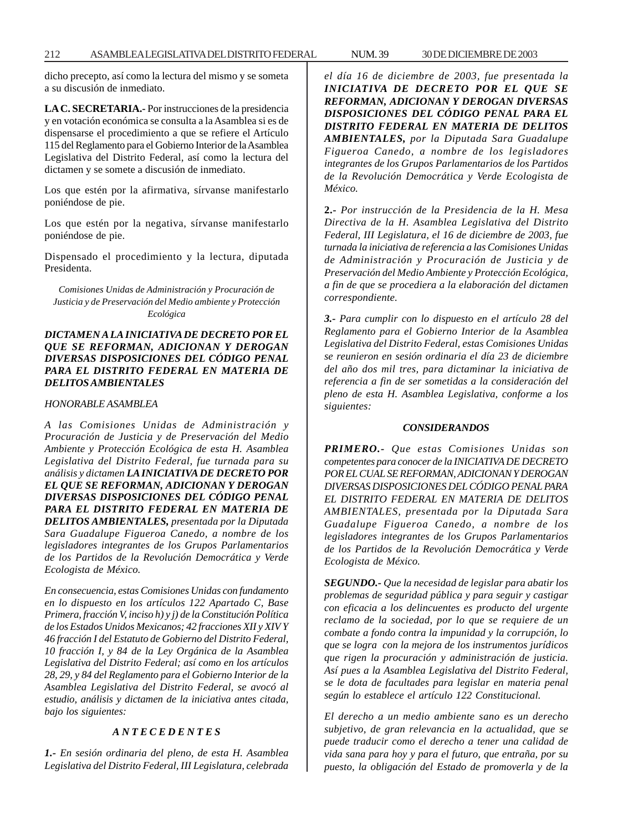dicho precepto, así como la lectura del mismo y se someta a su discusión de inmediato.

**LA C. SECRETARIA.-** Por instrucciones de la presidencia y en votación económica se consulta a la Asamblea si es de dispensarse el procedimiento a que se refiere el Artículo 115 del Reglamento para el Gobierno Interior de la Asamblea Legislativa del Distrito Federal, así como la lectura del dictamen y se somete a discusión de inmediato.

Los que estén por la afirmativa, sírvanse manifestarlo poniéndose de pie.

Los que estén por la negativa, sírvanse manifestarlo poniéndose de pie.

Dispensado el procedimiento y la lectura, diputada Presidenta.

*Comisiones Unidas de Administración y Procuración de Justicia y de Preservación del Medio ambiente y Protección Ecológica*

# *DICTAMEN A LA INICIATIVA DE DECRETO POR EL QUE SE REFORMAN, ADICIONAN Y DEROGAN DIVERSAS DISPOSICIONES DEL CÓDIGO PENAL PARA EL DISTRITO FEDERAL EN MATERIA DE DELITOS AMBIENTALES*

## *HONORABLE ASAMBLEA*

*A las Comisiones Unidas de Administración y Procuración de Justicia y de Preservación del Medio Ambiente y Protección Ecológica de esta H. Asamblea Legislativa del Distrito Federal, fue turnada para su análisis y dictamen LA INICIATIVA DE DECRETO POR EL QUE SE REFORMAN, ADICIONAN Y DEROGAN DIVERSAS DISPOSICIONES DEL CÓDIGO PENAL PARA EL DISTRITO FEDERAL EN MATERIA DE DELITOS AMBIENTALES, presentada por la Diputada Sara Guadalupe Figueroa Canedo, a nombre de los legisladores integrantes de los Grupos Parlamentarios de los Partidos de la Revolución Democrática y Verde Ecologista de México.*

*En consecuencia, estas Comisiones Unidas con fundamento en lo dispuesto en los artículos 122 Apartado C, Base Primera, fracción V, inciso h) y j) de la Constitución Política de los Estados Unidos Mexicanos; 42 fracciones XII y XIV Y 46 fracción I del Estatuto de Gobierno del Distrito Federal, 10 fracción I, y 84 de la Ley Orgánica de la Asamblea Legislativa del Distrito Federal; así como en los artículos 28, 29, y 84 del Reglamento para el Gobierno Interior de la Asamblea Legislativa del Distrito Federal, se avocó al estudio, análisis y dictamen de la iniciativa antes citada, bajo los siguientes:*

# *A N T E C E D E N T E S*

*1.- En sesión ordinaria del pleno, de esta H. Asamblea Legislativa del Distrito Federal, III Legislatura, celebrada* *el día 16 de diciembre de 2003, fue presentada la INICIATIVA DE DECRETO POR EL QUE SE REFORMAN, ADICIONAN Y DEROGAN DIVERSAS DISPOSICIONES DEL CÓDIGO PENAL PARA EL DISTRITO FEDERAL EN MATERIA DE DELITOS AMBIENTALES, por la Diputada Sara Guadalupe Figueroa Canedo, a nombre de los legisladores integrantes de los Grupos Parlamentarios de los Partidos de la Revolución Democrática y Verde Ecologista de México.*

**2.-** *Por instrucción de la Presidencia de la H. Mesa Directiva de la H. Asamblea Legislativa del Distrito Federal, III Legislatura, el 16 de diciembre de 2003, fue turnada la iniciativa de referencia a las Comisiones Unidas de Administración y Procuración de Justicia y de Preservación del Medio Ambiente y Protección Ecológica, a fin de que se procediera a la elaboración del dictamen correspondiente.*

*3.- Para cumplir con lo dispuesto en el artículo 28 del Reglamento para el Gobierno Interior de la Asamblea Legislativa del Distrito Federal, estas Comisiones Unidas se reunieron en sesión ordinaria el día 23 de diciembre del año dos mil tres, para dictaminar la iniciativa de referencia a fin de ser sometidas a la consideración del pleno de esta H. Asamblea Legislativa, conforme a los siguientes:*

## *CONSIDERANDOS*

*PRIMERO.- Que estas Comisiones Unidas son competentes para conocer de la INICIATIVA DE DECRETO POR EL CUAL SE REFORMAN, ADICIONAN Y DEROGAN DIVERSAS DISPOSICIONES DEL CÓDIGO PENAL PARA EL DISTRITO FEDERAL EN MATERIA DE DELITOS AMBIENTALES, presentada por la Diputada Sara Guadalupe Figueroa Canedo, a nombre de los legisladores integrantes de los Grupos Parlamentarios de los Partidos de la Revolución Democrática y Verde Ecologista de México.*

*SEGUNDO.- Que la necesidad de legislar para abatir los problemas de seguridad pública y para seguir y castigar con eficacia a los delincuentes es producto del urgente reclamo de la sociedad, por lo que se requiere de un combate a fondo contra la impunidad y la corrupción, lo que se logra con la mejora de los instrumentos jurídicos que rigen la procuración y administración de justicia. Así pues a la Asamblea Legislativa del Distrito Federal, se le dota de facultades para legislar en materia penal según lo establece el artículo 122 Constitucional.*

*El derecho a un medio ambiente sano es un derecho subjetivo, de gran relevancia en la actualidad, que se puede traducir como el derecho a tener una calidad de vida sana para hoy y para el futuro, que entraña, por su puesto, la obligación del Estado de promoverla y de la*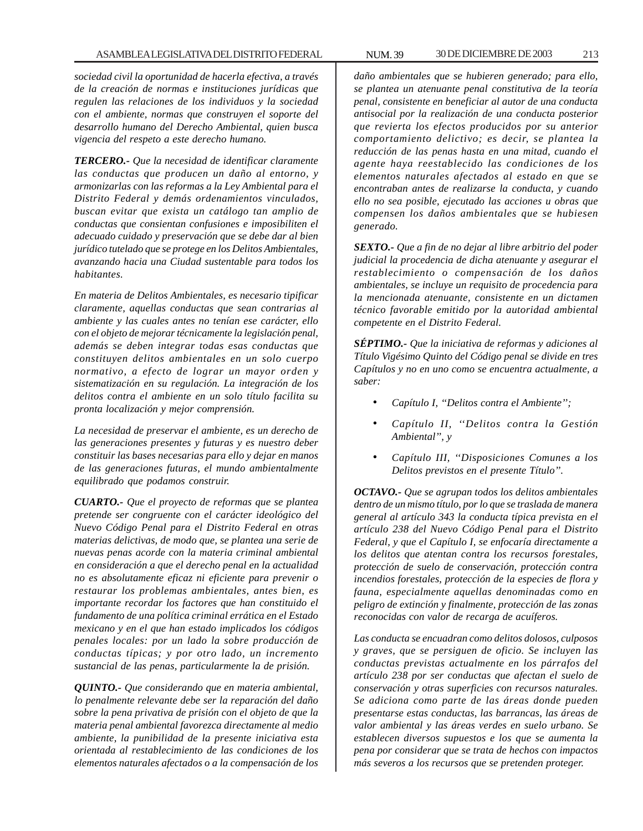*sociedad civil la oportunidad de hacerla efectiva, a través de la creación de normas e instituciones jurídicas que regulen las relaciones de los individuos y la sociedad con el ambiente, normas que construyen el soporte del desarrollo humano del Derecho Ambiental, quien busca vigencia del respeto a este derecho humano.*

*TERCERO.- Que la necesidad de identificar claramente las conductas que producen un daño al entorno, y armonizarlas con las reformas a la Ley Ambiental para el Distrito Federal y demás ordenamientos vinculados, buscan evitar que exista un catálogo tan amplio de conductas que consientan confusiones e imposibiliten el adecuado cuidado y preservación que se debe dar al bien jurídico tutelado que se protege en los Delitos Ambientales, avanzando hacia una Ciudad sustentable para todos los habitantes.*

*En materia de Delitos Ambientales, es necesario tipificar claramente, aquellas conductas que sean contrarias al ambiente y las cuales antes no tenían ese carácter, ello con el objeto de mejorar técnicamente la legislación penal, además se deben integrar todas esas conductas que constituyen delitos ambientales en un solo cuerpo normativo, a efecto de lograr un mayor orden y sistematización en su regulación. La integración de los delitos contra el ambiente en un solo título facilita su pronta localización y mejor comprensión.*

*La necesidad de preservar el ambiente, es un derecho de las generaciones presentes y futuras y es nuestro deber constituir las bases necesarias para ello y dejar en manos de las generaciones futuras, el mundo ambientalmente equilibrado que podamos construir.*

*CUARTO.- Que el proyecto de reformas que se plantea pretende ser congruente con el carácter ideológico del Nuevo Código Penal para el Distrito Federal en otras materias delictivas, de modo que, se plantea una serie de nuevas penas acorde con la materia criminal ambiental en consideración a que el derecho penal en la actualidad no es absolutamente eficaz ni eficiente para prevenir o restaurar los problemas ambientales, antes bien, es importante recordar los factores que han constituido el fundamento de una política criminal errática en el Estado mexicano y en el que han estado implicados los códigos penales locales: por un lado la sobre producción de conductas típicas; y por otro lado, un incremento sustancial de las penas, particularmente la de prisión.*

*QUINTO.- Que considerando que en materia ambiental, lo penalmente relevante debe ser la reparación del daño sobre la pena privativa de prisión con el objeto de que la materia penal ambiental favorezca directamente al medio ambiente, la punibilidad de la presente iniciativa esta orientada al restablecimiento de las condiciones de los elementos naturales afectados o a la compensación de los*

*daño ambientales que se hubieren generado; para ello, se plantea un atenuante penal constitutiva de la teoría penal, consistente en beneficiar al autor de una conducta antisocial por la realización de una conducta posterior que revierta los efectos producidos por su anterior comportamiento delictivo; es decir, se plantea la reducción de las penas hasta en una mitad, cuando el agente haya reestablecido las condiciones de los elementos naturales afectados al estado en que se encontraban antes de realizarse la conducta, y cuando ello no sea posible, ejecutado las acciones u obras que compensen los daños ambientales que se hubiesen generado.*

*SEXTO.- Que a fin de no dejar al libre arbitrio del poder judicial la procedencia de dicha atenuante y asegurar el restablecimiento o compensación de los daños ambientales, se incluye un requisito de procedencia para la mencionada atenuante, consistente en un dictamen técnico favorable emitido por la autoridad ambiental competente en el Distrito Federal.*

*SÉPTIMO.- Que la iniciativa de reformas y adiciones al Título Vigésimo Quinto del Código penal se divide en tres Capítulos y no en uno como se encuentra actualmente, a saber:*

- *Capítulo I, ''Delitos contra el Ambiente'';*
- *Capítulo II, ''Delitos contra la Gestión Ambiental'', y*
- *Capítulo III, ''Disposiciones Comunes a los Delitos previstos en el presente Título''.*

*OCTAVO.- Que se agrupan todos los delitos ambientales dentro de un mismo título, por lo que se traslada de manera general al artículo 343 la conducta típica prevista en el artículo 238 del Nuevo Código Penal para el Distrito Federal, y que el Capítulo I, se enfocaría directamente a los delitos que atentan contra los recursos forestales, protección de suelo de conservación, protección contra incendios forestales, protección de la especies de flora y fauna, especialmente aquellas denominadas como en peligro de extinción y finalmente, protección de las zonas reconocidas con valor de recarga de acuíferos.*

*Las conducta se encuadran como delitos dolosos, culposos y graves, que se persiguen de oficio. Se incluyen las conductas previstas actualmente en los párrafos del artículo 238 por ser conductas que afectan el suelo de conservación y otras superficies con recursos naturales. Se adiciona como parte de las áreas donde pueden presentarse estas conductas, las barrancas, las áreas de valor ambiental y las áreas verdes en suelo urbano. Se establecen diversos supuestos e los que se aumenta la pena por considerar que se trata de hechos con impactos más severos a los recursos que se pretenden proteger.*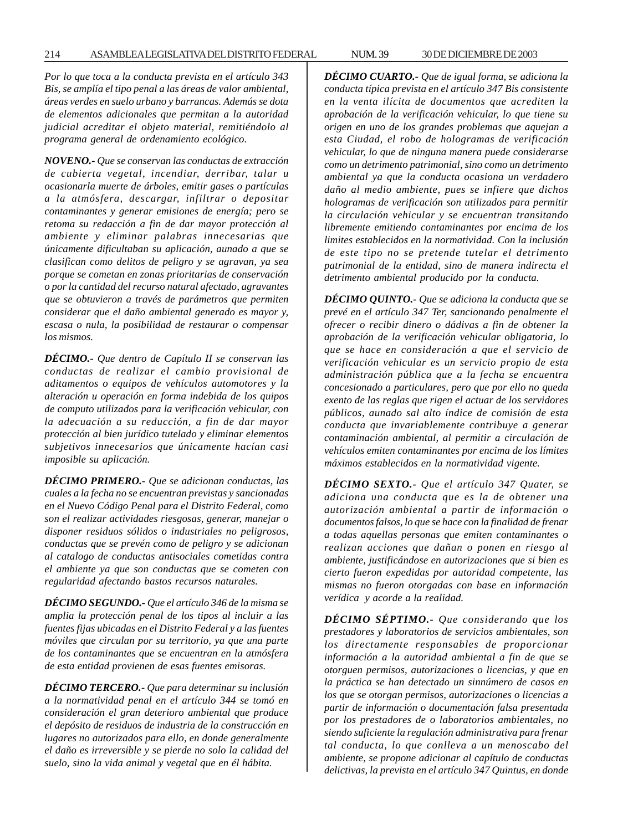*Por lo que toca a la conducta prevista en el artículo 343 Bis, se amplía el tipo penal a las áreas de valor ambiental, áreas verdes en suelo urbano y barrancas. Además se dota de elementos adicionales que permitan a la autoridad judicial acreditar el objeto material, remitiéndolo al programa general de ordenamiento ecológico.*

*NOVENO.- Que se conservan las conductas de extracción de cubierta vegetal, incendiar, derribar, talar u ocasionarla muerte de árboles, emitir gases o partículas a la atmósfera, descargar, infiltrar o depositar contaminantes y generar emisiones de energía; pero se retoma su redacción a fin de dar mayor protección al ambiente y eliminar palabras innecesarias que únicamente dificultaban su aplicación, aunado a que se clasifican como delitos de peligro y se agravan, ya sea porque se cometan en zonas prioritarias de conservación o por la cantidad del recurso natural afectado, agravantes que se obtuvieron a través de parámetros que permiten considerar que el daño ambiental generado es mayor y, escasa o nula, la posibilidad de restaurar o compensar los mismos.*

*DÉCIMO.- Que dentro de Capítulo II se conservan las conductas de realizar el cambio provisional de aditamentos o equipos de vehículos automotores y la alteración u operación en forma indebida de los quipos de computo utilizados para la verificación vehicular, con la adecuación a su reducción, a fin de dar mayor protección al bien jurídico tutelado y eliminar elementos subjetivos innecesarios que únicamente hacían casi imposible su aplicación.*

*DÉCIMO PRIMERO.- Que se adicionan conductas, las cuales a la fecha no se encuentran previstas y sancionadas en el Nuevo Código Penal para el Distrito Federal, como son el realizar actividades riesgosas, generar, manejar o disponer residuos sólidos o industriales no peligrosos, conductas que se prevén como de peligro y se adicionan al catalogo de conductas antisociales cometidas contra el ambiente ya que son conductas que se cometen con regularidad afectando bastos recursos naturales.*

*DÉCIMO SEGUNDO.- Que el artículo 346 de la misma se amplia la protección penal de los tipos al incluir a las fuentes fijas ubicadas en el Distrito Federal y a las fuentes móviles que circulan por su territorio, ya que una parte de los contaminantes que se encuentran en la atmósfera de esta entidad provienen de esas fuentes emisoras.*

*DÉCIMO TERCERO.- Que para determinar su inclusión a la normatividad penal en el artículo 344 se tomó en consideración el gran deterioro ambiental que produce el depósito de residuos de industria de la construcción en lugares no autorizados para ello, en donde generalmente el daño es irreversible y se pierde no solo la calidad del suelo, sino la vida animal y vegetal que en él hábita.*

*DÉCIMO CUARTO.- Que de igual forma, se adiciona la conducta típica prevista en el artículo 347 Bis consistente en la venta ilícita de documentos que acrediten la aprobación de la verificación vehicular, lo que tiene su origen en uno de los grandes problemas que aquejan a esta Ciudad, el robo de hologramas de verificación vehicular, lo que de ninguna manera puede considerarse como un detrimento patrimonial, sino como un detrimento ambiental ya que la conducta ocasiona un verdadero daño al medio ambiente, pues se infiere que dichos hologramas de verificación son utilizados para permitir la circulación vehicular y se encuentran transitando libremente emitiendo contaminantes por encima de los limites establecidos en la normatividad. Con la inclusión de este tipo no se pretende tutelar el detrimento patrimonial de la entidad, sino de manera indirecta el detrimento ambiental producido por la conducta.*

*DÉCIMO QUINTO.- Que se adiciona la conducta que se prevé en el artículo 347 Ter, sancionando penalmente el ofrecer o recibir dinero o dádivas a fin de obtener la aprobación de la verificación vehicular obligatoria, lo que se hace en consideración a que el servicio de verificación vehicular es un servicio propio de esta administración pública que a la fecha se encuentra concesionado a particulares, pero que por ello no queda exento de las reglas que rigen el actuar de los servidores públicos, aunado sal alto índice de comisión de esta conducta que invariablemente contribuye a generar contaminación ambiental, al permitir a circulación de vehículos emiten contaminantes por encima de los límites máximos establecidos en la normatividad vigente.*

*DÉCIMO SEXTO.- Que el artículo 347 Quater, se adiciona una conducta que es la de obtener una autorización ambiental a partir de información o documentos falsos, lo que se hace con la finalidad de frenar a todas aquellas personas que emiten contaminantes o realizan acciones que dañan o ponen en riesgo al ambiente, justificándose en autorizaciones que si bien es cierto fueron expedidas por autoridad competente, las mismas no fueron otorgadas con base en información verídica y acorde a la realidad.*

*DÉCIMO SÉPTIMO.- Que considerando que los prestadores y laboratorios de servicios ambientales, son los directamente responsables de proporcionar información a la autoridad ambiental a fin de que se otorguen permisos, autorizaciones o licencias, y que en la práctica se han detectado un sinnúmero de casos en los que se otorgan permisos, autorizaciones o licencias a partir de información o documentación falsa presentada por los prestadores de o laboratorios ambientales, no siendo suficiente la regulación administrativa para frenar tal conducta, lo que conlleva a un menoscabo del ambiente, se propone adicionar al capítulo de conductas delictivas, la prevista en el artículo 347 Quintus, en donde*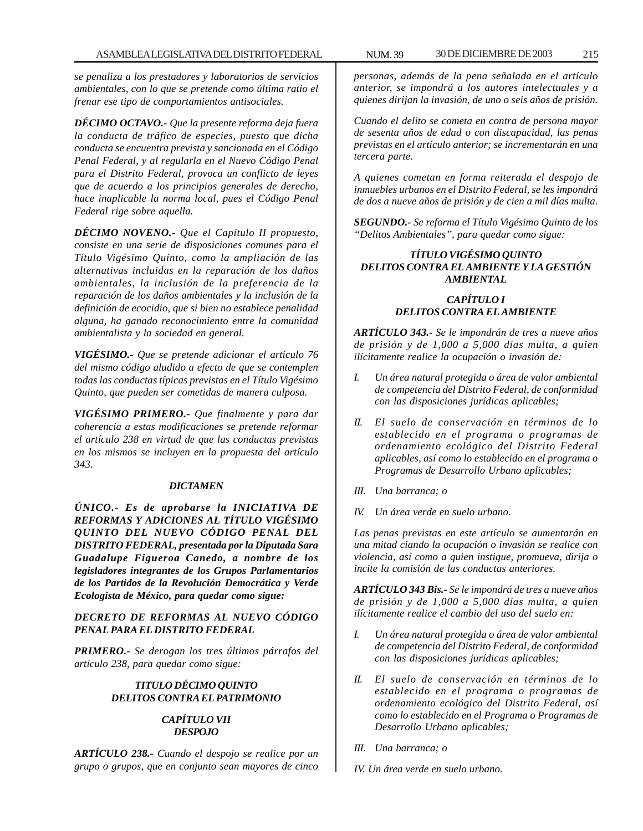*se penaliza a los prestadores y laboratorios de servicios ambientales, con lo que se pretende como última ratio el frenar ese tipo de comportamientos antisociales.*

*DÉCIMO OCTAVO.- Que la presente reforma deja fuera la conducta de tráfico de especies, puesto que dicha conducta se encuentra prevista y sancionada en el Código Penal Federal, y al regularla en el Nuevo Código Penal para el Distrito Federal, provoca un conflicto de leyes que de acuerdo a los principios generales de derecho, hace inaplicable la norma local, pues el Código Penal Federal rige sobre aquella.*

*DÉCIMO NOVENO.- Que el Capítulo II propuesto, consiste en una serie de disposiciones comunes para el Título Vigésimo Quinto, como la ampliación de las alternativas incluidas en la reparación de los daños ambientales, la inclusión de la preferencia de la reparación de los daños ambientales y la inclusión de la definición de ecocidio, que si bien no establece penalidad alguna, ha ganado reconocimiento entre la comunidad ambientalista y la sociedad en general.*

*VIGÉSIMO.- Que se pretende adicionar el artículo 76 del mismo código aludido a efecto de que se contemplen todas las conductas típicas previstas en el Título Vigésimo Quinto, que pueden ser cometidas de manera culposa.*

*VIGÉSIMO PRIMERO.- Que finalmente y para dar coherencia a estas modificaciones se pretende reformar el artículo 238 en virtud de que las conductas previstas en los mismos se incluyen en la propuesta del artículo 343.*

## *DICTAMEN*

*ÚNICO.- Es de aprobarse la INICIATIVA DE REFORMAS Y ADICIONES AL TÍTULO VIGÉSIMO QUINTO DEL NUEVO CÓDIGO PENAL DEL DISTRITO FEDERAL, presentada por la Diputada Sara Guadalupe Figueroa Canedo, a nombre de los legisladores integrantes de los Grupos Parlamentarios de los Partidos de la Revolución Democrática y Verde Ecologista de México, para quedar como sigue:*

# *DECRETO DE REFORMAS AL NUEVO CÓDIGO PENAL PARA EL DISTRITO FEDERAL*

*PRIMERO.- Se derogan los tres últimos párrafos del artículo 238, para quedar como sigue:*

# *TITULO DÉCIMO QUINTO DELITOS CONTRA EL PATRIMONIO*

## *CAPÍTULO VII DESPOJO*

*ARTÍCULO 238.- Cuando el despojo se realice por un grupo o grupos, que en conjunto sean mayores de cinco* *personas, además de la pena señalada en el artículo anterior, se impondrá a los autores intelectuales y a quienes dirijan la invasión, de uno o seis años de prisión.*

*Cuando el delito se cometa en contra de persona mayor de sesenta años de edad o con discapacidad, las penas previstas en el artículo anterior; se incrementarán en una tercera parte.*

*A quienes cometan en forma reiterada el despojo de inmuebles urbanos en el Distrito Federal, se les impondrá de dos a nueve años de prisión y de cien a mil días multa.*

*SEGUNDO.- Se reforma el Título Vigésimo Quinto de los ''Delitos Ambientales'', para quedar como sigue:*

# *TÍTULO VIGÉSIMO QUINTO DELITOS CONTRA EL AMBIENTE Y LA GESTIÓN AMBIENTAL*

# *CAPÍTULO I DELITOS CONTRA EL AMBIENTE*

*ARTÍCULO 343.- Se le impondrán de tres a nueve años de prisión y de 1,000 a 5,000 días multa, a quien ilícitamente realice la ocupación o invasión de:*

- *I. Un área natural protegida o área de valor ambiental de competencia del Distrito Federal, de conformidad con las disposiciones jurídicas aplicables;*
- *II. El suelo de conservación en términos de lo establecido en el programa o programas de ordenamiento ecológico del Distrito Federal aplicables, así como lo establecido en el programa o Programas de Desarrollo Urbano aplicables;*
- *III. Una barranca; o*
- *IV. Un área verde en suelo urbano.*

*Las penas previstas en este artículo se aumentarán en una mitad ciando la ocupación o invasión se realice con violencia, así como a quien instigue, promueva, dirija o incite la comisión de las conductas anteriores.*

*ARTÍCULO 343 Bis.- Se le impondrá de tres a nueve años de prisión y de 1,000 a 5,000 días multa, a quien ilícitamente realice el cambio del uso del suelo en:*

- *I. Un área natural protegida o área de valor ambiental de competencia del Distrito Federal, de conformidad con las disposiciones jurídicas aplicables;*
- *II. El suelo de conservación en términos de lo establecido en el programa o programas de ordenamiento ecológico del Distrito Federal, así como lo establecido en el Programa o Programas de Desarrollo Urbano aplicables;*
- *III. Una barranca; o*

*IV. Un área verde en suelo urbano.*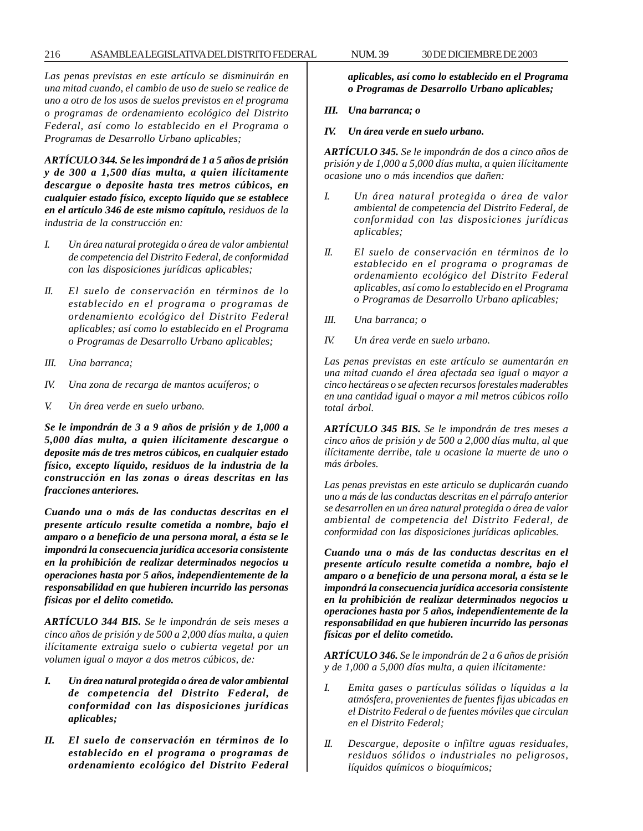## 216 ASAMBLEA LEGISLATIVA DEL DISTRITO FEDERAL 30 DE NUM. 39 DICIEMBRE DE 2003

*Las penas previstas en este artículo se disminuirán en una mitad cuando, el cambio de uso de suelo se realice de uno a otro de los usos de suelos previstos en el programa o programas de ordenamiento ecológico del Distrito Federal, así como lo establecido en el Programa o Programas de Desarrollo Urbano aplicables;*

*ARTÍCULO 344. Se les impondrá de 1 a 5 años de prisión y de 300 a 1,500 días multa, a quien ilícitamente descargue o deposite hasta tres metros cúbicos, en cualquier estado físico, excepto líquido que se establece en el artículo 346 de este mismo capítulo, residuos de la industria de la construcción en:*

- *I. Un área natural protegida o área de valor ambiental de competencia del Distrito Federal, de conformidad con las disposiciones jurídicas aplicables;*
- *II. El suelo de conservación en términos de lo establecido en el programa o programas de ordenamiento ecológico del Distrito Federal aplicables; así como lo establecido en el Programa o Programas de Desarrollo Urbano aplicables;*
- *III. Una barranca;*
- *IV. Una zona de recarga de mantos acuíferos; o*
- *V. Un área verde en suelo urbano.*

*Se le impondrán de 3 a 9 años de prisión y de 1,000 a 5,000 días multa, a quien ilícitamente descargue o deposite más de tres metros cúbicos, en cualquier estado físico, excepto líquido, residuos de la industria de la construcción en las zonas o áreas descritas en las fracciones anteriores.*

*Cuando una o más de las conductas descritas en el presente artículo resulte cometida a nombre, bajo el amparo o a beneficio de una persona moral, a ésta se le impondrá la consecuencia jurídica accesoria consistente en la prohibición de realizar determinados negocios u operaciones hasta por 5 años, independientemente de la responsabilidad en que hubieren incurrido las personas físicas por el delito cometido.*

*ARTÍCULO 344 BIS. Se le impondrán de seis meses a cinco años de prisión y de 500 a 2,000 días multa, a quien ilícitamente extraiga suelo o cubierta vegetal por un volumen igual o mayor a dos metros cúbicos, de:*

- *I. Un área natural protegida o área de valor ambiental de competencia del Distrito Federal, de conformidad con las disposiciones jurídicas aplicables;*
- *II. El suelo de conservación en términos de lo establecido en el programa o programas de ordenamiento ecológico del Distrito Federal*

*aplicables, así como lo establecido en el Programa o Programas de Desarrollo Urbano aplicables;*

## *III. Una barranca; o*

*IV. Un área verde en suelo urbano.*

*ARTÍCULO 345. Se le impondrán de dos a cinco años de prisión y de 1,000 a 5,000 días multa, a quien ilícitamente ocasione uno o más incendios que dañen:*

- *I. Un área natural protegida o área de valor ambiental de competencia del Distrito Federal, de conformidad con las disposiciones jurídicas aplicables;*
- *II. El suelo de conservación en términos de lo establecido en el programa o programas de ordenamiento ecológico del Distrito Federal aplicables, así como lo establecido en el Programa o Programas de Desarrollo Urbano aplicables;*
- *III. Una barranca; o*
- *IV. Un área verde en suelo urbano.*

*Las penas previstas en este artículo se aumentarán en una mitad cuando el área afectada sea igual o mayor a cinco hectáreas o se afecten recursos forestales maderables en una cantidad igual o mayor a mil metros cúbicos rollo total árbol.*

*ARTÍCULO 345 BIS. Se le impondrán de tres meses a cinco años de prisión y de 500 a 2,000 días multa, al que ilícitamente derribe, tale u ocasione la muerte de uno o más árboles.*

*Las penas previstas en este articulo se duplicarán cuando uno a más de las conductas descritas en el párrafo anterior se desarrollen en un área natural protegida o área de valor ambiental de competencia del Distrito Federal, de conformidad con las disposiciones jurídicas aplicables.*

*Cuando una o más de las conductas descritas en el presente artículo resulte cometida a nombre, bajo el amparo o a beneficio de una persona moral, a ésta se le impondrá la consecuencia jurídica accesoria consistente en la prohibición de realizar determinados negocios u operaciones hasta por 5 años, independientemente de la responsabilidad en que hubieren incurrido las personas físicas por el delito cometido.*

*ARTÍCULO 346. Se le impondrán de 2 a 6 años de prisión y de 1,000 a 5,000 días multa, a quien ilícitamente:*

- *I. Emita gases o partículas sólidas o líquidas a la atmósfera, provenientes de fuentes fijas ubicadas en el Distrito Federal o de fuentes móviles que circulan en el Distrito Federal;*
- *II. Descargue, deposite o infiltre aguas residuales, residuos sólidos o industriales no peligrosos, líquidos químicos o bioquímicos;*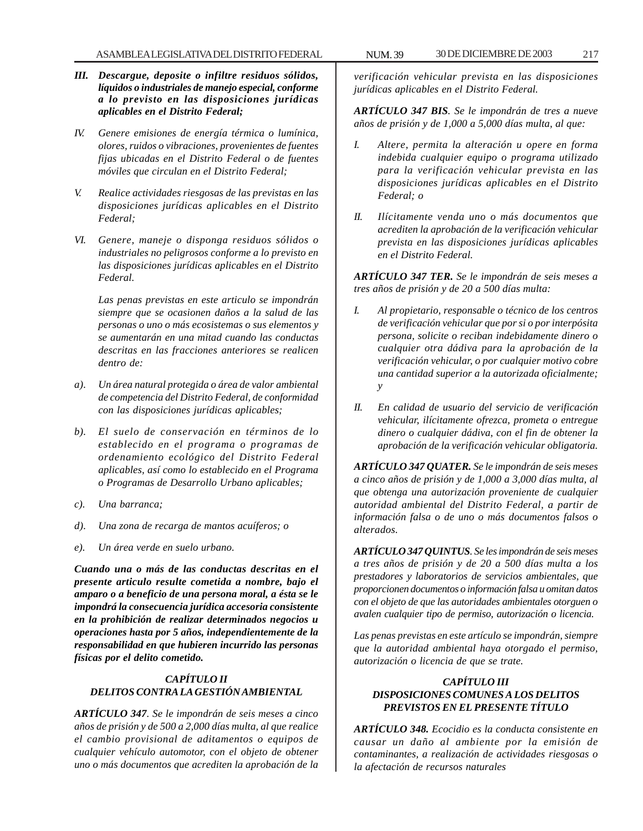- *IV. Genere emisiones de energía térmica o lumínica, olores, ruidos o vibraciones, provenientes de fuentes fijas ubicadas en el Distrito Federal o de fuentes móviles que circulan en el Distrito Federal;*
- *V. Realice actividades riesgosas de las previstas en las disposiciones jurídicas aplicables en el Distrito Federal;*
- *VI. Genere, maneje o disponga residuos sólidos o industriales no peligrosos conforme a lo previsto en las disposiciones jurídicas aplicables en el Distrito Federal.*

*Las penas previstas en este articulo se impondrán siempre que se ocasionen daños a la salud de las personas o uno o más ecosistemas o sus elementos y se aumentarán en una mitad cuando las conductas descritas en las fracciones anteriores se realicen dentro de:*

- *a). Un área natural protegida o área de valor ambiental de competencia del Distrito Federal, de conformidad con las disposiciones jurídicas aplicables;*
- *b). El suelo de conservación en términos de lo establecido en el programa o programas de ordenamiento ecológico del Distrito Federal aplicables, así como lo establecido en el Programa o Programas de Desarrollo Urbano aplicables;*
- *c). Una barranca;*
- *d). Una zona de recarga de mantos acuíferos; o*
- *e). Un área verde en suelo urbano.*

*Cuando una o más de las conductas descritas en el presente articulo resulte cometida a nombre, bajo el amparo o a beneficio de una persona moral, a ésta se le impondrá la consecuencia jurídica accesoria consistente en la prohibición de realizar determinados negocios u operaciones hasta por 5 años, independientemente de la responsabilidad en que hubieren incurrido las personas físicas por el delito cometido.*

### *CAPÍTULO II DELITOS CONTRA LA GESTIÓN AMBIENTAL*

*ARTÍCULO 347. Se le impondrán de seis meses a cinco años de prisión y de 500 a 2,000 días multa, al que realice el cambio provisional de aditamentos o equipos de cualquier vehículo automotor, con el objeto de obtener uno o más documentos que acrediten la aprobación de la*

*verificación vehicular prevista en las disposiciones jurídicas aplicables en el Distrito Federal.*

*ARTÍCULO 347 BIS. Se le impondrán de tres a nueve años de prisión y de 1,000 a 5,000 días multa, al que:*

- *I. Altere, permita la alteración u opere en forma indebida cualquier equipo o programa utilizado para la verificación vehicular prevista en las disposiciones jurídicas aplicables en el Distrito Federal; o*
- *II. Ilícitamente venda uno o más documentos que acrediten la aprobación de la verificación vehicular prevista en las disposiciones jurídicas aplicables en el Distrito Federal.*

*ARTÍCULO 347 TER. Se le impondrán de seis meses a tres años de prisión y de 20 a 500 días multa:*

- *I. Al propietario, responsable o técnico de los centros de verificación vehicular que por si o por interpósita persona, solicite o reciban indebidamente dinero o cualquier otra dádiva para la aprobación de la verificación vehicular, o por cualquier motivo cobre una cantidad superior a la autorizada oficialmente; y*
- *II. En calidad de usuario del servicio de verificación vehicular, ilícitamente ofrezca, prometa o entregue dinero o cualquier dádiva, con el fin de obtener la aprobación de la verificación vehicular obligatoria.*

*ARTÍCULO 347 QUATER. Se le impondrán de seis meses a cinco años de prisión y de 1,000 a 3,000 días multa, al que obtenga una autorización proveniente de cualquier autoridad ambiental del Distrito Federal, a partir de información falsa o de uno o más documentos falsos o alterados.*

*ARTÍCULO 347 QUINTUS. Se les impondrán de seis meses a tres años de prisión y de 20 a 500 días multa a los prestadores y laboratorios de servicios ambientales, que proporcionen documentos o información falsa u omitan datos con el objeto de que las autoridades ambientales otorguen o avalen cualquier tipo de permiso, autorización o licencia.*

*Las penas previstas en este artículo se impondrán, siempre que la autoridad ambiental haya otorgado el permiso, autorización o licencia de que se trate.*

### *CAPÍTULO III DISPOSICIONES COMUNES A LOS DELITOS PREVISTOS EN EL PRESENTE TÍTULO*

*ARTÍCULO 348. Ecocidio es la conducta consistente en causar un daño al ambiente por la emisión de contaminantes, a realización de actividades riesgosas o la afectación de recursos naturales*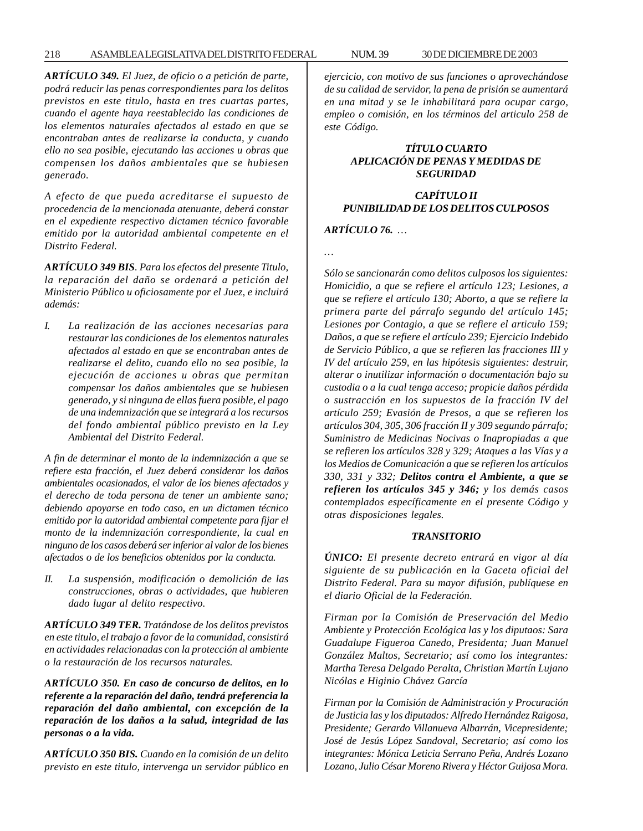#### 218 ASAMBLEA LEGISLATIVA DEL DISTRITO FEDERAL NUM. 39 30 DE DICIEMBRE DE 2003

*ARTÍCULO 349. El Juez, de oficio o a petición de parte, podrá reducir las penas correspondientes para los delitos previstos en este titulo, hasta en tres cuartas partes, cuando el agente haya reestablecido las condiciones de los elementos naturales afectados al estado en que se encontraban antes de realizarse la conducta, y cuando ello no sea posible, ejecutando las acciones u obras que compensen los daños ambientales que se hubiesen generado.*

*A efecto de que pueda acreditarse el supuesto de procedencia de la mencionada atenuante, deberá constar en el expediente respectivo dictamen técnico favorable emitido por la autoridad ambiental competente en el Distrito Federal.*

*ARTÍCULO 349 BIS. Para los efectos del presente Titulo, la reparación del daño se ordenará a petición del Ministerio Público u oficiosamente por el Juez, e incluirá además:*

*I. La realización de las acciones necesarias para restaurar las condiciones de los elementos naturales afectados al estado en que se encontraban antes de realizarse el delito, cuando ello no sea posible, la ejecución de acciones u obras que permitan compensar los daños ambientales que se hubiesen generado, y si ninguna de ellas fuera posible, el pago de una indemnización que se integrará a los recursos del fondo ambiental público previsto en la Ley Ambiental del Distrito Federal.*

*A fin de determinar el monto de la indemnización a que se refiere esta fracción, el Juez deberá considerar los daños ambientales ocasionados, el valor de los bienes afectados y el derecho de toda persona de tener un ambiente sano; debiendo apoyarse en todo caso, en un dictamen técnico emitido por la autoridad ambiental competente para fijar el monto de la indemnización correspondiente, la cual en ninguno de los casos deberá ser inferior al valor de los bienes afectados o de los beneficios obtenidos por la conducta.*

*II. La suspensión, modificación o demolición de las construcciones, obras o actividades, que hubieren dado lugar al delito respectivo.*

*ARTÍCULO 349 TER. Tratándose de los delitos previstos en este titulo, el trabajo a favor de la comunidad, consistirá en actividades relacionadas con la protección al ambiente o la restauración de los recursos naturales.*

*ARTÍCULO 350. En caso de concurso de delitos, en lo referente a la reparación del daño, tendrá preferencia la reparación del daño ambiental, con excepción de la reparación de los daños a la salud, integridad de las personas o a la vida.*

*ARTÍCULO 350 BIS. Cuando en la comisión de un delito previsto en este titulo, intervenga un servidor público en* *ejercicio, con motivo de sus funciones o aprovechándose de su calidad de servidor, la pena de prisión se aumentará en una mitad y se le inhabilitará para ocupar cargo, empleo o comisión, en los términos del articulo 258 de este Código.*

### *TÍTULO CUARTO APLICACIÓN DE PENAS Y MEDIDAS DE SEGURIDAD*

### *CAPÍTULO II PUNIBILIDAD DE LOS DELITOS CULPOSOS*

### *ARTÍCULO 76. …*

*…*

*Sólo se sancionarán como delitos culposos los siguientes: Homicidio, a que se refiere el artículo 123; Lesiones, a que se refiere el artículo 130; Aborto, a que se refiere la primera parte del párrafo segundo del artículo 145; Lesiones por Contagio, a que se refiere el articulo 159; Daños, a que se refiere el artículo 239; Ejercicio Indebido de Servicio Público, a que se refieren las fracciones III y IV del artículo 259, en las hipótesis siguientes: destruir, alterar o inutilizar información o documentación bajo su custodia o a la cual tenga acceso; propicie daños pérdida o sustracción en los supuestos de la fracción IV del artículo 259; Evasión de Presos, a que se refieren los artículos 304, 305, 306 fracción II y 309 segundo párrafo; Suministro de Medicinas Nocivas o Inapropiadas a que se refieren los artículos 328 y 329; Ataques a las Vías y a los Medios de Comunicación a que se refieren los artículos 330, 331 y 332; Delitos contra el Ambiente, a que se refieren los artículos 345 y 346; y los demás casos contemplados específicamente en el presente Código y otras disposiciones legales.*

### *TRANSITORIO*

*ÚNICO: El presente decreto entrará en vigor al día siguiente de su publicación en la Gaceta oficial del Distrito Federal. Para su mayor difusión, publíquese en el diario Oficial de la Federación.*

*Firman por la Comisión de Preservación del Medio Ambiente y Protección Ecológica las y los diputaos: Sara Guadalupe Figueroa Canedo, Presidenta; Juan Manuel González Maltos, Secretario; así como los integrantes: Martha Teresa Delgado Peralta, Christian Martín Lujano Nicólas e Higinio Chávez García*

*Firman por la Comisión de Administración y Procuración de Justicia las y los diputados: Alfredo Hernández Raigosa, Presidente; Gerardo Villanueva Albarrán, Vicepresidente; José de Jesús López Sandoval, Secretario; así como los integrantes: Mónica Leticia Serrano Peña, Andrés Lozano Lozano, Julio César Moreno Rivera y Héctor Guijosa Mora.*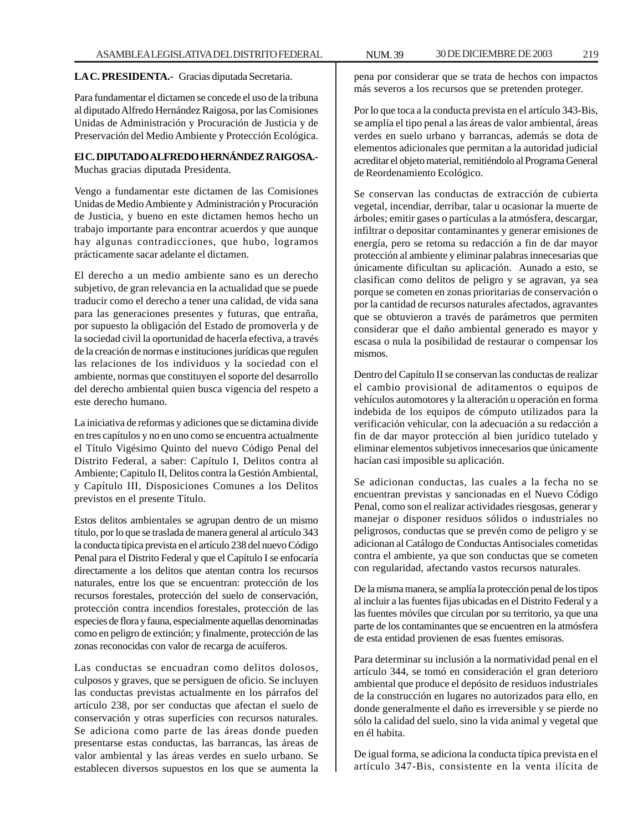### **LA C. PRESIDENTA.-** Gracias diputada Secretaria.

Para fundamentar el dictamen se concede el uso de la tribuna al diputado Alfredo Hernández Raigosa, por las Comisiones Unidas de Administración y Procuración de Justicia y de Preservación del Medio Ambiente y Protección Ecológica.

# **El C. DIPUTADO ALFREDO HERNÁNDEZ RAIGOSA.-**

Muchas gracias diputada Presidenta.

Vengo a fundamentar este dictamen de las Comisiones Unidas de Medio Ambiente y Administración y Procuración de Justicia, y bueno en este dictamen hemos hecho un trabajo importante para encontrar acuerdos y que aunque hay algunas contradicciones, que hubo, logramos prácticamente sacar adelante el dictamen.

El derecho a un medio ambiente sano es un derecho subjetivo, de gran relevancia en la actualidad que se puede traducir como el derecho a tener una calidad, de vida sana para las generaciones presentes y futuras, que entraña, por supuesto la obligación del Estado de promoverla y de la sociedad civil la oportunidad de hacerla efectiva, a través de la creación de normas e instituciones jurídicas que regulen las relaciones de los individuos y la sociedad con el ambiente, normas que constituyen el soporte del desarrollo del derecho ambiental quien busca vigencia del respeto a este derecho humano.

La iniciativa de reformas y adiciones que se dictamina divide en tres capítulos y no en uno como se encuentra actualmente el Título Vigésimo Quinto del nuevo Código Penal del Distrito Federal, a saber: Capítulo I, Delitos contra al Ambiente; Capitulo II, Delitos contra la Gestión Ambiental, y Capítulo III, Disposiciones Comunes a los Delitos previstos en el presente Título.

Estos delitos ambientales se agrupan dentro de un mismo título, por lo que se traslada de manera general al artículo 343 la conducta típica prevista en el artículo 238 del nuevo Código Penal para el Distrito Federal y que el Capítulo I se enfocaría directamente a los delitos que atentan contra los recursos naturales, entre los que se encuentran: protección de los recursos forestales, protección del suelo de conservación, protección contra incendios forestales, protección de las especies de flora y fauna, especialmente aquellas denominadas como en peligro de extinción; y finalmente, protección de las zonas reconocidas con valor de recarga de acuíferos.

Las conductas se encuadran como delitos dolosos, culposos y graves, que se persiguen de oficio. Se incluyen las conductas previstas actualmente en los párrafos del artículo 238, por ser conductas que afectan el suelo de conservación y otras superficies con recursos naturales. Se adiciona como parte de las áreas donde pueden presentarse estas conductas, las barrancas, las áreas de valor ambiental y las áreas verdes en suelo urbano. Se establecen diversos supuestos en los que se aumenta la

pena por considerar que se trata de hechos con impactos más severos a los recursos que se pretenden proteger.

Por lo que toca a la conducta prevista en el artículo 343-Bis, se amplía el tipo penal a las áreas de valor ambiental, áreas verdes en suelo urbano y barrancas, además se dota de elementos adicionales que permitan a la autoridad judicial acreditar el objeto material, remitiéndolo al Programa General de Reordenamiento Ecológico.

Se conservan las conductas de extracción de cubierta vegetal, incendiar, derribar, talar u ocasionar la muerte de árboles; emitir gases o partículas a la atmósfera, descargar, infiltrar o depositar contaminantes y generar emisiones de energía, pero se retoma su redacción a fin de dar mayor protección al ambiente y eliminar palabras innecesarias que únicamente dificultan su aplicación. Aunado a esto, se clasifican como delitos de peligro y se agravan, ya sea porque se cometen en zonas prioritarias de conservación o por la cantidad de recursos naturales afectados, agravantes que se obtuvieron a través de parámetros que permiten considerar que el daño ambiental generado es mayor y escasa o nula la posibilidad de restaurar o compensar los mismos.

Dentro del Capítulo II se conservan las conductas de realizar el cambio provisional de aditamentos o equipos de vehículos automotores y la alteración u operación en forma indebida de los equipos de cómputo utilizados para la verificación vehicular, con la adecuación a su redacción a fin de dar mayor protección al bien jurídico tutelado y eliminar elementos subjetivos innecesarios que únicamente hacían casi imposible su aplicación.

Se adicionan conductas, las cuales a la fecha no se encuentran previstas y sancionadas en el Nuevo Código Penal, como son el realizar actividades riesgosas, generar y manejar o disponer residuos sólidos o industriales no peligrosos, conductas que se prevén como de peligro y se adicionan al Catálogo de Conductas Antisociales cometidas contra el ambiente, ya que son conductas que se cometen con regularidad, afectando vastos recursos naturales.

De la misma manera, se amplía la protección penal de los tipos al incluir a las fuentes fijas ubicadas en el Distrito Federal y a las fuentes móviles que circulan por su territorio, ya que una parte de los contaminantes que se encuentren en la atmósfera de esta entidad provienen de esas fuentes emisoras.

Para determinar su inclusión a la normatividad penal en el artículo 344, se tomó en consideración el gran deterioro ambiental que produce el depósito de residuos industriales de la construcción en lugares no autorizados para ello, en donde generalmente el daño es irreversible y se pierde no sólo la calidad del suelo, sino la vida animal y vegetal que en él habita.

De igual forma, se adiciona la conducta típica prevista en el artículo 347-Bis, consistente en la venta ilícita de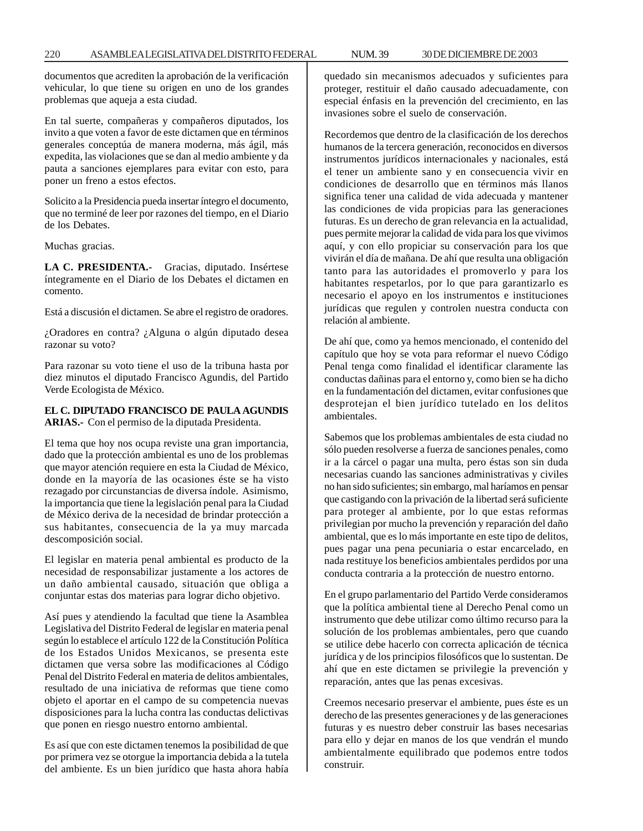220 ASAMBLEA LEGISLATIVA DEL DISTRITO FEDERAL NUM. 39 30 DE DICIEMBRE DE 2003

documentos que acrediten la aprobación de la verificación vehicular, lo que tiene su origen en uno de los grandes problemas que aqueja a esta ciudad.

En tal suerte, compañeras y compañeros diputados, los invito a que voten a favor de este dictamen que en términos generales conceptúa de manera moderna, más ágil, más expedita, las violaciones que se dan al medio ambiente y da pauta a sanciones ejemplares para evitar con esto, para poner un freno a estos efectos.

Solicito a la Presidencia pueda insertar íntegro el documento, que no terminé de leer por razones del tiempo, en el Diario de los Debates.

Muchas gracias.

**LA C. PRESIDENTA.-** Gracias, diputado. Insértese íntegramente en el Diario de los Debates el dictamen en comento.

Está a discusión el dictamen. Se abre el registro de oradores.

¿Oradores en contra? ¿Alguna o algún diputado desea razonar su voto?

Para razonar su voto tiene el uso de la tribuna hasta por diez minutos el diputado Francisco Agundis, del Partido Verde Ecologista de México.

**EL C. DIPUTADO FRANCISCO DE PAULA AGUNDIS ARIAS.-** Con el permiso de la diputada Presidenta.

El tema que hoy nos ocupa reviste una gran importancia, dado que la protección ambiental es uno de los problemas que mayor atención requiere en esta la Ciudad de México, donde en la mayoría de las ocasiones éste se ha visto rezagado por circunstancias de diversa índole. Asimismo, la importancia que tiene la legislación penal para la Ciudad de México deriva de la necesidad de brindar protección a sus habitantes, consecuencia de la ya muy marcada descomposición social.

El legislar en materia penal ambiental es producto de la necesidad de responsabilizar justamente a los actores de un daño ambiental causado, situación que obliga a conjuntar estas dos materias para lograr dicho objetivo.

Así pues y atendiendo la facultad que tiene la Asamblea Legislativa del Distrito Federal de legislar en materia penal según lo establece el artículo 122 de la Constitución Política de los Estados Unidos Mexicanos, se presenta este dictamen que versa sobre las modificaciones al Código Penal del Distrito Federal en materia de delitos ambientales, resultado de una iniciativa de reformas que tiene como objeto el aportar en el campo de su competencia nuevas disposiciones para la lucha contra las conductas delictivas que ponen en riesgo nuestro entorno ambiental.

Es así que con este dictamen tenemos la posibilidad de que por primera vez se otorgue la importancia debida a la tutela del ambiente. Es un bien jurídico que hasta ahora había quedado sin mecanismos adecuados y suficientes para proteger, restituir el daño causado adecuadamente, con especial énfasis en la prevención del crecimiento, en las invasiones sobre el suelo de conservación.

Recordemos que dentro de la clasificación de los derechos humanos de la tercera generación, reconocidos en diversos instrumentos jurídicos internacionales y nacionales, está el tener un ambiente sano y en consecuencia vivir en condiciones de desarrollo que en términos más llanos significa tener una calidad de vida adecuada y mantener las condiciones de vida propicias para las generaciones futuras. Es un derecho de gran relevancia en la actualidad, pues permite mejorar la calidad de vida para los que vivimos aquí, y con ello propiciar su conservación para los que vivirán el día de mañana. De ahí que resulta una obligación tanto para las autoridades el promoverlo y para los habitantes respetarlos, por lo que para garantizarlo es necesario el apoyo en los instrumentos e instituciones jurídicas que regulen y controlen nuestra conducta con relación al ambiente.

De ahí que, como ya hemos mencionado, el contenido del capítulo que hoy se vota para reformar el nuevo Código Penal tenga como finalidad el identificar claramente las conductas dañinas para el entorno y, como bien se ha dicho en la fundamentación del dictamen, evitar confusiones que desprotejan el bien jurídico tutelado en los delitos ambientales.

Sabemos que los problemas ambientales de esta ciudad no sólo pueden resolverse a fuerza de sanciones penales, como ir a la cárcel o pagar una multa, pero éstas son sin duda necesarias cuando las sanciones administrativas y civiles no han sido suficientes; sin embargo, mal haríamos en pensar que castigando con la privación de la libertad será suficiente para proteger al ambiente, por lo que estas reformas privilegian por mucho la prevención y reparación del daño ambiental, que es lo más importante en este tipo de delitos, pues pagar una pena pecuniaria o estar encarcelado, en nada restituye los beneficios ambientales perdidos por una conducta contraria a la protección de nuestro entorno.

En el grupo parlamentario del Partido Verde consideramos que la política ambiental tiene al Derecho Penal como un instrumento que debe utilizar como último recurso para la solución de los problemas ambientales, pero que cuando se utilice debe hacerlo con correcta aplicación de técnica jurídica y de los principios filosóficos que lo sustentan. De ahí que en este dictamen se privilegie la prevención y reparación, antes que las penas excesivas.

Creemos necesario preservar el ambiente, pues éste es un derecho de las presentes generaciones y de las generaciones futuras y es nuestro deber construir las bases necesarias para ello y dejar en manos de los que vendrán el mundo ambientalmente equilibrado que podemos entre todos construir.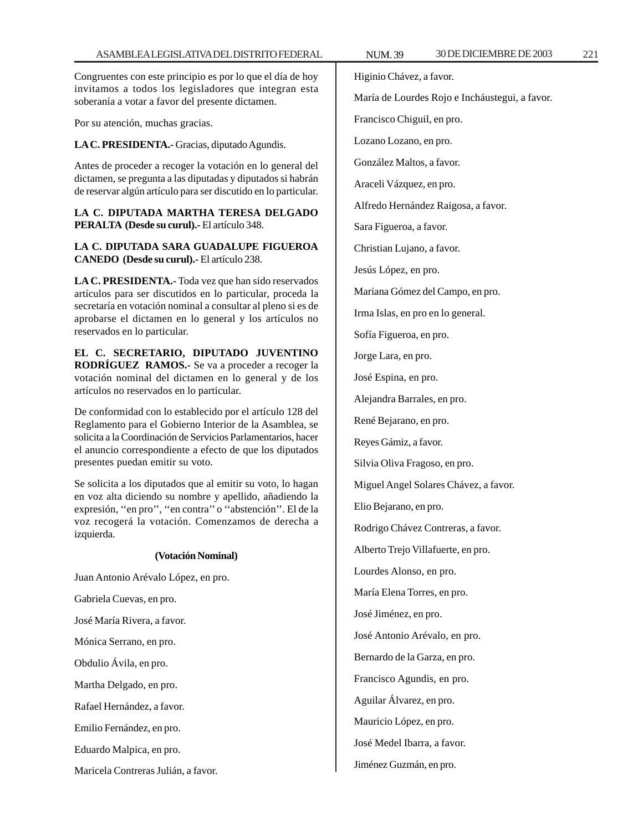Congruentes con este principio es por lo que el día de hoy invitamos a todos los legisladores que integran esta soberanía a votar a favor del presente dictamen.

Por su atención, muchas gracias.

**LA C. PRESIDENTA.-** Gracias, diputado Agundis.

Antes de proceder a recoger la votación en lo general del dictamen, se pregunta a las diputadas y diputados si habrán de reservar algún artículo para ser discutido en lo particular.

**LA C. DIPUTADA MARTHA TERESA DELGADO PERALTA (Desde su curul).-** El artículo 348.

### **LA C. DIPUTADA SARA GUADALUPE FIGUEROA CANEDO (Desde su curul).-** El artículo 238.

**LA C. PRESIDENTA.-** Toda vez que han sido reservados artículos para ser discutidos en lo particular, proceda la secretaría en votación nominal a consultar al pleno si es de aprobarse el dictamen en lo general y los artículos no reservados en lo particular.

**EL C. SECRETARIO, DIPUTADO JUVENTINO RODRÍGUEZ RAMOS.-** Se va a proceder a recoger la votación nominal del dictamen en lo general y de los artículos no reservados en lo particular.

De conformidad con lo establecido por el artículo 128 del Reglamento para el Gobierno Interior de la Asamblea, se solicita a la Coordinación de Servicios Parlamentarios, hacer el anuncio correspondiente a efecto de que los diputados presentes puedan emitir su voto.

Se solicita a los diputados que al emitir su voto, lo hagan en voz alta diciendo su nombre y apellido, añadiendo la expresión, ''en pro'', ''en contra'' o ''abstención''. El de la voz recogerá la votación. Comenzamos de derecha a izquierda.

#### **(Votación Nominal)**

Juan Antonio Arévalo López, en pro. Gabriela Cuevas, en pro. José María Rivera, a favor. Mónica Serrano, en pro. Obdulio Ávila, en pro. Martha Delgado, en pro. Rafael Hernández, a favor. Emilio Fernández, en pro. Eduardo Malpica, en pro.

Maricela Contreras Julián, a favor.

Higinio Chávez, a favor.

María de Lourdes Rojo e Incháustegui, a favor.

Francisco Chiguil, en pro.

Lozano Lozano, en pro.

González Maltos, a favor.

Araceli Vázquez, en pro.

Alfredo Hernández Raigosa, a favor.

Sara Figueroa, a favor.

Christian Lujano, a favor.

Jesús López, en pro.

Mariana Gómez del Campo, en pro.

Irma Islas, en pro en lo general.

Sofía Figueroa, en pro.

Jorge Lara, en pro.

José Espina, en pro.

Alejandra Barrales, en pro.

René Bejarano, en pro.

Reyes Gámiz, a favor.

Silvia Oliva Fragoso, en pro.

Miguel Angel Solares Chávez, a favor.

Elio Bejarano, en pro.

Rodrigo Chávez Contreras, a favor.

Alberto Trejo Villafuerte, en pro.

Lourdes Alonso, en pro.

María Elena Torres, en pro.

José Jiménez, en pro.

José Antonio Arévalo, en pro.

Bernardo de la Garza, en pro.

Francisco Agundis, en pro.

Aguilar Álvarez, en pro.

Mauricio López, en pro.

José Medel Ibarra, a favor.

Jiménez Guzmán, en pro.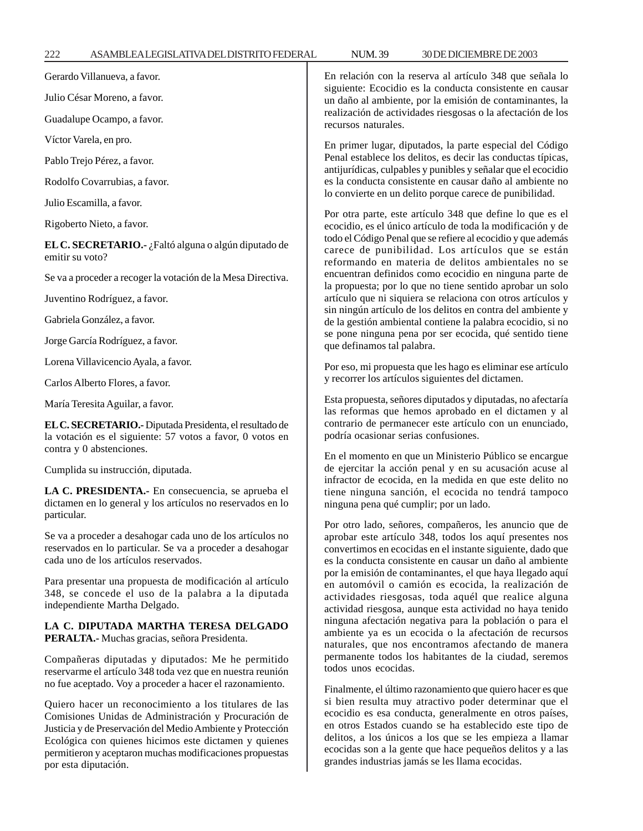222 ASAMBLEA LEGISLATIVA DEL DISTRITO FEDERAL NUM. 39 30 DE DICIEMBRE DE 2003

en otros Estados cuando se ha establecido este tipo de delitos, a los únicos a los que se les empieza a llamar ecocidas son a la gente que hace pequeños delitos y a las

grandes industrias jamás se les llama ecocidas.

| Gerardo Villanueva, a favor.                                                                                                                                                | En relación con la reserva al artículo 348 que señala lo<br>siguiente: Ecocidio es la conducta consistente en causar<br>un daño al ambiente, por la emisión de contaminantes, la<br>realización de actividades riesgosas o la afectación de los<br>recursos naturales.                                                                                                                                                                                                                                                                                                                                                                                                                                                                                                                                                                                                                                                                                                                                                                                                                                                                                                                                                                                                                                                                                                                                                                      |
|-----------------------------------------------------------------------------------------------------------------------------------------------------------------------------|---------------------------------------------------------------------------------------------------------------------------------------------------------------------------------------------------------------------------------------------------------------------------------------------------------------------------------------------------------------------------------------------------------------------------------------------------------------------------------------------------------------------------------------------------------------------------------------------------------------------------------------------------------------------------------------------------------------------------------------------------------------------------------------------------------------------------------------------------------------------------------------------------------------------------------------------------------------------------------------------------------------------------------------------------------------------------------------------------------------------------------------------------------------------------------------------------------------------------------------------------------------------------------------------------------------------------------------------------------------------------------------------------------------------------------------------|
| Julio César Moreno, a favor.                                                                                                                                                |                                                                                                                                                                                                                                                                                                                                                                                                                                                                                                                                                                                                                                                                                                                                                                                                                                                                                                                                                                                                                                                                                                                                                                                                                                                                                                                                                                                                                                             |
| Guadalupe Ocampo, a favor.                                                                                                                                                  |                                                                                                                                                                                                                                                                                                                                                                                                                                                                                                                                                                                                                                                                                                                                                                                                                                                                                                                                                                                                                                                                                                                                                                                                                                                                                                                                                                                                                                             |
| Víctor Varela, en pro.                                                                                                                                                      | En primer lugar, diputados, la parte especial del Código<br>Penal establece los delitos, es decir las conductas típicas,<br>antijurídicas, culpables y punibles y señalar que el ecocidio<br>es la conducta consistente en causar daño al ambiente no<br>lo convierte en un delito porque carece de punibilidad.<br>Por otra parte, este artículo 348 que define lo que es el<br>ecocidio, es el único artículo de toda la modificación y de<br>todo el Código Penal que se refiere al ecocidio y que además<br>carece de punibilidad. Los artículos que se están<br>reformando en materia de delitos ambientales no se<br>encuentran definidos como ecocidio en ninguna parte de<br>la propuesta; por lo que no tiene sentido aprobar un solo<br>artículo que ni siquiera se relaciona con otros artículos y<br>sin ningún artículo de los delitos en contra del ambiente y<br>de la gestión ambiental contiene la palabra ecocidio, si no<br>se pone ninguna pena por ser ecocida, qué sentido tiene<br>que definamos tal palabra.                                                                                                                                                                                                                                                                                                                                                                                                        |
| Pablo Trejo Pérez, a favor.                                                                                                                                                 |                                                                                                                                                                                                                                                                                                                                                                                                                                                                                                                                                                                                                                                                                                                                                                                                                                                                                                                                                                                                                                                                                                                                                                                                                                                                                                                                                                                                                                             |
| Rodolfo Covarrubias, a favor.                                                                                                                                               |                                                                                                                                                                                                                                                                                                                                                                                                                                                                                                                                                                                                                                                                                                                                                                                                                                                                                                                                                                                                                                                                                                                                                                                                                                                                                                                                                                                                                                             |
| Julio Escamilla, a favor.                                                                                                                                                   |                                                                                                                                                                                                                                                                                                                                                                                                                                                                                                                                                                                                                                                                                                                                                                                                                                                                                                                                                                                                                                                                                                                                                                                                                                                                                                                                                                                                                                             |
| Rigoberto Nieto, a favor.                                                                                                                                                   |                                                                                                                                                                                                                                                                                                                                                                                                                                                                                                                                                                                                                                                                                                                                                                                                                                                                                                                                                                                                                                                                                                                                                                                                                                                                                                                                                                                                                                             |
| EL C. SECRETARIO.- ¿Faltó alguna o algún diputado de<br>emitir su voto?                                                                                                     |                                                                                                                                                                                                                                                                                                                                                                                                                                                                                                                                                                                                                                                                                                                                                                                                                                                                                                                                                                                                                                                                                                                                                                                                                                                                                                                                                                                                                                             |
| Se va a proceder a recoger la votación de la Mesa Directiva.                                                                                                                |                                                                                                                                                                                                                                                                                                                                                                                                                                                                                                                                                                                                                                                                                                                                                                                                                                                                                                                                                                                                                                                                                                                                                                                                                                                                                                                                                                                                                                             |
| Juventino Rodríguez, a favor.                                                                                                                                               |                                                                                                                                                                                                                                                                                                                                                                                                                                                                                                                                                                                                                                                                                                                                                                                                                                                                                                                                                                                                                                                                                                                                                                                                                                                                                                                                                                                                                                             |
| Gabriela González, a favor.                                                                                                                                                 |                                                                                                                                                                                                                                                                                                                                                                                                                                                                                                                                                                                                                                                                                                                                                                                                                                                                                                                                                                                                                                                                                                                                                                                                                                                                                                                                                                                                                                             |
| Jorge García Rodríguez, a favor.                                                                                                                                            |                                                                                                                                                                                                                                                                                                                                                                                                                                                                                                                                                                                                                                                                                                                                                                                                                                                                                                                                                                                                                                                                                                                                                                                                                                                                                                                                                                                                                                             |
| Lorena Villavicencio Ayala, a favor.                                                                                                                                        | Por eso, mi propuesta que les hago es eliminar ese artículo<br>y recorrer los artículos siguientes del dictamen.                                                                                                                                                                                                                                                                                                                                                                                                                                                                                                                                                                                                                                                                                                                                                                                                                                                                                                                                                                                                                                                                                                                                                                                                                                                                                                                            |
| Carlos Alberto Flores, a favor.                                                                                                                                             |                                                                                                                                                                                                                                                                                                                                                                                                                                                                                                                                                                                                                                                                                                                                                                                                                                                                                                                                                                                                                                                                                                                                                                                                                                                                                                                                                                                                                                             |
| María Teresita Aguilar, a favor.                                                                                                                                            | Esta propuesta, señores diputados y diputadas, no afectaría<br>las reformas que hemos aprobado en el dictamen y al<br>contrario de permanecer este artículo con un enunciado,<br>podría ocasionar serias confusiones.<br>En el momento en que un Ministerio Público se encargue<br>de ejercitar la acción penal y en su acusación acuse al<br>infractor de ecocida, en la medida en que este delito no<br>tiene ninguna sanción, el ecocida no tendrá tampoco<br>ninguna pena qué cumplir; por un lado.<br>Por otro lado, señores, compañeros, les anuncio que de<br>aprobar este artículo 348, todos los aquí presentes nos<br>convertimos en ecocidas en el instante siguiente, dado que<br>es la conducta consistente en causar un daño al ambiente<br>por la emisión de contaminantes, el que haya llegado aquí<br>en automóvil o camión es ecocida, la realización de<br>actividades riesgosas, toda aquél que realice alguna<br>actividad riesgosa, aunque esta actividad no haya tenido<br>ninguna afectación negativa para la población o para el<br>ambiente ya es un ecocida o la afectación de recursos<br>naturales, que nos encontramos afectando de manera<br>permanente todos los habitantes de la ciudad, seremos<br>todos unos ecocidas.<br>Finalmente, el último razonamiento que quiero hacer es que<br>si bien resulta muy atractivo poder determinar que el<br>ecocidio es esa conducta, generalmente en otros países, |
| EL C. SECRETARIO.- Diputada Presidenta, el resultado de<br>la votación es el siguiente: 57 votos a favor, 0 votos en<br>contra y 0 abstenciones.                            |                                                                                                                                                                                                                                                                                                                                                                                                                                                                                                                                                                                                                                                                                                                                                                                                                                                                                                                                                                                                                                                                                                                                                                                                                                                                                                                                                                                                                                             |
| Cumplida su instrucción, diputada.                                                                                                                                          |                                                                                                                                                                                                                                                                                                                                                                                                                                                                                                                                                                                                                                                                                                                                                                                                                                                                                                                                                                                                                                                                                                                                                                                                                                                                                                                                                                                                                                             |
| LA C. PRESIDENTA.- En consecuencia, se aprueba el<br>dictamen en lo general y los artículos no reservados en lo<br>particular.                                              |                                                                                                                                                                                                                                                                                                                                                                                                                                                                                                                                                                                                                                                                                                                                                                                                                                                                                                                                                                                                                                                                                                                                                                                                                                                                                                                                                                                                                                             |
| Se va a proceder a desahogar cada uno de los artículos no<br>reservados en lo particular. Se va a proceder a desahogar<br>cada uno de los artículos reservados.             |                                                                                                                                                                                                                                                                                                                                                                                                                                                                                                                                                                                                                                                                                                                                                                                                                                                                                                                                                                                                                                                                                                                                                                                                                                                                                                                                                                                                                                             |
| Para presentar una propuesta de modificación al artículo<br>348, se concede el uso de la palabra a la diputada<br>independiente Martha Delgado.                             |                                                                                                                                                                                                                                                                                                                                                                                                                                                                                                                                                                                                                                                                                                                                                                                                                                                                                                                                                                                                                                                                                                                                                                                                                                                                                                                                                                                                                                             |
| LA C. DIPUTADA MARTHA TERESA DELGADO<br>PERALTA.- Muchas gracias, señora Presidenta.                                                                                        |                                                                                                                                                                                                                                                                                                                                                                                                                                                                                                                                                                                                                                                                                                                                                                                                                                                                                                                                                                                                                                                                                                                                                                                                                                                                                                                                                                                                                                             |
| Compañeras diputadas y diputados: Me he permitido<br>reservarme el artículo 348 toda vez que en nuestra reunión<br>no fue aceptado. Voy a proceder a hacer el razonamiento. |                                                                                                                                                                                                                                                                                                                                                                                                                                                                                                                                                                                                                                                                                                                                                                                                                                                                                                                                                                                                                                                                                                                                                                                                                                                                                                                                                                                                                                             |
| Quiero hacer un reconocimiento a los titulares de las<br>Comisiones Huidas de Administración y Procuración de                                                               |                                                                                                                                                                                                                                                                                                                                                                                                                                                                                                                                                                                                                                                                                                                                                                                                                                                                                                                                                                                                                                                                                                                                                                                                                                                                                                                                                                                                                                             |

Comisiones Unidas de Administración y Procuración de Justicia y de Preservación del Medio Ambiente y Protección Ecológica con quienes hicimos este dictamen y quienes permitieron y aceptaron muchas modificaciones propuestas por esta diputación.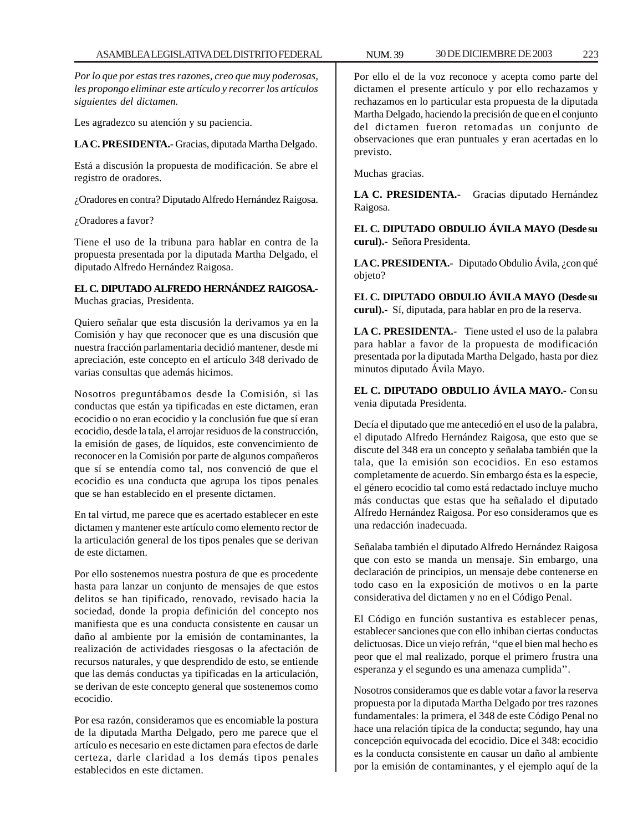*Por lo que por estas tres razones, creo que muy poderosas, les propongo eliminar este artículo y recorrer los artículos siguientes del dictamen.*

Les agradezco su atención y su paciencia.

**LA C. PRESIDENTA.-** Gracias, diputada Martha Delgado.

Está a discusión la propuesta de modificación. Se abre el registro de oradores.

¿Oradores en contra? Diputado Alfredo Hernández Raigosa.

¿Oradores a favor?

Tiene el uso de la tribuna para hablar en contra de la propuesta presentada por la diputada Martha Delgado, el diputado Alfredo Hernández Raigosa.

**EL C. DIPUTADO ALFREDO HERNÁNDEZ RAIGOSA.-** Muchas gracias, Presidenta.

Quiero señalar que esta discusión la derivamos ya en la Comisión y hay que reconocer que es una discusión que nuestra fracción parlamentaria decidió mantener, desde mi apreciación, este concepto en el artículo 348 derivado de varias consultas que además hicimos.

Nosotros preguntábamos desde la Comisión, si las conductas que están ya tipificadas en este dictamen, eran ecocidio o no eran ecocidio y la conclusión fue que sí eran ecocidio, desde la tala, el arrojar residuos de la construcción, la emisión de gases, de líquidos, este convencimiento de reconocer en la Comisión por parte de algunos compañeros que sí se entendía como tal, nos convenció de que el ecocidio es una conducta que agrupa los tipos penales que se han establecido en el presente dictamen.

En tal virtud, me parece que es acertado establecer en este dictamen y mantener este artículo como elemento rector de la articulación general de los tipos penales que se derivan de este dictamen.

Por ello sostenemos nuestra postura de que es procedente hasta para lanzar un conjunto de mensajes de que estos delitos se han tipificado, renovado, revisado hacia la sociedad, donde la propia definición del concepto nos manifiesta que es una conducta consistente en causar un daño al ambiente por la emisión de contaminantes, la realización de actividades riesgosas o la afectación de recursos naturales, y que desprendido de esto, se entiende que las demás conductas ya tipificadas en la articulación, se derivan de este concepto general que sostenemos como ecocidio.

Por esa razón, consideramos que es encomiable la postura de la diputada Martha Delgado, pero me parece que el artículo es necesario en este dictamen para efectos de darle certeza, darle claridad a los demás tipos penales establecidos en este dictamen.

Por ello el de la voz reconoce y acepta como parte del dictamen el presente artículo y por ello rechazamos y rechazamos en lo particular esta propuesta de la diputada Martha Delgado, haciendo la precisión de que en el conjunto del dictamen fueron retomadas un conjunto de observaciones que eran puntuales y eran acertadas en lo previsto.

Muchas gracias.

**LA C. PRESIDENTA.-** Gracias diputado Hernández Raigosa.

**EL C. DIPUTADO OBDULIO ÁVILA MAYO (Desde su curul).-** Señora Presidenta.

**LA C. PRESIDENTA.-** Diputado Obdulio Ávila, ¿con qué objeto?

**EL C. DIPUTADO OBDULIO ÁVILA MAYO (Desde su curul).-** Sí, diputada, para hablar en pro de la reserva.

**LA C. PRESIDENTA.-** Tiene usted el uso de la palabra para hablar a favor de la propuesta de modificación presentada por la diputada Martha Delgado, hasta por diez minutos diputado Ávila Mayo.

**EL C. DIPUTADO OBDULIO ÁVILA MAYO.-** Con su venia diputada Presidenta.

Decía el diputado que me antecedió en el uso de la palabra, el diputado Alfredo Hernández Raigosa, que esto que se discute del 348 era un concepto y señalaba también que la tala, que la emisión son ecocidios. En eso estamos completamente de acuerdo. Sin embargo ésta es la especie, el género ecocidio tal como está redactado incluye mucho más conductas que estas que ha señalado el diputado Alfredo Hernández Raigosa. Por eso consideramos que es una redacción inadecuada.

Señalaba también el diputado Alfredo Hernández Raigosa que con esto se manda un mensaje. Sin embargo, una declaración de principios, un mensaje debe contenerse en todo caso en la exposición de motivos o en la parte considerativa del dictamen y no en el Código Penal.

El Código en función sustantiva es establecer penas, establecer sanciones que con ello inhiban ciertas conductas delictuosas. Dice un viejo refrán, ''que el bien mal hecho es peor que el mal realizado, porque el primero frustra una esperanza y el segundo es una amenaza cumplida''.

Nosotros consideramos que es dable votar a favor la reserva propuesta por la diputada Martha Delgado por tres razones fundamentales: la primera, el 348 de este Código Penal no hace una relación típica de la conducta; segundo, hay una concepción equivocada del ecocidio. Dice el 348: ecocidio es la conducta consistente en causar un daño al ambiente por la emisión de contaminantes, y el ejemplo aquí de la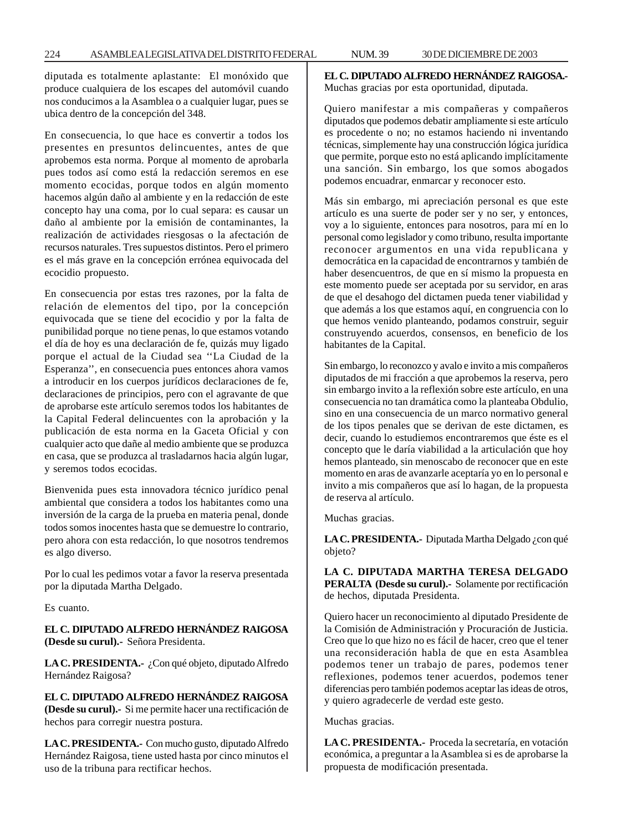diputada es totalmente aplastante: El monóxido que produce cualquiera de los escapes del automóvil cuando nos conducimos a la Asamblea o a cualquier lugar, pues se ubica dentro de la concepción del 348.

En consecuencia, lo que hace es convertir a todos los presentes en presuntos delincuentes, antes de que aprobemos esta norma. Porque al momento de aprobarla pues todos así como está la redacción seremos en ese momento ecocidas, porque todos en algún momento hacemos algún daño al ambiente y en la redacción de este concepto hay una coma, por lo cual separa: es causar un daño al ambiente por la emisión de contaminantes, la realización de actividades riesgosas o la afectación de recursos naturales. Tres supuestos distintos. Pero el primero es el más grave en la concepción errónea equivocada del ecocidio propuesto.

En consecuencia por estas tres razones, por la falta de relación de elementos del tipo, por la concepción equivocada que se tiene del ecocidio y por la falta de punibilidad porque no tiene penas, lo que estamos votando el día de hoy es una declaración de fe, quizás muy ligado porque el actual de la Ciudad sea ''La Ciudad de la Esperanza'', en consecuencia pues entonces ahora vamos a introducir en los cuerpos jurídicos declaraciones de fe, declaraciones de principios, pero con el agravante de que de aprobarse este artículo seremos todos los habitantes de la Capital Federal delincuentes con la aprobación y la publicación de esta norma en la Gaceta Oficial y con cualquier acto que dañe al medio ambiente que se produzca en casa, que se produzca al trasladarnos hacia algún lugar, y seremos todos ecocidas.

Bienvenida pues esta innovadora técnico jurídico penal ambiental que considera a todos los habitantes como una inversión de la carga de la prueba en materia penal, donde todos somos inocentes hasta que se demuestre lo contrario, pero ahora con esta redacción, lo que nosotros tendremos es algo diverso.

Por lo cual les pedimos votar a favor la reserva presentada por la diputada Martha Delgado.

Es cuanto.

**EL C. DIPUTADO ALFREDO HERNÁNDEZ RAIGOSA (Desde su curul).-** Señora Presidenta.

**LA C. PRESIDENTA.-** ¿Con qué objeto, diputado Alfredo Hernández Raigosa?

**EL C. DIPUTADO ALFREDO HERNÁNDEZ RAIGOSA (Desde su curul).-** Si me permite hacer una rectificación de hechos para corregir nuestra postura.

**LA C. PRESIDENTA.-** Con mucho gusto, diputado Alfredo Hernández Raigosa, tiene usted hasta por cinco minutos el uso de la tribuna para rectificar hechos.

**EL C. DIPUTADO ALFREDO HERNÁNDEZ RAIGOSA.-** Muchas gracias por esta oportunidad, diputada.

Quiero manifestar a mis compañeras y compañeros diputados que podemos debatir ampliamente si este artículo es procedente o no; no estamos haciendo ni inventando técnicas, simplemente hay una construcción lógica jurídica que permite, porque esto no está aplicando implícitamente una sanción. Sin embargo, los que somos abogados podemos encuadrar, enmarcar y reconocer esto.

Más sin embargo, mi apreciación personal es que este artículo es una suerte de poder ser y no ser, y entonces, voy a lo siguiente, entonces para nosotros, para mí en lo personal como legislador y como tribuno, resulta importante reconocer argumentos en una vida republicana y democrática en la capacidad de encontrarnos y también de haber desencuentros, de que en sí mismo la propuesta en este momento puede ser aceptada por su servidor, en aras de que el desahogo del dictamen pueda tener viabilidad y que además a los que estamos aquí, en congruencia con lo que hemos venido planteando, podamos construir, seguir construyendo acuerdos, consensos, en beneficio de los habitantes de la Capital.

Sin embargo, lo reconozco y avalo e invito a mis compañeros diputados de mi fracción a que aprobemos la reserva, pero sin embargo invito a la reflexión sobre este artículo, en una consecuencia no tan dramática como la planteaba Obdulio, sino en una consecuencia de un marco normativo general de los tipos penales que se derivan de este dictamen, es decir, cuando lo estudiemos encontraremos que éste es el concepto que le daría viabilidad a la articulación que hoy hemos planteado, sin menoscabo de reconocer que en este momento en aras de avanzarle aceptaría yo en lo personal e invito a mis compañeros que así lo hagan, de la propuesta de reserva al artículo.

Muchas gracias.

LA C. PRESIDENTA.- Diputada Martha Delgado ¿con qué objeto?

**LA C. DIPUTADA MARTHA TERESA DELGADO PERALTA (Desde su curul).-** Solamente por rectificación de hechos, diputada Presidenta.

Quiero hacer un reconocimiento al diputado Presidente de la Comisión de Administración y Procuración de Justicia. Creo que lo que hizo no es fácil de hacer, creo que el tener una reconsideración habla de que en esta Asamblea podemos tener un trabajo de pares, podemos tener reflexiones, podemos tener acuerdos, podemos tener diferencias pero también podemos aceptar las ideas de otros, y quiero agradecerle de verdad este gesto.

Muchas gracias.

**LA C. PRESIDENTA.-** Proceda la secretaría, en votación económica, a preguntar a la Asamblea si es de aprobarse la propuesta de modificación presentada.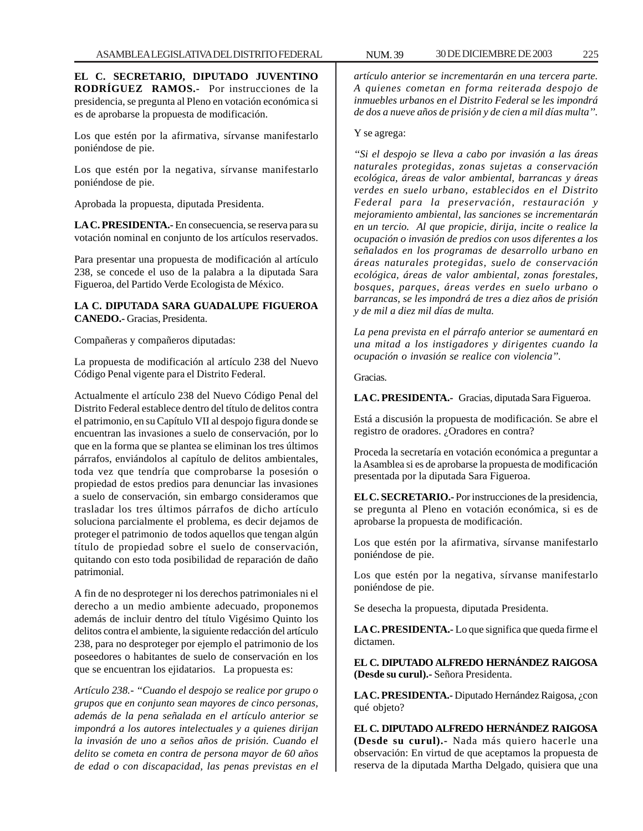**EL C. SECRETARIO, DIPUTADO JUVENTINO RODRÍGUEZ RAMOS.-** Por instrucciones de la presidencia, se pregunta al Pleno en votación económica si es de aprobarse la propuesta de modificación.

Los que estén por la afirmativa, sírvanse manifestarlo poniéndose de pie.

Los que estén por la negativa, sírvanse manifestarlo poniéndose de pie.

Aprobada la propuesta, diputada Presidenta.

**LA C. PRESIDENTA.-** En consecuencia, se reserva para su votación nominal en conjunto de los artículos reservados.

Para presentar una propuesta de modificación al artículo 238, se concede el uso de la palabra a la diputada Sara Figueroa, del Partido Verde Ecologista de México.

### **LA C. DIPUTADA SARA GUADALUPE FIGUEROA CANEDO.-** Gracias, Presidenta.

Compañeras y compañeros diputadas:

La propuesta de modificación al artículo 238 del Nuevo Código Penal vigente para el Distrito Federal.

Actualmente el artículo 238 del Nuevo Código Penal del Distrito Federal establece dentro del título de delitos contra el patrimonio, en su Capítulo VII al despojo figura donde se encuentran las invasiones a suelo de conservación, por lo que en la forma que se plantea se eliminan los tres últimos párrafos, enviándolos al capítulo de delitos ambientales, toda vez que tendría que comprobarse la posesión o propiedad de estos predios para denunciar las invasiones a suelo de conservación, sin embargo consideramos que trasladar los tres últimos párrafos de dicho artículo soluciona parcialmente el problema, es decir dejamos de proteger el patrimonio de todos aquellos que tengan algún título de propiedad sobre el suelo de conservación, quitando con esto toda posibilidad de reparación de daño patrimonial.

A fin de no desproteger ni los derechos patrimoniales ni el derecho a un medio ambiente adecuado, proponemos además de incluir dentro del título Vigésimo Quinto los delitos contra el ambiente, la siguiente redacción del artículo 238, para no desproteger por ejemplo el patrimonio de los poseedores o habitantes de suelo de conservación en los que se encuentran los ejidatarios. La propuesta es:

*Artículo 238.- ''Cuando el despojo se realice por grupo o grupos que en conjunto sean mayores de cinco personas, además de la pena señalada en el artículo anterior se impondrá a los autores intelectuales y a quienes dirijan la invasión de uno a seños años de prisión. Cuando el delito se cometa en contra de persona mayor de 60 años de edad o con discapacidad, las penas previstas en el*

*artículo anterior se incrementarán en una tercera parte. A quienes cometan en forma reiterada despojo de inmuebles urbanos en el Distrito Federal se les impondrá de dos a nueve años de prisión y de cien a mil días multa''.*

### Y se agrega:

*''Si el despojo se lleva a cabo por invasión a las áreas naturales protegidas, zonas sujetas a conservación ecológica, áreas de valor ambiental, barrancas y áreas verdes en suelo urbano, establecidos en el Distrito Federal para la preservación, restauración y mejoramiento ambiental, las sanciones se incrementarán en un tercio. Al que propicie, dirija, incite o realice la ocupación o invasión de predios con usos diferentes a los señalados en los programas de desarrollo urbano en áreas naturales protegidas, suelo de conservación ecológica, áreas de valor ambiental, zonas forestales, bosques, parques, áreas verdes en suelo urbano o barrancas, se les impondrá de tres a diez años de prisión y de mil a diez mil días de multa.*

*La pena prevista en el párrafo anterior se aumentará en una mitad a los instigadores y dirigentes cuando la ocupación o invasión se realice con violencia''.*

Gracias.

**LA C. PRESIDENTA.-** Gracias, diputada Sara Figueroa.

Está a discusión la propuesta de modificación. Se abre el registro de oradores. ¿Oradores en contra?

Proceda la secretaría en votación económica a preguntar a la Asamblea si es de aprobarse la propuesta de modificación presentada por la diputada Sara Figueroa.

**EL C. SECRETARIO.-** Por instrucciones de la presidencia, se pregunta al Pleno en votación económica, si es de aprobarse la propuesta de modificación.

Los que estén por la afirmativa, sírvanse manifestarlo poniéndose de pie.

Los que estén por la negativa, sírvanse manifestarlo poniéndose de pie.

Se desecha la propuesta, diputada Presidenta.

**LA C. PRESIDENTA.-** Lo que significa que queda firme el dictamen.

**EL C. DIPUTADO ALFREDO HERNÁNDEZ RAIGOSA (Desde su curul).-** Señora Presidenta.

**LA C. PRESIDENTA.-** Diputado Hernández Raigosa, ¿con qué objeto?

**EL C. DIPUTADO ALFREDO HERNÁNDEZ RAIGOSA (Desde su curul).-** Nada más quiero hacerle una observación: En virtud de que aceptamos la propuesta de reserva de la diputada Martha Delgado, quisiera que una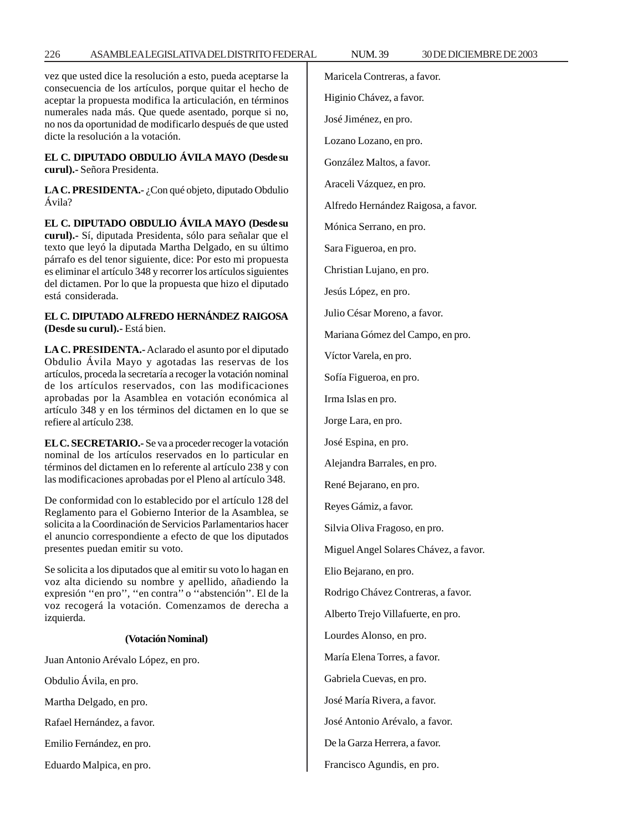vez que usted dice la resolución a esto, pueda aceptarse la consecuencia de los artículos, porque quitar el hecho de aceptar la propuesta modifica la articulación, en términos numerales nada más. Que quede asentado, porque si no, no nos da oportunidad de modificarlo después de que usted dicte la resolución a la votación.

### **EL C. DIPUTADO OBDULIO ÁVILA MAYO (Desde su curul).-** Señora Presidenta.

LA C. PRESIDENTA.- ¿Con qué objeto, diputado Obdulio Ávila?

**EL C. DIPUTADO OBDULIO ÁVILA MAYO (Desde su curul).-** Sí, diputada Presidenta, sólo para señalar que el texto que leyó la diputada Martha Delgado, en su último párrafo es del tenor siguiente, dice: Por esto mi propuesta es eliminar el artículo 348 y recorrer los artículos siguientes del dictamen. Por lo que la propuesta que hizo el diputado está considerada.

### **EL C. DIPUTADO ALFREDO HERNÁNDEZ RAIGOSA (Desde su curul).-** Está bien.

**LA C. PRESIDENTA.-** Aclarado el asunto por el diputado Obdulio Ávila Mayo y agotadas las reservas de los artículos, proceda la secretaría a recoger la votación nominal de los artículos reservados, con las modificaciones aprobadas por la Asamblea en votación económica al artículo 348 y en los términos del dictamen en lo que se refiere al artículo 238.

**EL C. SECRETARIO.-** Se va a proceder recoger la votación nominal de los artículos reservados en lo particular en términos del dictamen en lo referente al artículo 238 y con las modificaciones aprobadas por el Pleno al artículo 348.

De conformidad con lo establecido por el artículo 128 del Reglamento para el Gobierno Interior de la Asamblea, se solicita a la Coordinación de Servicios Parlamentarios hacer el anuncio correspondiente a efecto de que los diputados presentes puedan emitir su voto.

Se solicita a los diputados que al emitir su voto lo hagan en voz alta diciendo su nombre y apellido, añadiendo la expresión ''en pro'', ''en contra'' o ''abstención''. El de la voz recogerá la votación. Comenzamos de derecha a izquierda.

### **(Votación Nominal)**

Juan Antonio Arévalo López, en pro.

Obdulio Ávila, en pro.

Martha Delgado, en pro.

Rafael Hernández, a favor.

Emilio Fernández, en pro.

Eduardo Malpica, en pro.

Maricela Contreras, a favor. Higinio Chávez, a favor. José Jiménez, en pro. Lozano Lozano, en pro. González Maltos, a favor. Araceli Vázquez, en pro. Alfredo Hernández Raigosa, a favor. Mónica Serrano, en pro. Sara Figueroa, en pro. Christian Lujano, en pro. Jesús López, en pro. Julio César Moreno, a favor. Mariana Gómez del Campo, en pro. Víctor Varela, en pro. Sofía Figueroa, en pro. Irma Islas en pro. Jorge Lara, en pro. José Espina, en pro. Alejandra Barrales, en pro. René Bejarano, en pro. Reyes Gámiz, a favor. Silvia Oliva Fragoso, en pro. Miguel Angel Solares Chávez, a favor. Elio Bejarano, en pro. Rodrigo Chávez Contreras, a favor. Alberto Trejo Villafuerte, en pro. Lourdes Alonso, en pro. María Elena Torres, a favor. Gabriela Cuevas, en pro. José María Rivera, a favor. José Antonio Arévalo, a favor. De la Garza Herrera, a favor. Francisco Agundis, en pro.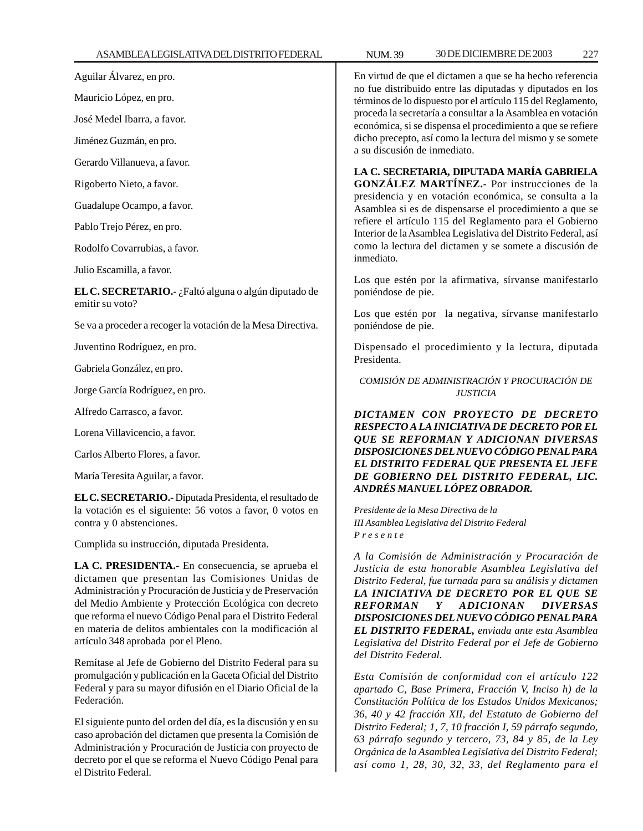Aguilar Álvarez, en pro.

Mauricio López, en pro.

José Medel Ibarra, a favor.

Jiménez Guzmán, en pro.

Gerardo Villanueva, a favor.

Rigoberto Nieto, a favor.

Guadalupe Ocampo, a favor.

Pablo Trejo Pérez, en pro.

Rodolfo Covarrubias, a favor.

Julio Escamilla, a favor.

**EL C. SECRETARIO.-** ¿Faltó alguna o algún diputado de emitir su voto?

Se va a proceder a recoger la votación de la Mesa Directiva.

Juventino Rodríguez, en pro.

Gabriela González, en pro.

Jorge García Rodríguez, en pro.

Alfredo Carrasco, a favor.

Lorena Villavicencio, a favor.

Carlos Alberto Flores, a favor.

María Teresita Aguilar, a favor.

**EL C. SECRETARIO.-** Diputada Presidenta, el resultado de la votación es el siguiente: 56 votos a favor, 0 votos en contra y 0 abstenciones.

Cumplida su instrucción, diputada Presidenta.

**LA C. PRESIDENTA.-** En consecuencia, se aprueba el dictamen que presentan las Comisiones Unidas de Administración y Procuración de Justicia y de Preservación del Medio Ambiente y Protección Ecológica con decreto que reforma el nuevo Código Penal para el Distrito Federal en materia de delitos ambientales con la modificación al artículo 348 aprobada por el Pleno.

Remítase al Jefe de Gobierno del Distrito Federal para su promulgación y publicación en la Gaceta Oficial del Distrito Federal y para su mayor difusión en el Diario Oficial de la Federación.

El siguiente punto del orden del día, es la discusión y en su caso aprobación del dictamen que presenta la Comisión de Administración y Procuración de Justicia con proyecto de decreto por el que se reforma el Nuevo Código Penal para el Distrito Federal.

En virtud de que el dictamen a que se ha hecho referencia no fue distribuido entre las diputadas y diputados en los términos de lo dispuesto por el artículo 115 del Reglamento, proceda la secretaría a consultar a la Asamblea en votación económica, si se dispensa el procedimiento a que se refiere dicho precepto, así como la lectura del mismo y se somete a su discusión de inmediato.

**LA C. SECRETARIA, DIPUTADA MARÍA GABRIELA GONZÁLEZ MARTÍNEZ.-** Por instrucciones de la presidencia y en votación económica, se consulta a la Asamblea si es de dispensarse el procedimiento a que se refiere el artículo 115 del Reglamento para el Gobierno Interior de la Asamblea Legislativa del Distrito Federal, así como la lectura del dictamen y se somete a discusión de inmediato.

Los que estén por la afirmativa, sírvanse manifestarlo poniéndose de pie.

Los que estén por la negativa, sírvanse manifestarlo poniéndose de pie.

Dispensado el procedimiento y la lectura, diputada Presidenta.

*COMISIÓN DE ADMINISTRACIÓN Y PROCURACIÓN DE JUSTICIA*

*DICTAMEN CON PROYECTO DE DECRETO RESPECTO A LA INICIATIVA DE DECRETO POR EL QUE SE REFORMAN Y ADICIONAN DIVERSAS DISPOSICIONES DEL NUEVO CÓDIGO PENAL PARA EL DISTRITO FEDERAL QUE PRESENTA EL JEFE DE GOBIERNO DEL DISTRITO FEDERAL, LIC. ANDRÉS MANUEL LÓPEZ OBRADOR.*

*Presidente de la Mesa Directiva de la III Asamblea Legislativa del Distrito Federal P r e s e n t e*

*A la Comisión de Administración y Procuración de Justicia de esta honorable Asamblea Legislativa del Distrito Federal, fue turnada para su análisis y dictamen LA INICIATIVA DE DECRETO POR EL QUE SE REFORMAN Y ADICIONAN DIVERSAS DISPOSICIONES DEL NUEVO CÓDIGO PENAL PARA EL DISTRITO FEDERAL, enviada ante esta Asamblea Legislativa del Distrito Federal por el Jefe de Gobierno del Distrito Federal.*

*Esta Comisión de conformidad con el artículo 122 apartado C, Base Primera, Fracción V, Inciso h) de la Constitución Política de los Estados Unidos Mexicanos; 36, 40 y 42 fracción XII, del Estatuto de Gobierno del Distrito Federal; 1, 7, 10 fracción I, 59 párrafo segundo, 63 párrafo segundo y tercero, 73, 84 y 85, de la Ley Orgánica de la Asamblea Legislativa del Distrito Federal; así como 1, 28, 30, 32, 33, del Reglamento para el*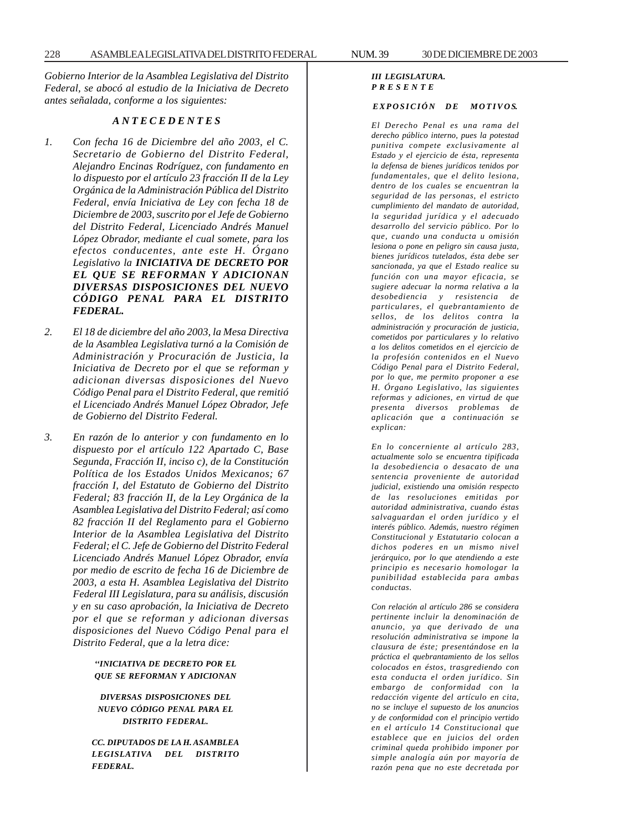*Gobierno Interior de la Asamblea Legislativa del Distrito Federal, se abocó al estudio de la Iniciativa de Decreto antes señalada, conforme a los siguientes:*

### *A N T E C E D E N T E S*

- *1. Con fecha 16 de Diciembre del año 2003, el C. Secretario de Gobierno del Distrito Federal, Alejandro Encinas Rodríguez, con fundamento en lo dispuesto por el artículo 23 fracción II de la Ley Orgánica de la Administración Pública del Distrito Federal, envía Iniciativa de Ley con fecha 18 de Diciembre de 2003, suscrito por el Jefe de Gobierno del Distrito Federal, Licenciado Andrés Manuel López Obrador, mediante el cual somete, para los efectos conducentes, ante este H. Órgano Legislativo la INICIATIVA DE DECRETO POR EL QUE SE REFORMAN Y ADICIONAN DIVERSAS DISPOSICIONES DEL NUEVO CÓDIGO PENAL PARA EL DISTRITO FEDERAL.*
- *2. El 18 de diciembre del año 2003, la Mesa Directiva de la Asamblea Legislativa turnó a la Comisión de Administración y Procuración de Justicia, la Iniciativa de Decreto por el que se reforman y adicionan diversas disposiciones del Nuevo Código Penal para el Distrito Federal, que remitió el Licenciado Andrés Manuel López Obrador, Jefe de Gobierno del Distrito Federal.*
- *3. En razón de lo anterior y con fundamento en lo dispuesto por el artículo 122 Apartado C, Base Segunda, Fracción II, inciso c), de la Constitución Política de los Estados Unidos Mexicanos; 67 fracción I, del Estatuto de Gobierno del Distrito Federal; 83 fracción II, de la Ley Orgánica de la Asamblea Legislativa del Distrito Federal; así como 82 fracción II del Reglamento para el Gobierno Interior de la Asamblea Legislativa del Distrito Federal; el C. Jefe de Gobierno del Distrito Federal Licenciado Andrés Manuel López Obrador, envía por medio de escrito de fecha 16 de Diciembre de 2003, a esta H. Asamblea Legislativa del Distrito Federal III Legislatura, para su análisis, discusión y en su caso aprobación, la Iniciativa de Decreto por el que se reforman y adicionan diversas disposiciones del Nuevo Código Penal para el Distrito Federal, que a la letra dice:*

#### *''INICIATIVA DE DECRETO POR EL QUE SE REFORMAN Y ADICIONAN*

*DIVERSAS DISPOSICIONES DEL NUEVO CÓDIGO PENAL PARA EL DISTRITO FEDERAL.*

*CC. DIPUTADOS DE LA H. ASAMBLEA LEGISLATIVA DEL DISTRITO FEDERAL.*

#### *III LEGISLATURA. P R E S E N T E*

#### $EXPOSICIÓN$  DE MOTIVOS.

*El Derecho Penal es una rama del derecho público interno, pues la potestad punitiva compete exclusivamente al Estado y el ejercicio de ésta, representa la defensa de bienes jurídicos tenidos por fundamentales, que el delito lesiona, dentro de los cuales se encuentran la seguridad de las personas, el estricto cumplimiento del mandato de autoridad, la seguridad jurídica y el adecuado desarrollo del servicio público. Por lo que, cuando una conducta u omisión lesiona o pone en peligro sin causa justa, bienes jurídicos tutelados, ésta debe ser sancionada, ya que el Estado realice su función con una mayor eficacia, se sugiere adecuar la norma relativa a la desobediencia y resistencia de particulares, el quebrantamiento de sellos, de los delitos contra la administración y procuración de justicia, cometidos por particulares y lo relativo a los delitos cometidos en el ejercicio de la profesión contenidos en el Nuevo Código Penal para el Distrito Federal, por lo que, me permito proponer a ese H. Órgano Legislativo, las siguientes reformas y adiciones, en virtud de que presenta diversos problemas de aplicación que a continuación se explican:*

*En lo concerniente al artículo 283, actualmente solo se encuentra tipificada la desobediencia o desacato de una sentencia proveniente de autoridad judicial, existiendo una omisión respecto de las resoluciones emitidas por autoridad administrativa, cuando éstas salvaguardan el orden jurídico y el interés público. Además, nuestro régimen Constitucional y Estatutario colocan a dichos poderes en un mismo nivel jerárquico, por lo que atendiendo a este principio es necesario homologar la punibilidad establecida para ambas conductas.*

*Con relación al artículo 286 se considera pertinente incluir la denominación de anuncio, ya que derivado de una resolución administrativa se impone la clausura de éste; presentándose en la práctica el quebrantamiento de los sellos colocados en éstos, trasgrediendo con esta conducta el orden jurídico. Sin embargo de conformidad con la redacción vigente del artículo en cita, no se incluye el supuesto de los anuncios y de conformidad con el principio vertido en el artículo 14 Constitucional que establece que en juicios del orden criminal queda prohibido imponer por simple analogía aún por mayoría de razón pena que no este decretada por*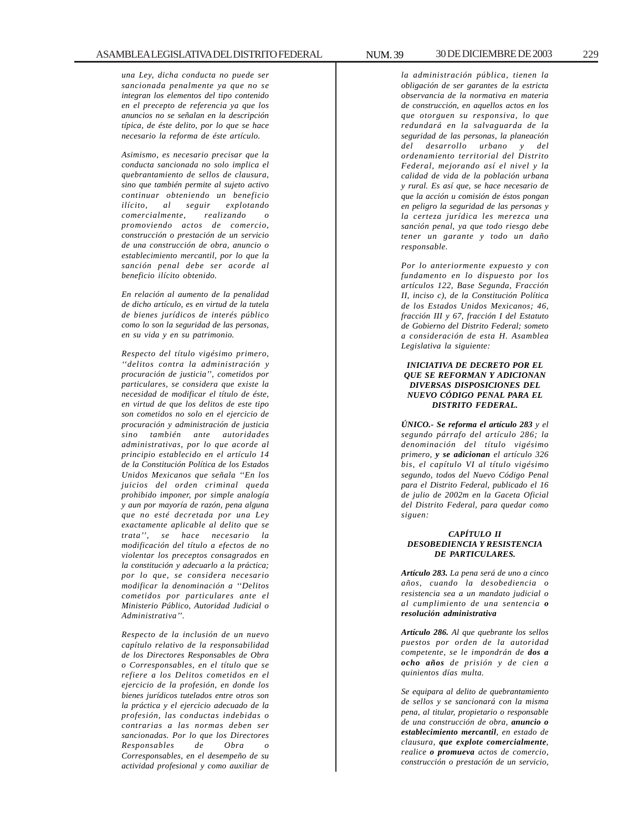*una Ley, dicha conducta no puede ser sancionada penalmente ya que no se integran los elementos del tipo contenido en el precepto de referencia ya que los anuncios no se señalan en la descripción típica, de éste delito, por lo que se hace necesario la reforma de éste artículo.*

*Asimismo, es necesario precisar que la conducta sancionada no solo implica el quebrantamiento de sellos de clausura, sino que también permite al sujeto activo continuar obteniendo un beneficio ilícito, al seguir explotando comercialmente, realizando o promoviendo actos de comercio, construcción o prestación de un servicio de una construcción de obra, anuncio o establecimiento mercantil, por lo que la sanción penal debe ser acorde al beneficio ilícito obtenido.*

*En relación al aumento de la penalidad de dicho artículo, es en virtud de la tutela de bienes jurídicos de interés público como lo son la seguridad de las personas, en su vida y en su patrimonio.*

*Respecto del título vigésimo primero, ''delitos contra la administración y procuración de justicia'', cometidos por particulares, se considera que existe la necesidad de modificar el título de éste, en virtud de que los delitos de este tipo son cometidos no solo en el ejercicio de procuración y administración de justicia sino también ante autoridades administrativas, por lo que acorde al principio establecido en el artículo 14 de la Constitución Política de los Estados Unidos Mexicanos que señala ''En los juicios del orden criminal queda prohibido imponer, por simple analogía y aun por mayoría de razón, pena alguna que no esté decretada por una Ley exactamente aplicable al delito que se trata'', se hace necesario la modificación del título a efectos de no violentar los preceptos consagrados en la constitución y adecuarlo a la práctica; por lo que, se considera necesario modificar la denominación a ''Delitos cometidos por particulares ante el Ministerio Público, Autoridad Judicial o Administrativa''.*

*Respecto de la inclusión de un nuevo capítulo relativo de la responsabilidad de los Directores Responsables de Obra o Corresponsables, en el título que se refiere a los Delitos cometidos en el ejercicio de la profesión, en donde los bienes jurídicos tutelados entre otros son la práctica y el ejercicio adecuado de la profesión, las conductas indebidas o contrarias a las normas deben ser sancionadas. Por lo que los Directores Responsables de Obra o Corresponsables, en el desempeño de su actividad profesional y como auxiliar de*

*la administración pública, tienen la obligación de ser garantes de la estricta observancia de la normativa en materia de construcción, en aquellos actos en los que otorguen su responsiva, lo que redundará en la salvaguarda de la seguridad de las personas, la planeación del desarrollo urbano y del ordenamiento territorial del Distrito Federal, mejorando así el nivel y la calidad de vida de la población urbana y rural. Es así que, se hace necesario de que la acción u comisión de éstos pongan en peligro la seguridad de las personas y la certeza jurídica les merezca una sanción penal, ya que todo riesgo debe tener un garante y todo un daño responsable.*

*Por lo anteriormente expuesto y con fundamento en lo dispuesto por los artículos 122, Base Segunda, Fracción II, inciso c), de la Constitución Política de los Estados Unidos Mexicanos; 46, fracción III y 67, fracción I del Estatuto de Gobierno del Distrito Federal; someto a consideración de esta H. Asamblea Legislativa la siguiente:*

#### *INICIATIVA DE DECRETO POR EL QUE SE REFORMAN Y ADICIONAN DIVERSAS DISPOSICIONES DEL NUEVO CÓDIGO PENAL PARA EL DISTRITO FEDERAL.*

*ÚNICO.- Se reforma el artículo 283 y el segundo párrafo del artículo 286; la denominación del título vigésimo primero, y se adicionan el artículo 326 bis, el capítulo VI al título vigésimo segundo, todos del Nuevo Código Penal para el Distrito Federal, publicado el 16 de julio de 2002m en la Gaceta Oficial del Distrito Federal, para quedar como siguen:*

#### *CAPÍTULO II DESOBEDIENCIA Y RESISTENCIA DE PARTICULARES.*

*Artículo 283. La pena será de uno a cinco años, cuando la desobediencia o resistencia sea a un mandato judicial o al cumplimiento de una sentencia o resolución administrativa*

*Artículo 286. Al que quebrante los sellos puestos por orden de la autoridad competente, se le impondrán de dos a ocho años de prisión y de cien a quinientos días multa.*

*Se equipara al delito de quebrantamiento de sellos y se sancionará con la misma pena, al titular, propietario o responsable de una construcción de obra, anuncio o establecimiento mercantil, en estado de clausura, que explote comercialmente, realice o promueva actos de comercio, construcción o prestación de un servicio,*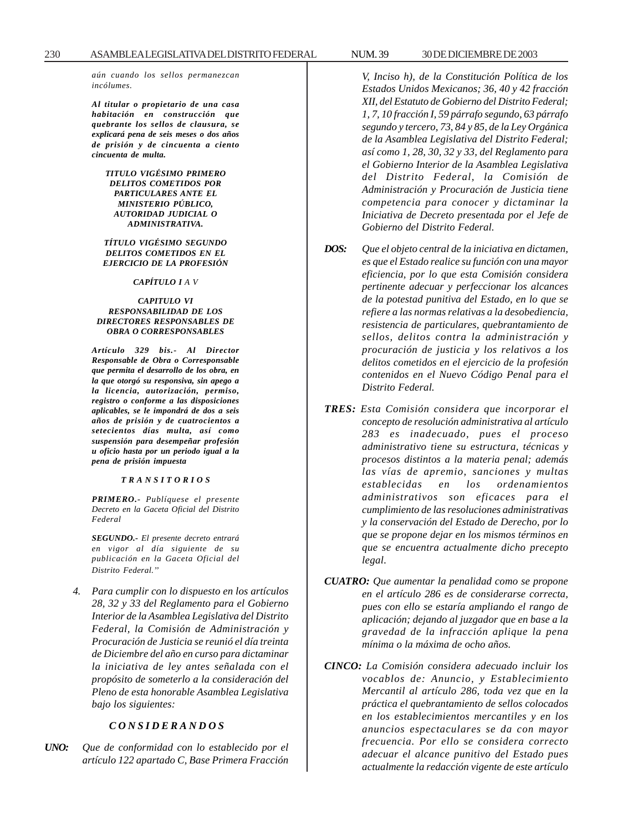*aún cuando los sellos permanezcan incólumes.*

*Al titular o propietario de una casa habitación en construcción que quebrante los sellos de clausura, se explicará pena de seis meses o dos años de prisión y de cincuenta a ciento cincuenta de multa.*

*TITULO VIGÉSIMO PRIMERO DELITOS COMETIDOS POR PARTICULARES ANTE EL MINISTERIO PÚBLICO, AUTORIDAD JUDICIAL O ADMINISTRATIVA.*

*TÍTULO VIGÉSIMO SEGUNDO DELITOS COMETIDOS EN EL EJERCICIO DE LA PROFESIÓN*

*CAPÍTULO I A V*

#### *CAPITULO VI RESPONSABILIDAD DE LOS DIRECTORES RESPONSABLES DE OBRA O CORRESPONSABLES*

*Artículo 329 bis.- Al Director Responsable de Obra o Corresponsable que permita el desarrollo de los obra, en la que otorgó su responsiva, sin apego a la licencia, autorización, permiso, registro o conforme a las disposiciones aplicables, se le impondrá de dos a seis años de prisión y de cuatrocientos a setecientos días multa, así como suspensión para desempeñar profesión u oficio hasta por un periodo igual a la pena de prisión impuesta*

#### *T R A N S I T O R I O S*

*PRIMERO.- Publíquese el presente Decreto en la Gaceta Oficial del Distrito Federal*

*SEGUNDO.- El presente decreto entrará en vigor al día siguiente de su publicación en la Gaceta Oficial del Distrito Federal.''*

*4. Para cumplir con lo dispuesto en los artículos 28, 32 y 33 del Reglamento para el Gobierno Interior de la Asamblea Legislativa del Distrito Federal, la Comisión de Administración y Procuración de Justicia se reunió el día treinta de Diciembre del año en curso para dictaminar la iniciativa de ley antes señalada con el propósito de someterlo a la consideración del Pleno de esta honorable Asamblea Legislativa bajo los siguientes:*

### *C O N S I D E R A N D O S*

*UNO: Que de conformidad con lo establecido por el artículo 122 apartado C, Base Primera Fracción*

*V, Inciso h), de la Constitución Política de los Estados Unidos Mexicanos; 36, 40 y 42 fracción XII, del Estatuto de Gobierno del Distrito Federal; 1, 7, 10 fracción I, 59 párrafo segundo, 63 párrafo segundo y tercero, 73, 84 y 85, de la Ley Orgánica de la Asamblea Legislativa del Distrito Federal; así como 1, 28, 30, 32 y 33, del Reglamento para el Gobierno Interior de la Asamblea Legislativa del Distrito Federal, la Comisión de Administración y Procuración de Justicia tiene competencia para conocer y dictaminar la Iniciativa de Decreto presentada por el Jefe de Gobierno del Distrito Federal.*

- *DOS: Que el objeto central de la iniciativa en dictamen, es que el Estado realice su función con una mayor eficiencia, por lo que esta Comisión considera pertinente adecuar y perfeccionar los alcances de la potestad punitiva del Estado, en lo que se refiere a las normas relativas a la desobediencia, resistencia de particulares, quebrantamiento de sellos, delitos contra la administración y procuración de justicia y los relativos a los delitos cometidos en el ejercicio de la profesión contenidos en el Nuevo Código Penal para el Distrito Federal.*
- *TRES: Esta Comisión considera que incorporar el concepto de resolución administrativa al artículo 283 es inadecuado, pues el proceso administrativo tiene su estructura, técnicas y procesos distintos a la materia penal; además las vías de apremio, sanciones y multas establecidas en los ordenamientos administrativos son eficaces para el cumplimiento de las resoluciones administrativas y la conservación del Estado de Derecho, por lo que se propone dejar en los mismos términos en que se encuentra actualmente dicho precepto legal.*
- *CUATRO: Que aumentar la penalidad como se propone en el artículo 286 es de considerarse correcta, pues con ello se estaría ampliando el rango de aplicación; dejando al juzgador que en base a la gravedad de la infracción aplique la pena mínima o la máxima de ocho años.*
- *CINCO: La Comisión considera adecuado incluir los vocablos de: Anuncio, y Establecimiento Mercantil al artículo 286, toda vez que en la práctica el quebrantamiento de sellos colocados en los establecimientos mercantiles y en los anuncios espectaculares se da con mayor frecuencia. Por ello se considera correcto adecuar el alcance punitivo del Estado pues actualmente la redacción vigente de este artículo*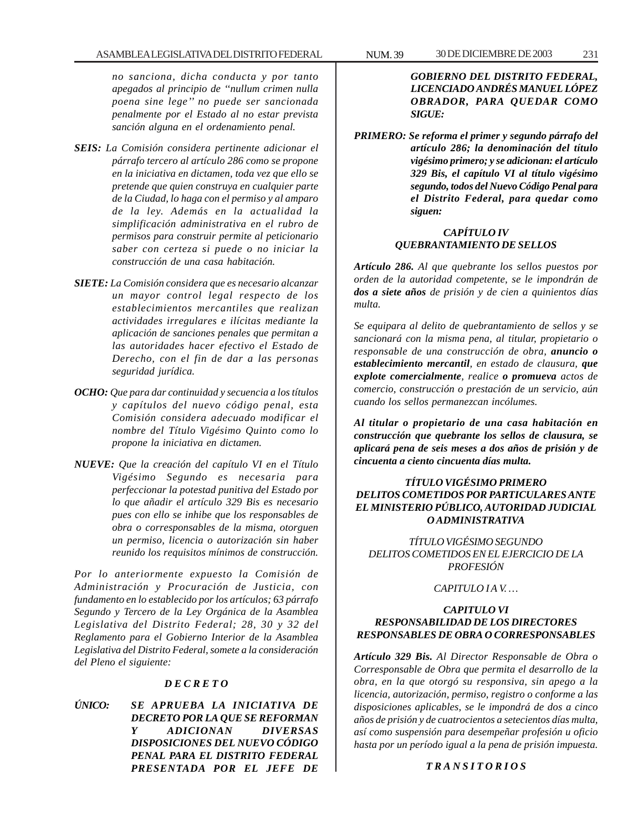*no sanciona, dicha conducta y por tanto apegados al principio de ''nullum crimen nulla poena sine lege'' no puede ser sancionada penalmente por el Estado al no estar prevista sanción alguna en el ordenamiento penal.*

- *SEIS: La Comisión considera pertinente adicionar el párrafo tercero al artículo 286 como se propone en la iniciativa en dictamen, toda vez que ello se pretende que quien construya en cualquier parte de la Ciudad, lo haga con el permiso y al amparo de la ley. Además en la actualidad la simplificación administrativa en el rubro de permisos para construir permite al peticionario saber con certeza si puede o no iniciar la construcción de una casa habitación.*
- *SIETE: La Comisión considera que es necesario alcanzar un mayor control legal respecto de los establecimientos mercantiles que realizan actividades irregulares e ilícitas mediante la aplicación de sanciones penales que permitan a las autoridades hacer efectivo el Estado de Derecho, con el fin de dar a las personas seguridad jurídica.*
- *OCHO: Que para dar continuidad y secuencia a los títulos y capítulos del nuevo código penal, esta Comisión considera adecuado modificar el nombre del Título Vigésimo Quinto como lo propone la iniciativa en dictamen.*
- *NUEVE: Que la creación del capítulo VI en el Título Vigésimo Segundo es necesaria para perfeccionar la potestad punitiva del Estado por lo que añadir el artículo 329 Bis es necesario pues con ello se inhibe que los responsables de obra o corresponsables de la misma, otorguen un permiso, licencia o autorización sin haber reunido los requisitos mínimos de construcción.*

*Por lo anteriormente expuesto la Comisión de Administración y Procuración de Justicia, con fundamento en lo establecido por los artículos; 63 párrafo Segundo y Tercero de la Ley Orgánica de la Asamblea Legislativa del Distrito Federal; 28, 30 y 32 del Reglamento para el Gobierno Interior de la Asamblea Legislativa del Distrito Federal, somete a la consideración del Pleno el siguiente:*

### *D E C R E T O*

*ÚNICO: SE APRUEBA LA INICIATIVA DE DECRETO POR LA QUE SE REFORMAN Y ADICIONAN DIVERSAS DISPOSICIONES DEL NUEVO CÓDIGO PENAL PARA EL DISTRITO FEDERAL PRESENTADA POR EL JEFE DE*

### *GOBIERNO DEL DISTRITO FEDERAL, LICENCIADO ANDRÉS MANUEL LÓPEZ OBRADOR, PARA QUEDAR COMO SIGUE:*

*PRIMERO: Se reforma el primer y segundo párrafo del artículo 286; la denominación del título vigésimo primero; y se adicionan: el artículo 329 Bis, el capítulo VI al título vigésimo segundo, todos del Nuevo Código Penal para el Distrito Federal, para quedar como siguen:*

### *CAPÍTULO IV QUEBRANTAMIENTO DE SELLOS*

*Artículo 286. Al que quebrante los sellos puestos por orden de la autoridad competente, se le impondrán de dos a siete años de prisión y de cien a quinientos días multa.*

*Se equipara al delito de quebrantamiento de sellos y se sancionará con la misma pena, al titular, propietario o responsable de una construcción de obra, anuncio o establecimiento mercantil, en estado de clausura, que explote comercialmente, realice o promueva actos de comercio, construcción o prestación de un servicio, aún cuando los sellos permanezcan incólumes.*

*Al titular o propietario de una casa habitación en construcción que quebrante los sellos de clausura, se aplicará pena de seis meses a dos años de prisión y de cincuenta a ciento cincuenta días multa.*

### *TÍTULO VIGÉSIMO PRIMERO DELITOS COMETIDOS POR PARTICULARES ANTE EL MINISTERIO PÚBLICO, AUTORIDAD JUDICIAL O ADMINISTRATIVA*

*TÍTULO VIGÉSIMO SEGUNDO DELITOS COMETIDOS EN EL EJERCICIO DE LA PROFESIÓN*

*CAPITULO I A V. …*

### *CAPITULO VI RESPONSABILIDAD DE LOS DIRECTORES RESPONSABLES DE OBRA O CORRESPONSABLES*

*Artículo 329 Bis. Al Director Responsable de Obra o Corresponsable de Obra que permita el desarrollo de la obra, en la que otorgó su responsiva, sin apego a la licencia, autorización, permiso, registro o conforme a las disposiciones aplicables, se le impondrá de dos a cinco años de prisión y de cuatrocientos a setecientos días multa, así como suspensión para desempeñar profesión u oficio hasta por un período igual a la pena de prisión impuesta.*

### *T R A N S I T O R I O S*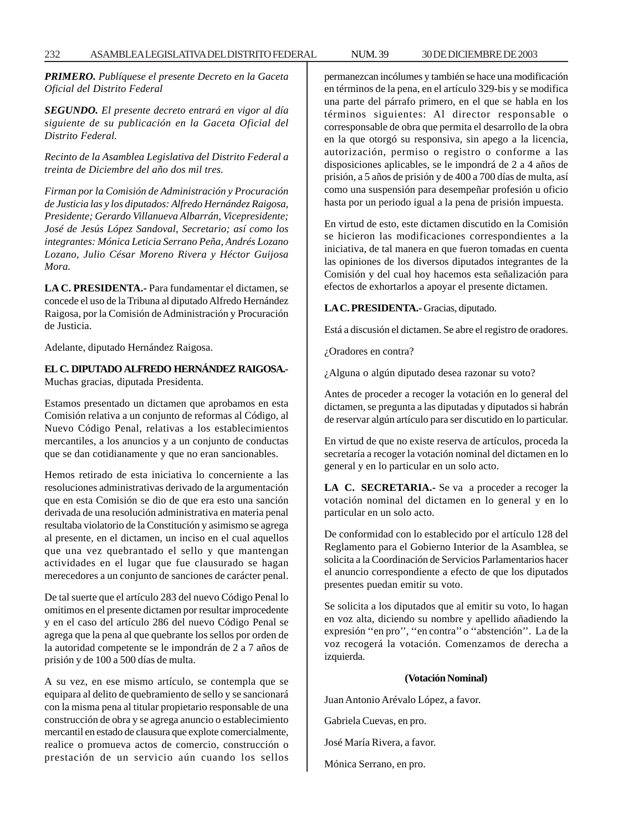*PRIMERO. Publíquese el presente Decreto en la Gaceta Oficial del Distrito Federal*

*SEGUNDO. El presente decreto entrará en vigor al día siguiente de su publicación en la Gaceta Oficial del Distrito Federal.*

*Recinto de la Asamblea Legislativa del Distrito Federal a treinta de Diciembre del año dos mil tres.*

*Firman por la Comisión de Administración y Procuración de Justicia las y los diputados: Alfredo Hernández Raigosa, Presidente; Gerardo Villanueva Albarrán, Vicepresidente; José de Jesús López Sandoval, Secretario; así como los integrantes: Mónica Leticia Serrano Peña, Andrés Lozano Lozano, Julio César Moreno Rivera y Héctor Guijosa Mora.*

**LA C. PRESIDENTA.-** Para fundamentar el dictamen, se concede el uso de la Tribuna al diputado Alfredo Hernández Raigosa, por la Comisión de Administración y Procuración de Justicia.

Adelante, diputado Hernández Raigosa.

**EL C. DIPUTADO ALFREDO HERNÁNDEZ RAIGOSA.-** Muchas gracias, diputada Presidenta.

Estamos presentado un dictamen que aprobamos en esta Comisión relativa a un conjunto de reformas al Código, al Nuevo Código Penal, relativas a los establecimientos mercantiles, a los anuncios y a un conjunto de conductas que se dan cotidianamente y que no eran sancionables.

Hemos retirado de esta iniciativa lo concerniente a las resoluciones administrativas derivado de la argumentación que en esta Comisión se dio de que era esto una sanción derivada de una resolución administrativa en materia penal resultaba violatorio de la Constitución y asimismo se agrega al presente, en el dictamen, un inciso en el cual aquellos que una vez quebrantado el sello y que mantengan actividades en el lugar que fue clausurado se hagan merecedores a un conjunto de sanciones de carácter penal.

De tal suerte que el artículo 283 del nuevo Código Penal lo omitimos en el presente dictamen por resultar improcedente y en el caso del artículo 286 del nuevo Código Penal se agrega que la pena al que quebrante los sellos por orden de la autoridad competente se le impondrán de 2 a 7 años de prisión y de 100 a 500 días de multa.

A su vez, en ese mismo artículo, se contempla que se equipara al delito de quebramiento de sello y se sancionará con la misma pena al titular propietario responsable de una construcción de obra y se agrega anuncio o establecimiento mercantil en estado de clausura que explote comercialmente, realice o promueva actos de comercio, construcción o prestación de un servicio aún cuando los sellos permanezcan incólumes y también se hace una modificación en términos de la pena, en el artículo 329-bis y se modifica una parte del párrafo primero, en el que se habla en los términos siguientes: Al director responsable o corresponsable de obra que permita el desarrollo de la obra en la que otorgó su responsiva, sin apego a la licencia, autorización, permiso o registro o conforme a las disposiciones aplicables, se le impondrá de 2 a 4 años de prisión, a 5 años de prisión y de 400 a 700 días de multa, así como una suspensión para desempeñar profesión u oficio hasta por un periodo igual a la pena de prisión impuesta.

En virtud de esto, este dictamen discutido en la Comisión se hicieron las modificaciones correspondientes a la iniciativa, de tal manera en que fueron tomadas en cuenta las opiniones de los diversos diputados integrantes de la Comisión y del cual hoy hacemos esta señalización para efectos de exhortarlos a apoyar el presente dictamen.

### **LA C. PRESIDENTA.-** Gracias, diputado.

Está a discusión el dictamen. Se abre el registro de oradores.

¿Oradores en contra?

¿Alguna o algún diputado desea razonar su voto?

Antes de proceder a recoger la votación en lo general del dictamen, se pregunta a las diputadas y diputados si habrán de reservar algún artículo para ser discutido en lo particular.

En virtud de que no existe reserva de artículos, proceda la secretaría a recoger la votación nominal del dictamen en lo general y en lo particular en un solo acto.

**LA C. SECRETARIA.-** Se va a proceder a recoger la votación nominal del dictamen en lo general y en lo particular en un solo acto.

De conformidad con lo establecido por el artículo 128 del Reglamento para el Gobierno Interior de la Asamblea, se solicita a la Coordinación de Servicios Parlamentarios hacer el anuncio correspondiente a efecto de que los diputados presentes puedan emitir su voto.

Se solicita a los diputados que al emitir su voto, lo hagan en voz alta, diciendo su nombre y apellido añadiendo la expresión ''en pro'', ''en contra'' o ''abstención''. La de la voz recogerá la votación. Comenzamos de derecha a izquierda.

### **(Votación Nominal)**

Juan Antonio Arévalo López, a favor.

Gabriela Cuevas, en pro.

José María Rivera, a favor.

Mónica Serrano, en pro.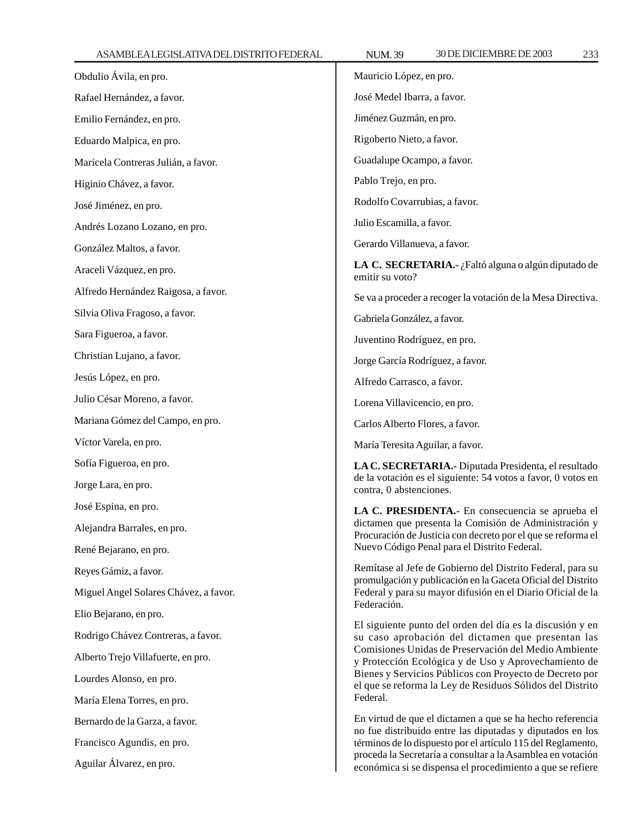| Obdulio Ávila, en pro.                | Mauricio López, en pro.                                                                                                                                                                                                                                                                                                                                                                                                                                                                                                                                                        |
|---------------------------------------|--------------------------------------------------------------------------------------------------------------------------------------------------------------------------------------------------------------------------------------------------------------------------------------------------------------------------------------------------------------------------------------------------------------------------------------------------------------------------------------------------------------------------------------------------------------------------------|
| Rafael Hernández, a favor.            | José Medel Ibarra, a favor.                                                                                                                                                                                                                                                                                                                                                                                                                                                                                                                                                    |
| Emilio Fernández, en pro.             | Jiménez Guzmán, en pro.                                                                                                                                                                                                                                                                                                                                                                                                                                                                                                                                                        |
| Eduardo Malpica, en pro.              | Rigoberto Nieto, a favor.                                                                                                                                                                                                                                                                                                                                                                                                                                                                                                                                                      |
| Maricela Contreras Julián, a favor.   | Guadalupe Ocampo, a favor.                                                                                                                                                                                                                                                                                                                                                                                                                                                                                                                                                     |
| Higinio Chávez, a favor.              | Pablo Trejo, en pro.                                                                                                                                                                                                                                                                                                                                                                                                                                                                                                                                                           |
| José Jiménez, en pro.                 | Rodolfo Covarrubias, a favor.                                                                                                                                                                                                                                                                                                                                                                                                                                                                                                                                                  |
| Andrés Lozano Lozano, en pro.         | Julio Escamilla, a favor.                                                                                                                                                                                                                                                                                                                                                                                                                                                                                                                                                      |
| González Maltos, a favor.             | Gerardo Villanueva, a favor.                                                                                                                                                                                                                                                                                                                                                                                                                                                                                                                                                   |
| Araceli Vázquez, en pro.              | LA C. SECRETARIA.- ¿Faltó alguna o algún diputado de<br>emitir su voto?                                                                                                                                                                                                                                                                                                                                                                                                                                                                                                        |
| Alfredo Hernández Raigosa, a favor.   | Se va a proceder a recoger la votación de la Mesa Directiva.                                                                                                                                                                                                                                                                                                                                                                                                                                                                                                                   |
| Silvia Oliva Fragoso, a favor.        | Gabriela González, a favor.                                                                                                                                                                                                                                                                                                                                                                                                                                                                                                                                                    |
| Sara Figueroa, a favor.               | Juventino Rodríguez, en pro.                                                                                                                                                                                                                                                                                                                                                                                                                                                                                                                                                   |
| Christian Lujano, a favor.            | Jorge García Rodríguez, a favor.                                                                                                                                                                                                                                                                                                                                                                                                                                                                                                                                               |
| Jesús López, en pro.                  | Alfredo Carrasco, a favor.                                                                                                                                                                                                                                                                                                                                                                                                                                                                                                                                                     |
| Julio César Moreno, a favor.          | Lorena Villavicencio, en pro.                                                                                                                                                                                                                                                                                                                                                                                                                                                                                                                                                  |
| Mariana Gómez del Campo, en pro.      | Carlos Alberto Flores, a favor.                                                                                                                                                                                                                                                                                                                                                                                                                                                                                                                                                |
| Víctor Varela, en pro.                | María Teresita Aguilar, a favor.                                                                                                                                                                                                                                                                                                                                                                                                                                                                                                                                               |
| Sofía Figueroa, en pro.               | LA C. SECRETARIA.- Diputada Presidenta, el resultado<br>de la votación es el siguiente: 54 votos a favor, 0 votos en<br>contra, 0 abstenciones.                                                                                                                                                                                                                                                                                                                                                                                                                                |
| Jorge Lara, en pro.                   |                                                                                                                                                                                                                                                                                                                                                                                                                                                                                                                                                                                |
| José Espina, en pro.                  | LA C. PRESIDENTA.- En consecuencia se aprueba el<br>dictamen que presenta la Comisión de Administración y<br>Procuración de Justicia con decreto por el que se reforma el<br>Nuevo Código Penal para el Distrito Federal.                                                                                                                                                                                                                                                                                                                                                      |
| Alejandra Barrales, en pro.           |                                                                                                                                                                                                                                                                                                                                                                                                                                                                                                                                                                                |
| René Bejarano, en pro.                |                                                                                                                                                                                                                                                                                                                                                                                                                                                                                                                                                                                |
| Reyes Gámiz, a favor.                 | Remítase al Jefe de Gobierno del Distrito Federal, para su<br>promulgación y publicación en la Gaceta Oficial del Distrito<br>Federal y para su mayor difusión en el Diario Oficial de la<br>Federación.<br>El siguiente punto del orden del día es la discusión y en<br>su caso aprobación del dictamen que presentan las<br>Comisiones Unidas de Preservación del Medio Ambiente<br>y Protección Ecológica y de Uso y Aprovechamiento de<br>Bienes y Servicios Públicos con Proyecto de Decreto por<br>el que se reforma la Ley de Residuos Sólidos del Distrito<br>Federal. |
| Miguel Angel Solares Chávez, a favor. |                                                                                                                                                                                                                                                                                                                                                                                                                                                                                                                                                                                |
| Elio Bejarano, en pro.                |                                                                                                                                                                                                                                                                                                                                                                                                                                                                                                                                                                                |
| Rodrigo Chávez Contreras, a favor.    |                                                                                                                                                                                                                                                                                                                                                                                                                                                                                                                                                                                |
| Alberto Trejo Villafuerte, en pro.    |                                                                                                                                                                                                                                                                                                                                                                                                                                                                                                                                                                                |
| Lourdes Alonso, en pro.               |                                                                                                                                                                                                                                                                                                                                                                                                                                                                                                                                                                                |
| María Elena Torres, en pro.           |                                                                                                                                                                                                                                                                                                                                                                                                                                                                                                                                                                                |
| Bernardo de la Garza, a favor.        | En virtud de que el dictamen a que se ha hecho referencia                                                                                                                                                                                                                                                                                                                                                                                                                                                                                                                      |
| Francisco Agundis, en pro.            | no fue distribuido entre las diputadas y diputados en los<br>términos de lo dispuesto por el artículo 115 del Reglamento,                                                                                                                                                                                                                                                                                                                                                                                                                                                      |
| Aguilar Álvarez, en pro.              | proceda la Secretaría a consultar a la Asamblea en votación<br>económica si se dispensa el procedimiento a que se refiere                                                                                                                                                                                                                                                                                                                                                                                                                                                      |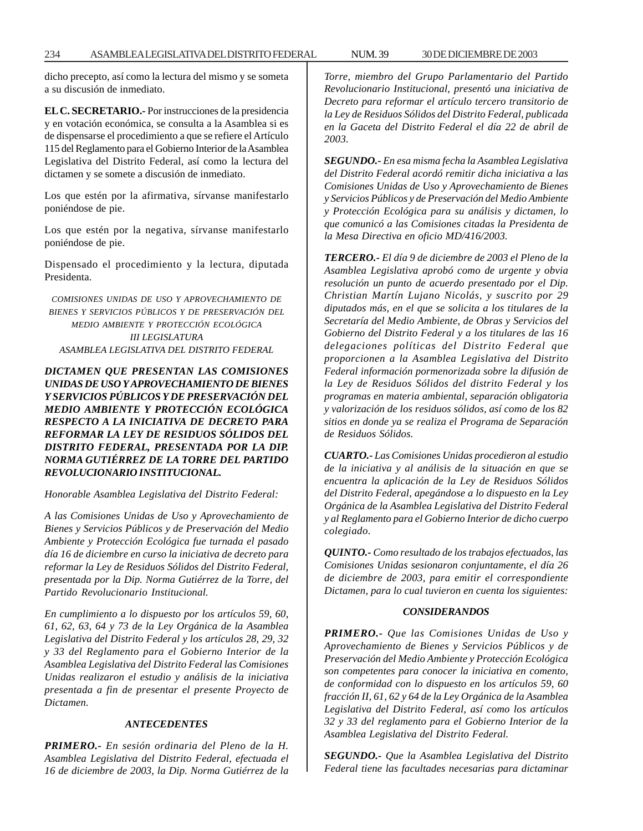234 ASAMBLEA LEGISLATIVA DEL DISTRITO FEDERAL 30 DE NUM. 39 DICIEMBRE DE 2003

dicho precepto, así como la lectura del mismo y se someta a su discusión de inmediato.

**EL C. SECRETARIO.-** Por instrucciones de la presidencia y en votación económica, se consulta a la Asamblea si es de dispensarse el procedimiento a que se refiere el Artículo 115 del Reglamento para el Gobierno Interior de la Asamblea Legislativa del Distrito Federal, así como la lectura del dictamen y se somete a discusión de inmediato.

Los que estén por la afirmativa, sírvanse manifestarlo poniéndose de pie.

Los que estén por la negativa, sírvanse manifestarlo poniéndose de pie.

Dispensado el procedimiento y la lectura, diputada Presidenta.

*COMISIONES UNIDAS DE USO Y APROVECHAMIENTO DE BIENES Y SERVICIOS PÚBLICOS Y DE PRESERVACIÓN DEL MEDIO AMBIENTE Y PROTECCIÓN ECOLÓGICA III LEGISLATURA ASAMBLEA LEGISLATIVA DEL DISTRITO FEDERAL*

*DICTAMEN QUE PRESENTAN LAS COMISIONES UNIDAS DE USO Y APROVECHAMIENTO DE BIENES Y SERVICIOS PÚBLICOS Y DE PRESERVACIÓN DEL MEDIO AMBIENTE Y PROTECCIÓN ECOLÓGICA RESPECTO A LA INICIATIVA DE DECRETO PARA REFORMAR LA LEY DE RESIDUOS SÓLIDOS DEL DISTRITO FEDERAL, PRESENTADA POR LA DIP. NORMA GUTIÉRREZ DE LA TORRE DEL PARTIDO REVOLUCIONARIO INSTITUCIONAL.*

*Honorable Asamblea Legislativa del Distrito Federal:*

*A las Comisiones Unidas de Uso y Aprovechamiento de Bienes y Servicios Públicos y de Preservación del Medio Ambiente y Protección Ecológica fue turnada el pasado día 16 de diciembre en curso la iniciativa de decreto para reformar la Ley de Residuos Sólidos del Distrito Federal, presentada por la Dip. Norma Gutiérrez de la Torre, del Partido Revolucionario Institucional.*

*En cumplimiento a lo dispuesto por los artículos 59, 60, 61, 62, 63, 64 y 73 de la Ley Orgánica de la Asamblea Legislativa del Distrito Federal y los artículos 28, 29, 32 y 33 del Reglamento para el Gobierno Interior de la Asamblea Legislativa del Distrito Federal las Comisiones Unidas realizaron el estudio y análisis de la iniciativa presentada a fin de presentar el presente Proyecto de Dictamen.*

#### *ANTECEDENTES*

*PRIMERO.- En sesión ordinaria del Pleno de la H. Asamblea Legislativa del Distrito Federal, efectuada el 16 de diciembre de 2003, la Dip. Norma Gutiérrez de la* *Torre, miembro del Grupo Parlamentario del Partido Revolucionario Institucional, presentó una iniciativa de Decreto para reformar el artículo tercero transitorio de la Ley de Residuos Sólidos del Distrito Federal, publicada en la Gaceta del Distrito Federal el día 22 de abril de 2003.*

*SEGUNDO.- En esa misma fecha la Asamblea Legislativa del Distrito Federal acordó remitir dicha iniciativa a las Comisiones Unidas de Uso y Aprovechamiento de Bienes y Servicios Públicos y de Preservación del Medio Ambiente y Protección Ecológica para su análisis y dictamen, lo que comunicó a las Comisiones citadas la Presidenta de la Mesa Directiva en oficio MD/416/2003.*

*TERCERO.- El día 9 de diciembre de 2003 el Pleno de la Asamblea Legislativa aprobó como de urgente y obvia resolución un punto de acuerdo presentado por el Dip. Christian Martín Lujano Nicolás, y suscrito por 29 diputados más, en el que se solicita a los titulares de la Secretaría del Medio Ambiente, de Obras y Servicios del Gobierno del Distrito Federal y a los titulares de las 16 delegaciones políticas del Distrito Federal que proporcionen a la Asamblea Legislativa del Distrito Federal información pormenorizada sobre la difusión de la Ley de Residuos Sólidos del distrito Federal y los programas en materia ambiental, separación obligatoria y valorización de los residuos sólidos, así como de los 82 sitios en donde ya se realiza el Programa de Separación de Residuos Sólidos.*

*CUARTO.- Las Comisiones Unidas procedieron al estudio de la iniciativa y al análisis de la situación en que se encuentra la aplicación de la Ley de Residuos Sólidos del Distrito Federal, apegándose a lo dispuesto en la Ley Orgánica de la Asamblea Legislativa del Distrito Federal y al Reglamento para el Gobierno Interior de dicho cuerpo colegiado.*

*QUINTO.- Como resultado de los trabajos efectuados, las Comisiones Unidas sesionaron conjuntamente, el día 26 de diciembre de 2003, para emitir el correspondiente Dictamen, para lo cual tuvieron en cuenta los siguientes:*

#### *CONSIDERANDOS*

*PRIMERO.- Que las Comisiones Unidas de Uso y Aprovechamiento de Bienes y Servicios Públicos y de Preservación del Medio Ambiente y Protección Ecológica son competentes para conocer la iniciativa en comento, de conformidad con lo dispuesto en los artículos 59, 60 fracción II, 61, 62 y 64 de la Ley Orgánica de la Asamblea Legislativa del Distrito Federal, así como los artículos 32 y 33 del reglamento para el Gobierno Interior de la Asamblea Legislativa del Distrito Federal.*

*SEGUNDO.- Que la Asamblea Legislativa del Distrito Federal tiene las facultades necesarias para dictaminar*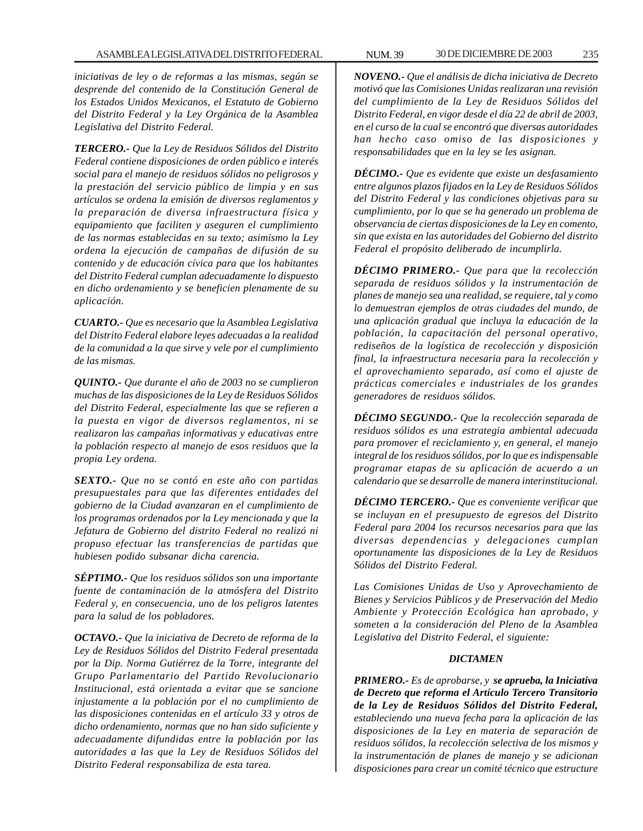*iniciativas de ley o de reformas a las mismas, según se desprende del contenido de la Constitución General de los Estados Unidos Mexicanos, el Estatuto de Gobierno del Distrito Federal y la Ley Orgánica de la Asamblea Legislativa del Distrito Federal.*

*TERCERO.- Que la Ley de Residuos Sólidos del Distrito Federal contiene disposiciones de orden público e interés social para el manejo de residuos sólidos no peligrosos y la prestación del servicio público de limpia y en sus artículos se ordena la emisión de diversos reglamentos y la preparación de diversa infraestructura física y equipamiento que faciliten y aseguren el cumplimiento de las normas establecidas en su texto; asimismo la Ley ordena la ejecución de campañas de difusión de su contenido y de educación cívica para que los habitantes del Distrito Federal cumplan adecuadamente lo dispuesto en dicho ordenamiento y se beneficien plenamente de su aplicación.*

*CUARTO.- Que es necesario que la Asamblea Legislativa del Distrito Federal elabore leyes adecuadas a la realidad de la comunidad a la que sirve y vele por el cumplimiento de las mismas.*

*QUINTO.- Que durante el año de 2003 no se cumplieron muchas de las disposiciones de la Ley de Residuos Sólidos del Distrito Federal, especialmente las que se refieren a la puesta en vigor de diversos reglamentos, ni se realizaron las campañas informativas y educativas entre la población respecto al manejo de esos residuos que la propia Ley ordena.*

*SEXTO.- Que no se contó en este año con partidas presupuestales para que las diferentes entidades del gobierno de la Ciudad avanzaran en el cumplimiento de los programas ordenados por la Ley mencionada y que la Jefatura de Gobierno del distrito Federal no realizó ni propuso efectuar las transferencias de partidas que hubiesen podido subsanar dicha carencia.*

*SÉPTIMO.- Que los residuos sólidos son una importante fuente de contaminación de la atmósfera del Distrito Federal y, en consecuencia, uno de los peligros latentes para la salud de los pobladores.*

*OCTAVO.- Que la iniciativa de Decreto de reforma de la Ley de Residuos Sólidos del Distrito Federal presentada por la Dip. Norma Gutiérrez de la Torre, integrante del Grupo Parlamentario del Partido Revolucionario Institucional, está orientada a evitar que se sancione injustamente a la población por el no cumplimiento de las disposiciones contenidas en el artículo 33 y otros de dicho ordenamiento, normas que no han sido suficiente y adecuadamente difundidas entre la población por las autoridades a las que la Ley de Residuos Sólidos del Distrito Federal responsabiliza de esta tarea.*

*NOVENO.- Que el análisis de dicha iniciativa de Decreto motivó que las Comisiones Unidas realizaran una revisión del cumplimiento de la Ley de Residuos Sólidos del Distrito Federal, en vigor desde el día 22 de abril de 2003, en el curso de la cual se encontró que diversas autoridades han hecho caso omiso de las disposiciones y responsabilidades que en la ley se les asignan.*

*DÉCIMO.- Que es evidente que existe un desfasamiento entre algunos plazos fijados en la Ley de Residuos Sólidos del Distrito Federal y las condiciones objetivas para su cumplimiento, por lo que se ha generado un problema de observancia de ciertas disposiciones de la Ley en comento, sin que exista en las autoridades del Gobierno del distrito Federal el propósito deliberado de incumplirla.*

*DÉCIMO PRIMERO.- Que para que la recolección separada de residuos sólidos y la instrumentación de planes de manejo sea una realidad, se requiere, tal y como lo demuestran ejemplos de otras ciudades del mundo, de una aplicación gradual que incluya la educación de la población, la capacitación del personal operativo, rediseños de la logística de recolección y disposición final, la infraestructura necesaria para la recolección y el aprovechamiento separado, así como el ajuste de prácticas comerciales e industriales de los grandes generadores de residuos sólidos.*

*DÉCIMO SEGUNDO.- Que la recolección separada de residuos sólidos es una estrategia ambiental adecuada para promover el reciclamiento y, en general, el manejo integral de los residuos sólidos, por lo que es indispensable programar etapas de su aplicación de acuerdo a un calendario que se desarrolle de manera interinstitucional.*

*DÉCIMO TERCERO.- Que es conveniente verificar que se incluyan en el presupuesto de egresos del Distrito Federal para 2004 los recursos necesarios para que las diversas dependencias y delegaciones cumplan oportunamente las disposiciones de la Ley de Residuos Sólidos del Distrito Federal.*

*Las Comisiones Unidas de Uso y Aprovechamiento de Bienes y Servicios Públicos y de Preservación del Medio Ambiente y Protección Ecológica han aprobado, y someten a la consideración del Pleno de la Asamblea Legislativa del Distrito Federal, el siguiente:*

### *DICTAMEN*

*PRIMERO.- Es de aprobarse, y se aprueba, la Iniciativa de Decreto que reforma el Artículo Tercero Transitorio de la Ley de Residuos Sólidos del Distrito Federal, estableciendo una nueva fecha para la aplicación de las disposiciones de la Ley en materia de separación de residuos sólidos, la recolección selectiva de los mismos y la instrumentación de planes de manejo y se adicionan disposiciones para crear un comité técnico que estructure*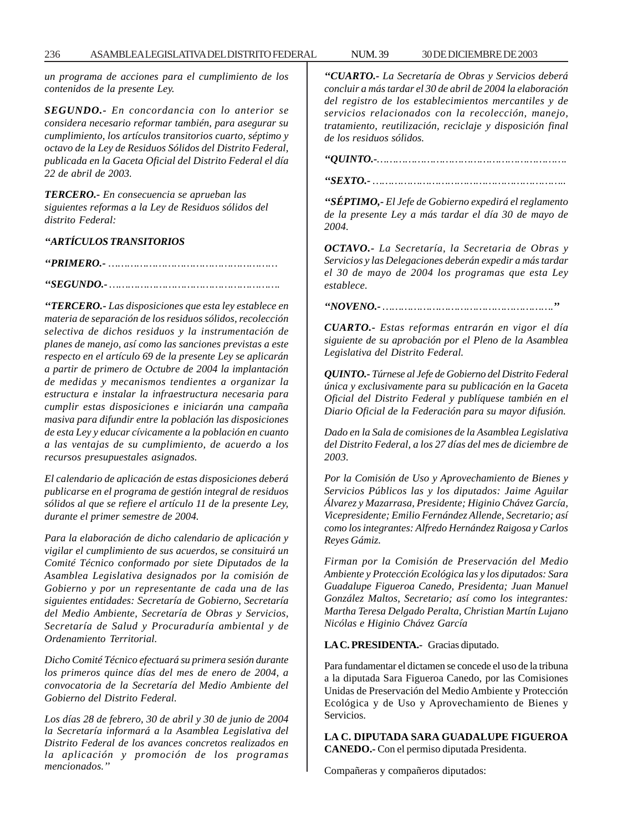*un programa de acciones para el cumplimiento de los contenidos de la presente Ley.*

*SEGUNDO.- En concordancia con lo anterior se considera necesario reformar también, para asegurar su cumplimiento, los artículos transitorios cuarto, séptimo y octavo de la Ley de Residuos Sólidos del Distrito Federal, publicada en la Gaceta Oficial del Distrito Federal el día 22 de abril de 2003.*

*TERCERO.- En consecuencia se aprueban las siguientes reformas a la Ley de Residuos sólidos del distrito Federal:*

*''ARTÍCULOS TRANSITORIOS*

*''PRIMERO.- ……………………………………………… ''SEGUNDO.- ……………………………………………….*

*''TERCERO.- Las disposiciones que esta ley establece en materia de separación de los residuos sólidos, recolección selectiva de dichos residuos y la instrumentación de planes de manejo, así como las sanciones previstas a este respecto en el artículo 69 de la presente Ley se aplicarán a partir de primero de Octubre de 2004 la implantación de medidas y mecanismos tendientes a organizar la estructura e instalar la infraestructura necesaria para cumplir estas disposiciones e iniciarán una campaña masiva para difundir entre la población las disposiciones de esta Ley y educar cívicamente a la población en cuanto a las ventajas de su cumplimiento, de acuerdo a los recursos presupuestales asignados.*

*El calendario de aplicación de estas disposiciones deberá publicarse en el programa de gestión integral de residuos sólidos al que se refiere el artículo 11 de la presente Ley, durante el primer semestre de 2004.*

*Para la elaboración de dicho calendario de aplicación y vigilar el cumplimiento de sus acuerdos, se consituirá un Comité Técnico conformado por siete Diputados de la Asamblea Legislativa designados por la comisión de Gobierno y por un representante de cada una de las siguientes entidades: Secretaría de Gobierno, Secretaría del Medio Ambiente, Secretaría de Obras y Servicios, Secretaría de Salud y Procuraduría ambiental y de Ordenamiento Territorial.*

*Dicho Comité Técnico efectuará su primera sesión durante los primeros quince días del mes de enero de 2004, a convocatoria de la Secretaría del Medio Ambiente del Gobierno del Distrito Federal.*

*Los días 28 de febrero, 30 de abril y 30 de junio de 2004 la Secretaría informará a la Asamblea Legislativa del Distrito Federal de los avances concretos realizados en la aplicación y promoción de los programas mencionados.''*

*''CUARTO.- La Secretaría de Obras y Servicios deberá concluir a más tardar el 30 de abril de 2004 la elaboración del registro de los establecimientos mercantiles y de servicios relacionados con la recolección, manejo, tratamiento, reutilización, reciclaje y disposición final de los residuos sólidos.*

*''QUINTO.-……………………………………………………. ''SEXTO.- ……………………………………………………..*

*''SÉPTIMO,- El Jefe de Gobierno expedirá el reglamento de la presente Ley a más tardar el día 30 de mayo de 2004.*

*OCTAVO.- La Secretaría, la Secretaria de Obras y Servicios y las Delegaciones deberán expedir a más tardar el 30 de mayo de 2004 los programas que esta Ley establece.*

*''NOVENO.- ……………………………………………….''*

*CUARTO.- Estas reformas entrarán en vigor el día siguiente de su aprobación por el Pleno de la Asamblea Legislativa del Distrito Federal.*

*QUINTO.- Túrnese al Jefe de Gobierno del Distrito Federal única y exclusivamente para su publicación en la Gaceta Oficial del Distrito Federal y publíquese también en el Diario Oficial de la Federación para su mayor difusión.*

*Dado en la Sala de comisiones de la Asamblea Legislativa del Distrito Federal, a los 27 días del mes de diciembre de 2003.*

*Por la Comisión de Uso y Aprovechamiento de Bienes y Servicios Públicos las y los diputados: Jaime Aguilar Álvarez y Mazarrasa, Presidente; Higinio Chávez García, Vicepresidente; Emilio Fernández Allende, Secretario; así como los integrantes: Alfredo Hernández Raigosa y Carlos Reyes Gámiz.*

*Firman por la Comisión de Preservación del Medio Ambiente y Protección Ecológica las y los diputados: Sara Guadalupe Figueroa Canedo, Presidenta; Juan Manuel González Maltos, Secretario; así como los integrantes: Martha Teresa Delgado Peralta, Christian Martín Lujano Nicólas e Higinio Chávez García*

#### **LA C. PRESIDENTA.-** Gracias diputado.

Para fundamentar el dictamen se concede el uso de la tribuna a la diputada Sara Figueroa Canedo, por las Comisiones Unidas de Preservación del Medio Ambiente y Protección Ecológica y de Uso y Aprovechamiento de Bienes y Servicios.

**LA C. DIPUTADA SARA GUADALUPE FIGUEROA CANEDO.-** Con el permiso diputada Presidenta.

Compañeras y compañeros diputados: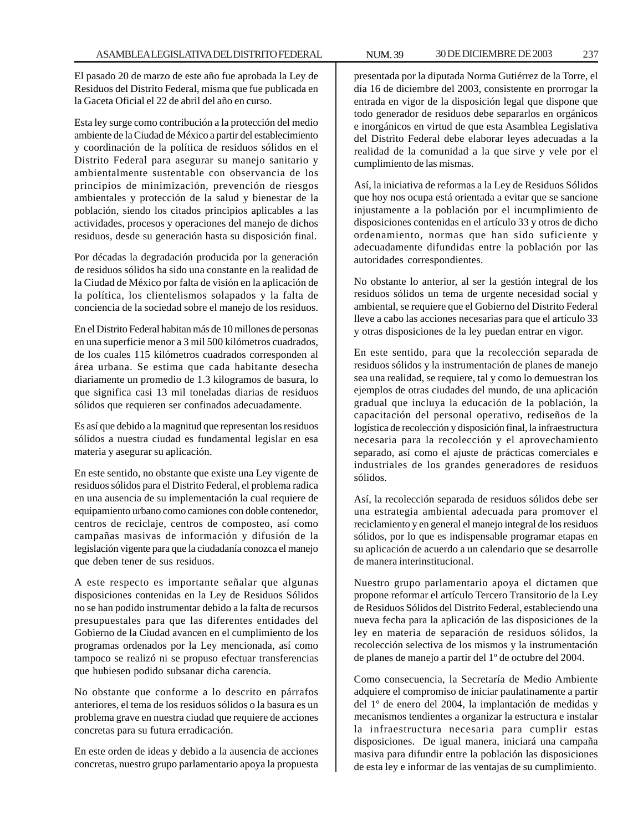El pasado 20 de marzo de este año fue aprobada la Ley de Residuos del Distrito Federal, misma que fue publicada en la Gaceta Oficial el 22 de abril del año en curso.

Esta ley surge como contribución a la protección del medio ambiente de la Ciudad de México a partir del establecimiento y coordinación de la política de residuos sólidos en el Distrito Federal para asegurar su manejo sanitario y ambientalmente sustentable con observancia de los principios de minimización, prevención de riesgos ambientales y protección de la salud y bienestar de la población, siendo los citados principios aplicables a las actividades, procesos y operaciones del manejo de dichos residuos, desde su generación hasta su disposición final.

Por décadas la degradación producida por la generación de residuos sólidos ha sido una constante en la realidad de la Ciudad de México por falta de visión en la aplicación de la política, los clientelismos solapados y la falta de conciencia de la sociedad sobre el manejo de los residuos.

En el Distrito Federal habitan más de 10 millones de personas en una superficie menor a 3 mil 500 kilómetros cuadrados, de los cuales 115 kilómetros cuadrados corresponden al área urbana. Se estima que cada habitante desecha diariamente un promedio de 1.3 kilogramos de basura, lo que significa casi 13 mil toneladas diarias de residuos sólidos que requieren ser confinados adecuadamente.

Es así que debido a la magnitud que representan los residuos sólidos a nuestra ciudad es fundamental legislar en esa materia y asegurar su aplicación.

En este sentido, no obstante que existe una Ley vigente de residuos sólidos para el Distrito Federal, el problema radica en una ausencia de su implementación la cual requiere de equipamiento urbano como camiones con doble contenedor, centros de reciclaje, centros de composteo, así como campañas masivas de información y difusión de la legislación vigente para que la ciudadanía conozca el manejo que deben tener de sus residuos.

A este respecto es importante señalar que algunas disposiciones contenidas en la Ley de Residuos Sólidos no se han podido instrumentar debido a la falta de recursos presupuestales para que las diferentes entidades del Gobierno de la Ciudad avancen en el cumplimiento de los programas ordenados por la Ley mencionada, así como tampoco se realizó ni se propuso efectuar transferencias que hubiesen podido subsanar dicha carencia.

No obstante que conforme a lo descrito en párrafos anteriores, el tema de los residuos sólidos o la basura es un problema grave en nuestra ciudad que requiere de acciones concretas para su futura erradicación.

En este orden de ideas y debido a la ausencia de acciones concretas, nuestro grupo parlamentario apoya la propuesta presentada por la diputada Norma Gutiérrez de la Torre, el día 16 de diciembre del 2003, consistente en prorrogar la entrada en vigor de la disposición legal que dispone que todo generador de residuos debe separarlos en orgánicos e inorgánicos en virtud de que esta Asamblea Legislativa del Distrito Federal debe elaborar leyes adecuadas a la realidad de la comunidad a la que sirve y vele por el cumplimiento de las mismas.

Así, la iniciativa de reformas a la Ley de Residuos Sólidos que hoy nos ocupa está orientada a evitar que se sancione injustamente a la población por el incumplimiento de disposiciones contenidas en el artículo 33 y otros de dicho ordenamiento, normas que han sido suficiente y adecuadamente difundidas entre la población por las autoridades correspondientes.

No obstante lo anterior, al ser la gestión integral de los residuos sólidos un tema de urgente necesidad social y ambiental, se requiere que el Gobierno del Distrito Federal lleve a cabo las acciones necesarias para que el artículo 33 y otras disposiciones de la ley puedan entrar en vigor.

En este sentido, para que la recolección separada de residuos sólidos y la instrumentación de planes de manejo sea una realidad, se requiere, tal y como lo demuestran los ejemplos de otras ciudades del mundo, de una aplicación gradual que incluya la educación de la población, la capacitación del personal operativo, rediseños de la logística de recolección y disposición final, la infraestructura necesaria para la recolección y el aprovechamiento separado, así como el ajuste de prácticas comerciales e industriales de los grandes generadores de residuos sólidos.

Así, la recolección separada de residuos sólidos debe ser una estrategia ambiental adecuada para promover el reciclamiento y en general el manejo integral de los residuos sólidos, por lo que es indispensable programar etapas en su aplicación de acuerdo a un calendario que se desarrolle de manera interinstitucional.

Nuestro grupo parlamentario apoya el dictamen que propone reformar el artículo Tercero Transitorio de la Ley de Residuos Sólidos del Distrito Federal, estableciendo una nueva fecha para la aplicación de las disposiciones de la ley en materia de separación de residuos sólidos, la recolección selectiva de los mismos y la instrumentación de planes de manejo a partir del 1º de octubre del 2004.

Como consecuencia, la Secretaría de Medio Ambiente adquiere el compromiso de iniciar paulatinamente a partir del 1º de enero del 2004, la implantación de medidas y mecanismos tendientes a organizar la estructura e instalar la infraestructura necesaria para cumplir estas disposiciones. De igual manera, iniciará una campaña masiva para difundir entre la población las disposiciones de esta ley e informar de las ventajas de su cumplimiento.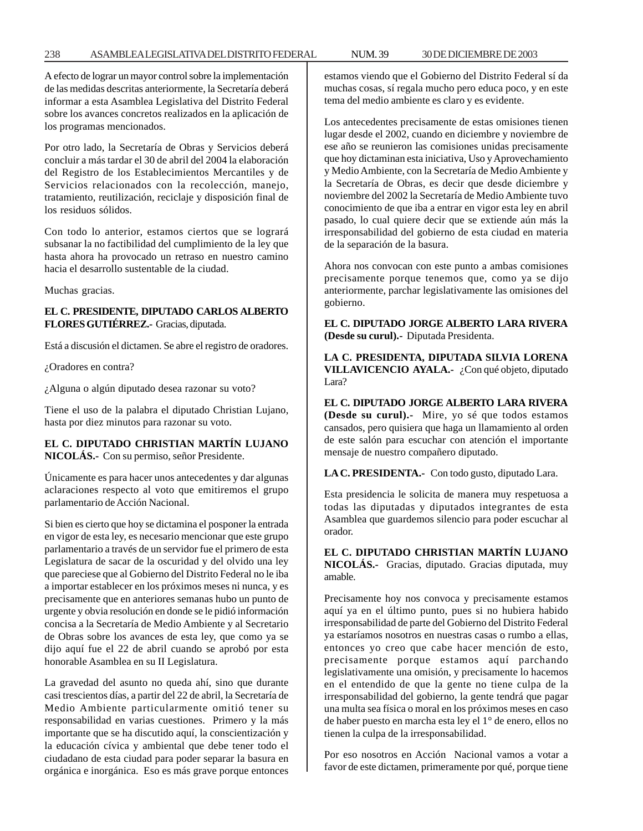### 238 ASAMBLEA LEGISLATIVA DEL DISTRITO FEDERAL NUM. 39 30 DE DICIEMBRE DE 2003

A efecto de lograr un mayor control sobre la implementación de las medidas descritas anteriormente, la Secretaría deberá informar a esta Asamblea Legislativa del Distrito Federal sobre los avances concretos realizados en la aplicación de los programas mencionados.

Por otro lado, la Secretaría de Obras y Servicios deberá concluir a más tardar el 30 de abril del 2004 la elaboración del Registro de los Establecimientos Mercantiles y de Servicios relacionados con la recolección, manejo, tratamiento, reutilización, reciclaje y disposición final de los residuos sólidos.

Con todo lo anterior, estamos ciertos que se logrará subsanar la no factibilidad del cumplimiento de la ley que hasta ahora ha provocado un retraso en nuestro camino hacia el desarrollo sustentable de la ciudad.

Muchas gracias.

### **EL C. PRESIDENTE, DIPUTADO CARLOS ALBERTO FLORES GUTIÉRREZ.-** Gracias, diputada.

Está a discusión el dictamen. Se abre el registro de oradores.

¿Oradores en contra?

¿Alguna o algún diputado desea razonar su voto?

Tiene el uso de la palabra el diputado Christian Lujano, hasta por diez minutos para razonar su voto.

**EL C. DIPUTADO CHRISTIAN MARTÍN LUJANO NICOLÁS.-** Con su permiso, señor Presidente.

Únicamente es para hacer unos antecedentes y dar algunas aclaraciones respecto al voto que emitiremos el grupo parlamentario de Acción Nacional.

Si bien es cierto que hoy se dictamina el posponer la entrada en vigor de esta ley, es necesario mencionar que este grupo parlamentario a través de un servidor fue el primero de esta Legislatura de sacar de la oscuridad y del olvido una ley que pareciese que al Gobierno del Distrito Federal no le iba a importar establecer en los próximos meses ni nunca, y es precisamente que en anteriores semanas hubo un punto de urgente y obvia resolución en donde se le pidió información concisa a la Secretaría de Medio Ambiente y al Secretario de Obras sobre los avances de esta ley, que como ya se dijo aquí fue el 22 de abril cuando se aprobó por esta honorable Asamblea en su II Legislatura.

La gravedad del asunto no queda ahí, sino que durante casi trescientos días, a partir del 22 de abril, la Secretaría de Medio Ambiente particularmente omitió tener su responsabilidad en varias cuestiones. Primero y la más importante que se ha discutido aquí, la conscientización y la educación cívica y ambiental que debe tener todo el ciudadano de esta ciudad para poder separar la basura en orgánica e inorgánica. Eso es más grave porque entonces estamos viendo que el Gobierno del Distrito Federal sí da muchas cosas, sí regala mucho pero educa poco, y en este tema del medio ambiente es claro y es evidente.

Los antecedentes precisamente de estas omisiones tienen lugar desde el 2002, cuando en diciembre y noviembre de ese año se reunieron las comisiones unidas precisamente que hoy dictaminan esta iniciativa, Uso y Aprovechamiento y Medio Ambiente, con la Secretaría de Medio Ambiente y la Secretaría de Obras, es decir que desde diciembre y noviembre del 2002 la Secretaría de Medio Ambiente tuvo conocimiento de que iba a entrar en vigor esta ley en abril pasado, lo cual quiere decir que se extiende aún más la irresponsabilidad del gobierno de esta ciudad en materia de la separación de la basura.

Ahora nos convocan con este punto a ambas comisiones precisamente porque tenemos que, como ya se dijo anteriormente, parchar legislativamente las omisiones del gobierno.

**EL C. DIPUTADO JORGE ALBERTO LARA RIVERA (Desde su curul).-** Diputada Presidenta.

**LA C. PRESIDENTA, DIPUTADA SILVIA LORENA VILLAVICENCIO AYALA.-** ¿Con qué objeto, diputado Lara?

**EL C. DIPUTADO JORGE ALBERTO LARA RIVERA (Desde su curul).-** Mire, yo sé que todos estamos cansados, pero quisiera que haga un llamamiento al orden de este salón para escuchar con atención el importante mensaje de nuestro compañero diputado.

**LA C. PRESIDENTA.-** Con todo gusto, diputado Lara.

Esta presidencia le solicita de manera muy respetuosa a todas las diputadas y diputados integrantes de esta Asamblea que guardemos silencio para poder escuchar al orador.

**EL C. DIPUTADO CHRISTIAN MARTÍN LUJANO NICOLÁS.-** Gracias, diputado. Gracias diputada, muy amable.

Precisamente hoy nos convoca y precisamente estamos aquí ya en el último punto, pues si no hubiera habido irresponsabilidad de parte del Gobierno del Distrito Federal ya estaríamos nosotros en nuestras casas o rumbo a ellas, entonces yo creo que cabe hacer mención de esto, precisamente porque estamos aquí parchando legislativamente una omisión, y precisamente lo hacemos en el entendido de que la gente no tiene culpa de la irresponsabilidad del gobierno, la gente tendrá que pagar una multa sea física o moral en los próximos meses en caso de haber puesto en marcha esta ley el 1° de enero, ellos no tienen la culpa de la irresponsabilidad.

Por eso nosotros en Acción Nacional vamos a votar a favor de este dictamen, primeramente por qué, porque tiene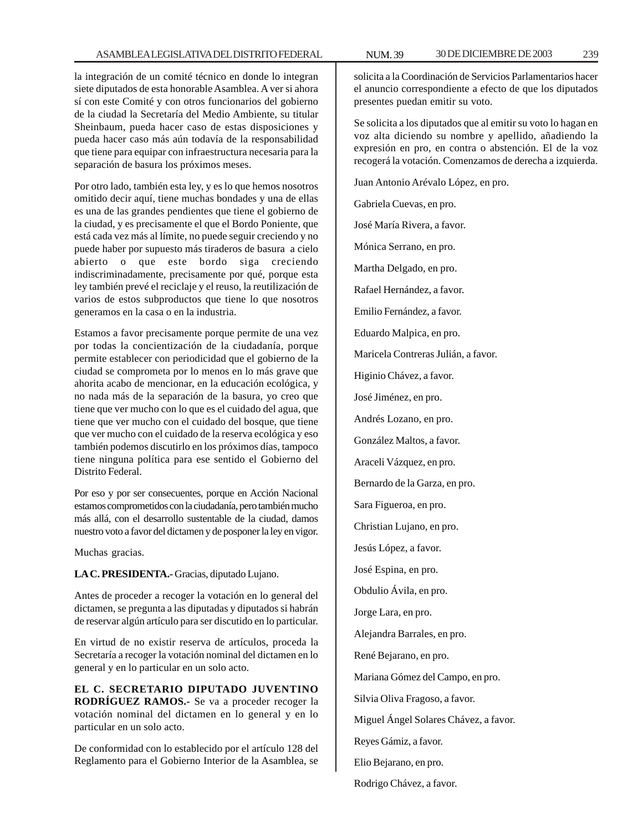la integración de un comité técnico en donde lo integran siete diputados de esta honorable Asamblea. A ver si ahora sí con este Comité y con otros funcionarios del gobierno de la ciudad la Secretaría del Medio Ambiente, su titular Sheinbaum, pueda hacer caso de estas disposiciones y pueda hacer caso más aún todavía de la responsabilidad que tiene para equipar con infraestructura necesaria para la separación de basura los próximos meses.

Por otro lado, también esta ley, y es lo que hemos nosotros omitido decir aquí, tiene muchas bondades y una de ellas es una de las grandes pendientes que tiene el gobierno de la ciudad, y es precisamente el que el Bordo Poniente, que está cada vez más al límite, no puede seguir creciendo y no puede haber por supuesto más tiraderos de basura a cielo abierto o que este bordo siga creciendo indiscriminadamente, precisamente por qué, porque esta ley también prevé el reciclaje y el reuso, la reutilización de varios de estos subproductos que tiene lo que nosotros generamos en la casa o en la industria.

Estamos a favor precisamente porque permite de una vez por todas la concientización de la ciudadanía, porque permite establecer con periodicidad que el gobierno de la ciudad se comprometa por lo menos en lo más grave que ahorita acabo de mencionar, en la educación ecológica, y no nada más de la separación de la basura, yo creo que tiene que ver mucho con lo que es el cuidado del agua, que tiene que ver mucho con el cuidado del bosque, que tiene que ver mucho con el cuidado de la reserva ecológica y eso también podemos discutirlo en los próximos días, tampoco tiene ninguna política para ese sentido el Gobierno del Distrito Federal.

Por eso y por ser consecuentes, porque en Acción Nacional estamos comprometidos con la ciudadanía, pero también mucho más allá, con el desarrollo sustentable de la ciudad, damos nuestro voto a favor del dictamen y de posponer la ley en vigor.

Muchas gracias.

**LA C. PRESIDENTA.-** Gracias, diputado Lujano.

Antes de proceder a recoger la votación en lo general del dictamen, se pregunta a las diputadas y diputados si habrán de reservar algún artículo para ser discutido en lo particular.

En virtud de no existir reserva de artículos, proceda la Secretaría a recoger la votación nominal del dictamen en lo general y en lo particular en un solo acto.

**EL C. SECRETARIO DIPUTADO JUVENTINO RODRÍGUEZ RAMOS.-** Se va a proceder recoger la votación nominal del dictamen en lo general y en lo particular en un solo acto.

De conformidad con lo establecido por el artículo 128 del Reglamento para el Gobierno Interior de la Asamblea, se

solicita a la Coordinación de Servicios Parlamentarios hacer el anuncio correspondiente a efecto de que los diputados presentes puedan emitir su voto.

Se solicita a los diputados que al emitir su voto lo hagan en voz alta diciendo su nombre y apellido, añadiendo la expresión en pro, en contra o abstención. El de la voz recogerá la votación. Comenzamos de derecha a izquierda.

Juan Antonio Arévalo López, en pro.

Gabriela Cuevas, en pro.

José María Rivera, a favor.

Mónica Serrano, en pro.

Martha Delgado, en pro.

Rafael Hernández, a favor.

Emilio Fernández, a favor.

Eduardo Malpica, en pro.

Maricela Contreras Julián, a favor.

Higinio Chávez, a favor.

José Jiménez, en pro.

Andrés Lozano, en pro.

González Maltos, a favor.

Araceli Vázquez, en pro.

Bernardo de la Garza, en pro.

Sara Figueroa, en pro.

Christian Lujano, en pro.

Jesús López, a favor.

José Espina, en pro.

Obdulio Ávila, en pro.

Jorge Lara, en pro.

Alejandra Barrales, en pro.

René Bejarano, en pro.

Mariana Gómez del Campo, en pro.

Silvia Oliva Fragoso, a favor.

Miguel Ángel Solares Chávez, a favor.

Reyes Gámiz, a favor.

Elio Bejarano, en pro.

Rodrigo Chávez, a favor.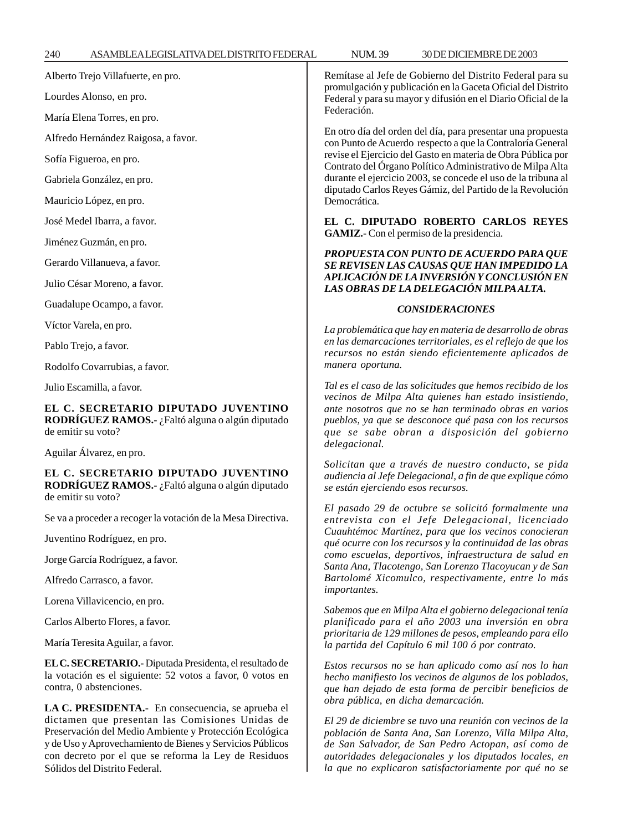240 ASAMBLEA LEGISLATIVA DEL DISTRITO FEDERAL 30 DE NUM. 39 DICIEMBRE DE 2003

Alberto Trejo Villafuerte, en pro.

Lourdes Alonso, en pro.

María Elena Torres, en pro.

Alfredo Hernández Raigosa, a favor.

Sofía Figueroa, en pro.

Gabriela González, en pro.

Mauricio López, en pro.

José Medel Ibarra, a favor.

Jiménez Guzmán, en pro.

Gerardo Villanueva, a favor.

Julio César Moreno, a favor.

Guadalupe Ocampo, a favor.

Víctor Varela, en pro.

Pablo Trejo, a favor.

Rodolfo Covarrubias, a favor.

Julio Escamilla, a favor.

**EL C. SECRETARIO DIPUTADO JUVENTINO RODRÍGUEZ RAMOS.-** ¿Faltó alguna o algún diputado de emitir su voto?

Aguilar Álvarez, en pro.

**EL C. SECRETARIO DIPUTADO JUVENTINO RODRÍGUEZ RAMOS.-** ¿Faltó alguna o algún diputado de emitir su voto?

Se va a proceder a recoger la votación de la Mesa Directiva.

Juventino Rodríguez, en pro.

Jorge García Rodríguez, a favor.

Alfredo Carrasco, a favor.

Lorena Villavicencio, en pro.

Carlos Alberto Flores, a favor.

María Teresita Aguilar, a favor.

**EL C. SECRETARIO.-** Diputada Presidenta, el resultado de la votación es el siguiente: 52 votos a favor, 0 votos en contra, 0 abstenciones.

**LA C. PRESIDENTA.-** En consecuencia, se aprueba el dictamen que presentan las Comisiones Unidas de Preservación del Medio Ambiente y Protección Ecológica y de Uso y Aprovechamiento de Bienes y Servicios Públicos con decreto por el que se reforma la Ley de Residuos Sólidos del Distrito Federal.

Remítase al Jefe de Gobierno del Distrito Federal para su promulgación y publicación en la Gaceta Oficial del Distrito Federal y para su mayor y difusión en el Diario Oficial de la Federación.

En otro día del orden del día, para presentar una propuesta con Punto de Acuerdo respecto a que la Contraloría General revise el Ejercicio del Gasto en materia de Obra Pública por Contrato del Órgano Político Administrativo de Milpa Alta durante el ejercicio 2003, se concede el uso de la tribuna al diputado Carlos Reyes Gámiz, del Partido de la Revolución Democrática.

**EL C. DIPUTADO ROBERTO CARLOS REYES GAMIZ.-** Con el permiso de la presidencia.

*PROPUESTA CON PUNTO DE ACUERDO PARA QUE SE REVISEN LAS CAUSAS QUE HAN IMPEDIDO LA APLICACIÓN DE LA INVERSIÓN Y CONCLUSIÓN EN LAS OBRAS DE LA DELEGACIÓN MILPA ALTA.*

#### *CONSIDERACIONES*

*La problemática que hay en materia de desarrollo de obras en las demarcaciones territoriales, es el reflejo de que los recursos no están siendo eficientemente aplicados de manera oportuna.*

*Tal es el caso de las solicitudes que hemos recibido de los vecinos de Milpa Alta quienes han estado insistiendo, ante nosotros que no se han terminado obras en varios pueblos, ya que se desconoce qué pasa con los recursos que se sabe obran a disposición del gobierno delegacional.*

*Solicitan que a través de nuestro conducto, se pida audiencia al Jefe Delegacional, a fin de que explique cómo se están ejerciendo esos recursos.*

*El pasado 29 de octubre se solicitó formalmente una entrevista con el Jefe Delegacional, licenciado Cuauhtémoc Martínez, para que los vecinos conocieran qué ocurre con los recursos y la continuidad de las obras como escuelas, deportivos, infraestructura de salud en Santa Ana, Tlacotengo, San Lorenzo Tlacoyucan y de San Bartolomé Xicomulco, respectivamente, entre lo más importantes.*

*Sabemos que en Milpa Alta el gobierno delegacional tenía planificado para el año 2003 una inversión en obra prioritaria de 129 millones de pesos, empleando para ello la partida del Capítulo 6 mil 100 ó por contrato.*

*Estos recursos no se han aplicado como así nos lo han hecho manifiesto los vecinos de algunos de los poblados, que han dejado de esta forma de percibir beneficios de obra pública, en dicha demarcación.*

*El 29 de diciembre se tuvo una reunión con vecinos de la población de Santa Ana, San Lorenzo, Villa Milpa Alta, de San Salvador, de San Pedro Actopan, así como de autoridades delegacionales y los diputados locales, en la que no explicaron satisfactoriamente por qué no se*